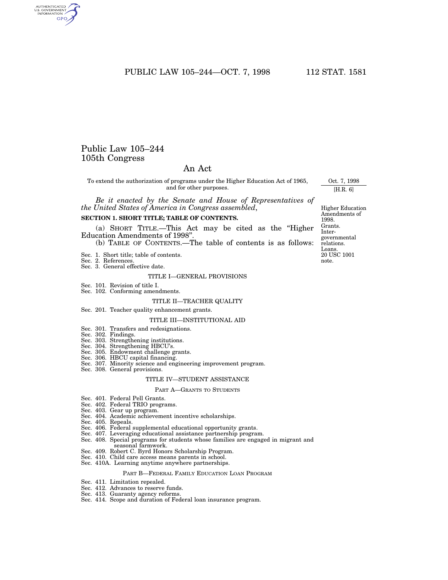# PUBLIC LAW 105-244-OCT. 7, 1998 112 STAT. 1581

# Public Law 105–244 105th Congress

# An Act

To extend the authorization of programs under the Higher Education Act of 1965, and for other purposes.

*Be it enacted by the Senate and House of Representatives of the United States of America in Congress assembled*,

## **SECTION 1. SHORT TITLE; TABLE OF CONTENTS.**

(a) SHORT TITLE.—This Act may be cited as the ''Higher Education Amendments of 1998''.

(b) TABLE OF CONTENTS.—The table of contents is as follows:

- Sec. 1. Short title; table of contents.
- Sec. 2. References.
- Sec. 3. General effective date.

#### TITLE I—GENERAL PROVISIONS

- Sec. 101. Revision of title I.
- Sec. 102. Conforming amendments.

# TITLE II—TEACHER QUALITY

#### Sec. 201. Teacher quality enhancement grants.

#### TITLE III—INSTITUTIONAL AID

- Sec. 301. Transfers and redesignations.
- Sec. 302. Findings.
- 
- Sec. 303. Strengthening institutions. Sec. 304. Strengthening HBCU's.
- 
- Sec. 305. Endowment challenge grants. Sec. 306. HBCU capital financing.
- Sec. 307. Minority science and engineering improvement program. Sec. 308. General provisions.
- 

## TITLE IV—STUDENT ASSISTANCE

### PART A—GRANTS TO STUDENTS

- Sec. 401. Federal Pell Grants.
- Sec. 402. Federal TRIO programs.
- Sec. 403. Gear up program.
- Sec. 404. Academic achievement incentive scholarships.
- Sec. 405. Repeals.
- Sec. 406. Federal supplemental educational opportunity grants.
- Sec. 407. Leveraging educational assistance partnership program.
- Sec. 408. Special programs for students whose families are engaged in migrant and seasonal farmwork.
- Sec. 409. Robert C. Byrd Honors Scholarship Program.
- Sec. 410. Child care access means parents in school.
- Sec. 410A. Learning anytime anywhere partnerships.

#### PART B—FEDERAL FAMILY EDUCATION LOAN PROGRAM

- Sec. 411. Limitation repealed.
- Sec. 412. Advances to reserve funds.
- Sec. 413. Guaranty agency reforms.
- Sec. 414. Scope and duration of Federal loan insurance program.

20 USC 1001 note. Higher Education Amendments of 1998. Grants. Intergovernmental relations. Loans.

Oct. 7, 1998 [H.R. 6]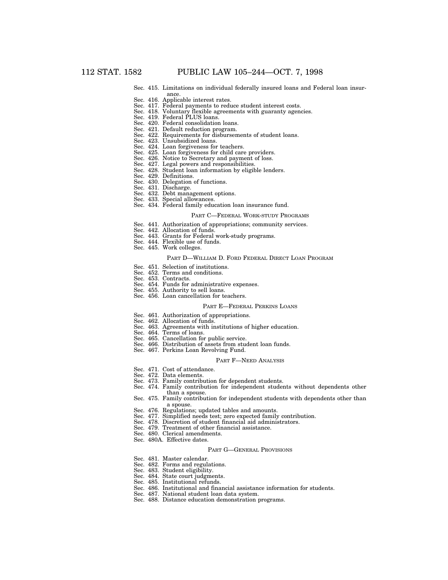- Sec. 415. Limitations on individual federally insured loans and Federal loan insurance.
- Sec. 416. Applicable interest rates.
- Sec. 417. Federal payments to reduce student interest costs.
- Sec. 418. Voluntary flexible agreements with guaranty agencies.
- Sec. 419. Federal PLUS loans.
- Sec. 420. Federal consolidation loans.
- Sec. 421. Default reduction program.
- Sec. 422. Requirements for disbursements of student loans.
- Sec. 423. Unsubsidized loans.
- Sec. 424. Loan forgiveness for teachers.
- Sec. 425. Loan forgiveness for child care providers.
- Sec. 426. Notice to Secretary and payment of loss.
- Sec. 427. Legal powers and responsibilities.
- Sec. 428. Student loan information by eligible lenders.
- Sec. 429. Definitions.
- Sec. 430. Delegation of functions.
- Sec. 431. Discharge.
- Sec. 432. Debt management options.
- Sec. 433. Special allowances.
- Sec. 434. Federal family education loan insurance fund.

#### PART C—FEDERAL WORK-STUDY PROGRAMS

- Sec. 441. Authorization of appropriations; community services.
- Sec. 442. Allocation of funds.
- Sec. 443. Grants for Federal work-study programs.
- Sec. 444. Flexible use of funds.
- Sec. 445. Work colleges.

### PART D—WILLIAM D. FORD FEDERAL DIRECT LOAN PROGRAM

- Sec. 451. Selection of institutions.
- Sec. 452. Terms and conditions.
- Sec. 453. Contracts.
- Sec. 454. Funds for administrative expenses.
- Sec. 455. Authority to sell loans.
- Sec. 456. Loan cancellation for teachers.

#### PART E—FEDERAL PERKINS LOANS

- Sec. 461. Authorization of appropriations.
- Sec. 462. Allocation of funds.
- Sec. 463. Agreements with institutions of higher education.
- Sec. 464. Terms of loans.
- Sec. 465. Cancellation for public service.
- Sec. 466. Distribution of assets from student loan funds.
- Sec. 467. Perkins Loan Revolving Fund.

#### PART F—NEED ANALYSIS

- Sec. 471. Cost of attendance.
- Sec. 472. Data elements.
- Sec. 473. Family contribution for dependent students.
- Sec. 474. Family contribution for independent students without dependents other than a spouse.
- Sec. 475. Family contribution for independent students with dependents other than a spouse.
- Sec. 476. Regulations; updated tables and amounts.
- Sec. 477. Simplified needs test; zero expected family contribution.
- Sec. 478. Discretion of student financial aid administrators.
- Sec. 479. Treatment of other financial assistance.
- Sec. 480. Clerical amendments.
- Sec. 480A. Effective dates.

#### PART G—GENERAL PROVISIONS

- Sec. 481. Master calendar.
- Sec. 482. Forms and regulations.
- Sec. 483. Student eligibility.
- Sec. 484. State court judgments.
- Sec. 485. Institutional refunds.
- Sec. 486. Institutional and financial assistance information for students.
- Sec. 487. National student loan data system.
- Sec. 488. Distance education demonstration programs.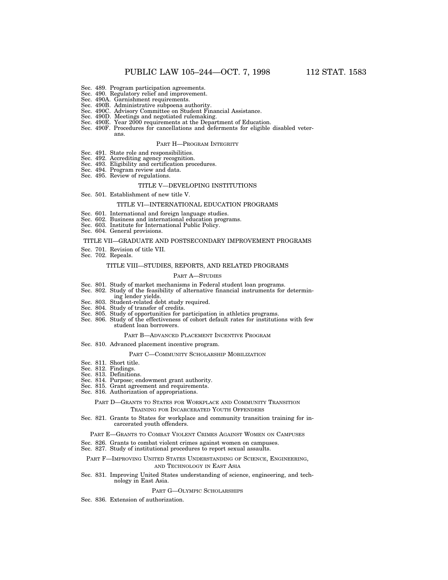- Sec. 489. Program participation agreements. Sec. 490. Regulatory relief and improvement.
- 
- Sec. 490A. Garnishment requirements.
- 
- 
- Sec. 490B. Administrative subpoena authority.<br>Sec. 490C. Advisory Committee on Student Financial Assistance.<br>Sec. 490D. Meetings and negotiated rulemaking.<br>Sec. 490E. Year 2000 requirements at the Department of Education.
- Sec. 490F. Procedures for cancellations and deferments for eligible disabled veterans.

## PART H—PROGRAM INTEGRITY

- Sec. 491. State role and responsibilities.
- 
- Sec. 492. Accrediting agency recognition. Sec. 493. Eligibility and certification procedures.
- Sec. 494. Program review and data.
- Sec. 495. Review of regulations.

## TITLE V—DEVELOPING INSTITUTIONS

Sec. 501. Establishment of new title V.

### TITLE VI—INTERNATIONAL EDUCATION PROGRAMS

- Sec. 601. International and foreign language studies.
- Sec. 602. Business and international education programs. Sec. 603. Institute for International Public Policy.
- 
- Sec. 604. General provisions.

## TITLE VII—GRADUATE AND POSTSECONDARY IMPROVEMENT PROGRAMS

- Sec. 701. Revision of title VII. Sec. 702. Repeals.
- 

#### TITLE VIII—STUDIES, REPORTS, AND RELATED PROGRAMS

#### PART A—STUDIES

- 
- Sec. 801. Study of market mechanisms in Federal student loan programs. Sec. 802. Study of the feasibility of alternative financial instruments for determining lender yields.
- Sec. 803. Student-related debt study required.
- Sec. 804. Study of transfer of credits.
- 
- Sec. 805. Study of opportunities for participation in athletics programs. Sec. 806. Study of the effectiveness of cohort default rates for institutions with few student loan borrowers.

#### PART B—ADVANCED PLACEMENT INCENTIVE PROGRAM

Sec. 810. Advanced placement incentive program.

#### PART C—COMMUNITY SCHOLARSHIP MOBILIZATION

- Sec. 811. Short title.
- Sec. 812. Findings.
- Sec. 813. Definitions.
- Sec. 814. Purpose; endowment grant authority.
- Sec. 815. Grant agreement and requirements.
- Sec. 816. Authorization of appropriations.

### PART D—GRANTS TO STATES FOR WORKPLACE AND COMMUNITY TRANSITION TRAINING FOR INCARCERATED YOUTH OFFENDERS

- Sec. 821. Grants to States for workplace and community transition training for incarcerated youth offenders.
	- PART E—GRANTS TO COMBAT VIOLENT CRIMES AGAINST WOMEN ON CAMPUSES
- Sec. 826. Grants to combat violent crimes against women on campuses.
- Sec. 827. Study of institutional procedures to report sexual assaults.

## PART F—IMPROVING UNITED STATES UNDERSTANDING OF SCIENCE, ENGINEERING, AND TECHNOLOGY IN EAST ASIA

#### Sec. 831. Improving United States understanding of science, engineering, and technology in East Asia.

#### PART G—OLYMPIC SCHOLARSHIPS

Sec. 836. Extension of authorization.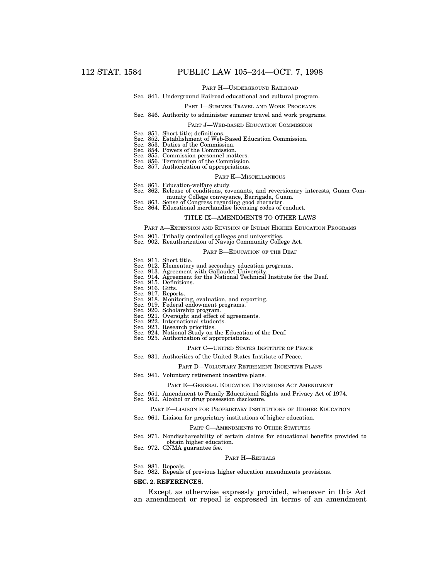### PART H—UNDERGROUND RAILROAD

# Sec. 841. Underground Railroad educational and cultural program.

#### PART I—SUMMER TRAVEL AND WORK PROGRAMS

Sec. 846. Authority to administer summer travel and work programs.

#### PART J—WEB-BASED EDUCATION COMMISSION

- Sec. 851. Short title; definitions.
- Sec. 852. Establishment of Web-Based Education Commission.
- Sec. 853. Duties of the Commission.
- Sec. 854. Powers of the Commission.
- Sec. 855. Commission personnel matters. Sec. 856. Termination of the Commission.
- 
- Sec. 857. Authorization of appropriations.

#### PART K—MISCELLANEOUS

- Sec. 861. Education-welfare study.
- Sec. 862. Release of conditions, covenants, and reversionary interests, Guam Community College conveyance, Barrigada, Guam.
- Sec. 863. Sense of Congress regarding good character.
- Sec. 864. Educational merchandise licensing codes of conduct.

#### TITLE IX—AMENDMENTS TO OTHER LAWS

PART A—EXTENSION AND REVISION OF INDIAN HIGHER EDUCATION PROGRAMS

- 
- Sec. 901. Tribally controlled colleges and universities. Sec. 902. Reauthorization of Navajo Community College Act.

#### PART B—EDUCATION OF THE DEAF

- 
- 
- 
- Sec. 911. Short title.<br>Sec. 912. Elementary and secondary education programs.<br>Sec. 913. Agreement with Gallaudet University.<br>Sec. 914. Agreement for the National Technical Institute for the Deaf.<br>Sec. 915. Definitions.<br>Sec
- 
- 
- 
- Sec. 918. Monitoring, evaluation, and reporting. Sec. 919. Federal endowment programs.
- 
- Sec. 920. Scholarship program. Sec. 921. Oversight and effect of agreements.
- 
- 
- Sec. 922. International students. Sec. 923. Research priorities. Sec. 924. National Study on the Education of the Deaf. Sec. 925. Authorization of appropriations.
	-

#### PART C—UNITED STATES INSTITUTE OF PEACE

Sec. 931. Authorities of the United States Institute of Peace.

#### PART D—VOLUNTARY RETIREMENT INCENTIVE PLANS

- Sec. 941. Voluntary retirement incentive plans.
	- PART E—GENERAL EDUCATION PROVISIONS ACT AMENDMENT
- Sec. 951. Amendment to Family Educational Rights and Privacy Act of 1974.
- Sec. 952. Alcohol or drug possession disclosure.
- PART F—LIAISON FOR PROPRIETARY INSTITUTIONS OF HIGHER EDUCATION
- Sec. 961. Liaison for proprietary institutions of higher education.

#### PART G—AMENDMENTS TO OTHER STATUTES

- Sec. 971. Nondischareability of certain claims for educational benefits provided to obtain higher education.
- Sec. 972. GNMA guarantee fee.

#### PART H—REPEALS

- 
- Sec. 981. Repeals. Sec. 982. Repeals of previous higher education amendments provisions.

#### **SEC. 2. REFERENCES.**

Except as otherwise expressly provided, whenever in this Act an amendment or repeal is expressed in terms of an amendment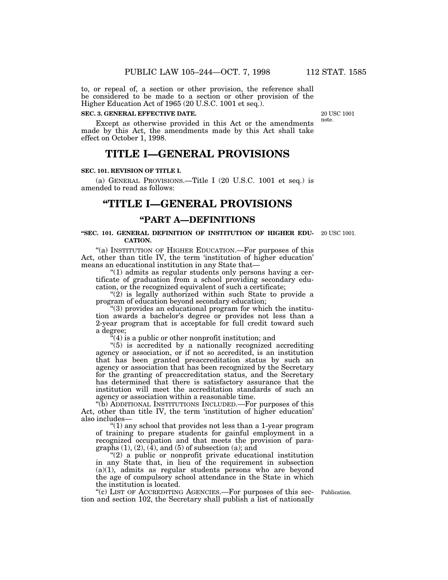to, or repeal of, a section or other provision, the reference shall be considered to be made to a section or other provision of the Higher Education Act of 1965 (20 U.S.C. 1001 et seq.).

## **SEC. 3. GENERAL EFFECTIVE DATE.**

20 USC 1001 note.

Except as otherwise provided in this Act or the amendments made by this Act, the amendments made by this Act shall take effect on October 1, 1998.

# **TITLE I—GENERAL PROVISIONS**

## **SEC. 101. REVISION OF TITLE I.**

(a) GENERAL PROVISIONS.—Title I (20 U.S.C. 1001 et seq.) is amended to read as follows:

# **''TITLE I—GENERAL PROVISIONS**

# **''PART A—DEFINITIONS**

### **''SEC. 101. GENERAL DEFINITION OF INSTITUTION OF HIGHER EDU-**20 USC 1001. **CATION.**

"(a) INSTITUTION OF HIGHER EDUCATION.—For purposes of this Act, other than title IV, the term 'institution of higher education' means an educational institution in any State that—

''(1) admits as regular students only persons having a certificate of graduation from a school providing secondary education, or the recognized equivalent of such a certificate;

"(2) is legally authorized within such State to provide a program of education beyond secondary education;

''(3) provides an educational program for which the institution awards a bachelor's degree or provides not less than a 2-year program that is acceptable for full credit toward such a degree;

 $(4)$  is a public or other nonprofit institution; and

''(5) is accredited by a nationally recognized accrediting agency or association, or if not so accredited, is an institution that has been granted preaccreditation status by such an agency or association that has been recognized by the Secretary for the granting of preaccreditation status, and the Secretary has determined that there is satisfactory assurance that the institution will meet the accreditation standards of such an agency or association within a reasonable time.

''(b) ADDITIONAL INSTITUTIONS INCLUDED.—For purposes of this Act, other than title IV, the term 'institution of higher education' also includes—

''(1) any school that provides not less than a 1-year program of training to prepare students for gainful employment in a recognized occupation and that meets the provision of paragraphs (1), (2), (4), and (5) of subsection (a); and

''(2) a public or nonprofit private educational institution in any State that, in lieu of the requirement in subsection (a)(1), admits as regular students persons who are beyond the age of compulsory school attendance in the State in which the institution is located.

"(c) LIST OF ACCREDITING AGENCIES.—For purposes of this sec- Publication. tion and section 102, the Secretary shall publish a list of nationally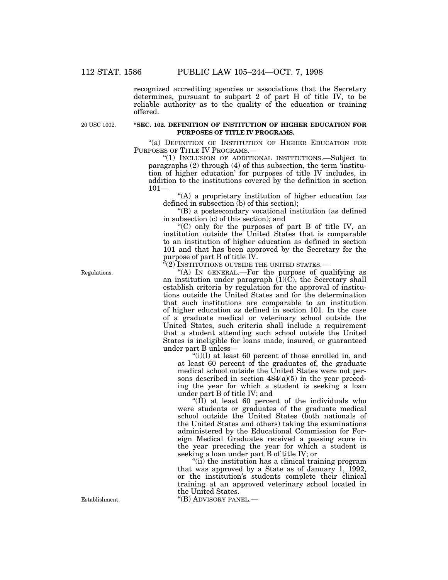recognized accrediting agencies or associations that the Secretary determines, pursuant to subpart 2 of part H of title IV, to be reliable authority as to the quality of the education or training offered.

20 USC 1002.

# **''SEC. 102. DEFINITION OF INSTITUTION OF HIGHER EDUCATION FOR PURPOSES OF TITLE IV PROGRAMS.**

"(a) DEFINITION OF INSTITUTION OF HIGHER EDUCATION FOR PURPOSES OF TITLE IV PROGRAMS.—

''(1) INCLUSION OF ADDITIONAL INSTITUTIONS.—Subject to paragraphs (2) through (4) of this subsection, the term 'institution of higher education' for purposes of title IV includes, in addition to the institutions covered by the definition in section 101—

"(A) a proprietary institution of higher education (as defined in subsection (b) of this section);

''(B) a postsecondary vocational institution (as defined in subsection (c) of this section); and

" $(C)$  only for the purposes of part B of title IV, an institution outside the United States that is comparable to an institution of higher education as defined in section 101 and that has been approved by the Secretary for the purpose of part B of title IV.

 $\sqrt[4]{(2)}$  INSTITUTIONS OUTSIDE THE UNITED STATES.—

"(A) In GENERAL.—For the purpose of qualifying as an institution under paragraph  $(1)(C)$ , the Secretary shall establish criteria by regulation for the approval of institutions outside the United States and for the determination that such institutions are comparable to an institution of higher education as defined in section 101. In the case of a graduate medical or veterinary school outside the United States, such criteria shall include a requirement that a student attending such school outside the United States is ineligible for loans made, insured, or guaranteed under part B unless—

 $\mathcal{L}(i)(I)$  at least 60 percent of those enrolled in, and at least 60 percent of the graduates of, the graduate medical school outside the United States were not persons described in section  $484(a)(5)$  in the year preceding the year for which a student is seeking a loan under part B of title IV; and

''(II) at least 60 percent of the individuals who were students or graduates of the graduate medical school outside the United States (both nationals of the United States and others) taking the examinations administered by the Educational Commission for Foreign Medical Graduates received a passing score in the year preceding the year for which a student is seeking a loan under part B of title IV; or

''(ii) the institution has a clinical training program that was approved by a State as of January 1, 1992, or the institution's students complete their clinical training at an approved veterinary school located in the United States.

Establishment. "(B) ADVISORY PANEL.—

Regulations.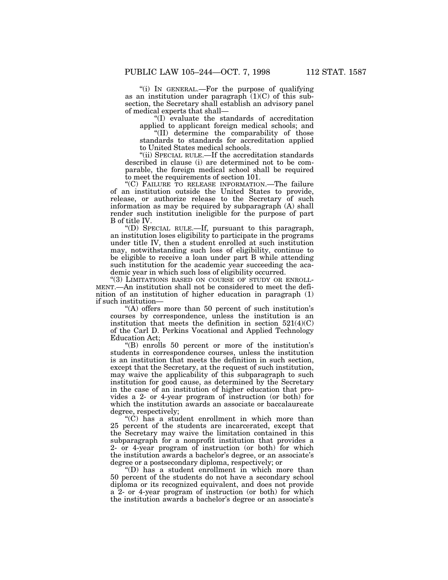''(i) IN GENERAL.—For the purpose of qualifying as an institution under paragraph  $(1)(C)$  of this subsection, the Secretary shall establish an advisory panel of medical experts that shall—

''(I) evaluate the standards of accreditation applied to applicant foreign medical schools; and

''(II) determine the comparability of those standards to standards for accreditation applied to United States medical schools.

''(ii) SPECIAL RULE.—If the accreditation standards described in clause (i) are determined not to be comparable, the foreign medical school shall be required to meet the requirements of section 101.

''(C) FAILURE TO RELEASE INFORMATION.—The failure of an institution outside the United States to provide, release, or authorize release to the Secretary of such information as may be required by subparagraph (A) shall render such institution ineligible for the purpose of part B of title IV.

''(D) SPECIAL RULE.—If, pursuant to this paragraph, an institution loses eligibility to participate in the programs under title IV, then a student enrolled at such institution may, notwithstanding such loss of eligibility, continue to be eligible to receive a loan under part B while attending such institution for the academic year succeeding the academic year in which such loss of eligibility occurred.

''(3) LIMITATIONS BASED ON COURSE OF STUDY OR ENROLL-MENT.—An institution shall not be considered to meet the definition of an institution of higher education in paragraph (1) if such institution—

''(A) offers more than 50 percent of such institution's courses by correspondence, unless the institution is an institution that meets the definition in section  $521(4)(C)$ of the Carl D. Perkins Vocational and Applied Technology Education Act;

''(B) enrolls 50 percent or more of the institution's students in correspondence courses, unless the institution is an institution that meets the definition in such section, except that the Secretary, at the request of such institution, may waive the applicability of this subparagraph to such institution for good cause, as determined by the Secretary in the case of an institution of higher education that provides a 2- or 4-year program of instruction (or both) for which the institution awards an associate or baccalaureate degree, respectively;

''(C) has a student enrollment in which more than 25 percent of the students are incarcerated, except that the Secretary may waive the limitation contained in this subparagraph for a nonprofit institution that provides a 2- or 4-year program of instruction (or both) for which the institution awards a bachelor's degree, or an associate's degree or a postsecondary diploma, respectively; or

''(D) has a student enrollment in which more than 50 percent of the students do not have a secondary school diploma or its recognized equivalent, and does not provide a 2- or 4-year program of instruction (or both) for which the institution awards a bachelor's degree or an associate's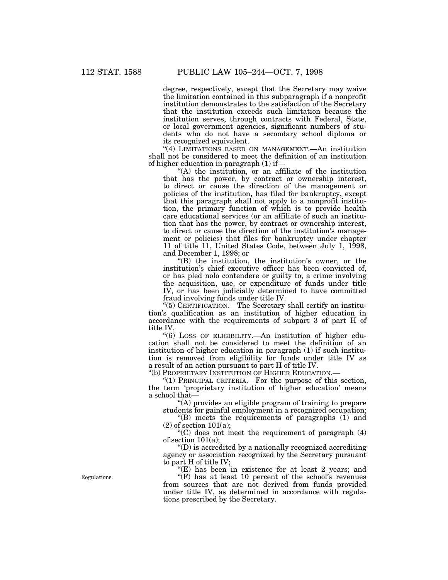degree, respectively, except that the Secretary may waive the limitation contained in this subparagraph if a nonprofit institution demonstrates to the satisfaction of the Secretary that the institution exceeds such limitation because the institution serves, through contracts with Federal, State, or local government agencies, significant numbers of students who do not have a secondary school diploma or its recognized equivalent.

''(4) LIMITATIONS BASED ON MANAGEMENT.—An institution shall not be considered to meet the definition of an institution of higher education in paragraph (1) if—

''(A) the institution, or an affiliate of the institution that has the power, by contract or ownership interest, to direct or cause the direction of the management or policies of the institution, has filed for bankruptcy, except that this paragraph shall not apply to a nonprofit institution, the primary function of which is to provide health care educational services (or an affiliate of such an institution that has the power, by contract or ownership interest, to direct or cause the direction of the institution's management or policies) that files for bankruptcy under chapter 11 of title 11, United States Code, between July 1, 1998, and December 1, 1998; or

''(B) the institution, the institution's owner, or the institution's chief executive officer has been convicted of, or has pled nolo contendere or guilty to, a crime involving the acquisition, use, or expenditure of funds under title IV, or has been judicially determined to have committed fraud involving funds under title IV.

''(5) CERTIFICATION.—The Secretary shall certify an institution's qualification as an institution of higher education in accordance with the requirements of subpart 3 of part H of title IV.

''(6) LOSS OF ELIGIBILITY.—An institution of higher education shall not be considered to meet the definition of an institution of higher education in paragraph (1) if such institution is removed from eligibility for funds under title IV as a result of an action pursuant to part H of title IV.

''(b) PROPRIETARY INSTITUTION OF HIGHER EDUCATION.—

"(1) PRINCIPAL CRITERIA.—For the purpose of this section, the term 'proprietary institution of higher education' means a school that—

''(A) provides an eligible program of training to prepare students for gainful employment in a recognized occupation;

"(B) meets the requirements of paragraphs  $(1)$  and  $(2)$  of section 101 $(a)$ ;

 $(C)$  does not meet the requirement of paragraph  $(4)$ of section  $101(a)$ ;

''(D) is accredited by a nationally recognized accrediting agency or association recognized by the Secretary pursuant to part H of title IV;

" $(E)$  has been in existence for at least 2 years; and " $(F)$  has at least 10 percent of the school's revenues from sources that are not derived from funds provided under title IV, as determined in accordance with regulations prescribed by the Secretary.

Regulations.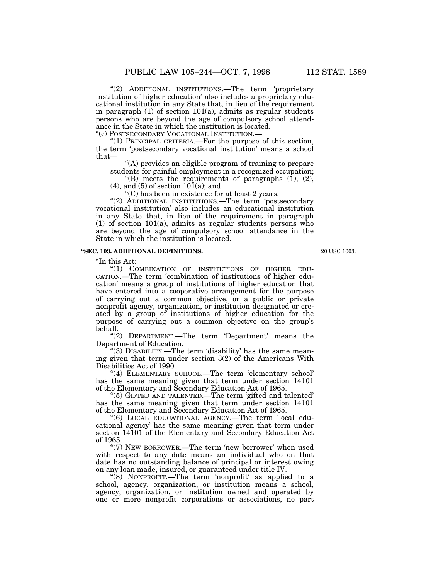''(2) ADDITIONAL INSTITUTIONS.—The term 'proprietary institution of higher education' also includes a proprietary educational institution in any State that, in lieu of the requirement in paragraph  $(1)$  of section 101 $(a)$ , admits as regular students persons who are beyond the age of compulsory school attendance in the State in which the institution is located.

''(c) POSTSECONDARY VOCATIONAL INSTITUTION.—

''(1) PRINCIPAL CRITERIA.—For the purpose of this section, the term 'postsecondary vocational institution' means a school that—

''(A) provides an eligible program of training to prepare students for gainful employment in a recognized occupation;

"(B) meets the requirements of paragraphs  $(1)$ ,  $(2)$ ,

 $(4)$ , and  $(5)$  of section 101 $(a)$ ; and

''(C) has been in existence for at least 2 years.

"(2) ADDITIONAL INSTITUTIONS.—The term 'postsecondary vocational institution' also includes an educational institution in any State that, in lieu of the requirement in paragraph (1) of section 101(a), admits as regular students persons who are beyond the age of compulsory school attendance in the State in which the institution is located.

# **''SEC. 103. ADDITIONAL DEFINITIONS.**

20 USC 1003.

''In this Act:

''(1) COMBINATION OF INSTITUTIONS OF HIGHER EDU-CATION.—The term 'combination of institutions of higher education' means a group of institutions of higher education that have entered into a cooperative arrangement for the purpose of carrying out a common objective, or a public or private nonprofit agency, organization, or institution designated or created by a group of institutions of higher education for the purpose of carrying out a common objective on the group's behalf.

"(2) DEPARTMENT.—The term 'Department' means the Department of Education.

"(3) DISABILITY.—The term 'disability' has the same meaning given that term under section 3(2) of the Americans With Disabilities Act of 1990.

"(4) ELEMENTARY SCHOOL.—The term 'elementary school' has the same meaning given that term under section 14101 of the Elementary and Secondary Education Act of 1965.

''(5) GIFTED AND TALENTED.—The term 'gifted and talented' has the same meaning given that term under section 14101 of the Elementary and Secondary Education Act of 1965.

''(6) LOCAL EDUCATIONAL AGENCY.—The term 'local educational agency' has the same meaning given that term under section 14101 of the Elementary and Secondary Education Act of 1965.

"(7) NEW BORROWER.—The term 'new borrower' when used with respect to any date means an individual who on that date has no outstanding balance of principal or interest owing on any loan made, insured, or guaranteed under title IV.

 $\degree$ (8) NONPROFIT.—The term 'nonprofit' as applied to a school, agency, organization, or institution means a school, agency, organization, or institution owned and operated by one or more nonprofit corporations or associations, no part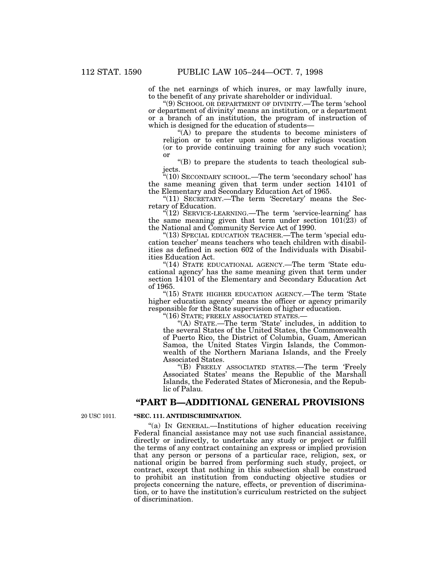of the net earnings of which inures, or may lawfully inure, to the benefit of any private shareholder or individual.

''(9) SCHOOL OR DEPARTMENT OF DIVINITY.—The term 'school or department of divinity' means an institution, or a department or a branch of an institution, the program of instruction of which is designed for the education of students—

" $(A)$  to prepare the students to become ministers of religion or to enter upon some other religious vocation (or to provide continuing training for any such vocation); or

''(B) to prepare the students to teach theological subjects.

''(10) SECONDARY SCHOOL.—The term 'secondary school' has the same meaning given that term under section 14101 of the Elementary and Secondary Education Act of 1965.

"(11) SECRETARY.—The term 'Secretary' means the Secretary of Education.

 $\sqrt{\eta(12)}$  SERVICE-LEARNING.—The term 'service-learning' has the same meaning given that term under section  $101(23)$  of the National and Community Service Act of 1990.

"(13) SPECIAL EDUCATION TEACHER.—The term 'special education teacher' means teachers who teach children with disabilities as defined in section 602 of the Individuals with Disabilities Education Act.

"(14) STATE EDUCATIONAL AGENCY.—The term 'State educational agency' has the same meaning given that term under section 14101 of the Elementary and Secondary Education Act of 1965.

"(15) STATE HIGHER EDUCATION AGENCY.—The term 'State higher education agency' means the officer or agency primarily responsible for the State supervision of higher education.

''(16) STATE; FREELY ASSOCIATED STATES.—

''(A) STATE.—The term 'State' includes, in addition to the several States of the United States, the Commonwealth of Puerto Rico, the District of Columbia, Guam, American Samoa, the United States Virgin Islands, the Commonwealth of the Northern Mariana Islands, and the Freely Associated States.

''(B) FREELY ASSOCIATED STATES.—The term 'Freely Associated States' means the Republic of the Marshall Islands, the Federated States of Micronesia, and the Republic of Palau.

# **''PART B—ADDITIONAL GENERAL PROVISIONS**

20 USC 1011.

### **''SEC. 111. ANTIDISCRIMINATION.**

"(a) IN GENERAL.—Institutions of higher education receiving Federal financial assistance may not use such financial assistance, directly or indirectly, to undertake any study or project or fulfill the terms of any contract containing an express or implied provision that any person or persons of a particular race, religion, sex, or national origin be barred from performing such study, project, or contract, except that nothing in this subsection shall be construed to prohibit an institution from conducting objective studies or projects concerning the nature, effects, or prevention of discrimination, or to have the institution's curriculum restricted on the subject of discrimination.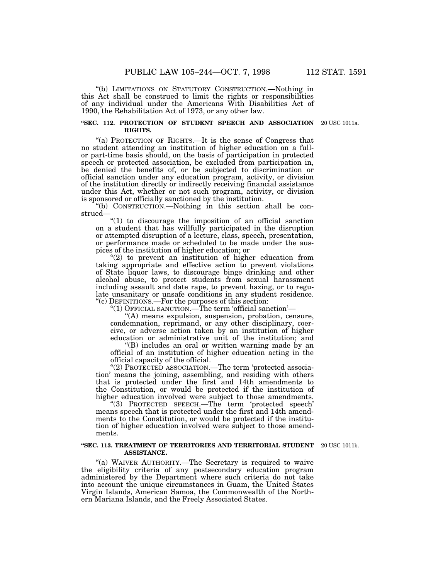''(b) LIMITATIONS ON STATUTORY CONSTRUCTION.—Nothing in this Act shall be construed to limit the rights or responsibilities of any individual under the Americans With Disabilities Act of 1990, the Rehabilitation Act of 1973, or any other law.

#### **''SEC. 112. PROTECTION OF STUDENT SPEECH AND ASSOCIATION** 20 USC 1011a.**RIGHTS.**

"(a) PROTECTION OF RIGHTS.—It is the sense of Congress that no student attending an institution of higher education on a fullor part-time basis should, on the basis of participation in protected speech or protected association, be excluded from participation in, be denied the benefits of, or be subjected to discrimination or official sanction under any education program, activity, or division of the institution directly or indirectly receiving financial assistance under this Act, whether or not such program, activity, or division is sponsored or officially sanctioned by the institution.

''(b) CONSTRUCTION.—Nothing in this section shall be construed—

''(1) to discourage the imposition of an official sanction on a student that has willfully participated in the disruption or attempted disruption of a lecture, class, speech, presentation, or performance made or scheduled to be made under the auspices of the institution of higher education; or

"(2) to prevent an institution of higher education from taking appropriate and effective action to prevent violations of State liquor laws, to discourage binge drinking and other alcohol abuse, to protect students from sexual harassment including assault and date rape, to prevent hazing, or to regulate unsanitary or unsafe conditions in any student residence. ''(c) DEFINITIONS.—For the purposes of this section:

''(1) OFFICIAL SANCTION.—The term 'official sanction'—

''(A) means expulsion, suspension, probation, censure, condemnation, reprimand, or any other disciplinary, coercive, or adverse action taken by an institution of higher education or administrative unit of the institution; and

''(B) includes an oral or written warning made by an official of an institution of higher education acting in the official capacity of the official.

"(2) PROTECTED ASSOCIATION.—The term 'protected association' means the joining, assembling, and residing with others that is protected under the first and 14th amendments to the Constitution, or would be protected if the institution of higher education involved were subject to those amendments.

''(3) PROTECTED SPEECH.—The term 'protected speech' means speech that is protected under the first and 14th amendments to the Constitution, or would be protected if the institution of higher education involved were subject to those amendments.

#### **''SEC. 113. TREATMENT OF TERRITORIES AND TERRITORIAL STUDENT** 20 USC 1011b. **ASSISTANCE.**

''(a) WAIVER AUTHORITY.—The Secretary is required to waive the eligibility criteria of any postsecondary education program administered by the Department where such criteria do not take into account the unique circumstances in Guam, the United States Virgin Islands, American Samoa, the Commonwealth of the Northern Mariana Islands, and the Freely Associated States.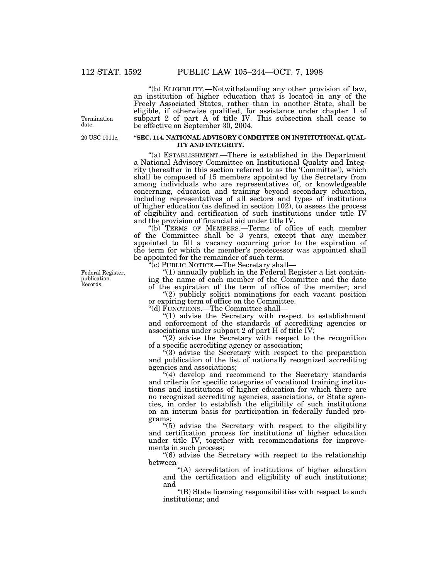''(b) ELIGIBILITY.—Notwithstanding any other provision of law, an institution of higher education that is located in any of the Freely Associated States, rather than in another State, shall be eligible, if otherwise qualified, for assistance under chapter 1 of subpart 2 of part A of title IV. This subsection shall cease to be effective on September 30, 2004.

Termination date.

20 USC 1011c.

#### **''SEC. 114. NATIONAL ADVISORY COMMITTEE ON INSTITUTIONAL QUAL-ITY AND INTEGRITY.**

''(a) ESTABLISHMENT.—There is established in the Department a National Advisory Committee on Institutional Quality and Integrity (hereafter in this section referred to as the 'Committee'), which shall be composed of 15 members appointed by the Secretary from among individuals who are representatives of, or knowledgeable concerning, education and training beyond secondary education, including representatives of all sectors and types of institutions of higher education (as defined in section 102), to assess the process of eligibility and certification of such institutions under title IV and the provision of financial aid under title IV.

''(b) TERMS OF MEMBERS.—Terms of office of each member of the Committee shall be 3 years, except that any member appointed to fill a vacancy occurring prior to the expiration of the term for which the member's predecessor was appointed shall be appointed for the remainder of such term.

''(c) PUBLIC NOTICE.—The Secretary shall—

 $''(1)$  annually publish in the Federal Register a list containing the name of each member of the Committee and the date of the expiration of the term of office of the member; and

''(2) publicly solicit nominations for each vacant position or expiring term of office on the Committee.

''(d) FUNCTIONS.—The Committee shall—

''(1) advise the Secretary with respect to establishment and enforcement of the standards of accrediting agencies or associations under subpart 2 of part H of title IV;

 $(2)$  advise the Secretary with respect to the recognition of a specific accrediting agency or association;

''(3) advise the Secretary with respect to the preparation and publication of the list of nationally recognized accrediting agencies and associations;

"(4) develop and recommend to the Secretary standards and criteria for specific categories of vocational training institutions and institutions of higher education for which there are no recognized accrediting agencies, associations, or State agencies, in order to establish the eligibility of such institutions on an interim basis for participation in federally funded programs;

''(5) advise the Secretary with respect to the eligibility and certification process for institutions of higher education under title IV, together with recommendations for improvements in such process;

''(6) advise the Secretary with respect to the relationship between—

''(A) accreditation of institutions of higher education and the certification and eligibility of such institutions; and

''(B) State licensing responsibilities with respect to such institutions; and

Federal Register, publication. Records.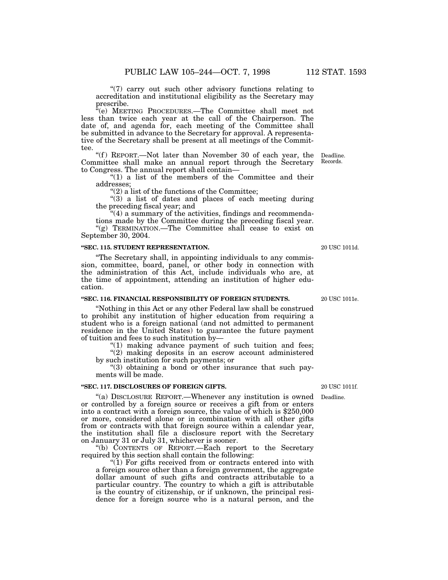"(7) carry out such other advisory functions relating to

accreditation and institutional eligibility as the Secretary may prescribe.

''(e) MEETING PROCEDURES.—The Committee shall meet not less than twice each year at the call of the Chairperson. The date of, and agenda for, each meeting of the Committee shall be submitted in advance to the Secretary for approval. A representative of the Secretary shall be present at all meetings of the Committee.

"(f) REPORT.—Not later than November 30 of each year, the Deadline. Committee shall make an annual report through the Secretary to Congress. The annual report shall contain— Records.

"(1) a list of the members of the Committee and their addresses;

''(2) a list of the functions of the Committee;

''(3) a list of dates and places of each meeting during the preceding fiscal year; and

 $(4)$  a summary of the activities, findings and recommendations made by the Committee during the preceding fiscal year.

''(g) TERMINATION.—The Committee shall cease to exist on September 30, 2004.

# **''SEC. 115. STUDENT REPRESENTATION.**

''The Secretary shall, in appointing individuals to any commission, committee, board, panel, or other body in connection with the administration of this Act, include individuals who are, at the time of appointment, attending an institution of higher education.

### **''SEC. 116. FINANCIAL RESPONSIBILITY OF FOREIGN STUDENTS.**

''Nothing in this Act or any other Federal law shall be construed to prohibit any institution of higher education from requiring a student who is a foreign national (and not admitted to permanent residence in the United States) to guarantee the future payment of tuition and fees to such institution by—

" $(1)$  making advance payment of such tuition and fees; "(2) making deposits in an escrow account administered by such institution for such payments; or

 $\degree$ (3) obtaining a bond or other insurance that such payments will be made.

## **''SEC. 117. DISCLOSURES OF FOREIGN GIFTS.**

''(a) DISCLOSURE REPORT.—Whenever any institution is owned or controlled by a foreign source or receives a gift from or enters into a contract with a foreign source, the value of which is \$250,000 or more, considered alone or in combination with all other gifts from or contracts with that foreign source within a calendar year, the institution shall file a disclosure report with the Secretary on January 31 or July 31, whichever is sooner. Deadline.

''(b) CONTENTS OF REPORT.—Each report to the Secretary required by this section shall contain the following:

"(1) For gifts received from or contracts entered into with a foreign source other than a foreign government, the aggregate dollar amount of such gifts and contracts attributable to a particular country. The country to which a gift is attributable is the country of citizenship, or if unknown, the principal residence for a foreign source who is a natural person, and the

20 USC 1011f.

20 USC 1011d.

20 USC 1011e.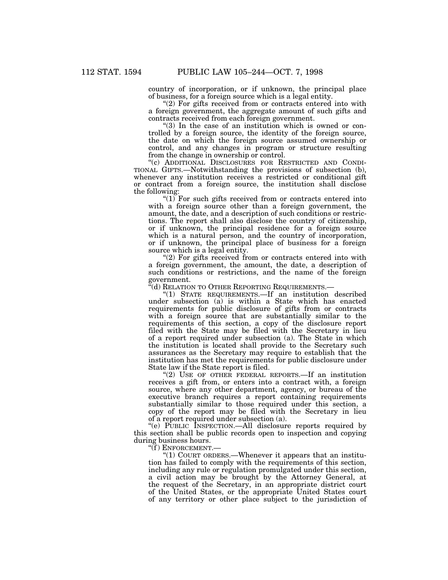country of incorporation, or if unknown, the principal place of business, for a foreign source which is a legal entity.

''(2) For gifts received from or contracts entered into with a foreign government, the aggregate amount of such gifts and contracts received from each foreign government.

" $(3)$  In the case of an institution which is owned or controlled by a foreign source, the identity of the foreign source, the date on which the foreign source assumed ownership or control, and any changes in program or structure resulting from the change in ownership or control.

''(c) ADDITIONAL DISCLOSURES FOR RESTRICTED AND CONDI-TIONAL GIFTS.—Notwithstanding the provisions of subsection (b), whenever any institution receives a restricted or conditional gift or contract from a foreign source, the institution shall disclose the following:

" $(1)$  For such gifts received from or contracts entered into with a foreign source other than a foreign government, the amount, the date, and a description of such conditions or restrictions. The report shall also disclose the country of citizenship, or if unknown, the principal residence for a foreign source which is a natural person, and the country of incorporation, or if unknown, the principal place of business for a foreign source which is a legal entity.

" $(2)$  For gifts received from or contracts entered into with a foreign government, the amount, the date, a description of such conditions or restrictions, and the name of the foreign government.

 $\rm ^{a}\!\!(d)$  Relation to Other Reporting Requirements.—

''(1) STATE REQUIREMENTS.—If an institution described under subsection (a) is within a State which has enacted requirements for public disclosure of gifts from or contracts with a foreign source that are substantially similar to the requirements of this section, a copy of the disclosure report filed with the State may be filed with the Secretary in lieu of a report required under subsection (a). The State in which the institution is located shall provide to the Secretary such assurances as the Secretary may require to establish that the institution has met the requirements for public disclosure under State law if the State report is filed.

"(2) USE OF OTHER FEDERAL REPORTS.—If an institution receives a gift from, or enters into a contract with, a foreign source, where any other department, agency, or bureau of the executive branch requires a report containing requirements substantially similar to those required under this section, a copy of the report may be filed with the Secretary in lieu of a report required under subsection (a).

''(e) PUBLIC INSPECTION.—All disclosure reports required by this section shall be public records open to inspection and copying during business hours.

 $\lq\lq(f)$  ENFORCEMENT.

" $(1)$  COURT ORDERS.—Whenever it appears that an institution has failed to comply with the requirements of this section, including any rule or regulation promulgated under this section, a civil action may be brought by the Attorney General, at the request of the Secretary, in an appropriate district court of the United States, or the appropriate United States court of any territory or other place subject to the jurisdiction of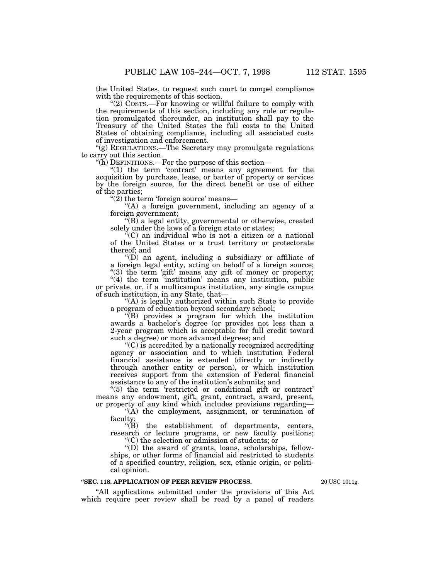the United States, to request such court to compel compliance with the requirements of this section.

" $(2)$  Costs.—For knowing or willful failure to comply with the requirements of this section, including any rule or regulation promulgated thereunder, an institution shall pay to the Treasury of the United States the full costs to the United States of obtaining compliance, including all associated costs of investigation and enforcement.

''(g) REGULATIONS.—The Secretary may promulgate regulations to carry out this section.

''(h) DEFINITIONS.—For the purpose of this section—

"(1) the term 'contract' means any agreement for the acquisition by purchase, lease, or barter of property or services by the foreign source, for the direct benefit or use of either of the parties;

" $(2)$  the term 'foreign source' means—

''(A) a foreign government, including an agency of a foreign government;

 $\widetilde{f}(B)$  a legal entity, governmental or otherwise, created solely under the laws of a foreign state or states;

''(C) an individual who is not a citizen or a national of the United States or a trust territory or protectorate thereof; and

 $'(D)$  an agent, including a subsidiary or affiliate of a foreign legal entity, acting on behalf of a foreign source; "(3) the term 'gift' means any gift of money or property;

"(4) the term 'institution' means any institution, public or private, or, if a multicampus institution, any single campus of such institution, in any State, that—

''(A) is legally authorized within such State to provide a program of education beyond secondary school;

 $\sqrt{\ }$ (B) provides a program for which the institution awards a bachelor's degree (or provides not less than a 2-year program which is acceptable for full credit toward such a degree) or more advanced degrees; and

 $C$ ) is accredited by a nationally recognized accrediting agency or association and to which institution Federal financial assistance is extended (directly or indirectly through another entity or person), or which institution receives support from the extension of Federal financial assistance to any of the institution's subunits; and

 $\degree$ (5) the term  $\degree$  restricted or conditional gift or contract' means any endowment, gift, grant, contract, award, present, or property of any kind which includes provisions regarding—

"(A) the employment, assignment, or termination of faculty;

''(B) the establishment of departments, centers, research or lecture programs, or new faculty positions; ''(C) the selection or admission of students; or

''(D) the award of grants, loans, scholarships, fellowships, or other forms of financial aid restricted to students of a specified country, religion, sex, ethnic origin, or political opinion.

### **''SEC. 118. APPLICATION OF PEER REVIEW PROCESS.**

''All applications submitted under the provisions of this Act which require peer review shall be read by a panel of readers

20 USC 1011g.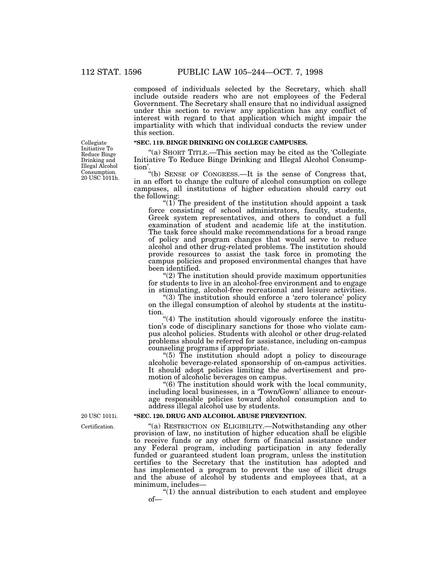composed of individuals selected by the Secretary, which shall include outside readers who are not employees of the Federal Government. The Secretary shall ensure that no individual assigned under this section to review any application has any conflict of interest with regard to that application which might impair the impartiality with which that individual conducts the review under this section.

#### **''SEC. 119. BINGE DRINKING ON COLLEGE CAMPUSES.**

''(a) SHORT TITLE.—This section may be cited as the 'Collegiate Initiative To Reduce Binge Drinking and Illegal Alcohol Consumption'.

''(b) SENSE OF CONGRESS.—It is the sense of Congress that, in an effort to change the culture of alcohol consumption on college campuses, all institutions of higher education should carry out the following:

" $(1)$ <sup>"</sup>The president of the institution should appoint a task" force consisting of school administrators, faculty, students, Greek system representatives, and others to conduct a full examination of student and academic life at the institution. The task force should make recommendations for a broad range of policy and program changes that would serve to reduce alcohol and other drug-related problems. The institution should provide resources to assist the task force in promoting the campus policies and proposed environmental changes that have been identified.

''(2) The institution should provide maximum opportunities for students to live in an alcohol-free environment and to engage in stimulating, alcohol-free recreational and leisure activities.

''(3) The institution should enforce a 'zero tolerance' policy on the illegal consumption of alcohol by students at the institution.

''(4) The institution should vigorously enforce the institution's code of disciplinary sanctions for those who violate campus alcohol policies. Students with alcohol or other drug-related problems should be referred for assistance, including on-campus counseling programs if appropriate.

''(5) The institution should adopt a policy to discourage alcoholic beverage-related sponsorship of on-campus activities. It should adopt policies limiting the advertisement and promotion of alcoholic beverages on campus.

''(6) The institution should work with the local community, including local businesses, in a 'Town/Gown' alliance to encourage responsible policies toward alcohol consumption and to address illegal alcohol use by students.

# **''SEC. 120. DRUG AND ALCOHOL ABUSE PREVENTION.**

"(a) RESTRICTION ON ELIGIBILITY.--Notwithstanding any other provision of law, no institution of higher education shall be eligible to receive funds or any other form of financial assistance under any Federal program, including participation in any federally funded or guaranteed student loan program, unless the institution certifies to the Secretary that the institution has adopted and has implemented a program to prevent the use of illicit drugs and the abuse of alcohol by students and employees that, at a minimum, includes—

''(1) the annual distribution to each student and employee of—

Initiative To Reduce Binge Drinking and Illegal Alcohol Consumption. 20 USC 1011h.

Collegiate

Certification. 20 USC 1011i.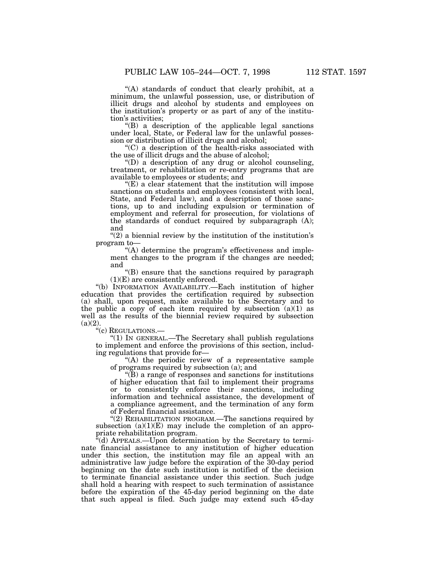''(A) standards of conduct that clearly prohibit, at a minimum, the unlawful possession, use, or distribution of illicit drugs and alcohol by students and employees on the institution's property or as part of any of the institution's activities;

''(B) a description of the applicable legal sanctions under local, State, or Federal law for the unlawful possession or distribution of illicit drugs and alcohol;

''(C) a description of the health-risks associated with the use of illicit drugs and the abuse of alcohol;

''(D) a description of any drug or alcohol counseling, treatment, or rehabilitation or re-entry programs that are available to employees or students; and

 $E(E)$  a clear statement that the institution will impose sanctions on students and employees (consistent with local, State, and Federal law), and a description of those sanctions, up to and including expulsion or termination of employment and referral for prosecution, for violations of the standards of conduct required by subparagraph (A); and

''(2) a biennial review by the institution of the institution's program to—

"(A) determine the program's effectiveness and implement changes to the program if the changes are needed; and

''(B) ensure that the sanctions required by paragraph  $(1)(E)$  are consistently enforced.

''(b) INFORMATION AVAILABILITY.—Each institution of higher education that provides the certification required by subsection (a) shall, upon request, make available to the Secretary and to the public a copy of each item required by subsection  $(a)(1)$  as well as the results of the biennial review required by subsection  $(a)(2)$ .

''(c) REGULATIONS.—

''(1) IN GENERAL.—The Secretary shall publish regulations to implement and enforce the provisions of this section, including regulations that provide for—

''(A) the periodic review of a representative sample of programs required by subsection (a); and

 $\widetilde{B}$ ) a range of responses and sanctions for institutions of higher education that fail to implement their programs or to consistently enforce their sanctions, including information and technical assistance, the development of a compliance agreement, and the termination of any form of Federal financial assistance.

"(2) REHABILITATION PROGRAM.—The sanctions required by subsection  $(a)(1)(E)$  may include the completion of an appropriate rehabilitation program.

''(d) APPEALS.—Upon determination by the Secretary to terminate financial assistance to any institution of higher education under this section, the institution may file an appeal with an administrative law judge before the expiration of the 30-day period beginning on the date such institution is notified of the decision to terminate financial assistance under this section. Such judge shall hold a hearing with respect to such termination of assistance before the expiration of the 45-day period beginning on the date that such appeal is filed. Such judge may extend such 45-day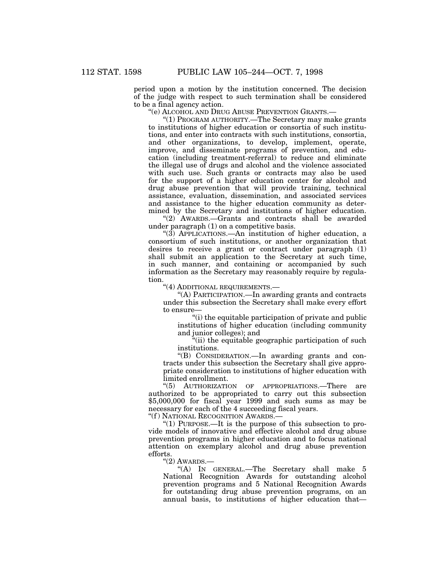period upon a motion by the institution concerned. The decision of the judge with respect to such termination shall be considered to be a final agency action.

''(e) ALCOHOL AND DRUG ABUSE PREVENTION GRANTS.—

''(1) PROGRAM AUTHORITY.—The Secretary may make grants to institutions of higher education or consortia of such institutions, and enter into contracts with such institutions, consortia, and other organizations, to develop, implement, operate, improve, and disseminate programs of prevention, and education (including treatment-referral) to reduce and eliminate the illegal use of drugs and alcohol and the violence associated with such use. Such grants or contracts may also be used for the support of a higher education center for alcohol and drug abuse prevention that will provide training, technical assistance, evaluation, dissemination, and associated services and assistance to the higher education community as determined by the Secretary and institutions of higher education.

''(2) AWARDS.—Grants and contracts shall be awarded under paragraph (1) on a competitive basis.

" $(3)$  APPLICATIONS.—An institution of higher education, a consortium of such institutions, or another organization that desires to receive a grant or contract under paragraph (1) shall submit an application to the Secretary at such time, in such manner, and containing or accompanied by such information as the Secretary may reasonably require by regulation.

''(4) ADDITIONAL REQUIREMENTS.—

''(A) PARTICIPATION.—In awarding grants and contracts under this subsection the Secretary shall make every effort to ensure—

''(i) the equitable participation of private and public institutions of higher education (including community and junior colleges); and

 $(iii)$  the equitable geographic participation of such institutions.

''(B) CONSIDERATION.—In awarding grants and contracts under this subsection the Secretary shall give appropriate consideration to institutions of higher education with limited enrollment.

''(5) AUTHORIZATION OF APPROPRIATIONS.—There are authorized to be appropriated to carry out this subsection \$5,000,000 for fiscal year 1999 and such sums as may be necessary for each of the 4 succeeding fiscal years.

''(f ) NATIONAL RECOGNITION AWARDS.—

''(1) PURPOSE.—It is the purpose of this subsection to provide models of innovative and effective alcohol and drug abuse prevention programs in higher education and to focus national attention on exemplary alcohol and drug abuse prevention efforts.

''(2) AWARDS.—

''(A) IN GENERAL.—The Secretary shall make 5 National Recognition Awards for outstanding alcohol prevention programs and 5 National Recognition Awards for outstanding drug abuse prevention programs, on an annual basis, to institutions of higher education that—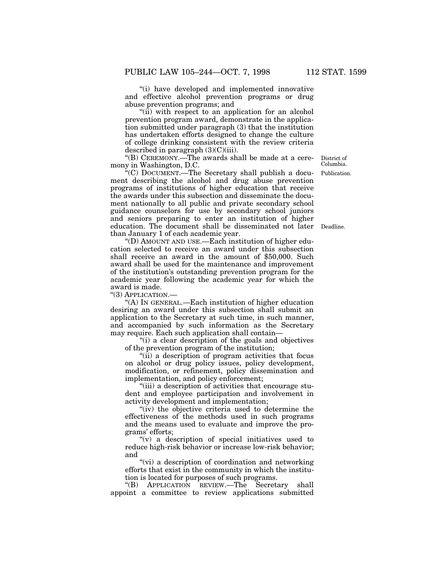''(i) have developed and implemented innovative and effective alcohol prevention programs or drug abuse prevention programs; and

"(ii) with respect to an application for an alcohol prevention program award, demonstrate in the application submitted under paragraph (3) that the institution has undertaken efforts designed to change the culture of college drinking consistent with the review criteria described in paragraph (3)(C)(iii).

''(B) CEREMONY.—The awards shall be made at a ceremony in Washington, D.C.

 $C^{\alpha}(C)$  DOCUMENT.—The Secretary shall publish a document describing the alcohol and drug abuse prevention programs of institutions of higher education that receive the awards under this subsection and disseminate the document nationally to all public and private secondary school guidance counselors for use by secondary school juniors and seniors preparing to enter an institution of higher education. The document shall be disseminated not later Deadline. than January 1 of each academic year.

''(D) AMOUNT AND USE.—Each institution of higher education selected to receive an award under this subsection shall receive an award in the amount of \$50,000. Such award shall be used for the maintenance and improvement of the institution's outstanding prevention program for the academic year following the academic year for which the award is made.

''(3) APPLICATION.—

''(A) IN GENERAL.—Each institution of higher education desiring an award under this subsection shall submit an application to the Secretary at such time, in such manner, and accompanied by such information as the Secretary may require. Each such application shall contain—

''(i) a clear description of the goals and objectives of the prevention program of the institution;

"(ii) a description of program activities that focus on alcohol or drug policy issues, policy development, modification, or refinement, policy dissemination and implementation, and policy enforcement;

''(iii) a description of activities that encourage student and employee participation and involvement in activity development and implementation;

"(iv) the objective criteria used to determine the effectiveness of the methods used in such programs and the means used to evaluate and improve the programs' efforts;

" $(v)$  a description of special initiatives used to reduce high-risk behavior or increase low-risk behavior; and

"(vi) a description of coordination and networking efforts that exist in the community in which the institution is located for purposes of such programs.

''(B) APPLICATION REVIEW.—The Secretary shall appoint a committee to review applications submitted

Publication. District of Columbia.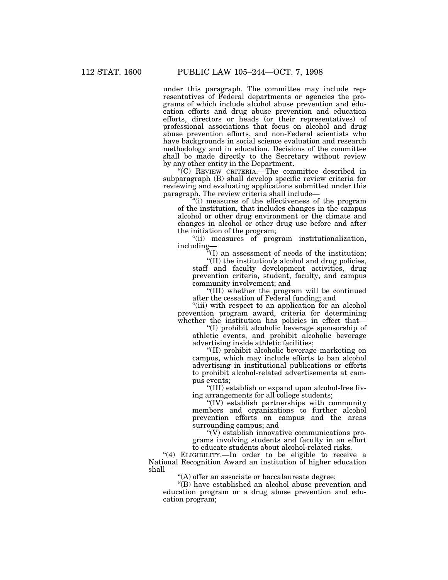under this paragraph. The committee may include representatives of Federal departments or agencies the programs of which include alcohol abuse prevention and education efforts and drug abuse prevention and education efforts, directors or heads (or their representatives) of professional associations that focus on alcohol and drug abuse prevention efforts, and non-Federal scientists who have backgrounds in social science evaluation and research methodology and in education. Decisions of the committee shall be made directly to the Secretary without review by any other entity in the Department.

''(C) REVIEW CRITERIA.—The committee described in subparagraph (B) shall develop specific review criteria for reviewing and evaluating applications submitted under this paragraph. The review criteria shall include—

''(i) measures of the effectiveness of the program of the institution, that includes changes in the campus alcohol or other drug environment or the climate and changes in alcohol or other drug use before and after the initiation of the program;

''(ii) measures of program institutionalization, including—

 $(1)$  an assessment of needs of the institution;

''(II) the institution's alcohol and drug policies, staff and faculty development activities, drug prevention criteria, student, faculty, and campus community involvement; and

''(III) whether the program will be continued after the cessation of Federal funding; and

"(iii) with respect to an application for an alcohol prevention program award, criteria for determining whether the institution has policies in effect that—

''(I) prohibit alcoholic beverage sponsorship of athletic events, and prohibit alcoholic beverage advertising inside athletic facilities;

''(II) prohibit alcoholic beverage marketing on campus, which may include efforts to ban alcohol advertising in institutional publications or efforts to prohibit alcohol-related advertisements at campus events;

''(III) establish or expand upon alcohol-free living arrangements for all college students;

''(IV) establish partnerships with community members and organizations to further alcohol prevention efforts on campus and the areas surrounding campus; and

''(V) establish innovative communications programs involving students and faculty in an effort to educate students about alcohol-related risks.

"(4) ELIGIBILITY.—In order to be eligible to receive a National Recognition Award an institution of higher education shall—

''(A) offer an associate or baccalaureate degree;

''(B) have established an alcohol abuse prevention and education program or a drug abuse prevention and education program;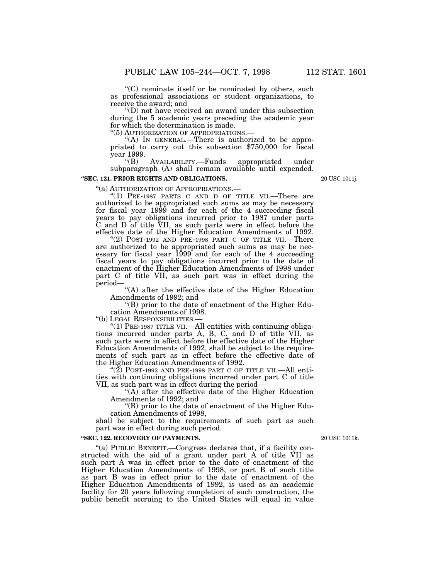''(C) nominate itself or be nominated by others, such as professional associations or student organizations, to receive the award; and

''(D) not have received an award under this subsection during the 5 academic years preceding the academic year for which the determination is made.<br>"(5) AUTHORIZATION OF APPROPRIATIONS.—

"(A) IN GENERAL.—There is authorized to be appro-<br>priated to carry out this subsection \$750,000 for fiscal year 1999.<br>"(B)

AVAILABILITY.—Funds appropriated under subparagraph (A) shall remain available until expended.

# **''SEC. 121. PRIOR RIGHTS AND OBLIGATIONS.**

''(a) AUTHORIZATION OF APPROPRIATIONS.— ''(1) PRE-1987 PARTS C AND D OF TITLE VII.—There are authorized to be appropriated such sums as may be necessary for fiscal year 1999 and for each of the 4 succeeding fiscal years to pay obligations incurred prior to 1987 under parts C and D of title VII, as such parts were in effect before the effective date of the Higher Education Amendments of 1992.

"(2) POST-1992 AND PRE-1998 PART C OF TITLE VII.—There are authorized to be appropriated such sums as may be necessary for fiscal year 1999 and for each of the 4 succeeding fiscal years to pay obligations incurred prior to the date of enactment of the Higher Education Amendments of 1998 under part C of title VII, as such part was in effect during the period—

''(A) after the effective date of the Higher Education Amendments of 1992; and

''(B) prior to the date of enactment of the Higher Education Amendments of 1998.<br>"(b) LEGAL RESPONSIBILITIES.—

"(1) PRE-1987 TITLE VII.—All entities with continuing obligations incurred under parts A, B, C, and D of title VII, as such parts were in effect before the effective date of the Higher Education Amendments of 1992, shall be subject to the requirements of such part as in effect before the effective date of the Higher Education Amendments of 1992.

" $(2)$  POST-1992 AND PRE-1998 PART C OF TITLE VII.—All entities with continuing obligations incurred under part C of title VII, as such part was in effect during the period—

" $(A)$  after the effective date of the Higher Education Amendments of 1992; and

''(B) prior to the date of enactment of the Higher Education Amendments of 1998,

shall be subject to the requirements of such part as such part was in effect during such period.

#### **''SEC. 122. RECOVERY OF PAYMENTS.**

''(a) PUBLIC BENEFIT.—Congress declares that, if a facility constructed with the aid of a grant under part A of title VII as such part A was in effect prior to the date of enactment of the Higher Education Amendments of 1998, or part B of such title as part B was in effect prior to the date of enactment of the Higher Education Amendments of 1992, is used as an academic facility for 20 years following completion of such construction, the public benefit accruing to the United States will equal in value

20 USC 1011k.

20 USC 1011j.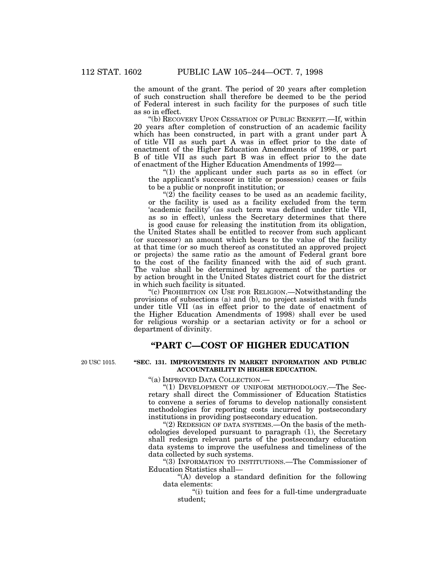the amount of the grant. The period of 20 years after completion of such construction shall therefore be deemed to be the period of Federal interest in such facility for the purposes of such title as so in effect.

''(b) RECOVERY UPON CESSATION OF PUBLIC BENEFIT.—If, within 20 years after completion of construction of an academic facility which has been constructed, in part with a grant under part  $\AA$ of title VII as such part A was in effect prior to the date of enactment of the Higher Education Amendments of 1998, or part B of title VII as such part B was in effect prior to the date of enactment of the Higher Education Amendments of 1992—

"(1) the applicant under such parts as so in effect (or the applicant's successor in title or possession) ceases or fails to be a public or nonprofit institution; or

 $''(2)$  the facility ceases to be used as an academic facility, or the facility is used as a facility excluded from the term 'academic facility' (as such term was defined under title VII, as so in effect), unless the Secretary determines that there

is good cause for releasing the institution from its obligation, the United States shall be entitled to recover from such applicant (or successor) an amount which bears to the value of the facility at that time (or so much thereof as constituted an approved project or projects) the same ratio as the amount of Federal grant bore to the cost of the facility financed with the aid of such grant. The value shall be determined by agreement of the parties or by action brought in the United States district court for the district in which such facility is situated.

''(c) PROHIBITION ON USE FOR RELIGION.—Notwithstanding the provisions of subsections (a) and (b), no project assisted with funds under title VII (as in effect prior to the date of enactment of the Higher Education Amendments of 1998) shall ever be used for religious worship or a sectarian activity or for a school or department of divinity.

# **''PART C—COST OF HIGHER EDUCATION**

20 USC 1015.

# **''SEC. 131. IMPROVEMENTS IN MARKET INFORMATION AND PUBLIC ACCOUNTABILITY IN HIGHER EDUCATION.**

''(a) IMPROVED DATA COLLECTION.—

''(1) DEVELOPMENT OF UNIFORM METHODOLOGY.—The Secretary shall direct the Commissioner of Education Statistics to convene a series of forums to develop nationally consistent methodologies for reporting costs incurred by postsecondary institutions in providing postsecondary education.

" $(2)$  REDESIGN OF DATA SYSTEMS.—On the basis of the methodologies developed pursuant to paragraph (1), the Secretary shall redesign relevant parts of the postsecondary education data systems to improve the usefulness and timeliness of the data collected by such systems.

''(3) INFORMATION TO INSTITUTIONS.—The Commissioner of Education Statistics shall—

''(A) develop a standard definition for the following data elements:

"(i) tuition and fees for a full-time undergraduate student;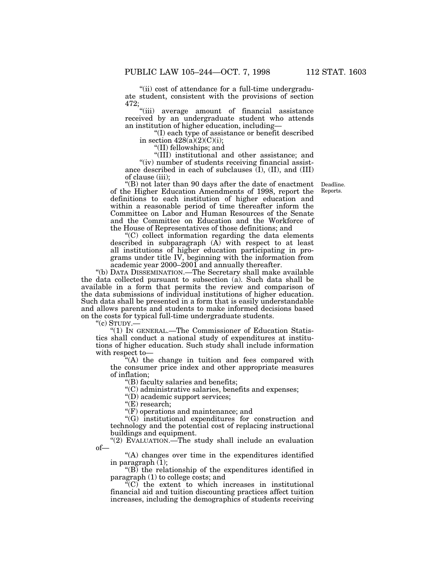"(ii) cost of attendance for a full-time undergraduate student, consistent with the provisions of section 472;

''(iii) average amount of financial assistance received by an undergraduate student who attends an institution of higher education, including—

''(I) each type of assistance or benefit described in section  $428(a)(2)(C)(i)$ ;

''(II) fellowships; and

''(III) institutional and other assistance; and "(iv) number of students receiving financial assistance described in each of subclauses (I), (II), and (III) of clause (iii);

''(B) not later than 90 days after the date of enactment of the Higher Education Amendments of 1998, report the definitions to each institution of higher education and within a reasonable period of time thereafter inform the Committee on Labor and Human Resources of the Senate and the Committee on Education and the Workforce of the House of Representatives of those definitions; and

''(C) collect information regarding the data elements described in subparagraph  $(A)$  with respect to at least all institutions of higher education participating in programs under title IV, beginning with the information from academic year 2000–2001 and annually thereafter.

''(b) DATA DISSEMINATION.—The Secretary shall make available the data collected pursuant to subsection (a). Such data shall be available in a form that permits the review and comparison of the data submissions of individual institutions of higher education. Such data shall be presented in a form that is easily understandable and allows parents and students to make informed decisions based on the costs for typical full-time undergraduate students.

"(c) STUDY.-

''(1) IN GENERAL.—The Commissioner of Education Statistics shall conduct a national study of expenditures at institutions of higher education. Such study shall include information with respect to—

 $(A)$  the change in tuition and fees compared with the consumer price index and other appropriate measures of inflation;

''(B) faculty salaries and benefits;

''(C) administrative salaries, benefits and expenses;

''(D) academic support services;

"(E) research;

 $\mathbf{H}(\mathbf{F})$  operations and maintenance; and

''(G) institutional expenditures for construction and technology and the potential cost of replacing instructional buildings and equipment.

"(2) EVALUATION.—The study shall include an evaluation of—

''(A) changes over time in the expenditures identified in paragraph  $(1)$ ;

 $\mathrm{H}(B)$  the relationship of the expenditures identified in paragraph (1) to college costs; and

 $C^{\infty}$  (C) the extent to which increases in institutional financial aid and tuition discounting practices affect tuition increases, including the demographics of students receiving

Deadline. Reports.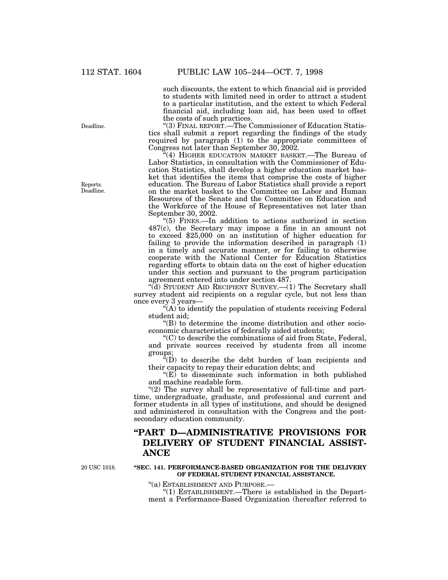such discounts, the extent to which financial aid is provided to students with limited need in order to attract a student to a particular institution, and the extent to which Federal financial aid, including loan aid, has been used to offset the costs of such practices.

''(3) FINAL REPORT.—The Commissioner of Education Statistics shall submit a report regarding the findings of the study required by paragraph (1) to the appropriate committees of Congress not later than September 30, 2002.

''(4) HIGHER EDUCATION MARKET BASKET.—The Bureau of Labor Statistics, in consultation with the Commissioner of Education Statistics, shall develop a higher education market basket that identifies the items that comprise the costs of higher education. The Bureau of Labor Statistics shall provide a report on the market basket to the Committee on Labor and Human Resources of the Senate and the Committee on Education and the Workforce of the House of Representatives not later than September 30, 2002.

''(5) FINES.—In addition to actions authorized in section 487(c), the Secretary may impose a fine in an amount not to exceed \$25,000 on an institution of higher education for failing to provide the information described in paragraph (1) in a timely and accurate manner, or for failing to otherwise cooperate with the National Center for Education Statistics regarding efforts to obtain data on the cost of higher education under this section and pursuant to the program participation agreement entered into under section 487.

''(d) STUDENT AID RECIPIENT SURVEY.—(1) The Secretary shall survey student aid recipients on a regular cycle, but not less than once every 3 years—

''(A) to identify the population of students receiving Federal student aid;

''(B) to determine the income distribution and other socioeconomic characteristics of federally aided students;

''(C) to describe the combinations of aid from State, Federal, and private sources received by students from all income groups;

''(D) to describe the debt burden of loan recipients and their capacity to repay their education debts; and

 $(E)$  to disseminate such information in both published and machine readable form.

" $(2)$  The survey shall be representative of full-time and parttime, undergraduate, graduate, and professional and current and former students in all types of institutions, and should be designed and administered in consultation with the Congress and the postsecondary education community.

# **''PART D—ADMINISTRATIVE PROVISIONS FOR DELIVERY OF STUDENT FINANCIAL ASSIST-ANCE**

20 USC 1018.

## **''SEC. 141. PERFORMANCE-BASED ORGANIZATION FOR THE DELIVERY OF FEDERAL STUDENT FINANCIAL ASSISTANCE.**

''(a) ESTABLISHMENT AND PURPOSE.—

"(1) ESTABLISHMENT.—There is established in the Department a Performance-Based Organization (hereafter referred to

Deadline.

Reports. Deadline.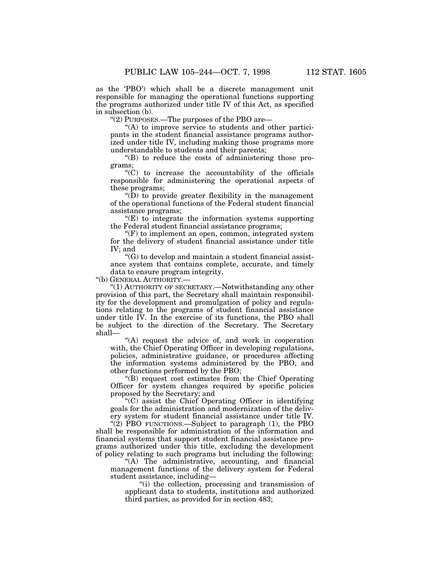as the 'PBO') which shall be a discrete management unit responsible for managing the operational functions supporting the programs authorized under title IV of this Act, as specified in subsection (b).

''(2) PURPOSES.—The purposes of the PBO are—

''(A) to improve service to students and other participants in the student financial assistance programs authorized under title IV, including making those programs more understandable to students and their parents;

 $f(B)$  to reduce the costs of administering those programs;

 $(C)$  to increase the accountability of the officials responsible for administering the operational aspects of these programs;

 $'(D)$  to provide greater flexibility in the management of the operational functions of the Federal student financial assistance programs;

 $f(E)$  to integrate the information systems supporting the Federal student financial assistance programs;

 $F(F)$  to implement an open, common, integrated system for the delivery of student financial assistance under title IV; and

 $\mathrm{``(G)}$  to develop and maintain a student financial assistance system that contains complete, accurate, and timely data to ensure program integrity.

''(b) GENERAL AUTHORITY.—

''(1) AUTHORITY OF SECRETARY.—Notwithstanding any other provision of this part, the Secretary shall maintain responsibility for the development and promulgation of policy and regulations relating to the programs of student financial assistance under title IV. In the exercise of its functions, the PBO shall be subject to the direction of the Secretary. The Secretary shall—

''(A) request the advice of, and work in cooperation with, the Chief Operating Officer in developing regulations, policies, administrative guidance, or procedures affecting the information systems administered by the PBO, and other functions performed by the PBO;

''(B) request cost estimates from the Chief Operating Officer for system changes required by specific policies proposed by the Secretary; and

''(C) assist the Chief Operating Officer in identifying goals for the administration and modernization of the delivery system for student financial assistance under title IV.

"(2) PBO FUNCTIONS.—Subject to paragraph  $(1)$ , the PBO shall be responsible for administration of the information and financial systems that support student financial assistance programs authorized under this title, excluding the development of policy relating to such programs but including the following:

''(A) The administrative, accounting, and financial management functions of the delivery system for Federal student assistance, including—

''(i) the collection, processing and transmission of applicant data to students, institutions and authorized third parties, as provided for in section 483;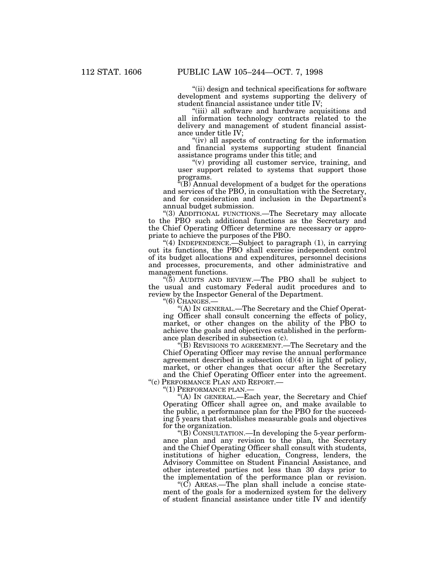''(ii) design and technical specifications for software development and systems supporting the delivery of student financial assistance under title IV;

"(iii) all software and hardware acquisitions and all information technology contracts related to the delivery and management of student financial assistance under title IV;

"(iv) all aspects of contracting for the information and financial systems supporting student financial assistance programs under this title; and

''(v) providing all customer service, training, and user support related to systems that support those programs.

''(B) Annual development of a budget for the operations and services of the PBO, in consultation with the Secretary, and for consideration and inclusion in the Department's annual budget submission.

"(3) ADDITIONAL FUNCTIONS.—The Secretary may allocate to the PBO such additional functions as the Secretary and the Chief Operating Officer determine are necessary or appropriate to achieve the purposes of the PBO.

"(4) INDEPENDENCE.—Subject to paragraph  $(1)$ , in carrying out its functions, the PBO shall exercise independent control of its budget allocations and expenditures, personnel decisions and processes, procurements, and other administrative and management functions.

" $(5)$  AUDITS AND REVIEW.—The PBO shall be subject to the usual and customary Federal audit procedures and to review by the Inspector General of the Department.

 $"$ (6) CHANGES. $-$ 

''(A) IN GENERAL.—The Secretary and the Chief Operating Officer shall consult concerning the effects of policy, market, or other changes on the ability of the PBO to achieve the goals and objectives established in the performance plan described in subsection (c).

''(B) REVISIONS TO AGREEMENT.—The Secretary and the Chief Operating Officer may revise the annual performance agreement described in subsection (d)(4) in light of policy, market, or other changes that occur after the Secretary and the Chief Operating Officer enter into the agreement. ''(c) PERFORMANCE PLAN AND REPORT.—

''(1) PERFORMANCE PLAN.—

''(A) IN GENERAL.—Each year, the Secretary and Chief Operating Officer shall agree on, and make available to the public, a performance plan for the PBO for the succeeding 5 years that establishes measurable goals and objectives for the organization.

''(B) CONSULTATION.—In developing the 5-year performance plan and any revision to the plan, the Secretary and the Chief Operating Officer shall consult with students, institutions of higher education, Congress, lenders, the Advisory Committee on Student Financial Assistance, and other interested parties not less than 30 days prior to the implementation of the performance plan or revision.

" $(C)$  AREAS.—The plan shall include a concise statement of the goals for a modernized system for the delivery of student financial assistance under title IV and identify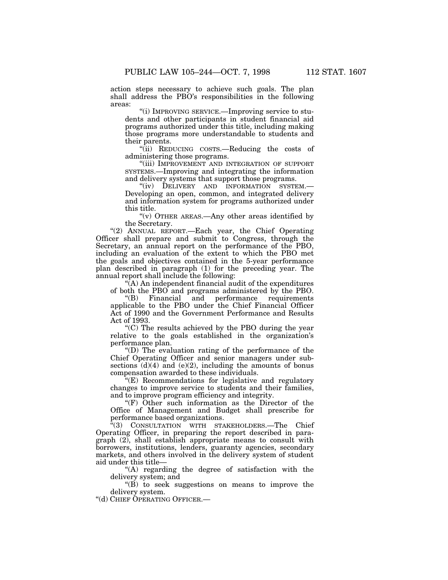action steps necessary to achieve such goals. The plan shall address the PBO's responsibilities in the following areas:

''(i) IMPROVING SERVICE.—Improving service to students and other participants in student financial aid programs authorized under this title, including making those programs more understandable to students and their parents.

''(ii) REDUCING COSTS.—Reducing the costs of administering those programs.

"(iii) IMPROVEMENT AND INTEGRATION OF SUPPORT SYSTEMS.—Improving and integrating the information and delivery systems that support those programs.

'(iv) DELIVERY AND INFORMATION SYSTEM.— Developing an open, common, and integrated delivery and information system for programs authorized under this title.

" $(v)$  OTHER AREAS.—Any other areas identified by the Secretary.

''(2) ANNUAL REPORT.—Each year, the Chief Operating Officer shall prepare and submit to Congress, through the Secretary, an annual report on the performance of the PBO, including an evaluation of the extent to which the PBO met the goals and objectives contained in the 5-year performance plan described in paragraph (1) for the preceding year. The annual report shall include the following:

 $\mathcal{F}(A)$  An independent financial audit of the expenditures of both the PBO and programs administered by the PBO.<br>"(B) Financial and performance requirements

and performance requirements applicable to the PBO under the Chief Financial Officer Act of 1990 and the Government Performance and Results Act of 1993.

''(C) The results achieved by the PBO during the year relative to the goals established in the organization's performance plan.

''(D) The evaluation rating of the performance of the Chief Operating Officer and senior managers under subsections  $(d)(4)$  and  $(e)(2)$ , including the amounts of bonus compensation awarded to these individuals.

''(E) Recommendations for legislative and regulatory changes to improve service to students and their families, and to improve program efficiency and integrity.

 $(F)$  Other such information as the Director of the Office of Management and Budget shall prescribe for performance based organizations.

''(3) CONSULTATION WITH STAKEHOLDERS.—The Chief Operating Officer, in preparing the report described in paragraph (2), shall establish appropriate means to consult with borrowers, institutions, lenders, guaranty agencies, secondary markets, and others involved in the delivery system of student aid under this title—

 $(A)$  regarding the degree of satisfaction with the delivery system; and

 $H(B)$  to seek suggestions on means to improve the delivery system.

''(d) CHIEF OPERATING OFFICER.—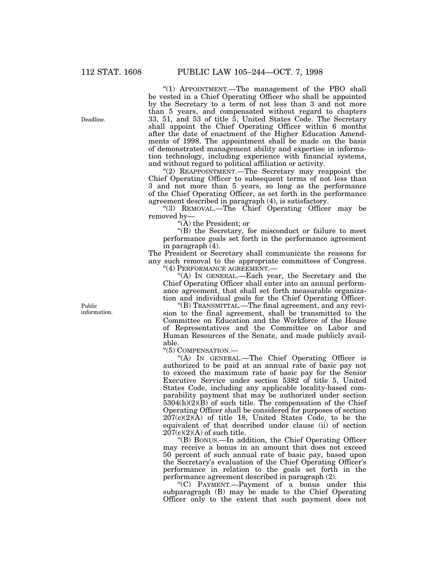"(1) APPOINTMENT.—The management of the PBO shall be vested in a Chief Operating Officer who shall be appointed by the Secretary to a term of not less than 3 and not more than 5 years, and compensated without regard to chapters 33, 51, and 53 of title 5, United States Code. The Secretary shall appoint the Chief Operating Officer within 6 months after the date of enactment of the Higher Education Amendments of 1998. The appointment shall be made on the basis of demonstrated management ability and expertise in information technology, including experience with financial systems, and without regard to political affiliation or activity.

"(2) REAPPOINTMENT.—The Secretary may reappoint the Chief Operating Officer to subsequent terms of not less than 3 and not more than 5 years, so long as the performance of the Chief Operating Officer, as set forth in the performance agreement described in paragraph (4), is satisfactory.

''(3) REMOVAL.—The Chief Operating Officer may be removed by—

''(A) the President; or

''(B) the Secretary, for misconduct or failure to meet performance goals set forth in the performance agreement in paragraph (4).

The President or Secretary shall communicate the reasons for any such removal to the appropriate committees of Congress. ''(4) PERFORMANCE AGREEMENT.—

''(A) IN GENERAL.—Each year, the Secretary and the Chief Operating Officer shall enter into an annual performance agreement, that shall set forth measurable organization and individual goals for the Chief Operating Officer.

''(B) TRANSMITTAL.—The final agreement, and any revision to the final agreement, shall be transmitted to the Committee on Education and the Workforce of the House of Representatives and the Committee on Labor and Human Resources of the Senate, and made publicly available.

''(5) COMPENSATION.—

''(A) IN GENERAL.—The Chief Operating Officer is authorized to be paid at an annual rate of basic pay not to exceed the maximum rate of basic pay for the Senior Executive Service under section 5382 of title 5, United States Code, including any applicable locality-based comparability payment that may be authorized under section  $5304(h)(2)(B)$  of such title. The compensation of the Chief Operating Officer shall be considered for purposes of section  $207(c)(2)(A)$  of title 18, United States Code, to be the equivalent of that described under clause (ii) of section  $207(c)(2)(A)$  of such title.

''(B) BONUS.—In addition, the Chief Operating Officer may receive a bonus in an amount that does not exceed 50 percent of such annual rate of basic pay, based upon the Secretary's evaluation of the Chief Operating Officer's performance in relation to the goals set forth in the performance agreement described in paragraph (2).

''(C) PAYMENT.—Payment of a bonus under this subparagraph (B) may be made to the Chief Operating Officer only to the extent that such payment does not

Public information.

Deadline.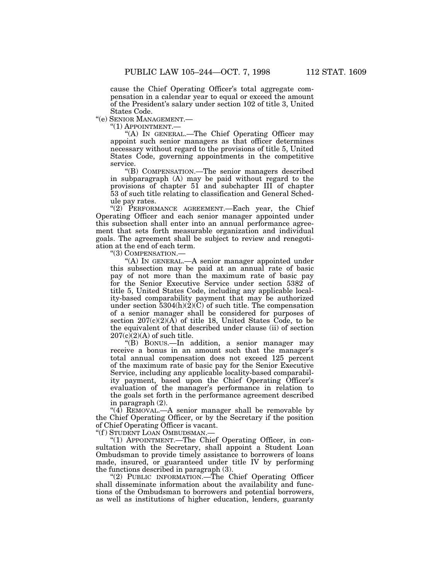cause the Chief Operating Officer's total aggregate compensation in a calendar year to equal or exceed the amount of the President's salary under section 102 of title 3, United States Code.

''(e) SENIOR MANAGEMENT.—

''(1) APPOINTMENT.—

''(A) IN GENERAL.—The Chief Operating Officer may appoint such senior managers as that officer determines necessary without regard to the provisions of title 5, United States Code, governing appointments in the competitive service.

''(B) COMPENSATION.—The senior managers described in subparagraph (A) may be paid without regard to the provisions of chapter 51 and subchapter III of chapter 53 of such title relating to classification and General Schedule pay rates.

"(2) PERFORMANCE AGREEMENT.—Each year, the Chief Operating Officer and each senior manager appointed under this subsection shall enter into an annual performance agreement that sets forth measurable organization and individual goals. The agreement shall be subject to review and renegotiation at the end of each term.

''(3) COMPENSATION.—

''(A) IN GENERAL.—A senior manager appointed under this subsection may be paid at an annual rate of basic pay of not more than the maximum rate of basic pay for the Senior Executive Service under section 5382 of title 5, United States Code, including any applicable locality-based comparability payment that may be authorized under section  $5304(h)(2)(C)$  of such title. The compensation of a senior manager shall be considered for purposes of section 207(c)(2)(A) of title 18, United States Code, to be the equivalent of that described under clause (ii) of section  $207(c)(2)(A)$  of such title.

''(B) BONUS.—In addition, a senior manager may receive a bonus in an amount such that the manager's total annual compensation does not exceed 125 percent of the maximum rate of basic pay for the Senior Executive Service, including any applicable locality-based comparability payment, based upon the Chief Operating Officer's evaluation of the manager's performance in relation to the goals set forth in the performance agreement described in paragraph (2).

" $(4)$  REMOVAL.—A senior manager shall be removable by the Chief Operating Officer, or by the Secretary if the position of Chief Operating Officer is vacant.

"(f) STUDENT LOAN OMBUDSMAN.-

''(1) APPOINTMENT.—The Chief Operating Officer, in consultation with the Secretary, shall appoint a Student Loan Ombudsman to provide timely assistance to borrowers of loans made, insured, or guaranteed under title IV by performing the functions described in paragraph (3).

"(2) PUBLIC INFORMATION.—The Chief Operating Officer shall disseminate information about the availability and functions of the Ombudsman to borrowers and potential borrowers, as well as institutions of higher education, lenders, guaranty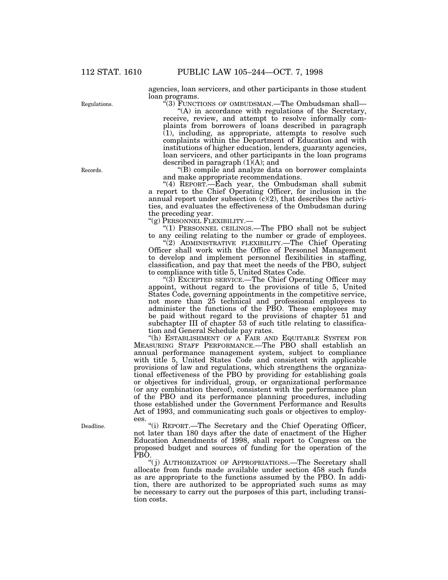agencies, loan servicers, and other participants in those student loan programs.

 $F(3)$  FUNCTIONS OF OMBUDSMAN.—The Ombudsman shall—

''(A) in accordance with regulations of the Secretary, receive, review, and attempt to resolve informally complaints from borrowers of loans described in paragraph (1), including, as appropriate, attempts to resolve such complaints within the Department of Education and with institutions of higher education, lenders, guaranty agencies, loan servicers, and other participants in the loan programs described in paragraph  $(1)(A)$ ; and

''(B) compile and analyze data on borrower complaints and make appropriate recommendations.

''(4) REPORT.—Each year, the Ombudsman shall submit a report to the Chief Operating Officer, for inclusion in the annual report under subsection  $(c)(2)$ , that describes the activities, and evaluates the effectiveness of the Ombudsman during the preceding year.

''(g) PERSONNEL FLEXIBILITY.—

''(1) PERSONNEL CEILINGS.—The PBO shall not be subject to any ceiling relating to the number or grade of employees.

''(2) ADMINISTRATIVE FLEXIBILITY.—The Chief Operating Officer shall work with the Office of Personnel Management to develop and implement personnel flexibilities in staffing, classification, and pay that meet the needs of the PBO, subject to compliance with title 5, United States Code.

" $(3)$  EXCEPTED SERVICE.—The Chief Operating Officer may appoint, without regard to the provisions of title 5, United States Code, governing appointments in the competitive service, not more than 25 technical and professional employees to administer the functions of the PBO. These employees may be paid without regard to the provisions of chapter 51 and subchapter III of chapter 53 of such title relating to classification and General Schedule pay rates.

"(h) ESTABLISHMENT OF A FAIR AND EQUITABLE SYSTEM FOR MEASURING STAFF PERFORMANCE.—The PBO shall establish an annual performance management system, subject to compliance with title 5, United States Code and consistent with applicable provisions of law and regulations, which strengthens the organizational effectiveness of the PBO by providing for establishing goals or objectives for individual, group, or organizational performance (or any combination thereof), consistent with the performance plan of the PBO and its performance planning procedures, including those established under the Government Performance and Results Act of 1993, and communicating such goals or objectives to employees.

''(i) REPORT.—The Secretary and the Chief Operating Officer, not later than 180 days after the date of enactment of the Higher Education Amendments of 1998, shall report to Congress on the proposed budget and sources of funding for the operation of the PBO.

''( j) AUTHORIZATION OF APPROPRIATIONS.—The Secretary shall allocate from funds made available under section 458 such funds as are appropriate to the functions assumed by the PBO. In addition, there are authorized to be appropriated such sums as may be necessary to carry out the purposes of this part, including transition costs.

Records.

Regulations.

Deadline.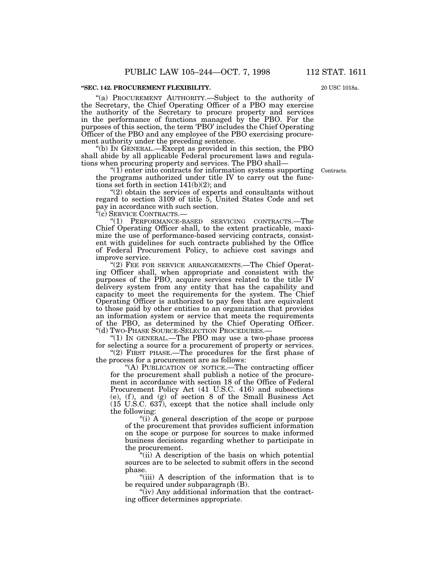## **''SEC. 142. PROCUREMENT FLEXIBILITY.**

''(a) PROCUREMENT AUTHORITY.—Subject to the authority of the Secretary, the Chief Operating Officer of a PBO may exercise the authority of the Secretary to procure property and services in the performance of functions managed by the PBO. For the purposes of this section, the term 'PBO' includes the Chief Operating Officer of the PBO and any employee of the PBO exercising procurement authority under the preceding sentence.

''(b) IN GENERAL.—Except as provided in this section, the PBO shall abide by all applicable Federal procurement laws and regulations when procuring property and services. The PBO shall—

''(1) enter into contracts for information systems supporting the programs authorized under title IV to carry out the functions set forth in section 141(b)(2); and

''(2) obtain the services of experts and consultants without regard to section 3109 of title 5, United States Code and set pay in accordance with such section.

'(c) SERVICE CONTRACTS.—<br>"(1) PERFORMANCE-BASED SERVICING CONTRACTS.—The Chief Operating Officer shall, to the extent practicable, maximize the use of performance-based servicing contracts, consistent with guidelines for such contracts published by the Office of Federal Procurement Policy, to achieve cost savings and improve service.

"(2) FEE FOR SERVICE ARRANGEMENTS.—The Chief Operating Officer shall, when appropriate and consistent with the purposes of the PBO, acquire services related to the title IV delivery system from any entity that has the capability and capacity to meet the requirements for the system. The Chief Operating Officer is authorized to pay fees that are equivalent to those paid by other entities to an organization that provides an information system or service that meets the requirements of the PBO, as determined by the Chief Operating Officer. ''(d) TWO-PHASE SOURCE-SELECTION PROCEDURES.—

"(1) In GENERAL.—The PBO may use a two-phase process for selecting a source for a procurement of property or services. "(2) FIRST PHASE.—The procedures for the first phase of

the process for a procurement are as follows:

"(A) PUBLICATION OF NOTICE.—The contracting officer for the procurement shall publish a notice of the procurement in accordance with section 18 of the Office of Federal Procurement Policy Act (41 U.S.C. 416) and subsections (e), (f), and (g) of section 8 of the Small Business Act (15 U.S.C. 637), except that the notice shall include only the following:

"(i) A general description of the scope or purpose" of the procurement that provides sufficient information on the scope or purpose for sources to make informed business decisions regarding whether to participate in the procurement.

''(ii) A description of the basis on which potential sources are to be selected to submit offers in the second phase.

''(iii) A description of the information that is to be required under subparagraph (B).

 $\sqrt[n]{\text{div}}$ ) Any additional information that the contracting officer determines appropriate.

20 USC 1018a.

Contracts.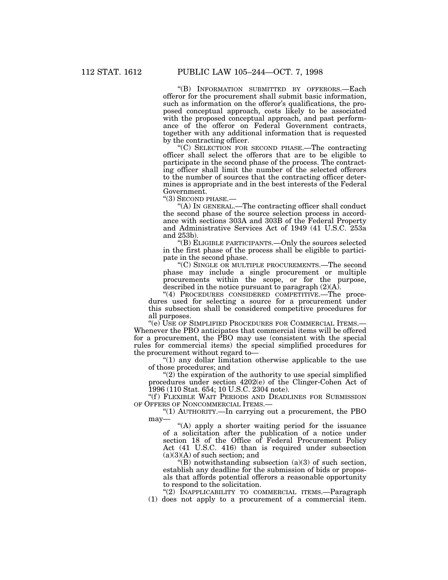''(B) INFORMATION SUBMITTED BY OFFERORS.—Each offeror for the procurement shall submit basic information, such as information on the offeror's qualifications, the proposed conceptual approach, costs likely to be associated with the proposed conceptual approach, and past performance of the offeror on Federal Government contracts, together with any additional information that is requested by the contracting officer.

''(C) SELECTION FOR SECOND PHASE.—The contracting officer shall select the offerors that are to be eligible to participate in the second phase of the process. The contracting officer shall limit the number of the selected offerors to the number of sources that the contracting officer determines is appropriate and in the best interests of the Federal Government.

''(3) SECOND PHASE.—

''(A) IN GENERAL.—The contracting officer shall conduct the second phase of the source selection process in accordance with sections 303A and 303B of the Federal Property and Administrative Services Act of 1949 (41 U.S.C. 253a and 253b).

''(B) ELIGIBLE PARTICIPANTS.—Only the sources selected in the first phase of the process shall be eligible to participate in the second phase.

''(C) SINGLE OR MULTIPLE PROCUREMENTS.—The second phase may include a single procurement or multiple procurements within the scope, or for the purpose, described in the notice pursuant to paragraph  $(2)(A)$ .

"(4) PROCEDURES CONSIDERED COMPETITIVE.-The procedures used for selecting a source for a procurement under this subsection shall be considered competitive procedures for all purposes.

''(e) USE OF SIMPLIFIED PROCEDURES FOR COMMERCIAL ITEMS.— Whenever the PBO anticipates that commercial items will be offered for a procurement, the PBO may use (consistent with the special rules for commercial items) the special simplified procedures for the procurement without regard to—

''(1) any dollar limitation otherwise applicable to the use of those procedures; and

" $(2)$  the expiration of the authority to use special simplified procedures under section 4202(e) of the Clinger-Cohen Act of 1996 (110 Stat. 654; 10 U.S.C. 2304 note).

"(f) FLEXIBLE WAIT PERIODS AND DEADLINES FOR SUBMISSION OF OFFERS OF NONCOMMERCIAL ITEMS.—

"(1) AUTHORITY.—In carrying out a procurement, the PBO may—

"(A) apply a shorter waiting period for the issuance of a solicitation after the publication of a notice under section 18 of the Office of Federal Procurement Policy Act (41 U.S.C. 416) than is required under subsection  $(a)(3)(A)$  of such section; and

"(B) notwithstanding subsection  $(a)(3)$  of such section, establish any deadline for the submission of bids or proposals that affords potential offerors a reasonable opportunity to respond to the solicitation.

"(2) INAPPLICABILITY TO COMMERCIAL ITEMS.-Paragraph (1) does not apply to a procurement of a commercial item.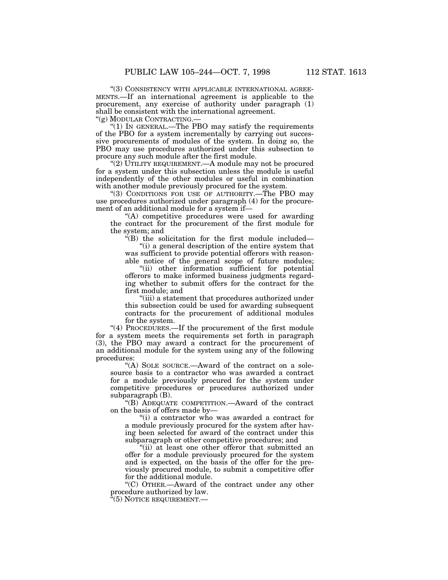''(3) CONSISTENCY WITH APPLICABLE INTERNATIONAL AGREE-MENTS.—If an international agreement is applicable to the procurement, any exercise of authority under paragraph (1) shall be consistent with the international agreement.

''(g) MODULAR CONTRACTING.—

''(1) IN GENERAL.—The PBO may satisfy the requirements of the PBO for a system incrementally by carrying out successive procurements of modules of the system. In doing so, the PBO may use procedures authorized under this subsection to procure any such module after the first module.

"(2) UTILITY REQUIREMENT.—A module may not be procured for a system under this subsection unless the module is useful independently of the other modules or useful in combination with another module previously procured for the system.

''(3) CONDITIONS FOR USE OF AUTHORITY.—The PBO may use procedures authorized under paragraph (4) for the procurement of an additional module for a system if—

"(A) competitive procedures were used for awarding the contract for the procurement of the first module for the system; and

 $E(E)$  the solicitation for the first module included— ''(i) a general description of the entire system that

was sufficient to provide potential offerors with reasonable notice of the general scope of future modules;

''(ii) other information sufficient for potential offerors to make informed business judgments regarding whether to submit offers for the contract for the first module; and

''(iii) a statement that procedures authorized under this subsection could be used for awarding subsequent contracts for the procurement of additional modules for the system.

''(4) PROCEDURES.—If the procurement of the first module for a system meets the requirements set forth in paragraph (3), the PBO may award a contract for the procurement of an additional module for the system using any of the following procedures:

"(A) SOLE SOURCE.—Award of the contract on a solesource basis to a contractor who was awarded a contract for a module previously procured for the system under competitive procedures or procedures authorized under subparagraph (B).

''(B) ADEQUATE COMPETITION.—Award of the contract on the basis of offers made by—

''(i) a contractor who was awarded a contract for a module previously procured for the system after having been selected for award of the contract under this subparagraph or other competitive procedures; and

"(ii) at least one other offeror that submitted an offer for a module previously procured for the system and is expected, on the basis of the offer for the previously procured module, to submit a competitive offer for the additional module.

''(C) OTHER.—Award of the contract under any other procedure authorized by law.

"(5) NOTICE REQUIREMENT.—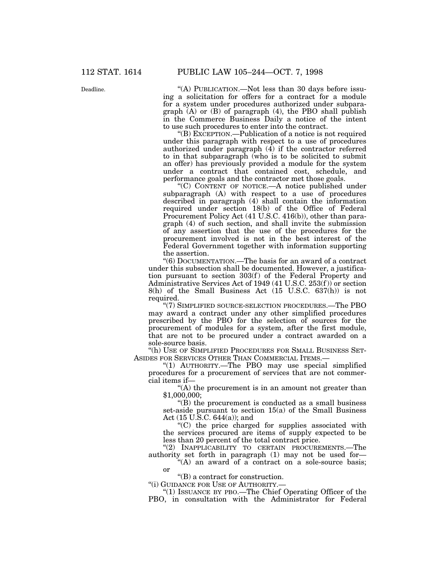Deadline.

''(A) PUBLICATION.—Not less than 30 days before issuing a solicitation for offers for a contract for a module for a system under procedures authorized under subparagraph  $(A)$  or  $(B)$  of paragraph  $(4)$ , the PBO shall publish in the Commerce Business Daily a notice of the intent to use such procedures to enter into the contract.

''(B) EXCEPTION.—Publication of a notice is not required under this paragraph with respect to a use of procedures authorized under paragraph  $(\overline{4})$  if the contractor referred to in that subparagraph (who is to be solicited to submit an offer) has previously provided a module for the system under a contract that contained cost, schedule, and performance goals and the contractor met those goals.

''(C) CONTENT OF NOTICE.—A notice published under subparagraph (A) with respect to a use of procedures described in paragraph (4) shall contain the information required under section 18(b) of the Office of Federal Procurement Policy Act (41 U.S.C. 416(b)), other than paragraph (4) of such section, and shall invite the submission of any assertion that the use of the procedures for the procurement involved is not in the best interest of the Federal Government together with information supporting the assertion.

''(6) DOCUMENTATION.—The basis for an award of a contract under this subsection shall be documented. However, a justification pursuant to section 303(f) of the Federal Property and Administrative Services Act of 1949 (41 U.S.C. 253(f )) or section 8(h) of the Small Business Act (15 U.S.C. 637(h)) is not required.

''(7) SIMPLIFIED SOURCE-SELECTION PROCEDURES.—The PBO may award a contract under any other simplified procedures prescribed by the PBO for the selection of sources for the procurement of modules for a system, after the first module, that are not to be procured under a contract awarded on a sole-source basis.

''(h) USE OF SIMPLIFIED PROCEDURES FOR SMALL BUSINESS SET-ASIDES FOR SERVICES OTHER THAN COMMERCIAL ITEMS.—

''(1) AUTHORITY.—The PBO may use special simplified procedures for a procurement of services that are not commercial items if—

''(A) the procurement is in an amount not greater than \$1,000,000;

''(B) the procurement is conducted as a small business set-aside pursuant to section 15(a) of the Small Business Act (15 U.S.C. 644(a)); and

''(C) the price charged for supplies associated with the services procured are items of supply expected to be less than 20 percent of the total contract price.

"(2) INAPPLICABILITY TO CERTAIN PROCUREMENTS.—The authority set forth in paragraph (1) may not be used for—

"(A) an award of a contract on a sole-source basis; or

''(B) a contract for construction.

''(i) GUIDANCE FOR USE OF AUTHORITY.—

''(1) ISSUANCE BY PBO.—The Chief Operating Officer of the PBO, in consultation with the Administrator for Federal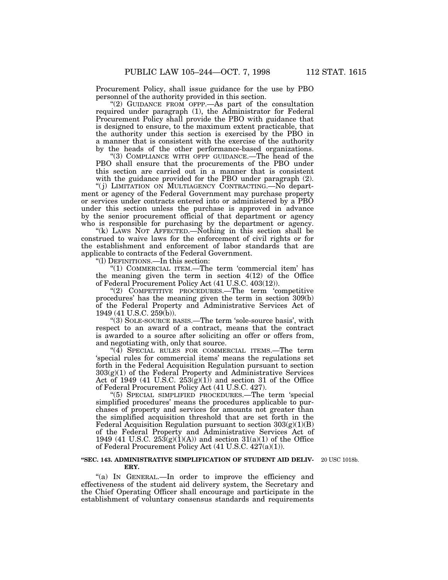Procurement Policy, shall issue guidance for the use by PBO personnel of the authority provided in this section.

''(2) GUIDANCE FROM OFPP.—As part of the consultation required under paragraph (1), the Administrator for Federal Procurement Policy shall provide the PBO with guidance that is designed to ensure, to the maximum extent practicable, that the authority under this section is exercised by the PBO in a manner that is consistent with the exercise of the authority by the heads of the other performance-based organizations.

''(3) COMPLIANCE WITH OFPP GUIDANCE.—The head of the PBO shall ensure that the procurements of the PBO under this section are carried out in a manner that is consistent with the guidance provided for the PBO under paragraph (2).

''( j) LIMITATION ON MULTIAGENCY CONTRACTING.—No department or agency of the Federal Government may purchase property or services under contracts entered into or administered by a PBO under this section unless the purchase is approved in advance by the senior procurement official of that department or agency who is responsible for purchasing by the department or agency.

''(k) LAWS NOT AFFECTED.—Nothing in this section shall be construed to waive laws for the enforcement of civil rights or for the establishment and enforcement of labor standards that are applicable to contracts of the Federal Government.

''(l) DEFINITIONS.—In this section:

"(1) COMMERCIAL ITEM.—The term 'commercial item' has the meaning given the term in section  $4(12)$  of the Office of Federal Procurement Policy Act (41 U.S.C. 403(12)).

"(2) COMPETITIVE PROCEDURES.—The term 'competitive procedures' has the meaning given the term in section 309(b) of the Federal Property and Administrative Services Act of 1949 (41 U.S.C. 259(b)).

''(3) SOLE-SOURCE BASIS.—The term 'sole-source basis', with respect to an award of a contract, means that the contract is awarded to a source after soliciting an offer or offers from, and negotiating with, only that source.

"(4) SPECIAL RULES FOR COMMERCIAL ITEMS.—The term 'special rules for commercial items' means the regulations set forth in the Federal Acquisition Regulation pursuant to section  $303(g)(1)$  of the Federal Property and Administrative Services Act of 1949 (41 U.S.C.  $253(g)(1)$ ) and section 31 of the Office of Federal Procurement Policy Act (41 U.S.C. 427).

''(5) SPECIAL SIMPLIFIED PROCEDURES.—The term 'special simplified procedures' means the procedures applicable to purchases of property and services for amounts not greater than the simplified acquisition threshold that are set forth in the Federal Acquisition Regulation pursuant to section  $303(g)(1)(B)$ of the Federal Property and Administrative Services Act of 1949 (41 U.S.C.  $253(g)(1)(A)$ ) and section  $31(a)(1)$  of the Office of Federal Procurement Policy Act (41 U.S.C. 427(a)(1)).

#### **''SEC. 143. ADMINISTRATIVE SIMPLIFICATION OF STUDENT AID DELIV-**20 USC 1018b.**ERY.**

''(a) IN GENERAL.—In order to improve the efficiency and effectiveness of the student aid delivery system, the Secretary and the Chief Operating Officer shall encourage and participate in the establishment of voluntary consensus standards and requirements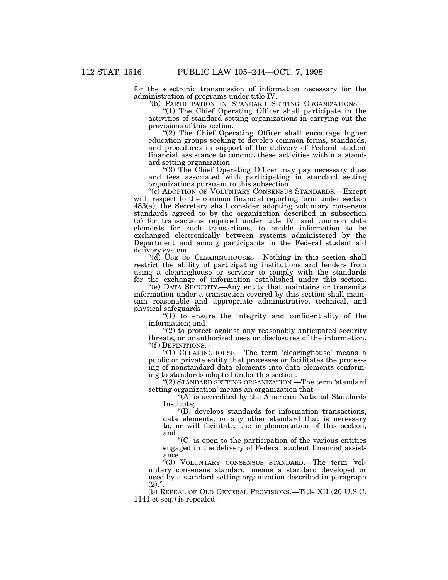for the electronic transmission of information necessary for the administration of programs under title IV.<br>"(b) PARTICIPATION IN STANDARD SETTING ORGANIZATIONS.—

"(1) The Chief Operating Officer shall participate in the activities of standard setting organizations in carrying out the provisions of this section.

"(2) The Chief Operating Officer shall encourage higher education groups seeking to develop common forms, standards, and procedures in support of the delivery of Federal student financial assistance to conduct these activities within a standard setting organization.

''(3) The Chief Operating Officer may pay necessary dues and fees associated with participating in standard setting organizations pursuant to this subsection.

"(c) ADOPTION OF VOLUNTARY CONSENSUS STANDARDS.—Except with respect to the common financial reporting form under section 483(a), the Secretary shall consider adopting voluntary consensus standards agreed to by the organization described in subsection (b) for transactions required under title IV, and common data elements for such transactions, to enable information to be exchanged electronically between systems administered by the Department and among participants in the Federal student aid delivery system.

"(d) USE OF CLEARINGHOUSES.—Nothing in this section shall restrict the ability of participating institutions and lenders from using a clearinghouse or servicer to comply with the standards for the exchange of information established under this section.

''(e) DATA SECURITY.—Any entity that maintains or transmits information under a transaction covered by this section shall maintain reasonable and appropriate administrative, technical, and physical safeguards—

" $(1)$  to ensure the integrity and confidentiality of the information; and

"(2) to protect against any reasonably anticipated security threats, or unauthorized uses or disclosures of the information. "(f) DEFINITIONS.-

"(1) CLEARINGHOUSE.—The term 'clearinghouse' means a public or private entity that processes or facilitates the processing of nonstandard data elements into data elements conforming to standards adopted under this section.

''(2) STANDARD SETTING ORGANIZATION.—The term 'standard setting organization' means an organization that—

''(A) is accredited by the American National Standards Institute;

''(B) develops standards for information transactions, data elements, or any other standard that is necessary to, or will facilitate, the implementation of this section; and

 $C$ ) is open to the participation of the various entities engaged in the delivery of Federal student financial assistance.

''(3) VOLUNTARY CONSENSUS STANDARD.—The term 'voluntary consensus standard' means a standard developed or used by a standard setting organization described in paragraph  $(2).$ ".

(b) REPEAL OF OLD GENERAL PROVISIONS.—Title XII (20 U.S.C. 1141 et seq.) is repealed.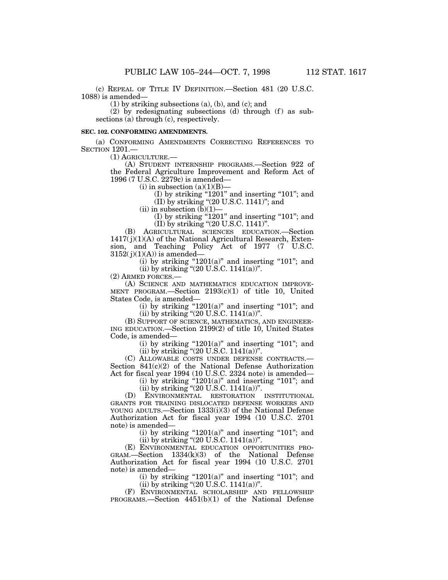(c) REPEAL OF TITLE IV DEFINITION.—Section 481 (20 U.S.C. 1088) is amended—

(1) by striking subsections (a), (b), and (c); and

(2) by redesignating subsections (d) through  $(f)$  as subsections (a) through (c), respectively.

#### **SEC. 102. CONFORMING AMENDMENTS.**

(a) CONFORMING AMENDMENTS CORRECTING REFERENCES TO SECTION 1201.—

(1) AGRICULTURE.—

(A) STUDENT INTERNSHIP PROGRAMS.—Section 922 of the Federal Agriculture Improvement and Reform Act of 1996 (7 U.S.C. 2279c) is amended—

 $(i)$  in subsection  $(a)(1)(B)$ —

 $(1)$  by striking "1201" and inserting "101"; and

(II) by striking ''(20 U.S.C. 1141)''; and

(ii) in subsection  $(b)(1)$ —

(I) by striking "1201" and inserting "101"; and (II) by striking ''(20 U.S.C. 1141)''.

(B) AGRICULTURAL SCIENCES EDUCATION.—Section 1417( j)(1)(A) of the National Agricultural Research, Extension, and Teaching Policy Act of 1977 (7 U.S.C.  $3152(j)(1)(A)$  is amended—

(i) by striking " $1201(a)$ " and inserting " $101$ "; and (ii) by striking "(20 U.S.C.  $1141(a)$ )".

(2) ARMED FORCES.—

(A) SCIENCE AND MATHEMATICS EDUCATION IMPROVE-MENT PROGRAM.—Section 2193(c)(1) of title 10, United States Code, is amended—

(i) by striking " $1201(a)$ " and inserting " $101$ "; and (ii) by striking "(20 U.S.C. 1141(a))".

(B) SUPPORT OF SCIENCE, MATHEMATICS, AND ENGINEER-ING EDUCATION.—Section 2199(2) of title 10, United States Code, is amended—

(i) by striking " $1201(a)$ " and inserting " $101$ "; and (ii) by striking "(20 U.S.C. 1141(a))".

(C) ALLOWABLE COSTS UNDER DEFENSE CONTRACTS.— Section 841(c)(2) of the National Defense Authorization Act for fiscal year 1994 (10 U.S.C. 2324 note) is amended—

(i) by striking " $1201(a)$ " and inserting " $101$ "; and (ii) by striking " $(20 \text{ U.S.C. } 1141(a))$ ".

(D) ENVIRONMENTAL RESTORATION INSTITUTIONAL GRANTS FOR TRAINING DISLOCATED DEFENSE WORKERS AND YOUNG ADULTS.—Section 1333(i)(3) of the National Defense Authorization Act for fiscal year 1994 (10 U.S.C. 2701 note) is amended—

(i) by striking " $1201(a)$ " and inserting " $101$ "; and (ii) by striking "(20 U.S.C.  $1141(a)$ )".

(E) ENVIRONMENTAL EDUCATION OPPORTUNITIES PRO-GRAM.—Section 1334(k)(3) of the National Defense Authorization Act for fiscal year 1994 (10 U.S.C. 2701 note) is amended—

> (i) by striking " $1201(a)$ " and inserting " $101$ "; and (ii) by striking " $(20 \text{ U.S.C. } 1141(a))$ ".

(F) ENVIRONMENTAL SCHOLARSHIP AND FELLOWSHIP PROGRAMS.—Section 4451(b)(1) of the National Defense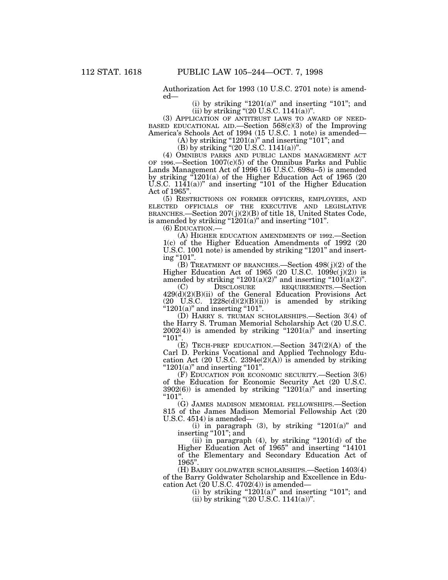Authorization Act for 1993 (10 U.S.C. 2701 note) is amended—

(i) by striking " $1201(a)$ " and inserting " $101$ "; and (ii) by striking " $(20 \text{ U.S.C. } 1141(a))$ ".

(3) APPLICATION OF ANTITRUST LAWS TO AWARD OF NEED-BASED EDUCATIONAL AID.—Section  $568(c)(3)$  of the Improving America's Schools Act of 1994 (15 U.S.C. 1 note) is amended—

(A) by striking " $1201(a)$ " and inserting " $101$ "; and

(B) by striking " $(20 \text{ U.S.C. } 1141(a))$ ".

(4) OMNIBUS PARKS AND PUBLIC LANDS MANAGEMENT ACT OF 1996.—Section 1007(c)(5) of the Omnibus Parks and Public Lands Management Act of 1996 (16 U.S.C. 698u–5) is amended by striking ''1201(a) of the Higher Education Act of 1965 (20 U.S.C. 1141(a))" and inserting "101 of the Higher Education Act of 1965''.

(5) RESTRICTIONS ON FORMER OFFICERS, EMPLOYEES, AND ELECTED OFFICIALS OF THE EXECUTIVE AND LEGISLATIVE BRANCHES.—Section 207( j)(2)(B) of title 18, United States Code, is amended by striking " $1201(a)$ " and inserting "101".

(6) EDUCATION.—

(A) HIGHER EDUCATION AMENDMENTS OF 1992.—Section 1(c) of the Higher Education Amendments of 1992 (20 U.S.C. 1001 note) is amended by striking "1201" and inserting "101".

(B) TREATMENT OF BRANCHES.—Section 498( j)(2) of the Higher Education Act of 1965 (20 U.S.C. 1099 $c(j)(2)$ ) is amended by striking "1201(a)(2)" and inserting "101(a)(2)".<br>
(C) DISCLOSURE REQUIREMENTS.—Section

(C) DISCLOSURE REQUIREMENTS.—Section 429(d)(2)(B)(ii) of the General Education Provisions Act  $(20 \text{ U.S.C. } 1228c(d)(2)(B)(ii))$  is amended by striking " $1201(a)$ " and inserting " $101$ ".

(D) HARRY S. TRUMAN SCHOLARSHIPS.—Section 3(4) of the Harry S. Truman Memorial Scholarship Act (20 U.S.C.  $2002(4)$  is amended by striking "1201(a)" and inserting "101"

(E) TECH-PREP EDUCATION.—Section 347(2)(A) of the Carl D. Perkins Vocational and Applied Technology Education Act (20 U.S.C. 2394e(2)(A)) is amended by striking " $1201(a)$ " and inserting " $101$ ".

(F) EDUCATION FOR ECONOMIC SECURITY.—Section 3(6) of the Education for Economic Security Act (20 U.S.C.  $3902(6)$ ) is amended by striking " $1201(a)$ " and inserting  $"101"$ 

(G) JAMES MADISON MEMORIAL FELLOWSHIPS.—Section 815 of the James Madison Memorial Fellowship Act (20 U.S.C. 4514) is amended—

(i) in paragraph (3), by striking " $1201(a)$ " and inserting "101"; and

(ii) in paragraph  $(4)$ , by striking "1201 $(d)$  of the Higher Education Act of 1965'' and inserting ''14101 of the Elementary and Secondary Education Act of 1965''.

(H) BARRY GOLDWATER SCHOLARSHIPS.—Section 1403(4) of the Barry Goldwater Scholarship and Excellence in Education Act  $(20 \text{ U.S.C. } 4702(4))$  is amended—

(i) by striking " $1201(a)$ " and inserting " $101$ "; and (ii) by striking " $(20 \text{ U.S.C. } 1141(a))$ ".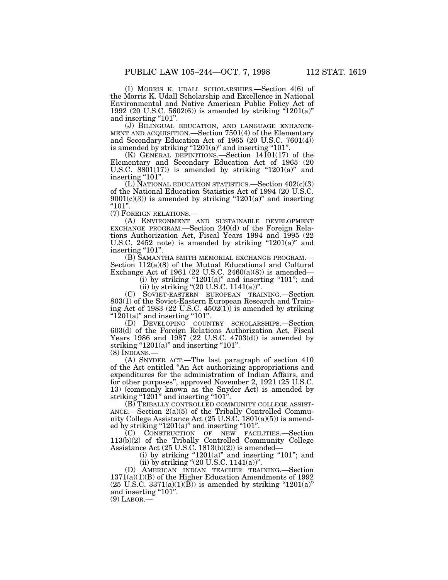(I) MORRIS K. UDALL SCHOLARSHIPS.—Section 4(6) of the Morris K. Udall Scholarship and Excellence in National Environmental and Native American Public Policy Act of 1992 (20 U.S.C. 5602(6)) is amended by striking "1201(a)" and inserting "101".

(J) BILINGUAL EDUCATION, AND LANGUAGE ENHANCE-MENT AND ACQUISITION.—Section 7501(4) of the Elementary and Secondary Education Act of 1965 (20 U.S.C. 7601(4)) is amended by striking " $1201(a)$ " and inserting " $101$ ".

(K) GENERAL DEFINITIONS.—Section 14101(17) of the Elementary and Secondary Education Act of 1965 (20 U.S.C.  $8801(17)$  is amended by striking "1201(a)" and inserting "101".

(L) NATIONAL EDUCATION STATISTICS.—Section 402(c)(3) of the National Education Statistics Act of 1994 (20 U.S.C.  $9001(c)(3)$  is amended by striking "1201(a)" and inserting  $"101"$ .

(7) FOREIGN RELATIONS.—

(A) ENVIRONMENT AND SUSTAINABLE DEVELOPMENT EXCHANGE PROGRAM.—Section 240(d) of the Foreign Relations Authorization Act, Fiscal Years 1994 and 1995 (22 U.S.C. 2452 note) is amended by striking " $1201(a)$ " and inserting "101".

(B) SAMANTHA SMITH MEMORIAL EXCHANGE PROGRAM.— Section 112(a)(8) of the Mutual Educational and Cultural Exchange Act of 1961 (22 U.S.C. 2460(a)(8)) is amended—

 $(i)$  by striking "1201(a)" and inserting "101"; and (ii) by striking " $(20 \text{ U.S.C. } 1141(a))$ ".

(C) SOVIET-EASTERN EUROPEAN TRAINING.—Section 803(1) of the Soviet-Eastern European Research and Training Act of 1983 (22 U.S.C.  $4502(1)$ ) is amended by striking " $1201(a)$ " and inserting " $101$ ".

(D) DEVELOPING COUNTRY SCHOLARSHIPS.—Section 603(d) of the Foreign Relations Authorization Act, Fiscal Years 1986 and 1987 (22 U.S.C. 4703(d)) is amended by striking " $1201(a)$ " and inserting " $101$ ".

(8) INDIANS.—

(A) SNYDER ACT.—The last paragraph of section 410 of the Act entitled ''An Act authorizing appropriations and expenditures for the administration of Indian Affairs, and for other purposes'', approved November 2, 1921 (25 U.S.C. 13) (commonly known as the Snyder Act) is amended by striking " $1201$ " and inserting " $101$ ".

(B) TRIBALLY CONTROLLED COMMUNITY COLLEGE ASSIST-ANCE.—Section 2(a)(5) of the Tribally Controlled Community College Assistance Act (25 U.S.C. 1801(a)(5)) is amended by striking "1201(a)" and inserting "101".

(C) CONSTRUCTION OF NEW FACILITIES.—Section 113(b)(2) of the Tribally Controlled Community College Assistance Act (25 U.S.C. 1813(b)(2)) is amended—

(i) by striking " $1201(a)$ " and inserting " $101$ "; and (ii) by striking "(20 U.S.C.  $1141(a)$ )".

(D) AMERICAN INDIAN TEACHER TRAINING.—Section 1371(a)(1)(B) of the Higher Education Amendments of 1992  $(25 \text{ U.S.C. } 3371(a)(1)(B))$  is amended by striking "1201(a)" and inserting "101".

(9) LABOR.—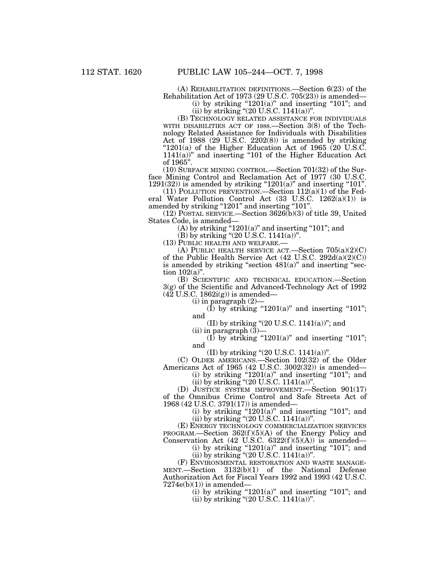(A) REHABILITATION DEFINITIONS.—Section 6(23) of the Rehabilitation Act of 1973 (29 U.S.C. 705(23)) is amended—

(i) by striking " $1201(a)$ " and inserting " $101$ "; and (ii) by striking "(20 U.S.C.  $1141(a)$ )".

(B) TECHNOLOGY RELATED ASSISTANCE FOR INDIVIDUALS WITH DISABILITIES ACT OF 1988.—Section 3(8) of the Technology Related Assistance for Individuals with Disabilities Act of 1988 (29 U.S.C. 2202(8)) is amended by striking " $1201(a)$  of the Higher Education Act of 1965 (20 U.S.C. 1141(a))'' and inserting ''101 of the Higher Education Act of 1965''.

(10) SURFACE MINING CONTROL.—Section 701(32) of the Surface Mining Control and Reclamation Act of 1977 (30 U.S.C.  $1291(32)$  is amended by striking " $1201(a)$ " and inserting " $101$ ".

(11) POLLUTION PREVENTION.—Section 112(a)(1) of the Federal Water Pollution Control Act (33 U.S.C. 1262(a)(1)) is amended by striking "1201" and inserting "101"

(12) POSTAL SERVICE.—Section 3626(b)(3) of title 39, United States Code, is amended—

(A) by striking " $1201(a)$ " and inserting " $101$ "; and

(B) by striking " $(20 \text{ U.S.C. } 1141(a))$ ".

(13) PUBLIC HEALTH AND WELFARE.—

(A) PUBLIC HEALTH SERVICE ACT.—Section 705(a)(2)(C) of the Public Health Service Act (42 U.S.C. 292d(a)(2)(C)) is amended by striking "section  $481(a)$ " and inserting "section  $102(a)$ ".

(B) SCIENTIFIC AND TECHNICAL EDUCATION.—Section 3(g) of the Scientific and Advanced-Technology Act of 1992 (42 U.S.C. 1862i(g)) is amended—

 $(i)$  in paragraph  $(2)$ 

 $(1)$  by striking "1201(a)" and inserting "101"; and

(II) by striking " $(20 \text{ U.S.C. } 1141(a))$ "; and

 $(ii)$  in paragraph  $(3)$ 

(I) by striking "1201(a)" and inserting "101"; and

(II) by striking " $(20 \text{ U.S.C. } 1141(a))$ ".

(C) OLDER AMERICANS.—Section 102(32) of the Older Americans Act of 1965 (42 U.S.C. 3002(32)) is amended—

(i) by striking " $1201(a)$ " and inserting " $101$ "; and (ii) by striking " $(20 \text{ U.S.C. } 1141(a))$ ".

(D) JUSTICE SYSTEM IMPROVEMENT.—Section 901(17) of the Omnibus Crime Control and Safe Streets Act of 1968 (42 U.S.C. 3791(17)) is amended—

(i) by striking " $1201(a)$ " and inserting " $101$ "; and (ii) by striking " $(20 \text{ U.S.C. } 1141(a))$ ".

(E) ENERGY TECHNOLOGY COMMERCIALIZATION SERVICES PROGRAM.—Section  $362(f)(5)(A)$  of the Energy Policy and Conservation Act  $(42 \text{ U.S.C. } 6322(f)(5)(A))$  is amended—

(i) by striking " $1201(a)$ " and inserting " $101$ "; and (ii) by striking " $(20 \text{ U.S.C. } 1141(a))$ ".

(F) ENVIRONMENTAL RESTORATION AND WASTE MANAGE-MENT.—Section 3132(b)(1) of the National Defense Authorization Act for Fiscal Years 1992 and 1993 (42 U.S.C.  $7274e(b)(1)$  is amended—

> (i) by striking " $1201(a)$ " and inserting " $101$ "; and (ii) by striking " $(20 \text{ U.S.C. } 1141(a))$ ".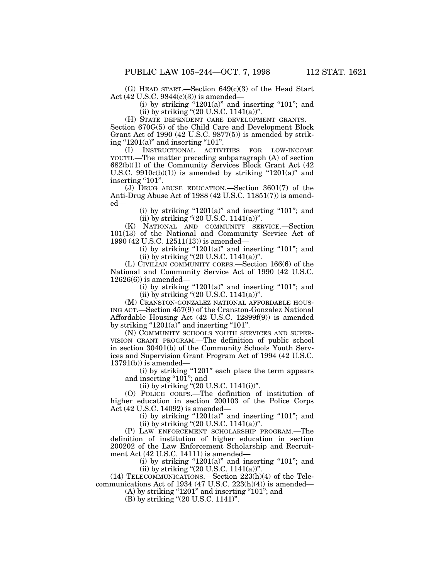(G) HEAD START.—Section 649(c)(3) of the Head Start Act (42 U.S.C. 9844(c)(3)) is amended—

> (i) by striking " $1201(a)$ " and inserting " $101$ "; and (ii) by striking " $(20 \text{ U.S.C. } 1141(a))$ ".

(H) STATE DEPENDENT CARE DEVELOPMENT GRANTS.—

Section 670G(5) of the Child Care and Development Block Grant Act of 1990 (42 U.S.C. 9877(5)) is amended by striking " $1201(a)$ " and inserting " $101$ ".

(I) INSTRUCTIONAL ACTIVITIES FOR LOW-INCOME YOUTH.—The matter preceding subparagraph (A) of section 682(b)(1) of the Community Services Block Grant Act (42 U.S.C.  $9910c(b)(1)$  is amended by striking "1201(a)" and inserting "101".

(J) DRUG ABUSE EDUCATION.—Section 3601(7) of the Anti-Drug Abuse Act of 1988 (42 U.S.C. 11851(7)) is amended—

(i) by striking " $1201(a)$ " and inserting " $101$ "; and (ii) by striking " $(20 \text{ U.S.C. } 1141(a))$ ".

(K) NATIONAL AND COMMUNITY SERVICE.—Section 101(13) of the National and Community Service Act of 1990 (42 U.S.C. 12511(13)) is amended—

> (i) by striking " $1201(a)$ " and inserting " $101$ "; and (ii) by striking " $(20 \text{ U.S.C. } 1141(a))$ ".

(L) CIVILIAN COMMUNITY CORPS.—Section 166(6) of the National and Community Service Act of 1990 (42 U.S.C. 12626(6)) is amended—

(i) by striking " $1201(a)$ " and inserting " $101$ "; and (ii) by striking " $(20 \text{ U.S.C. } 1141(a))$ ".

(M) CRANSTON-GONZALEZ NATIONAL AFFORDABLE HOUS-ING ACT.—Section 457(9) of the Cranston-Gonzalez National Affordable Housing Act (42 U.S.C. 12899f(9)) is amended by striking " $1201(a)$ " and inserting " $101$ ".

(N) COMMUNITY SCHOOLS YOUTH SERVICES AND SUPER-VISION GRANT PROGRAM.—The definition of public school in section 30401(b) of the Community Schools Youth Services and Supervision Grant Program Act of 1994 (42 U.S.C.  $13791(b)$ ) is amended—

(i) by striking "1201" each place the term appears and inserting "101"; and

(ii) by striking " $(20 \text{ U.S.C. } 1141 \text{ (i)})$ ".

(O) POLICE CORPS.—The definition of institution of higher education in section 200103 of the Police Corps Act (42 U.S.C. 14092) is amended—

> (i) by striking " $1201(a)$ " and inserting " $101$ "; and (ii) by striking " $(20 \text{ U.S.C. } 1141(a))$ ".

(P) LAW ENFORCEMENT SCHOLARSHIP PROGRAM.—The definition of institution of higher education in section 200202 of the Law Enforcement Scholarship and Recruitment Act (42 U.S.C. 14111) is amended—

> (i) by striking " $1201(a)$ " and inserting " $101$ "; and (ii) by striking " $(20 \text{ U.S.C. } 1141(a))$ ".

(14) TELECOMMUNICATIONS.—Section 223(h)(4) of the Telecommunications Act of 1934 (47 U.S.C.  $223(h)(4)$ ) is amended—

 $(A)$  by striking "1201" and inserting "101"; and

(B) by striking "(20 U.S.C. 1141)".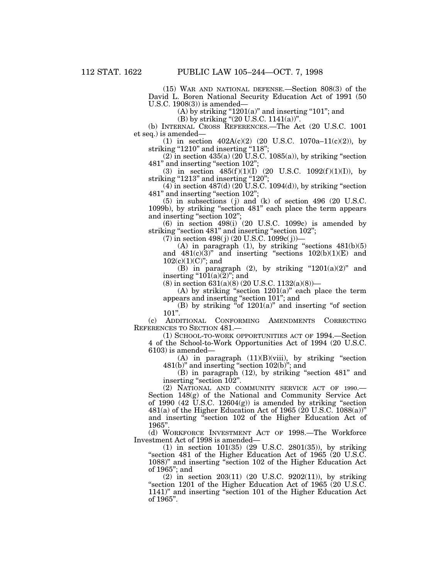(15) WAR AND NATIONAL DEFENSE.—Section 808(3) of the David L. Boren National Security Education Act of 1991 (50 U.S.C. 1908(3)) is amended—

(A) by striking " $1201(a)$ " and inserting " $101$ "; and

(B) by striking " $(20 \text{ U.S.C. } 1141(a))$ ".

(b) INTERNAL CROSS REFERENCES.—The Act (20 U.S.C. 1001 et seq.) is amended—

(1) in section  $402A(c)(2)$  (20 U.S.C. 1070a–11(c)(2)), by striking "1210" and inserting "118"

 $(2)$  in section 435(a)  $(20 \text{ U.S.C. } 1085(a))$ , by striking "section 481'' and inserting ''section 102'';

(3) in section  $485(f)(1)(I)$  (20 U.S.C. 1092 $(f)(1)(I)$ ), by striking "1213" and inserting "120";

(4) in section 487(d) (20 U.S.C. 1094(d)), by striking "section 481" and inserting "section 102";

 $(5)$  in subsections  $(j)$  and  $(k)$  of section 496  $(20 \text{ U.S.C.})$ 1099b), by striking "section 481" each place the term appears and inserting "section 102";

(6) in section 498(i) (20 U.S.C. 1099c) is amended by striking "section 481" and inserting "section 102";

 $(7)$  in section 498(j) (20 U.S.C. 1099c(j))–

(A) in paragraph  $(1)$ , by striking "sections  $481(b)(5)$ and  $481(c)(3)$ " and inserting "sections  $102(b)(1)(E)$  and  $102(c)(1)(C)$ "; and

(B) in paragraph  $(2)$ , by striking "1201 $(a)(2)$ " and inserting " $101(a)(2)$ "; and

(8) in section 631(a)(8) (20 U.S.C. 1132(a)(8))—

(A) by striking "section  $1201(a)$ " each place the term appears and inserting ''section 101''; and

(B) by striking "of  $1201(a)$ " and inserting "of section 101''.

(c) ADDITIONAL CONFORMING AMENDMENTS CORRECTING REFERENCES TO SECTION 481.—

(1) SCHOOL-TO-WORK OPPORTUNITIES ACT OF 1994.—Section 4 of the School-to-Work Opportunities Act of 1994 (20 U.S.C. 6103) is amended—

(A) in paragraph  $(11)(B)(viii)$ , by striking "section 481(b)'' and inserting ''section 102(b)''; and

(B) in paragraph (12), by striking "section 481" and inserting "section  $102$ ".

(2) NATIONAL AND COMMUNITY SERVICE ACT OF 1990.— Section 148(g) of the National and Community Service Act of 1990 (42  $\check{U}$ S.C. 12604(g)) is amended by striking "section 481(a) of the Higher Education Act of 1965 (20 U.S.C.  $1088(a)$ )" and inserting ''section 102 of the Higher Education Act of 1965'

(d) WORKFORCE INVESTMENT ACT OF 1998.—The Workforce Investment Act of 1998 is amended—

(1) in section 101(35) (29 U.S.C. 2801(35)), by striking "section 481 of the Higher Education Act of 1965 (20 U.S.C. 1088)'' and inserting ''section 102 of the Higher Education Act of 1965''; and

(2) in section 203(11) (20 U.S.C. 9202(11)), by striking "section 1201 of the Higher Education Act of 1965 (20 U.S.C. 1141)" and inserting "section 101 of the Higher Education Act of 1965''.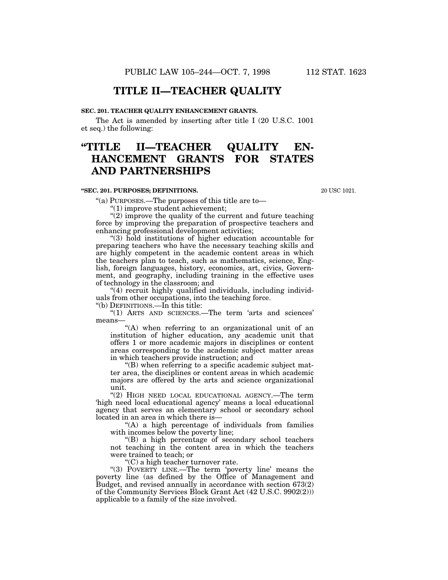## **TITLE II—TEACHER QUALITY**

### **SEC. 201. TEACHER QUALITY ENHANCEMENT GRANTS.**

The Act is amended by inserting after title I (20 U.S.C. 1001 et seq.) the following:

# **''TITLE II—TEACHER QUALITY EN-HANCEMENT GRANTS FOR STATES AND PARTNERSHIPS**

#### **''SEC. 201. PURPOSES; DEFINITIONS.**

20 USC 1021.

''(a) PURPOSES.—The purposes of this title are to—

''(1) improve student achievement;

 $\sqrt[4]{(2)}$  improve the quality of the current and future teaching force by improving the preparation of prospective teachers and enhancing professional development activities;

''(3) hold institutions of higher education accountable for preparing teachers who have the necessary teaching skills and are highly competent in the academic content areas in which the teachers plan to teach, such as mathematics, science, English, foreign languages, history, economics, art, civics, Government, and geography, including training in the effective uses of technology in the classroom; and

 $(4)$  recruit highly qualified individuals, including individuals from other occupations, into the teaching force.

''(b) DEFINITIONS.—In this title:

''(1) ARTS AND SCIENCES.—The term 'arts and sciences' means—

"(A) when referring to an organizational unit of an institution of higher education, any academic unit that offers 1 or more academic majors in disciplines or content areas corresponding to the academic subject matter areas in which teachers provide instruction; and

''(B) when referring to a specific academic subject matter area, the disciplines or content areas in which academic majors are offered by the arts and science organizational unit.

"(2) HIGH NEED LOCAL EDUCATIONAL AGENCY.—The term 'high need local educational agency' means a local educational agency that serves an elementary school or secondary school located in an area in which there is—

''(A) a high percentage of individuals from families with incomes below the poverty line;

''(B) a high percentage of secondary school teachers not teaching in the content area in which the teachers were trained to teach; or

''(C) a high teacher turnover rate.

"(3) POVERTY LINE.—The term 'poverty line' means the poverty line (as defined by the Office of Management and Budget, and revised annually in accordance with section 673(2) of the Community Services Block Grant Act (42 U.S.C. 9902(2))) applicable to a family of the size involved.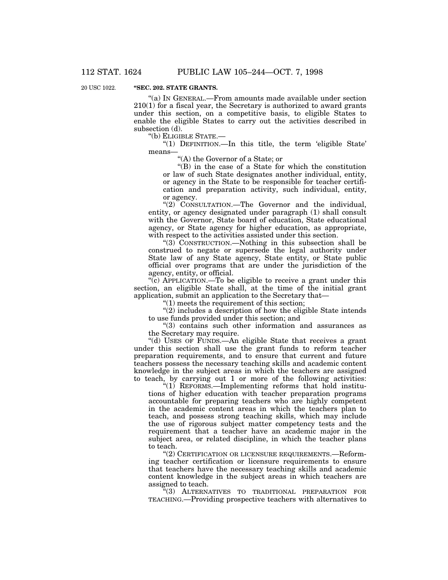20 USC 1022

## **''SEC. 202. STATE GRANTS.**

''(a) IN GENERAL.—From amounts made available under section 210(1) for a fiscal year, the Secretary is authorized to award grants under this section, on a competitive basis, to eligible States to enable the eligible States to carry out the activities described in subsection (d).

''(b) ELIGIBLE STATE.—

''(1) DEFINITION.—In this title, the term 'eligible State' means—

''(A) the Governor of a State; or

''(B) in the case of a State for which the constitution or law of such State designates another individual, entity, or agency in the State to be responsible for teacher certification and preparation activity, such individual, entity, or agency.

"(2) CONSULTATION.—The Governor and the individual, entity, or agency designated under paragraph (1) shall consult with the Governor, State board of education, State educational agency, or State agency for higher education, as appropriate, with respect to the activities assisted under this section.

''(3) CONSTRUCTION.—Nothing in this subsection shall be construed to negate or supersede the legal authority under State law of any State agency, State entity, or State public official over programs that are under the jurisdiction of the agency, entity, or official.

''(c) APPLICATION.—To be eligible to receive a grant under this section, an eligible State shall, at the time of the initial grant application, submit an application to the Secretary that—

 $''(1)$  meets the requirement of this section;

"(2) includes a description of how the eligible State intends to use funds provided under this section; and

''(3) contains such other information and assurances as the Secretary may require.

''(d) USES OF FUNDS.—An eligible State that receives a grant under this section shall use the grant funds to reform teacher preparation requirements, and to ensure that current and future teachers possess the necessary teaching skills and academic content knowledge in the subject areas in which the teachers are assigned to teach, by carrying out 1 or more of the following activities:

''(1) REFORMS.—Implementing reforms that hold institutions of higher education with teacher preparation programs accountable for preparing teachers who are highly competent in the academic content areas in which the teachers plan to teach, and possess strong teaching skills, which may include the use of rigorous subject matter competency tests and the requirement that a teacher have an academic major in the subject area, or related discipline, in which the teacher plans to teach.

''(2) CERTIFICATION OR LICENSURE REQUIREMENTS.—Reforming teacher certification or licensure requirements to ensure that teachers have the necessary teaching skills and academic content knowledge in the subject areas in which teachers are assigned to teach.

''(3) ALTERNATIVES TO TRADITIONAL PREPARATION FOR TEACHING.—Providing prospective teachers with alternatives to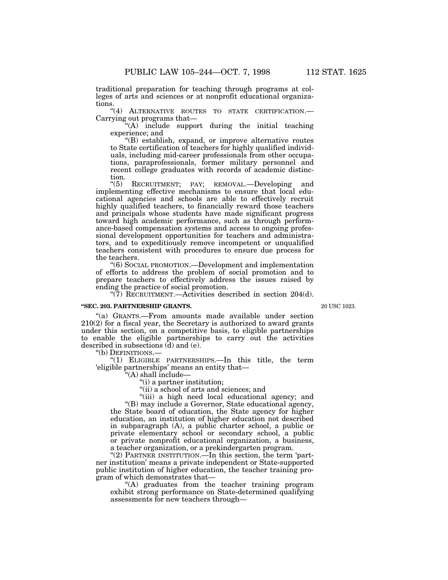traditional preparation for teaching through programs at colleges of arts and sciences or at nonprofit educational organizations.

"(4) ALTERNATIVE ROUTES TO STATE CERTIFICATION.— Carrying out programs that—

 $H(A)$  include support during the initial teaching experience; and

''(B) establish, expand, or improve alternative routes to State certification of teachers for highly qualified individuals, including mid-career professionals from other occupations, paraprofessionals, former military personnel and recent college graduates with records of academic distinction.

"(5) RECRUITMENT; PAY; REMOVAL.-Developing and implementing effective mechanisms to ensure that local educational agencies and schools are able to effectively recruit highly qualified teachers, to financially reward those teachers and principals whose students have made significant progress toward high academic performance, such as through performance-based compensation systems and access to ongoing professional development opportunities for teachers and administrators, and to expeditiously remove incompetent or unqualified teachers consistent with procedures to ensure due process for the teachers.

''(6) SOCIAL PROMOTION.—Development and implementation of efforts to address the problem of social promotion and to prepare teachers to effectively address the issues raised by ending the practice of social promotion.

"(7) RECRUITMENT.—Activities described in section  $204(d)$ .

#### **''SEC. 203. PARTNERSHIP GRANTS.**

20 USC 1023.

''(a) GRANTS.—From amounts made available under section 210(2) for a fiscal year, the Secretary is authorized to award grants under this section, on a competitive basis, to eligible partnerships to enable the eligible partnerships to carry out the activities described in subsections (d) and (e).

''(b) DEFINITIONS.—

" $(1)$  ELIGIBLE PARTNERSHIPS.—In this title, the term 'eligible partnerships' means an entity that—

''(A) shall include—

''(i) a partner institution;

''(ii) a school of arts and sciences; and

''(iii) a high need local educational agency; and ''(B) may include a Governor, State educational agency, the State board of education, the State agency for higher education, an institution of higher education not described in subparagraph (A), a public charter school, a public or private elementary school or secondary school, a public or private nonprofit educational organization, a business, a teacher organization, or a prekindergarten program.

"(2) PARTNER INSTITUTION.—In this section, the term 'partner institution' means a private independent or State-supported public institution of higher education, the teacher training program of which demonstrates that—

''(A) graduates from the teacher training program exhibit strong performance on State-determined qualifying assessments for new teachers through—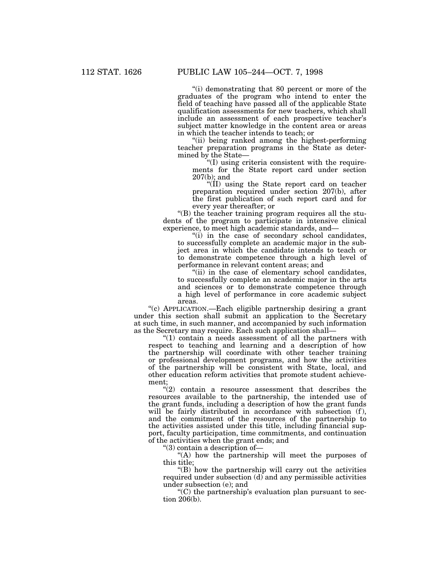''(i) demonstrating that 80 percent or more of the graduates of the program who intend to enter the field of teaching have passed all of the applicable State qualification assessments for new teachers, which shall include an assessment of each prospective teacher's subject matter knowledge in the content area or areas in which the teacher intends to teach; or

''(ii) being ranked among the highest-performing teacher preparation programs in the State as determined by the State—

''(I) using criteria consistent with the requirements for the State report card under section 207(b); and

''(II) using the State report card on teacher preparation required under section 207(b), after the first publication of such report card and for every year thereafter; or

''(B) the teacher training program requires all the students of the program to participate in intensive clinical experience, to meet high academic standards, and—

''(i) in the case of secondary school candidates, to successfully complete an academic major in the subject area in which the candidate intends to teach or to demonstrate competence through a high level of performance in relevant content areas; and

''(ii) in the case of elementary school candidates, to successfully complete an academic major in the arts and sciences or to demonstrate competence through a high level of performance in core academic subject areas.

''(c) APPLICATION.—Each eligible partnership desiring a grant under this section shall submit an application to the Secretary at such time, in such manner, and accompanied by such information as the Secretary may require. Each such application shall—

" $(1)$  contain a needs assessment of all the partners with respect to teaching and learning and a description of how the partnership will coordinate with other teacher training or professional development programs, and how the activities of the partnership will be consistent with State, local, and other education reform activities that promote student achievement;

 $''(2)$  contain a resource assessment that describes the resources available to the partnership, the intended use of the grant funds, including a description of how the grant funds will be fairly distributed in accordance with subsection  $(f)$ , and the commitment of the resources of the partnership to the activities assisted under this title, including financial support, faculty participation, time commitments, and continuation of the activities when the grant ends; and

''(3) contain a description of—

"(A) how the partnership will meet the purposes of this title;

''(B) how the partnership will carry out the activities required under subsection (d) and any permissible activities under subsection (e); and

''(C) the partnership's evaluation plan pursuant to section 206(b).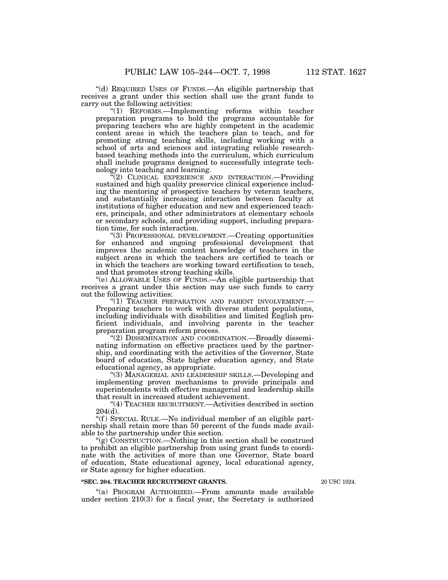''(d) REQUIRED USES OF FUNDS.—An eligible partnership that receives a grant under this section shall use the grant funds to carry out the following activities:

''(1) REFORMS.—Implementing reforms within teacher preparation programs to hold the programs accountable for preparing teachers who are highly competent in the academic content areas in which the teachers plan to teach, and for promoting strong teaching skills, including working with a school of arts and sciences and integrating reliable researchbased teaching methods into the curriculum, which curriculum shall include programs designed to successfully integrate technology into teaching and learning.

<sup>7</sup>(2) CLINICAL EXPERIENCE AND INTERACTION.—Providing sustained and high quality preservice clinical experience including the mentoring of prospective teachers by veteran teachers, and substantially increasing interaction between faculty at institutions of higher education and new and experienced teachers, principals, and other administrators at elementary schools or secondary schools, and providing support, including preparation time, for such interaction.

''(3) PROFESSIONAL DEVELOPMENT.—Creating opportunities for enhanced and ongoing professional development that improves the academic content knowledge of teachers in the subject areas in which the teachers are certified to teach or in which the teachers are working toward certification to teach, and that promotes strong teaching skills.

''(e) ALLOWABLE USES OF FUNDS.—An eligible partnership that receives a grant under this section may use such funds to carry out the following activities:

"(1) TEACHER PREPARATION AND PARENT INVOLVEMENT.-Preparing teachers to work with diverse student populations, including individuals with disabilities and limited English proficient individuals, and involving parents in the teacher preparation program reform process.

"(2) DISSEMINATION AND COORDINATION.—Broadly disseminating information on effective practices used by the partnership, and coordinating with the activities of the Governor, State board of education, State higher education agency, and State educational agency, as appropriate.

''(3) MANAGERIAL AND LEADERSHIP SKILLS.—Developing and implementing proven mechanisms to provide principals and superintendents with effective managerial and leadership skills that result in increased student achievement.

''(4) TEACHER RECRUITMENT.—Activities described in section  $204(d)$ .

"(f) SPECIAL RULE.—No individual member of an eligible partnership shall retain more than 50 percent of the funds made available to the partnership under this section.

''(g) CONSTRUCTION.—Nothing in this section shall be construed to prohibit an eligible partnership from using grant funds to coordinate with the activities of more than one Governor, State board of education, State educational agency, local educational agency, or State agency for higher education.

#### **''SEC. 204. TEACHER RECRUITMENT GRANTS.**

''(a) PROGRAM AUTHORIZED.—From amounts made available under section 210(3) for a fiscal year, the Secretary is authorized

20 USC 1024.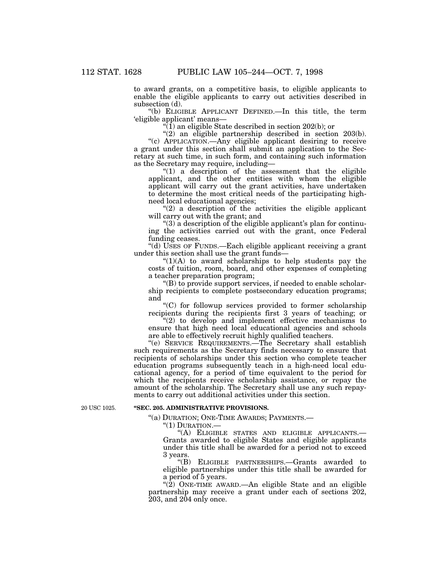to award grants, on a competitive basis, to eligible applicants to enable the eligible applicants to carry out activities described in subsection (d).

''(b) ELIGIBLE APPLICANT DEFINED.—In this title, the term 'eligible applicant' means—

 $\sqrt{\hat{1}}$  an eligible State described in section 202(b); or

 $''(2)$  an eligible partnership described in section 203(b).

"(c) APPLICATION.—Any eligible applicant desiring to receive a grant under this section shall submit an application to the Secretary at such time, in such form, and containing such information as the Secretary may require, including—

" $(1)$  a description of the assessment that the eligible applicant, and the other entities with whom the eligible applicant will carry out the grant activities, have undertaken to determine the most critical needs of the participating highneed local educational agencies;

" $(2)$  a description of the activities the eligible applicant will carry out with the grant; and

"(3) a description of the eligible applicant's plan for continuing the activities carried out with the grant, once Federal funding ceases.

"(d) USES OF FUNDS.—Each eligible applicant receiving a grant under this section shall use the grant funds—

 $''(1)(A)$  to award scholarships to help students pay the costs of tuition, room, board, and other expenses of completing a teacher preparation program;

''(B) to provide support services, if needed to enable scholarship recipients to complete postsecondary education programs; and

''(C) for followup services provided to former scholarship recipients during the recipients first 3 years of teaching; or

''(2) to develop and implement effective mechanisms to ensure that high need local educational agencies and schools are able to effectively recruit highly qualified teachers.

''(e) SERVICE REQUIREMENTS.—The Secretary shall establish such requirements as the Secretary finds necessary to ensure that recipients of scholarships under this section who complete teacher education programs subsequently teach in a high-need local educational agency, for a period of time equivalent to the period for which the recipients receive scholarship assistance, or repay the amount of the scholarship. The Secretary shall use any such repayments to carry out additional activities under this section.

20 USC 1025.

#### **''SEC. 205. ADMINISTRATIVE PROVISIONS.**

''(a) DURATION; ONE-TIME AWARDS; PAYMENTS.—

" $(1)$  DURATION. $-$ 

''(A) ELIGIBLE STATES AND ELIGIBLE APPLICANTS.— Grants awarded to eligible States and eligible applicants under this title shall be awarded for a period not to exceed 3 years.

''(B) ELIGIBLE PARTNERSHIPS.—Grants awarded to eligible partnerships under this title shall be awarded for a period of 5 years.

"(2) ONE-TIME AWARD.—An eligible State and an eligible partnership may receive a grant under each of sections 202,  $203$ , and  $204$  only once.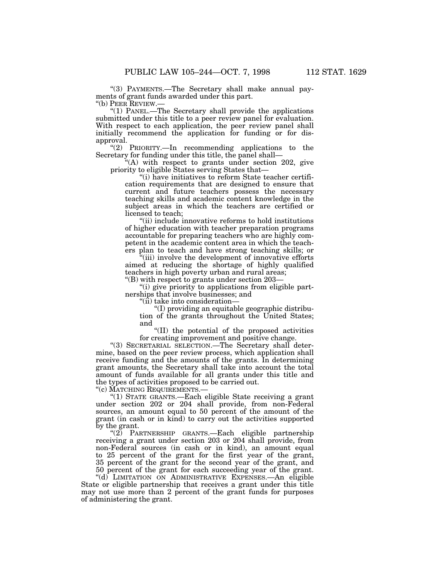''(3) PAYMENTS.—The Secretary shall make annual payments of grant funds awarded under this part.<br>"(b) PEER REVIEW.—

"(1) PANEL.—The Secretary shall provide the applications submitted under this title to a peer review panel for evaluation. With respect to each application, the peer review panel shall initially recommend the application for funding or for disapproval.

''(2) PRIORITY.—In recommending applications to the Secretary for funding under this title, the panel shall—

 $(A)$  with respect to grants under section 202, give priority to eligible States serving States that—

''(i) have initiatives to reform State teacher certification requirements that are designed to ensure that current and future teachers possess the necessary teaching skills and academic content knowledge in the subject areas in which the teachers are certified or licensed to teach;

''(ii) include innovative reforms to hold institutions of higher education with teacher preparation programs accountable for preparing teachers who are highly competent in the academic content area in which the teachers plan to teach and have strong teaching skills; or

''(iii) involve the development of innovative efforts aimed at reducing the shortage of highly qualified teachers in high poverty urban and rural areas;

''(B) with respect to grants under section 203— ''(i) give priority to applications from eligible part-

nerships that involve businesses; and

''(ii) take into consideration—

''(I) providing an equitable geographic distribution of the grants throughout the United States; and

''(II) the potential of the proposed activities for creating improvement and positive change.

''(3) SECRETARIAL SELECTION.—The Secretary shall determine, based on the peer review process, which application shall receive funding and the amounts of the grants. In determining grant amounts, the Secretary shall take into account the total amount of funds available for all grants under this title and the types of activities proposed to be carried out.

''(c) MATCHING REQUIREMENTS.—

''(1) STATE GRANTS.—Each eligible State receiving a grant under section 202 or 204 shall provide, from non-Federal sources, an amount equal to 50 percent of the amount of the grant (in cash or in kind) to carry out the activities supported by the grant.

"(2) PARTNERSHIP GRANTS.—Each eligible partnership receiving a grant under section 203 or 204 shall provide, from non-Federal sources (in cash or in kind), an amount equal to 25 percent of the grant for the first year of the grant, 35 percent of the grant for the second year of the grant, and 50 percent of the grant for each succeeding year of the grant.

''(d) LIMITATION ON ADMINISTRATIVE EXPENSES.—An eligible State or eligible partnership that receives a grant under this title may not use more than 2 percent of the grant funds for purposes of administering the grant.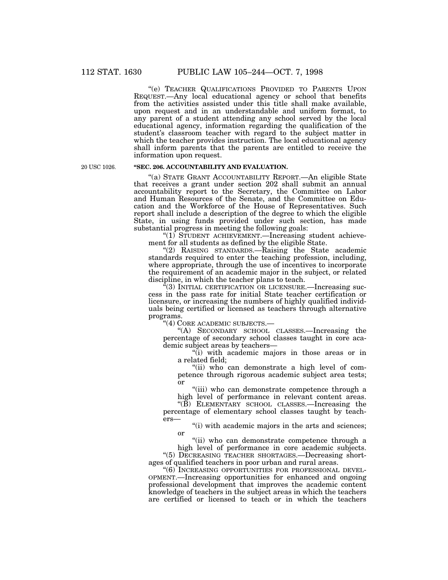''(e) TEACHER QUALIFICATIONS PROVIDED TO PARENTS UPON REQUEST.—Any local educational agency or school that benefits from the activities assisted under this title shall make available, upon request and in an understandable and uniform format, to any parent of a student attending any school served by the local educational agency, information regarding the qualification of the student's classroom teacher with regard to the subject matter in which the teacher provides instruction. The local educational agency shall inform parents that the parents are entitled to receive the information upon request.

20 USC 1026.

## **''SEC. 206. ACCOUNTABILITY AND EVALUATION.**

''(a) STATE GRANT ACCOUNTABILITY REPORT.—An eligible State that receives a grant under section 202 shall submit an annual accountability report to the Secretary, the Committee on Labor and Human Resources of the Senate, and the Committee on Education and the Workforce of the House of Representatives. Such report shall include a description of the degree to which the eligible State, in using funds provided under such section, has made substantial progress in meeting the following goals:

"(1) STUDENT ACHIEVEMENT.—Increasing student achievement for all students as defined by the eligible State.

" $(2)$  RAISING STANDARDS.—Raising the State academic standards required to enter the teaching profession, including, where appropriate, through the use of incentives to incorporate the requirement of an academic major in the subject, or related discipline, in which the teacher plans to teach.

 $^{a}(3)$  INITIAL CERTIFICATION OR LICENSURE.—Increasing success in the pass rate for initial State teacher certification or licensure, or increasing the numbers of highly qualified individuals being certified or licensed as teachers through alternative programs.

''(4) CORE ACADEMIC SUBJECTS.—

''(A) SECONDARY SCHOOL CLASSES.—Increasing the percentage of secondary school classes taught in core academic subject areas by teachers—

''(i) with academic majors in those areas or in a related field;

''(ii) who can demonstrate a high level of competence through rigorous academic subject area tests; or

''(iii) who can demonstrate competence through a high level of performance in relevant content areas.

''(B) ELEMENTARY SCHOOL CLASSES.—Increasing the percentage of elementary school classes taught by teachers—

"(i) with academic majors in the arts and sciences; or

''(ii) who can demonstrate competence through a

high level of performance in core academic subjects. ''(5) DECREASING TEACHER SHORTAGES.—Decreasing shortages of qualified teachers in poor urban and rural areas.

''(6) INCREASING OPPORTUNITIES FOR PROFESSIONAL DEVEL-OPMENT.—Increasing opportunities for enhanced and ongoing professional development that improves the academic content knowledge of teachers in the subject areas in which the teachers are certified or licensed to teach or in which the teachers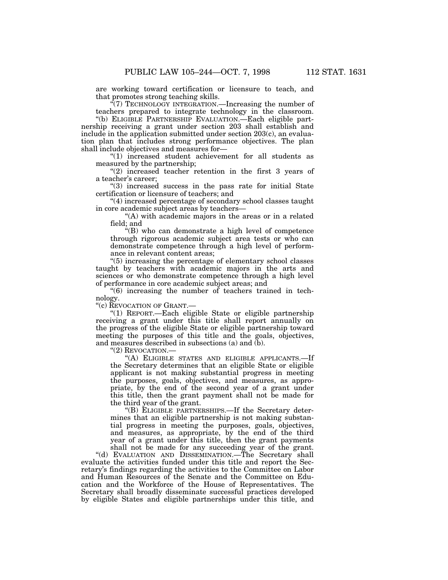are working toward certification or licensure to teach, and that promotes strong teaching skills.

(7) TECHNOLOGY INTEGRATION.—Increasing the number of teachers prepared to integrate technology in the classroom.

''(b) ELIGIBLE PARTNERSHIP EVALUATION.—Each eligible partnership receiving a grant under section 203 shall establish and include in the application submitted under section 203(c), an evaluation plan that includes strong performance objectives. The plan shall include objectives and measures for—

''(1) increased student achievement for all students as measured by the partnership;

" $(2)$  increased teacher retention in the first 3 years of a teacher's career;

''(3) increased success in the pass rate for initial State certification or licensure of teachers; and

''(4) increased percentage of secondary school classes taught in core academic subject areas by teachers—

"(A) with academic majors in the areas or in a related field; and

''(B) who can demonstrate a high level of competence through rigorous academic subject area tests or who can demonstrate competence through a high level of performance in relevant content areas;

''(5) increasing the percentage of elementary school classes taught by teachers with academic majors in the arts and sciences or who demonstrate competence through a high level of performance in core academic subject areas; and

''(6) increasing the number of teachers trained in technology.

''(c) REVOCATION OF GRANT.—

''(1) REPORT.—Each eligible State or eligible partnership receiving a grant under this title shall report annually on the progress of the eligible State or eligible partnership toward meeting the purposes of this title and the goals, objectives, and measures described in subsections (a) and (b).

''(2) REVOCATION.—

''(A) ELIGIBLE STATES AND ELIGIBLE APPLICANTS.—If the Secretary determines that an eligible State or eligible applicant is not making substantial progress in meeting the purposes, goals, objectives, and measures, as appropriate, by the end of the second year of a grant under this title, then the grant payment shall not be made for the third year of the grant.

''(B) ELIGIBLE PARTNERSHIPS.—If the Secretary determines that an eligible partnership is not making substantial progress in meeting the purposes, goals, objectives, and measures, as appropriate, by the end of the third year of a grant under this title, then the grant payments shall not be made for any succeeding year of the grant.

"(d) EVALUATION AND DISSEMINATION.—The Secretary shall evaluate the activities funded under this title and report the Secretary's findings regarding the activities to the Committee on Labor and Human Resources of the Senate and the Committee on Education and the Workforce of the House of Representatives. The Secretary shall broadly disseminate successful practices developed by eligible States and eligible partnerships under this title, and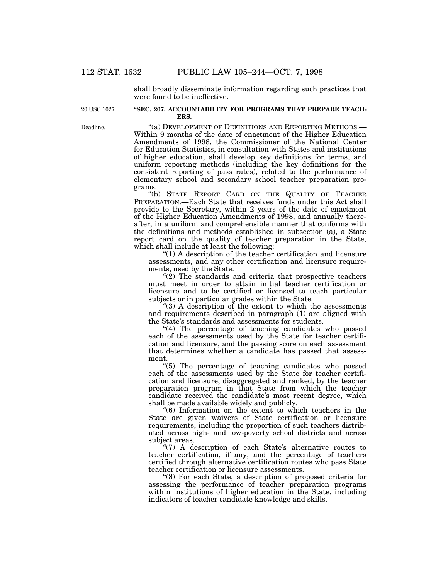shall broadly disseminate information regarding such practices that were found to be ineffective.

20 USC 1027.

Deadline.

### **''SEC. 207. ACCOUNTABILITY FOR PROGRAMS THAT PREPARE TEACH-ERS.**

''(a) DEVELOPMENT OF DEFINITIONS AND REPORTING METHODS.— Within 9 months of the date of enactment of the Higher Education Amendments of 1998, the Commissioner of the National Center for Education Statistics, in consultation with States and institutions of higher education, shall develop key definitions for terms, and uniform reporting methods (including the key definitions for the consistent reporting of pass rates), related to the performance of elementary school and secondary school teacher preparation programs.

"(b) STATE REPORT CARD ON THE QUALITY OF TEACHER PREPARATION.—Each State that receives funds under this Act shall provide to the Secretary, within 2 years of the date of enactment of the Higher Education Amendments of 1998, and annually thereafter, in a uniform and comprehensible manner that conforms with the definitions and methods established in subsection (a), a State report card on the quality of teacher preparation in the State, which shall include at least the following:

" $(1)$  A description of the teacher certification and licensure assessments, and any other certification and licensure requirements, used by the State.

" $(2)$  The standards and criteria that prospective teachers must meet in order to attain initial teacher certification or licensure and to be certified or licensed to teach particular subjects or in particular grades within the State.

" $(3)$  A description of the extent to which the assessments and requirements described in paragraph (1) are aligned with the State's standards and assessments for students.

"(4) The percentage of teaching candidates who passed each of the assessments used by the State for teacher certification and licensure, and the passing score on each assessment that determines whether a candidate has passed that assessment.

''(5) The percentage of teaching candidates who passed each of the assessments used by the State for teacher certification and licensure, disaggregated and ranked, by the teacher preparation program in that State from which the teacher candidate received the candidate's most recent degree, which shall be made available widely and publicly.

''(6) Information on the extent to which teachers in the State are given waivers of State certification or licensure requirements, including the proportion of such teachers distributed across high- and low-poverty school districts and across subject areas.

''(7) A description of each State's alternative routes to teacher certification, if any, and the percentage of teachers certified through alternative certification routes who pass State teacher certification or licensure assessments.

''(8) For each State, a description of proposed criteria for assessing the performance of teacher preparation programs within institutions of higher education in the State, including indicators of teacher candidate knowledge and skills.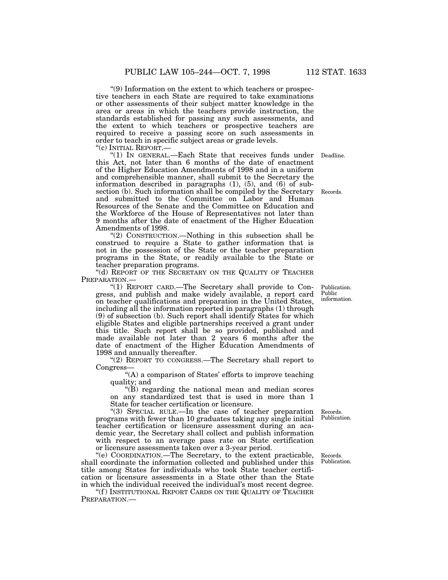''(9) Information on the extent to which teachers or prospective teachers in each State are required to take examinations or other assessments of their subject matter knowledge in the area or areas in which the teachers provide instruction, the standards established for passing any such assessments, and the extent to which teachers or prospective teachers are required to receive a passing score on such assessments in order to teach in specific subject areas or grade levels.

''(c) INITIAL REPORT.—

"(1) IN GENERAL.—Each State that receives funds under Deadline. this Act, not later than 6 months of the date of enactment of the Higher Education Amendments of 1998 and in a uniform and comprehensible manner, shall submit to the Secretary the information described in paragraphs (1), (5), and (6) of subsection (b). Such information shall be compiled by the Secretary and submitted to the Committee on Labor and Human Resources of the Senate and the Committee on Education and the Workforce of the House of Representatives not later than 9 months after the date of enactment of the Higher Education Amendments of 1998. Records.

''(2) CONSTRUCTION.—Nothing in this subsection shall be construed to require a State to gather information that is not in the possession of the State or the teacher preparation programs in the State, or readily available to the State or teacher preparation programs.

"(d) REPORT OF THE SECRETARY ON THE QUALITY OF TEACHER PREPARATION.

''(1) REPORT CARD.—The Secretary shall provide to Congress, and publish and make widely available, a report card on teacher qualifications and preparation in the United States, including all the information reported in paragraphs (1) through (9) of subsection (b). Such report shall identify States for which eligible States and eligible partnerships received a grant under this title. Such report shall be so provided, published and made available not later than 2 years 6 months after the date of enactment of the Higher Education Amendments of 1998 and annually thereafter.

"(2) REPORT TO CONGRESS.—The Secretary shall report to Congress—

''(A) a comparison of States' efforts to improve teaching quality; and

 $\mathrm{H}(B)$  regarding the national mean and median scores on any standardized test that is used in more than 1 State for teacher certification or licensure.

''(3) SPECIAL RULE.—In the case of teacher preparation programs with fewer than 10 graduates taking any single initial teacher certification or licensure assessment during an academic year, the Secretary shall collect and publish information with respect to an average pass rate on State certification or licensure assessments taken over a 3-year period.

''(e) COORDINATION.—The Secretary, to the extent practicable, shall coordinate the information collected and published under this title among States for individuals who took State teacher certification or licensure assessments in a State other than the State in which the individual received the individual's most recent degree.

''(f ) INSTITUTIONAL REPORT CARDS ON THE QUALITY OF TEACHER PREPARATION.—

Records. Publication.

Records. Publication.

Publication. Public information.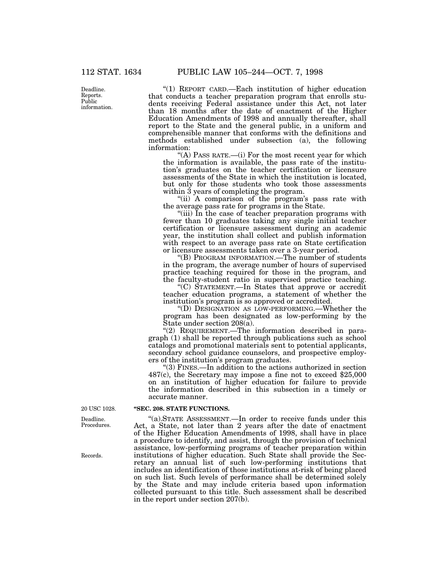Deadline. Reports. Public information.

''(1) REPORT CARD.—Each institution of higher education that conducts a teacher preparation program that enrolls students receiving Federal assistance under this Act, not later than 18 months after the date of enactment of the Higher Education Amendments of 1998 and annually thereafter, shall report to the State and the general public, in a uniform and comprehensible manner that conforms with the definitions and methods established under subsection (a), the following information:

"(A) PASS RATE.—(i) For the most recent year for which the information is available, the pass rate of the institution's graduates on the teacher certification or licensure assessments of the State in which the institution is located, but only for those students who took those assessments within  $\ddot{3}$  years of completing the program.

"(ii) A comparison of the program's pass rate with the average pass rate for programs in the State.

"(iii) In the case of teacher preparation programs with fewer than 10 graduates taking any single initial teacher certification or licensure assessment during an academic year, the institution shall collect and publish information with respect to an average pass rate on State certification or licensure assessments taken over a 3-year period.

''(B) PROGRAM INFORMATION.—The number of students in the program, the average number of hours of supervised practice teaching required for those in the program, and the faculty-student ratio in supervised practice teaching.

''(C) STATEMENT.—In States that approve or accredit teacher education programs, a statement of whether the institution's program is so approved or accredited.

''(D) DESIGNATION AS LOW-PERFORMING.—Whether the program has been designated as low-performing by the State under section 208(a).

"(2) REQUIREMENT.-The information described in paragraph (1) shall be reported through publications such as school catalogs and promotional materials sent to potential applicants, secondary school guidance counselors, and prospective employers of the institution's program graduates.

''(3) FINES.—In addition to the actions authorized in section 487(c), the Secretary may impose a fine not to exceed \$25,000 on an institution of higher education for failure to provide the information described in this subsection in a timely or accurate manner.

#### **''SEC. 208. STATE FUNCTIONS.**

''(a).STATE ASSESSMENT.—In order to receive funds under this Act, a State, not later than 2 years after the date of enactment of the Higher Education Amendments of 1998, shall have in place a procedure to identify, and assist, through the provision of technical assistance, low-performing programs of teacher preparation within institutions of higher education. Such State shall provide the Secretary an annual list of such low-performing institutions that includes an identification of those institutions at-risk of being placed on such list. Such levels of performance shall be determined solely by the State and may include criteria based upon information collected pursuant to this title. Such assessment shall be described in the report under section 207(b).

20 USC 1028.

Deadline. Procedures.

Records.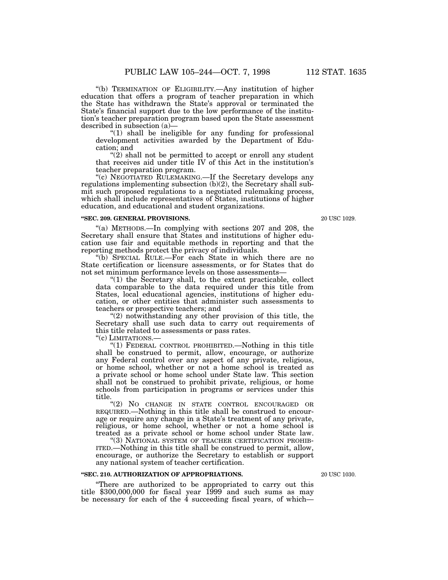''(b) TERMINATION OF ELIGIBILITY.—Any institution of higher education that offers a program of teacher preparation in which the State has withdrawn the State's approval or terminated the State's financial support due to the low performance of the institution's teacher preparation program based upon the State assessment described in subsection (a)—

''(1) shall be ineligible for any funding for professional development activities awarded by the Department of Education; and

"(2) shall not be permitted to accept or enroll any student that receives aid under title IV of this Act in the institution's teacher preparation program.

"(c) NEGOTIATED RULEMAKING.—If the Secretary develops any regulations implementing subsection (b)(2), the Secretary shall submit such proposed regulations to a negotiated rulemaking process, which shall include representatives of States, institutions of higher education, and educational and student organizations.

#### **''SEC. 209. GENERAL PROVISIONS.**

'(a) METHODS.—In complying with sections 207 and 208, the Secretary shall ensure that States and institutions of higher education use fair and equitable methods in reporting and that the reporting methods protect the privacy of individuals.

''(b) SPECIAL RULE.—For each State in which there are no State certification or licensure assessments, or for States that do not set minimum performance levels on those assessments—

''(1) the Secretary shall, to the extent practicable, collect data comparable to the data required under this title from States, local educational agencies, institutions of higher education, or other entities that administer such assessments to teachers or prospective teachers; and

''(2) notwithstanding any other provision of this title, the Secretary shall use such data to carry out requirements of this title related to assessments or pass rates.

''(c) LIMITATIONS.—

''(1) FEDERAL CONTROL PROHIBITED.—Nothing in this title shall be construed to permit, allow, encourage, or authorize any Federal control over any aspect of any private, religious, or home school, whether or not a home school is treated as a private school or home school under State law. This section shall not be construed to prohibit private, religious, or home schools from participation in programs or services under this title.

''(2) NO CHANGE IN STATE CONTROL ENCOURAGED OR REQUIRED.—Nothing in this title shall be construed to encourage or require any change in a State's treatment of any private, religious, or home school, whether or not a home school is treated as a private school or home school under State law.

"(3) NATIONAL SYSTEM OF TEACHER CERTIFICATION PROHIB-ITED.—Nothing in this title shall be construed to permit, allow, encourage, or authorize the Secretary to establish or support any national system of teacher certification.

#### **''SEC. 210. AUTHORIZATION OF APPROPRIATIONS.**

''There are authorized to be appropriated to carry out this title \$300,000,000 for fiscal year 1999 and such sums as may be necessary for each of the  $\ddot{4}$  succeeding fiscal years, of which—

20 USC 1030.

20 USC 1029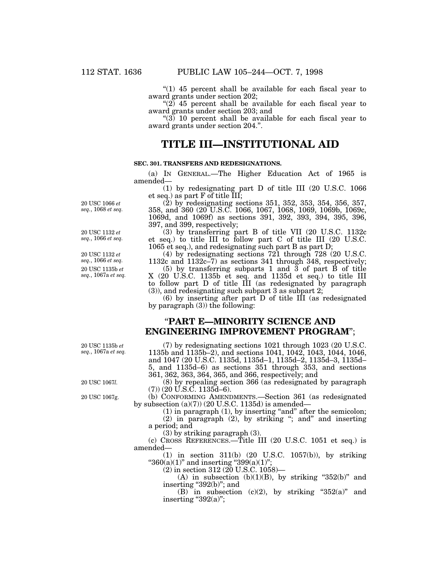" $(1)$  45 percent shall be available for each fiscal year to award grants under section 202;

" $(2)$  45 percent shall be available for each fiscal year to award grants under section 203; and

" $(3)$  10 percent shall be available for each fiscal year to award grants under section 204.''.

## **TITLE III—INSTITUTIONAL AID**

#### **SEC. 301. TRANSFERS AND REDESIGNATIONS.**

(a) IN GENERAL.—The Higher Education Act of 1965 is amended—

(1) by redesignating part D of title III (20 U.S.C. 1066 et seq.) as part F of title III;

(2) by redesignating sections 351, 352, 353, 354, 356, 357, 358, and 360 (20 U.S.C. 1066, 1067, 1068, 1069, 1069b, 1069c, 1069d, and 1069f) as sections 391, 392, 393, 394, 395, 396, 397, and 399, respectively;

(3) by transferring part B of title VII (20 U.S.C. 1132c et seq.) to title III to follow part C of title III (20 U.S.C. 1065 et seq.), and redesignating such part B as part D;

(4) by redesignating sections 721 through 728 (20 U.S.C. 1132c and 1132c–7) as sections 341 through 348, respectively;  $(5)$  by transferring subparts 1 and  $\overline{3}$  of part  $\overline{B}$  of title X (20 U.S.C. 1135b et seq. and 1135d et seq.) to title III

to follow part D of title III (as redesignated by paragraph (3)), and redesignating such subpart 3 as subpart 2;

(6) by inserting after part D of title III (as redesignated by paragraph (3)) the following:

## ''**PART E—MINORITY SCIENCE AND ENGINEERING IMPROVEMENT PROGRAM**'';

(7) by redesignating sections 1021 through 1023 (20 U.S.C. 1135b and 1135b–2), and sections 1041, 1042, 1043, 1044, 1046, and 1047 (20 U.S.C. 1135d, 1135d–1, 1135d–2, 1135d–3, 1135d– 5, and 1135d–6) as sections 351 through 353, and sections 361, 362, 363, 364, 365, and 366, respectively; and

(8) by repealing section 366 (as redesignated by paragraph  $(7)$ )  $(20 \text{ U.S.C. } 1135d - 6)$ .

(b) CONFORMING AMENDMENTS.—Section 361 (as redesignated by subsection  $(a)(7)$  (20 U.S.C. 1135d) is amended–

 $(1)$  in paragraph  $(1)$ , by inserting "and" after the semicolon;  $(2)$  in paragraph  $(2)$ , by striking "; and" and inserting a period; and

(3) by striking paragraph (3).

(c) CROSS REFERENCES.—Title III (20 U.S.C. 1051 et seq.) is amended—

(1) in section 311(b) (20 U.S.C. 1057(b)), by striking " $360(a)(1)$ " and inserting " $399(a)(1)$ ";

(2) in section 312 (20 U.S.C. 1058)—

(A) in subsection (b)(1)(B), by striking " $352(b)$ " and inserting " $392(b)$ "; and

(B) in subsection  $(c)(2)$ , by striking "352 $(a)$ " and inserting " $392(a)$ ";

20 USC 1135b *et seq.*, 1067a *et seq.*

20 USC 1135b *et seq.*, 1067a *et seq.*

20 USC 1132 *et seq.*, 1066 *et seq.*

20 USC 1132 *et seq.*, 1066 *et seq.*

20 USC 1066 *et seq.*, 1068 *et seq.*

20 USC 1067*l.*

20 USC 1067g.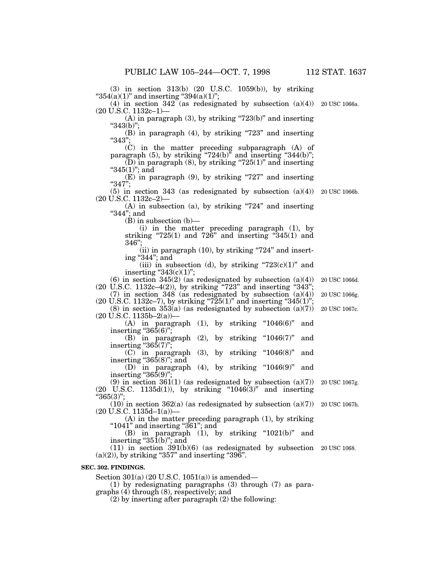(3) in section 313(b) (20 U.S.C. 1059(b)), by striking " $354(a)(1)$ " and inserting " $394(a)(1)$ ";

(4) in section 342 (as redesignated by subsection  $(a)(4)$ ) 20 USC 1066a. (20 U.S.C. 1132c–1)—

 $(A)$  in paragraph  $(3)$ , by striking "723 $(b)$ " and inserting "343(b)";

(B) in paragraph (4), by striking "723" and inserting "343"

(C) in the matter preceding subparagraph (A) of paragraph (5), by striking "724(b)" and inserting "344(b)"; (D) in paragraph  $(8)$ , by striking "725 $(1)$ " and inserting

" $345(1)$ "; and  $(E)$  in paragraph (9), by striking "727" and inserting

''347'';

 $(5)$  in section 343 (as redesignated by subsection  $(a)(4)$ ) 20 USC 1066b. (20 U.S.C. 1132c–2)—

 $(A)$  in subsection  $(a)$ , by striking "724" and inserting "344"; and

(B) in subsection (b)—

(i) in the matter preceding paragraph (1), by striking "725(1) and 72 $\overline{6}$ " and inserting "345(1) and  $346"$ 

 $(ii)$  in paragraph  $(10)$ , by striking "724" and inserting ''344''; and

(iii) in subsection (d), by striking " $723(c)(1)$ " and inserting " $343(c)(1)$ ";

(6) in section 345(2) (as redesignated by subsection  $(a)(4)$ ) (20 U.S.C. 1132c–4(2)), by striking ''723'' and inserting ''343''; (7) in section 348 (as redesignated by subsection (a)(4))  $(20 \text{ U.S.C. } 1132c-7)$ , by striking "725(1)" and inserting "345(1)"; 20 USC 1066g.

 $(8)$  in section 353 $(a)$  (as redesignated by subsection  $(a)(7)$ )  $(20 U.S.C. 1135b - 2(a))$ 

(A) in paragraph  $(1)$ , by striking "1046 $(6)$ " and inserting " $365(6)$ ";

(B) in paragraph  $(2)$ , by striking "1046 $(7)$ " and inserting " $36\overline{5}(7)$ ";

(C) in paragraph (3), by striking ''1046(8)'' and inserting ''365(8)''; and

(D) in paragraph  $(4)$ , by striking "1046 $(9)$ " and inserting ''365(9)'';

(9) in section  $361(1)$  (as redesignated by subsection  $(a)(7)$ )  $(20 \text{ U.S.C. } 1135d(1))$ , by striking "1046 $(3)$ " and inserting " $365(3)$ "; 20 USC 1067g.

 $(10)$  in section 362(a) (as redesignated by subsection  $(a)(7)$ ) 20 USC 1067h.  $(20 \text{ U.S.C. } 1135d-1(a))$ 

(A) in the matter preceding paragraph (1), by striking " $1041"$  and inserting " $361"$ ; and

(B) in paragraph (1), by striking "1021(b)" and  $\operatorname{inserting}$  "35 $\tilde{1}$ (b)"; and

(11) in section 391(b)(6) (as redesignated by subsection 20 USC 1068.  $(a)(2)$ , by striking "357" and inserting "396".

#### **SEC. 302. FINDINGS.**

Section 301(a) (20 U.S.C. 1051(a)) is amended—

(1) by redesignating paragraphs (3) through (7) as para-

graphs (4) through (8), respectively; and

(2) by inserting after paragraph (2) the following:

20 USC 1066d.

20 USC 1067c.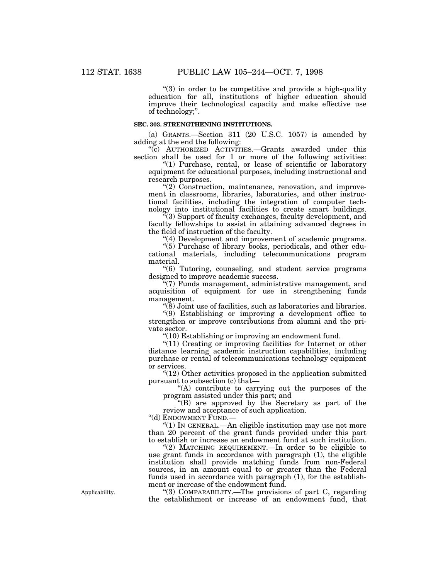''(3) in order to be competitive and provide a high-quality education for all, institutions of higher education should improve their technological capacity and make effective use of technology;''.

#### **SEC. 303. STRENGTHENING INSTITUTIONS.**

(a) GRANTS.—Section 311 (20 U.S.C. 1057) is amended by adding at the end the following:

"(c) AUTHORIZED ACTIVITIES.—Grants awarded under this section shall be used for 1 or more of the following activities:

"(1) Purchase, rental, or lease of scientific or laboratory equipment for educational purposes, including instructional and research purposes.

"(2) Construction, maintenance, renovation, and improvement in classrooms, libraries, laboratories, and other instructional facilities, including the integration of computer technology into institutional facilities to create smart buildings.

''(3) Support of faculty exchanges, faculty development, and faculty fellowships to assist in attaining advanced degrees in the field of instruction of the faculty.

"(4) Development and improvement of academic programs.

''(5) Purchase of library books, periodicals, and other educational materials, including telecommunications program material.

''(6) Tutoring, counseling, and student service programs designed to improve academic success.

 $\mathcal{F}(7)$  Funds management, administrative management, and acquisition of equipment for use in strengthening funds management.

 $\tilde{B}$ ) Joint use of facilities, such as laboratories and libraries.

''(9) Establishing or improving a development office to strengthen or improve contributions from alumni and the private sector.

 $(10)$  Establishing or improving an endowment fund.

"(11) Creating or improving facilities for Internet or other distance learning academic instruction capabilities, including purchase or rental of telecommunications technology equipment or services.

 $(12)$  Other activities proposed in the application submitted pursuant to subsection (c) that—

 $(A)$  contribute to carrying out the purposes of the program assisted under this part; and

''(B) are approved by the Secretary as part of the review and acceptance of such application.

"(d) ENDOWMENT FUND.-

''(1) IN GENERAL.—An eligible institution may use not more than 20 percent of the grant funds provided under this part to establish or increase an endowment fund at such institution.

"(2) MATCHING REQUIREMENT. - In order to be eligible to use grant funds in accordance with paragraph (1), the eligible institution shall provide matching funds from non-Federal sources, in an amount equal to or greater than the Federal funds used in accordance with paragraph (1), for the establishment or increase of the endowment fund.

''(3) COMPARABILITY.—The provisions of part C, regarding the establishment or increase of an endowment fund, that

Applicability.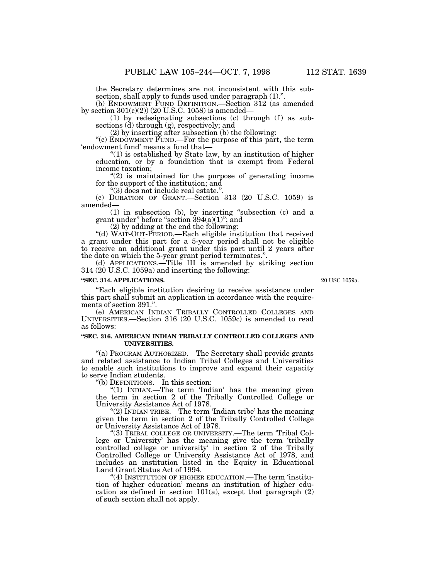the Secretary determines are not inconsistent with this subsection, shall apply to funds used under paragraph  $(1)$ .".

(b) ENDOWMENT FUND DEFINITION.—Section 312 (as amended by section 301(c)(2)) (20 U.S.C. 1058) is amended—

(1) by redesignating subsections (c) through (f) as subsections (d) through (g), respectively; and

(2) by inserting after subsection (b) the following:

''(c) ENDOWMENT FUND.—For the purpose of this part, the term 'endowment fund' means a fund that—

" $(1)$  is established by State law, by an institution of higher education, or by a foundation that is exempt from Federal income taxation;

 $(2)$  is maintained for the purpose of generating income for the support of the institution; and

''(3) does not include real estate.''.

(c) DURATION OF GRANT.—Section 313 (20 U.S.C. 1059) is amended—

(1) in subsection (b), by inserting ''subsection (c) and a grant under'' before ''section 394(a)(1)''; and

(2) by adding at the end the following:

''(d) WAIT-OUT-PERIOD.—Each eligible institution that received a grant under this part for a 5-year period shall not be eligible to receive an additional grant under this part until 2 years after the date on which the 5-year grant period terminates.''.

(d) APPLICATIONS.—Title III is amended by striking section 314 (20 U.S.C. 1059a) and inserting the following:

#### **''SEC. 314. APPLICATIONS.**

''Each eligible institution desiring to receive assistance under this part shall submit an application in accordance with the requirements of section 391."

(e) AMERICAN INDIAN TRIBALLY CONTROLLED COLLEGES AND UNIVERSITIES.—Section 316 (20 U.S.C. 1059c) is amended to read as follows:

#### **''SEC. 316. AMERICAN INDIAN TRIBALLY CONTROLLED COLLEGES AND UNIVERSITIES.**

''(a) PROGRAM AUTHORIZED.—The Secretary shall provide grants and related assistance to Indian Tribal Colleges and Universities to enable such institutions to improve and expand their capacity to serve Indian students.

''(b) DEFINITIONS.—In this section:

"(1) INDIAN.—The term 'Indian' has the meaning given the term in section 2 of the Tribally Controlled College or University Assistance Act of 1978.

"(2) INDIAN TRIBE.—The term 'Indian tribe' has the meaning given the term in section 2 of the Tribally Controlled College or University Assistance Act of 1978.

''(3) TRIBAL COLLEGE OR UNIVERSITY.—The term 'Tribal College or University' has the meaning give the term 'tribally controlled college or university' in section 2 of the Tribally Controlled College or University Assistance Act of 1978, and includes an institution listed in the Equity in Educational Land Grant Status Act of 1994.

''(4) INSTITUTION OF HIGHER EDUCATION.—The term 'institution of higher education' means an institution of higher education as defined in section 101(a), except that paragraph (2) of such section shall not apply.

20 USC 1059a.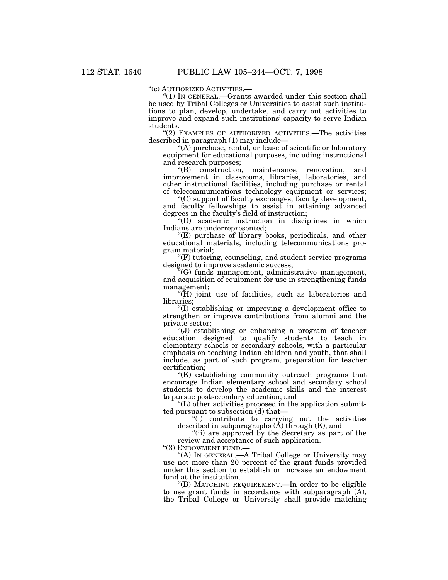''(c) AUTHORIZED ACTIVITIES.— ''(1) IN GENERAL.—Grants awarded under this section shall be used by Tribal Colleges or Universities to assist such institutions to plan, develop, undertake, and carry out activities to improve and expand such institutions' capacity to serve Indian students.

"(2) EXAMPLES OF AUTHORIZED ACTIVITIES.—The activities described in paragraph (1) may include—

''(A) purchase, rental, or lease of scientific or laboratory equipment for educational purposes, including instructional and research purposes;

''(B) construction, maintenance, renovation, and improvement in classrooms, libraries, laboratories, and other instructional facilities, including purchase or rental of telecommunications technology equipment or services;

''(C) support of faculty exchanges, faculty development, and faculty fellowships to assist in attaining advanced degrees in the faculty's field of instruction;

''(D) academic instruction in disciplines in which Indians are underrepresented;

 $E(E)$  purchase of library books, periodicals, and other educational materials, including telecommunications program material;

 $F(F)$  tutoring, counseling, and student service programs designed to improve academic success;

 $\mathcal{C}(G)$  funds management, administrative management, and acquisition of equipment for use in strengthening funds management;

''(H) joint use of facilities, such as laboratories and libraries;

''(I) establishing or improving a development office to strengthen or improve contributions from alumni and the private sector;

''(J) establishing or enhancing a program of teacher education designed to qualify students to teach in elementary schools or secondary schools, with a particular emphasis on teaching Indian children and youth, that shall include, as part of such program, preparation for teacher certification;

''(K) establishing community outreach programs that encourage Indian elementary school and secondary school students to develop the academic skills and the interest to pursue postsecondary education; and

''(L) other activities proposed in the application submitted pursuant to subsection (d) that—

''(i) contribute to carrying out the activities described in subparagraphs  $(A)$  through  $(K)$ ; and

"(ii) are approved by the Secretary as part of the review and acceptance of such application.

"(3) ENDOWMENT FUND.-

''(A) IN GENERAL.—A Tribal College or University may use not more than 20 percent of the grant funds provided under this section to establish or increase an endowment fund at the institution.

''(B) MATCHING REQUIREMENT.—In order to be eligible to use grant funds in accordance with subparagraph (A), the Tribal College or University shall provide matching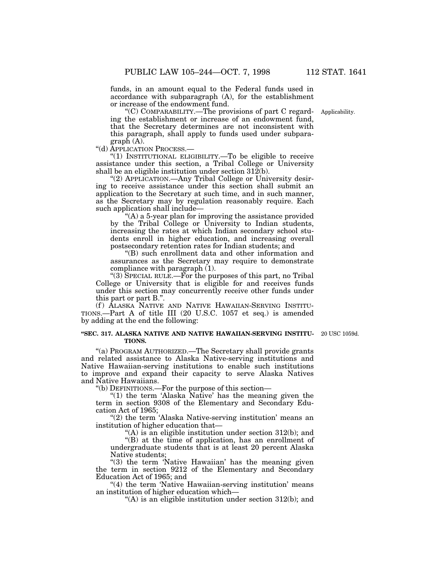funds, in an amount equal to the Federal funds used in accordance with subparagraph (A), for the establishment or increase of the endowment fund.

''(C) COMPARABILITY.—The provisions of part C regard-Applicability.ing the establishment or increase of an endowment fund, that the Secretary determines are not inconsistent with this paragraph, shall apply to funds used under subpara $graph(A)$ .

''(d) APPLICATION PROCESS.—

''(1) INSTITUTIONAL ELIGIBILITY.—To be eligible to receive assistance under this section, a Tribal College or University shall be an eligible institution under section 312(b).

''(2) APPLICATION.—Any Tribal College or University desiring to receive assistance under this section shall submit an application to the Secretary at such time, and in such manner, as the Secretary may by regulation reasonably require. Each such application shall include—

"(A) a 5-year plan for improving the assistance provided by the Tribal College or University to Indian students, increasing the rates at which Indian secondary school students enroll in higher education, and increasing overall postsecondary retention rates for Indian students; and

''(B) such enrollment data and other information and assurances as the Secretary may require to demonstrate compliance with paragraph (1).

''(3) SPECIAL RULE.—For the purposes of this part, no Tribal College or University that is eligible for and receives funds under this section may concurrently receive other funds under this part or part B.''.

(f) ALASKA NATIVE AND NATIVE HAWAIIAN-SERVING INSTITU-TIONS.—Part A of title III (20 U.S.C. 1057 et seq.) is amended by adding at the end the following:

#### **''SEC. 317. ALASKA NATIVE AND NATIVE HAWAIIAN-SERVING INSTITU-**20 USC 1059d. **TIONS.**

''(a) PROGRAM AUTHORIZED.—The Secretary shall provide grants and related assistance to Alaska Native-serving institutions and Native Hawaiian-serving institutions to enable such institutions to improve and expand their capacity to serve Alaska Natives and Native Hawaiians.

''(b) DEFINITIONS.—For the purpose of this section—

" $(1)$  the term 'Alaska Native' has the meaning given the term in section 9308 of the Elementary and Secondary Education Act of 1965;

"(2) the term 'Alaska Native-serving institution' means an institution of higher education that—

"(A) is an eligible institution under section  $312(b)$ ; and

''(B) at the time of application, has an enrollment of undergraduate students that is at least 20 percent Alaska Native students;

" $(3)$  the term 'Native Hawaiian' has the meaning given the term in section 9212 of the Elementary and Secondary Education Act of 1965; and

 $(4)$  the term 'Native Hawaiian-serving institution' means an institution of higher education which—

"(A) is an eligible institution under section 312(b); and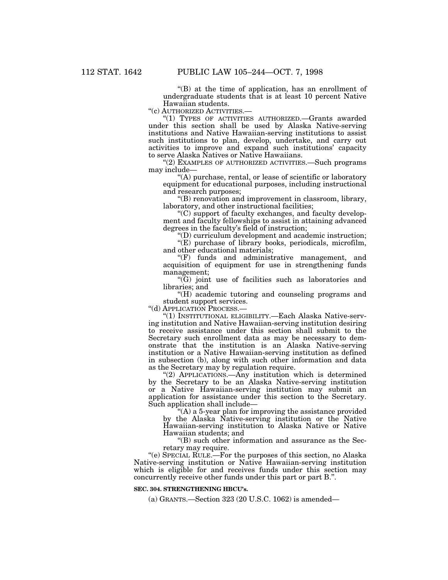''(B) at the time of application, has an enrollment of undergraduate students that is at least 10 percent Native Hawaiian students.

''(c) AUTHORIZED ACTIVITIES.—

"(1) TYPES OF ACTIVITIES AUTHORIZED.—Grants awarded under this section shall be used by Alaska Native-serving institutions and Native Hawaiian-serving institutions to assist such institutions to plan, develop, undertake, and carry out activities to improve and expand such institutions' capacity to serve Alaska Natives or Native Hawaiians.

''(2) EXAMPLES OF AUTHORIZED ACTIVITIES.—Such programs may include—

''(A) purchase, rental, or lease of scientific or laboratory equipment for educational purposes, including instructional and research purposes;

''(B) renovation and improvement in classroom, library, laboratory, and other instructional facilities;

''(C) support of faculty exchanges, and faculty development and faculty fellowships to assist in attaining advanced degrees in the faculty's field of instruction;

(D) curriculum development and academic instruction; "(E) purchase of library books, periodicals, microfilm, and other educational materials;

''(F) funds and administrative management, and acquisition of equipment for use in strengthening funds management;

 $\sqrt[\infty]{G}$  joint use of facilities such as laboratories and libraries; and

''(H) academic tutoring and counseling programs and student support services.

''(d) APPLICATION PROCESS.—

''(1) INSTITUTIONAL ELIGIBILITY.—Each Alaska Native-serving institution and Native Hawaiian-serving institution desiring to receive assistance under this section shall submit to the Secretary such enrollment data as may be necessary to demonstrate that the institution is an Alaska Native-serving institution or a Native Hawaiian-serving institution as defined in subsection (b), along with such other information and data as the Secretary may by regulation require.

''(2) APPLICATIONS.—Any institution which is determined by the Secretary to be an Alaska Native-serving institution or a Native Hawaiian-serving institution may submit an application for assistance under this section to the Secretary. Such application shall include—

 $f(A)$  a 5-year plan for improving the assistance provided by the Alaska Native-serving institution or the Native Hawaiian-serving institution to Alaska Native or Native Hawaiian students; and

''(B) such other information and assurance as the Secretary may require.

''(e) SPECIAL RULE.—For the purposes of this section, no Alaska Native-serving institution or Native Hawaiian-serving institution which is eligible for and receives funds under this section may concurrently receive other funds under this part or part B.''.

### **SEC. 304. STRENGTHENING HBCU's.**

(a) GRANTS.—Section 323 (20 U.S.C. 1062) is amended—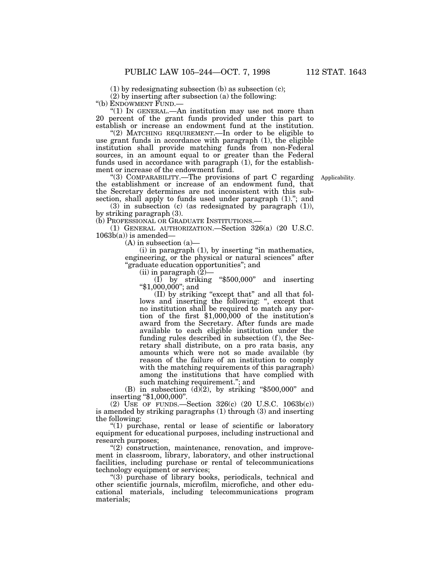(1) by redesignating subsection (b) as subsection (c);

(2) by inserting after subsection (a) the following: "(b)  $\text{END}$  when  $\text{END}$ .

"(1) IN GENERAL.—An institution may use not more than 20 percent of the grant funds provided under this part to establish or increase an endowment fund at the institution.

"(2) MATCHING REQUIREMENT.—In order to be eligible to use grant funds in accordance with paragraph (1), the eligible institution shall provide matching funds from non-Federal sources, in an amount equal to or greater than the Federal funds used in accordance with paragraph (1), for the establishment or increase of the endowment fund.

Applicability.

''(3) COMPARABILITY.—The provisions of part C regarding the establishment or increase of an endowment fund, that the Secretary determines are not inconsistent with this subsection, shall apply to funds used under paragraph  $(1)$ ."; and

(3) in subsection (c) (as redesignated by paragraph (1)), by striking paragraph (3).

(b) PROFESSIONAL OR GRADUATE INSTITUTIONS.—

(1) GENERAL AUTHORIZATION.—Section 326(a) (20 U.S.C.  $1063b(a)$  is amended—

(A) in subsection (a)—

(i) in paragraph (1), by inserting ''in mathematics, engineering, or the physical or natural sciences'' after ''graduate education opportunities''; and

(ii) in paragraph  $(2)$ —

(I) by striking ''\$500,000'' and inserting " $$1,000,000$ "; and

(II) by striking ''except that'' and all that follows and inserting the following: ", except that no institution shall be required to match any portion of the first \$1,000,000 of the institution's award from the Secretary. After funds are made available to each eligible institution under the funding rules described in subsection (f), the Secretary shall distribute, on a pro rata basis, any amounts which were not so made available (by reason of the failure of an institution to comply with the matching requirements of this paragraph) among the institutions that have complied with such matching requirement.''; and

(B) in subsection  $(d)$  $(2)$ , by striking "\$500,000" and inserting "\$1,000,000".

(2) USE OF FUNDS.—Section  $326(c)$  (20 U.S.C.  $1063b(c)$ ) is amended by striking paragraphs (1) through (3) and inserting the following:

"(1) purchase, rental or lease of scientific or laboratory equipment for educational purposes, including instructional and research purposes;

"(2) construction, maintenance, renovation, and improvement in classroom, library, laboratory, and other instructional facilities, including purchase or rental of telecommunications technology equipment or services;

"(3) purchase of library books, periodicals, technical and other scientific journals, microfilm, microfiche, and other educational materials, including telecommunications program materials;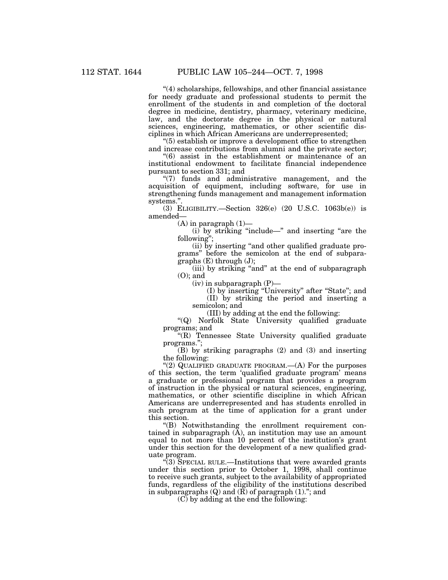''(4) scholarships, fellowships, and other financial assistance for needy graduate and professional students to permit the enrollment of the students in and completion of the doctoral degree in medicine, dentistry, pharmacy, veterinary medicine, law, and the doctorate degree in the physical or natural sciences, engineering, mathematics, or other scientific disciplines in which African Americans are underrepresented;

''(5) establish or improve a development office to strengthen and increase contributions from alumni and the private sector;

''(6) assist in the establishment or maintenance of an institutional endowment to facilitate financial independence pursuant to section 331; and

''(7) funds and administrative management, and the acquisition of equipment, including software, for use in strengthening funds management and management information systems.''.

(3) ELIGIBILITY.—Section 326(e) (20 U.S.C. 1063b(e)) is amended—

 $(A)$  in paragraph  $(1)$ —

(i) by striking "include—" and inserting "are the following'';

(ii) by inserting ''and other qualified graduate programs'' before the semicolon at the end of subparagraphs (E) through (J);

(iii) by striking ''and'' at the end of subparagraph (O); and

 $(iv)$  in subparagraph  $(P)$ —

(I) by inserting ''University'' after ''State''; and (II) by striking the period and inserting a semicolon; and

(III) by adding at the end the following:

''(Q) Norfolk State University qualified graduate programs; and

''(R) Tennessee State University qualified graduate programs.'';

(B) by striking paragraphs (2) and (3) and inserting the following:

"(2) QUALIFIED GRADUATE PROGRAM.— $(A)$  For the purposes of this section, the term 'qualified graduate program' means a graduate or professional program that provides a program of instruction in the physical or natural sciences, engineering, mathematics, or other scientific discipline in which African Americans are underrepresented and has students enrolled in such program at the time of application for a grant under this section.

''(B) Notwithstanding the enrollment requirement contained in subparagraph  $(A)$ , an institution may use an amount equal to not more than 10 percent of the institution's grant under this section for the development of a new qualified graduate program.

''(3) SPECIAL RULE.—Institutions that were awarded grants under this section prior to October 1, 1998, shall continue to receive such grants, subject to the availability of appropriated funds, regardless of the eligibility of the institutions described in subparagraphs  $(Q)$  and  $(\overline{R})$  of paragraph  $(1)$ ."; and

 $(C)$  by adding at the end the following: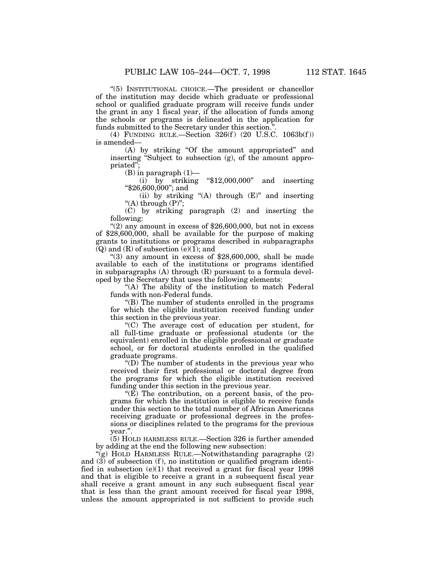''(5) INSTITUTIONAL CHOICE.—The president or chancellor of the institution may decide which graduate or professional school or qualified graduate program will receive funds under the grant in any 1 fiscal year, if the allocation of funds among the schools or programs is delineated in the application for funds submitted to the Secretary under this section.''.

(4) FUNDING RULE.—Section  $326(f)$  (20 U.S.C.  $1063b(f)$ ) is amended—

(A) by striking ''Of the amount appropriated'' and inserting ''Subject to subsection (g), of the amount appropriated'';

(B) in paragraph  $(1)$ —<br>(i) by striking " $$12,000,000"$  and inserting ''\$26,600,000''; and

(ii) by striking " $(A)$  through  $(E)$ " and inserting "(A) through  $(P)$ ";

(C) by striking paragraph (2) and inserting the following:

" $(2)$  any amount in excess of \$26,600,000, but not in excess of \$28,600,000, shall be available for the purpose of making grants to institutions or programs described in subparagraphs  $(Q)$  and  $(R)$  of subsection  $(e)(1)$ ; and

" $(3)$  any amount in excess of \$28,600,000, shall be made available to each of the institutions or programs identified in subparagraphs (A) through (R) pursuant to a formula developed by the Secretary that uses the following elements:

''(A) The ability of the institution to match Federal funds with non-Federal funds.

''(B) The number of students enrolled in the programs for which the eligible institution received funding under this section in the previous year.

''(C) The average cost of education per student, for all full-time graduate or professional students (or the equivalent) enrolled in the eligible professional or graduate school, or for doctoral students enrolled in the qualified graduate programs.

''(D) The number of students in the previous year who received their first professional or doctoral degree from the programs for which the eligible institution received funding under this section in the previous year.

" $(E)$  The contribution, on a percent basis, of the programs for which the institution is eligible to receive funds under this section to the total number of African Americans receiving graduate or professional degrees in the professions or disciplines related to the programs for the previous year.''.

(5) HOLD HARMLESS RULE.—Section 326 is further amended by adding at the end the following new subsection:

"(g) HOLD HARMLESS RULE.—Notwithstanding paragraphs  $(2)$ and  $(3)$  of subsection  $(f)$ , no institution or qualified program identified in subsection (e)(1) that received a grant for fiscal year 1998 and that is eligible to receive a grant in a subsequent fiscal year shall receive a grant amount in any such subsequent fiscal year that is less than the grant amount received for fiscal year 1998, unless the amount appropriated is not sufficient to provide such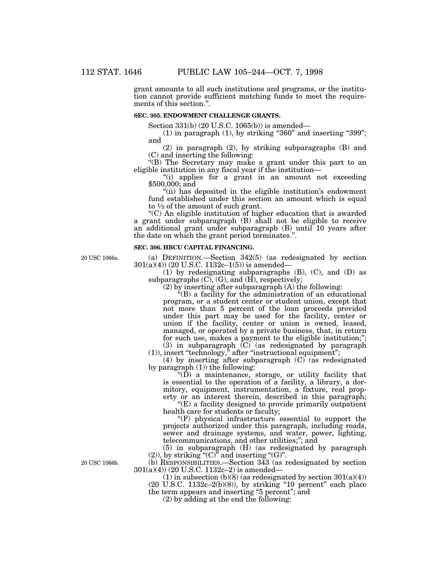grant amounts to all such institutions and programs, or the institution cannot provide sufficient matching funds to meet the requirements of this section.''.

#### **SEC. 305. ENDOWMENT CHALLENGE GRANTS.**

Section 331(b) (20 U.S.C. 1065(b)) is amended—

 $(1)$  in paragraph  $(1)$ , by striking "360" and inserting "399"; and

(2) in paragraph (2), by striking subparagraphs (B) and (C) and inserting the following:

''(B) The Secretary may make a grant under this part to an eligible institution in any fiscal year if the institution—

"(i) applies for a grant in an amount not exceeding \$500,000; and

''(ii) has deposited in the eligible institution's endowment fund established under this section an amount which is equal to  $\frac{1}{2}$  of the amount of such grant.

''(C) An eligible institution of higher education that is awarded a grant under subparagraph (B) shall not be eligible to receive an additional grant under subparagraph (B) until 10 years after the date on which the grant period terminates.''.

#### **SEC. 306. HBCU CAPITAL FINANCING.**

20 USC 1066a.

301(a)(4)) (20 U.S.C. 1132c–1(5)) is amended— (1) by redesignating subparagraphs (B), (C), and (D) as subparagraphs  $(C)$ ,  $(G)$ , and  $(H)$ , respectively;

(a) DEFINITION.—Section 342(5) (as redesignated by section

(2) by inserting after subparagraph (A) the following:

 $\hat{H}(B)$  a facility for the administration of an educational program, or a student center or student union, except that not more than 5 percent of the loan proceeds provided under this part may be used for the facility, center or union if the facility, center or union is owned, leased, managed, or operated by a private business, that, in return for such use, makes a payment to the eligible institution;''; (3) in subparagraph (C) (as redesignated by paragraph

(1)), insert ''technology,'' after ''instructional equipment''; (4) by inserting after subparagraph (C) (as redesignated

by paragraph (1)) the following: ''(D) a maintenance, storage, or utility facility that

is essential to the operation of a facility, a library, a dormitory, equipment, instrumentation, a fixture, real property or an interest therein, described in this paragraph; ''(E) a facility designed to provide primarily outpatient

health care for students or faculty;

''(F) physical infrastructure essential to support the projects authorized under this paragraph, including roads, sewer and drainage systems, and water, power, lighting, telecommunications, and other utilities;''; and

(5) in subparagraph (H) (as redesignated by paragraph  $(2)$ ), by striking " $(C)^{\tilde{v}}$  and inserting " $(G)$ ".

(b) RESPONSIBILITIES.—Section 343 (as redesignated by section 301(a)(4)) (20 U.S.C. 1132c–2) is amended—

(1) in subsection  $(b)(8)$  (as redesignated by section  $301(a)(4)$ )

 $(20 \text{ U.S.C. } 1132c-2(b)(8))$ , by striking "10 percent" each place the term appears and inserting "5 percent"; and

(2) by adding at the end the following:

20 USC 1066b.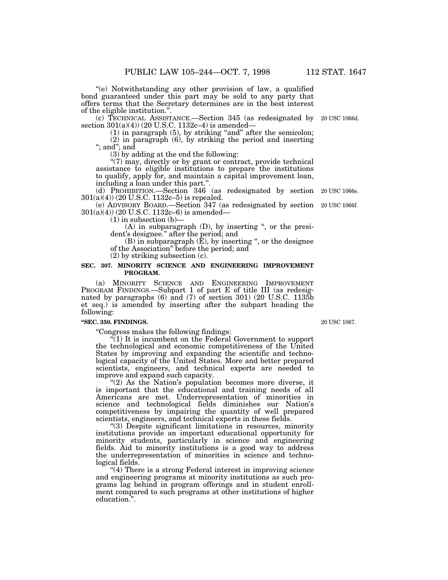''(e) Notwithstanding any other provision of law, a qualified bond guaranteed under this part may be sold to any party that offers terms that the Secretary determines are in the best interest of the eligible institution.''.

(c) TECHNICAL ASSISTANCE.—Section 345 (as redesignated by 20 USC 1066d.section  $301(a)(4)$  (20 U.S.C. 1132c-4) is amended—

 $(1)$  in paragraph  $(5)$ , by striking "and" after the semicolon; (2) in paragraph (6), by striking the period and inserting ''; and''; and

(3) by adding at the end the following:

 $\cdot\hat{f}(7)$  may, directly or by grant or contract, provide technical assistance to eligible institutions to prepare the institutions to qualify, apply for, and maintain a capital improvement loan, including a loan under this part.''.

(d) PROHIBITION.—Section 346 (as redesignated by section 20 USC 1066e. 301(a)(4)) (20 U.S.C. 1132c–5) is repealed.

(e) ADVISORY BOARD.—Section 347 (as redesignated by section (e) ADVISORY BOARD.—Section 347 (as redesignated by section 20 USC 1066f.<br> $301(a)(4)$  (20 U.S.C. 1132c–6) is amended—

 $(1)$  in subsection  $(b)$ –

 $(A)$  in subparagraph  $(D)$ , by inserting ", or the president's designee.'' after the period; and

 $(B)$  in subparagraph  $(\hat{E})$ , by inserting ", or the designee of the Association'' before the period; and

(2) by striking subsection (c).

#### **SEC. 307. MINORITY SCIENCE AND ENGINEERING IMPROVEMENT PROGRAM.**

(a) MINORITY SCIENCE AND ENGINEERING IMPROVEMENT PROGRAM FINDINGS.—Subpart 1 of part E of title III (as redesignated by paragraphs (6) and (7) of section 301) (20 U.S.C. 1135b et seq.) is amended by inserting after the subpart heading the following:

#### **''SEC. 350. FINDINGS.**

''Congress makes the following findings:

 $\mathcal{F}(1)$  It is incumbent on the Federal Government to support the technological and economic competitiveness of the United States by improving and expanding the scientific and technological capacity of the United States. More and better prepared scientists, engineers, and technical experts are needed to improve and expand such capacity.

"(2) As the Nation's population becomes more diverse, it is important that the educational and training needs of all Americans are met. Underrepresentation of minorities in science and technological fields diminishes our Nation's competitiveness by impairing the quantity of well prepared scientists, engineers, and technical experts in these fields.

''(3) Despite significant limitations in resources, minority institutions provide an important educational opportunity for minority students, particularly in science and engineering fields. Aid to minority institutions is a good way to address the underrepresentation of minorities in science and technological fields.

"(4) There is a strong Federal interest in improving science and engineering programs at minority institutions as such programs lag behind in program offerings and in student enrollment compared to such programs at other institutions of higher education.''.

20 USC 1067.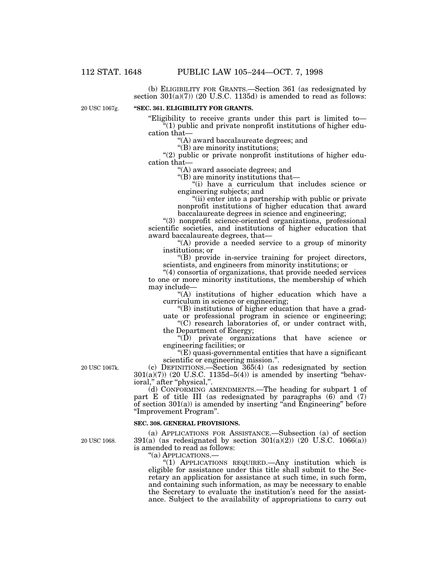(b) ELIGIBILITY FOR GRANTS.—Section 361 (as redesignated by section  $301(a)(7)$  (20 U.S.C. 1135d) is amended to read as follows:

20 USC 1067g.

### **''SEC. 361. ELIGIBILITY FOR GRANTS.**

''Eligibility to receive grants under this part is limited to—  $\mathcal{L}(1)$  public and private nonprofit institutions of higher edu-

cation that—

''(A) award baccalaureate degrees; and

''(B) are minority institutions;

" $(2)$  public or private nonprofit institutions of higher education that—

''(A) award associate degrees; and

''(B) are minority institutions that—

''(i) have a curriculum that includes science or engineering subjects; and

''(ii) enter into a partnership with public or private nonprofit institutions of higher education that award baccalaureate degrees in science and engineering;

''(3) nonprofit science-oriented organizations, professional scientific societies, and institutions of higher education that award baccalaureate degrees, that—

"(A) provide a needed service to a group of minority institutions; or

''(B) provide in-service training for project directors, scientists, and engineers from minority institutions; or

''(4) consortia of organizations, that provide needed services to one or more minority institutions, the membership of which may include—

"(A) institutions of higher education which have a curriculum in science or engineering;

''(B) institutions of higher education that have a graduate or professional program in science or engineering;

''(C) research laboratories of, or under contract with, the Department of Energy;

 $\sqrt{\text{D}}$  private organizations that have science or engineering facilities; or

''(E) quasi-governmental entities that have a significant scientific or engineering mission.''.

20 USC 1067k.

(c) DEFINITIONS.—Section 365(4) (as redesignated by section  $301(a)(7)$  (20 U.S.C. 1135d–5(4)) is amended by inserting "behavioral,'' after ''physical,''.

(d) CONFORMING AMENDMENTS.—The heading for subpart 1 of part E of title III (as redesignated by paragraphs (6) and (7) of section 301(a)) is amended by inserting "and Engineering" before ''Improvement Program''.

#### **SEC. 308. GENERAL PROVISIONS.**

(a) APPLICATIONS FOR ASSISTANCE.—Subsection (a) of section 391(a) (as redesignated by section  $301(a)(2)$  (20 U.S.C. 1066(a)) is amended to read as follows:

''(a) APPLICATIONS.—

''(1) APPLICATIONS REQUIRED.—Any institution which is eligible for assistance under this title shall submit to the Secretary an application for assistance at such time, in such form, and containing such information, as may be necessary to enable the Secretary to evaluate the institution's need for the assistance. Subject to the availability of appropriations to carry out

20 USC 1068.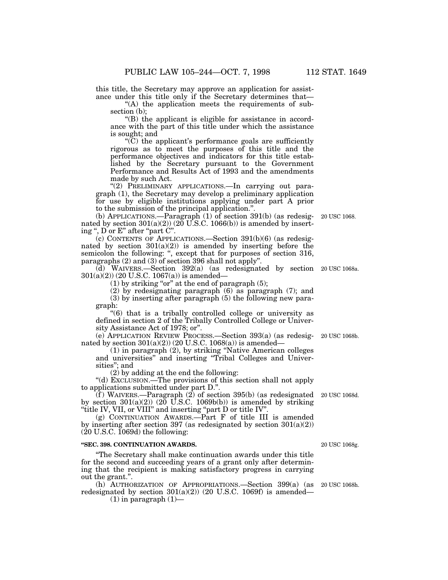this title, the Secretary may approve an application for assistance under this title only if the Secretary determines that—

 $(A)$  the application meets the requirements of subsection (b);

''(B) the applicant is eligible for assistance in accordance with the part of this title under which the assistance is sought; and

 $\widetilde{C}$ ) the applicant's performance goals are sufficiently rigorous as to meet the purposes of this title and the performance objectives and indicators for this title established by the Secretary pursuant to the Government Performance and Results Act of 1993 and the amendments made by such Act.

"(2) PRELIMINARY APPLICATIONS.—In carrying out paragraph (1), the Secretary may develop a preliminary application for use by eligible institutions applying under part A prior to the submission of the principal application.''.

(b) APPLICATIONS.—Paragraph  $(1)$  of section 391(b) (as redesignated by section  $301(a)(2)$  (20 U.S.C. 1066(b)) is amended by inserting '', D or E'' after ''part C''.

(c) CONTENTS OF APPLICATIONS.—Section 391(b)(6) (as redesignated by section  $301(a)(2)$  is amended by inserting before the semicolon the following: ", except that for purposes of section 316, paragraphs (2) and (3) of section 396 shall not apply''.

(d) WAIVERS.—Section 392(a) (as redesignated by section 20 USC 1068a.  $301(a)(2)$  (20 U.S.C. 1067(a)) is amended—

 $(1)$  by striking "or" at the end of paragraph  $(5)$ ;

(2) by redesignating paragraph (6) as paragraph (7); and

(3) by inserting after paragraph (5) the following new paragraph:

''(6) that is a tribally controlled college or university as defined in section 2 of the Tribally Controlled College or University Assistance Act of 1978; or''.

(e) APPLICATION REVIEW PROCESS.—Section 393(a) (as redesig-20 USC 1068b. nated by section  $301(a)(2)$ ) (20 U.S.C.  $1068(a)$ ) is amended—

(1) in paragraph (2), by striking ''Native American colleges and universities'' and inserting ''Tribal Colleges and Universities''; and

(2) by adding at the end the following:

''(d) EXCLUSION.—The provisions of this section shall not apply to applications submitted under part D.''.

(f ) WAIVERS.—Paragraph (2) of section 395(b) (as redesignated by section 301(a)(2)) (20 U.S.C. 1069b(b)) is amended by striking ''title IV, VII, or VIII'' and inserting ''part D or title IV''.

(g) CONTINUATION AWARDS.—Part F of title III is amended by inserting after section 397 (as redesignated by section  $301(a)(2)$ )  $(20 \text{ U.S.C. } 1069d)$  the following:

#### **''SEC. 398. CONTINUATION AWARDS.**

''The Secretary shall make continuation awards under this title for the second and succeeding years of a grant only after determining that the recipient is making satisfactory progress in carrying out the grant.''.

(h) AUTHORIZATION OF APPROPRIATIONS.—Section 399(a) (as 20 USC 1068h. redesignated by section  $301(a)(2)$  (20 U.S.C. 1069f) is amended—  $(1)$  in paragraph  $(1)$ —

20 USC 1068d.

20 USC 1068g.

20 USC 1068.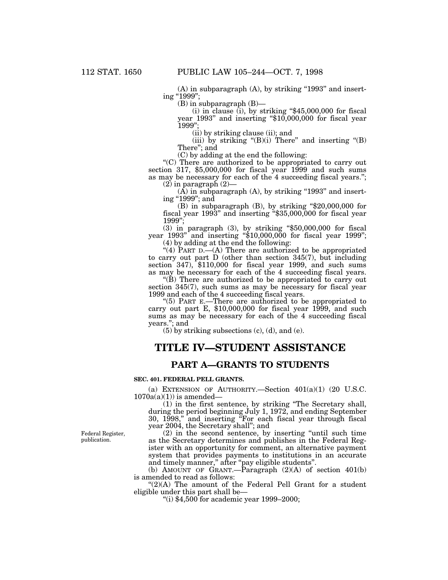$(A)$  in subparagraph  $(A)$ , by striking "1993" and inserting "1999";<br>(B) in subparagraph (B)—

(B) in subparagraph (B)— (i) in clause (i), by striking ''\$45,000,000 for fiscal year 1993'' and inserting ''\$10,000,000 for fiscal year 1999'';

(ii) by striking clause (ii); and

(iii) by striking  $\text{``}(B)(i)$  There" and inserting  $\text{``}(B)$ There''; and

(C) by adding at the end the following:

''(C) There are authorized to be appropriated to carry out section 317, \$5,000,000 for fiscal year 1999 and such sums as may be necessary for each of the 4 succeeding fiscal years.'';  $(2)$  in paragraph  $(2)$ -

 $(A)$  in subparagraph  $(A)$ , by striking "1993" and inserting "1999"; and

(B) in subparagraph (B), by striking ''\$20,000,000 for fiscal year 1993'' and inserting ''\$35,000,000 for fiscal year 1999'';

(3) in paragraph (3), by striking ''\$50,000,000 for fiscal year 1993'' and inserting ''\$10,000,000 for fiscal year 1999'';

(4) by adding at the end the following:

"(4) PART D.—(A) There are authorized to be appropriated to carry out part D (other than section 345(7), but including section 347), \$110,000 for fiscal year 1999, and such sums as may be necessary for each of the 4 succeeding fiscal years.

" $(\check{B})$  There are authorized to be appropriated to carry out section 345(7), such sums as may be necessary for fiscal year 1999 and each of the 4 succeeding fiscal years.

''(5) PART E.—There are authorized to be appropriated to carry out part E, \$10,000,000 for fiscal year 1999, and such sums as may be necessary for each of the 4 succeeding fiscal years.''; and

(5) by striking subsections (c), (d), and (e).

## **TITLE IV—STUDENT ASSISTANCE**

## **PART A—GRANTS TO STUDENTS**

## **SEC. 401. FEDERAL PELL GRANTS.**

(a) EXTENSION OF AUTHORITY.—Section  $401(a)(1)$  (20 U.S.C.  $1070a(a)(1)$ ) is amended—

(1) in the first sentence, by striking ''The Secretary shall, during the period beginning July 1, 1972, and ending September 30, 1998,'' and inserting ''For each fiscal year through fiscal year 2004, the Secretary shall''; and

(2) in the second sentence, by inserting ''until such time as the Secretary determines and publishes in the Federal Register with an opportunity for comment, an alternative payment system that provides payments to institutions in an accurate and timely manner,'' after ''pay eligible students''.

(b) AMOUNT OF GRANT.—Paragraph  $(2)(A)$  of section  $401(b)$ is amended to read as follows:

" $(2)(A)$  The amount of the Federal Pell Grant for a student eligible under this part shall be—

"(i)  $$4,500$  for academic year 1999–2000;

Federal Register, publication.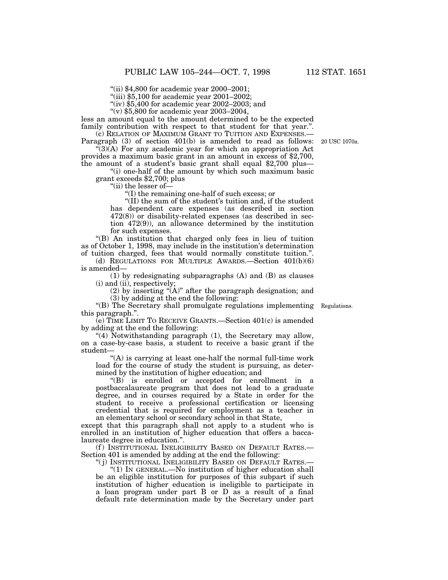"(ii)  $$4,800$  for academic year  $2000-2001$ ;

"(iii) \$5,100 for academic year 2001-2002;

"(iv)  $$5,400$  for academic year 2002–2003; and

"(v)  $$5,800$  for academic year 2003–2004,

less an amount equal to the amount determined to be the expected family contribution with respect to that student for that year.''. (c) RELATION OF MAXIMUM GRANT TO TUITION AND EXPENSES.—

Paragraph (3) of section 401(b) is amended to read as follows:

 $\sqrt{\left(3\right)}$ (A) For any academic year for which an appropriation Act provides a maximum basic grant in an amount in excess of \$2,700, the amount of a student's basic grant shall equal \$2,700 plus—

''(i) one-half of the amount by which such maximum basic grant exceeds \$2,700; plus

"(ii) the lesser of-

''(I) the remaining one-half of such excess; or

''(II) the sum of the student's tuition and, if the student has dependent care expenses (as described in section 472(8)) or disability-related expenses (as described in section 472(9)), an allowance determined by the institution for such expenses.

''(B) An institution that charged only fees in lieu of tuition as of October 1, 1998, may include in the institution's determination of tuition charged, fees that would normally constitute tuition.''.

(d) REGULATIONS FOR MULTIPLE AWARDS.—Section 401(b)(6) is amended—

(1) by redesignating subparagraphs (A) and (B) as clauses (i) and (ii), respectively;

(2) by inserting " $(A)$ " after the paragraph designation; and  $(3)$  by adding at the end the following:

''(B) The Secretary shall promulgate regulations implementing Regulations. this paragraph.''.

(e) TIME LIMIT TO RECEIVE GRANTS.—Section 401(c) is amended by adding at the end the following:

"(4) Notwithstanding paragraph  $(1)$ , the Secretary may allow, on a case-by-case basis, a student to receive a basic grant if the student—

 $(A)$  is carrying at least one-half the normal full-time work load for the course of study the student is pursuing, as determined by the institution of higher education; and

''(B) is enrolled or accepted for enrollment in a postbaccalaureate program that does not lead to a graduate degree, and in courses required by a State in order for the student to receive a professional certification or licensing credential that is required for employment as a teacher in an elementary school or secondary school in that State,

except that this paragraph shall not apply to a student who is enrolled in an institution of higher education that offers a baccalaureate degree in education.''.

(f) INSTITUTIONAL INELIGIBILITY BASED ON DEFAULT RATES.-Section 401 is amended by adding at the end the following:

"(j) INSTITUTIONAL INELIGIBILITY BASED ON DEFAULT RATES.—

''(1) IN GENERAL.—No institution of higher education shall be an eligible institution for purposes of this subpart if such institution of higher education is ineligible to participate in a loan program under part B or D as a result of a final default rate determination made by the Secretary under part

20 USC 1070a.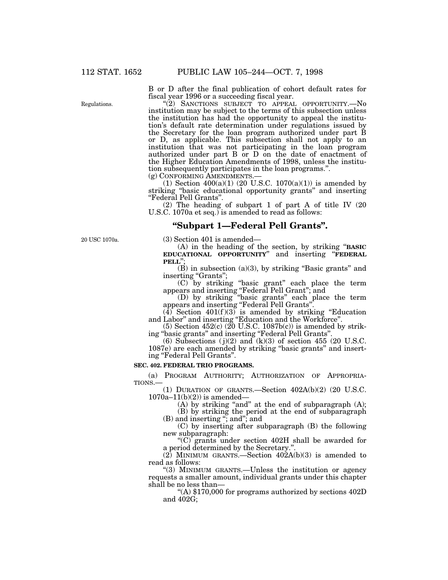Regulations.

B or D after the final publication of cohort default rates for fiscal year 1996 or a succeeding fiscal year.

"(2) SANCTIONS SUBJECT TO APPEAL OPPORTUNITY.—No institution may be subject to the terms of this subsection unless the institution has had the opportunity to appeal the institution's default rate determination under regulations issued by the Secretary for the loan program authorized under part B or D, as applicable. This subsection shall not apply to an institution that was not participating in the loan program authorized under part B or D on the date of enactment of the Higher Education Amendments of 1998, unless the institution subsequently participates in the loan programs.".<br> $(g)$  CONFORMING AMENDMENTS.—

(1) Section  $400(a)(1)$  (20 U.S.C. 1070(a)(1)) is amended by striking ''basic educational opportunity grants'' and inserting ''Federal Pell Grants''.

(2) The heading of subpart 1 of part A of title IV (20 U.S.C. 1070a et seq.) is amended to read as follows:

## **''Subpart 1—Federal Pell Grants''.**

20 USC 1070a.

(3) Section 401 is amended—

(A) in the heading of the section, by striking ''**BASIC EDUCATIONAL OPPORTUNITY**'' and inserting ''**FEDERAL PELL**'';

 $(B)$  in subsection  $(a)(3)$ , by striking "Basic grants" and inserting "Grants";

(C) by striking ''basic grant'' each place the term appears and inserting ''Federal Pell Grant''; and

(D) by striking ''basic grants'' each place the term appears and inserting ''Federal Pell Grants''.

 $(4)$  Section  $401(f)(3)$  is amended by striking "Education and Labor'' and inserting ''Education and the Workforce''.

 $(5)$  Section  $452(c)$   $(20 \text{ U.S.C. } 1087b(c))$  is amended by striking ''basic grants'' and inserting ''Federal Pell Grants''.

(6) Subsections ( $j(2)$  and  $(k)(3)$  of section 455 (20 U.S.C. 1087e) are each amended by striking ''basic grants'' and inserting ''Federal Pell Grants''.

#### **SEC. 402. FEDERAL TRIO PROGRAMS.**

(a) PROGRAM AUTHORITY; AUTHORIZATION OF APPROPRIATIONS.— $(1)$  DURATION OF GRANTS.—Section 402A(b)(2) (20 U.S.C.

 $1070a-11(b)(2)$  is amended-

(A) by striking "and" at the end of subparagraph (A);

(B) by striking the period at the end of subparagraph (B) and inserting ''; and''; and

(C) by inserting after subparagraph (B) the following new subparagraph:

''(C) grants under section 402H shall be awarded for a period determined by the Secretary.''.

 $(2)$  MINIMUM GRANTS.—Section  $402A(b)(3)$  is amended to read as follows:

''(3) MINIMUM GRANTS.—Unless the institution or agency requests a smaller amount, individual grants under this chapter shall be no less than—

''(A) \$170,000 for programs authorized by sections 402D and 402G;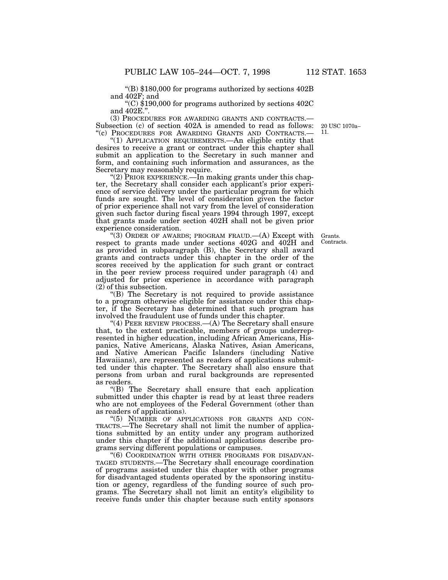''(B) \$180,000 for programs authorized by sections 402B and 402F; and

"(C)  $$190,000$  for programs authorized by sections  $402C$ and 402E.''.

(3) PROCEDURES FOR AWARDING GRANTS AND CONTRACTS.— Subsection (c) of section 402A is amended to read as follows: ''(c) PROCEDURES FOR AWARDING GRANTS AND CONTRACTS.—

"(1) APPLICATION REQUIREMENTS.—An eligible entity that desires to receive a grant or contract under this chapter shall submit an application to the Secretary in such manner and form, and containing such information and assurances, as the Secretary may reasonably require.

"(2) PRIOR EXPERIENCE.—In making grants under this chapter, the Secretary shall consider each applicant's prior experience of service delivery under the particular program for which funds are sought. The level of consideration given the factor of prior experience shall not vary from the level of consideration given such factor during fiscal years 1994 through 1997, except that grants made under section 402H shall not be given prior experience consideration.

''(3) ORDER OF AWARDS; PROGRAM FRAUD.—(A) Except with respect to grants made under sections 402G and 402H and as provided in subparagraph (B), the Secretary shall award grants and contracts under this chapter in the order of the scores received by the application for such grant or contract in the peer review process required under paragraph (4) and adjusted for prior experience in accordance with paragraph (2) of this subsection.

''(B) The Secretary is not required to provide assistance to a program otherwise eligible for assistance under this chapter, if the Secretary has determined that such program has involved the fraudulent use of funds under this chapter.

"(4) PEER REVIEW PROCESS.—(A) The Secretary shall ensure that, to the extent practicable, members of groups underrepresented in higher education, including African Americans, Hispanics, Native Americans, Alaska Natives, Asian Americans, and Native American Pacific Islanders (including Native Hawaiians), are represented as readers of applications submitted under this chapter. The Secretary shall also ensure that persons from urban and rural backgrounds are represented as readers.

''(B) The Secretary shall ensure that each application submitted under this chapter is read by at least three readers who are not employees of the Federal Government (other than as readers of applications).

''(5) NUMBER OF APPLICATIONS FOR GRANTS AND CON-TRACTS.—The Secretary shall not limit the number of applications submitted by an entity under any program authorized under this chapter if the additional applications describe programs serving different populations or campuses.

"(6) COORDINATION WITH OTHER PROGRAMS FOR DISADVAN-TAGED STUDENTS.—The Secretary shall encourage coordination of programs assisted under this chapter with other programs for disadvantaged students operated by the sponsoring institution or agency, regardless of the funding source of such programs. The Secretary shall not limit an entity's eligibility to receive funds under this chapter because such entity sponsors

Grants. Contracts.

20 USC 1070a– 11.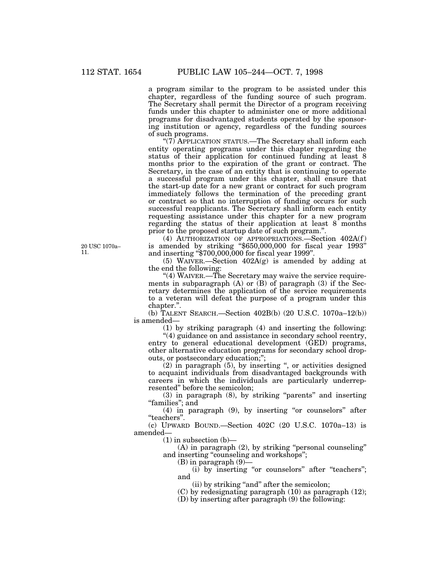a program similar to the program to be assisted under this chapter, regardless of the funding source of such program. The Secretary shall permit the Director of a program receiving funds under this chapter to administer one or more additional programs for disadvantaged students operated by the sponsoring institution or agency, regardless of the funding sources of such programs.

"(7) APPLICATION STATUS.—The Secretary shall inform each entity operating programs under this chapter regarding the status of their application for continued funding at least 8 months prior to the expiration of the grant or contract. The Secretary, in the case of an entity that is continuing to operate a successful program under this chapter, shall ensure that the start-up date for a new grant or contract for such program immediately follows the termination of the preceding grant or contract so that no interruption of funding occurs for such successful reapplicants. The Secretary shall inform each entity requesting assistance under this chapter for a new program regarding the status of their application at least 8 months prior to the proposed startup date of such program.''.

(4) AUTHORIZATION OF APPROPRIATIONS.—Section 402A(f ) is amended by striking ''\$650,000,000 for fiscal year 1993'' and inserting ''\$700,000,000 for fiscal year 1999''.

(5) WAIVER.—Section 402A(g) is amended by adding at the end the following:

"(4) WAIVER.—The Secretary may waive the service requirements in subparagraph  $(A)$  or  $(B)$  of paragraph  $(3)$  if the Secretary determines the application of the service requirements to a veteran will defeat the purpose of a program under this chapter.''.

(b) TALENT SEARCH.—Section 402B(b) (20 U.S.C. 1070a–12(b)) is amended—

(1) by striking paragraph (4) and inserting the following:

''(4) guidance on and assistance in secondary school reentry, entry to general educational development (GED) programs, other alternative education programs for secondary school dropouts, or postsecondary education;'';

 $(2)$  in paragraph  $(5)$ , by inserting ", or activities designed to acquaint individuals from disadvantaged backgrounds with careers in which the individuals are particularly underrepresented'' before the semicolon;

(3) in paragraph (8), by striking ''parents'' and inserting "families"; and

(4) in paragraph (9), by inserting ''or counselors'' after ''teachers''.

(c) UPWARD BOUND.—Section 402C (20 U.S.C. 1070a–13) is amended—

 $(1)$  in subsection  $(b)$ —

(A) in paragraph (2), by striking "personal counseling" and inserting "counseling and workshops";

(B) in paragraph (9)—

 $(i)$  by inserting "or counselors" after "teachers"; and

(ii) by striking ''and'' after the semicolon;

(C) by redesignating paragraph (10) as paragraph (12);

(D) by inserting after paragraph (9) the following:

20 USC 1070a– 11.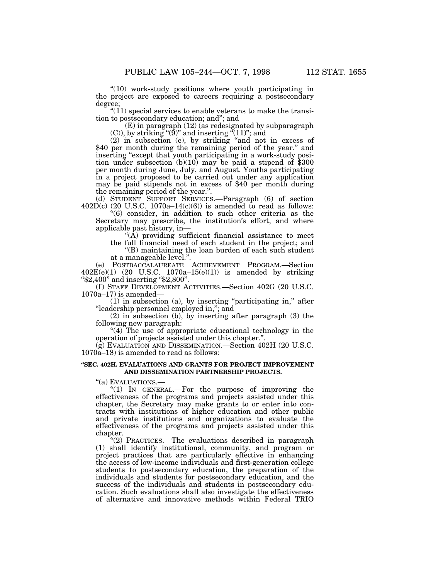"(10) work-study positions where youth participating in the project are exposed to careers requiring a postsecondary degree;

" $(11)$  special services to enable veterans to make the transition to postsecondary education; and''; and

(E) in paragraph (12) (as redesignated by subparagraph (C)), by striking " $(\overline{9})$ " and inserting " $(11)$ "; and

(2) in subsection (e), by striking ''and not in excess of \$40 per month during the remaining period of the year." and inserting "except that youth participating in a work-study position under subsection (b)(10) may be paid a stipend of \$300 per month during June, July, and August. Youths participating in a project proposed to be carried out under any application may be paid stipends not in excess of \$40 per month during the remaining period of the year.''.

(d) STUDENT SUPPORT SERVICES.—Paragraph (6) of section  $402D(c)$  (20 U.S.C. 1070a–14(c)(6)) is amended to read as follows:

''(6) consider, in addition to such other criteria as the Secretary may prescribe, the institution's effort, and where applicable past history, in—

" $(\tilde{A})$  providing sufficient financial assistance to meet the full financial need of each student in the project; and ''(B) maintaining the loan burden of each such student at a manageable level.''.

(e) POSTBACCALAUREATE ACHIEVEMENT PROGRAM.—Section  $402E(e)(1)$  (20 U.S.C. 1070a–15(e)(1)) is amended by striking ''\$2,400'' and inserting ''\$2,800''.

(f ) STAFF DEVELOPMENT ACTIVITIES.—Section 402G (20 U.S.C.  $1070a-17$ ) is amended—

(1) in subsection (a), by inserting ''participating in,'' after ''leadership personnel employed in,''; and

(2) in subsection (b), by inserting after paragraph (3) the following new paragraph:

''(4) The use of appropriate educational technology in the operation of projects assisted under this chapter.''.

(g) EVALUATION AND DISSEMINATION.—Section 402H (20 U.S.C. 1070a–18) is amended to read as follows:

#### **''SEC. 402H. EVALUATIONS AND GRANTS FOR PROJECT IMPROVEMENT AND DISSEMINATION PARTNERSHIP PROJECTS.**

''(a) EVALUATIONS.—

" $(1)$  IN GENERAL.—For the purpose of improving the effectiveness of the programs and projects assisted under this chapter, the Secretary may make grants to or enter into contracts with institutions of higher education and other public and private institutions and organizations to evaluate the effectiveness of the programs and projects assisted under this chapter.

''(2) PRACTICES.—The evaluations described in paragraph (1) shall identify institutional, community, and program or project practices that are particularly effective in enhancing the access of low-income individuals and first-generation college students to postsecondary education, the preparation of the individuals and students for postsecondary education, and the success of the individuals and students in postsecondary education. Such evaluations shall also investigate the effectiveness of alternative and innovative methods within Federal TRIO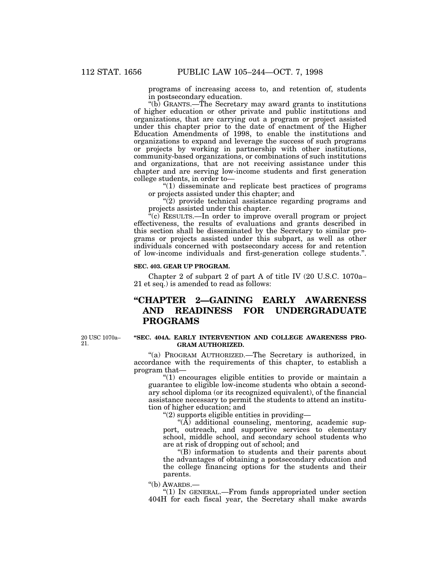programs of increasing access to, and retention of, students in postsecondary education.

''(b) GRANTS.—The Secretary may award grants to institutions of higher education or other private and public institutions and organizations, that are carrying out a program or project assisted under this chapter prior to the date of enactment of the Higher Education Amendments of 1998, to enable the institutions and organizations to expand and leverage the success of such programs or projects by working in partnership with other institutions, community-based organizations, or combinations of such institutions and organizations, that are not receiving assistance under this chapter and are serving low-income students and first generation college students, in order to—

''(1) disseminate and replicate best practices of programs or projects assisted under this chapter; and

 $\sqrt{\left(2\right)}$  provide technical assistance regarding programs and projects assisted under this chapter.

 $C^{\circ}$ (c) RESULTS.—In order to improve overall program or project effectiveness, the results of evaluations and grants described in this section shall be disseminated by the Secretary to similar programs or projects assisted under this subpart, as well as other individuals concerned with postsecondary access for and retention of low-income individuals and first-generation college students.''.

#### **SEC. 403. GEAR UP PROGRAM.**

Chapter 2 of subpart 2 of part A of title IV (20 U.S.C. 1070a– 21 et seq.) is amended to read as follows:

# **''CHAPTER 2—GAINING EARLY AWARENESS AND READINESS FOR UNDERGRADUATE PROGRAMS**

20 USC 1070a– 21.

# **''SEC. 404A. EARLY INTERVENTION AND COLLEGE AWARENESS PRO-GRAM AUTHORIZED.**

"(a) PROGRAM AUTHORIZED.—The Secretary is authorized, in accordance with the requirements of this chapter, to establish a program that—

''(1) encourages eligible entities to provide or maintain a guarantee to eligible low-income students who obtain a secondary school diploma (or its recognized equivalent), of the financial assistance necessary to permit the students to attend an institution of higher education; and

''(2) supports eligible entities in providing—

 $\mathcal{A}$  additional counseling, mentoring, academic support, outreach, and supportive services to elementary school, middle school, and secondary school students who are at risk of dropping out of school; and

''(B) information to students and their parents about the advantages of obtaining a postsecondary education and the college financing options for the students and their parents.

''(b) AWARDS.—

''(1) IN GENERAL.—From funds appropriated under section 404H for each fiscal year, the Secretary shall make awards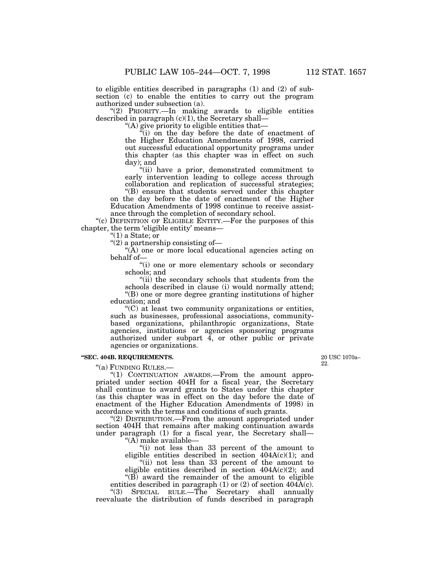to eligible entities described in paragraphs (1) and (2) of subsection (c) to enable the entities to carry out the program authorized under subsection (a).

''(2) PRIORITY.—In making awards to eligible entities described in paragraph (c)(1), the Secretary shall—

''(A) give priority to eligible entities that—

''(i) on the day before the date of enactment of the Higher Education Amendments of 1998, carried out successful educational opportunity programs under this chapter (as this chapter was in effect on such day); and

''(ii) have a prior, demonstrated commitment to early intervention leading to college access through collaboration and replication of successful strategies; ''(B) ensure that students served under this chapter

on the day before the date of enactment of the Higher Education Amendments of 1998 continue to receive assistance through the completion of secondary school.

"(c) DEFINITION OF ELIGIBLE ENTITY.—For the purposes of this chapter, the term 'eligible entity' means—

''(1) a State; or

''(2) a partnership consisting of—

"(A) one or more local educational agencies acting on behalf of—

''(i) one or more elementary schools or secondary schools; and

''(ii) the secondary schools that students from the schools described in clause (i) would normally attend;

''(B) one or more degree granting institutions of higher education; and

''(C) at least two community organizations or entities, such as businesses, professional associations, communitybased organizations, philanthropic organizations, State agencies, institutions or agencies sponsoring programs authorized under subpart  $\overline{4}$ , or other public or private agencies or organizations.

### **''SEC. 404B. REQUIREMENTS.**

''(a) FUNDING RULES.—

''(1) CONTINUATION AWARDS.—From the amount appropriated under section 404H for a fiscal year, the Secretary shall continue to award grants to States under this chapter (as this chapter was in effect on the day before the date of enactment of the Higher Education Amendments of 1998) in accordance with the terms and conditions of such grants.

''(2) DISTRIBUTION.—From the amount appropriated under section 404H that remains after making continuation awards under paragraph (1) for a fiscal year, the Secretary shall-

''(A) make available—

''(i) not less than 33 percent of the amount to eligible entities described in section 404A(c)(1); and ''(ii) not less than 33 percent of the amount to eligible entities described in section  $404A(c)(2)$ ; and

" $(B)$  award the remainder of the amount to eligible entities described in paragraph  $(1)$  or  $(2)$  of section  $404\text{\AA}(c)$ .

''(3) SPECIAL RULE.—The Secretary shall annually reevaluate the distribution of funds described in paragraph

20 USC 1070a– 22.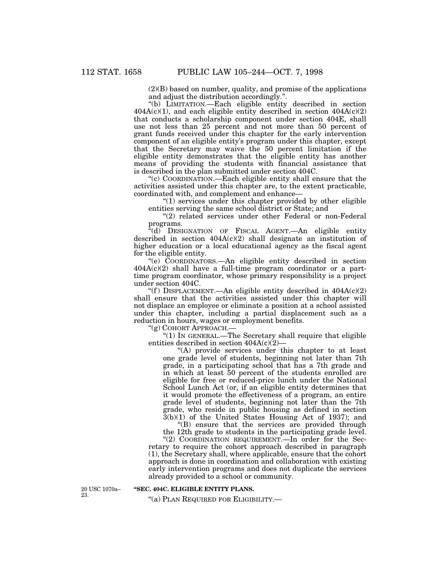(2)(B) based on number, quality, and promise of the applications and adjust the distribution accordingly.''.

''(b) LIMITATION.—Each eligible entity described in section  $404A(c)(1)$ , and each eligible entity described in section  $404A(c)(2)$ that conducts a scholarship component under section 404E, shall use not less than 25 percent and not more than 50 percent of grant funds received under this chapter for the early intervention component of an eligible entity's program under this chapter, except that the Secretary may waive the 50 percent limitation if the eligible entity demonstrates that the eligible entity has another means of providing the students with financial assistance that is described in the plan submitted under section 404C.

"(c) COORDINATION.—Each eligible entity shall ensure that the activities assisted under this chapter are, to the extent practicable, coordinated with, and complement and enhance—

 $''(1)$  services under this chapter provided by other eligible entities serving the same school district or State; and

"(2) related services under other Federal or non-Federal programs.

"(d) DESIGNATION OF FISCAL AGENT.—An eligible entity described in section  $404A(c)(2)$  shall designate an institution of higher education or a local educational agency as the fiscal agent for the eligible entity.

''(e) COORDINATORS.—An eligible entity described in section  $404A(c)(2)$  shall have a full-time program coordinator or a parttime program coordinator, whose primary responsibility is a project under section 404C.

"(f) DISPLACEMENT.—An eligible entity described in  $404A(c)(2)$ shall ensure that the activities assisted under this chapter will not displace an employee or eliminate a position at a school assisted under this chapter, including a partial displacement such as a reduction in hours, wages or employment benefits.

''(g) COHORT APPROACH.—

''(1) IN GENERAL.—The Secretary shall require that eligible entities described in section  $404A(c)(2)$ 

"(A) provide services under this chapter to at least one grade level of students, beginning not later than 7th grade, in a participating school that has a 7th grade and in which at least 50 percent of the students enrolled are eligible for free or reduced-price lunch under the National School Lunch Act (or, if an eligible entity determines that it would promote the effectiveness of a program, an entire grade level of students, beginning not later than the 7th grade, who reside in public housing as defined in section 3(b)(1) of the United States Housing Act of 1937); and

''(B) ensure that the services are provided through the 12th grade to students in the participating grade level.

"(2) COORDINATION REQUIREMENT. In order for the Secretary to require the cohort approach described in paragraph (1), the Secretary shall, where applicable, ensure that the cohort approach is done in coordination and collaboration with existing early intervention programs and does not duplicate the services already provided to a school or community.

20 USC 1070a– 23.

#### **''SEC. 404C. ELIGIBLE ENTITY PLANS.**

''(a) PLAN REQUIRED FOR ELIGIBILITY.—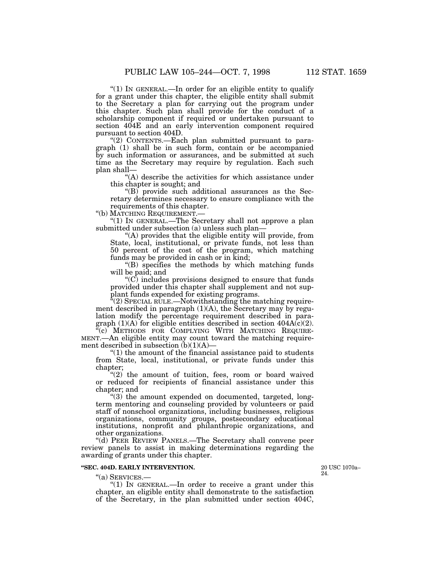"(1) In GENERAL.—In order for an eligible entity to qualify for a grant under this chapter, the eligible entity shall submit to the Secretary a plan for carrying out the program under this chapter. Such plan shall provide for the conduct of a scholarship component if required or undertaken pursuant to section 404E and an early intervention component required pursuant to section 404D.

"(2) CONTENTS.—Each plan submitted pursuant to paragraph (1) shall be in such form, contain or be accompanied by such information or assurances, and be submitted at such time as the Secretary may require by regulation. Each such plan shall—

"(A) describe the activities for which assistance under this chapter is sought; and

" $(B)$  provide such additional assurances as the Secretary determines necessary to ensure compliance with the requirements of this chapter.

''(b) MATCHING REQUIREMENT.—

"(1) IN GENERAL.—The Secretary shall not approve a plan submitted under subsection (a) unless such plan—

''(A) provides that the eligible entity will provide, from State, local, institutional, or private funds, not less than 50 percent of the cost of the program, which matching funds may be provided in cash or in kind;

''(B) specifies the methods by which matching funds will be paid; and

''(C) includes provisions designed to ensure that funds provided under this chapter shall supplement and not supplant funds expended for existing programs.

 $\sqrt[\alpha]{2}$ ) SPECIAL RULE.—Notwithstanding the matching requirement described in paragraph  $(1)(A)$ , the Secretary may by regulation modify the percentage requirement described in paragraph  $(1)(A)$  for eligible entities described in section  $404A(c)(2)$ .

"(c) METHODS FOR COMPLYING WITH MATCHING REQUIRE-MENT.—An eligible entity may count toward the matching requirement described in subsection  $(b)(1)(A)$ —

''(1) the amount of the financial assistance paid to students from State, local, institutional, or private funds under this chapter;

" $(2)$  the amount of tuition, fees, room or board waived or reduced for recipients of financial assistance under this chapter; and

''(3) the amount expended on documented, targeted, longterm mentoring and counseling provided by volunteers or paid staff of nonschool organizations, including businesses, religious organizations, community groups, postsecondary educational institutions, nonprofit and philanthropic organizations, and other organizations.

''(d) PEER REVIEW PANELS.—The Secretary shall convene peer review panels to assist in making determinations regarding the awarding of grants under this chapter.

#### **''SEC. 404D. EARLY INTERVENTION.**

20 USC 1070a– 24.

''(a) SERVICES.—

"(1) In GENERAL.—In order to receive a grant under this chapter, an eligible entity shall demonstrate to the satisfaction of the Secretary, in the plan submitted under section 404C,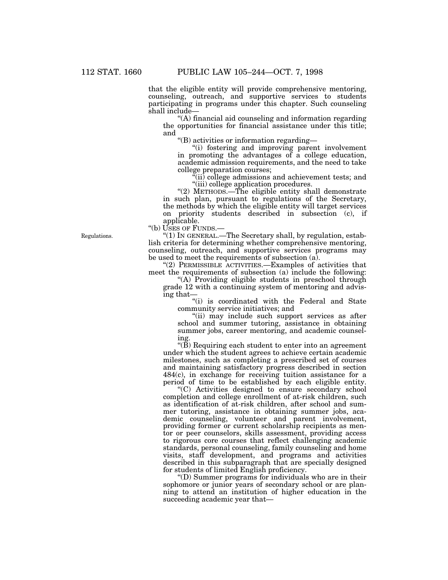that the eligible entity will provide comprehensive mentoring, counseling, outreach, and supportive services to students participating in programs under this chapter. Such counseling shall include—

''(A) financial aid counseling and information regarding the opportunities for financial assistance under this title; and

''(B) activities or information regarding—

''(i) fostering and improving parent involvement in promoting the advantages of a college education, academic admission requirements, and the need to take college preparation courses;

''(ii) college admissions and achievement tests; and ''(iii) college application procedures.

"(2) METHODS.—The eligible entity shall demonstrate in such plan, pursuant to regulations of the Secretary, the methods by which the eligible entity will target services on priority students described in subsection (c), if applicable.

''(b) USES OF FUNDS.—

''(1) IN GENERAL.—The Secretary shall, by regulation, establish criteria for determining whether comprehensive mentoring, counseling, outreach, and supportive services programs may be used to meet the requirements of subsection (a).

" $(2)$  PERMISSIBLE ACTIVITIES.—Examples of activities that meet the requirements of subsection (a) include the following:

"(A) Providing eligible students in preschool through grade 12 with a continuing system of mentoring and advising that—

''(i) is coordinated with the Federal and State community service initiatives; and

"(ii) may include such support services as after school and summer tutoring, assistance in obtaining summer jobs, career mentoring, and academic counseling.

" $(B)$  Requiring each student to enter into an agreement under which the student agrees to achieve certain academic milestones, such as completing a prescribed set of courses and maintaining satisfactory progress described in section 484(c), in exchange for receiving tuition assistance for a period of time to be established by each eligible entity.

''(C) Activities designed to ensure secondary school completion and college enrollment of at-risk children, such as identification of at-risk children, after school and summer tutoring, assistance in obtaining summer jobs, academic counseling, volunteer and parent involvement, providing former or current scholarship recipients as mentor or peer counselors, skills assessment, providing access to rigorous core courses that reflect challenging academic standards, personal counseling, family counseling and home visits, staff development, and programs and activities described in this subparagraph that are specially designed for students of limited English proficiency.

''(D) Summer programs for individuals who are in their sophomore or junior years of secondary school or are planning to attend an institution of higher education in the succeeding academic year that—

Regulations.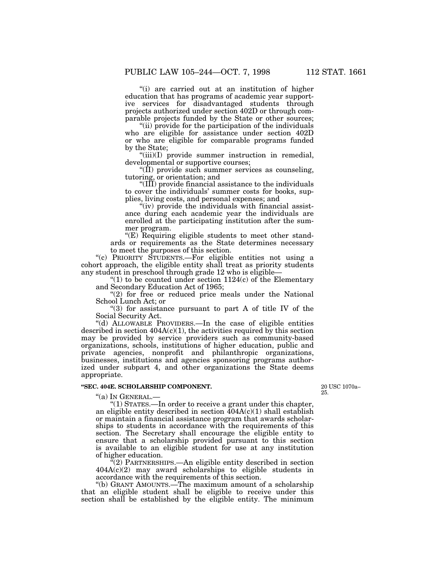''(i) are carried out at an institution of higher education that has programs of academic year supportive services for disadvantaged students through projects authorized under section 402D or through comparable projects funded by the State or other sources;

''(ii) provide for the participation of the individuals who are eligible for assistance under section 402D or who are eligible for comparable programs funded by the State;

''(iii)(I) provide summer instruction in remedial, developmental or supportive courses;

" $(\hat{\Pi})$  provide such summer services as counseling, tutoring, or orientation; and

''(III) provide financial assistance to the individuals to cover the individuals' summer costs for books, supplies, living costs, and personal expenses; and

" $(iv)$  provide the individuals with financial assistance during each academic year the individuals are enrolled at the participating institution after the summer program.

"(E) Requiring eligible students to meet other standards or requirements as the State determines necessary to meet the purposes of this section.

''(c) PRIORITY STUDENTS.—For eligible entities not using a cohort approach, the eligible entity shall treat as priority students any student in preschool through grade 12 who is eligible—

"(1) to be counted under section  $1124(c)$  of the Elementary and Secondary Education Act of 1965;

" $(2)$  for free or reduced price meals under the National School Lunch Act; or

"(3) for assistance pursuant to part A of title IV of the Social Security Act.

''(d) ALLOWABLE PROVIDERS.—In the case of eligible entities described in section  $404A(c)(1)$ , the activities required by this section may be provided by service providers such as community-based organizations, schools, institutions of higher education, public and private agencies, nonprofit and philanthropic organizations, businesses, institutions and agencies sponsoring programs authorized under subpart 4, and other organizations the State deems appropriate.

# **''SEC. 404E. SCHOLARSHIP COMPONENT.**

20 USC 1070a– 25.

''(a) IN GENERAL.—

''(1) STATES.—In order to receive a grant under this chapter, an eligible entity described in section  $404A(c)(1)$  shall establish or maintain a financial assistance program that awards scholarships to students in accordance with the requirements of this section. The Secretary shall encourage the eligible entity to ensure that a scholarship provided pursuant to this section is available to an eligible student for use at any institution of higher education.

 $C(2)$  PARTNERSHIPS.—An eligible entity described in section  $404A(c)(2)$  may award scholarships to eligible students in accordance with the requirements of this section.

''(b) GRANT AMOUNTS.—The maximum amount of a scholarship that an eligible student shall be eligible to receive under this section shall be established by the eligible entity. The minimum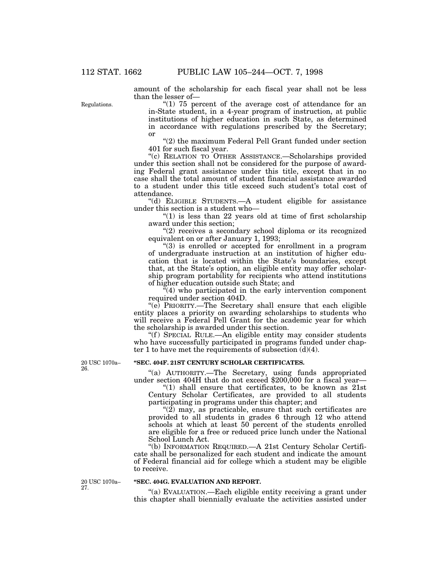Regulations.

amount of the scholarship for each fiscal year shall not be less than the lesser of—

" $(1)$  75 percent of the average cost of attendance for an in-State student, in a 4-year program of instruction, at public institutions of higher education in such State, as determined in accordance with regulations prescribed by the Secretary; or

''(2) the maximum Federal Pell Grant funded under section 401 for such fiscal year.

''(c) RELATION TO OTHER ASSISTANCE.—Scholarships provided under this section shall not be considered for the purpose of awarding Federal grant assistance under this title, except that in no case shall the total amount of student financial assistance awarded to a student under this title exceed such student's total cost of attendance.

''(d) ELIGIBLE STUDENTS.—A student eligible for assistance under this section is a student who—

" $(1)$  is less than 22 years old at time of first scholarship award under this section;

"(2) receives a secondary school diploma or its recognized equivalent on or after January 1, 1993;

''(3) is enrolled or accepted for enrollment in a program of undergraduate instruction at an institution of higher education that is located within the State's boundaries, except that, at the State's option, an eligible entity may offer scholarship program portability for recipients who attend institutions of higher education outside such State; and

 $\sqrt{4}$  who participated in the early intervention component required under section 404D.

''(e) PRIORITY.—The Secretary shall ensure that each eligible entity places a priority on awarding scholarships to students who will receive a Federal Pell Grant for the academic year for which the scholarship is awarded under this section.

"(f) SPECIAL RULE.—An eligible entity may consider students who have successfully participated in programs funded under chapter 1 to have met the requirements of subsection (d)(4).

# **''SEC. 404F. 21ST CENTURY SCHOLAR CERTIFICATES.**

''(a) AUTHORITY.—The Secretary, using funds appropriated under section 404H that do not exceed \$200,000 for a fiscal year—

" $(1)$  shall ensure that certificates, to be known as  $21st$ Century Scholar Certificates, are provided to all students participating in programs under this chapter; and

 $\mathcal{L}(2)$  may, as practicable, ensure that such certificates are provided to all students in grades 6 through 12 who attend schools at which at least 50 percent of the students enrolled are eligible for a free or reduced price lunch under the National School Lunch Act.

''(b) INFORMATION REQUIRED.—A 21st Century Scholar Certificate shall be personalized for each student and indicate the amount of Federal financial aid for college which a student may be eligible to receive.

20 USC 1070a– 27.

#### **''SEC. 404G. EVALUATION AND REPORT.**

''(a) EVALUATION.—Each eligible entity receiving a grant under this chapter shall biennially evaluate the activities assisted under

20 USC 1070a-26.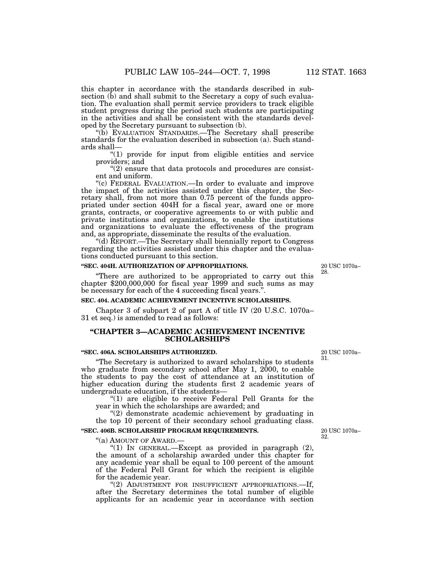this chapter in accordance with the standards described in subsection (b) and shall submit to the Secretary a copy of such evaluation. The evaluation shall permit service providers to track eligible student progress during the period such students are participating in the activities and shall be consistent with the standards developed by the Secretary pursuant to subsection (b).

''(b) EVALUATION STANDARDS.—The Secretary shall prescribe standards for the evaluation described in subsection (a). Such standards shall—

''(1) provide for input from eligible entities and service providers; and

 $"(2)$  ensure that data protocols and procedures are consistent and uniform.

''(c) FEDERAL EVALUATION.—In order to evaluate and improve the impact of the activities assisted under this chapter, the Secretary shall, from not more than 0.75 percent of the funds appropriated under section 404H for a fiscal year, award one or more grants, contracts, or cooperative agreements to or with public and private institutions and organizations, to enable the institutions and organizations to evaluate the effectiveness of the program and, as appropriate, disseminate the results of the evaluation.

''(d) REPORT.—The Secretary shall biennially report to Congress regarding the activities assisted under this chapter and the evaluations conducted pursuant to this section.

# **''SEC. 404H. AUTHORIZATION OF APPROPRIATIONS.**

''There are authorized to be appropriated to carry out this chapter \$200,000,000 for fiscal year 1999 and such sums as may be necessary for each of the 4 succeeding fiscal years.''.

# **SEC. 404. ACADEMIC ACHIEVEMENT INCENTIVE SCHOLARSHIPS.**

Chapter 3 of subpart 2 of part A of title IV (20 U.S.C. 1070a– 31 et seq.) is amended to read as follows:

# **''CHAPTER 3—ACADEMIC ACHIEVEMENT INCENTIVE SCHOLARSHIPS**

#### **''SEC. 406A. SCHOLARSHIPS AUTHORIZED.**

''The Secretary is authorized to award scholarships to students who graduate from secondary school after May 1, 2000, to enable the students to pay the cost of attendance at an institution of higher education during the students first 2 academic years of undergraduate education, if the students—

"(1) are eligible to receive Federal Pell Grants for the year in which the scholarships are awarded; and

''(2) demonstrate academic achievement by graduating in the top 10 percent of their secondary school graduating class.

#### **''SEC. 406B. SCHOLARSHIP PROGRAM REQUIREMENTS.**

''(a) AMOUNT OF AWARD.— ''(1) IN GENERAL.—Except as provided in paragraph (2), the amount of a scholarship awarded under this chapter for any academic year shall be equal to 100 percent of the amount of the Federal Pell Grant for which the recipient is eligible for the academic year.

"(2) ADJUSTMENT FOR INSUFFICIENT APPROPRIATIONS.—If, after the Secretary determines the total number of eligible applicants for an academic year in accordance with section

20 USC 1070a– 31.

20 USC 1070a– 28.

20 USC 1070a– 32.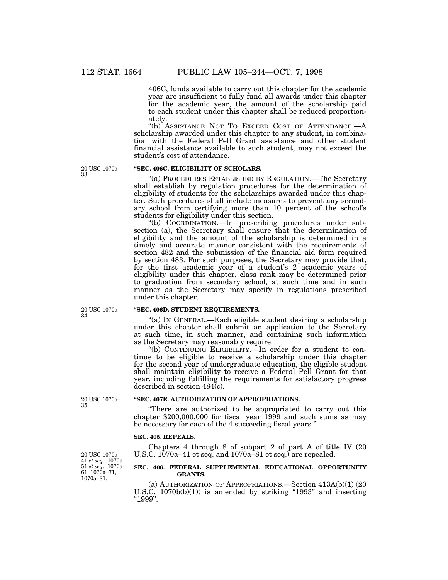406C, funds available to carry out this chapter for the academic year are insufficient to fully fund all awards under this chapter for the academic year, the amount of the scholarship paid to each student under this chapter shall be reduced proportionately.

''(b) ASSISTANCE NOT TO EXCEED COST OF ATTENDANCE.—A scholarship awarded under this chapter to any student, in combination with the Federal Pell Grant assistance and other student financial assistance available to such student, may not exceed the student's cost of attendance.

20 USC 1070a– 33.

# **''SEC. 406C. ELIGIBILITY OF SCHOLARS.**

''(a) PROCEDURES ESTABLISHED BY REGULATION.—The Secretary shall establish by regulation procedures for the determination of eligibility of students for the scholarships awarded under this chapter. Such procedures shall include measures to prevent any secondary school from certifying more than 10 percent of the school's students for eligibility under this section.

''(b) COORDINATION.—In prescribing procedures under subsection (a), the Secretary shall ensure that the determination of eligibility and the amount of the scholarship is determined in a timely and accurate manner consistent with the requirements of section 482 and the submission of the financial aid form required by section 483. For such purposes, the Secretary may provide that, for the first academic year of a student's 2 academic years of eligibility under this chapter, class rank may be determined prior to graduation from secondary school, at such time and in such manner as the Secretary may specify in regulations prescribed under this chapter.

20 USC 1070a– 34.

# **''SEC. 406D. STUDENT REQUIREMENTS.**

''(a) IN GENERAL.—Each eligible student desiring a scholarship under this chapter shall submit an application to the Secretary at such time, in such manner, and containing such information as the Secretary may reasonably require.

''(b) CONTINUING ELIGIBILITY.—In order for a student to continue to be eligible to receive a scholarship under this chapter for the second year of undergraduate education, the eligible student shall maintain eligibility to receive a Federal Pell Grant for that year, including fulfilling the requirements for satisfactory progress described in section 484(c).

#### **''SEC. 407E. AUTHORIZATION OF APPROPRIATIONS.**

''There are authorized to be appropriated to carry out this chapter \$200,000,000 for fiscal year 1999 and such sums as may be necessary for each of the 4 succeeding fiscal years.''.

#### **SEC. 405. REPEALS.**

Chapters 4 through 8 of subpart 2 of part A of title IV (20 U.S.C. 1070a–41 et seq. and 1070a–81 et seq.) are repealed.

20 USC 1070a– 41 *et seq.*, 1070a– 51 *et seq.*, 1070a– 61, 1070a–71, 1070a–81.

#### **SEC. 406. FEDERAL SUPPLEMENTAL EDUCATIONAL OPPORTUNITY GRANTS.**

(a) AUTHORIZATION OF APPROPRIATIONS.—Section 413A(b)(1) (20 U.S.C.  $1070b(b)(1)$ ) is amended by striking "1993" and inserting ''1999''.

20 USC 1070a– 35.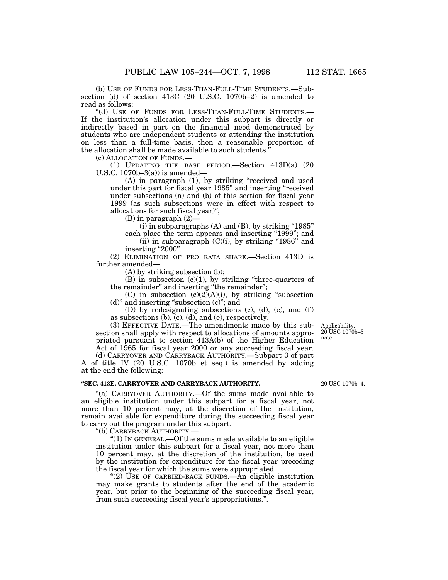(b) USE OF FUNDS FOR LESS-THAN-FULL-TIME STUDENTS.—Subsection (d) of section 413C (20 U.S.C. 1070b–2) is amended to read as follows:

''(d) USE OF FUNDS FOR LESS-THAN-FULL-TIME STUDENTS.— If the institution's allocation under this subpart is directly or indirectly based in part on the financial need demonstrated by students who are independent students or attending the institution on less than a full-time basis, then a reasonable proportion of the allocation shall be made available to such students.''.

(c) ALLOCATION OF FUNDS.—

(1) UPDATING THE BASE PERIOD.—Section 413D(a) (20 U.S.C. 1070b–3(a)) is amended—

(A) in paragraph (1), by striking "received and used under this part for fiscal year 1985'' and inserting ''received under subsections (a) and (b) of this section for fiscal year 1999 (as such subsections were in effect with respect to allocations for such fiscal year)'';

(B) in paragraph (2)—

 $(i)$  in subparagraphs  $(A)$  and  $(B)$ , by striking "1985" each place the term appears and inserting "1999"; and (ii) in subparagraph  $(C)(i)$ , by striking "1986" and inserting "2000".

(2) ELIMINATION OF PRO RATA SHARE.—Section 413D is further amended—

(A) by striking subsection (b);

 $(B)$  in subsection  $(c)(1)$ , by striking "three-quarters of the remainder'' and inserting ''the remainder'';

(C) in subsection  $(c)(2)(A)(i)$ , by striking "subsection (d)'' and inserting ''subsection (c)''; and

(D) by redesignating subsections  $(c)$ ,  $(d)$ ,  $(e)$ , and  $(f)$ as subsections (b), (c), (d), and (e), respectively.

(3) EFFECTIVE DATE.—The amendments made by this subsection shall apply with respect to allocations of amounts appropriated pursuant to section 413A(b) of the Higher Education Act of 1965 for fiscal year 2000 or any succeeding fiscal year.

(d) CARRYOVER AND CARRYBACK AUTHORITY.—Subpart 3 of part A of title IV (20 U.S.C. 1070b et seq.) is amended by adding at the end the following:

# **''SEC. 413E. CARRYOVER AND CARRYBACK AUTHORITY.**

''(a) CARRYOVER AUTHORITY.—Of the sums made available to an eligible institution under this subpart for a fiscal year, not more than 10 percent may, at the discretion of the institution, remain available for expenditure during the succeeding fiscal year to carry out the program under this subpart.

''(b) CARRYBACK AUTHORITY.—

''(1) IN GENERAL.—Of the sums made available to an eligible institution under this subpart for a fiscal year, not more than 10 percent may, at the discretion of the institution, be used by the institution for expenditure for the fiscal year preceding the fiscal year for which the sums were appropriated.

"(2) USE OF CARRIED-BACK FUNDS.—An eligible institution may make grants to students after the end of the academic year, but prior to the beginning of the succeeding fiscal year, from such succeeding fiscal year's appropriations.''.

20 USC 1070b–4.

Applicability. 20 USC 1070b–3 note.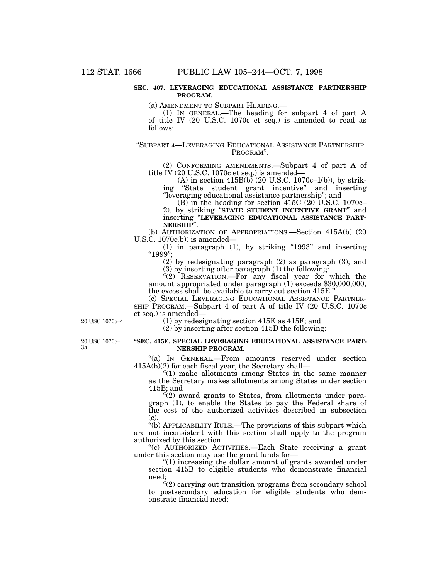#### **SEC. 407. LEVERAGING EDUCATIONAL ASSISTANCE PARTNERSHIP PROGRAM.**

(a) AMENDMENT TO SUBPART HEADING.—

(1) IN GENERAL.—The heading for subpart 4 of part A of title IV (20 U.S.C. 1070c et seq.) is amended to read as follows:

# ''SUBPART 4—LEVERAGING EDUCATIONAL ASSISTANCE PARTNERSHIP PROGRAM''.

(2) CONFORMING AMENDMENTS.—Subpart 4 of part A of title  $\overline{IV}$  (20 U.S.C. 1070c et seq.) is amended-

(A) in section  $415B(b)$  (20 U.S.C. 1070c–1(b)), by striking ''State student grant incentive'' and inserting ''leveraging educational assistance partnership''; and

(B) in the heading for section 415C (20 U.S.C. 1070c– 2), by striking ''**STATE STUDENT INCENTIVE GRANT**'' and inserting ''**LEVERAGING EDUCATIONAL ASSISTANCE PART-NERSHIP**''.

(b) AUTHORIZATION OF APPROPRIATIONS.—Section 415A(b) (20 U.S.C.  $1070c(b)$  is amended—

 $(1)$  in paragraph  $(1)$ , by striking "1993" and inserting ''1999'';

 $(2)$  by redesignating paragraph  $(2)$  as paragraph  $(3)$ ; and (3) by inserting after paragraph (1) the following:

"(2) RESERVATION.—For any fiscal year for which the amount appropriated under paragraph (1) exceeds \$30,000,000, the excess shall be available to carry out section 415E.''.

(c) SPECIAL LEVERAGING EDUCATIONAL ASSISTANCE PARTNER-SHIP PROGRAM.—Subpart 4 of part A of title IV (20 U.S.C. 1070c et seq.) is amended—

20 USC 1070c–4.

(1) by redesignating section 415E as 415F; and

(2) by inserting after section 415D the following:

20 USC 1070c– 3a.

## **''SEC. 415E. SPECIAL LEVERAGING EDUCATIONAL ASSISTANCE PART-NERSHIP PROGRAM.**

''(a) IN GENERAL.—From amounts reserved under section 415A(b)(2) for each fiscal year, the Secretary shall—

''(1) make allotments among States in the same manner as the Secretary makes allotments among States under section 415B; and

"(2) award grants to States, from allotments under paragraph (1), to enable the States to pay the Federal share of the cost of the authorized activities described in subsection (c).

''(b) APPLICABILITY RULE.—The provisions of this subpart which are not inconsistent with this section shall apply to the program authorized by this section.

"(c) AUTHORIZED ACTIVITIES.—Each State receiving a grant under this section may use the grant funds for—

''(1) increasing the dollar amount of grants awarded under section 415B to eligible students who demonstrate financial need;

 $\mathcal{H}(2)$  carrying out transition programs from secondary school to postsecondary education for eligible students who demonstrate financial need;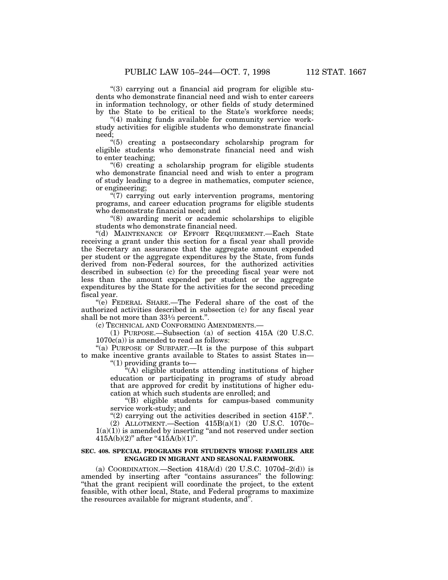''(3) carrying out a financial aid program for eligible students who demonstrate financial need and wish to enter careers in information technology, or other fields of study determined by the State to be critical to the State's workforce needs;

 $\degree$ (4) making funds available for community service workstudy activities for eligible students who demonstrate financial need;

''(5) creating a postsecondary scholarship program for eligible students who demonstrate financial need and wish to enter teaching;

''(6) creating a scholarship program for eligible students who demonstrate financial need and wish to enter a program of study leading to a degree in mathematics, computer science, or engineering;

''(7) carrying out early intervention programs, mentoring programs, and career education programs for eligible students who demonstrate financial need; and

''(8) awarding merit or academic scholarships to eligible students who demonstrate financial need.

''(d) MAINTENANCE OF EFFORT REQUIREMENT.—Each State receiving a grant under this section for a fiscal year shall provide the Secretary an assurance that the aggregate amount expended per student or the aggregate expenditures by the State, from funds derived from non-Federal sources, for the authorized activities described in subsection (c) for the preceding fiscal year were not less than the amount expended per student or the aggregate expenditures by the State for the activities for the second preceding fiscal year.

''(e) FEDERAL SHARE.—The Federal share of the cost of the authorized activities described in subsection (c) for any fiscal year shall be not more than 331⁄3 percent.''.

(c) TECHNICAL AND CONFORMING AMENDMENTS.—

(1) PURPOSE.—Subsection (a) of section 415A (20 U.S.C.  $1070c(a)$  is amended to read as follows:

''(a) PURPOSE OF SUBPART.—It is the purpose of this subpart to make incentive grants available to States to assist States in—

''(1) providing grants to—

 $(A)$  eligible students attending institutions of higher education or participating in programs of study abroad that are approved for credit by institutions of higher education at which such students are enrolled; and

''(B) eligible students for campus-based community service work-study; and

 $\degree$ (2) carrying out the activities described in section 415F.".

(2) ALLOTMENT.—Section 415B(a)(1) (20 U.S.C. 1070c–  $1(a)(1)$ ) is amended by inserting "and not reserved under section  $415A(b)(2)$ " after " $415A(b)(1)$ ".

#### **SEC. 408. SPECIAL PROGRAMS FOR STUDENTS WHOSE FAMILIES ARE ENGAGED IN MIGRANT AND SEASONAL FARMWORK.**

(a) COORDINATION.—Section  $418A(d)$  (20 U.S.C. 1070d–2(d)) is amended by inserting after ''contains assurances'' the following: ''that the grant recipient will coordinate the project, to the extent feasible, with other local, State, and Federal programs to maximize the resources available for migrant students, and''.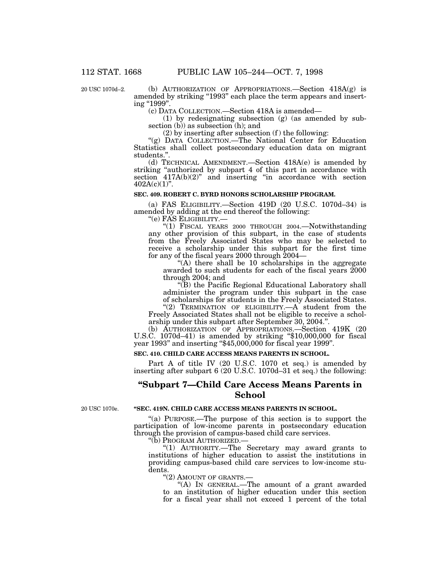20 USC 1070d–2.

(b) AUTHORIZATION OF APPROPRIATIONS.—Section 418A(g) is amended by striking "1993" each place the term appears and inserting "1999".

(c) DATA COLLECTION.—Section 418A is amended—

(1) by redesignating subsection (g) (as amended by subsection (b)) as subsection (h); and

 $(2)$  by inserting after subsection  $(f)$  the following:

"(g) DATA COLLECTION.—The National Center for Education Statistics shall collect postsecondary education data on migrant students.''.

(d) TECHNICAL AMENDMENT.—Section 418A(e) is amended by striking ''authorized by subpart 4 of this part in accordance with section 417A(b)(2)" and inserting "in accordance with section  $402A(c)(1)$ ".

#### **SEC. 409. ROBERT C. BYRD HONORS SCHOLARSHIP PROGRAM.**

(a) FAS ELIGIBILITY.—Section 419D (20 U.S.C. 1070d–34) is amended by adding at the end thereof the following:

''(e) FAS ELIGIBILITY.—

''(1) FISCAL YEARS 2000 THROUGH 2004.—Notwithstanding any other provision of this subpart, in the case of students from the Freely Associated States who may be selected to receive a scholarship under this subpart for the first time for any of the fiscal years 2000 through 2004—

''(A) there shall be 10 scholarships in the aggregate awarded to such students for each of the fiscal years 2000 through 2004; and

''(B) the Pacific Regional Educational Laboratory shall administer the program under this subpart in the case of scholarships for students in the Freely Associated States.

''(2) TERMINATION OF ELIGIBILITY.—A student from the Freely Associated States shall not be eligible to receive a scholarship under this subpart after September 30, 2004.''.

(b) AUTHORIZATION OF APPROPRIATIONS.—Section 419K (20 U.S.C. 1070d–41) is amended by striking ''\$10,000,000 for fiscal year 1993'' and inserting ''\$45,000,000 for fiscal year 1999''.

# **SEC. 410. CHILD CARE ACCESS MEANS PARENTS IN SCHOOL.**

Part A of title IV (20 U.S.C. 1070 et seq.) is amended by inserting after subpart 6 (20 U.S.C. 1070d–31 et seq.) the following:

# **''Subpart 7—Child Care Access Means Parents in School**

20 USC 1070e.

#### **''SEC. 419N. CHILD CARE ACCESS MEANS PARENTS IN SCHOOL.**

"(a) PURPOSE.—The purpose of this section is to support the participation of low-income parents in postsecondary education through the provision of campus-based child care services.

''(b) PROGRAM AUTHORIZED.—

''(1) AUTHORITY.—The Secretary may award grants to institutions of higher education to assist the institutions in providing campus-based child care services to low-income students.

"(2) AMOUNT OF GRANTS.-

''(A) IN GENERAL.—The amount of a grant awarded to an institution of higher education under this section for a fiscal year shall not exceed 1 percent of the total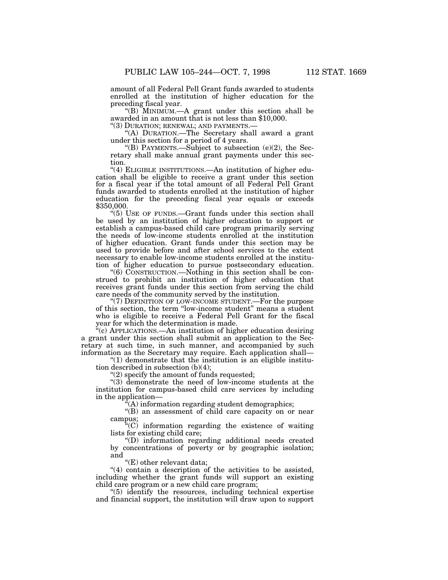amount of all Federal Pell Grant funds awarded to students enrolled at the institution of higher education for the preceding fiscal year.

''(B) MINIMUM.—A grant under this section shall be awarded in an amount that is not less than \$10,000.

''(3) DURATION; RENEWAL; AND PAYMENTS.—

''(A) DURATION.—The Secretary shall award a grant under this section for a period of 4 years.

"(B) PAYMENTS.—Subject to subsection  $(e)(2)$ , the Secretary shall make annual grant payments under this section.

''(4) ELIGIBLE INSTITUTIONS.—An institution of higher education shall be eligible to receive a grant under this section for a fiscal year if the total amount of all Federal Pell Grant funds awarded to students enrolled at the institution of higher education for the preceding fiscal year equals or exceeds \$350,000.

 $\cdot$ (5) USE OF FUNDS.—Grant funds under this section shall be used by an institution of higher education to support or establish a campus-based child care program primarily serving the needs of low-income students enrolled at the institution of higher education. Grant funds under this section may be used to provide before and after school services to the extent necessary to enable low-income students enrolled at the institution of higher education to pursue postsecondary education.

''(6) CONSTRUCTION.—Nothing in this section shall be construed to prohibit an institution of higher education that receives grant funds under this section from serving the child care needs of the community served by the institution.

"(7) DEFINITION OF LOW-INCOME STUDENT.—For the purpose of this section, the term ''low-income student'' means a student who is eligible to receive a Federal Pell Grant for the fiscal year for which the determination is made.

 $C^*(c)$  APPLICATIONS.—An institution of higher education desiring a grant under this section shall submit an application to the Secretary at such time, in such manner, and accompanied by such information as the Secretary may require. Each application shall—

" $(1)$  demonstrate that the institution is an eligible institution described in subsection (b)(4);

" $(2)$  specify the amount of funds requested;

''(3) demonstrate the need of low-income students at the institution for campus-based child care services by including in the application—

 $\hat{f}(A)$  information regarding student demographics;

"(B) an assessment of child care capacity on or near campus;

''(C) information regarding the existence of waiting lists for existing child care;

''(D) information regarding additional needs created by concentrations of poverty or by geographic isolation; and

''(E) other relevant data;

''(4) contain a description of the activities to be assisted, including whether the grant funds will support an existing child care program or a new child care program;

''(5) identify the resources, including technical expertise and financial support, the institution will draw upon to support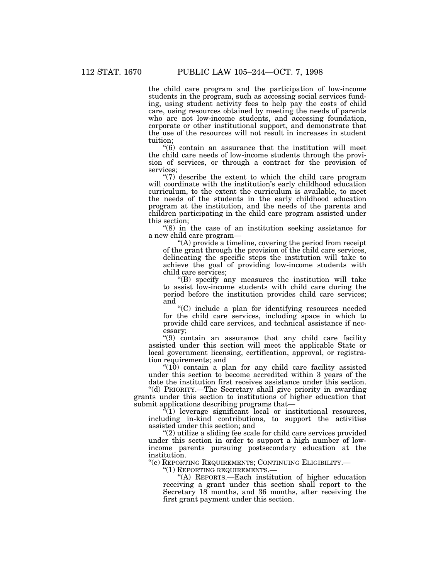the child care program and the participation of low-income students in the program, such as accessing social services funding, using student activity fees to help pay the costs of child care, using resources obtained by meeting the needs of parents who are not low-income students, and accessing foundation, corporate or other institutional support, and demonstrate that the use of the resources will not result in increases in student tuition;

''(6) contain an assurance that the institution will meet the child care needs of low-income students through the provision of services, or through a contract for the provision of services;

" $(7)$  describe the extent to which the child care program will coordinate with the institution's early childhood education curriculum, to the extent the curriculum is available, to meet the needs of the students in the early childhood education program at the institution, and the needs of the parents and children participating in the child care program assisted under this section;

''(8) in the case of an institution seeking assistance for a new child care program—

''(A) provide a timeline, covering the period from receipt of the grant through the provision of the child care services, delineating the specific steps the institution will take to achieve the goal of providing low-income students with child care services;

''(B) specify any measures the institution will take to assist low-income students with child care during the period before the institution provides child care services; and

''(C) include a plan for identifying resources needed for the child care services, including space in which to provide child care services, and technical assistance if necessary;

''(9) contain an assurance that any child care facility assisted under this section will meet the applicable State or local government licensing, certification, approval, or registration requirements; and

 $(10)$  contain a plan for any child care facility assisted under this section to become accredited within 3 years of the date the institution first receives assistance under this section.

''(d) PRIORITY.—The Secretary shall give priority in awarding grants under this section to institutions of higher education that submit applications describing programs that—

 $\sqrt[3]{(1)}$  leverage significant local or institutional resources, including in-kind contributions, to support the activities assisted under this section; and

''(2) utilize a sliding fee scale for child care services provided under this section in order to support a high number of lowincome parents pursuing postsecondary education at the institution.

''(e) REPORTING REQUIREMENTS; CONTINUING ELIGIBILITY.—

''(1) REPORTING REQUIREMENTS.—

''(A) REPORTS.—Each institution of higher education receiving a grant under this section shall report to the Secretary 18 months, and 36 months, after receiving the first grant payment under this section.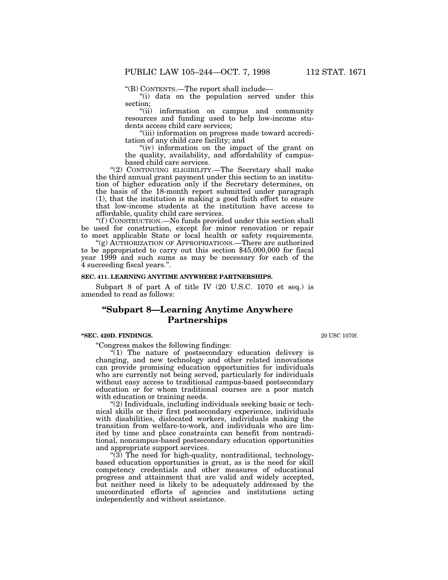''(B) CONTENTS.—The report shall include—

''(i) data on the population served under this section;

''(ii) information on campus and community resources and funding used to help low-income students access child care services;

''(iii) information on progress made toward accreditation of any child care facility; and

"(iv) information on the impact of the grant on the quality, availability, and affordability of campusbased child care services.

''(2) CONTINUING ELIGIBILITY.—The Secretary shall make the third annual grant payment under this section to an institution of higher education only if the Secretary determines, on the basis of the 18-month report submitted under paragraph (1), that the institution is making a good faith effort to ensure that low-income students at the institution have access to affordable, quality child care services.

"(f) CONSTRUCTION.—No funds provided under this section shall be used for construction, except for minor renovation or repair to meet applicable State or local health or safety requirements.

''(g) AUTHORIZATION OF APPROPRIATIONS.—There are authorized to be appropriated to carry out this section \$45,000,000 for fiscal year 1999 and such sums as may be necessary for each of the 4 succeeding fiscal years.''.

#### **SEC. 411. LEARNING ANYTIME ANYWHERE PARTNERSHIPS.**

Subpart 8 of part A of title IV (20 U.S.C. 1070 et seq.) is amended to read as follows:

# **''Subpart 8—Learning Anytime Anywhere Partnerships**

#### **''SEC. 420D. FINDINGS.**

''Congress makes the following findings:

''(1) The nature of postsecondary education delivery is changing, and new technology and other related innovations can provide promising education opportunities for individuals who are currently not being served, particularly for individuals without easy access to traditional campus-based postsecondary education or for whom traditional courses are a poor match with education or training needs.

''(2) Individuals, including individuals seeking basic or technical skills or their first postsecondary experience, individuals with disabilities, dislocated workers, individuals making the transition from welfare-to-work, and individuals who are limited by time and place constraints can benefit from nontraditional, noncampus-based postsecondary education opportunities and appropriate support services.

''(3) The need for high-quality, nontraditional, technologybased education opportunities is great, as is the need for skill competency credentials and other measures of educational progress and attainment that are valid and widely accepted, but neither need is likely to be adequately addressed by the uncoordinated efforts of agencies and institutions acting independently and without assistance.

20 USC 1070f.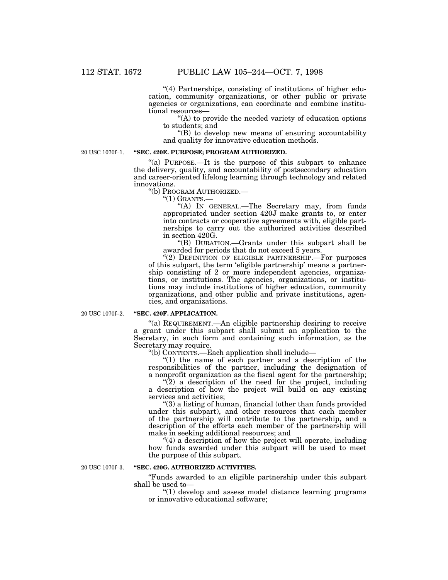"(4) Partnerships, consisting of institutions of higher education, community organizations, or other public or private agencies or organizations, can coordinate and combine institutional resources—

''(A) to provide the needed variety of education options to students; and

''(B) to develop new means of ensuring accountability and quality for innovative education methods.

20 USC 1070f–1.

# **''SEC. 420E. PURPOSE; PROGRAM AUTHORIZED.**

"(a) PURPOSE.—It is the purpose of this subpart to enhance the delivery, quality, and accountability of postsecondary education and career-oriented lifelong learning through technology and related innovations.

''(b) PROGRAM AUTHORIZED.—

 $"(1)$  GRANTS.—

''(A) IN GENERAL.—The Secretary may, from funds appropriated under section 420J make grants to, or enter into contracts or cooperative agreements with, eligible partnerships to carry out the authorized activities described in section 420G.

''(B) DURATION.—Grants under this subpart shall be awarded for periods that do not exceed 5 years.

"(2) DEFINITION OF ELIGIBLE PARTNERSHIP.-For purposes of this subpart, the term 'eligible partnership' means a partnership consisting of 2 or more independent agencies, organizations, or institutions. The agencies, organizations, or institutions may include institutions of higher education, community organizations, and other public and private institutions, agencies, and organizations.

20 USC 1070f–2.

# **''SEC. 420F. APPLICATION.**

''(a) REQUIREMENT.—An eligible partnership desiring to receive a grant under this subpart shall submit an application to the Secretary, in such form and containing such information, as the Secretary may require.

''(b) CONTENTS.—Each application shall include—

" $(1)$  the name of each partner and a description of the responsibilities of the partner, including the designation of a nonprofit organization as the fiscal agent for the partnership;

"(2) a description of the need for the project, including a description of how the project will build on any existing services and activities;

''(3) a listing of human, financial (other than funds provided under this subpart), and other resources that each member of the partnership will contribute to the partnership, and a description of the efforts each member of the partnership will make in seeking additional resources; and

''(4) a description of how the project will operate, including how funds awarded under this subpart will be used to meet the purpose of this subpart.

20 USC 1070f–3.

## **''SEC. 420G. AUTHORIZED ACTIVITIES.**

''Funds awarded to an eligible partnership under this subpart shall be used to—

''(1) develop and assess model distance learning programs or innovative educational software;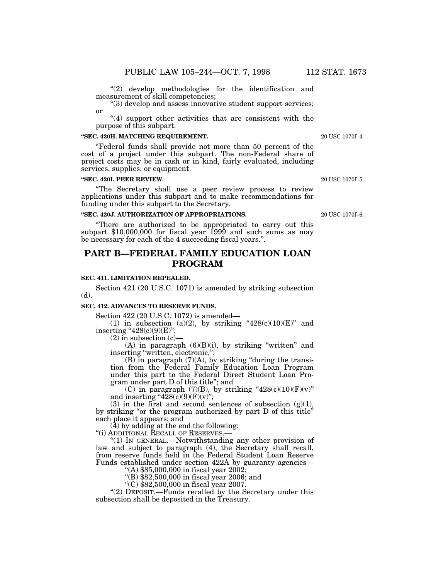"(2) develop methodologies for the identification and measurement of skill competencies;

''(3) develop and assess innovative student support services; or

''(4) support other activities that are consistent with the purpose of this subpart.

#### **''SEC. 420H. MATCHING REQUIREMENT.**

''Federal funds shall provide not more than 50 percent of the cost of a project under this subpart. The non-Federal share of project costs may be in cash or in kind, fairly evaluated, including services, supplies, or equipment.

#### **''SEC. 420I. PEER REVIEW.**

''The Secretary shall use a peer review process to review applications under this subpart and to make recommendations for funding under this subpart to the Secretary.

# **''SEC. 420J. AUTHORIZATION OF APPROPRIATIONS.**

''There are authorized to be appropriated to carry out this subpart \$10,000,000 for fiscal year 1999 and such sums as may be necessary for each of the 4 succeeding fiscal years.'

# **PART B—FEDERAL FAMILY EDUCATION LOAN PROGRAM**

## **SEC. 411. LIMITATION REPEALED.**

Section 421 (20 U.S.C. 1071) is amended by striking subsection (d).

## **SEC. 412. ADVANCES TO RESERVE FUNDS.**

Section 422 (20 U.S.C. 1072) is amended—

(1) in subsection (a)(2), by striking " $428(c)(10)(E)$ " and inserting " $428(c)(9)(E)$ ";

 $(2)$  in subsection  $(c)$ –

(A) in paragraph  $(6)(B)(i)$ , by striking "written" and inserting ''written, electronic,'';

(B) in paragraph (7)(A), by striking ''during the transition from the Federal Family Education Loan Program under this part to the Federal Direct Student Loan Program under part D of this title''; and

(C) in paragraph (7)(B), by striking "428(c)(10)(F)(v)" and inserting " $4\bar{2}8(\bar{c})(9)(F)(v)$ ";

(3) in the first and second sentences of subsection  $(g)(1)$ , by striking "or the program authorized by part D of this title" each place it appears; and

 $(4)$  by adding at the end the following:

''(i) ADDITIONAL RECALL OF RESERVES.—

''(1) IN GENERAL.—Notwithstanding any other provision of law and subject to paragraph (4), the Secretary shall recall, from reserve funds held in the Federal Student Loan Reserve Funds established under section 422A by guaranty agencies—

''(A) \$85,000,000 in fiscal year 2002;

''(B) \$82,500,000 in fiscal year 2006; and

''(C) \$82,500,000 in fiscal year 2007.

"(2) DEPOSIT.—Funds recalled by the Secretary under this subsection shall be deposited in the Treasury.

20 USC 1070f–4.

20 USC 1070f–6.

20 USC 1070f–5.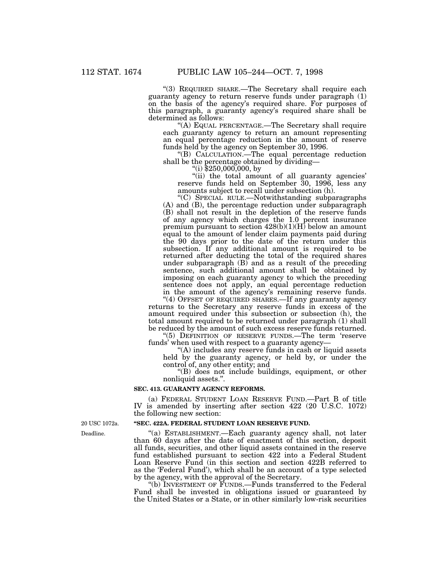"(3) REQUIRED SHARE.—The Secretary shall require each guaranty agency to return reserve funds under paragraph (1) on the basis of the agency's required share. For purposes of this paragraph, a guaranty agency's required share shall be determined as follows:

''(A) EQUAL PERCENTAGE.—The Secretary shall require each guaranty agency to return an amount representing an equal percentage reduction in the amount of reserve funds held by the agency on September 30, 1996.

''(B) CALCULATION.—The equal percentage reduction shall be the percentage obtained by dividing—<br>"(i)  $$250,000,000$ , by

"(ii) the total amount of all guaranty agencies' reserve funds held on September 30, 1996, less any amounts subject to recall under subsection (h).

''(C) SPECIAL RULE.—Notwithstanding subparagraphs (A) and (B), the percentage reduction under subparagraph (B) shall not result in the depletion of the reserve funds of any agency which charges the 1.0 percent insurance premium pursuant to section 428(b)(1)(H) below an amount equal to the amount of lender claim payments paid during the 90 days prior to the date of the return under this subsection. If any additional amount is required to be returned after deducting the total of the required shares under subparagraph  $(B)$  and as a result of the preceding sentence, such additional amount shall be obtained by imposing on each guaranty agency to which the preceding sentence does not apply, an equal percentage reduction in the amount of the agency's remaining reserve funds.

''(4) OFFSET OF REQUIRED SHARES.—If any guaranty agency returns to the Secretary any reserve funds in excess of the amount required under this subsection or subsection (h), the total amount required to be returned under paragraph (1) shall be reduced by the amount of such excess reserve funds returned.

"(5) DEFINITION OF RESERVE FUNDS.—The term 'reserve funds' when used with respect to a guaranty agency—

"(A) includes any reserve funds in cash or liquid assets held by the guaranty agency, or held by, or under the control of, any other entity; and

''(B) does not include buildings, equipment, or other nonliquid assets.''.

#### **SEC. 413. GUARANTY AGENCY REFORMS.**

(a) FEDERAL STUDENT LOAN RESERVE FUND.—Part B of title IV is amended by inserting after section 422 (20 U.S.C. 1072) the following new section:

## **''SEC. 422A. FEDERAL STUDENT LOAN RESERVE FUND.**

''(a) ESTABLISHMENT.—Each guaranty agency shall, not later than 60 days after the date of enactment of this section, deposit all funds, securities, and other liquid assets contained in the reserve fund established pursuant to section 422 into a Federal Student Loan Reserve Fund (in this section and section 422B referred to as the 'Federal Fund'), which shall be an account of a type selected by the agency, with the approval of the Secretary.

''(b) INVESTMENT OF FUNDS.—Funds transferred to the Federal Fund shall be invested in obligations issued or guaranteed by the United States or a State, or in other similarly low-risk securities

Deadline. 20 USC 1072a.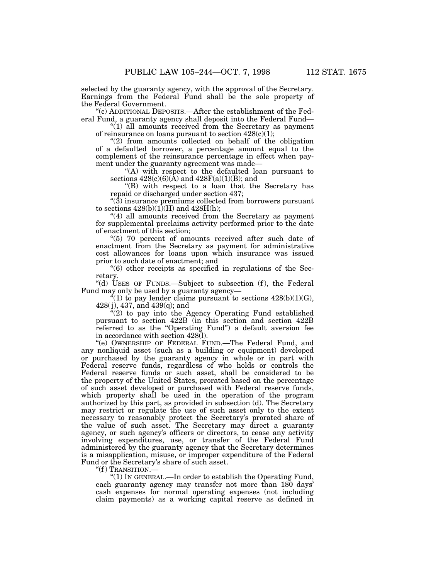selected by the guaranty agency, with the approval of the Secretary. Earnings from the Federal Fund shall be the sole property of the Federal Government.

''(c) ADDITIONAL DEPOSITS.—After the establishment of the Federal Fund, a guaranty agency shall deposit into the Federal Fund—

 $''(1)$  all amounts received from the Secretary as payment of reinsurance on loans pursuant to section  $428(c)(1)$ ;

"(2) from amounts collected on behalf of the obligation of a defaulted borrower, a percentage amount equal to the complement of the reinsurance percentage in effect when payment under the guaranty agreement was made—

''(A) with respect to the defaulted loan pursuant to sections  $428(c)(6)(\text{\AA})$  and  $428F(a)(1)(\text{\AA})$ ; and

''(B) with respect to a loan that the Secretary has repaid or discharged under section 437;

''(3) insurance premiums collected from borrowers pursuant to sections  $428(b)(1)(H)$  and  $428H(h)$ ;

''(4) all amounts received from the Secretary as payment for supplemental preclaims activity performed prior to the date of enactment of this section;

''(5) 70 percent of amounts received after such date of enactment from the Secretary as payment for administrative cost allowances for loans upon which insurance was issued prior to such date of enactment; and

''(6) other receipts as specified in regulations of the Secretary.

"(d) USES OF FUNDS.—Subject to subsection (f), the Federal Fund may only be used by a guaranty agency—

 $*(1)$  to pay lender claims pursuant to sections  $428(b)(1)(G)$ , 428( j), 437, and 439(q); and

"(2) to pay into the Agency Operating Fund established pursuant to section 422B (in this section and section 422B referred to as the ''Operating Fund'') a default aversion fee in accordance with section 428(l).

''(e) OWNERSHIP OF FEDERAL FUND.—The Federal Fund, and any nonliquid asset (such as a building or equipment) developed or purchased by the guaranty agency in whole or in part with Federal reserve funds, regardless of who holds or controls the Federal reserve funds or such asset, shall be considered to be the property of the United States, prorated based on the percentage of such asset developed or purchased with Federal reserve funds, which property shall be used in the operation of the program authorized by this part, as provided in subsection (d). The Secretary may restrict or regulate the use of such asset only to the extent necessary to reasonably protect the Secretary's prorated share of the value of such asset. The Secretary may direct a guaranty agency, or such agency's officers or directors, to cease any activity involving expenditures, use, or transfer of the Federal Fund administered by the guaranty agency that the Secretary determines is a misapplication, misuse, or improper expenditure of the Federal Fund or the Secretary's share of such asset.

''(f ) TRANSITION.—

"(1) IN GENERAL.—In order to establish the Operating Fund, each guaranty agency may transfer not more than 180 days' cash expenses for normal operating expenses (not including claim payments) as a working capital reserve as defined in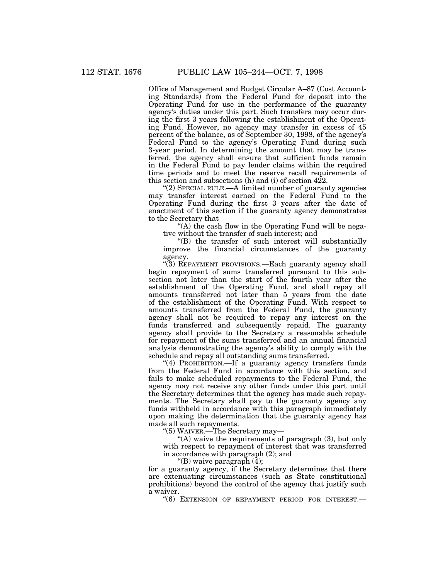Office of Management and Budget Circular A–87 (Cost Accounting Standards) from the Federal Fund for deposit into the Operating Fund for use in the performance of the guaranty agency's duties under this part. Such transfers may occur during the first 3 years following the establishment of the Operating Fund. However, no agency may transfer in excess of 45 percent of the balance, as of September 30, 1998, of the agency's Federal Fund to the agency's Operating Fund during such 3-year period. In determining the amount that may be transferred, the agency shall ensure that sufficient funds remain in the Federal Fund to pay lender claims within the required time periods and to meet the reserve recall requirements of this section and subsections  $(h)$  and  $(i)$  of section  $422$ .

''(2) SPECIAL RULE.—A limited number of guaranty agencies may transfer interest earned on the Federal Fund to the Operating Fund during the first 3 years after the date of enactment of this section if the guaranty agency demonstrates to the Secretary that—

 $(A)$  the cash flow in the Operating Fund will be negative without the transfer of such interest; and

''(B) the transfer of such interest will substantially improve the financial circumstances of the guaranty agency.

"(3) REPAYMENT PROVISIONS.—Each guaranty agency shall begin repayment of sums transferred pursuant to this subsection not later than the start of the fourth year after the establishment of the Operating Fund, and shall repay all amounts transferred not later than 5 years from the date of the establishment of the Operating Fund. With respect to amounts transferred from the Federal Fund, the guaranty agency shall not be required to repay any interest on the funds transferred and subsequently repaid. The guaranty agency shall provide to the Secretary a reasonable schedule for repayment of the sums transferred and an annual financial analysis demonstrating the agency's ability to comply with the schedule and repay all outstanding sums transferred.

"(4) PROHIBITION.—If a guaranty agency transfers funds from the Federal Fund in accordance with this section, and fails to make scheduled repayments to the Federal Fund, the agency may not receive any other funds under this part until the Secretary determines that the agency has made such repayments. The Secretary shall pay to the guaranty agency any funds withheld in accordance with this paragraph immediately upon making the determination that the guaranty agency has made all such repayments.

''(5) WAIVER.—The Secretary may—

"(A) waive the requirements of paragraph (3), but only with respect to repayment of interest that was transferred in accordance with paragraph (2); and

''(B) waive paragraph (4);

for a guaranty agency, if the Secretary determines that there are extenuating circumstances (such as State constitutional prohibitions) beyond the control of the agency that justify such a waiver.

"(6) EXTENSION OF REPAYMENT PERIOD FOR INTEREST.-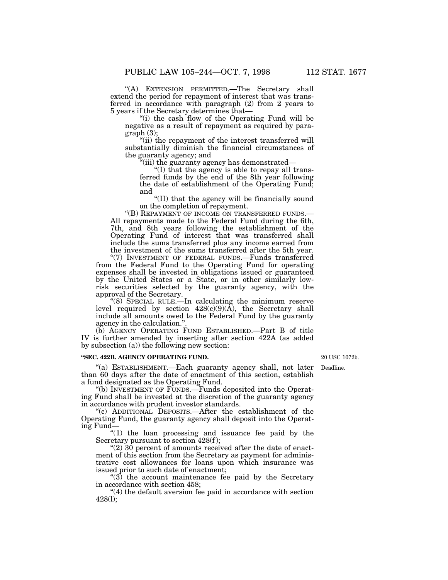''(A) EXTENSION PERMITTED.—The Secretary shall extend the period for repayment of interest that was transferred in accordance with paragraph (2) from 2 years to 5 years if the Secretary determines that—

''(i) the cash flow of the Operating Fund will be negative as a result of repayment as required by paragraph (3);

"(ii) the repayment of the interest transferred will substantially diminish the financial circumstances of the guaranty agency; and

(iii) the guaranty agency has demonstrated–

"(I) that the agency is able to repay all transferred funds by the end of the 8th year following the date of establishment of the Operating Fund; and

''(II) that the agency will be financially sound on the completion of repayment.

"(B) REPAYMENT OF INCOME ON TRANSFERRED FUNDS.-All repayments made to the Federal Fund during the 6th, 7th, and 8th years following the establishment of the Operating Fund of interest that was transferred shall include the sums transferred plus any income earned from the investment of the sums transferred after the 5th year.

"(7) INVESTMENT OF FEDERAL FUNDS.—Funds transferred from the Federal Fund to the Operating Fund for operating expenses shall be invested in obligations issued or guaranteed by the United States or a State, or in other similarly lowrisk securities selected by the guaranty agency, with the approval of the Secretary.

''(8) SPECIAL RULE.—In calculating the minimum reserve level required by section  $428(c)(9)(\tilde{A})$ , the Secretary shall include all amounts owed to the Federal Fund by the guaranty agency in the calculation.''.

(b) AGENCY OPERATING FUND ESTABLISHED.—Part B of title IV is further amended by inserting after section 422A (as added by subsection (a)) the following new section:

#### **''SEC. 422B. AGENCY OPERATING FUND.**

''(a) ESTABLISHMENT.—Each guaranty agency shall, not later than 60 days after the date of enactment of this section, establish a fund designated as the Operating Fund.

''(b) INVESTMENT OF FUNDS.—Funds deposited into the Operating Fund shall be invested at the discretion of the guaranty agency in accordance with prudent investor standards.

''(c) ADDITIONAL DEPOSITS.—After the establishment of the Operating Fund, the guaranty agency shall deposit into the Operating Fund—

"(1) the loan processing and issuance fee paid by the Secretary pursuant to section  $428(f)$ ;

" $(2)$  30 percent of amounts received after the date of enactment of this section from the Secretary as payment for administrative cost allowances for loans upon which insurance was issued prior to such date of enactment;

''(3) the account maintenance fee paid by the Secretary in accordance with section 458;

"(4) the default aversion fee paid in accordance with section 428(l);

20 USC 1072b.

Deadline.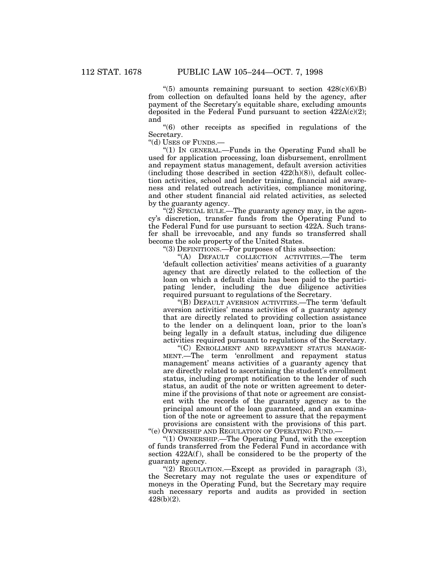"(5) amounts remaining pursuant to section  $428(c)(6)(B)$ from collection on defaulted loans held by the agency, after payment of the Secretary's equitable share, excluding amounts deposited in the Federal Fund pursuant to section  $422A(c)(2)$ ; and

"(6) other receipts as specified in regulations of the Secretary.

''(d) USES OF FUNDS.—

''(1) IN GENERAL.—Funds in the Operating Fund shall be used for application processing, loan disbursement, enrollment and repayment status management, default aversion activities  $(including those described in section 422(h)(8)), default collection$ tion activities, school and lender training, financial aid awareness and related outreach activities, compliance monitoring, and other student financial aid related activities, as selected by the guaranty agency.

"(2) SPECIAL RULE.—The guaranty agency may, in the agency's discretion, transfer funds from the Operating Fund to the Federal Fund for use pursuant to section 422A. Such transfer shall be irrevocable, and any funds so transferred shall become the sole property of the United States.

''(3) DEFINITIONS.—For purposes of this subsection:

''(A) DEFAULT COLLECTION ACTIVITIES.—The term 'default collection activities' means activities of a guaranty agency that are directly related to the collection of the loan on which a default claim has been paid to the participating lender, including the due diligence activities required pursuant to regulations of the Secretary.

''(B) DEFAULT AVERSION ACTIVITIES.—The term 'default aversion activities' means activities of a guaranty agency that are directly related to providing collection assistance to the lender on a delinquent loan, prior to the loan's being legally in a default status, including due diligence activities required pursuant to regulations of the Secretary.

''(C) ENROLLMENT AND REPAYMENT STATUS MANAGE-MENT.—The term 'enrollment and repayment status management' means activities of a guaranty agency that are directly related to ascertaining the student's enrollment status, including prompt notification to the lender of such status, an audit of the note or written agreement to determine if the provisions of that note or agreement are consistent with the records of the guaranty agency as to the principal amount of the loan guaranteed, and an examination of the note or agreement to assure that the repayment provisions are consistent with the provisions of this part. ''(e) OWNERSHIP AND REGULATION OF OPERATING FUND.—

''(1) OWNERSHIP.—The Operating Fund, with the exception of funds transferred from the Federal Fund in accordance with section  $422A(f)$ , shall be considered to be the property of the guaranty agency.

"(2) REGULATION.—Except as provided in paragraph  $(3)$ , the Secretary may not regulate the uses or expenditure of moneys in the Operating Fund, but the Secretary may require such necessary reports and audits as provided in section 428(b)(2).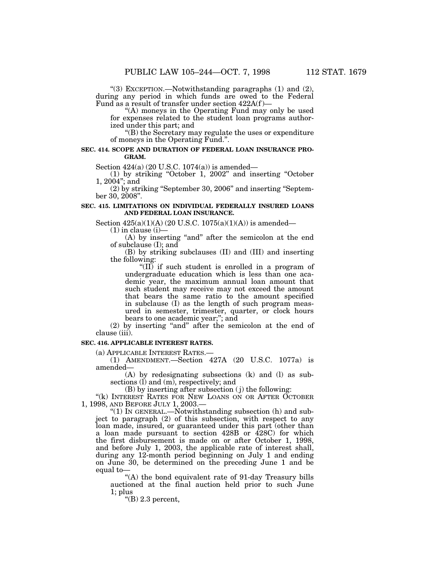''(3) EXCEPTION.—Notwithstanding paragraphs (1) and (2), during any period in which funds are owed to the Federal Fund as a result of transfer under section 422A(f )—

''(A) moneys in the Operating Fund may only be used for expenses related to the student loan programs authorized under this part; and

''(B) the Secretary may regulate the uses or expenditure of moneys in the Operating Fund.''.

# **SEC. 414. SCOPE AND DURATION OF FEDERAL LOAN INSURANCE PRO-GRAM.**

Section 424(a) (20 U.S.C. 1074(a)) is amended—

(1) by striking ''October 1, 2002'' and inserting ''October 1, 2004''; and

(2) by striking ''September 30, 2006'' and inserting ''September 30, 2008''.

#### **SEC. 415. LIMITATIONS ON INDIVIDUAL FEDERALLY INSURED LOANS AND FEDERAL LOAN INSURANCE.**

Section  $425(a)(1)(A)$  (20 U.S.C. 1075(a)(1)(A)) is amended—

 $(1)$  in clause  $(i)$ –

(A) by inserting "and" after the semicolon at the end of subclause (I); and

(B) by striking subclauses (II) and (III) and inserting the following:

" $(II)$  if such student is enrolled in a program of undergraduate education which is less than one academic year, the maximum annual loan amount that such student may receive may not exceed the amount that bears the same ratio to the amount specified in subclause (I) as the length of such program measured in semester, trimester, quarter, or clock hours bears to one academic year;''; and

(2) by inserting "and" after the semicolon at the end of clause (iii).

# **SEC. 416. APPLICABLE INTEREST RATES.**

(a) APPLICABLE INTEREST RATES.—

(1) AMENDMENT.—Section 427A (20 U.S.C. 1077a) is amended—

(A) by redesignating subsections (k) and (l) as subsections (l) and (m), respectively; and

(B) by inserting after subsection ( j) the following:

"(k) INTEREST RATES FOR NEW LOANS ON OR AFTER OCTOBER 1, 1998, AND BEFORE JULY 1, 2003.—

" $(1)$  In GENERAL.—Notwithstanding subsection  $(h)$  and subject to paragraph (2) of this subsection, with respect to any loan made, insured, or guaranteed under this part (other than a loan made pursuant to section 428B or 428C) for which the first disbursement is made on or after October 1, 1998, and before July 1, 2003, the applicable rate of interest shall, during any 12-month period beginning on July 1 and ending on June 30, be determined on the preceding June 1 and be equal to—

"(A) the bond equivalent rate of 91-day Treasury bills auctioned at the final auction held prior to such June 1; plus

 $\degree$ (B) 2.3 percent,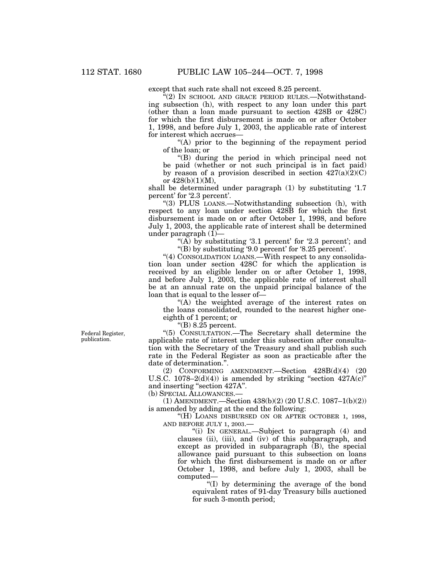except that such rate shall not exceed 8.25 percent.

 $\hat{f}(2)$  In school and grace period rules.—Notwithstanding subsection (h), with respect to any loan under this part (other than a loan made pursuant to section 428B or 428C) for which the first disbursement is made on or after October 1, 1998, and before July 1, 2003, the applicable rate of interest for interest which accrues—

"(A) prior to the beginning of the repayment period of the loan; or

''(B) during the period in which principal need not be paid (whether or not such principal is in fact paid) by reason of a provision described in section  $427(a)(2)(C)$ or 428(b)(1)(M),

shall be determined under paragraph (1) by substituting '1.7 percent' for '2.3 percent'.

''(3) PLUS LOANS.—Notwithstanding subsection (h), with respect to any loan under section 428B for which the first disbursement is made on or after October 1, 1998, and before July 1, 2003, the applicable rate of interest shall be determined under paragraph  $(1)$ –

"(A) by substituting  $3.1$  percent' for  $2.3$  percent'; and

''(B) by substituting '9.0 percent' for '8.25 percent'.

"(4) CONSOLIDATION LOANS.—With respect to any consolidation loan under section 428C for which the application is received by an eligible lender on or after October 1, 1998, and before July 1, 2003, the applicable rate of interest shall be at an annual rate on the unpaid principal balance of the loan that is equal to the lesser of—

"(A) the weighted average of the interest rates on the loans consolidated, rounded to the nearest higher oneeighth of 1 percent; or

"(B)  $8.\overline{25}$  percent.

''(5) CONSULTATION.—The Secretary shall determine the applicable rate of interest under this subsection after consultation with the Secretary of the Treasury and shall publish such rate in the Federal Register as soon as practicable after the date of determination.''.

(2) CONFORMING AMENDMENT.—Section 428B(d)(4) (20 U.S.C.  $1078-2(d)(4)$  is amended by striking "section  $427A(c)$ " and inserting "section 427A".

(b) SPECIAL ALLOWANCES.—

(1) AMENDMENT.—Section 438(b)(2) (20 U.S.C. 1087–1(b)(2)) is amended by adding at the end the following:

''(H) LOANS DISBURSED ON OR AFTER OCTOBER 1, 1998, AND BEFORE JULY 1, 2003.—

''(i) IN GENERAL.—Subject to paragraph (4) and clauses (ii), (iii), and (iv) of this subparagraph, and except as provided in subparagraph  $(B)$ , the special allowance paid pursuant to this subsection on loans for which the first disbursement is made on or after October 1, 1998, and before July 1, 2003, shall be computed—

''(I) by determining the average of the bond equivalent rates of 91-day Treasury bills auctioned for such 3-month period;

Federal Register, publication.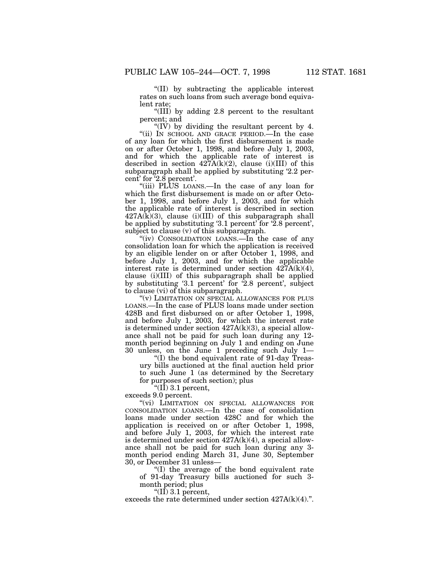''(II) by subtracting the applicable interest rates on such loans from such average bond equivalent rate;

''(III) by adding 2.8 percent to the resultant percent; and

"(IV) by dividing the resultant percent by 4. ''(ii) IN SCHOOL AND GRACE PERIOD.—In the case of any loan for which the first disbursement is made on or after October 1, 1998, and before July 1, 2003, and for which the applicable rate of interest is described in section  $427A(k)(2)$ , clause (i)(III) of this subparagraph shall be applied by substituting '2.2 percent' for '2.8 percent'.

''(iii) PLUS LOANS.—In the case of any loan for which the first disbursement is made on or after October 1, 1998, and before July 1, 2003, and for which the applicable rate of interest is described in section  $427A(\overline{k})(3)$ , clause (i)(III) of this subparagraph shall be applied by substituting '3.1 percent' for '2.8 percent', subject to clause (v) of this subparagraph.

"(iv) CONSOLIDATION LOANS.—In the case of any consolidation loan for which the application is received by an eligible lender on or after October 1, 1998, and before July 1, 2003, and for which the applicable interest rate is determined under section  $427A(k)(4)$ , clause (i)(III) of this subparagraph shall be applied by substituting '3.1 percent' for '2.8 percent', subject to clause (vi) of this subparagraph.

''(v) LIMITATION ON SPECIAL ALLOWANCES FOR PLUS LOANS.—In the case of PLUS loans made under section 428B and first disbursed on or after October 1, 1998, and before July 1, 2003, for which the interest rate is determined under section  $427A(k)(3)$ , a special allowance shall not be paid for such loan during any 12 month period beginning on July 1 and ending on June 30 unless, on the June 1 preceding such July 1—

" $(I)$  the bond equivalent rate of 91-day Treasury bills auctioned at the final auction held prior to such June 1 (as determined by the Secretary for purposes of such section); plus

 $\mathrm{``(II)}\,3.1$  percent,

exceeds 9.0 percent.

"(vi) LIMITATION ON SPECIAL ALLOWANCES FOR CONSOLIDATION LOANS.—In the case of consolidation loans made under section 428C and for which the application is received on or after October 1, 1998, and before July 1, 2003, for which the interest rate is determined under section  $427A(k)(4)$ , a special allowance shall not be paid for such loan during any 3 month period ending March 31, June 30, September 30, or December 31 unless—

''(I) the average of the bond equivalent rate of 91-day Treasury bills auctioned for such 3 month period; plus

" $(\overline{II})$  3.1 percent,

exceeds the rate determined under section  $427A(k)(4)$ .".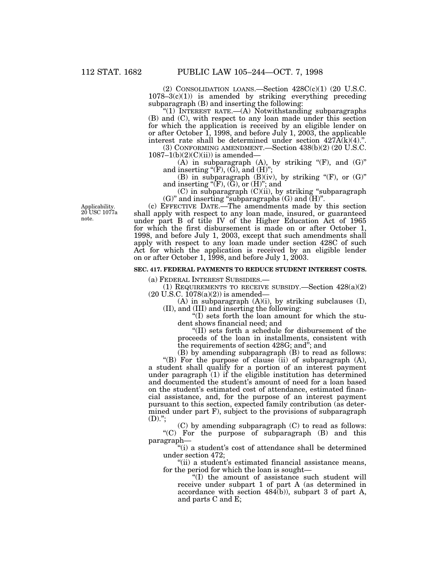(2) CONSOLIDATION LOANS.—Section  $428C(c)(1)$  (20 U.S.C.  $1078-3(c)(1)$  is amended by striking everything preceding subparagraph (B) and inserting the following:

''(1) INTEREST RATE.—(A) Notwithstanding subparagraphs (B) and (C), with respect to any loan made under this section for which the application is received by an eligible lender on or after October 1, 1998, and before July 1, 2003, the applicable interest rate shall be determined under section  $427\overline{A(k)}(4)$ ."

(3) CONFORMING AMENDMENT.—Section 438(b)(2) (20 U.S.C.  $1087-1(b)(2)(C)(ii)$  is amended—

(A) in subparagraph (A), by striking " $(F)$ , and  $(G)$ " and inserting " $(F)$ ,  $(\tilde{G})$ , and  $(H)$ ";

(B) in subparagraph  $(B)(iv)$ , by striking " $(F)$ , or  $(G)$ " and inserting " $(F)$ ,  $(G)$ , or  $(H)$ "; and

 $(C)$  in subparagraph  $(C)(ii)$ , by striking "subparagraph"  $(G)$ " and inserting "subparagraphs  $(G)$  and  $(H)$ ".

(c) EFFECTIVE DATE.—The amendments made by this section shall apply with respect to any loan made, insured, or guaranteed under part B of title IV of the Higher Education Act of 1965 for which the first disbursement is made on or after October 1, 1998, and before July 1, 2003, except that such amendments shall apply with respect to any loan made under section 428C of such Act for which the application is received by an eligible lender on or after October 1, 1998, and before July 1, 2003.

## **SEC. 417. FEDERAL PAYMENTS TO REDUCE STUDENT INTEREST COSTS.**

(a) FEDERAL INTEREST SUBSIDIES.—

(1) REQUIREMENTS TO RECEIVE SUBSIDY.—Section  $428(a)(2)$ (20 U.S.C. 1078(a)(2)) is amended—

 $(A)$  in subparagraph  $(A)(i)$ , by striking subclauses  $(I)$ , (II), and (III) and inserting the following:

''(I) sets forth the loan amount for which the student shows financial need; and

''(II) sets forth a schedule for disbursement of the proceeds of the loan in installments, consistent with the requirements of section 428G; and''; and

(B) by amending subparagraph (B) to read as follows: "(B) For the purpose of clause  $(ii)$  of subparagraph  $(A)$ , a student shall qualify for a portion of an interest payment under paragraph  $(1)$  if the eligible institution has determined and documented the student's amount of need for a loan based on the student's estimated cost of attendance, estimated financial assistance, and, for the purpose of an interest payment pursuant to this section, expected family contribution (as determined under part F), subject to the provisions of subparagraph  $(D).$ ";

(C) by amending subparagraph (C) to read as follows:  $(C)$  For the purpose of subparagraph  $(B)$  and this paragraph—

''(i) a student's cost of attendance shall be determined under section 472;

"(ii) a student's estimated financial assistance means, for the period for which the loan is sought—

''(I) the amount of assistance such student will receive under subpart 1 of part A (as determined in accordance with section 484(b)), subpart 3 of part A, and parts C and E;

Applicability. 20 USC 1077a note.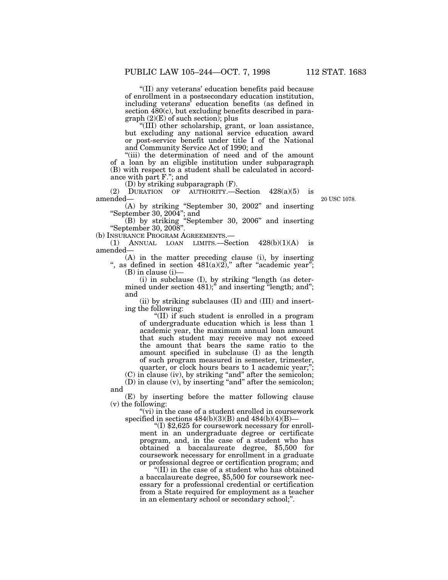''(II) any veterans' education benefits paid because of enrollment in a postsecondary education institution, including veterans' education benefits (as defined in section  $\overline{480}$ (c), but excluding benefits described in para $graph (2)(E)$  of such section); plus

''(III) other scholarship, grant, or loan assistance, but excluding any national service education award or post-service benefit under title I of the National and Community Service Act of 1990; and

''(iii) the determination of need and of the amount of a loan by an eligible institution under subparagraph (B) with respect to a student shall be calculated in accordance with part F.''; and

(D) by striking subparagraph (F).

(2) DURATION OF AUTHORITY.—Section 428(a)(5) is amended—

20 USC 1078.

(A) by striking ''September 30, 2002'' and inserting ''September 30, 2004''; and

(B) by striking ''September 30, 2006'' and inserting ''September 30, 2008''.

(b) INSURANCE PROGRAM AGREEMENTS.—

(1) ANNUAL LOAN LIMITS.—Section 428(b)(1)(A) is amended—

(A) in the matter preceding clause (i), by inserting ", as defined in section  $481(a)(2)$ ," after "academic year"; (B) in clause (i)—

(i) in subclause (I), by striking ''length (as determined under section  $481$ ; and inserting "length; and"; and

(ii) by striking subclauses (II) and (III) and inserting the following:

''(II) if such student is enrolled in a program of undergraduate education which is less than 1 academic year, the maximum annual loan amount that such student may receive may not exceed the amount that bears the same ratio to the amount specified in subclause (I) as the length of such program measured in semester, trimester, quarter, or clock hours bears to 1 academic year;";

(C) in clause (iv), by striking ''and'' after the semicolon; (D) in clause (v), by inserting "and" after the semicolon;

and

(E) by inserting before the matter following clause (v) the following:

"(vi) in the case of a student enrolled in coursework specified in sections  $484(b)(3)(B)$  and  $484(b)(4)(B)$ —

''(I) \$2,625 for coursework necessary for enrollment in an undergraduate degree or certificate program, and, in the case of a student who has obtained a baccalaureate degree, \$5,500 for coursework necessary for enrollment in a graduate or professional degree or certification program; and

''(II) in the case of a student who has obtained a baccalaureate degree, \$5,500 for coursework necessary for a professional credential or certification from a State required for employment as a teacher in an elementary school or secondary school;''.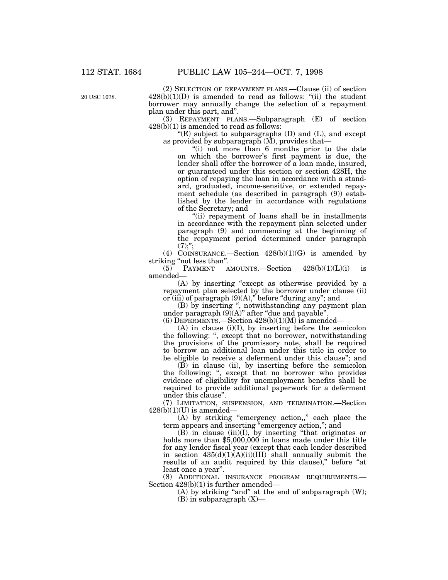20 USC 1078.

(2) SELECTION OF REPAYMENT PLANS.—Clause (ii) of section  $428(b)(1)(D)$  is amended to read as follows: "(ii) the student borrower may annually change the selection of a repayment plan under this part, and''.

(3) REPAYMENT PLANS.—Subparagraph (E) of section 428(b)(1) is amended to read as follows:

" $(E)$  subject to subparagraphs  $(D)$  and  $(L)$ , and except as provided by subparagraph (M), provides that—

''(i) not more than 6 months prior to the date on which the borrower's first payment is due, the lender shall offer the borrower of a loan made, insured, or guaranteed under this section or section 428H, the option of repaying the loan in accordance with a standard, graduated, income-sensitive, or extended repayment schedule (as described in paragraph (9)) established by the lender in accordance with regulations of the Secretary; and

''(ii) repayment of loans shall be in installments in accordance with the repayment plan selected under paragraph (9) and commencing at the beginning of the repayment period determined under paragraph  $(7);$ ";

(4) COINSURANCE.—Section  $428(b)(1)(G)$  is amended by striking "not less than".

 $(5)$  PAYMENT AMOUNTS.—Section  $428(b)(1)(L)(i)$  is amended—

(A) by inserting ''except as otherwise provided by a repayment plan selected by the borrower under clause (ii) or (iii) of paragraph (9)(A),'' before ''during any''; and

(B) by inserting '', notwithstanding any payment plan under paragraph (9)(A)'' after ''due and payable''.

 $(6)$  DEFERMENTS.—Section  $428(b)(1)(M)$  is amended—

(A) in clause (i)(I), by inserting before the semicolon the following: '', except that no borrower, notwithstanding the provisions of the promissory note, shall be required to borrow an additional loan under this title in order to be eligible to receive a deferment under this clause''; and

(B) in clause (ii), by inserting before the semicolon the following: ", except that no borrower who provides evidence of eligibility for unemployment benefits shall be required to provide additional paperwork for a deferment under this clause''.

(7) LIMITATION, SUSPENSION, AND TERMINATION.—Section  $428(b)(1)(U)$  is amended-

(A) by striking "emergency action,," each place the term appears and inserting ''emergency action,''; and

(B) in clause  $(iii)(I)$ , by inserting "that originates or holds more than \$5,000,000 in loans made under this title for any lender fiscal year (except that each lender described in section  $435(d)(1)(A)(ii)(III)$  shall annually submit the results of an audit required by this clause)," before "at least once a year''.

(8) ADDITIONAL INSURANCE PROGRAM REQUIREMENTS.— Section  $428(b)(1)$  is further amended—

(A) by striking "and" at the end of subparagraph  $(W)$ ;  $(B)$  in subparagraph  $(X)$ —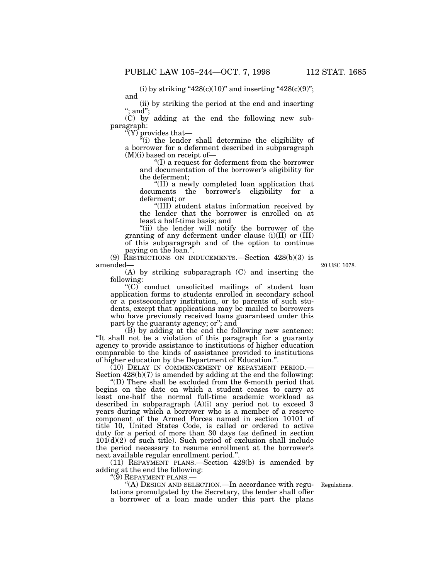(i) by striking " $428(c)(10)$ " and inserting " $428(c)(9)$ "; and

(ii) by striking the period at the end and inserting ''; and'';

(C) by adding at the end the following new subparagraph:

''(Y) provides that—

 $\lambda$ <sup>i</sup>(i) the lender shall determine the eligibility of a borrower for a deferment described in subparagraph (M)(i) based on receipt of—

''(I) a request for deferment from the borrower and documentation of the borrower's eligibility for the deferment;

''(II) a newly completed loan application that documents the borrower's eligibility for a deferment; or

''(III) student status information received by the lender that the borrower is enrolled on at least a half-time basis; and

"(ii) the lender will notify the borrower of the granting of any deferment under clause (i)(II) or (III) of this subparagraph and of the option to continue paying on the loan.".

(9) RESTRICTIONS ON INDUCEMENTS.—Section  $428(b)(3)$  is amended—

(A) by striking subparagraph (C) and inserting the following:

''(C) conduct unsolicited mailings of student loan application forms to students enrolled in secondary school or a postsecondary institution, or to parents of such students, except that applications may be mailed to borrowers who have previously received loans guaranteed under this part by the guaranty agency; or"; and

(B) by adding at the end the following new sentence: ''It shall not be a violation of this paragraph for a guaranty agency to provide assistance to institutions of higher education comparable to the kinds of assistance provided to institutions of higher education by the Department of Education.''.

(10) DELAY IN COMMENCEMENT OF REPAYMENT PERIOD.— Section  $428(b)(7)$  is amended by adding at the end the following:

''(D) There shall be excluded from the 6-month period that begins on the date on which a student ceases to carry at least one-half the normal full-time academic workload as described in subparagraph (A)(i) any period not to exceed 3 years during which a borrower who is a member of a reserve component of the Armed Forces named in section 10101 of title 10, United States Code, is called or ordered to active duty for a period of more than 30 days (as defined in section  $101(d)(2)$  of such title). Such period of exclusion shall include the period necessary to resume enrollment at the borrower's next available regular enrollment period.''.

(11) REPAYMENT PLANS.—Section 428(b) is amended by adding at the end the following:

''(9) REPAYMENT PLANS.—

''(A) DESIGN AND SELECTION.—In accordance with regulations promulgated by the Secretary, the lender shall offer a borrower of a loan made under this part the plans

Regulations.

20 USC 1078.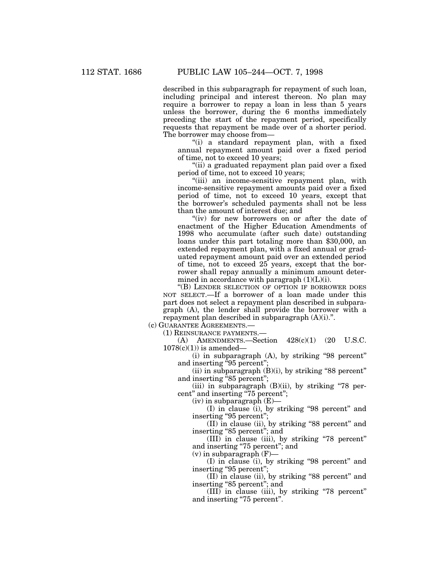described in this subparagraph for repayment of such loan, including principal and interest thereon. No plan may require a borrower to repay a loan in less than 5 years unless the borrower, during the 6 months immediately preceding the start of the repayment period, specifically requests that repayment be made over of a shorter period. The borrower may choose from—

''(i) a standard repayment plan, with a fixed annual repayment amount paid over a fixed period of time, not to exceed 10 years;

"(ii) a graduated repayment plan paid over a fixed period of time, not to exceed 10 years;

"(iii) an income-sensitive repayment plan, with income-sensitive repayment amounts paid over a fixed period of time, not to exceed 10 years, except that the borrower's scheduled payments shall not be less than the amount of interest due; and

"(iv) for new borrowers on or after the date of enactment of the Higher Education Amendments of 1998 who accumulate (after such date) outstanding loans under this part totaling more than \$30,000, an extended repayment plan, with a fixed annual or graduated repayment amount paid over an extended period of time, not to exceed 25 years, except that the borrower shall repay annually a minimum amount determined in accordance with paragraph  $(1)(L)(i)$ .

''(B) LENDER SELECTION OF OPTION IF BORROWER DOES NOT SELECT.—If a borrower of a loan made under this part does not select a repayment plan described in subparagraph (A), the lender shall provide the borrower with a repayment plan described in subparagraph (A)(i).''.

(c) GUARANTEE AGREEMENTS.—

(1) REINSURANCE PAYMENTS.—

 $(A)$  AMENDMENTS.—Section  $428(c)(1)$   $(20)$  U.S.C.  $1078(c)(1)$  is amended—

(i) in subparagraph (A), by striking ''98 percent'' and inserting "95 percent";

(ii) in subparagraph  $(B)(i)$ , by striking "88 percent" and inserting "85 percent";

(iii) in subparagraph  $(B)(ii)$ , by striking "78 percent" and inserting "75 percent";

 $(iv)$  in subparagraph  $(E)$ -

(I) in clause (i), by striking ''98 percent'' and inserting "95 percent";

(II) in clause (ii), by striking ''88 percent'' and inserting "85 percent"; and

(III) in clause (iii), by striking ''78 percent'' and inserting ''75 percent''; and

 $(v)$  in subparagraph  $(F)$ –

(I) in clause (i), by striking ''98 percent'' and inserting "95 percent";

(II) in clause (ii), by striking ''88 percent'' and inserting "85 percent"; and

 $(III)$  in clause (iii), by striking "78 percent" and inserting "75 percent".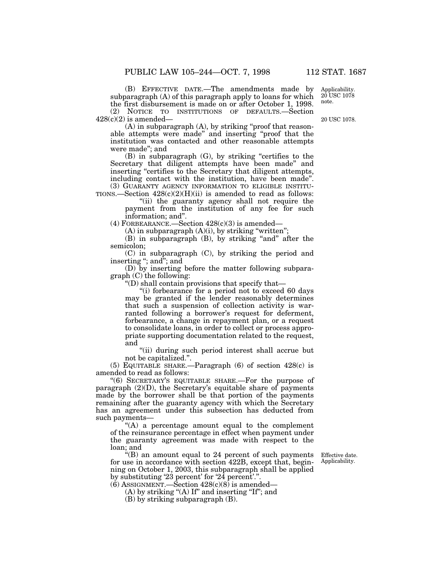(B) EFFECTIVE DATE.—The amendments made by subparagraph (A) of this paragraph apply to loans for which the first disbursement is made on or after October 1, 1998. (2) NOTICE TO INSTITUTIONS OF DEFAULTS.—Section

 $428(c)(2)$  is amended—

(A) in subparagraph (A), by striking ''proof that reasonable attempts were made'' and inserting ''proof that the institution was contacted and other reasonable attempts were made''; and

(B) in subparagraph (G), by striking ''certifies to the Secretary that diligent attempts have been made'' and inserting "certifies to the Secretary that diligent attempts, including contact with the institution, have been made''. (3) GUARANTY AGENCY INFORMATION TO ELIGIBLE INSTITU-

TIONS.—Section  $428(c)(2)(H)(ii)$  is amended to read as follows:

"(ii) the guaranty agency shall not require the payment from the institution of any fee for such information; and''.

(4) FORBEARANCE.—Section 428(c)(3) is amended—

 $(A)$  in subparagraph  $(A)(i)$ , by striking "written";

 $(B)$  in subparagraph  $(B)$ , by striking "and" after the semicolon;

(C) in subparagraph (C), by striking the period and inserting ''; and''; and

(D) by inserting before the matter following subparagraph (C) the following:

''(D) shall contain provisions that specify that—

''(i) forbearance for a period not to exceed 60 days may be granted if the lender reasonably determines that such a suspension of collection activity is warranted following a borrower's request for deferment, forbearance, a change in repayment plan, or a request to consolidate loans, in order to collect or process appropriate supporting documentation related to the request, and

"(ii) during such period interest shall accrue but not be capitalized.''.

(5) EQUITABLE SHARE.—Paragraph  $(6)$  of section  $428(c)$  is amended to read as follows:

''(6) SECRETARY'S EQUITABLE SHARE.—For the purpose of paragraph  $(2)(D)$ , the Secretary's equitable share of payments made by the borrower shall be that portion of the payments remaining after the guaranty agency with which the Secretary has an agreement under this subsection has deducted from such payments—

''(A) a percentage amount equal to the complement of the reinsurance percentage in effect when payment under the guaranty agreement was made with respect to the loan; and

> Effective date. Applicability.

''(B) an amount equal to 24 percent of such payments for use in accordance with section 422B, except that, beginning on October 1, 2003, this subparagraph shall be applied by substituting '23 percent' for '24 percent'.''.

 $(6)$  AssiGNMENT.—Section  $428(c)(8)$  is amended—

 $(A)$  by striking " $(A)$  If" and inserting "If"; and

(B) by striking subparagraph (B).

Applicability. 20 USC 1078 note.

20 USC 1078.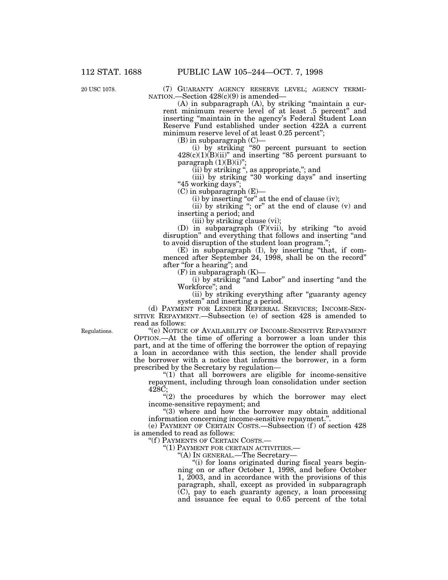20 USC 1078.

(7) GUARANTY AGENCY RESERVE LEVEL; AGENCY TERMI-NATION.—Section  $428(c)(9)$  is amended—

(A) in subparagraph (A), by striking ''maintain a current minimum reserve level of at least .5 percent'' and inserting ''maintain in the agency's Federal Student Loan Reserve Fund established under section 422A a current minimum reserve level of at least 0.25 percent";

(B) in subparagraph (C)—

(i) by striking ''80 percent pursuant to section  $428(c)(1)(B)(ii)$ " and inserting "85 percent pursuant to paragraph (1)(B)(i)'';

(ii) by striking ", as appropriate,"; and

(iii) by striking ''30 working days'' and inserting ''45 working days'';

(C) in subparagraph (E)—

 $(i)$  by inserting "or" at the end of clause  $(iv)$ ;

(ii) by striking "; or" at the end of clause  $(v)$  and inserting a period; and

(iii) by striking clause (vi);

(D) in subparagraph (F)(vii), by striking ''to avoid disruption'' and everything that follows and inserting ''and to avoid disruption of the student loan program."

(E) in subparagraph (I), by inserting ''that, if commenced after September 24, 1998, shall be on the record'' after "for a hearing"; and

(F) in subparagraph (K)—

(i) by striking ''and Labor'' and inserting ''and the Workforce''; and

(ii) by striking everything after "guaranty agency system'' and inserting a period.

(d) PAYMENT FOR LENDER REFERRAL SERVICES; INCOME-SEN-SITIVE REPAYMENT.—Subsection (e) of section 428 is amended to read as follows:

"(e) NOTICE OF AVAILABILITY OF INCOME-SENSITIVE REPAYMENT OPTION.—At the time of offering a borrower a loan under this part, and at the time of offering the borrower the option of repaying a loan in accordance with this section, the lender shall provide the borrower with a notice that informs the borrower, in a form prescribed by the Secretary by regulation—

"(1) that all borrowers are eligible for income-sensitive repayment, including through loan consolidation under section 428C;

" $(2)$  the procedures by which the borrower may elect income-sensitive repayment; and

"(3) where and how the borrower may obtain additional information concerning income-sensitive repayment.''.

(e) PAYMENT OF CERTAIN COSTS.—Subsection (f) of section 428 is amended to read as follows:

''(f ) PAYMENTS OF CERTAIN COSTS.—

"(1) PAYMENT FOR CERTAIN ACTIVITIES.-

''(A) IN GENERAL.—The Secretary—

"(i) for loans originated during fiscal years beginning on or after October 1, 1998, and before October 1, 2003, and in accordance with the provisions of this paragraph, shall, except as provided in subparagraph (C), pay to each guaranty agency, a loan processing and issuance fee equal to 0.65 percent of the total

Regulations.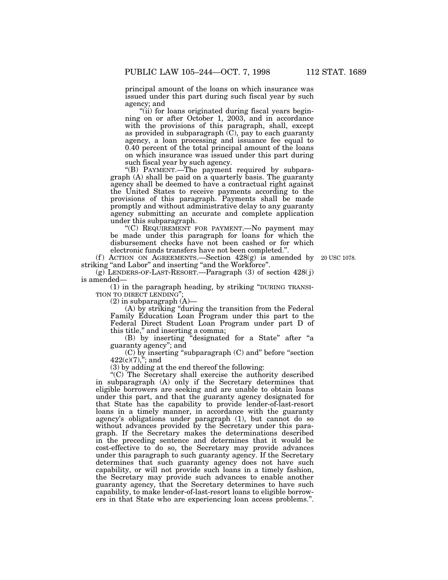principal amount of the loans on which insurance was issued under this part during such fiscal year by such agency; and

''(ii) for loans originated during fiscal years beginning on or after October 1, 2003, and in accordance with the provisions of this paragraph, shall, except as provided in subparagraph (C), pay to each guaranty agency, a loan processing and issuance fee equal to 0.40 percent of the total principal amount of the loans on which insurance was issued under this part during such fiscal year by such agency.

''(B) PAYMENT.—The payment required by subparagraph  $(A)$  shall be paid on a quarterly basis. The guaranty agency shall be deemed to have a contractual right against the United States to receive payments according to the provisions of this paragraph. Payments shall be made promptly and without administrative delay to any guaranty agency submitting an accurate and complete application under this subparagraph.

''(C) REQUIREMENT FOR PAYMENT.—No payment may be made under this paragraph for loans for which the disbursement checks have not been cashed or for which electronic funds transfers have not been completed."

(f) ACTION ON AGREEMENTS.—Section  $428(g)$  is amended by 20 USC 1078.

striking "and Labor" and inserting "and the Workforce".  $(g)$  LENDERS-OF-LAST-RESORT.—Paragraph (3) of section  $428(j)$ 

is amended— (1) in the paragraph heading, by striking ''DURING TRANSI-TION TO DIRECT LENDING"

 $(2)$  in subparagraph  $(A)$ –

(A) by striking ''during the transition from the Federal Family Education Loan Program under this part to the Federal Direct Student Loan Program under part D of this title,'' and inserting a comma;

(B) by inserting ''designated for a State'' after ''a guaranty agency''; and

(C) by inserting ''subparagraph (C) and'' before ''section 422(c)(7),"; and

(3) by adding at the end thereof the following:

''(C) The Secretary shall exercise the authority described in subparagraph (A) only if the Secretary determines that eligible borrowers are seeking and are unable to obtain loans under this part, and that the guaranty agency designated for that State has the capability to provide lender-of-last-resort loans in a timely manner, in accordance with the guaranty agency's obligations under paragraph (1), but cannot do so without advances provided by the Secretary under this paragraph. If the Secretary makes the determinations described in the preceding sentence and determines that it would be cost-effective to do so, the Secretary may provide advances under this paragraph to such guaranty agency. If the Secretary determines that such guaranty agency does not have such capability, or will not provide such loans in a timely fashion, the Secretary may provide such advances to enable another guaranty agency, that the Secretary determines to have such capability, to make lender-of-last-resort loans to eligible borrowers in that State who are experiencing loan access problems.''.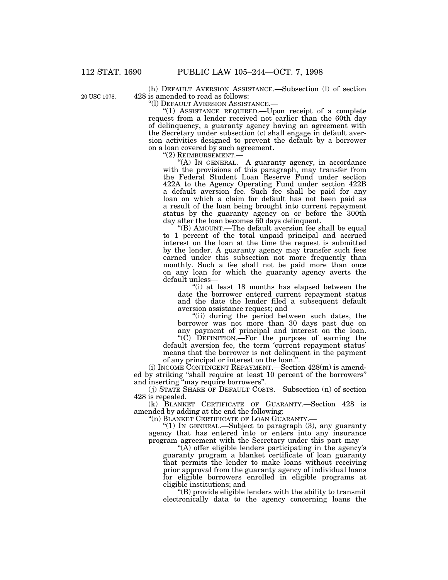20 USC 1078.

(h) DEFAULT AVERSION ASSISTANCE.—Subsection (l) of section 428 is amended to read as follows:<br>"(1) DEFAULT AVERSION ASSISTANCE.—

" $(1)$  ASSISTANCE REQUIRED.—Upon receipt of a complete request from a lender received not earlier than the 60th day of delinquency, a guaranty agency having an agreement with the Secretary under subsection (c) shall engage in default aversion activities designed to prevent the default by a borrower on a loan covered by such agreement.

''(2) REIMBURSEMENT.—

''(A) IN GENERAL.—A guaranty agency, in accordance with the provisions of this paragraph, may transfer from the Federal Student Loan Reserve Fund under section 422A to the Agency Operating Fund under section 422B a default aversion fee. Such fee shall be paid for any loan on which a claim for default has not been paid as a result of the loan being brought into current repayment status by the guaranty agency on or before the 300th day after the loan becomes 60 days delinquent.

''(B) AMOUNT.—The default aversion fee shall be equal to 1 percent of the total unpaid principal and accrued interest on the loan at the time the request is submitted by the lender. A guaranty agency may transfer such fees earned under this subsection not more frequently than monthly. Such a fee shall not be paid more than once on any loan for which the guaranty agency averts the default unless—

''(i) at least 18 months has elapsed between the date the borrower entered current repayment status and the date the lender filed a subsequent default aversion assistance request; and

"(ii) during the period between such dates, the borrower was not more than 30 days past due on any payment of principal and interest on the loan.

" $(C)$  DEFINITION.—For the purpose of earning the default aversion fee, the term 'current repayment status' means that the borrower is not delinquent in the payment of any principal or interest on the loan.''.

(i) INCOME CONTINGENT REPAYMENT.—Section 428(m) is amended by striking ''shall require at least 10 percent of the borrowers'' and inserting ''may require borrowers''.

( j) STATE SHARE OF DEFAULT COSTS.—Subsection (n) of section 428 is repealed.

(k) BLANKET CERTIFICATE OF GUARANTY.—Section 428 is amended by adding at the end the following:

''(n) BLANKET CERTIFICATE OF LOAN GUARANTY.—

''(1) IN GENERAL.—Subject to paragraph (3), any guaranty agency that has entered into or enters into any insurance program agreement with the Secretary under this part may—

" $(A)$  offer eligible lenders participating in the agency's guaranty program a blanket certificate of loan guaranty that permits the lender to make loans without receiving prior approval from the guaranty agency of individual loans for eligible borrowers enrolled in eligible programs at eligible institutions; and

''(B) provide eligible lenders with the ability to transmit electronically data to the agency concerning loans the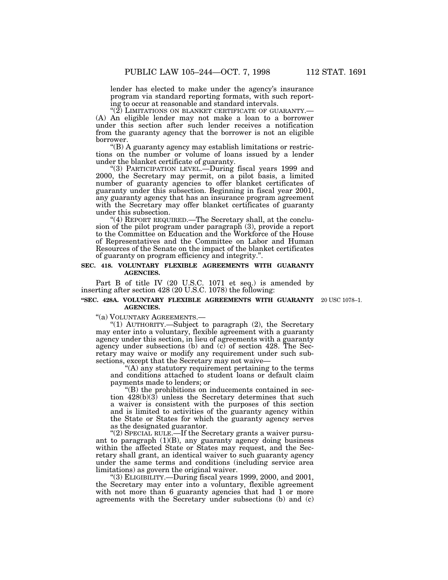lender has elected to make under the agency's insurance program via standard reporting formats, with such reporting to occur at reasonable and standard intervals.

"( $\widetilde{2}$ ) LIMITATIONS ON BLANKET CERTIFICATE OF GUARANTY.—<br>(A) An eligible lender may not make a loan to a borrower under this section after such lender receives a notification from the guaranty agency that the borrower is not an eligible borrower.

''(B) A guaranty agency may establish limitations or restrictions on the number or volume of loans issued by a lender under the blanket certificate of guaranty.

"(3) PARTICIPATION LEVEL.—During fiscal years 1999 and 2000, the Secretary may permit, on a pilot basis, a limited number of guaranty agencies to offer blanket certificates of guaranty under this subsection. Beginning in fiscal year 2001, any guaranty agency that has an insurance program agreement with the Secretary may offer blanket certificates of guaranty under this subsection.

"(4) REPORT REQUIRED.—The Secretary shall, at the conclusion of the pilot program under paragraph (3), provide a report to the Committee on Education and the Workforce of the House of Representatives and the Committee on Labor and Human Resources of the Senate on the impact of the blanket certificates of guaranty on program efficiency and integrity.''.

# **SEC. 418. VOLUNTARY FLEXIBLE AGREEMENTS WITH GUARANTY AGENCIES.**

Part B of title IV (20 U.S.C. 1071 et seq.) is amended by inserting after section 428 (20 U.S.C. 1078) the following:

#### **''SEC. 428A. VOLUNTARY FLEXIBLE AGREEMENTS WITH GUARANTY** 20 USC 1078–1.**AGENCIES.**

''(a) VOLUNTARY AGREEMENTS.— ''(1) AUTHORITY.—Subject to paragraph (2), the Secretary may enter into a voluntary, flexible agreement with a guaranty agency under this section, in lieu of agreements with a guaranty agency under subsections (b) and (c) of section 428. The Secretary may waive or modify any requirement under such subsections, except that the Secretary may not waive—

''(A) any statutory requirement pertaining to the terms and conditions attached to student loans or default claim payments made to lenders; or

''(B) the prohibitions on inducements contained in section  $428(b)(3)$  unless the Secretary determines that such a waiver is consistent with the purposes of this section and is limited to activities of the guaranty agency within the State or States for which the guaranty agency serves as the designated guarantor.

"(2) SPECIAL RULE.—If the Secretary grants a waiver pursuant to paragraph (1)(B), any guaranty agency doing business within the affected State or States may request, and the Secretary shall grant, an identical waiver to such guaranty agency under the same terms and conditions (including service area limitations) as govern the original waiver.

"(3) ELIGIBILITY.—During fiscal years  $1999, 2000,$  and  $2001$ , the Secretary may enter into a voluntary, flexible agreement with not more than 6 guaranty agencies that had 1 or more agreements with the Secretary under subsections (b) and (c)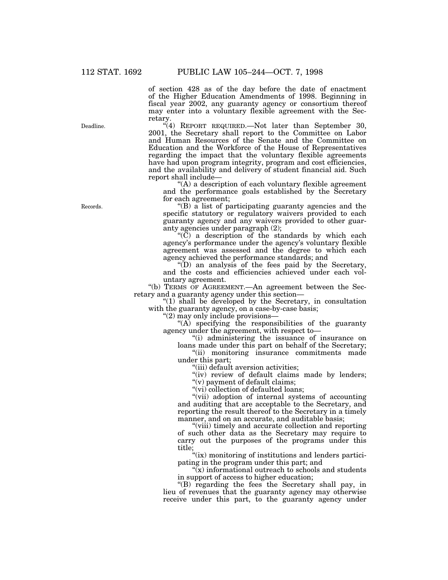of section 428 as of the day before the date of enactment of the Higher Education Amendments of 1998. Beginning in fiscal year 2002, any guaranty agency or consortium thereof may enter into a voluntary flexible agreement with the Secretary.

 $\mathfrak{m}(4)$  REPORT REQUIRED.—Not later than September 30, 2001, the Secretary shall report to the Committee on Labor and Human Resources of the Senate and the Committee on Education and the Workforce of the House of Representatives regarding the impact that the voluntary flexible agreements have had upon program integrity, program and cost efficiencies, and the availability and delivery of student financial aid. Such report shall include—

''(A) a description of each voluntary flexible agreement and the performance goals established by the Secretary for each agreement;

''(B) a list of participating guaranty agencies and the specific statutory or regulatory waivers provided to each guaranty agency and any waivers provided to other guaranty agencies under paragraph (2);

" $(C)$  a description of the standards by which each agency's performance under the agency's voluntary flexible agreement was assessed and the degree to which each agency achieved the performance standards; and

''(D) an analysis of the fees paid by the Secretary, and the costs and efficiencies achieved under each voluntary agreement.

''(b) TERMS OF AGREEMENT.—An agreement between the Secretary and a guaranty agency under this section—

''(1) shall be developed by the Secretary, in consultation with the guaranty agency, on a case-by-case basis;

''(2) may only include provisions—

" $(A)$  specifying the responsibilities of the guaranty agency under the agreement, with respect to—

''(i) administering the issuance of insurance on loans made under this part on behalf of the Secretary;

''(ii) monitoring insurance commitments made under this part;

''(iii) default aversion activities;

"(iv) review of default claims made by lenders;

''(v) payment of default claims; "(vi) collection of defaulted loans;

"(vii) adoption of internal systems of accounting and auditing that are acceptable to the Secretary, and reporting the result thereof to the Secretary in a timely manner, and on an accurate, and auditable basis;

"(viii) timely and accurate collection and reporting of such other data as the Secretary may require to carry out the purposes of the programs under this title;

"(ix) monitoring of institutions and lenders participating in the program under this part; and

 $\sqrt{\mathbf{x}}$ ) informational outreach to schools and students in support of access to higher education;

''(B) regarding the fees the Secretary shall pay, in lieu of revenues that the guaranty agency may otherwise receive under this part, to the guaranty agency under

Deadline.

Records.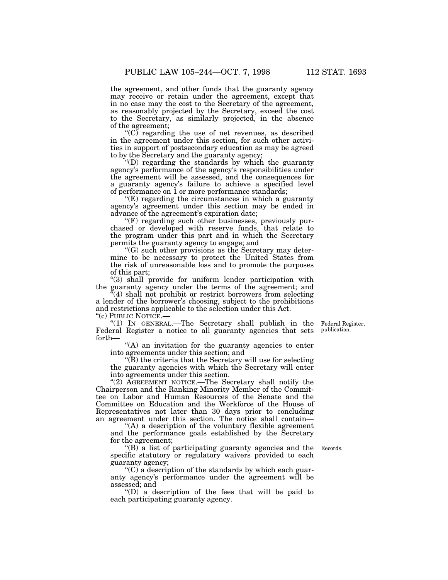the agreement, and other funds that the guaranty agency may receive or retain under the agreement, except that in no case may the cost to the Secretary of the agreement, as reasonably projected by the Secretary, exceed the cost to the Secretary, as similarly projected, in the absence of the agreement;

 $(C)$  regarding the use of net revenues, as described in the agreement under this section, for such other activities in support of postsecondary education as may be agreed to by the Secretary and the guaranty agency;

''(D) regarding the standards by which the guaranty agency's performance of the agency's responsibilities under the agreement will be assessed, and the consequences for a guaranty agency's failure to achieve a specified level of performance on 1 or more performance standards;

 $E(E)$  regarding the circumstances in which a guaranty agency's agreement under this section may be ended in advance of the agreement's expiration date;

''(F) regarding such other businesses, previously purchased or developed with reserve funds, that relate to the program under this part and in which the Secretary permits the guaranty agency to engage; and

''(G) such other provisions as the Secretary may determine to be necessary to protect the United States from the risk of unreasonable loss and to promote the purposes of this part;

"(3) shall provide for uniform lender participation with the guaranty agency under the terms of the agreement; and

 $(4)$  shall not prohibit or restrict borrowers from selecting a lender of the borrower's choosing, subject to the prohibitions and restrictions applicable to the selection under this Act.

''(c) PUBLIC NOTICE.—

''(1) IN GENERAL.—The Secretary shall publish in the Federal Register a notice to all guaranty agencies that sets forth—

"(A) an invitation for the guaranty agencies to enter into agreements under this section; and

''(B) the criteria that the Secretary will use for selecting the guaranty agencies with which the Secretary will enter into agreements under this section.

"(2) AGREEMENT NOTICE.—The Secretary shall notify the Chairperson and the Ranking Minority Member of the Committee on Labor and Human Resources of the Senate and the Committee on Education and the Workforce of the House of Representatives not later than 30 days prior to concluding an agreement under this section. The notice shall contain—

''(A) a description of the voluntary flexible agreement and the performance goals established by the Secretary for the agreement;

''(B) a list of participating guaranty agencies and the specific statutory or regulatory waivers provided to each guaranty agency; Records.

 $(C)$  a description of the standards by which each guaranty agency's performance under the agreement will be assessed; and

''(D) a description of the fees that will be paid to each participating guaranty agency.

Federal Register, publication.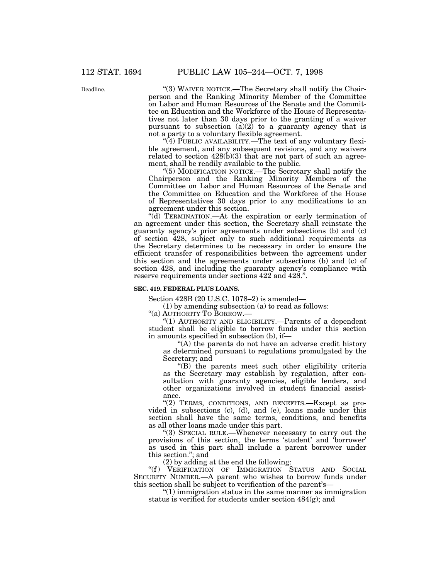Deadline.

''(3) WAIVER NOTICE.—The Secretary shall notify the Chairperson and the Ranking Minority Member of the Committee on Labor and Human Resources of the Senate and the Committee on Education and the Workforce of the House of Representatives not later than 30 days prior to the granting of a waiver pursuant to subsection  $(a)(2)$  to a guaranty agency that is not a party to a voluntary flexible agreement.

" $(4)$  PUBLIC AVAILABILITY.—The text of any voluntary flexible agreement, and any subsequent revisions, and any waivers related to section  $428(b)(3)$  that are not part of such an agreement, shall be readily available to the public.

''(5) MODIFICATION NOTICE.—The Secretary shall notify the Chairperson and the Ranking Minority Members of the Committee on Labor and Human Resources of the Senate and the Committee on Education and the Workforce of the House of Representatives 30 days prior to any modifications to an agreement under this section.

''(d) TERMINATION.—At the expiration or early termination of an agreement under this section, the Secretary shall reinstate the guaranty agency's prior agreements under subsections (b) and (c) of section 428, subject only to such additional requirements as the Secretary determines to be necessary in order to ensure the efficient transfer of responsibilities between the agreement under this section and the agreements under subsections (b) and (c) of section 428, and including the guaranty agency's compliance with reserve requirements under sections 422 and 428.''.

# **SEC. 419. FEDERAL PLUS LOANS.**

Section 428B (20 U.S.C. 1078–2) is amended—

(1) by amending subsection (a) to read as follows:

"(a) AUTHORITY TO BORROW.—

" $(1)$  AUTHORITY AND ELIGIBILITY.—Parents of a dependent student shall be eligible to borrow funds under this section in amounts specified in subsection (b), if—

"(A) the parents do not have an adverse credit history" as determined pursuant to regulations promulgated by the Secretary; and

"(B) the parents meet such other eligibility criteria as the Secretary may establish by regulation, after consultation with guaranty agencies, eligible lenders, and other organizations involved in student financial assistance.

"(2) TERMS, CONDITIONS, AND BENEFITS.—Except as provided in subsections (c), (d), and (e), loans made under this section shall have the same terms, conditions, and benefits as all other loans made under this part.

''(3) SPECIAL RULE.—Whenever necessary to carry out the provisions of this section, the terms 'student' and 'borrower' as used in this part shall include a parent borrower under this section.''; and

(2) by adding at the end the following:

"(f) VERIFICATION OF IMMIGRATION STATUS AND SOCIAL SECURITY NUMBER.—A parent who wishes to borrow funds under this section shall be subject to verification of the parent's—

''(1) immigration status in the same manner as immigration status is verified for students under section 484(g); and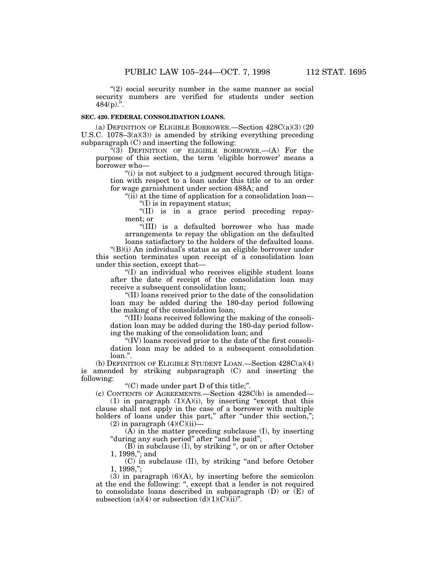"(2) social security number in the same manner as social security numbers are verified for students under section  $484(p)$ .".

# **SEC. 420. FEDERAL CONSOLIDATION LOANS.**

(a) DEFINITION OF ELIGIBLE BORROWER.—Section 428C(a)(3) (20 U.S.C.  $1078-3(a)(3)$  is amended by striking everything preceding subparagraph (C) and inserting the following:

 $(3)$  DEFINITION OF ELIGIBLE BORROWER.  $(A)$  For the purpose of this section, the term 'eligible borrower' means a borrower who—

"(i) is not subject to a judgment secured through litigation with respect to a loan under this title or to an order for wage garnishment under section 488A; and

''(ii) at the time of application for a consolidation loan— ''(I) is in repayment status;

''(II) is in a grace period preceding repayment; or

''(III) is a defaulted borrower who has made arrangements to repay the obligation on the defaulted

loans satisfactory to the holders of the defaulted loans. "(B)(i) An individual's status as an eligible borrower under this section terminates upon receipt of a consolidation loan under this section, except that—

''(I) an individual who receives eligible student loans after the date of receipt of the consolidation loan may receive a subsequent consolidation loan;

''(II) loans received prior to the date of the consolidation loan may be added during the 180-day period following the making of the consolidation loan;

''(III) loans received following the making of the consolidation loan may be added during the 180-day period following the making of the consolidation loan; and

''(IV) loans received prior to the date of the first consolidation loan may be added to a subsequent consolidation loan.''.

(b) DEFINITION OF ELIGIBLE STUDENT LOAN.—Section 428C(a)(4) is amended by striking subparagraph (C) and inserting the following:

''(C) made under part D of this title;''.

(c) CONTENTS OF AGREEMENTS.—Section 428C(b) is amended— (1) in paragraph  $(1)(A)(i)$ , by inserting "except that this

clause shall not apply in the case of a borrower with multiple holders of loans under this part," after "under this section,";  $(2)$  in paragraph  $(4)(C)(ii)$ —

 $(A)$  in the matter preceding subclause  $(I)$ , by inserting "during any such period" after "and be paid";

(B) in subclause (I), by striking '', or on or after October 1, 1998,''; and

(C) in subclause (II), by striking ''and before October 1, 1998,'';

(3) in paragraph (6)(A), by inserting before the semicolon at the end the following: '', except that a lender is not required to consolidate loans described in subparagraph  $(D)$  or  $(E)$  of subsection (a)(4) or subsection (d)(1)(C) $(iii)$ ".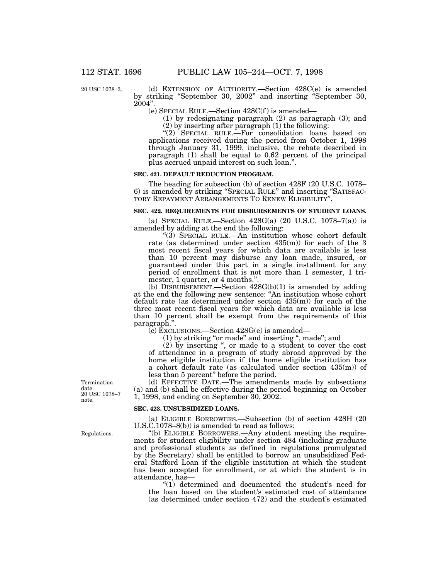20 USC 1078–3.

(d) EXTENSION OF AUTHORITY.—Section 428C(e) is amended by striking ''September 30, 2002'' and inserting ''September 30, 2004''.

(e) SPECIAL RULE.—Section 428C(f ) is amended—

(1) by redesignating paragraph (2) as paragraph (3); and (2) by inserting after paragraph (1) the following:

"(2) SPECIAL RULE.—For consolidation loans based on applications received during the period from October 1, 1998 through January 31, 1999, inclusive, the rebate described in paragraph (1) shall be equal to 0.62 percent of the principal plus accrued unpaid interest on such loan.''.

# **SEC. 421. DEFAULT REDUCTION PROGRAM.**

The heading for subsection (b) of section 428F (20 U.S.C. 1078– 6) is amended by striking ''SPECIAL RULE'' and inserting ''SATISFAC-TORY REPAYMENT ARRANGEMENTS TO RENEW ELIGIBILITY''.

#### **SEC. 422. REQUIREMENTS FOR DISBURSEMENTS OF STUDENT LOANS.**

(a) SPECIAL RULE.—Section 428G(a) (20 U.S.C. 1078–7(a)) is amended by adding at the end the following:

''(3) SPECIAL RULE.—An institution whose cohort default rate (as determined under section 435(m)) for each of the 3 most recent fiscal years for which data are available is less than 10 percent may disburse any loan made, insured, or guaranteed under this part in a single installment for any period of enrollment that is not more than 1 semester, 1 trimester, 1 quarter, or 4 months.''.

(b) DISBURSEMENT.—Section  $428G(b)(1)$  is amended by adding at the end the following new sentence: ''An institution whose cohort default rate (as determined under section 435(m)) for each of the three most recent fiscal years for which data are available is less than 10 percent shall be exempt from the requirements of this paragraph.''.

(c) EXCLUSIONS.—Section 428G(e) is amended—

(1) by striking ''or made'' and inserting '', made''; and

(2) by inserting '', or made to a student to cover the cost of attendance in a program of study abroad approved by the home eligible institution if the home eligible institution has a cohort default rate (as calculated under section 435(m)) of less than 5 percent'' before the period.

(d) EFFECTIVE DATE.—The amendments made by subsections (a) and (b) shall be effective during the period beginning on October 1, 1998, and ending on September 30, 2002.

#### **SEC. 423. UNSUBSIDIZED LOANS.**

(a) ELIGIBLE BORROWERS.—Subsection (b) of section 428H (20 U.S.C.1078–8(b)) is amended to read as follows:

''(b) ELIGIBLE BORROWERS.—Any student meeting the requirements for student eligibility under section 484 (including graduate and professional students as defined in regulations promulgated by the Secretary) shall be entitled to borrow an unsubsidized Federal Stafford Loan if the eligible institution at which the student has been accepted for enrollment, or at which the student is in attendance, has—

''(1) determined and documented the student's need for the loan based on the student's estimated cost of attendance (as determined under section 472) and the student's estimated

Termination date. 20 USC 1078–7 note.

Regulations.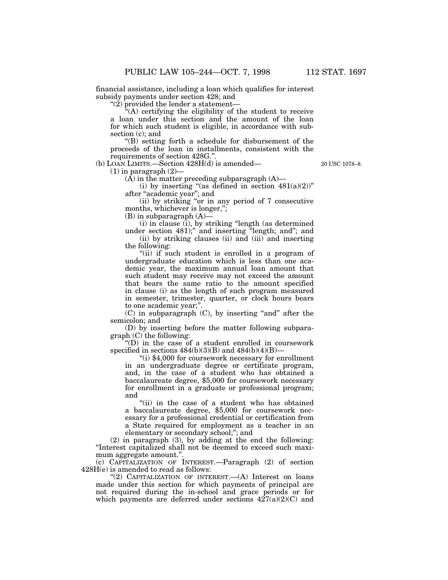financial assistance, including a loan which qualifies for interest subsidy payments under section 428; and

''(2) provided the lender a statement—

 $(A)$  certifying the eligibility of the student to receive a loan under this section and the amount of the loan for which such student is eligible, in accordance with subsection (c); and

''(B) setting forth a schedule for disbursement of the proceeds of the loan in installments, consistent with the requirements of section 428G.''.

(b) LOAN LIMITS.—Section 428H(d) is amended—

 $(1)$  in paragraph  $(2)$ —

 $(A)$  in the matter preceding subparagraph  $(A)$ —

(i) by inserting "(as defined in section  $481(a)(2)$ )" after ''academic year''; and

(ii) by striking ''or in any period of 7 consecutive months, whichever is longer,";

 $(B)$  in subparagraph  $(A)$ 

(i) in clause (i), by striking ''length (as determined under section 481);" and inserting "length; and"; and

(ii) by striking clauses (ii) and (iii) and inserting the following:

"(ii) if such student is enrolled in a program of undergraduate education which is less than one academic year, the maximum annual loan amount that such student may receive may not exceed the amount that bears the same ratio to the amount specified in clause (i) as the length of such program measured in semester, trimester, quarter, or clock hours bears to one academic year;"

 $(C)$  in subparagraph  $(C)$ , by inserting "and" after the semicolon; and

(D) by inserting before the matter following subparagraph (C) the following:

''(D) in the case of a student enrolled in coursework specified in sections  $484(b)(3)(B)$  and  $484(b)(4)(B)$ —

''(i) \$4,000 for coursework necessary for enrollment in an undergraduate degree or certificate program, and, in the case of a student who has obtained a baccalaureate degree, \$5,000 for coursework necessary for enrollment in a graduate or professional program; and

"(ii) in the case of a student who has obtained a baccalaureate degree, \$5,000 for coursework necessary for a professional credential or certification from a State required for employment as a teacher in an elementary or secondary school;''; and

(2) in paragraph (3), by adding at the end the following: ''Interest capitalized shall not be deemed to exceed such maximum aggregate amount."

(c) CAPITALIZATION OF INTEREST.—Paragraph (2) of section 428H(e) is amended to read as follows:

"(2) CAPITALIZATION OF INTEREST. $-(A)$  Interest on loans made under this section for which payments of principal are not required during the in-school and grace periods or for which payments are deferred under sections  $427(a)(2)(C)$  and

20 USC 1078–8.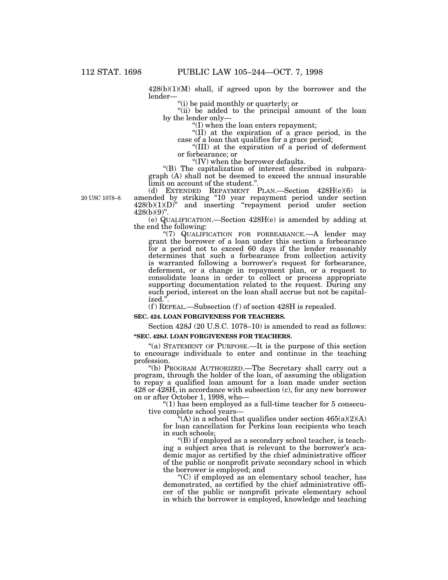$428(b)(1)(M)$  shall, if agreed upon by the borrower and the lender—

''(i) be paid monthly or quarterly; or

"(ii) be added to the principal amount of the loan by the lender only—

''(I) when the loan enters repayment;

''(II) at the expiration of a grace period, in the case of a loan that qualifies for a grace period;

''(III) at the expiration of a period of deferment or forbearance; or

''(IV) when the borrower defaults.

''(B) The capitalization of interest described in subparagraph (A) shall not be deemed to exceed the annual insurable limit on account of the student."

20 USC 1078–8.

(d) EXTENDED REPAYMENT PLAN.—Section 428H(e)(6) is amended by striking "10 year repayment period under section  $428(b)(1)(D)$ " and inserting "repayment period under section and inserting "repayment period under section 428(b)(9)''.

(e) QUALIFICATION.—Section 428H(e) is amended by adding at the end the following:

"(7) QUALIFICATION FOR FORBEARANCE.—A lender may grant the borrower of a loan under this section a forbearance for a period not to exceed 60 days if the lender reasonably determines that such a forbearance from collection activity is warranted following a borrower's request for forbearance, deferment, or a change in repayment plan, or a request to consolidate loans in order to collect or process appropriate supporting documentation related to the request. During any such period, interest on the loan shall accrue but not be capitalized.''.

 $(f)$  REPEAL.—Subsection  $(f)$  of section 428H is repealed.

# **SEC. 424. LOAN FORGIVENESS FOR TEACHERS.**

Section 428J (20 U.S.C. 1078–10) is amended to read as follows: **''SEC. 428J. LOAN FORGIVENESS FOR TEACHERS.**

"(a) STATEMENT OF PURPOSE.—It is the purpose of this section to encourage individuals to enter and continue in the teaching profession.

''(b) PROGRAM AUTHORIZED.—The Secretary shall carry out a program, through the holder of the loan, of assuming the obligation to repay a qualified loan amount for a loan made under section 428 or 428H, in accordance with subsection (c), for any new borrower on or after October 1, 1998, who—

 $''(1)$  has been employed as a full-time teacher for 5 consecutive complete school years—

 $f(A)$  in a school that qualifies under section  $465(a)(2)(A)$ for loan cancellation for Perkins loan recipients who teach in such schools;

''(B) if employed as a secondary school teacher, is teaching a subject area that is relevant to the borrower's academic major as certified by the chief administrative officer of the public or nonprofit private secondary school in which the borrower is employed; and

''(C) if employed as an elementary school teacher, has demonstrated, as certified by the chief administrative officer of the public or nonprofit private elementary school in which the borrower is employed, knowledge and teaching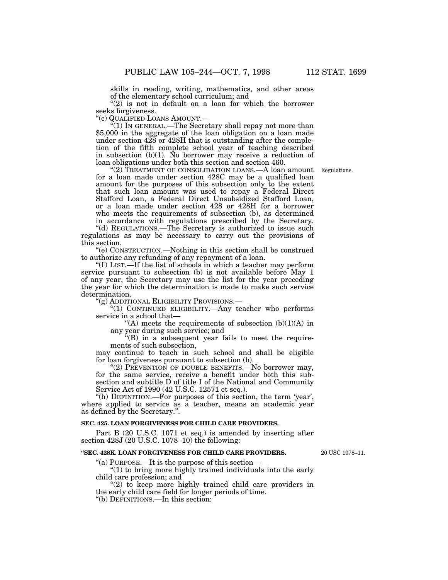skills in reading, writing, mathematics, and other areas of the elementary school curriculum; and

"(2) is not in default on a loan for which the borrower seeks forgiveness.

''(c) QUALIFIED LOANS AMOUNT.—

"(1) In GENERAL.—The Secretary shall repay not more than \$5,000 in the aggregate of the loan obligation on a loan made under section 428 or 428H that is outstanding after the completion of the fifth complete school year of teaching described in subsection (b)(1). No borrower may receive a reduction of loan obligations under both this section and section 460.

Regulations.

'(2) TREATMENT OF CONSOLIDATION LOANS.—A loan amount for a loan made under section 428C may be a qualified loan amount for the purposes of this subsection only to the extent that such loan amount was used to repay a Federal Direct Stafford Loan, a Federal Direct Unsubsidized Stafford Loan, or a loan made under section 428 or 428H for a borrower who meets the requirements of subsection (b), as determined in accordance with regulations prescribed by the Secretary.

''(d) REGULATIONS.—The Secretary is authorized to issue such regulations as may be necessary to carry out the provisions of this section.

''(e) CONSTRUCTION.—Nothing in this section shall be construed to authorize any refunding of any repayment of a loan.

" $(f)$  LIST.—If the list of schools in which a teacher may perform service pursuant to subsection (b) is not available before May 1 of any year, the Secretary may use the list for the year preceding the year for which the determination is made to make such service determination.

''(g) ADDITIONAL ELIGIBILITY PROVISIONS.—

''(1) CONTINUED ELIGIBILITY.—Any teacher who performs service in a school that—

"(A) meets the requirements of subsection  $(b)(1)(A)$  in any year during such service; and

''(B) in a subsequent year fails to meet the requirements of such subsection,

may continue to teach in such school and shall be eligible for loan forgiveness pursuant to subsection (b).

 $f(2)$  PREVENTION OF DOUBLE BENEFITS.—No borrower may, for the same service, receive a benefit under both this subsection and subtitle D of title I of the National and Community Service Act of 1990 (42 U.S.C. 12571 et seq.).

''(h) DEFINITION.—For purposes of this section, the term 'year', where applied to service as a teacher, means an academic year as defined by the Secretary.''.

# **SEC. 425. LOAN FORGIVENESS FOR CHILD CARE PROVIDERS.**

Part B (20 U.S.C. 1071 et seq.) is amended by inserting after section 428J (20 U.S.C. 1078–10) the following:

# **''SEC. 428K. LOAN FORGIVENESS FOR CHILD CARE PROVIDERS.**

20 USC 1078–11.

''(a) PURPOSE.—It is the purpose of this section—

" $(1)$  to bring more highly trained individuals into the early child care profession; and

"(2) to keep more highly trained child care providers in the early child care field for longer periods of time.

''(b) DEFINITIONS.—In this section: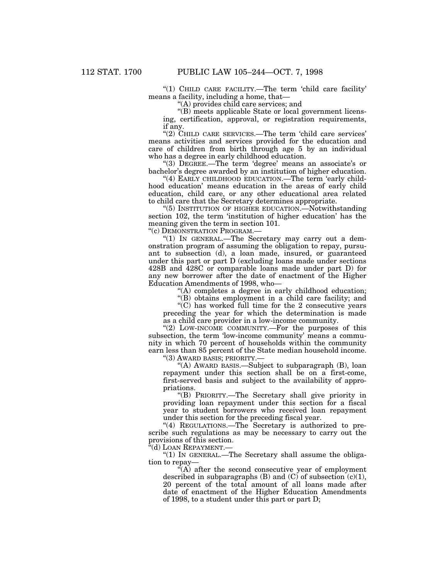"(1) CHILD CARE FACILITY.—The term 'child care facility' means a facility, including a home, that—

''(A) provides child care services; and

''(B) meets applicable State or local government licensing, certification, approval, or registration requirements, if any.

''(2) CHILD CARE SERVICES.—The term 'child care services' means activities and services provided for the education and care of children from birth through age 5 by an individual who has a degree in early childhood education.

"(3) DEGREE.—The term 'degree' means an associate's or bachelor's degree awarded by an institution of higher education.

"(4) EARLY CHILDHOOD EDUCATION.—The term 'early childhood education' means education in the areas of early child education, child care, or any other educational area related to child care that the Secretary determines appropriate.

''(5) INSTITUTION OF HIGHER EDUCATION.—Notwithstanding section 102, the term 'institution of higher education' has the meaning given the term in section 101.

''(c) DEMONSTRATION PROGRAM.—

''(1) IN GENERAL.—The Secretary may carry out a demonstration program of assuming the obligation to repay, pursuant to subsection (d), a loan made, insured, or guaranteed under this part or part D (excluding loans made under sections 428B and 428C or comparable loans made under part D) for any new borrower after the date of enactment of the Higher Education Amendments of 1998, who—

"(A) completes a degree in early childhood education;

''(B) obtains employment in a child care facility; and

''(C) has worked full time for the 2 consecutive years preceding the year for which the determination is made as a child care provider in a low-income community.

"(2) LOW-INCOME COMMUNITY.—For the purposes of this subsection, the term 'low-income community' means a community in which 70 percent of households within the community earn less than 85 percent of the State median household income.

''(3) AWARD BASIS; PRIORITY.—

''(A) AWARD BASIS.—Subject to subparagraph (B), loan repayment under this section shall be on a first-come, first-served basis and subject to the availability of appropriations.

''(B) PRIORITY.—The Secretary shall give priority in providing loan repayment under this section for a fiscal year to student borrowers who received loan repayment under this section for the preceding fiscal year.

"(4) REGULATIONS.—The Secretary is authorized to prescribe such regulations as may be necessary to carry out the provisions of this section.

''(d) LOAN REPAYMENT.—

"(1) In GENERAL.—The Secretary shall assume the obligation to repay—

''(A) after the second consecutive year of employment described in subparagraphs  $(B)$  and  $(C)$  of subsection  $(c)(1)$ , 20 percent of the total amount of all loans made after date of enactment of the Higher Education Amendments of 1998, to a student under this part or part D;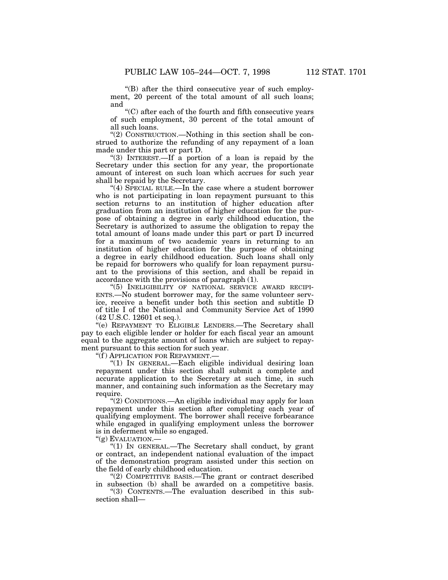''(B) after the third consecutive year of such employment, 20 percent of the total amount of all such loans; and

''(C) after each of the fourth and fifth consecutive years of such employment, 30 percent of the total amount of all such loans.

''(2) CONSTRUCTION.—Nothing in this section shall be construed to authorize the refunding of any repayment of a loan made under this part or part D.

''(3) INTEREST.—If a portion of a loan is repaid by the Secretary under this section for any year, the proportionate amount of interest on such loan which accrues for such year shall be repaid by the Secretary.

"(4) SPECIAL RULE.—In the case where a student borrower who is not participating in loan repayment pursuant to this section returns to an institution of higher education after graduation from an institution of higher education for the purpose of obtaining a degree in early childhood education, the Secretary is authorized to assume the obligation to repay the total amount of loans made under this part or part D incurred for a maximum of two academic years in returning to an institution of higher education for the purpose of obtaining a degree in early childhood education. Such loans shall only be repaid for borrowers who qualify for loan repayment pursuant to the provisions of this section, and shall be repaid in accordance with the provisions of paragraph (1).

''(5) INELIGIBILITY OF NATIONAL SERVICE AWARD RECIPI-ENTS.—No student borrower may, for the same volunteer service, receive a benefit under both this section and subtitle D of title I of the National and Community Service Act of 1990 (42 U.S.C. 12601 et seq.).

"(e) REPAYMENT TO ELIGIBLE LENDERS.—The Secretary shall pay to each eligible lender or holder for each fiscal year an amount equal to the aggregate amount of loans which are subject to repayment pursuant to this section for such year.

"(f) APPLICATION FOR REPAYMENT.-

''(1) IN GENERAL.—Each eligible individual desiring loan repayment under this section shall submit a complete and accurate application to the Secretary at such time, in such manner, and containing such information as the Secretary may require.

''(2) CONDITIONS.—An eligible individual may apply for loan repayment under this section after completing each year of qualifying employment. The borrower shall receive forbearance while engaged in qualifying employment unless the borrower is in deferment while so engaged.

''(g) EVALUATION.—

''(1) IN GENERAL.—The Secretary shall conduct, by grant or contract, an independent national evaluation of the impact of the demonstration program assisted under this section on the field of early childhood education.

"(2) COMPETITIVE BASIS.—The grant or contract described in subsection (b) shall be awarded on a competitive basis.

''(3) CONTENTS.—The evaluation described in this subsection shall—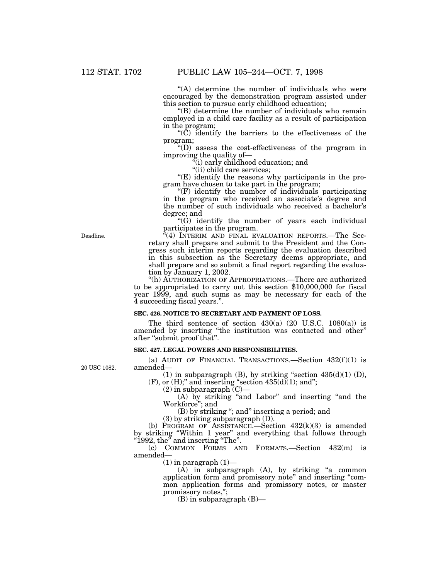"(A) determine the number of individuals who were encouraged by the demonstration program assisted under this section to pursue early childhood education;

''(B) determine the number of individuals who remain employed in a child care facility as a result of participation in the program;

" $(\hat{C})$  identify the barriers to the effectiveness of the program;

''(D) assess the cost-effectiveness of the program in improving the quality of—

(i) early childhood education; and

"(ii) child care services;

"(E) identify the reasons why participants in the program have chosen to take part in the program;

 $f(F)$  identify the number of individuals participating in the program who received an associate's degree and the number of such individuals who received a bachelor's degree; and

 $'(G)$  identify the number of years each individual participates in the program.

 $\cdot^{\alpha}(4)$  INTERIM AND FINAL EVALUATION REPORTS.—The Secretary shall prepare and submit to the President and the Congress such interim reports regarding the evaluation described in this subsection as the Secretary deems appropriate, and shall prepare and so submit a final report regarding the evaluation by January 1, 2002.

''(h) AUTHORIZATION OF APPROPRIATIONS.—There are authorized to be appropriated to carry out this section \$10,000,000 for fiscal year 1999, and such sums as may be necessary for each of the 4 succeeding fiscal years.''.

# **SEC. 426. NOTICE TO SECRETARY AND PAYMENT OF LOSS.**

The third sentence of section  $430(a)$  (20 U.S.C. 1080(a)) is amended by inserting ''the institution was contacted and other'' after ''submit proof that''.

# **SEC. 427. LEGAL POWERS AND RESPONSIBILITIES.**

(a) AUDIT OF FINANCIAL TRANSACTIONS.—Section  $432(f)(1)$  is amended—

(1) in subparagraph (B), by striking "section  $435(d)(1)$  (D),  $(F)$ , or  $(H)$ ;" and inserting "section 435 $(d)(1)$ ; and";

 $(2)$  in subparagraph  $(C)$ —

(A) by striking ''and Labor'' and inserting ''and the Workforce''; and

(B) by striking ''; and'' inserting a period; and

(3) by striking subparagraph (D).

(b) PROGRAM OF ASSISTANCE.—Section 432(k)(3) is amended by striking ''Within 1 year'' and everything that follows through " $1992$ , the" and inserting "The".

(c) COMMON FORMS AND FORMATS.—Section 432(m) is amended—

 $(1)$  in paragraph  $(1)$ —

 $(A)$  in subparagraph  $(A)$ , by striking "a common application form and promissory note'' and inserting ''common application forms and promissory notes, or master promissory notes,";

(B) in subparagraph (B)—

Deadline.

20 USC 1082.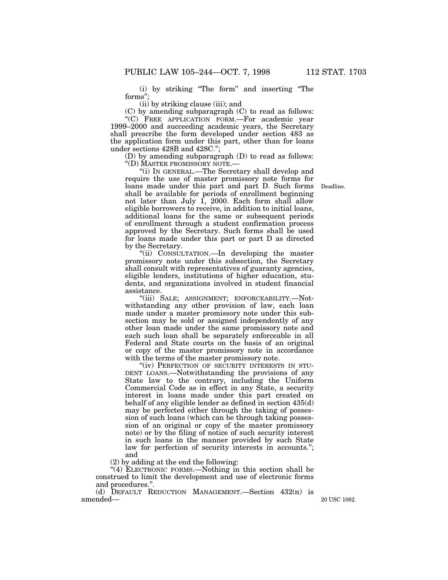(i) by striking ''The form'' and inserting ''The forms'';

(ii) by striking clause (iii); and

(C) by amending subparagraph (C) to read as follows: ''(C) FREE APPLICATION FORM.—For academic year 1999–2000 and succeeding academic years, the Secretary shall prescribe the form developed under section 483 as the application form under this part, other than for loans under sections 428B and 428C."

(D) by amending subparagraph (D) to read as follows: ''(D) MASTER PROMISSORY NOTE.—

''(i) IN GENERAL.—The Secretary shall develop and require the use of master promissory note forms for loans made under this part and part D. Such forms shall be available for periods of enrollment beginning not later than July 1, 2000. Each form shall allow eligible borrowers to receive, in addition to initial loans, additional loans for the same or subsequent periods of enrollment through a student confirmation process approved by the Secretary. Such forms shall be used for loans made under this part or part D as directed by the Secretary.

''(ii) CONSULTATION.—In developing the master promissory note under this subsection, the Secretary shall consult with representatives of guaranty agencies, eligible lenders, institutions of higher education, students, and organizations involved in student financial assistance.

''(iii) SALE; ASSIGNMENT; ENFORCEABILITY.—Notwithstanding any other provision of law, each loan made under a master promissory note under this subsection may be sold or assigned independently of any other loan made under the same promissory note and each such loan shall be separately enforceable in all Federal and State courts on the basis of an original or copy of the master promissory note in accordance with the terms of the master promissory note.

"(iv) PERFECTION OF SECURITY INTERESTS IN STU-DENT LOANS.—Notwithstanding the provisions of any State law to the contrary, including the Uniform Commercial Code as in effect in any State, a security interest in loans made under this part created on behalf of any eligible lender as defined in section 435(d) may be perfected either through the taking of possession of such loans (which can be through taking possession of an original or copy of the master promissory note) or by the filing of notice of such security interest in such loans in the manner provided by such State law for perfection of security interests in accounts."; and

(2) by adding at the end the following:

"(4) ELECTRONIC FORMS.—Nothing in this section shall be construed to limit the development and use of electronic forms and procedures.''.

(d) DEFAULT REDUCTION MANAGEMENT.—Section 432(n) is amended— 20 USC 1082.

Deadline.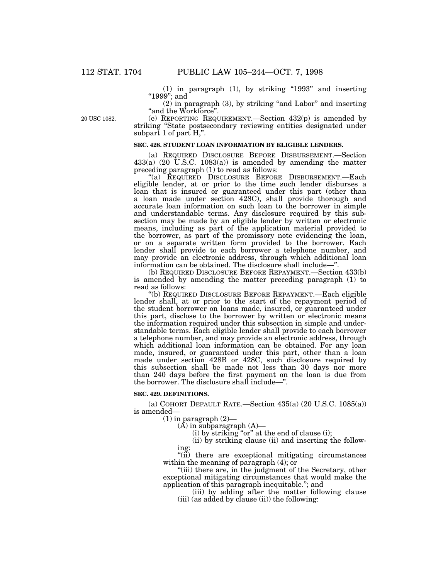$(1)$  in paragraph  $(1)$ , by striking "1993" and inserting ''1999''; and

(2) in paragraph (3), by striking ''and Labor'' and inserting ''and the Workforce''.

(e) REPORTING REQUIREMENT.—Section 432(p) is amended by striking ''State postsecondary reviewing entities designated under subpart 1 of part H,''.

# **SEC. 428. STUDENT LOAN INFORMATION BY ELIGIBLE LENDERS.**

(a) REQUIRED DISCLOSURE BEFORE DISBURSEMENT.—Section 433(a) (20 U.S.C. 1083(a)) is amended by amending the matter preceding paragraph (1) to read as follows:

"(a) REQUIRED DISCLOSURE BEFORE DISBURSEMENT. Each eligible lender, at or prior to the time such lender disburses a loan that is insured or guaranteed under this part (other than a loan made under section 428C), shall provide thorough and accurate loan information on such loan to the borrower in simple and understandable terms. Any disclosure required by this subsection may be made by an eligible lender by written or electronic means, including as part of the application material provided to the borrower, as part of the promissory note evidencing the loan, or on a separate written form provided to the borrower. Each lender shall provide to each borrower a telephone number, and may provide an electronic address, through which additional loan information can be obtained. The disclosure shall include—''.

(b) REQUIRED DISCLOSURE BEFORE REPAYMENT.—Section 433(b) is amended by amending the matter preceding paragraph (1) to read as follows:

''(b) REQUIRED DISCLOSURE BEFORE REPAYMENT.—Each eligible lender shall, at or prior to the start of the repayment period of the student borrower on loans made, insured, or guaranteed under this part, disclose to the borrower by written or electronic means the information required under this subsection in simple and understandable terms. Each eligible lender shall provide to each borrower a telephone number, and may provide an electronic address, through which additional loan information can be obtained. For any loan made, insured, or guaranteed under this part, other than a loan made under section 428B or 428C, such disclosure required by this subsection shall be made not less than 30 days nor more than 240 days before the first payment on the loan is due from the borrower. The disclosure shall include—''.

# **SEC. 429. DEFINITIONS.**

(a) COHORT DEFAULT RATE.—Section  $435(a)$  (20 U.S.C. 1085(a)) is amended—

 $(1)$  in paragraph  $(2)$ —

(A) in subparagraph (A)—

(i) by striking ''or'' at the end of clause (i);

(ii) by striking clause (ii) and inserting the follow-

ing:

"(ii) there are exceptional mitigating circumstances within the meaning of paragraph (4); or

"(iii) there are, in the judgment of the Secretary, other exceptional mitigating circumstances that would make the application of this paragraph inequitable.''; and

(iii) by adding after the matter following clause (iii) (as added by clause (ii)) the following:

20 USC 1082.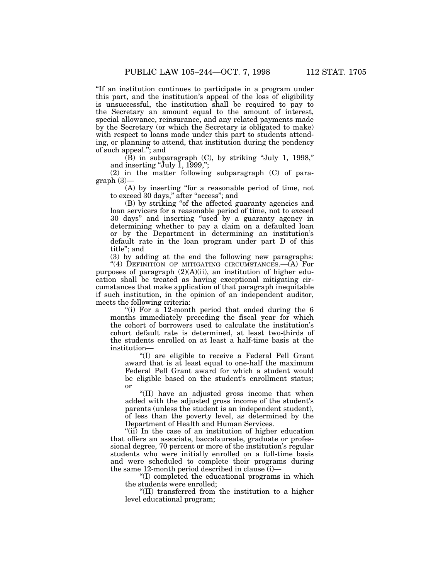''If an institution continues to participate in a program under this part, and the institution's appeal of the loss of eligibility is unsuccessful, the institution shall be required to pay to the Secretary an amount equal to the amount of interest, special allowance, reinsurance, and any related payments made by the Secretary (or which the Secretary is obligated to make) with respect to loans made under this part to students attending, or planning to attend, that institution during the pendency of such appeal.''; and

 $(\overline{B})$  in subparagraph (C), by striking "July 1, 1998," and inserting " $July \tilde{1}$ , 1999,";

(2) in the matter following subparagraph (C) of paragraph (3)—

(A) by inserting ''for a reasonable period of time, not to exceed 30 days," after "access"; and

(B) by striking ''of the affected guaranty agencies and loan servicers for a reasonable period of time, not to exceed 30 days'' and inserting ''used by a guaranty agency in determining whether to pay a claim on a defaulted loan or by the Department in determining an institution's default rate in the loan program under part D of this title''; and

(3) by adding at the end the following new paragraphs: "(4) DEFINITION OF MITIGATING CIRCUMSTANCES.—(A) For purposes of paragraph  $(2)(A)(ii)$ , an institution of higher education shall be treated as having exceptional mitigating circumstances that make application of that paragraph inequitable if such institution, in the opinion of an independent auditor,

meets the following criteria:

"(i) For a 12-month period that ended during the 6 months immediately preceding the fiscal year for which the cohort of borrowers used to calculate the institution's cohort default rate is determined, at least two-thirds of the students enrolled on at least a half-time basis at the institution—

''(I) are eligible to receive a Federal Pell Grant award that is at least equal to one-half the maximum Federal Pell Grant award for which a student would be eligible based on the student's enrollment status; or

''(II) have an adjusted gross income that when added with the adjusted gross income of the student's parents (unless the student is an independent student), of less than the poverty level, as determined by the Department of Health and Human Services.

''(ii) In the case of an institution of higher education that offers an associate, baccalaureate, graduate or professional degree, 70 percent or more of the institution's regular students who were initially enrolled on a full-time basis and were scheduled to complete their programs during the same 12-month period described in clause (i)—

''(I) completed the educational programs in which the students were enrolled;

''(II) transferred from the institution to a higher level educational program;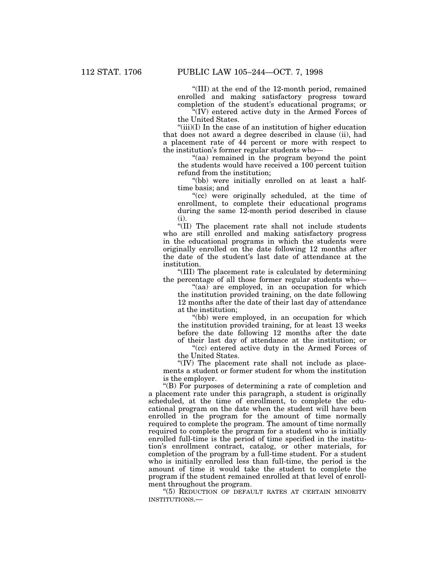''(III) at the end of the 12-month period, remained enrolled and making satisfactory progress toward completion of the student's educational programs; or

''(IV) entered active duty in the Armed Forces of the United States.

 $\lq$ (iii)(I) In the case of an institution of higher education that does not award a degree described in clause (ii), had a placement rate of 44 percent or more with respect to the institution's former regular students who—

"(aa) remained in the program beyond the point the students would have received a 100 percent tuition refund from the institution;

"(bb) were initially enrolled on at least a halftime basis; and

"(cc) were originally scheduled, at the time of enrollment, to complete their educational programs during the same 12-month period described in clause (i).

''(II) The placement rate shall not include students who are still enrolled and making satisfactory progress in the educational programs in which the students were originally enrolled on the date following 12 months after the date of the student's last date of attendance at the institution.

''(III) The placement rate is calculated by determining the percentage of all those former regular students who—

"(aa) are employed, in an occupation for which the institution provided training, on the date following 12 months after the date of their last day of attendance at the institution;

''(bb) were employed, in an occupation for which the institution provided training, for at least 13 weeks before the date following 12 months after the date of their last day of attendance at the institution; or

"(cc) entered active duty in the Armed Forces of the United States.

" $(IV)$  The placement rate shall not include as placements a student or former student for whom the institution is the employer.

''(B) For purposes of determining a rate of completion and a placement rate under this paragraph, a student is originally scheduled, at the time of enrollment, to complete the educational program on the date when the student will have been enrolled in the program for the amount of time normally required to complete the program. The amount of time normally required to complete the program for a student who is initially enrolled full-time is the period of time specified in the institution's enrollment contract, catalog, or other materials, for completion of the program by a full-time student. For a student who is initially enrolled less than full-time, the period is the amount of time it would take the student to complete the program if the student remained enrolled at that level of enrollment throughout the program.

"(5) REDUCTION OF DEFAULT RATES AT CERTAIN MINORITY INSTITUTIONS.—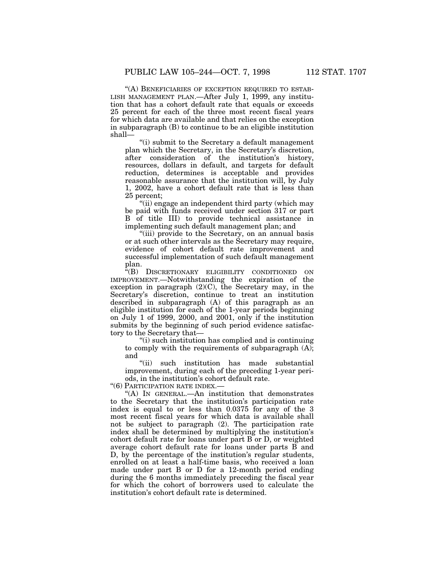"(A) BENEFICIARIES OF EXCEPTION REQUIRED TO ESTAB-LISH MANAGEMENT PLAN.—After July 1, 1999, any institution that has a cohort default rate that equals or exceeds 25 percent for each of the three most recent fiscal years for which data are available and that relies on the exception in subparagraph (B) to continue to be an eligible institution shall—

''(i) submit to the Secretary a default management plan which the Secretary, in the Secretary's discretion, after consideration of the institution's history, resources, dollars in default, and targets for default reduction, determines is acceptable and provides reasonable assurance that the institution will, by July 1, 2002, have a cohort default rate that is less than 25 percent;

''(ii) engage an independent third party (which may be paid with funds received under section 317 or part B of title III) to provide technical assistance in implementing such default management plan; and

"(iii) provide to the Secretary, on an annual basis or at such other intervals as the Secretary may require, evidence of cohort default rate improvement and successful implementation of such default management plan.

''(B) DISCRETIONARY ELIGIBILITY CONDITIONED ON IMPROVEMENT.—Notwithstanding the expiration of the exception in paragraph (2)(C), the Secretary may, in the Secretary's discretion, continue to treat an institution described in subparagraph (A) of this paragraph as an eligible institution for each of the 1-year periods beginning on July 1 of 1999, 2000, and 2001, only if the institution submits by the beginning of such period evidence satisfactory to the Secretary that—

''(i) such institution has complied and is continuing to comply with the requirements of subparagraph (A); and

''(ii) such institution has made substantial improvement, during each of the preceding 1-year periods, in the institution's cohort default rate.

"(6) PARTICIPATION RATE INDEX.-

''(A) IN GENERAL.—An institution that demonstrates to the Secretary that the institution's participation rate index is equal to or less than 0.0375 for any of the 3 most recent fiscal years for which data is available shall not be subject to paragraph (2). The participation rate index shall be determined by multiplying the institution's cohort default rate for loans under part B or D, or weighted average cohort default rate for loans under parts B and D, by the percentage of the institution's regular students, enrolled on at least a half-time basis, who received a loan made under part B or D for a 12-month period ending during the 6 months immediately preceding the fiscal year for which the cohort of borrowers used to calculate the institution's cohort default rate is determined.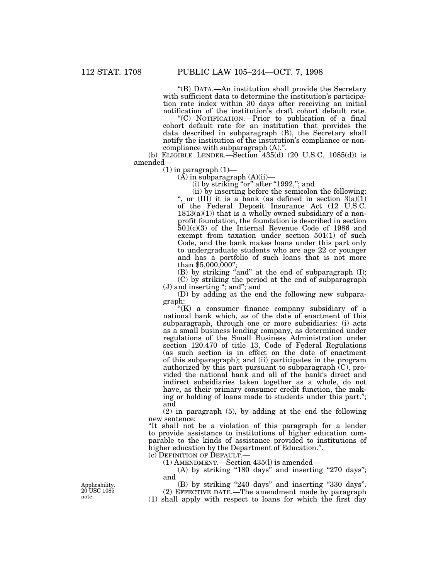''(B) DATA.—An institution shall provide the Secretary with sufficient data to determine the institution's participation rate index within 30 days after receiving an initial notification of the institution's draft cohort default rate.

''(C) NOTIFICATION.—Prior to publication of a final cohort default rate for an institution that provides the data described in subparagraph (B), the Secretary shall notify the institution of the institution's compliance or noncompliance with subparagraph (A).''.

(b) ELIGIBLE LENDER.—Section 435(d) (20 U.S.C. 1085(d)) is amended—

 $(1)$  in paragraph  $(1)$ —

 $(A)$  in subparagraph  $(A)(ii)$ —

(i) by striking "or" after "1992,"; and

(ii) by inserting before the semicolon the following: ", or  $(III)$  it is a bank (as defined in section  $3(a)(1)$ of the Federal Deposit Insurance Act (12 U.S.C.  $1813(a)(1)$ ) that is a wholly owned subsidiary of a nonprofit foundation, the foundation is described in section 501(c)(3) of the Internal Revenue Code of 1986 and exempt from taxation under section 501(1) of such Code, and the bank makes loans under this part only to undergraduate students who are age 22 or younger and has a portfolio of such loans that is not more than \$5,000,000'';

(B) by striking "and" at the end of subparagraph  $(I)$ ; (C) by striking the period at the end of subparagraph (J) and inserting ''; and''; and

(D) by adding at the end the following new subparagraph:

"(K) a consumer finance company subsidiary of a national bank which, as of the date of enactment of this subparagraph, through one or more subsidiaries: (i) acts as a small business lending company, as determined under regulations of the Small Business Administration under section 120.470 of title 13, Code of Federal Regulations (as such section is in effect on the date of enactment of this subparagraph); and (ii) participates in the program authorized by this part pursuant to subparagraph (C), provided the national bank and all of the bank's direct and indirect subsidiaries taken together as a whole, do not have, as their primary consumer credit function, the making or holding of loans made to students under this part.''; and

(2) in paragraph (5), by adding at the end the following new sentence:

''It shall not be a violation of this paragraph for a lender to provide assistance to institutions of higher education comparable to the kinds of assistance provided to institutions of higher education by the Department of Education.''.

(c) DEFINITION OF DEFAULT.—

(1) AMENDMENT.—Section 435(l) is amended—

(A) by striking "180 days" and inserting "270 days"; and

(B) by striking "240 days" and inserting "330 days". (2) EFFECTIVE DATE.—The amendment made by paragraph (1) shall apply with respect to loans for which the first day

Applicability. 20 USC 1085 note.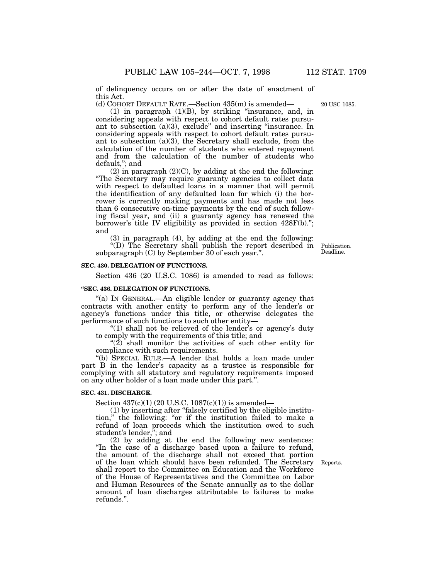of delinquency occurs on or after the date of enactment of this Act.

(d) COHORT DEFAULT RATE.—Section 435(m) is amended—

(1) in paragraph (1)(B), by striking ''insurance, and, in considering appeals with respect to cohort default rates pursuant to subsection (a)(3), exclude'' and inserting ''insurance. In considering appeals with respect to cohort default rates pursuant to subsection (a)(3), the Secretary shall exclude, from the calculation of the number of students who entered repayment and from the calculation of the number of students who default,''; and

 $(2)$  in paragraph  $(2)(C)$ , by adding at the end the following: ''The Secretary may require guaranty agencies to collect data with respect to defaulted loans in a manner that will permit the identification of any defaulted loan for which (i) the borrower is currently making payments and has made not less than 6 consecutive on-time payments by the end of such following fiscal year, and (ii) a guaranty agency has renewed the borrower's title IV eligibility as provided in section 428F(b)."; and

(3) in paragraph (4), by adding at the end the following: ''(D) The Secretary shall publish the report described in subparagraph (C) by September 30 of each year.''.

# **SEC. 430. DELEGATION OF FUNCTIONS.**

Section 436 (20 U.S.C. 1086) is amended to read as follows:

# **''SEC. 436. DELEGATION OF FUNCTIONS.**

"(a) In GENERAL.—An eligible lender or guaranty agency that contracts with another entity to perform any of the lender's or agency's functions under this title, or otherwise delegates the performance of such functions to such other entity—

"(1) shall not be relieved of the lender's or agency's duty to comply with the requirements of this title; and

" $(2)$  shall monitor the activities of such other entity for compliance with such requirements.

''(b) SPECIAL RULE.—A lender that holds a loan made under part B in the lender's capacity as a trustee is responsible for complying with all statutory and regulatory requirements imposed on any other holder of a loan made under this part.''.

#### **SEC. 431. DISCHARGE.**

Section  $437(c)(1)(20$  U.S.C.  $1087(c)(1))$  is amended—

(1) by inserting after ''falsely certified by the eligible institution," the following: "or if the institution failed to make a refund of loan proceeds which the institution owed to such student's lender,''; and

(2) by adding at the end the following new sentences: ''In the case of a discharge based upon a failure to refund, the amount of the discharge shall not exceed that portion of the loan which should have been refunded. The Secretary shall report to the Committee on Education and the Workforce of the House of Representatives and the Committee on Labor and Human Resources of the Senate annually as to the dollar amount of loan discharges attributable to failures to make refunds.''.

Reports.

Publication. Deadline.

20 USC 1085.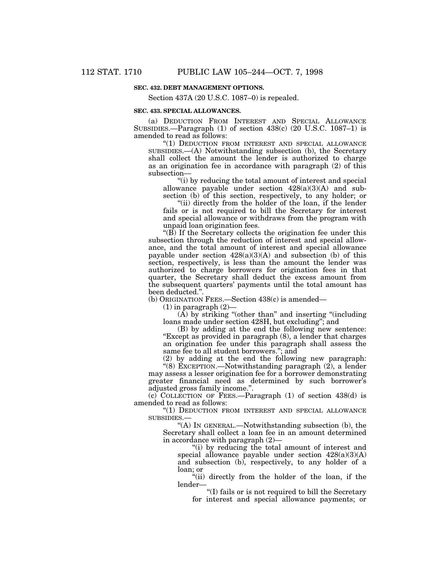# **SEC. 432. DEBT MANAGEMENT OPTIONS.**

Section 437A (20 U.S.C. 1087–0) is repealed.

#### **SEC. 433. SPECIAL ALLOWANCES.**

(a) DEDUCTION FROM INTEREST AND SPECIAL ALLOWANCE SUBSIDIES.—Paragraph (1) of section 438(c) (20 U.S.C. 1087–1) is amended to read as follows:

"(1) DEDUCTION FROM INTEREST AND SPECIAL ALLOWANCE SUBSIDIES.—(A) Notwithstanding subsection (b), the Secretary shall collect the amount the lender is authorized to charge as an origination fee in accordance with paragraph (2) of this subsection—

''(i) by reducing the total amount of interest and special allowance payable under section  $428(a)(3)(A)$  and subsection (b) of this section, respectively, to any holder; or

''(ii) directly from the holder of the loan, if the lender fails or is not required to bill the Secretary for interest and special allowance or withdraws from the program with unpaid loan origination fees.

''(B) If the Secretary collects the origination fee under this subsection through the reduction of interest and special allowance, and the total amount of interest and special allowance payable under section  $428(a)(3)(A)$  and subsection (b) of this section, respectively, is less than the amount the lender was authorized to charge borrowers for origination fees in that quarter, the Secretary shall deduct the excess amount from the subsequent quarters' payments until the total amount has been deducted.''.

(b) ORIGINATION FEES.—Section 438(c) is amended—

 $(1)$  in paragraph  $(2)$ —

 $(A)$  by striking "(other than" and inserting "(including loans made under section 428H, but excluding''; and

(B) by adding at the end the following new sentence: ''Except as provided in paragraph (8), a lender that charges an origination fee under this paragraph shall assess the same fee to all student borrowers.''; and

(2) by adding at the end the following new paragraph:

"(8)  $\text{ExCEPTION.}$ —Notwithstanding paragraph (2), a lender may assess a lesser origination fee for a borrower demonstrating greater financial need as determined by such borrower's adjusted gross family income.''.

(c) COLLECTION OF FEES.—Paragraph (1) of section 438(d) is amended to read as follows:

"(1) DEDUCTION FROM INTEREST AND SPECIAL ALLOWANCE SUBSIDIES.—

''(A) IN GENERAL.—Notwithstanding subsection (b), the Secretary shall collect a loan fee in an amount determined in accordance with paragraph (2)—

"(i) by reducing the total amount of interest and special allowance payable under section  $428(a)(3)(A)$ and subsection (b), respectively, to any holder of a loan; or

''(ii) directly from the holder of the loan, if the lender—

''(I) fails or is not required to bill the Secretary for interest and special allowance payments; or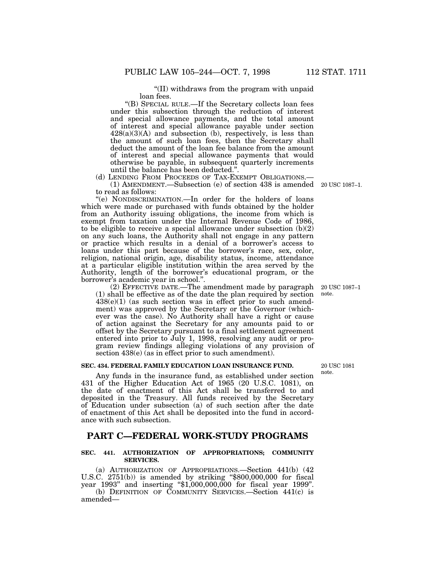''(II) withdraws from the program with unpaid loan fees.

''(B) SPECIAL RULE.—If the Secretary collects loan fees under this subsection through the reduction of interest and special allowance payments, and the total amount of interest and special allowance payable under section  $428(a)(3)(A)$  and subsection (b), respectively, is less than the amount of such loan fees, then the Secretary shall deduct the amount of the loan fee balance from the amount of interest and special allowance payments that would otherwise be payable, in subsequent quarterly increments until the balance has been deducted.''.

(d) LENDING FROM PROCEEDS OF TAX-EXEMPT OBLIGATIONS.—

(1) AMENDMENT.—Subsection (e) of section 438 is amended 20 USC 1087–1.to read as follows:

''(e) NONDISCRIMINATION.—In order for the holders of loans which were made or purchased with funds obtained by the holder from an Authority issuing obligations, the income from which is exempt from taxation under the Internal Revenue Code of 1986, to be eligible to receive a special allowance under subsection (b)(2) on any such loans, the Authority shall not engage in any pattern or practice which results in a denial of a borrower's access to loans under this part because of the borrower's race, sex, color, religion, national origin, age, disability status, income, attendance at a particular eligible institution within the area served by the Authority, length of the borrower's educational program, or the borrower's academic year in school.''.

(2) EFFECTIVE DATE.—The amendment made by paragraph 20 USC 1087–1 (1) shall be effective as of the date the plan required by section 438(e)(1) (as such section was in effect prior to such amendment) was approved by the Secretary or the Governor (whichever was the case). No Authority shall have a right or cause of action against the Secretary for any amounts paid to or offset by the Secretary pursuant to a final settlement agreement entered into prior to July 1, 1998, resolving any audit or program review findings alleging violations of any provision of section 438(e) (as in effect prior to such amendment).

# **SEC. 434. FEDERAL FAMILY EDUCATION LOAN INSURANCE FUND.**

Any funds in the insurance fund, as established under section 431 of the Higher Education Act of 1965 (20 U.S.C. 1081), on the date of enactment of this Act shall be transferred to and deposited in the Treasury. All funds received by the Secretary of Education under subsection (a) of such section after the date of enactment of this Act shall be deposited into the fund in accordance with such subsection.

# **PART C—FEDERAL WORK-STUDY PROGRAMS**

### **SEC. 441. AUTHORIZATION OF APPROPRIATIONS; COMMUNITY SERVICES.**

(a) AUTHORIZATION OF APPROPRIATIONS.—Section 441(b) (42 U.S.C. 2751(b)) is amended by striking "\$800,000,000 for fiscal year 1993" and inserting "\$1,000,000,000 for fiscal year 1999". (b) DEFINITION OF COMMUNITY SERVICES.—Section 441(c) is amended—

20 USC 1081 note.

note.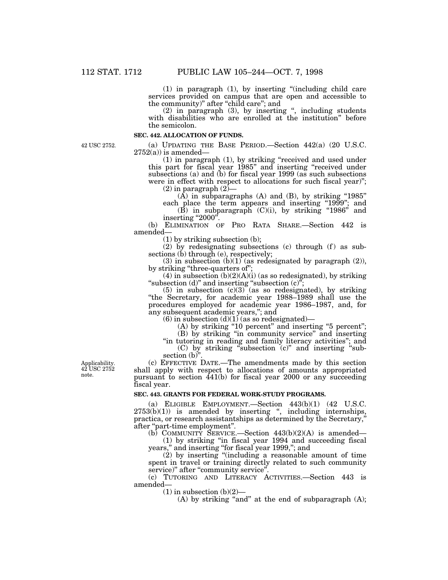(1) in paragraph (1), by inserting ''(including child care services provided on campus that are open and accessible to the community)'' after ''child care''; and

(2) in paragraph (3), by inserting '', including students with disabilities who are enrolled at the institution" before the semicolon.

# **SEC. 442. ALLOCATION OF FUNDS.**

42 USC 2752.

(a) UPDATING THE BASE PERIOD.—Section 442(a) (20 U.S.C.  $2752(a)$  is amended-

 $(1)$  in paragraph  $(1)$ , by striking "received and used under this part for fiscal year 1985" and inserting "received under subsections (a) and (b) for fiscal year 1999 (as such subsections were in effect with respect to allocations for such fiscal year)";

 $(2)$  in paragraph  $(2)$ —

 $(A)$  in subparagraphs  $(A)$  and  $(B)$ , by striking "1985" each place the term appears and inserting "1999"; and

 $(B)$  in subparagraph  $(C)(i)$ , by striking "1986" and

inserting "2000". (b) ELIMINATION OF PRO RATA SHARE.—Section 442 is amended—

(1) by striking subsection (b);

(2) by redesignating subsections (c) through  $(f)$  as subsections (b) through (e), respectively;

(3) in subsection  $(b)(1)$  (as redesignated by paragraph (2)), by striking ''three-quarters of'';

(4) in subsection  $(b)(2)(A)(i)$  (as so redesignated), by striking "subsection  $(d)$ " and inserting "subsection  $(c)$ ";

 $(5)$  in subsection  $(c)(3)$  (as so redesignated), by striking ''the Secretary, for academic year 1988–1989 shall use the procedures employed for academic year 1986–1987, and, for any subsequent academic years,"; and

(6) in subsection  $(d)(1)$  (as so redesignated)—

(A) by striking "10 percent" and inserting "5 percent";

(B) by striking ''in community service'' and inserting

"in tutoring in reading and family literacy activities"; and (C) by striking ''subsection (c)'' and inserting ''subsection  $(b)$ <sup>'</sup>

Applicability. 42 USC 2752 note.

(c) EFFECTIVE DATE.—The amendments made by this section shall apply with respect to allocations of amounts appropriated pursuant to section 441(b) for fiscal year 2000 or any succeeding fiscal year.

# **SEC. 443. GRANTS FOR FEDERAL WORK-STUDY PROGRAMS.**

(a) ELIGIBLE EMPLOYMENT.—Section 443(b)(1) (42 U.S.C.  $2753(b)(1)$  is amended by inserting ", including internships, practica, or research assistantships as determined by the Secretary,'' after ''part-time employment''.

(b) COMMUNITY SERVICE.—Section  $443(b)(2)(A)$  is amended—

(1) by striking ''in fiscal year 1994 and succeeding fiscal years,'' and inserting ''for fiscal year 1999,''; and

(2) by inserting ''(including a reasonable amount of time spent in travel or training directly related to such community service)" after "community service".

(c) TUTORING AND LITERACY ACTIVITIES.—Section 443 is amended—

 $(1)$  in subsection  $(b)(2)$ —

(A) by striking "and" at the end of subparagraph  $(A)$ ;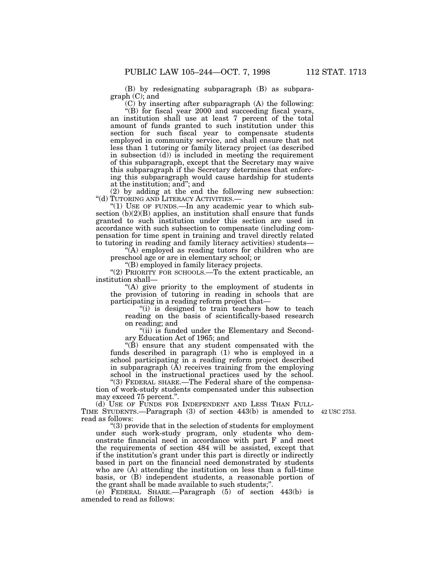(B) by redesignating subparagraph (B) as subparagraph (C); and

(C) by inserting after subparagraph (A) the following: ''(B) for fiscal year 2000 and succeeding fiscal years, an institution shall use at least 7 percent of the total amount of funds granted to such institution under this section for such fiscal year to compensate students employed in community service, and shall ensure that not less than 1 tutoring or family literacy project (as described in subsection (d)) is included in meeting the requirement of this subparagraph, except that the Secretary may waive this subparagraph if the Secretary determines that enforcing this subparagraph would cause hardship for students at the institution; and''; and

(2) by adding at the end the following new subsection: ''(d) TUTORING AND LITERACY ACTIVITIES.—

"(1) USE OF FUNDS.—In any academic year to which subsection  $(b)(2)(B)$  applies, an institution shall ensure that funds granted to such institution under this section are used in accordance with such subsection to compensate (including compensation for time spent in training and travel directly related to tutoring in reading and family literacy activities) students—

"(A) employed as reading tutors for children who are preschool age or are in elementary school; or

''(B) employed in family literacy projects.

"(2) PRIORITY FOR SCHOOLS.—To the extent practicable, an institution shall—

''(A) give priority to the employment of students in the provision of tutoring in reading in schools that are participating in a reading reform project that—

''(i) is designed to train teachers how to teach reading on the basis of scientifically-based research on reading; and

"(ii) is funded under the Elementary and Secondary Education Act of 1965; and

 $($ B) ensure that any student compensated with the funds described in paragraph (1) who is employed in a school participating in a reading reform project described in subparagraph (A) receives training from the employing school in the instructional practices used by the school.

''(3) FEDERAL SHARE.—The Federal share of the compensation of work-study students compensated under this subsection may exceed 75 percent.''.

(d) USE OF FUNDS FOR INDEPENDENT AND LESS THAN FULL-TIME STUDENTS.—Paragraph (3) of section 443(b) is amended to read as follows:

''(3) provide that in the selection of students for employment under such work-study program, only students who demonstrate financial need in accordance with part F and meet the requirements of section 484 will be assisted, except that if the institution's grant under this part is directly or indirectly based in part on the financial need demonstrated by students who are  $(A)$  attending the institution on less than a full-time basis, or (B) independent students, a reasonable portion of

the grant shall be made available to such students;''.

(e) FEDERAL SHARE.—Paragraph (5) of section 443(b) is amended to read as follows:

42 USC 2753.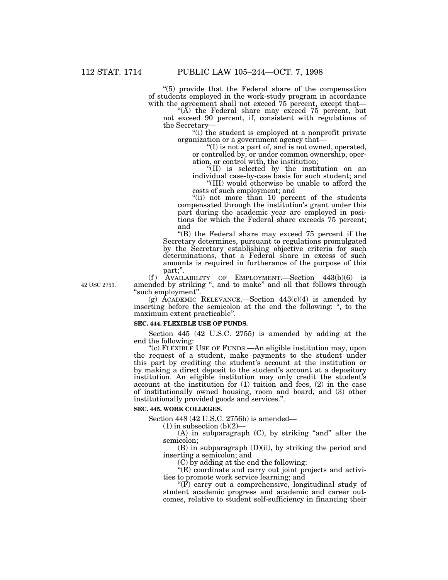''(5) provide that the Federal share of the compensation of students employed in the work-study program in accordance with the agreement shall not exceed 75 percent, except that—

" $(\tilde{A})$  the Federal share may exceed 75 percent, but not exceed 90 percent, if, consistent with regulations of the Secretary—

''(i) the student is employed at a nonprofit private organization or a government agency that—

''(I) is not a part of, and is not owned, operated, or controlled by, or under common ownership, operation, or control with, the institution;

 $\sqrt{\text{III}}$  is selected by the institution on an individual case-by-case basis for such student; and ''(III) would otherwise be unable to afford the costs of such employment; and

''(ii) not more than 10 percent of the students compensated through the institution's grant under this part during the academic year are employed in positions for which the Federal share exceeds 75 percent; and

''(B) the Federal share may exceed 75 percent if the Secretary determines, pursuant to regulations promulgated by the Secretary establishing objective criteria for such determinations, that a Federal share in excess of such amounts is required in furtherance of the purpose of this part;''.

42 USC 2753.

(f)  $\overline{A}$ VAILABILITY OF EMPLOYMENT.—Section 443(b)(6) is amended by striking ", and to make" and all that follows through ''such employment''.

(g) ACADEMIC RELEVANCE.—Section  $443(c)(4)$  is amended by inserting before the semicolon at the end the following: '', to the maximum extent practicable''.

# **SEC. 444. FLEXIBLE USE OF FUNDS.**

Section 445 (42 U.S.C. 2755) is amended by adding at the end the following:

''(c) FLEXIBLE USE OF FUNDS.—An eligible institution may, upon the request of a student, make payments to the student under this part by crediting the student's account at the institution or by making a direct deposit to the student's account at a depository institution. An eligible institution may only credit the student's account at the institution for (1) tuition and fees, (2) in the case of institutionally owned housing, room and board, and (3) other institutionally provided goods and services.''.

#### **SEC. 445. WORK COLLEGES.**

Section 448 (42 U.S.C. 2756b) is amended—

 $(1)$  in subsection  $(b)(2)$ —

 $(A)$  in subparagraph  $(C)$ , by striking "and" after the semicolon;

(B) in subparagraph (D)(ii), by striking the period and inserting a semicolon; and

(C) by adding at the end the following:

''(E) coordinate and carry out joint projects and activities to promote work service learning; and

" $(F)$  carry out a comprehensive, longitudinal study of student academic progress and academic and career outcomes, relative to student self-sufficiency in financing their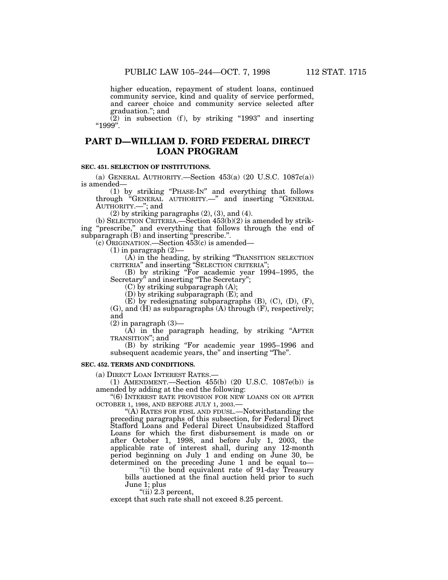higher education, repayment of student loans, continued community service, kind and quality of service performed, and career choice and community service selected after graduation.''; and

 $(2)$  in subsection  $(f)$ , by striking "1993" and inserting ''1999''.

# **PART D—WILLIAM D. FORD FEDERAL DIRECT LOAN PROGRAM**

# **SEC. 451. SELECTION OF INSTITUTIONS.**

(a) GENERAL AUTHORITY.—Section 453(a) (20 U.S.C. 1087c(a)) is amended—

(1) by striking ''PHASE-IN'' and everything that follows through ''GENERAL AUTHORITY.—'' and inserting ''GENERAL AUTHORITY.—''; and

(2) by striking paragraphs (2), (3), and (4).

(b) SELECTION CRITERIA.—Section  $453(b)(2)$  is amended by striking ''prescribe,'' and everything that follows through the end of subparagraph (B) and inserting "prescribe.".

(c) ORIGINATION.—Section 453(c) is amended—

(1) in paragraph (2)—

 $(\overline{A})$  in the heading, by striking "TRANSITION SELECTION CRITERIA'' and inserting ''SELECTION CRITERIA'';

(B) by striking ''For academic year 1994–1995, the Secretary<sup>"</sup> and inserting "The Secretary";

(C) by striking subparagraph (A);

(D) by striking subparagraph (E); and

(E) by redesignating subparagraphs (B), (C), (D), (F), (G), and (H) as subparagraphs (A) through (F), respectively; and

 $(2)$  in paragraph  $(3)$ —

(A) in the paragraph heading, by striking ''AFTER TRANSITION''; and

(B) by striking ''For academic year 1995–1996 and subsequent academic years, the" and inserting "The".

# **SEC. 452. TERMS AND CONDITIONS.**

(a) DIRECT LOAN INTEREST RATES.—

(1) AMENDMENT.—Section 455(b) (20 U.S.C. 1087e(b)) is amended by adding at the end the following:

''(6) INTEREST RATE PROVISION FOR NEW LOANS ON OR AFTER OCTOBER 1, 1998, AND BEFORE JULY 1, 2003.—

''(A) RATES FOR FDSL AND FDUSL.—Notwithstanding the preceding paragraphs of this subsection, for Federal Direct Stafford Loans and Federal Direct Unsubsidized Stafford Loans for which the first disbursement is made on or after October 1, 1998, and before July 1, 2003, the applicable rate of interest shall, during any 12-month period beginning on July 1 and ending on June 30, be determined on the preceding June 1 and be equal to—

''(i) the bond equivalent rate of 91-day Treasury bills auctioned at the final auction held prior to such June 1; plus

" $(ii)$  2.3 percent,

except that such rate shall not exceed 8.25 percent.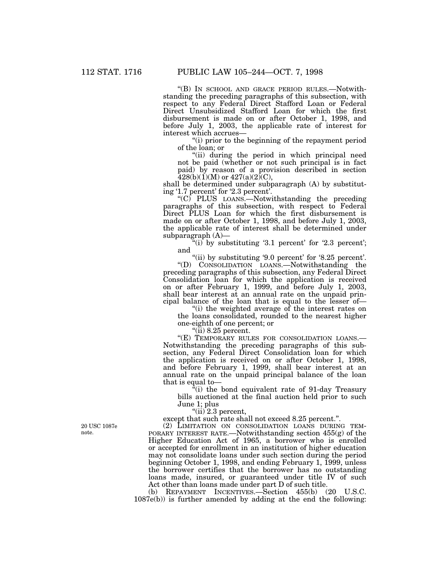''(B) IN SCHOOL AND GRACE PERIOD RULES.—Notwithstanding the preceding paragraphs of this subsection, with respect to any Federal Direct Stafford Loan or Federal Direct Unsubsidized Stafford Loan for which the first disbursement is made on or after October 1, 1998, and before July 1, 2003, the applicable rate of interest for interest which accrues—

''(i) prior to the beginning of the repayment period of the loan; or

''(ii) during the period in which principal need not be paid (whether or not such principal is in fact paid) by reason of a provision described in section  $428(b)(1)(M)$  or  $427(a)(2)(C)$ ,

shall be determined under subparagraph (A) by substituting '1.7 percent' for '2.3 percent'.

''(C) PLUS LOANS.—Notwithstanding the preceding paragraphs of this subsection, with respect to Federal Direct PLUS Loan for which the first disbursement is made on or after October 1, 1998, and before July 1, 2003, the applicable rate of interest shall be determined under subparagraph (A)—

"(i) by substituting  $3.1$  percent' for  $2.3$  percent'; and

"(ii) by substituting '9.0 percent' for '8.25 percent'.

''(D) CONSOLIDATION LOANS.—Notwithstanding the preceding paragraphs of this subsection, any Federal Direct Consolidation loan for which the application is received on or after February 1, 1999, and before July 1, 2003, shall bear interest at an annual rate on the unpaid principal balance of the loan that is equal to the lesser of—

''(i) the weighted average of the interest rates on the loans consolidated, rounded to the nearest higher one-eighth of one percent; or

" $(ii)$  8.25 percent.

"(E) TEMPORARY RULES FOR CONSOLIDATION LOANS.-Notwithstanding the preceding paragraphs of this subsection, any Federal Direct Consolidation loan for which the application is received on or after October 1, 1998, and before February 1, 1999, shall bear interest at an annual rate on the unpaid principal balance of the loan that is equal to—

 $\mathbf{F}$ <sup> $\mathbf{F}$ </sup>(i) the bond equivalent rate of 91-day Treasury bills auctioned at the final auction held prior to such June 1; plus

" $(ii)$  2.3 percent,

except that such rate shall not exceed 8.25 percent.''.

(2) LIMITATION ON CONSOLIDATION LOANS DURING TEM-PORARY INTEREST RATE.—Notwithstanding section 455(g) of the Higher Education Act of 1965, a borrower who is enrolled or accepted for enrollment in an institution of higher education may not consolidate loans under such section during the period beginning October 1, 1998, and ending February 1, 1999, unless the borrower certifies that the borrower has no outstanding loans made, insured, or guaranteed under title IV of such Act other than loans made under part D of such title.

(b) REPAYMENT INCENTIVES.—Section 455(b) (20 U.S.C. 1087e(b)) is further amended by adding at the end the following:

20 USC 1087e note.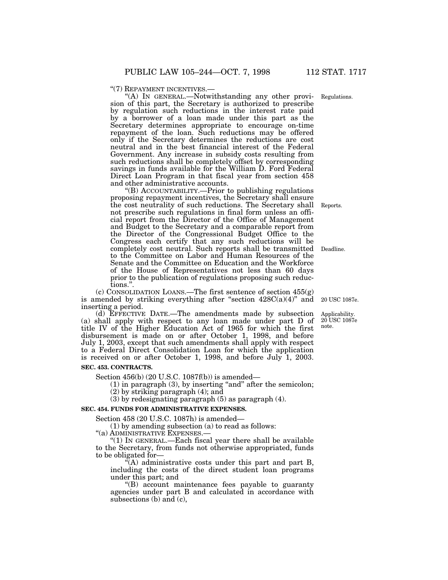''(7) REPAYMENT INCENTIVES.— ''(A) IN GENERAL.—Notwithstanding any other provision of this part, the Secretary is authorized to prescribe by regulation such reductions in the interest rate paid by a borrower of a loan made under this part as the Secretary determines appropriate to encourage on-time repayment of the loan. Such reductions may be offered only if the Secretary determines the reductions are cost neutral and in the best financial interest of the Federal Government. Any increase in subsidy costs resulting from such reductions shall be completely offset by corresponding savings in funds available for the William D. Ford Federal Direct Loan Program in that fiscal year from section 458 and other administrative accounts.

''(B) ACCOUNTABILITY.—Prior to publishing regulations proposing repayment incentives, the Secretary shall ensure the cost neutrality of such reductions. The Secretary shall the cost neutrality of such reductions. The Secretary shall Reports.<br>not prescribe such regulations in final form unless an official report from the Director of the Office of Management and Budget to the Secretary and a comparable report from the Director of the Congressional Budget Office to the Congress each certify that any such reductions will be completely cost neutral. Such reports shall be transmitted Deadline. to the Committee on Labor and Human Resources of the Senate and the Committee on Education and the Workforce of the House of Representatives not less than 60 days prior to the publication of regulations proposing such reductions.''.

(c) CONSOLIDATION LOANS.—The first sentence of section  $455(g)$ is amended by striking everything after "section  $428C(a)(4)$ " and inserting a period.

(d) EFFECTIVE DATE.—The amendments made by subsection (a) shall apply with respect to any loan made under part D of title IV of the Higher Education Act of 1965 for which the first disbursement is made on or after October 1, 1998, and before July 1, 2003, except that such amendments shall apply with respect to a Federal Direct Consolidation Loan for which the application is received on or after October 1, 1998, and before July 1, 2003.

# **SEC. 453. CONTRACTS.**

Section 456(b) (20 U.S.C. 1087f(b)) is amended—

 $(1)$  in paragraph  $(3)$ , by inserting "and" after the semicolon;

(2) by striking paragraph (4); and

(3) by redesignating paragraph (5) as paragraph (4).

#### **SEC. 454. FUNDS FOR ADMINISTRATIVE EXPENSES.**

Section 458 (20 U.S.C. 1087h) is amended—

(1) by amending subsection (a) to read as follows: "(a) ADMINISTRATIVE EXPENSES.—

"(1) In GENERAL.—Each fiscal year there shall be available to the Secretary, from funds not otherwise appropriated, funds to be obligated for—

 $K(A)$  administrative costs under this part and part B, including the costs of the direct student loan programs under this part; and

''(B) account maintenance fees payable to guaranty agencies under part B and calculated in accordance with subsections (b) and (c),

20 USC 1087e.

Applicability. 20 USC 1087e note.

Regulations.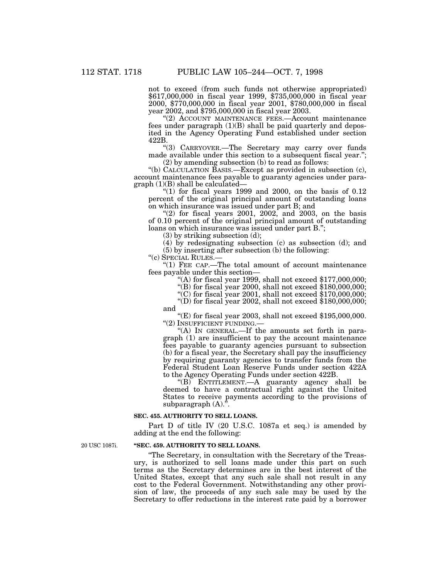not to exceed (from such funds not otherwise appropriated) \$617,000,000 in fiscal year 1999, \$735,000,000 in fiscal year 2000, \$770,000,000 in fiscal year 2001, \$780,000,000 in fiscal year 2002, and \$795,000,000 in fiscal year 2003.

''(2) ACCOUNT MAINTENANCE FEES.—Account maintenance fees under paragraph  $(1)(B)$  shall be paid quarterly and deposited in the Agency Operating Fund established under section 422B.

''(3) CARRYOVER.—The Secretary may carry over funds made available under this section to a subsequent fiscal year."; (2) by amending subsection (b) to read as follows:

''(b) CALCULATION BASIS.—Except as provided in subsection (c), account maintenance fees payable to guaranty agencies under paragraph (1)(B) shall be calculated—

" $(1)$  for fiscal years 1999 and 2000, on the basis of 0.12 percent of the original principal amount of outstanding loans on which insurance was issued under part B; and

"(2) for fiscal years 2001, 2002, and 2003, on the basis of 0.10 percent of the original principal amount of outstanding loans on which insurance was issued under part B.'';

(3) by striking subsection (d);

(4) by redesignating subsection (c) as subsection (d); and (5) by inserting after subsection (b) the following:

''(c) SPECIAL RULES.—

"(1) FEE CAP.—The total amount of account maintenance fees payable under this section—

"(A) for fiscal year 1999, shall not exceed  $$177,000,000;$ 

"(B) for fiscal year 2000, shall not exceed  $$180,000,000;$ 

"(C) for fiscal year 2001, shall not exceed  $$170,000,000;$ 

''(D) for fiscal year 2002, shall not exceed \$180,000,000;

and "(E) for fiscal year 2003, shall not exceed  $$195,000,000$ . ''(2) INSUFFICIENT FUNDING.—

"(A) IN GENERAL.—If the amounts set forth in paragraph (1) are insufficient to pay the account maintenance fees payable to guaranty agencies pursuant to subsection (b) for a fiscal year, the Secretary shall pay the insufficiency by requiring guaranty agencies to transfer funds from the Federal Student Loan Reserve Funds under section 422A to the Agency Operating Funds under section 422B.

''(B) ENTITLEMENT.—A guaranty agency shall be deemed to have a contractual right against the United States to receive payments according to the provisions of subparagraph  $(A)$ .".

#### **SEC. 455. AUTHORITY TO SELL LOANS.**

Part D of title IV (20 U.S.C. 1087a et seq.) is amended by adding at the end the following:

20 USC 1087i.

#### **''SEC. 459. AUTHORITY TO SELL LOANS.**

''The Secretary, in consultation with the Secretary of the Treasury, is authorized to sell loans made under this part on such terms as the Secretary determines are in the best interest of the United States, except that any such sale shall not result in any cost to the Federal Government. Notwithstanding any other provision of law, the proceeds of any such sale may be used by the Secretary to offer reductions in the interest rate paid by a borrower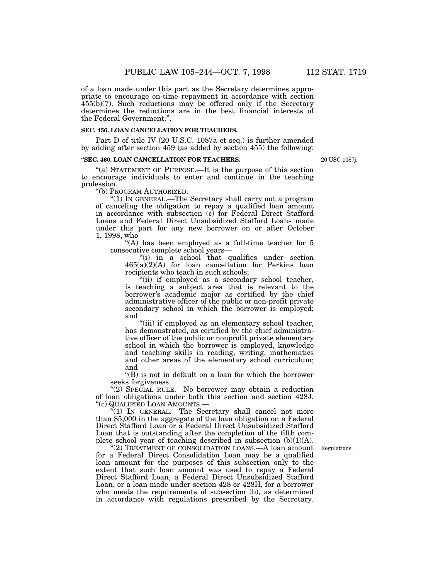of a loan made under this part as the Secretary determines appropriate to encourage on-time repayment in accordance with section  $455(b)(7)$ . Such reductions may be offered only if the Secretary determines the reductions are in the best financial interests of the Federal Government.''.

# **SEC. 456. LOAN CANCELLATION FOR TEACHERS.**

Part D of title IV (20 U.S.C. 1087a et seq.) is further amended by adding after section 459 (as added by section 455) the following:

#### **''SEC. 460. LOAN CANCELLATION FOR TEACHERS.**

"(a) STATEMENT OF PURPOSE.—It is the purpose of this section to encourage individuals to enter and continue in the teaching profession.

''(b) PROGRAM AUTHORIZED.—

''(1) IN GENERAL.—The Secretary shall carry out a program of canceling the obligation to repay a qualified loan amount in accordance with subsection (c) for Federal Direct Stafford Loans and Federal Direct Unsubsidized Stafford Loans made under this part for any new borrower on or after October 1, 1998, who—

"(A) has been employed as a full-time teacher for 5 consecutive complete school years—

''(i) in a school that qualifies under section  $465(a)(2)(A)$  for loan cancellation for Perkins loan recipients who teach in such schools;

"(ii) if employed as a secondary school teacher, is teaching a subject area that is relevant to the borrower's academic major as certified by the chief administrative officer of the public or non-profit private secondary school in which the borrower is employed; and

"(iii) if employed as an elementary school teacher, has demonstrated, as certified by the chief administrative officer of the public or nonprofit private elementary school in which the borrower is employed, knowledge and teaching skills in reading, writing, mathematics and other areas of the elementary school curriculum; and

''(B) is not in default on a loan for which the borrower seeks forgiveness.

"(2) SPECIAL RULE.—No borrower may obtain a reduction of loan obligations under both this section and section 428J. ''(c) QUALIFIED LOAN AMOUNTS.—

 $\sqrt{2}(1)$  In GENERAL.—The Secretary shall cancel not more than \$5,000 in the aggregate of the loan obligation on a Federal Direct Stafford Loan or a Federal Direct Unsubsidized Stafford Loan that is outstanding after the completion of the fifth complete school year of teaching described in subsection  $(b)(1)(A)$ .

Regulations.

''(2) TREATMENT OF CONSOLIDATION LOANS.—A loan amount for a Federal Direct Consolidation Loan may be a qualified loan amount for the purposes of this subsection only to the extent that such loan amount was used to repay a Federal Direct Stafford Loan, a Federal Direct Unsubsidized Stafford Loan, or a loan made under section 428 or 428H, for a borrower who meets the requirements of subsection (b), as determined in accordance with regulations prescribed by the Secretary.

20 USC 1087j.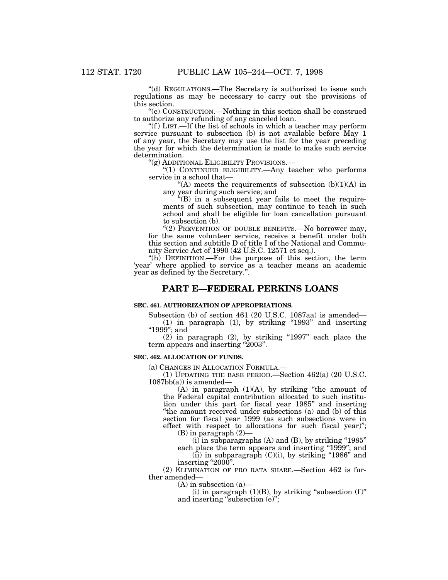''(d) REGULATIONS.—The Secretary is authorized to issue such regulations as may be necessary to carry out the provisions of this section.

''(e) CONSTRUCTION.—Nothing in this section shall be construed to authorize any refunding of any canceled loan.

" $(f)$  LIST.—If the list of schools in which a teacher may perform service pursuant to subsection (b) is not available before May 1 of any year, the Secretary may use the list for the year preceding the year for which the determination is made to make such service determination.

''(g) ADDITIONAL ELIGIBILITY PROVISIONS.—

''(1) CONTINUED ELIGIBILITY.—Any teacher who performs service in a school that—

"(A) meets the requirements of subsection  $(b)(1)(A)$  in any year during such service; and

''(B) in a subsequent year fails to meet the requirements of such subsection, may continue to teach in such school and shall be eligible for loan cancellation pursuant to subsection (b).

"(2) PREVENTION OF DOUBLE BENEFITS. - No borrower may, for the same volunteer service, receive a benefit under both this section and subtitle D of title I of the National and Community Service Act of 1990 (42 U.S.C. 12571 et seq.).

''(h) DEFINITION.—For the purpose of this section, the term 'year' where applied to service as a teacher means an academic year as defined by the Secretary.''.

# **PART E—FEDERAL PERKINS LOANS**

# **SEC. 461. AUTHORIZATION OF APPROPRIATIONS.**

Subsection (b) of section 461 (20 U.S.C. 1087aa) is amended—  $(1)$  in paragraph  $(1)$ , by striking "1993" and inserting

"1999"; and

 $(2)$  in paragraph  $(2)$ , by striking "1997" each place the term appears and inserting "2003".

# **SEC. 462. ALLOCATION OF FUNDS.**

(a) CHANGES IN ALLOCATION FORMULA.—

(1) UPDATING THE BASE PERIOD.—Section 462(a) (20 U.S.C.  $1087bb(a)$ ) is amended—

 $(A)$  in paragraph  $(1)(A)$ , by striking "the amount of the Federal capital contribution allocated to such institution under this part for fiscal year 1985'' and inserting ''the amount received under subsections (a) and (b) of this section for fiscal year 1999 (as such subsections were in effect with respect to allocations for such fiscal year)''; (B) in paragraph (2)—

 $(i)$  in subparagraphs  $(A)$  and  $(B)$ , by striking "1985"

each place the term appears and inserting "1999"; and

 $(iii)$  in subparagraph  $(C)(i)$ , by striking "1986" and inserting "2000".

(2) ELIMINATION OF PRO RATA SHARE.—Section 462 is further amended—

 $(A)$  in subsection  $(a)$ —

(i) in paragraph  $(1)(B)$ , by striking "subsection  $(f)$ " and inserting "subsection (e)";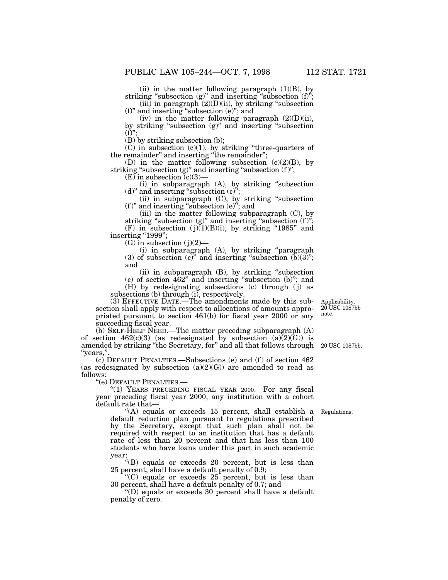(ii) in the matter following paragraph  $(1)(B)$ , by striking "subsection (g)" and inserting "subsection (f)";

 $(iii)$  in paragraph  $(2)(D)(ii)$ , by striking "subsection (f)'' and inserting ''subsection (e)''; and

(iv) in the matter following paragraph  $(2)(D)(ii)$ , by striking ''subsection (g)'' and inserting ''subsection  $(f)$ ";

(B) by striking subsection (b);

 $(C)$  in subsection  $(c)(1)$ , by striking "three-quarters of the remainder'' and inserting ''the remainder'';

(D) in the matter following subsection (c)(2)(B), by striking "subsection (g)" and inserting "subsection (f)";

 $(E)$  in subsection  $(c)(3)$ 

(i) in subparagraph (A), by striking ''subsection (d)" and inserting "subsection (c)";

(ii) in subparagraph (C), by striking ''subsection (f)" and inserting "subsection (e)"; and

(iii) in the matter following subparagraph (C), by striking "subsection (g)" and inserting "subsection (f)"; (F) in subsection  $(j)(1)(B)(i)$ , by striking "1985" and inserting "1999";

 $(G)$  in subsection  $(j)(2)$ —

(i) in subparagraph (A), by striking ''paragraph (3) of subsection  $(c)$ <sup>"</sup> and inserting "subsection  $(b)(3)$ "; and

(ii) in subparagraph (B), by striking ''subsection

(c) of section 462'' and inserting ''subsection (b)''; and (H) by redesignating subsections (c) through ( j) as subsections (b) through (i), respectively.

(3) EFFECTIVE DATE.—The amendments made by this subsection shall apply with respect to allocations of amounts appropriated pursuant to section 461(b) for fiscal year 2000 or any succeeding fiscal year.

(b) SELF-HELP NEED.—The matter preceding subparagraph (A) of section  $462(c)(3)$  (as redesignated by subsection  $(a)(2)(G)$ ) is amended by striking "the Secretary, for" and all that follows through ''years,''.

(c) DEFAULT PENALTIES.—Subsections (e) and (f ) of section 462 (as redesignated by subsection  $(a)(2)(G)$ ) are amended to read as follows:

''(e) DEFAULT PENALTIES.—

"(1) YEARS PRECEDING FISCAL YEAR 2000. For any fiscal year preceding fiscal year 2000, any institution with a cohort default rate that—

''(A) equals or exceeds 15 percent, shall establish a default reduction plan pursuant to regulations prescribed by the Secretary, except that such plan shall not be required with respect to an institution that has a default rate of less than 20 percent and that has less than 100 students who have loans under this part in such academic year;

 $H(B)$  equals or exceeds 20 percent, but is less than 25 percent, shall have a default penalty of 0.9;

" $(C)$  equals or exceeds  $25$  percent, but is less than 30 percent, shall have a default penalty of 0.7; and

''(D) equals or exceeds 30 percent shall have a default penalty of zero.

Applicability. 20 USC 1087bb note.

20 USC 1087bb.

Regulations.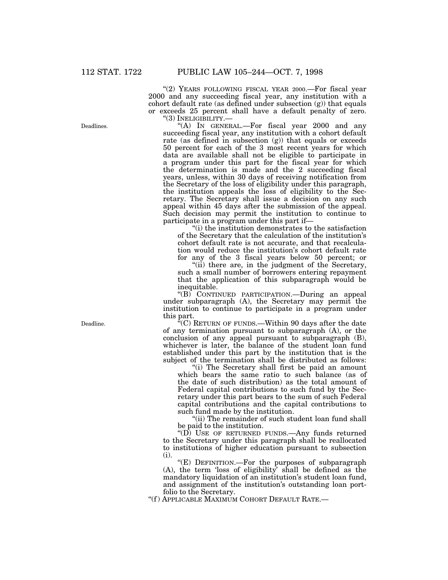"(2) YEARS FOLLOWING FISCAL YEAR 2000.—For fiscal year 2000 and any succeeding fiscal year, any institution with a cohort default rate (as defined under subsection (g)) that equals or exceeds 25 percent shall have a default penalty of zero. ''(3) INELIGIBILITY.—

" $(A)$  In GENERAL.—For fiscal year 2000 and any succeeding fiscal year, any institution with a cohort default rate (as defined in subsection (g)) that equals or exceeds 50 percent for each of the 3 most recent years for which data are available shall not be eligible to participate in a program under this part for the fiscal year for which the determination is made and the 2 succeeding fiscal years, unless, within 30 days of receiving notification from the Secretary of the loss of eligibility under this paragraph, the institution appeals the loss of eligibility to the Secretary. The Secretary shall issue a decision on any such appeal within 45 days after the submission of the appeal. Such decision may permit the institution to continue to participate in a program under this part if—

''(i) the institution demonstrates to the satisfaction of the Secretary that the calculation of the institution's cohort default rate is not accurate, and that recalculation would reduce the institution's cohort default rate for any of the 3 fiscal years below 50 percent; or

"(ii) there are, in the judgment of the Secretary, such a small number of borrowers entering repayment that the application of this subparagraph would be inequitable.

''(B) CONTINUED PARTICIPATION.—During an appeal under subparagraph (A), the Secretary may permit the institution to continue to participate in a program under this part.

 $\mathcal{C}(C)$  RETURN OF FUNDS.—Within 90 days after the date of any termination pursuant to subparagraph (A), or the conclusion of any appeal pursuant to subparagraph (B), whichever is later, the balance of the student loan fund established under this part by the institution that is the subject of the termination shall be distributed as follows:

''(i) The Secretary shall first be paid an amount which bears the same ratio to such balance (as of the date of such distribution) as the total amount of Federal capital contributions to such fund by the Secretary under this part bears to the sum of such Federal capital contributions and the capital contributions to such fund made by the institution.

''(ii) The remainder of such student loan fund shall be paid to the institution.

''(D) USE OF RETURNED FUNDS.—Any funds returned to the Secretary under this paragraph shall be reallocated to institutions of higher education pursuant to subsection (i).

"(E) DEFINITION.—For the purposes of subparagraph (A), the term 'loss of eligibility' shall be defined as the mandatory liquidation of an institution's student loan fund, and assignment of the institution's outstanding loan portfolio to the Secretary.

"(f) APPLICABLE MAXIMUM COHORT DEFAULT RATE.-

Deadlines.

Deadline.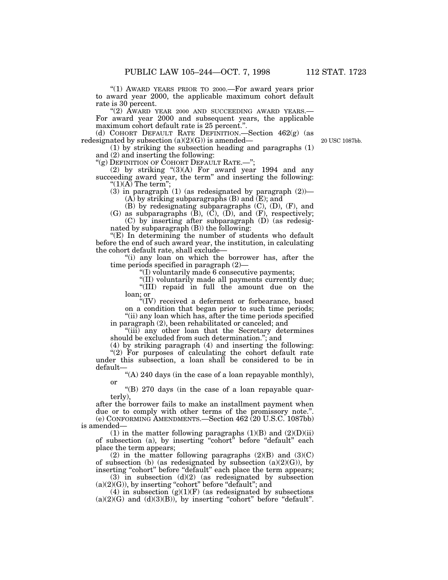''(1) AWARD YEARS PRIOR TO 2000.—For award years prior to award year 2000, the applicable maximum cohort default rate is 30 percent.

''(2) AWARD YEAR 2000 AND SUCCEEDING AWARD YEARS.— For award year 2000 and subsequent years, the applicable maximum cohort default rate is 25 percent.".

(d) COHORT DEFAULT RATE DEFINITION.—Section 462(g) (as redesignated by subsection  $(a)(2)(G)$  is amended—

(1) by striking the subsection heading and paragraphs (1) and (2) and inserting the following:

''(g) DEFINITION OF COHORT DEFAULT RATE.—'';

 $(2)$  by striking " $(3)(A)$  For award year 1994 and any succeeding award year, the term'' and inserting the following:  $"(1)$ (A) The term";

(3) in paragraph  $(1)$  (as redesignated by paragraph  $(2)$ )—  $(A)$  by striking subparagraphs  $(B)$  and  $(E)$ ; and

(B) by redesignating subparagraphs (C), (D), (F), and

(G) as subparagraphs  $(B)$ ,  $(\dot{C})$ ,  $(\ddot{D})$ , and  $(F)$ , respectively; (C) by inserting after subparagraph (D) (as redesig-

nated by subparagraph (B)) the following:

"(E) In determining the number of students who default before the end of such award year, the institution, in calculating the cohort default rate, shall exclude—

"(i) any loan on which the borrower has, after the time periods specified in paragraph (2)—

''(I) voluntarily made 6 consecutive payments;

''(II) voluntarily made all payments currently due; ''(III) repaid in full the amount due on the loan; or

''(IV) received a deferment or forbearance, based on a condition that began prior to such time periods; "(ii) any loan which has, after the time periods specified

in paragraph (2), been rehabilitated or canceled; and "(iii) any other loan that the Secretary determines

should be excluded from such determination.''; and

(4) by striking paragraph (4) and inserting the following: "(2) For purposes of calculating the cohort default rate under this subsection, a loan shall be considered to be in default—

"(A) 240 days (in the case of a loan repayable monthly), or

" $(B)$  270 days (in the case of a loan repayable quarterly),

after the borrower fails to make an installment payment when due or to comply with other terms of the promissory note.''. (e) CONFORMING AMENDMENTS.—Section 462 (20 U.S.C. 1087bb) is amended—

(1) in the matter following paragraphs  $(1)(B)$  and  $(2)(D)(ii)$ of subsection (a), by inserting "cohort" before "default" each place the term appears;

(2) in the matter following paragraphs  $(2)(B)$  and  $(3)(C)$ of subsection (b) (as redesignated by subsection  $(a)(2)(G)$ ), by inserting "cohort" before "default" each place the term appears;

 $(3)$  in subsection  $(d)(2)$  (as redesignated by subsection  $(a)(2)(G)$ , by inserting "cohort" before "default"; and

(4) in subsection  $(g)(1)(F)$  (as redesignated by subsections  $(a)(2)(G)$  and  $(d)(3)(B)$ , by inserting "cohort" before "default".

20 USC 1087bb.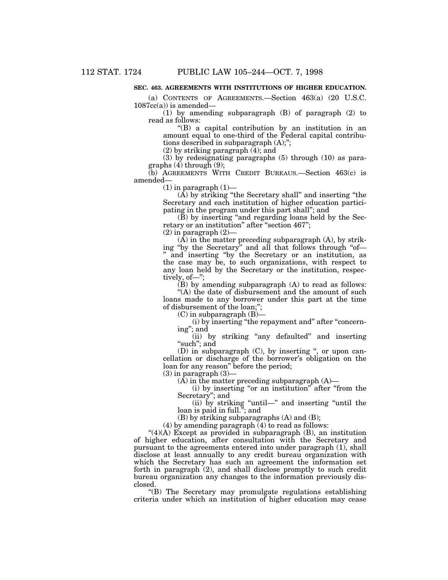# **SEC. 463. AGREEMENTS WITH INSTITUTIONS OF HIGHER EDUCATION.**

(a) CONTENTS OF AGREEMENTS.—Section 463(a) (20 U.S.C.  $1087cc(a)$ ) is amended—

(1) by amending subparagraph (B) of paragraph (2) to read as follows:

''(B) a capital contribution by an institution in an amount equal to one-third of the Federal capital contributions described in subparagraph (A);'';

(2) by striking paragraph (4); and

(3) by redesignating paragraphs (5) through (10) as paragraphs  $(4)$  through  $(9)$ ;

(b) AGREEMENTS WITH CREDIT BUREAUS.—Section 463(c) is amended—

 $(1)$  in paragraph  $(1)$ —

(A) by striking ''the Secretary shall'' and inserting ''the Secretary and each institution of higher education participating in the program under this part shall''; and

(B) by inserting ''and regarding loans held by the Secretary or an institution" after "section 467";

 $(2)$  in paragraph  $(2)$ —

 $(A)$  in the matter preceding subparagraph  $(A)$ , by striking ''by the Secretary'' and all that follows through ''of— '' and inserting ''by the Secretary or an institution, as the case may be, to such organizations, with respect to any loan held by the Secretary or the institution, respectively, of—'';

(B) by amending subparagraph (A) to read as follows:

"(A) the date of disbursement and the amount of such loans made to any borrower under this part at the time of disbursement of the loan;'';

(C) in subparagraph (B)—

(i) by inserting ''the repayment and'' after ''concerning''; and

(ii) by striking ''any defaulted'' and inserting "such"; and

(D) in subparagraph (C), by inserting '', or upon cancellation or discharge of the borrower's obligation on the loan for any reason'' before the period;

 $(3)$  in paragraph  $(3)$ —

 $(A)$  in the matter preceding subparagraph  $(A)$ —

(i) by inserting "or an institution" after "from the Secretary''; and

(ii) by striking ''until—'' and inserting ''until the loan is paid in full.''; and

(B) by striking subparagraphs (A) and (B);

(4) by amending paragraph (4) to read as follows:

"(4)(A) Except as provided in subparagraph (B), an institution of higher education, after consultation with the Secretary and pursuant to the agreements entered into under paragraph (1), shall disclose at least annually to any credit bureau organization with which the Secretary has such an agreement the information set forth in paragraph (2), and shall disclose promptly to such credit bureau organization any changes to the information previously disclosed.

''(B) The Secretary may promulgate regulations establishing criteria under which an institution of higher education may cease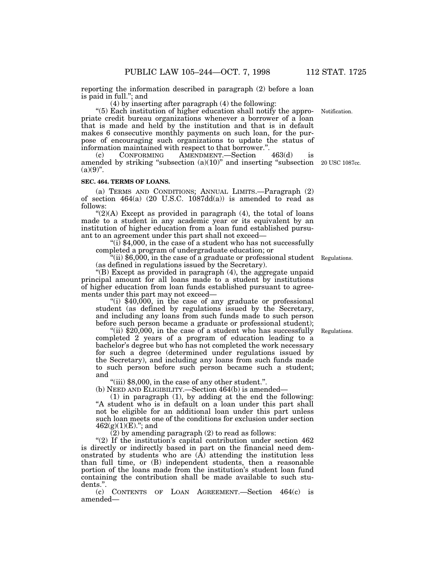reporting the information described in paragraph (2) before a loan is paid in full.''; and

(4) by inserting after paragraph (4) the following:

''(5) Each institution of higher education shall notify the appropriate credit bureau organizations whenever a borrower of a loan that is made and held by the institution and that is in default makes 6 consecutive monthly payments on such loan, for the purpose of encouraging such organizations to update the status of information maintained with respect to that borrower.''.

(c) CONFORMING AMENDMENT.—Section 463(d) is amended by striking "subsection  $(a)(10)$ " and inserting "subsection 20 USC 1087 $cc$ .  $(a)(9)$ ".

## **SEC. 464. TERMS OF LOANS.**

(a) TERMS AND CONDITIONS; ANNUAL LIMITS.—Paragraph (2) of section  $464(a)$  (20 U.S.C. 1087dd $(a)$ ) is amended to read as follows:

 $C'(2)$ (A) Except as provided in paragraph (4), the total of loans made to a student in any academic year or its equivalent by an institution of higher education from a loan fund established pursuant to an agreement under this part shall not exceed—

" $(i)$  \$4,000, in the case of a student who has not successfully completed a program of undergraduate education; or

"(ii) \$6,000, in the case of a graduate or professional student Regulations. (as defined in regulations issued by the Secretary).

''(B) Except as provided in paragraph (4), the aggregate unpaid principal amount for all loans made to a student by institutions of higher education from loan funds established pursuant to agreements under this part may not exceed—

''(i) \$40,000, in the case of any graduate or professional student (as defined by regulations issued by the Secretary, and including any loans from such funds made to such person before such person became a graduate or professional student);

"(ii)  $$20,000$ , in the case of a student who has successfully completed 2 years of a program of education leading to a bachelor's degree but who has not completed the work necessary for such a degree (determined under regulations issued by the Secretary), and including any loans from such funds made to such person before such person became such a student; and

"(iii) \$8,000, in the case of any other student.".

(b) NEED AND ELIGIBILITY.—Section 464(b) is amended—

(1) in paragraph (1), by adding at the end the following: "A student who is in default on a loan under this part shall not be eligible for an additional loan under this part unless such loan meets one of the conditions for exclusion under section  $462(g)(1)(E)$ ."; and

(2) by amending paragraph (2) to read as follows:

"(2) If the institution's capital contribution under section 462 is directly or indirectly based in part on the financial need demonstrated by students who are  $(A)$  attending the institution less than full time, or (B) independent students, then a reasonable portion of the loans made from the institution's student loan fund containing the contribution shall be made available to such students.''.

(c) CONTENTS OF LOAN AGREEMENT.—Section 464(c) is amended—

Regulations.

Notification.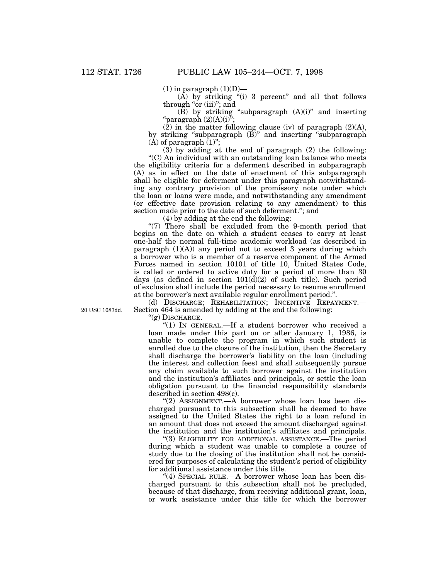$(1)$  in paragraph  $(1)(D)$ —

(A) by striking "(i) 3 percent" and all that follows through "or (iii)"; and

(B) by striking "subparagraph  $(A)(i)$ " and inserting "paragraph $(2)(A)(i)$ "

 $(2)$  in the matter following clause (iv) of paragraph  $(2)(A)$ , by striking "subparagraph  $(B)$ " and inserting "subparagraph"  $(A)$  of paragraph  $(1)$ ";

(3) by adding at the end of paragraph (2) the following: ''(C) An individual with an outstanding loan balance who meets the eligibility criteria for a deferment described in subparagraph (A) as in effect on the date of enactment of this subparagraph shall be eligible for deferment under this paragraph notwithstanding any contrary provision of the promissory note under which the loan or loans were made, and notwithstanding any amendment (or effective date provision relating to any amendment) to this section made prior to the date of such deferment.''; and

(4) by adding at the end the following:

" $(7)$  There shall be excluded from the 9-month period that begins on the date on which a student ceases to carry at least one-half the normal full-time academic workload (as described in paragraph  $(1)(A)$  any period not to exceed 3 years during which a borrower who is a member of a reserve component of the Armed Forces named in section 10101 of title 10, United States Code, is called or ordered to active duty for a period of more than 30 days (as defined in section  $101(d)(2)$  of such title). Such period of exclusion shall include the period necessary to resume enrollment at the borrower's next available regular enrollment period.''.

20 USC 1087dd.

(d) DISCHARGE; REHABILITATION; INCENTIVE REPAYMENT.— Section 464 is amended by adding at the end the following:

''(g) DISCHARGE.—

"(1) IN GENERAL.—If a student borrower who received a loan made under this part on or after January 1, 1986, is unable to complete the program in which such student is enrolled due to the closure of the institution, then the Secretary shall discharge the borrower's liability on the loan (including the interest and collection fees) and shall subsequently pursue any claim available to such borrower against the institution and the institution's affiliates and principals, or settle the loan obligation pursuant to the financial responsibility standards described in section 498(c).

"(2) ASSIGNMENT.—A borrower whose loan has been discharged pursuant to this subsection shall be deemed to have assigned to the United States the right to a loan refund in an amount that does not exceed the amount discharged against the institution and the institution's affiliates and principals.

"(3) ELIGIBILITY FOR ADDITIONAL ASSISTANCE.—The period during which a student was unable to complete a course of study due to the closing of the institution shall not be considered for purposes of calculating the student's period of eligibility for additional assistance under this title.

"(4) SPECIAL RULE.—A borrower whose loan has been discharged pursuant to this subsection shall not be precluded, because of that discharge, from receiving additional grant, loan, or work assistance under this title for which the borrower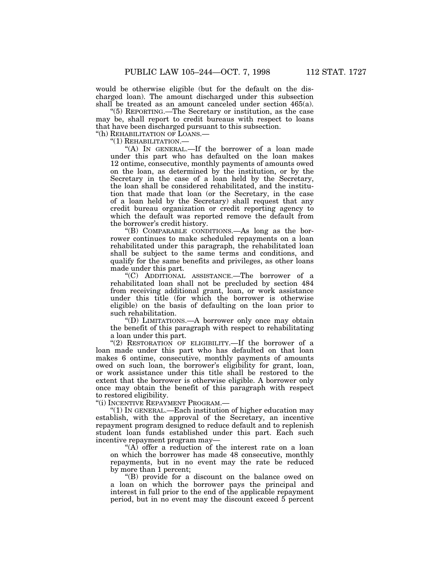would be otherwise eligible (but for the default on the discharged loan). The amount discharged under this subsection shall be treated as an amount canceled under section 465(a).

''(5) REPORTING.—The Secretary or institution, as the case may be, shall report to credit bureaus with respect to loans that have been discharged pursuant to this subsection. ''(h) REHABILITATION OF LOANS.—

''(1) REHABILITATION.—

''(A) IN GENERAL.—If the borrower of a loan made under this part who has defaulted on the loan makes 12 ontime, consecutive, monthly payments of amounts owed on the loan, as determined by the institution, or by the Secretary in the case of a loan held by the Secretary, the loan shall be considered rehabilitated, and the institution that made that loan (or the Secretary, in the case of a loan held by the Secretary) shall request that any credit bureau organization or credit reporting agency to which the default was reported remove the default from the borrower's credit history.

''(B) COMPARABLE CONDITIONS.—As long as the borrower continues to make scheduled repayments on a loan rehabilitated under this paragraph, the rehabilitated loan shall be subject to the same terms and conditions, and qualify for the same benefits and privileges, as other loans made under this part.

''(C) ADDITIONAL ASSISTANCE.—The borrower of a rehabilitated loan shall not be precluded by section 484 from receiving additional grant, loan, or work assistance under this title (for which the borrower is otherwise eligible) on the basis of defaulting on the loan prior to such rehabilitation.

''(D) LIMITATIONS.—A borrower only once may obtain the benefit of this paragraph with respect to rehabilitating a loan under this part.

"(2) RESTORATION OF ELIGIBILITY.—If the borrower of a loan made under this part who has defaulted on that loan makes 6 ontime, consecutive, monthly payments of amounts owed on such loan, the borrower's eligibility for grant, loan, or work assistance under this title shall be restored to the extent that the borrower is otherwise eligible. A borrower only once may obtain the benefit of this paragraph with respect to restored eligibility.

''(i) INCENTIVE REPAYMENT PROGRAM.—

''(1) IN GENERAL.—Each institution of higher education may establish, with the approval of the Secretary, an incentive repayment program designed to reduce default and to replenish student loan funds established under this part. Each such incentive repayment program may—

"(A) offer a reduction of the interest rate on a loan on which the borrower has made 48 consecutive, monthly repayments, but in no event may the rate be reduced by more than 1 percent;

''(B) provide for a discount on the balance owed on a loan on which the borrower pays the principal and interest in full prior to the end of the applicable repayment period, but in no event may the discount exceed 5 percent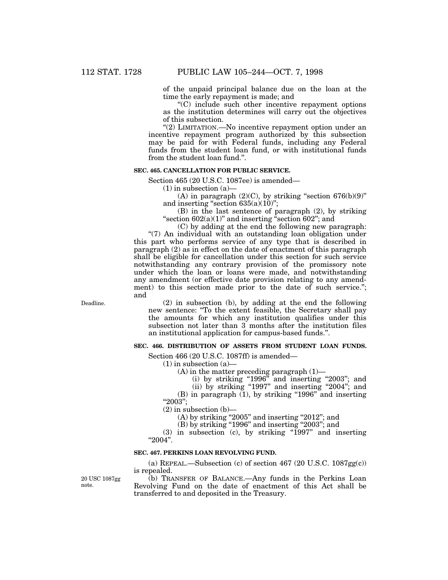of the unpaid principal balance due on the loan at the time the early repayment is made; and

''(C) include such other incentive repayment options as the institution determines will carry out the objectives of this subsection.

"(2) LIMITATION.—No incentive repayment option under an incentive repayment program authorized by this subsection may be paid for with Federal funds, including any Federal funds from the student loan fund, or with institutional funds from the student loan fund.''.

## **SEC. 465. CANCELLATION FOR PUBLIC SERVICE.**

Section 465 (20 U.S.C. 1087ee) is amended—

 $(1)$  in subsection  $(a)$ —

(A) in paragraph  $(2)(C)$ , by striking "section  $676(b)(9)$ " and inserting "section  $635(a)(10)$ ";

(B) in the last sentence of paragraph (2), by striking "section  $602(a)(1)$ " and inserting "section  $602$ "; and

(C) by adding at the end the following new paragraph:

" $(7)$  An individual with an outstanding loan obligation under this part who performs service of any type that is described in paragraph (2) as in effect on the date of enactment of this paragraph shall be eligible for cancellation under this section for such service notwithstanding any contrary provision of the promissory note under which the loan or loans were made, and notwithstanding any amendment (or effective date provision relating to any amendment) to this section made prior to the date of such service.''; and

Deadline.

(2) in subsection (b), by adding at the end the following new sentence: ''To the extent feasible, the Secretary shall pay the amounts for which any institution qualifies under this subsection not later than 3 months after the institution files an institutional application for campus-based funds.''.

## **SEC. 466. DISTRIBUTION OF ASSETS FROM STUDENT LOAN FUNDS.**

Section 466 (20 U.S.C. 1087ff) is amended—

 $(1)$  in subsection  $(a)$ —

(A) in the matter preceding paragraph (1)—

(i) by striking ''1996'' and inserting ''2003''; and

(ii) by striking "1997" and inserting "2004"; and

(B) in paragraph (1), by striking "1996" and inserting ''2003'';

 $(2)$  in subsection  $(b)$ —

(A) by striking "2005" and inserting "2012"; and

(B) by striking "1996" and inserting "2003"; and

(3) in subsection (c), by striking "1997" and inserting ''2004''.

## **SEC. 467. PERKINS LOAN REVOLVING FUND.**

(a) REPEAL.—Subsection (c) of section  $467$  (20 U.S.C.  $1087gg(c)$ ) is repealed.

20 USC 1087gg note.

(b) TRANSFER OF BALANCE.—Any funds in the Perkins Loan Revolving Fund on the date of enactment of this Act shall be transferred to and deposited in the Treasury.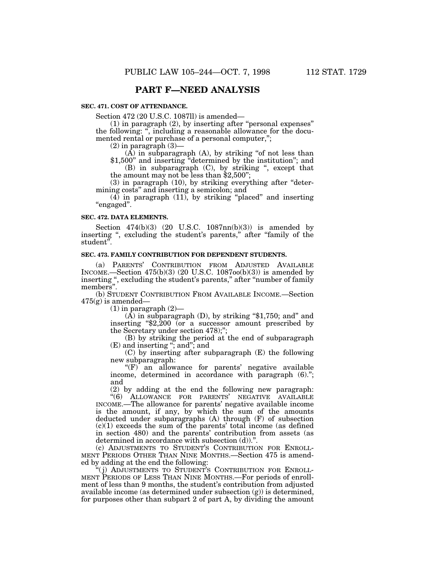# **PART F—NEED ANALYSIS**

## **SEC. 471. COST OF ATTENDANCE.**

Section 472 (20 U.S.C. 1087ll) is amended—

(1) in paragraph (2), by inserting after ''personal expenses'' the following: '', including a reasonable allowance for the documented rental or purchase of a personal computer,";

(2) in paragraph (3)— $(A)$  in subparagraph (A), by striking "of not less than

 $$1,500"$  and inserting "determined by the institution"; and (B) in subparagraph  $(C)$ , by striking ", except that the amount may not be less than \$2,500";

(3) in paragraph (10), by striking everything after ''determining costs'' and inserting a semicolon; and

(4) in paragraph (11), by striking ''placed'' and inserting ''engaged''.

#### **SEC. 472. DATA ELEMENTS.**

Section  $474(b)(3)$  (20 U.S.C.  $1087nn(b)(3)$ ) is amended by inserting ", excluding the student's parents," after "family of the student''.

### **SEC. 473. FAMILY CONTRIBUTION FOR DEPENDENT STUDENTS.**

(a) PARENTS' CONTRIBUTION FROM ADJUSTED AVAILABLE INCOME.—Section  $475(b)(3)$  (20 U.S.C. 1087 $oo(b)(3)$ ) is amended by inserting ", excluding the student's parents," after "number of family members".

(b) STUDENT CONTRIBUTION FROM AVAILABLE INCOME.—Section  $475(g)$  is amended–

 $(1)$  in paragraph  $(2)$ —

 $(A)$  in subparagraph  $(D)$ , by striking "\$1,750; and" and inserting " $$2,200$  (or a successor amount prescribed by the Secretary under section 478);'';

(B) by striking the period at the end of subparagraph (E) and inserting ''; and''; and

(C) by inserting after subparagraph (E) the following new subparagraph:

 $F(F)$  an allowance for parents' negative available income, determined in accordance with paragraph  $(6)$ ."; and

(2) by adding at the end the following new paragraph: ''(6) ALLOWANCE FOR PARENTS' NEGATIVE AVAILABLE

INCOME.—The allowance for parents' negative available income is the amount, if any, by which the sum of the amounts deducted under subparagraphs (A) through (F) of subsection  $(c)(1)$  exceeds the sum of the parents' total income (as defined in section 480) and the parents' contribution from assets (as determined in accordance with subsection (d)).''.

(c) ADJUSTMENTS TO STUDENT'S CONTRIBUTION FOR ENROLL-MENT PERIODS OTHER THAN NINE MONTHS.—Section 475 is amended by adding at the end the following:

"(j) ADJUSTMENTS TO STUDENT'S CONTRIBUTION FOR ENROLL-MENT PERIODS OF LESS THAN NINE MONTHS.—For periods of enrollment of less than 9 months, the student's contribution from adjusted available income (as determined under subsection (g)) is determined, for purposes other than subpart 2 of part A, by dividing the amount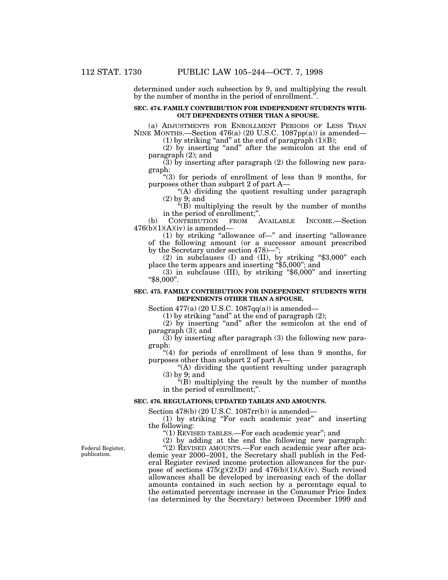determined under such subsection by 9, and multiplying the result by the number of months in the period of enrollment.''.

## **SEC. 474. FAMILY CONTRIBUTION FOR INDEPENDENT STUDENTS WITH-OUT DEPENDENTS OTHER THAN A SPOUSE.**

(a) ADJUSTMENTS FOR ENROLLMENT PERIODS OF LESS THAN NINE MONTHS.—Section 476(a) (20 U.S.C. 1087pp(a)) is amended— (1) by striking "and" at the end of paragraph  $(1)(B)$ ;

(2) by inserting ''and'' after the semicolon at the end of paragraph (2); and

(3) by inserting after paragraph (2) the following new paragraph:

''(3) for periods of enrollment of less than 9 months, for purposes other than subpart 2 of part A—

''(A) dividing the quotient resulting under paragraph (2) by 9; and

''(B) multiplying the result by the number of months in the period of enrollment;".<br>CONTRIBUTION FROM A

(b) CONTRIBUTION FROM AVAILABLE INCOME.—Section  $476(b)(1)(A)(iv)$  is amended—

(1) by striking ''allowance of—'' and inserting ''allowance of the following amount (or a successor amount prescribed by the Secretary under section 478)—'';

(2) in subclauses (I) and (II), by striking " $$3,000"$  each place the term appears and inserting ''\$5,000''; and

(3) in subclause (III), by striking ''\$6,000'' and inserting ''\$8,000''.

#### **SEC. 475. FAMILY CONTRIBUTION FOR INDEPENDENT STUDENTS WITH DEPENDENTS OTHER THAN A SPOUSE.**

Section 477(a) (20 U.S.C. 1087qq(a)) is amended—

 $(1)$  by striking "and" at the end of paragraph  $(2)$ ;

(2) by inserting ''and'' after the semicolon at the end of paragraph (3); and

(3) by inserting after paragraph (3) the following new paragraph:

''(4) for periods of enrollment of less than 9 months, for purposes other than subpart 2 of part A—

''(A) dividing the quotient resulting under paragraph (3) by 9; and

''(B) multiplying the result by the number of months in the period of enrollment;''.

#### **SEC. 476. REGULATIONS; UPDATED TABLES AND AMOUNTS.**

Section 478(b) (20 U.S.C. 1087rr(b)) is amended—

(1) by striking ''For each academic year'' and inserting the following:

"(1) REVISED TABLES.—For each academic year"; and

(2) by adding at the end the following new paragraph:

''(2) REVISED AMOUNTS.—For each academic year after aca-

demic year 2000–2001, the Secretary shall publish in the Federal Register revised income protection allowances for the purpose of sections  $475(g)(2)(D)$  and  $476(b)(1)(A)(iv)$ . Such revised allowances shall be developed by increasing each of the dollar amounts contained in such section by a percentage equal to the estimated percentage increase in the Consumer Price Index (as determined by the Secretary) between December 1999 and

Federal Register, publication.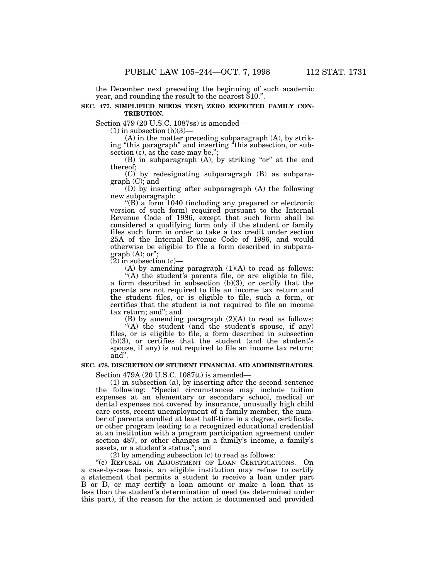the December next preceding the beginning of such academic year, and rounding the result to the nearest \$10.''.

## **SEC. 477. SIMPLIFIED NEEDS TEST; ZERO EXPECTED FAMILY CON-TRIBUTION.**

Section 479 (20 U.S.C. 1087ss) is amended—

 $(1)$  in subsection  $(b)(3)$ 

(A) in the matter preceding subparagraph (A), by striking ''this paragraph'' and inserting ''this subsection, or subsection (c), as the case may be,";

(B) in subparagraph (A), by striking "or" at the end thereof;

(C) by redesignating subparagraph (B) as subparagraph (C); and

(D) by inserting after subparagraph (A) the following new subparagraph:

" $(B)$  a form 1040 (including any prepared or electronic version of such form) required pursuant to the Internal Revenue Code of 1986, except that such form shall be considered a qualifying form only if the student or family files such form in order to take a tax credit under section 25A of the Internal Revenue Code of 1986, and would otherwise be eligible to file a form described in subpara $graph (A); or";$ 

 $(2)$  in subsection  $(c)$ —

(A) by amending paragraph (1)(A) to read as follows:

"(A) the student's parents file, or are eligible to file, a form described in subsection  $(b)(3)$ , or certify that the parents are not required to file an income tax return and the student files, or is eligible to file, such a form, or certifies that the student is not required to file an income tax return; and''; and

(B) by amending paragraph (2)(A) to read as follows: "(A) the student  $($ and the student's spouse, if any) files, or is eligible to file, a form described in subsection

(b)(3), or certifies that the student (and the student's spouse, if any) is not required to file an income tax return; and''.

## **SEC. 478. DISCRETION OF STUDENT FINANCIAL AID ADMINISTRATORS.**

Section 479A (20 U.S.C. 1087tt) is amended—

(1) in subsection (a), by inserting after the second sentence the following: ''Special circumstances may include tuition expenses at an elementary or secondary school, medical or dental expenses not covered by insurance, unusually high child care costs, recent unemployment of a family member, the number of parents enrolled at least half-time in a degree, certificate, or other program leading to a recognized educational credential at an institution with a program participation agreement under section 487, or other changes in a family's income, a family's assets, or a student's status.''; and

(2) by amending subsection (c) to read as follows:

''(c) REFUSAL OR ADJUSTMENT OF LOAN CERTIFICATIONS.—On a case-by-case basis, an eligible institution may refuse to certify a statement that permits a student to receive a loan under part B or D, or may certify a loan amount or make a loan that is less than the student's determination of need (as determined under this part), if the reason for the action is documented and provided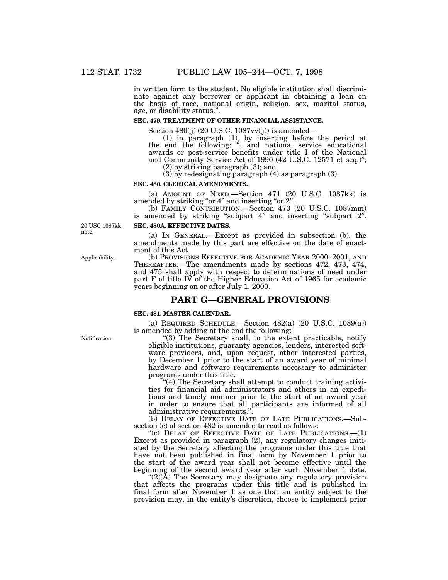in written form to the student. No eligible institution shall discriminate against any borrower or applicant in obtaining a loan on the basis of race, national origin, religion, sex, marital status, age, or disability status.''.

#### **SEC. 479. TREATMENT OF OTHER FINANCIAL ASSISTANCE.**

Section 480(*j*) (20 U.S.C. 1087vv(*j*)) is amended–

(1) in paragraph (1), by inserting before the period at the end the following: '', and national service educational awards or post-service benefits under title I of the National and Community Service Act of 1990 (42 U.S.C. 12571 et seq.)'';

(2) by striking paragraph (3); and

(3) by redesignating paragraph (4) as paragraph (3).

#### **SEC. 480. CLERICAL AMENDMENTS.**

(a) AMOUNT OF NEED.—Section 471 (20 U.S.C. 1087kk) is amended by striking "or 4" and inserting "or 2".

(b) FAMILY CONTRIBUTION.—Section 473 (20 U.S.C. 1087mm) is amended by striking ''subpart 4'' and inserting ''subpart 2''.

20 USC 1087kk note.

Applicability.

#### **SEC. 480A. EFFECTIVE DATES.**

(a) IN GENERAL.—Except as provided in subsection (b), the amendments made by this part are effective on the date of enactment of this Act.

(b) PROVISIONS EFFECTIVE FOR ACADEMIC YEAR 2000–2001, AND THEREAFTER.—The amendments made by sections 472, 473, 474, and 475 shall apply with respect to determinations of need under part F of title IV of the Higher Education Act of 1965 for academic years beginning on or after July 1, 2000.

# **PART G—GENERAL PROVISIONS**

## **SEC. 481. MASTER CALENDAR.**

(a) REQUIRED SCHEDULE.—Section  $482(a)$  (20 U.S.C. 1089 $(a)$ ) is amended by adding at the end the following:

''(3) The Secretary shall, to the extent practicable, notify eligible institutions, guaranty agencies, lenders, interested software providers, and, upon request, other interested parties, by December 1 prior to the start of an award year of minimal hardware and software requirements necessary to administer programs under this title.

(4) The Secretary shall attempt to conduct training activities for financial aid administrators and others in an expeditious and timely manner prior to the start of an award year in order to ensure that all participants are informed of all administrative requirements.''.

(b) DELAY OF EFFECTIVE DATE OF LATE PUBLICATIONS.—Subsection (c) of section 482 is amended to read as follows:

"(c) DELAY OF EFFECTIVE DATE OF LATE PUBLICATIONS.-- (1) Except as provided in paragraph (2), any regulatory changes initiated by the Secretary affecting the programs under this title that have not been published in final form by November 1 prior to the start of the award year shall not become effective until the beginning of the second award year after such November 1 date.

" $(2)(\overline{A})$  The Secretary may designate any regulatory provision that affects the programs under this title and is published in final form after November 1 as one that an entity subject to the provision may, in the entity's discretion, choose to implement prior

Notification.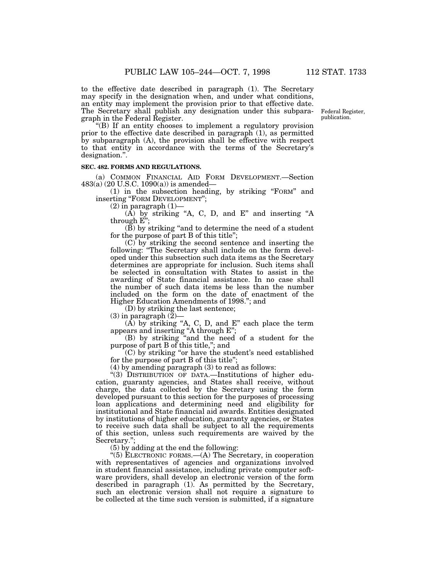to the effective date described in paragraph (1). The Secretary may specify in the designation when, and under what conditions, an entity may implement the provision prior to that effective date. The Secretary shall publish any designation under this subparagraph in the Federal Register.

Federal Register, publication.

''(B) If an entity chooses to implement a regulatory provision prior to the effective date described in paragraph (1), as permitted by subparagraph (A), the provision shall be effective with respect to that entity in accordance with the terms of the Secretary's designation.''.

## **SEC. 482. FORMS AND REGULATIONS.**

(a) COMMON FINANCIAL AID FORM DEVELOPMENT.—Section 483(a) (20 U.S.C. 1090(a)) is amended—

(1) in the subsection heading, by striking ''FORM'' and inserting "FORM DEVELOPMENT";

 $(2)$  in paragraph  $(1)$ 

(A) by striking "A, C, D, and E" and inserting "A through E'';

(B) by striking ''and to determine the need of a student for the purpose of part B of this title'';

(C) by striking the second sentence and inserting the following: ''The Secretary shall include on the form developed under this subsection such data items as the Secretary determines are appropriate for inclusion. Such items shall be selected in consultation with States to assist in the awarding of State financial assistance. In no case shall the number of such data items be less than the number included on the form on the date of enactment of the Higher Education Amendments of 1998.''; and

(D) by striking the last sentence;

 $(3)$  in paragraph  $(2)$ 

(A) by striking "A, C, D, and E" each place the term appears and inserting ''A through E'';

(B) by striking ''and the need of a student for the purpose of part B of this title,''; and

(C) by striking ''or have the student's need established for the purpose of part B of this title'';

(4) by amending paragraph (3) to read as follows:

''(3) DISTRIBUTION OF DATA.—Institutions of higher education, guaranty agencies, and States shall receive, without charge, the data collected by the Secretary using the form developed pursuant to this section for the purposes of processing loan applications and determining need and eligibility for institutional and State financial aid awards. Entities designated by institutions of higher education, guaranty agencies, or States to receive such data shall be subject to all the requirements of this section, unless such requirements are waived by the Secretary.'';

(5) by adding at the end the following:

''(5) ELECTRONIC FORMS.—(A) The Secretary, in cooperation with representatives of agencies and organizations involved in student financial assistance, including private computer software providers, shall develop an electronic version of the form described in paragraph (1). As permitted by the Secretary, such an electronic version shall not require a signature to be collected at the time such version is submitted, if a signature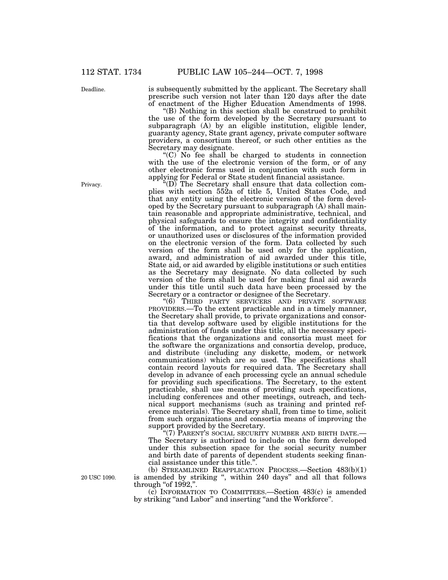Deadline.

is subsequently submitted by the applicant. The Secretary shall prescribe such version not later than 120 days after the date of enactment of the Higher Education Amendments of 1998.

''(B) Nothing in this section shall be construed to prohibit the use of the form developed by the Secretary pursuant to subparagraph (A) by an eligible institution, eligible lender, guaranty agency, State grant agency, private computer software providers, a consortium thereof, or such other entities as the Secretary may designate.

''(C) No fee shall be charged to students in connection with the use of the electronic version of the form, or of any other electronic forms used in conjunction with such form in applying for Federal or State student financial assistance.

''(D) The Secretary shall ensure that data collection complies with section 552a of title 5, United States Code, and that any entity using the electronic version of the form developed by the Secretary pursuant to subparagraph (A) shall maintain reasonable and appropriate administrative, technical, and physical safeguards to ensure the integrity and confidentiality of the information, and to protect against security threats, or unauthorized uses or disclosures of the information provided on the electronic version of the form. Data collected by such version of the form shall be used only for the application, award, and administration of aid awarded under this title, State aid, or aid awarded by eligible institutions or such entities as the Secretary may designate. No data collected by such version of the form shall be used for making final aid awards under this title until such data have been processed by the Secretary or a contractor or designee of the Secretary.

''(6) THIRD PARTY SERVICERS AND PRIVATE SOFTWARE PROVIDERS.—To the extent practicable and in a timely manner, the Secretary shall provide, to private organizations and consortia that develop software used by eligible institutions for the administration of funds under this title, all the necessary specifications that the organizations and consortia must meet for the software the organizations and consortia develop, produce, and distribute (including any diskette, modem, or network communications) which are so used. The specifications shall contain record layouts for required data. The Secretary shall develop in advance of each processing cycle an annual schedule for providing such specifications. The Secretary, to the extent practicable, shall use means of providing such specifications, including conferences and other meetings, outreach, and technical support mechanisms (such as training and printed reference materials). The Secretary shall, from time to time, solicit from such organizations and consortia means of improving the support provided by the Secretary.

"(7) PARENT'S SOCIAL SECURITY NUMBER AND BIRTH DATE.-The Secretary is authorized to include on the form developed under this subsection space for the social security number and birth date of parents of dependent students seeking financial assistance under this title.''.

(b) STREAMLINED REAPPLICATION PROCESS.—Section 483(b)(1) is amended by striking '', within 240 days'' and all that follows through "of  $1992$ ,".

(c) INFORMATION TO COMMITTEES.—Section 483(c) is amended by striking "and Labor" and inserting "and the Workforce".

Privacy.

20 USC 1090.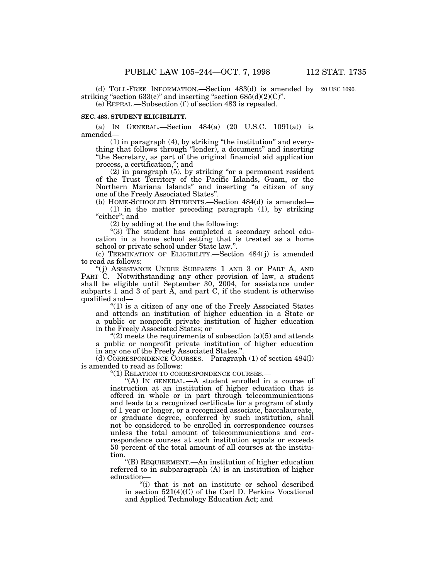(d) TOLL-FREE INFORMATION.—Section 483(d) is amended by 20 USC 1090.striking "section  $633(c)$ " and inserting "section  $685(d)(2)(C)$ ".

(e) REPEAL.—Subsection (f ) of section 483 is repealed.

## **SEC. 483. STUDENT ELIGIBILITY.**

(a) IN GENERAL.—Section 484(a) (20 U.S.C. 1091(a)) is amended—

(1) in paragraph (4), by striking ''the institution'' and everything that follows through ''lender), a document'' and inserting ''the Secretary, as part of the original financial aid application process, a certification,''; and

 $(2)$  in paragraph  $(5)$ , by striking "or a permanent resident of the Trust Territory of the Pacific Islands, Guam, or the Northern Mariana Islands" and inserting "a citizen of any one of the Freely Associated States''.

(b) HOME-SCHOOLED STUDENTS.—Section 484(d) is amended— (1) in the matter preceding paragraph (1), by striking "either"; and

(2) by adding at the end the following:

"(3) The student has completed a secondary school education in a home school setting that is treated as a home school or private school under State law.''.

(c) TERMINATION OF ELIGIBILITY.—Section 484( j) is amended to read as follows:

''( j) ASSISTANCE UNDER SUBPARTS 1 AND 3 OF PART A, AND PART C.—Notwithstanding any other provision of law, a student shall be eligible until September 30, 2004, for assistance under subparts 1 and 3 of part  $\hat{A}$ , and part  $\hat{C}$ , if the student is otherwise qualified and—

''(1) is a citizen of any one of the Freely Associated States and attends an institution of higher education in a State or a public or nonprofit private institution of higher education in the Freely Associated States; or

" $(2)$  meets the requirements of subsection  $(a)(5)$  and attends a public or nonprofit private institution of higher education in any one of the Freely Associated States.''.

(d) CORRESPONDENCE COURSES.—Paragraph (1) of section 484(l) is amended to read as follows:

''(1) RELATION TO CORRESPONDENCE COURSES.—

''(A) IN GENERAL.—A student enrolled in a course of instruction at an institution of higher education that is offered in whole or in part through telecommunications and leads to a recognized certificate for a program of study of 1 year or longer, or a recognized associate, baccalaureate, or graduate degree, conferred by such institution, shall not be considered to be enrolled in correspondence courses unless the total amount of telecommunications and correspondence courses at such institution equals or exceeds 50 percent of the total amount of all courses at the institution.

''(B) REQUIREMENT.—An institution of higher education referred to in subparagraph (A) is an institution of higher education—

''(i) that is not an institute or school described in section 521(4)(C) of the Carl D. Perkins Vocational and Applied Technology Education Act; and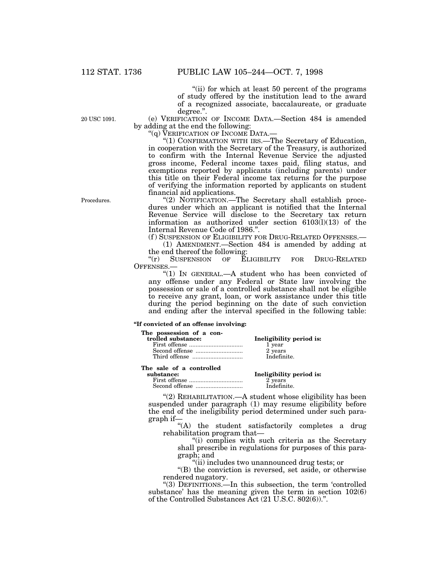"(ii) for which at least 50 percent of the programs of study offered by the institution lead to the award of a recognized associate, baccalaureate, or graduate degree.''.

(e) VERIFICATION OF INCOME DATA.—Section 484 is amended by adding at the end the following:

''(q) VERIFICATION OF INCOME DATA.—

''(1) CONFIRMATION WITH IRS.—The Secretary of Education, in cooperation with the Secretary of the Treasury, is authorized to confirm with the Internal Revenue Service the adjusted gross income, Federal income taxes paid, filing status, and exemptions reported by applicants (including parents) under this title on their Federal income tax returns for the purpose of verifying the information reported by applicants on student financial aid applications.

"(2) NOTIFICATION.—The Secretary shall establish procedures under which an applicant is notified that the Internal Revenue Service will disclose to the Secretary tax return information as authorized under section 6103(l)(13) of the Internal Revenue Code of 1986.''.

(f) SUSPENSION OF ELIGIBILITY FOR DRUG-RELATED OFFENSES.-

(1) AMENDMENT.—Section 484 is amended by adding at the end thereof the following:

''(r) SUSPENSION OF ELIGIBILITY FOR DRUG-RELATED OFFENSES.—

''(1) IN GENERAL.—A student who has been convicted of any offense under any Federal or State law involving the possession or sale of a controlled substance shall not be eligible to receive any grant, loan, or work assistance under this title during the period beginning on the date of such conviction and ending after the interval specified in the following table:

#### **''If convicted of an offense involving:**

| The possession of a con-<br>trolled substance: | Ineligibility period is:<br>1 year<br>2 years<br>Indefinite. |
|------------------------------------------------|--------------------------------------------------------------|
| The sale of a controlled<br>substance:         | Ineligibility period is:<br>2 years<br>Indefinite            |

"(2) REHABILITATION.—A student whose eligibility has been suspended under paragraph (1) may resume eligibility before the end of the ineligibility period determined under such paragraph if—

''(A) the student satisfactorily completes a drug rehabilitation program that—

''(i) complies with such criteria as the Secretary shall prescribe in regulations for purposes of this paragraph; and

''(ii) includes two unannounced drug tests; or

''(B) the conviction is reversed, set aside, or otherwise rendered nugatory.

''(3) DEFINITIONS.—In this subsection, the term 'controlled substance' has the meaning given the term in section 102(6) of the Controlled Substances Act (21 U.S.C. 802(6)).''.

Procedures.

20 USC 1091.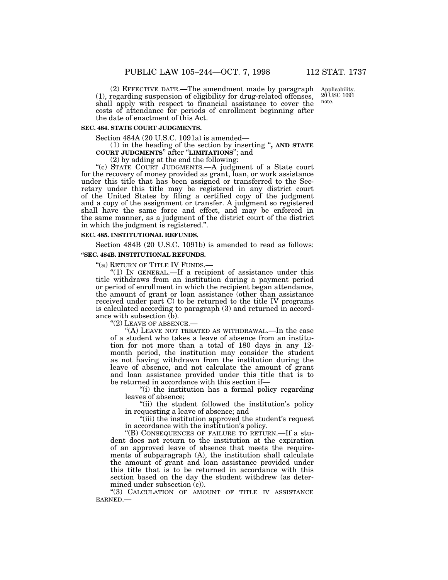(2) EFFECTIVE DATE.—The amendment made by paragraph (1), regarding suspension of eligibility for drug-related offenses, shall apply with respect to financial assistance to cover the costs of attendance for periods of enrollment beginning after the date of enactment of this Act. Applicability. 20 USC 1091 note.

## **SEC. 484. STATE COURT JUDGMENTS.**

Section 484A (20 U.S.C. 1091a) is amended—

(1) in the heading of the section by inserting ''**, AND STATE COURT JUDGMENTS**'' after ''**LIMITATIONS**''; and

(2) by adding at the end the following:

"(c) STATE COURT JUDGMENTS.—A judgment of a State court for the recovery of money provided as grant, loan, or work assistance under this title that has been assigned or transferred to the Secretary under this title may be registered in any district court of the United States by filing a certified copy of the judgment and a copy of the assignment or transfer. A judgment so registered shall have the same force and effect, and may be enforced in the same manner, as a judgment of the district court of the district in which the judgment is registered.''.

#### **SEC. 485. INSTITUTIONAL REFUNDS.**

Section 484B (20 U.S.C. 1091b) is amended to read as follows: **''SEC. 484B. INSTITUTIONAL REFUNDS.**

''(a) RETURN OF TITLE IV FUNDS.—

"(1) IN GENERAL.—If a recipient of assistance under this title withdraws from an institution during a payment period or period of enrollment in which the recipient began attendance, the amount of grant or loan assistance (other than assistance received under part C) to be returned to the title IV programs is calculated according to paragraph (3) and returned in accordance with subsection (b).

''(2) LEAVE OF ABSENCE.—

"(A) LEAVE NOT TREATED AS WITHDRAWAL.—In the case of a student who takes a leave of absence from an institution for not more than a total of 180 days in any 12 month period, the institution may consider the student as not having withdrawn from the institution during the leave of absence, and not calculate the amount of grant and loan assistance provided under this title that is to be returned in accordance with this section if—

''(i) the institution has a formal policy regarding leaves of absence;

''(ii) the student followed the institution's policy in requesting a leave of absence; and

''(iii) the institution approved the student's request in accordance with the institution's policy.

''(B) CONSEQUENCES OF FAILURE TO RETURN.—If a student does not return to the institution at the expiration of an approved leave of absence that meets the requirements of subparagraph (A), the institution shall calculate the amount of grant and loan assistance provided under this title that is to be returned in accordance with this section based on the day the student withdrew (as determined under subsection (c)).

"(3) CALCULATION OF AMOUNT OF TITLE IV ASSISTANCE EARNED.—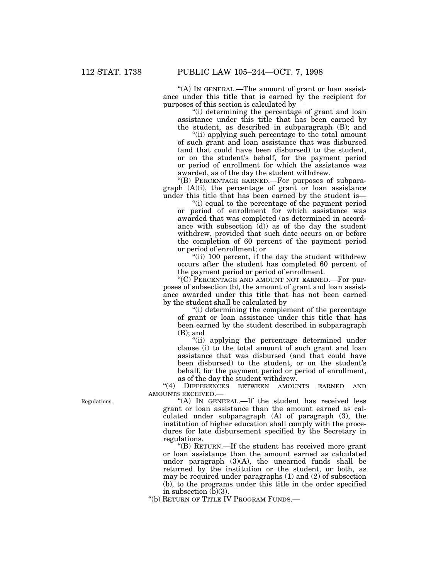"(A) In GENERAL.—The amount of grant or loan assistance under this title that is earned by the recipient for purposes of this section is calculated by—

''(i) determining the percentage of grant and loan assistance under this title that has been earned by the student, as described in subparagraph (B); and

''(ii) applying such percentage to the total amount of such grant and loan assistance that was disbursed (and that could have been disbursed) to the student, or on the student's behalf, for the payment period or period of enrollment for which the assistance was awarded, as of the day the student withdrew.

''(B) PERCENTAGE EARNED.—For purposes of subparagraph (A)(i), the percentage of grant or loan assistance under this title that has been earned by the student is—

''(i) equal to the percentage of the payment period or period of enrollment for which assistance was awarded that was completed (as determined in accordance with subsection  $(d)$  as of the day the student withdrew, provided that such date occurs on or before the completion of 60 percent of the payment period or period of enrollment; or

"(ii) 100 percent, if the day the student withdrew occurs after the student has completed 60 percent of the payment period or period of enrollment.

''(C) PERCENTAGE AND AMOUNT NOT EARNED.—For purposes of subsection (b), the amount of grant and loan assistance awarded under this title that has not been earned by the student shall be calculated by—

''(i) determining the complement of the percentage of grant or loan assistance under this title that has been earned by the student described in subparagraph (B); and

''(ii) applying the percentage determined under clause (i) to the total amount of such grant and loan assistance that was disbursed (and that could have been disbursed) to the student, or on the student's behalf, for the payment period or period of enrollment, as of the day the student withdrew.

''(4) DIFFERENCES BETWEEN AMOUNTS EARNED AND AMOUNTS RECEIVED.—

"(A) In GENERAL.—If the student has received less grant or loan assistance than the amount earned as calculated under subparagraph (A) of paragraph (3), the institution of higher education shall comply with the procedures for late disbursement specified by the Secretary in regulations.

''(B) RETURN.—If the student has received more grant or loan assistance than the amount earned as calculated under paragraph  $(3)(A)$ , the unearned funds shall be returned by the institution or the student, or both, as may be required under paragraphs (1) and (2) of subsection (b), to the programs under this title in the order specified in subsection  $(\bar{b})(3)$ .

''(b) RETURN OF TITLE IV PROGRAM FUNDS.—

Regulations.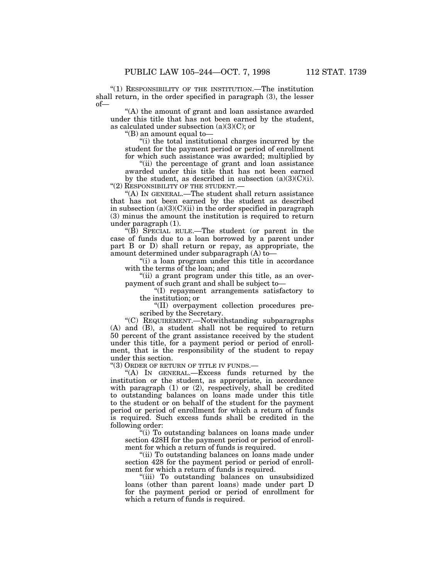''(1) RESPONSIBILITY OF THE INSTITUTION.—The institution shall return, in the order specified in paragraph (3), the lesser of—

''(A) the amount of grant and loan assistance awarded under this title that has not been earned by the student, as calculated under subsection  $(a)(3)(C)$ ; or

''(B) an amount equal to—

''(i) the total institutional charges incurred by the student for the payment period or period of enrollment for which such assistance was awarded; multiplied by

''(ii) the percentage of grant and loan assistance awarded under this title that has not been earned by the student, as described in subsection  $(a)(3)(C)(i)$ . "(2) RESPONSIBILITY OF THE STUDENT.-

''(A) IN GENERAL.—The student shall return assistance that has not been earned by the student as described in subsection  $(a)(3)(C)(ii)$  in the order specified in paragraph (3) minus the amount the institution is required to return under paragraph (1).

''(B) SPECIAL RULE.—The student (or parent in the case of funds due to a loan borrowed by a parent under part B or D) shall return or repay, as appropriate, the amount determined under subparagraph (A) to—

"(i) a loan program under this title in accordance" with the terms of the loan; and

"(ii) a grant program under this title, as an overpayment of such grant and shall be subject to—

''(I) repayment arrangements satisfactory to the institution; or

''(II) overpayment collection procedures prescribed by the Secretary.

''(C) REQUIREMENT.—Notwithstanding subparagraphs (A) and (B), a student shall not be required to return 50 percent of the grant assistance received by the student under this title, for a payment period or period of enrollment, that is the responsibility of the student to repay under this section.

''(3) ORDER OF RETURN OF TITLE IV FUNDS.—

''(A) IN GENERAL.—Excess funds returned by the institution or the student, as appropriate, in accordance with paragraph (1) or (2), respectively, shall be credited to outstanding balances on loans made under this title to the student or on behalf of the student for the payment period or period of enrollment for which a return of funds is required. Such excess funds shall be credited in the following order:

"(i) To outstanding balances on loans made under section 428H for the payment period or period of enrollment for which a return of funds is required.

"(ii) To outstanding balances on loans made under section 428 for the payment period or period of enrollment for which a return of funds is required.

''(iii) To outstanding balances on unsubsidized loans (other than parent loans) made under part D for the payment period or period of enrollment for which a return of funds is required.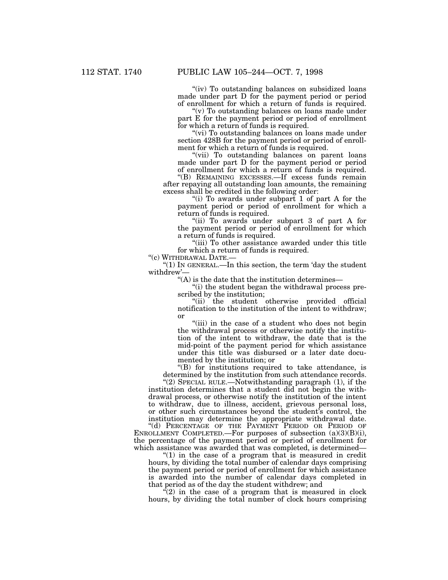"(iv) To outstanding balances on subsidized loans made under part D for the payment period or period of enrollment for which a return of funds is required.

''(v) To outstanding balances on loans made under part E for the payment period or period of enrollment for which a return of funds is required.

"(vi) To outstanding balances on loans made under section 428B for the payment period or period of enrollment for which a return of funds is required.

"(vii) To outstanding balances on parent loans made under part D for the payment period or period of enrollment for which a return of funds is required.

''(B) REMAINING EXCESSES.—If excess funds remain after repaying all outstanding loan amounts, the remaining excess shall be credited in the following order:

"(i) To awards under subpart 1 of part A for the payment period or period of enrollment for which a return of funds is required.

"(ii) To awards under subpart 3 of part A for the payment period or period of enrollment for which a return of funds is required.

''(iii) To other assistance awarded under this title for which a return of funds is required.

''(c) WITHDRAWAL DATE.—

" $(1)$  In GENERAL.—In this section, the term 'day the student withdrew'—

''(A) is the date that the institution determines—

''(i) the student began the withdrawal process prescribed by the institution;

''(ii) the student otherwise provided official notification to the institution of the intent to withdraw; or

"(iii) in the case of a student who does not begin the withdrawal process or otherwise notify the institution of the intent to withdraw, the date that is the mid-point of the payment period for which assistance under this title was disbursed or a later date documented by the institution; or

''(B) for institutions required to take attendance, is determined by the institution from such attendance records.

"(2) SPECIAL RULE.—Notwithstanding paragraph (1), if the institution determines that a student did not begin the withdrawal process, or otherwise notify the institution of the intent to withdraw, due to illness, accident, grievous personal loss, or other such circumstances beyond the student's control, the institution may determine the appropriate withdrawal date.

"(d) PERCENTAGE OF THE PAYMENT PERIOD OR PERIOD OF ENROLLMENT COMPLETED.—For purposes of subsection (a)(3)(B)(i), the percentage of the payment period or period of enrollment for which assistance was awarded that was completed, is determined—

" $(1)$  in the case of a program that is measured in credit hours, by dividing the total number of calendar days comprising the payment period or period of enrollment for which assistance is awarded into the number of calendar days completed in that period as of the day the student withdrew; and

 $f(2)$  in the case of a program that is measured in clock hours, by dividing the total number of clock hours comprising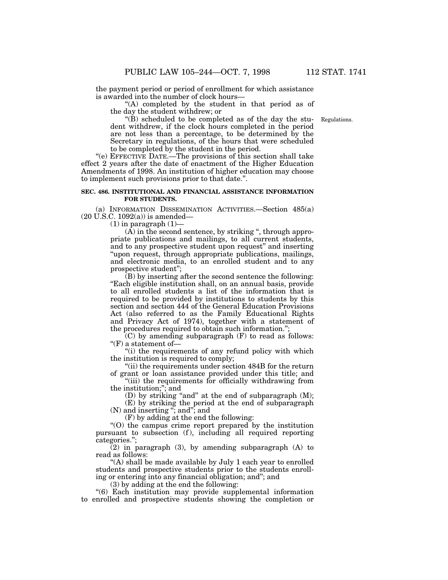the payment period or period of enrollment for which assistance is awarded into the number of clock hours—

"(A) completed by the student in that period as of the day the student withdrew; or

Regulations.

" $(\check{B})$  scheduled to be completed as of the day the student withdrew, if the clock hours completed in the period are not less than a percentage, to be determined by the Secretary in regulations, of the hours that were scheduled to be completed by the student in the period.

''(e) EFFECTIVE DATE.—The provisions of this section shall take effect 2 years after the date of enactment of the Higher Education Amendments of 1998. An institution of higher education may choose to implement such provisions prior to that date.''.

## **SEC. 486. INSTITUTIONAL AND FINANCIAL ASSISTANCE INFORMATION FOR STUDENTS.**

(a) INFORMATION DISSEMINATION ACTIVITIES.—Section 485(a) (20 U.S.C. 1092(a)) is amended—

 $(1)$  in paragraph  $(1)$ —

 $(\overline{A})$  in the second sentence, by striking ", through appropriate publications and mailings, to all current students, and to any prospective student upon request'' and inserting ''upon request, through appropriate publications, mailings, and electronic media, to an enrolled student and to any prospective student'';

(B) by inserting after the second sentence the following: "Each eligible institution shall, on an annual basis, provide to all enrolled students a list of the information that is required to be provided by institutions to students by this section and section 444 of the General Education Provisions Act (also referred to as the Family Educational Rights and Privacy Act of 1974), together with a statement of the procedures required to obtain such information.'';

(C) by amending subparagraph (F) to read as follows: ''(F) a statement of—

"(i) the requirements of any refund policy with which the institution is required to comply;

"(ii) the requirements under section 484B for the return of grant or loan assistance provided under this title; and

''(iii) the requirements for officially withdrawing from the institution;''; and

(D) by striking ''and'' at the end of subparagraph (M);

(E) by striking the period at the end of subparagraph (N) and inserting ''; and''; and

(F) by adding at the end the following:

''(O) the campus crime report prepared by the institution pursuant to subsection (f), including all required reporting categories.'';

(2) in paragraph (3), by amending subparagraph (A) to read as follows:

"(A) shall be made available by July 1 each year to enrolled students and prospective students prior to the students enrolling or entering into any financial obligation; and''; and

(3) by adding at the end the following:

''(6) Each institution may provide supplemental information to enrolled and prospective students showing the completion or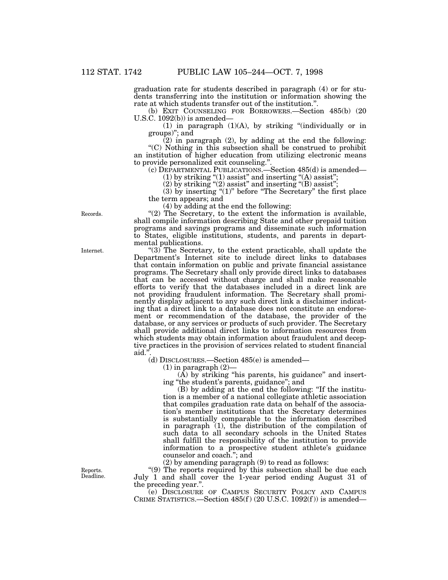graduation rate for students described in paragraph (4) or for students transferring into the institution or information showing the rate at which students transfer out of the institution.''.

(b) EXIT COUNSELING FOR BORROWERS.—Section 485(b) (20 U.S.C. 1092(b)) is amended—

(1) in paragraph  $(1)(A)$ , by striking "(individually or in groups)''; and

 $(2)$  in paragraph  $(2)$ , by adding at the end the following: ''(C) Nothing in this subsection shall be construed to prohibit an institution of higher education from utilizing electronic means to provide personalized exit counseling.''.

(c) DEPARTMENTAL PUBLICATIONS.—Section 485(d) is amended—

 $(1)$  by striking " $(1)$  assist" and inserting " $(A)$  assist";

(2) by striking " $(2)$  assist" and inserting " $(B)$  assist";

 $(3)$  by inserting " $(1)$ " before "The Secretary" the first place the term appears; and

(4) by adding at the end the following:

"(2) The Secretary, to the extent the information is available, shall compile information describing State and other prepaid tuition programs and savings programs and disseminate such information to States, eligible institutions, students, and parents in departmental publications.

" $(3)$  The Secretary, to the extent practicable, shall update the Department's Internet site to include direct links to databases that contain information on public and private financial assistance programs. The Secretary shall only provide direct links to databases that can be accessed without charge and shall make reasonable efforts to verify that the databases included in a direct link are not providing fraudulent information. The Secretary shall prominently display adjacent to any such direct link a disclaimer indicating that a direct link to a database does not constitute an endorsement or recommendation of the database, the provider of the database, or any services or products of such provider. The Secretary shall provide additional direct links to information resources from which students may obtain information about fraudulent and deceptive practices in the provision of services related to student financial aid.'

(d) DISCLOSURES.—Section 485(e) is amended—

 $(1)$  in paragraph  $(2)$ —

(A) by striking ''his parents, his guidance'' and inserting ''the student's parents, guidance''; and

(B) by adding at the end the following: ''If the institution is a member of a national collegiate athletic association that compiles graduation rate data on behalf of the association's member institutions that the Secretary determines is substantially comparable to the information described in paragraph (1), the distribution of the compilation of such data to all secondary schools in the United States shall fulfill the responsibility of the institution to provide information to a prospective student athlete's guidance counselor and coach.''; and

(2) by amending paragraph (9) to read as follows:

"(9) The reports required by this subsection shall be due each July 1 and shall cover the 1-year period ending August 31 of the preceding year.''.

(e) DISCLOSURE OF CAMPUS SECURITY POLICY AND CAMPUS CRIME STATISTICS.—Section  $485(f)$  (20 U.S.C. 1092 $(f)$ ) is amended—

Records.

Internet.

Reports. Deadline.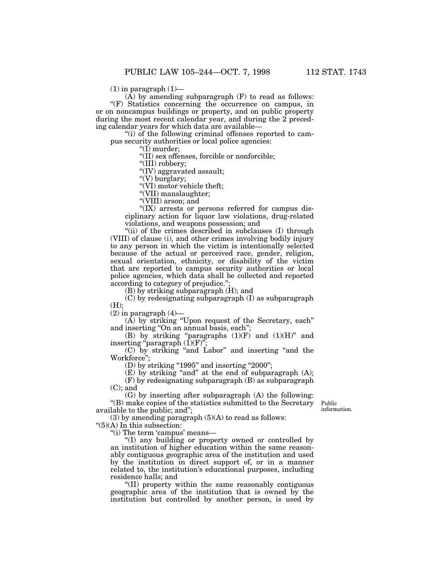$(1)$  in paragraph  $(1)$ —

 $(\overline{A})$  by amending subparagraph  $(F)$  to read as follows: ''(F) Statistics concerning the occurrence on campus, in or on noncampus buildings or property, and on public property during the most recent calendar year, and during the 2 preceding calendar years for which data are available—

''(i) of the following criminal offenses reported to campus security authorities or local police agencies:

''(I) murder;

''(II) sex offenses, forcible or nonforcible;

''(III) robbery;

''(IV) aggravated assault;

''(V) burglary;

''(VI) motor vehicle theft;

''(VII) manslaughter;

''(VIII) arson; and

''(IX) arrests or persons referred for campus disciplinary action for liquor law violations, drug-related violations, and weapons possession; and

"(ii) of the crimes described in subclauses (I) through (VIII) of clause (i), and other crimes involving bodily injury to any person in which the victim is intentionally selected because of the actual or perceived race, gender, religion, sexual orientation, ethnicity, or disability of the victim that are reported to campus security authorities or local police agencies, which data shall be collected and reported according to category of prejudice.'';

(B) by striking subparagraph (H); and

(C) by redesignating subparagraph (I) as subparagraph (H);

 $(2)$  in paragraph  $(4)$ –

(A) by striking ''Upon request of the Secretary, each'' and inserting "On an annual basis, each";

(B) by striking "paragraphs  $(1)(F)$  and  $(1)(H)$ " and inserting "paragraph  $(1)(F)$ ";

(C) by striking ''and Labor'' and inserting ''and the Workforce'';

 $(D)$  by striking "1995" and inserting "2000";

 $(E)$  by striking "and" at the end of subparagraph  $(A)$ ;

(F) by redesignating subparagraph (B) as subparagraph  $(C)$ ; and

(G) by inserting after subparagraph (A) the following: ''(B) make copies of the statistics submitted to the Secretary available to the public; and'';

 $(3)$  by amending paragraph  $(5)(A)$  to read as follows: " $(5)(A)$  In this subsection:

''(i) The term 'campus' means—

''(I) any building or property owned or controlled by an institution of higher education within the same reasonably contiguous geographic area of the institution and used by the institution in direct support of, or in a manner related to, the institution's educational purposes, including residence halls; and

''(II) property within the same reasonably contiguous geographic area of the institution that is owned by the institution but controlled by another person, is used by

Public information.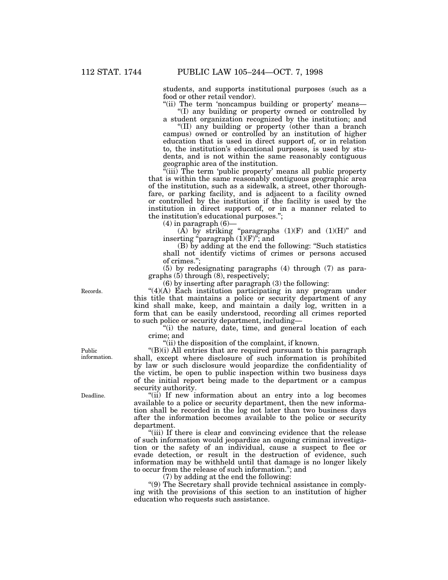students, and supports institutional purposes (such as a food or other retail vendor).

"(ii) The term 'noncampus building or property' means-''(I) any building or property owned or controlled by

a student organization recognized by the institution; and ''(II) any building or property (other than a branch campus) owned or controlled by an institution of higher

education that is used in direct support of, or in relation to, the institution's educational purposes, is used by students, and is not within the same reasonably contiguous geographic area of the institution.

''(iii) The term 'public property' means all public property that is within the same reasonably contiguous geographic area of the institution, such as a sidewalk, a street, other thoroughfare, or parking facility, and is adjacent to a facility owned or controlled by the institution if the facility is used by the institution in direct support of, or in a manner related to the institution's educational purposes.'';

 $(4)$  in paragraph  $(6)$ 

(A) by striking "paragraphs  $(1)(F)$  and  $(1)(H)$ " and inserting ''paragraph (1)(F)''; and

(B) by adding at the end the following: ''Such statistics shall not identify victims of crimes or persons accused of crimes.'';

(5) by redesignating paragraphs (4) through (7) as paragraphs (5) through (8), respectively;

(6) by inserting after paragraph (3) the following:

 $"(4)(A)$  Each institution participating in any program under this title that maintains a police or security department of any kind shall make, keep, and maintain a daily log, written in a form that can be easily understood, recording all crimes reported to such police or security department, including—

''(i) the nature, date, time, and general location of each crime; and

''(ii) the disposition of the complaint, if known.

''(B)(i) All entries that are required pursuant to this paragraph shall, except where disclosure of such information is prohibited by law or such disclosure would jeopardize the confidentiality of the victim, be open to public inspection within two business days of the initial report being made to the department or a campus security authority.

"(ii) If new information about an entry into a log becomes available to a police or security department, then the new information shall be recorded in the log not later than two business days after the information becomes available to the police or security department.

''(iii) If there is clear and convincing evidence that the release of such information would jeopardize an ongoing criminal investigation or the safety of an individual, cause a suspect to flee or evade detection, or result in the destruction of evidence, such information may be withheld until that damage is no longer likely to occur from the release of such information.''; and

(7) by adding at the end the following:

''(9) The Secretary shall provide technical assistance in complying with the provisions of this section to an institution of higher education who requests such assistance.

Records.

Public information.

Deadline.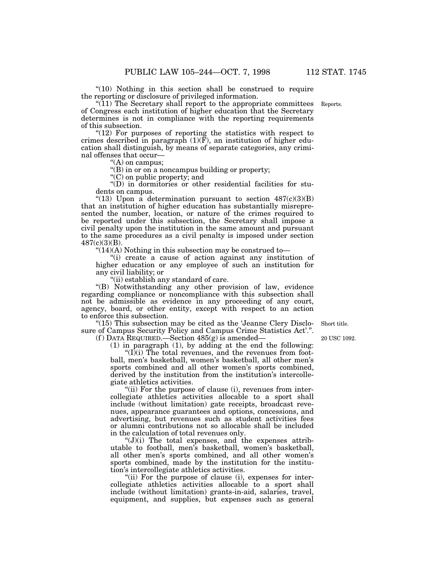"(10) Nothing in this section shall be construed to require the reporting or disclosure of privileged information.

" $(11)$  The Secretary shall report to the appropriate committees Reports. of Congress each institution of higher education that the Secretary determines is not in compliance with the reporting requirements of this subsection.

" $(12)$  For purposes of reporting the statistics with respect to crimes described in paragraph  $(1)(\overline{F})$ , an institution of higher education shall distinguish, by means of separate categories, any criminal offenses that occur—

''(A) on campus;

 $E(S)$  in or on a noncampus building or property;

''(C) on public property; and

''(D) in dormitories or other residential facilities for students on campus.

"(13) Upon a determination pursuant to section  $487(c)(3)(B)$ that an institution of higher education has substantially misrepresented the number, location, or nature of the crimes required to be reported under this subsection, the Secretary shall impose a civil penalty upon the institution in the same amount and pursuant to the same procedures as a civil penalty is imposed under section  $487(c)(3)(B)$ .

 $^{\prime\prime}(14)(A)$  Nothing in this subsection may be construed to—

''(i) create a cause of action against any institution of higher education or any employee of such an institution for any civil liability; or

''(ii) establish any standard of care.

''(B) Notwithstanding any other provision of law, evidence regarding compliance or noncompliance with this subsection shall not be admissible as evidence in any proceeding of any court, agency, board, or other entity, except with respect to an action to enforce this subsection.

" $(15)$  This subsection may be cited as the 'Jeanne Clery Disclosure of Campus Security Policy and Campus Crime Statistics Act'.''.

 $(f)$  DATA REQUIRED.—Section  $485(g)$  is amended—

(1) in paragraph (1), by adding at the end the following: "(I)(i) The total revenues, and the revenues from football, men's basketball, women's basketball, all other men's sports combined and all other women's sports combined, derived by the institution from the institution's intercollegiate athletics activities.

"(ii) For the purpose of clause (i), revenues from intercollegiate athletics activities allocable to a sport shall include (without limitation) gate receipts, broadcast revenues, appearance guarantees and options, concessions, and advertising, but revenues such as student activities fees or alumni contributions not so allocable shall be included in the calculation of total revenues only.

 $'(J)(i)$  The total expenses, and the expenses attributable to football, men's basketball, women's basketball, all other men's sports combined, and all other women's sports combined, made by the institution for the institution's intercollegiate athletics activities.

"(ii) For the purpose of clause (i), expenses for intercollegiate athletics activities allocable to a sport shall include (without limitation) grants-in-aid, salaries, travel, equipment, and supplies, but expenses such as general

20 USC 1092.

Short title.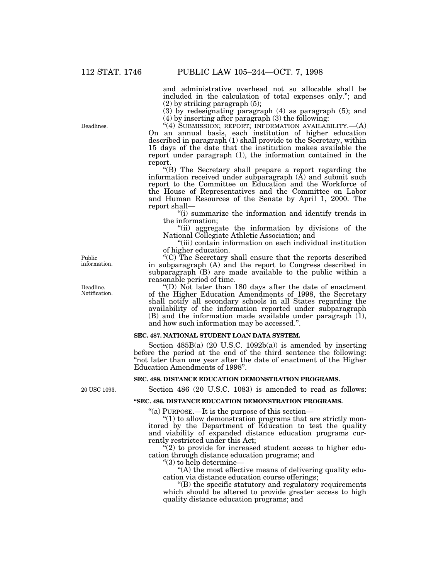and administrative overhead not so allocable shall be included in the calculation of total expenses only.''; and (2) by striking paragraph (5);

(3) by redesignating paragraph (4) as paragraph (5); and (4) by inserting after paragraph (3) the following:

''(4) SUBMISSION; REPORT; INFORMATION AVAILABILITY.—(A) On an annual basis, each institution of higher education described in paragraph (1) shall provide to the Secretary, within 15 days of the date that the institution makes available the report under paragraph (1), the information contained in the report.

''(B) The Secretary shall prepare a report regarding the information received under subparagraph  $(A)$  and submit such report to the Committee on Education and the Workforce of the House of Representatives and the Committee on Labor and Human Resources of the Senate by April 1, 2000. The report shall—

''(i) summarize the information and identify trends in the information;

"(ii) aggregate the information by divisions of the National Collegiate Athletic Association; and

''(iii) contain information on each individual institution of higher education.

''(C) The Secretary shall ensure that the reports described in subparagraph (A) and the report to Congress described in subparagraph (B) are made available to the public within a reasonable period of time.

''(D) Not later than 180 days after the date of enactment of the Higher Education Amendments of 1998, the Secretary shall notify all secondary schools in all States regarding the availability of the information reported under subparagraph  $(B)$  and the information made available under paragraph  $(1)$ , and how such information may be accessed.''.

#### **SEC. 487. NATIONAL STUDENT LOAN DATA SYSTEM.**

Section  $485B(a)$  (20 U.S.C. 1092b(a)) is amended by inserting before the period at the end of the third sentence the following: "not later than one year after the date of enactment of the Higher Education Amendments of 1998''.

## **SEC. 488. DISTANCE EDUCATION DEMONSTRATION PROGRAMS.**

20 USC 1093

# **''SEC. 486. DISTANCE EDUCATION DEMONSTRATION PROGRAMS.**

''(a) PURPOSE.—It is the purpose of this section—

"(1) to allow demonstration programs that are strictly monitored by the Department of Education to test the quality and viability of expanded distance education programs currently restricted under this Act;

Section 486 (20 U.S.C. 1083) is amended to read as follows:

 $\mathcal{L}(2)$  to provide for increased student access to higher education through distance education programs; and

''(3) to help determine—

''(A) the most effective means of delivering quality education via distance education course offerings;

''(B) the specific statutory and regulatory requirements which should be altered to provide greater access to high quality distance education programs; and

Deadlines.

Public information.

Deadline. Notification.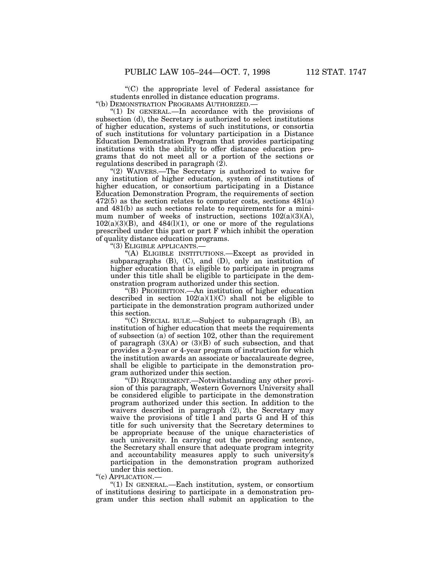''(C) the appropriate level of Federal assistance for students enrolled in distance education programs.

''(b) DEMONSTRATION PROGRAMS AUTHORIZED.—

" $(1)$  In GENERAL.—In accordance with the provisions of subsection (d), the Secretary is authorized to select institutions of higher education, systems of such institutions, or consortia of such institutions for voluntary participation in a Distance Education Demonstration Program that provides participating institutions with the ability to offer distance education programs that do not meet all or a portion of the sections or regulations described in paragraph  $(2)$ .

"(2) WAIVERS.—The Secretary is authorized to waive for any institution of higher education, system of institutions of higher education, or consortium participating in a Distance Education Demonstration Program, the requirements of section  $472(5)$  as the section relates to computer costs, sections  $481(a)$ and 481(b) as such sections relate to requirements for a minimum number of weeks of instruction, sections  $102(a)(3)(A)$ ,  $102(a)(3)(B)$ , and  $484(1)(1)$ , or one or more of the regulations prescribed under this part or part F which inhibit the operation of quality distance education programs.

''(3) ELIGIBLE APPLICANTS.—

"(A) ELIGIBLE INSTITUTIONS.—Except as provided in subparagraphs  $(B)$ ,  $(C)$ , and  $(D)$ , only an institution of higher education that is eligible to participate in programs under this title shall be eligible to participate in the demonstration program authorized under this section.

''(B) PROHIBITION.—An institution of higher education described in section  $102(a)(1)(C)$  shall not be eligible to participate in the demonstration program authorized under this section.

''(C) SPECIAL RULE.—Subject to subparagraph (B), an institution of higher education that meets the requirements of subsection  $(a)$  of section 102, other than the requirement of paragraph  $(3)(A)$  or  $(3)(B)$  of such subsection, and that provides a 2-year or 4-year program of instruction for which the institution awards an associate or baccalaureate degree, shall be eligible to participate in the demonstration program authorized under this section.

''(D) REQUIREMENT.—Notwithstanding any other provision of this paragraph, Western Governors University shall be considered eligible to participate in the demonstration program authorized under this section. In addition to the waivers described in paragraph (2), the Secretary may waive the provisions of title I and parts G and H of this title for such university that the Secretary determines to be appropriate because of the unique characteristics of such university. In carrying out the preceding sentence, the Secretary shall ensure that adequate program integrity and accountability measures apply to such university's participation in the demonstration program authorized under this section.

"(c) APPLICATION.-

 $''(1)$  In GENERAL.—Each institution, system, or consortium of institutions desiring to participate in a demonstration program under this section shall submit an application to the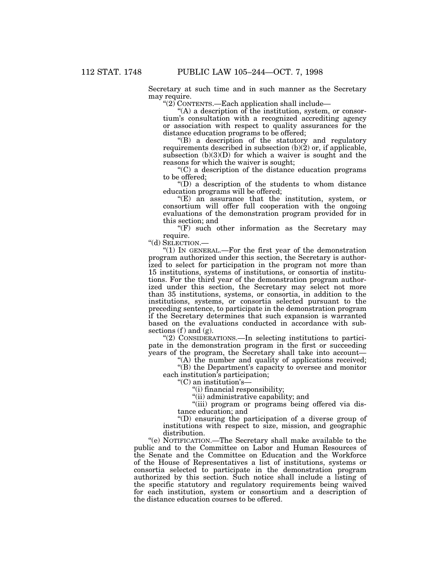Secretary at such time and in such manner as the Secretary may require.

''(2) CONTENTS.—Each application shall include—

"(A) a description of the institution, system, or consortium's consultation with a recognized accrediting agency or association with respect to quality assurances for the distance education programs to be offered;

''(B) a description of the statutory and regulatory requirements described in subsection  $(b)(2)$  or, if applicable, subsection  $(b)(3)(D)$  for which a waiver is sought and the reasons for which the waiver is sought;

''(C) a description of the distance education programs to be offered;

''(D) a description of the students to whom distance education programs will be offered;

''(E) an assurance that the institution, system, or consortium will offer full cooperation with the ongoing evaluations of the demonstration program provided for in this section; and

 $(F)$  such other information as the Secretary may require.

''(d) SELECTION.—

''(1) IN GENERAL.—For the first year of the demonstration program authorized under this section, the Secretary is authorized to select for participation in the program not more than 15 institutions, systems of institutions, or consortia of institutions. For the third year of the demonstration program authorized under this section, the Secretary may select not more than 35 institutions, systems, or consortia, in addition to the institutions, systems, or consortia selected pursuant to the preceding sentence, to participate in the demonstration program if the Secretary determines that such expansion is warranted based on the evaluations conducted in accordance with subsections  $(f)$  and  $(g)$ .

''(2) CONSIDERATIONS.—In selecting institutions to participate in the demonstration program in the first or succeeding years of the program, the Secretary shall take into account—

 $(A)$  the number and quality of applications received; ''(B) the Department's capacity to oversee and monitor

each institution's participation;

''(C) an institution's—

''(i) financial responsibility;

''(ii) administrative capability; and

"(iii) program or programs being offered via distance education; and

''(D) ensuring the participation of a diverse group of institutions with respect to size, mission, and geographic distribution.

''(e) NOTIFICATION.—The Secretary shall make available to the public and to the Committee on Labor and Human Resources of the Senate and the Committee on Education and the Workforce of the House of Representatives a list of institutions, systems or consortia selected to participate in the demonstration program authorized by this section. Such notice shall include a listing of the specific statutory and regulatory requirements being waived for each institution, system or consortium and a description of the distance education courses to be offered.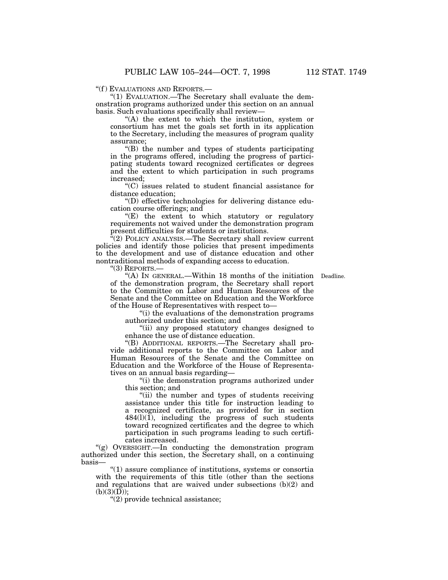''(f ) EVALUATIONS AND REPORTS.—

''(1) EVALUATION.—The Secretary shall evaluate the demonstration programs authorized under this section on an annual basis. Such evaluations specifically shall review—

''(A) the extent to which the institution, system or consortium has met the goals set forth in its application to the Secretary, including the measures of program quality assurance;

''(B) the number and types of students participating in the programs offered, including the progress of participating students toward recognized certificates or degrees and the extent to which participation in such programs increased;

''(C) issues related to student financial assistance for distance education;

''(D) effective technologies for delivering distance education course offerings; and

"(E) the extent to which statutory or regulatory requirements not waived under the demonstration program present difficulties for students or institutions.

''(2) POLICY ANALYSIS.—The Secretary shall review current policies and identify those policies that present impediments to the development and use of distance education and other nontraditional methods of expanding access to education.

''(3) REPORTS.—

"(A) IN GENERAL.—Within 18 months of the initiation Deadline. of the demonstration program, the Secretary shall report to the Committee on Labor and Human Resources of the Senate and the Committee on Education and the Workforce of the House of Representatives with respect to—

''(i) the evaluations of the demonstration programs authorized under this section; and

''(ii) any proposed statutory changes designed to enhance the use of distance education.

''(B) ADDITIONAL REPORTS.—The Secretary shall provide additional reports to the Committee on Labor and Human Resources of the Senate and the Committee on Education and the Workforce of the House of Representatives on an annual basis regarding—

''(i) the demonstration programs authorized under this section; and

"(ii) the number and types of students receiving assistance under this title for instruction leading to a recognized certificate, as provided for in section  $484(1)(1)$ , including the progress of such students toward recognized certificates and the degree to which participation in such programs leading to such certificates increased.

"(g) OVERSIGHT.-In conducting the demonstration program authorized under this section, the Secretary shall, on a continuing basis—

''(1) assure compliance of institutions, systems or consortia with the requirements of this title (other than the sections and regulations that are waived under subsections (b)(2) and (b)(3)(D));

''(2) provide technical assistance;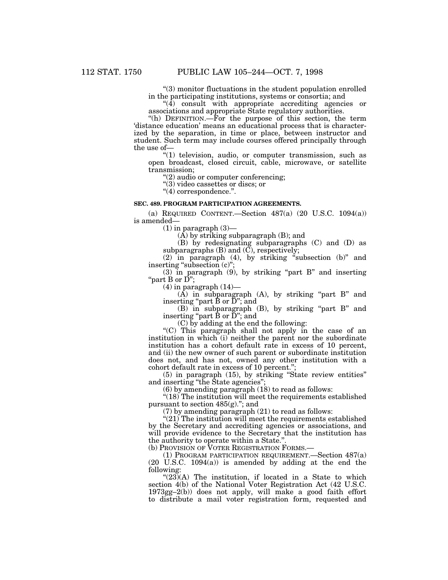''(3) monitor fluctuations in the student population enrolled in the participating institutions, systems or consortia; and

 $\cdot$ (4) consult with appropriate accrediting agencies or associations and appropriate State regulatory authorities.

''(h) DEFINITION.—For the purpose of this section, the term 'distance education' means an educational process that is characterized by the separation, in time or place, between instructor and student. Such term may include courses offered principally through the use of—

"(1) television, audio, or computer transmission, such as open broadcast, closed circuit, cable, microwave, or satellite transmission;

''(2) audio or computer conferencing;

''(3) video cassettes or discs; or

''(4) correspondence.''.

## **SEC. 489. PROGRAM PARTICIPATION AGREEMENTS.**

(a) REQUIRED CONTENT.—Section 487(a) (20 U.S.C. 1094(a)) is amended—

 $(1)$  in paragraph  $(3)$ —

 $(\overline{A})$  by striking subparagraph  $(B)$ ; and

(B) by redesignating subparagraphs (C) and (D) as subparagraphs (B) and (C), respectively;

(2) in paragraph (4), by striking "subsection  $(b)$ " and inserting "subsection (c)";

 $(3)$  in paragraph  $(9)$ , by striking "part B" and inserting " $part B$  or  $\overrightarrow{D}$ ";

 $(4)$  in paragraph  $(14)$ —

(A) in subparagraph (A), by striking ''part B'' and inserting "part B or D"; and

(B) in subparagraph (B), by striking "part B" and inserting ''part B or D''; and

(C) by adding at the end the following:

''(C) This paragraph shall not apply in the case of an institution in which (i) neither the parent nor the subordinate institution has a cohort default rate in excess of 10 percent, and (ii) the new owner of such parent or subordinate institution does not, and has not, owned any other institution with a cohort default rate in excess of 10 percent.'';

(5) in paragraph (15), by striking ''State review entities'' and inserting "the State agencies"

 $(6)$  by amending paragraph  $(18)$  to read as follows:

"(18) The institution will meet the requirements established pursuant to section  $485(g)$ ."; and

(7) by amending paragraph (21) to read as follows:

" $(21)$  The institution will meet the requirements established by the Secretary and accrediting agencies or associations, and will provide evidence to the Secretary that the institution has the authority to operate within a State.''.

(b) PROVISION OF VOTER REGISTRATION FORMS.—

(1) PROGRAM PARTICIPATION REQUIREMENT.—Section 487(a) (20 U.S.C. 1094(a)) is amended by adding at the end the following:

" $(23)(A)$  The institution, if located in a State to which section 4(b) of the National Voter Registration Act (42 U.S.C. 1973gg–2(b)) does not apply, will make a good faith effort to distribute a mail voter registration form, requested and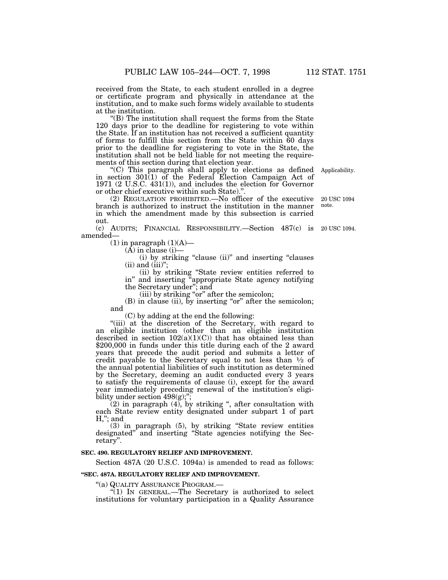received from the State, to each student enrolled in a degree or certificate program and physically in attendance at the institution, and to make such forms widely available to students at the institution.

''(B) The institution shall request the forms from the State 120 days prior to the deadline for registering to vote within the State. If an institution has not received a sufficient quantity of forms to fulfill this section from the State within 60 days prior to the deadline for registering to vote in the State, the institution shall not be held liable for not meeting the requirements of this section during that election year.

''(C) This paragraph shall apply to elections as defined in section 301(1) of the Federal Election Campaign Act of 1971 (2 U.S.C. 431(1)), and includes the election for Governor or other chief executive within such State).''. Applicability.

(2) REGULATION PROHIBITED.—No officer of the executive branch is authorized to instruct the institution in the manner in which the amendment made by this subsection is carried out. 20 USC 1094

(c) AUDITS; FINANCIAL RESPONSIBILITY.—Section 487(c) is 20 USC 1094. amended—

 $(1)$  in paragraph  $(1)(A)$ —

(A) in clause (i)—

(i) by striking ''clause (ii)'' and inserting ''clauses  $(ii)$  and  $(iii)$ ";

(ii) by striking ''State review entities referred to in'' and inserting ''appropriate State agency notifying the Secretary under''; and

(iii) by striking "or" after the semicolon;

(B) in clause (ii), by inserting "or" after the semicolon; and

(C) by adding at the end the following:

"(iii) at the discretion of the Secretary, with regard to an eligible institution (other than an eligible institution described in section  $102(a)(1)(C)$  that has obtained less than \$200,000 in funds under this title during each of the 2 award years that precede the audit period and submits a letter of credit payable to the Secretary equal to not less than  $\frac{1}{2}$  of the annual potential liabilities of such institution as determined by the Secretary, deeming an audit conducted every 3 years to satisfy the requirements of clause (i), except for the award year immediately preceding renewal of the institution's eligibility under section 498(g);'';

(2) in paragraph (4), by striking '', after consultation with each State review entity designated under subpart 1 of part H,''; and

(3) in paragraph (5), by striking ''State review entities designated'' and inserting ''State agencies notifying the Secretary''.

## **SEC. 490. REGULATORY RELIEF AND IMPROVEMENT.**

Section 487A (20 U.S.C. 1094a) is amended to read as follows:

#### **''SEC. 487A. REGULATORY RELIEF AND IMPROVEMENT.**

''(a) QUALITY ASSURANCE PROGRAM.—

"(1) IN GENERAL.—The Secretary is authorized to select institutions for voluntary participation in a Quality Assurance

note.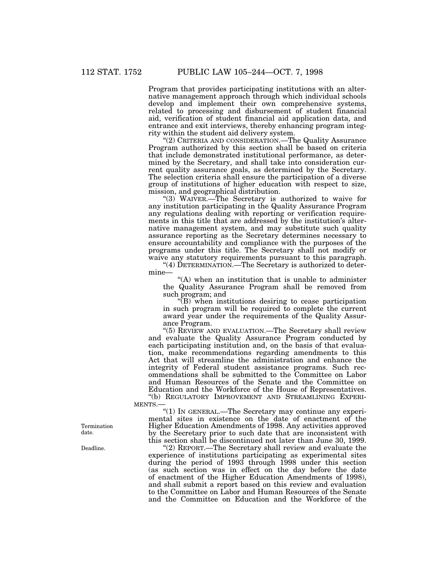Program that provides participating institutions with an alternative management approach through which individual schools develop and implement their own comprehensive systems, related to processing and disbursement of student financial aid, verification of student financial aid application data, and entrance and exit interviews, thereby enhancing program integrity within the student aid delivery system.

''(2) CRITERIA AND CONSIDERATION.—The Quality Assurance Program authorized by this section shall be based on criteria that include demonstrated institutional performance, as determined by the Secretary, and shall take into consideration current quality assurance goals, as determined by the Secretary. The selection criteria shall ensure the participation of a diverse group of institutions of higher education with respect to size, mission, and geographical distribution.

''(3) WAIVER.—The Secretary is authorized to waive for any institution participating in the Quality Assurance Program any regulations dealing with reporting or verification requirements in this title that are addressed by the institution's alternative management system, and may substitute such quality assurance reporting as the Secretary determines necessary to ensure accountability and compliance with the purposes of the programs under this title. The Secretary shall not modify or waive any statutory requirements pursuant to this paragraph.

"(4) DETERMINATION.—The Secretary is authorized to determine—

"(A) when an institution that is unable to administer the Quality Assurance Program shall be removed from such program; and

''(B) when institutions desiring to cease participation in such program will be required to complete the current award year under the requirements of the Quality Assurance Program.

''(5) REVIEW AND EVALUATION.—The Secretary shall review and evaluate the Quality Assurance Program conducted by each participating institution and, on the basis of that evaluation, make recommendations regarding amendments to this Act that will streamline the administration and enhance the integrity of Federal student assistance programs. Such recommendations shall be submitted to the Committee on Labor and Human Resources of the Senate and the Committee on Education and the Workforce of the House of Representatives. ''(b) REGULATORY IMPROVEMENT AND STREAMLINING EXPERI-MENTS.—

''(1) IN GENERAL.—The Secretary may continue any experimental sites in existence on the date of enactment of the Higher Education Amendments of 1998. Any activities approved by the Secretary prior to such date that are inconsistent with this section shall be discontinued not later than June 30, 1999.

''(2) REPORT.—The Secretary shall review and evaluate the experience of institutions participating as experimental sites during the period of 1993 through 1998 under this section (as such section was in effect on the day before the date of enactment of the Higher Education Amendments of 1998), and shall submit a report based on this review and evaluation to the Committee on Labor and Human Resources of the Senate and the Committee on Education and the Workforce of the

Termination date.

Deadline.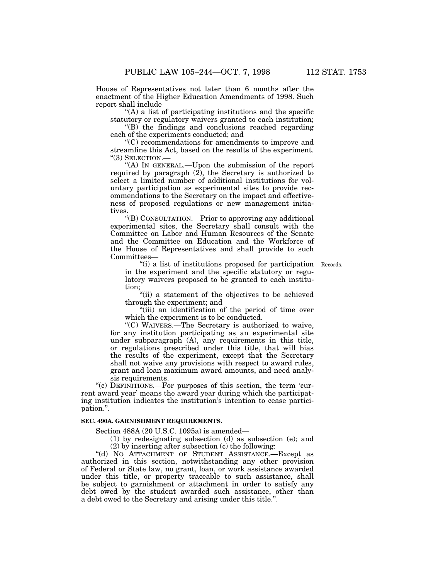House of Representatives not later than 6 months after the enactment of the Higher Education Amendments of 1998. Such report shall include—

 $(A)$  a list of participating institutions and the specific statutory or regulatory waivers granted to each institution;

"(B) the findings and conclusions reached regarding each of the experiments conducted; and

''(C) recommendations for amendments to improve and streamline this Act, based on the results of the experiment. ''(3) SELECTION.—

''(A) IN GENERAL.—Upon the submission of the report required by paragraph  $(2)$ , the Secretary is authorized to select a limited number of additional institutions for voluntary participation as experimental sites to provide recommendations to the Secretary on the impact and effectiveness of proposed regulations or new management initiatives.

''(B) CONSULTATION.—Prior to approving any additional experimental sites, the Secretary shall consult with the Committee on Labor and Human Resources of the Senate and the Committee on Education and the Workforce of the House of Representatives and shall provide to such Committees—

"(i) a list of institutions proposed for participation Records. in the experiment and the specific statutory or regulatory waivers proposed to be granted to each institution;

''(ii) a statement of the objectives to be achieved through the experiment; and

''(iii) an identification of the period of time over which the experiment is to be conducted.

''(C) WAIVERS.—The Secretary is authorized to waive, for any institution participating as an experimental site under subparagraph (A), any requirements in this title, or regulations prescribed under this title, that will bias the results of the experiment, except that the Secretary shall not waive any provisions with respect to award rules, grant and loan maximum award amounts, and need analysis requirements.

''(c) DEFINITIONS.—For purposes of this section, the term 'current award year' means the award year during which the participating institution indicates the institution's intention to cease participation.''.

#### **SEC. 490A. GARNISHMENT REQUIREMENTS.**

Section 488A (20 U.S.C. 1095a) is amended—

(1) by redesignating subsection (d) as subsection (e); and (2) by inserting after subsection (c) the following:

''(d) NO ATTACHMENT OF STUDENT ASSISTANCE.—Except as authorized in this section, notwithstanding any other provision of Federal or State law, no grant, loan, or work assistance awarded under this title, or property traceable to such assistance, shall be subject to garnishment or attachment in order to satisfy any debt owed by the student awarded such assistance, other than a debt owed to the Secretary and arising under this title.''.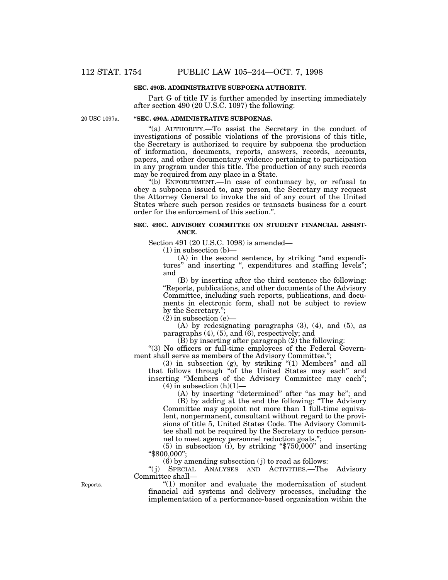## **SEC. 490B. ADMINISTRATIVE SUBPOENA AUTHORITY.**

Part G of title IV is further amended by inserting immediately after section 490 (20 U.S.C. 1097) the following:

20 USC 1097a.

## **''SEC. 490A. ADMINISTRATIVE SUBPOENAS.**

"(a) AUTHORITY.—To assist the Secretary in the conduct of investigations of possible violations of the provisions of this title, the Secretary is authorized to require by subpoena the production of information, documents, reports, answers, records, accounts, papers, and other documentary evidence pertaining to participation in any program under this title. The production of any such records may be required from any place in a State.

''(b) ENFORCEMENT.—In case of contumacy by, or refusal to obey a subpoena issued to, any person, the Secretary may request the Attorney General to invoke the aid of any court of the United States where such person resides or transacts business for a court order for the enforcement of this section.''.

## **SEC. 490C. ADVISORY COMMITTEE ON STUDENT FINANCIAL ASSIST-ANCE.**

Section 491 (20 U.S.C. 1098) is amended—

 $(1)$  in subsection  $(b)$ —

(A) in the second sentence, by striking ''and expenditures" and inserting ", expenditures and staffing levels"; and

(B) by inserting after the third sentence the following: ''Reports, publications, and other documents of the Advisory Committee, including such reports, publications, and documents in electronic form, shall not be subject to review by the Secretary.'';

 $(2)$  in subsection  $(e)$ —

(A) by redesignating paragraphs (3), (4), and (5), as paragraphs  $(4)$ ,  $(5)$ , and  $(6)$ , respectively; and

(B) by inserting after paragraph (2) the following:

"(3) No officers or full-time employees of the Federal Government shall serve as members of the Advisory Committee.'';

(3) in subsection (g), by striking ''(1) Members'' and all that follows through ''of the United States may each'' and inserting "Members of the Advisory Committee may each";  $(4)$  in subsection  $(h)(1)$ –

(A) by inserting "determined" after "as may be"; and

(B) by adding at the end the following: ''The Advisory Committee may appoint not more than 1 full-time equivalent, nonpermanent, consultant without regard to the provisions of title 5, United States Code. The Advisory Committee shall not be required by the Secretary to reduce personnel to meet agency personnel reduction goals.'';

 $(5)$  in subsection  $(i)$ , by striking "\$750,000" and inserting ''\$800,000'';

 $(6)$  by amending subsection  $(j)$  to read as follows:

''( j) SPECIAL ANALYSES AND ACTIVITIES.—The Advisory Committee shall—

''(1) monitor and evaluate the modernization of student financial aid systems and delivery processes, including the implementation of a performance-based organization within the

Reports.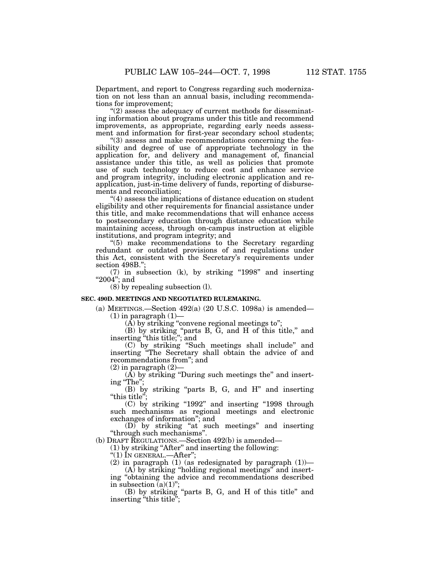Department, and report to Congress regarding such modernization on not less than an annual basis, including recommendations for improvement;

"(2) assess the adequacy of current methods for disseminating information about programs under this title and recommend improvements, as appropriate, regarding early needs assessment and information for first-year secondary school students;

''(3) assess and make recommendations concerning the feasibility and degree of use of appropriate technology in the application for, and delivery and management of, financial assistance under this title, as well as policies that promote use of such technology to reduce cost and enhance service and program integrity, including electronic application and reapplication, just-in-time delivery of funds, reporting of disbursements and reconciliation;

''(4) assess the implications of distance education on student eligibility and other requirements for financial assistance under this title, and make recommendations that will enhance access to postsecondary education through distance education while maintaining access, through on-campus instruction at eligible institutions, and program integrity; and

''(5) make recommendations to the Secretary regarding redundant or outdated provisions of and regulations under this Act, consistent with the Secretary's requirements under section 498B.":

(7) in subsection (k), by striking ''1998'' and inserting "2004"; and

(8) by repealing subsection (l).

## **SEC. 490D. MEETINGS AND NEGOTIATED RULEMAKING.**

(a) MEETINGS.—Section  $492(a)$  (20 U.S.C. 1098a) is amended—  $(1)$  in paragraph  $(1)$ —

 $(A)$  by striking "convene regional meetings to";

(B) by striking ''parts B, G, and H of this title,'' and inserting ''this title;''; and

(C) by striking ''Such meetings shall include'' and inserting ''The Secretary shall obtain the advice of and recommendations from''; and (2) in paragraph (2)—

 $(A)$  by striking "During such meetings the" and inserting "The"

(B) by striking ''parts B, G, and H'' and inserting ''this title'';

(C) by striking ''1992'' and inserting ''1998 through such mechanisms as regional meetings and electronic exchanges of information''; and

(D) by striking "at such meetings" and inserting ''through such mechanisms''.

(b) DRAFT REGULATIONS.—Section 492(b) is amended—

(1) by striking ''After'' and inserting the following:

''(1) IN GENERAL.—After'';

(2) in paragraph  $(1)$  (as redesignated by paragraph  $(1)$ )-

 $(A)$  by striking "holding regional meetings" and inserting ''obtaining the advice and recommendations described in subsection  $(a)(1)$ ";

(B) by striking ''parts B, G, and H of this title'' and inserting ''this title'';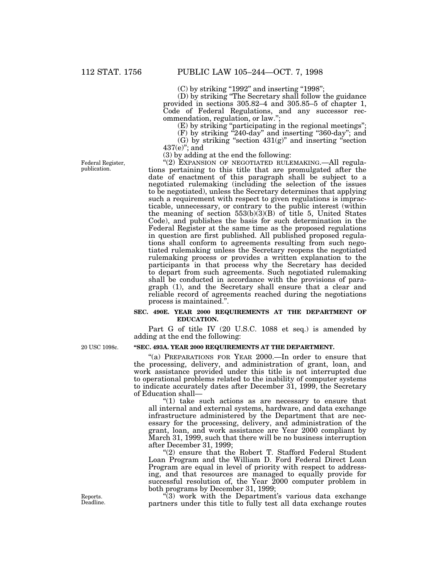${\rm (C)}$  by striking "1992" and inserting "1998";

(D) by striking ''The Secretary shall follow the guidance provided in sections 305.82–4 and 305.85–5 of chapter 1, Code of Federal Regulations, and any successor recommendation, regulation, or law.'';

(E) by striking ''participating in the regional meetings'';

(F) by striking "240-day" and inserting "360-day"; and  $(G)$  by striking "section 431 $(g)$ " and inserting "section  $437(e)$ "; and

(3) by adding at the end the following:

"(2) EXPANSION OF NEGOTIATED RULEMAKING.—All regulations pertaining to this title that are promulgated after the date of enactment of this paragraph shall be subject to a negotiated rulemaking (including the selection of the issues to be negotiated), unless the Secretary determines that applying such a requirement with respect to given regulations is impracticable, unnecessary, or contrary to the public interest (within the meaning of section 553(b)(3)(B) of title 5, United States Code), and publishes the basis for such determination in the Federal Register at the same time as the proposed regulations in question are first published. All published proposed regulations shall conform to agreements resulting from such negotiated rulemaking unless the Secretary reopens the negotiated rulemaking process or provides a written explanation to the participants in that process why the Secretary has decided to depart from such agreements. Such negotiated rulemaking shall be conducted in accordance with the provisions of paragraph (1), and the Secretary shall ensure that a clear and reliable record of agreements reached during the negotiations process is maintained.''.

## **SEC. 490E. YEAR 2000 REQUIREMENTS AT THE DEPARTMENT OF EDUCATION.**

Part G of title IV (20 U.S.C. 1088 et seq.) is amended by adding at the end the following:

## **''SEC. 493A. YEAR 2000 REQUIREMENTS AT THE DEPARTMENT.**

"(a) PREPARATIONS FOR YEAR 2000.—In order to ensure that the processing, delivery, and administration of grant, loan, and work assistance provided under this title is not interrupted due to operational problems related to the inability of computer systems to indicate accurately dates after December 31, 1999, the Secretary of Education shall—

''(1) take such actions as are necessary to ensure that all internal and external systems, hardware, and data exchange infrastructure administered by the Department that are necessary for the processing, delivery, and administration of the grant, loan, and work assistance are Year 2000 compliant by March 31, 1999, such that there will be no business interruption after December 31, 1999;

"(2) ensure that the Robert T. Stafford Federal Student Loan Program and the William D. Ford Federal Direct Loan Program are equal in level of priority with respect to addressing, and that resources are managed to equally provide for successful resolution of, the Year 2000 computer problem in both programs by December 31, 1999;

 $\sqrt{3}$  work with the Department's various data exchange partners under this title to fully test all data exchange routes

Federal Register, publication.

Reports. Deadline.

20 USC 1098c.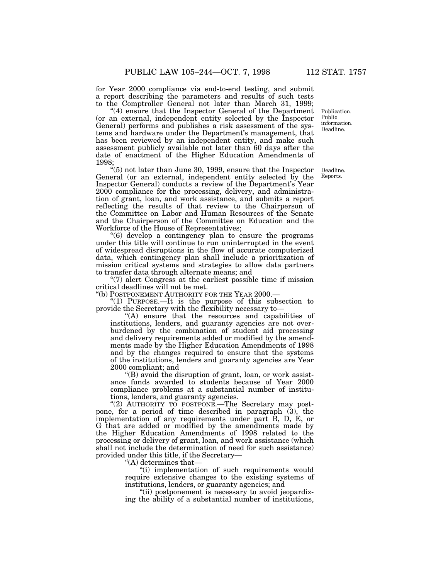for Year 2000 compliance via end-to-end testing, and submit a report describing the parameters and results of such tests to the Comptroller General not later than March 31, 1999;

"(4) ensure that the Inspector General of the Department (or an external, independent entity selected by the Inspector General) performs and publishes a risk assessment of the systems and hardware under the Department's management, that has been reviewed by an independent entity, and make such assessment publicly available not later than 60 days after the date of enactment of the Higher Education Amendments of 1998;

 $\cdot$ (5) not later than June 30, 1999, ensure that the Inspector General (or an external, independent entity selected by the Inspector General) conducts a review of the Department's Year 2000 compliance for the processing, delivery, and administration of grant, loan, and work assistance, and submits a report reflecting the results of that review to the Chairperson of the Committee on Labor and Human Resources of the Senate and the Chairperson of the Committee on Education and the Workforce of the House of Representatives;

''(6) develop a contingency plan to ensure the programs under this title will continue to run uninterrupted in the event of widespread disruptions in the flow of accurate computerized data, which contingency plan shall include a prioritization of mission critical systems and strategies to allow data partners to transfer data through alternate means; and

"(7) alert Congress at the earliest possible time if mission critical deadlines will not be met.

"(b) POSTPONEMENT AUTHORITY FOR THE YEAR 2000.—

"(1) PURPOSE.—It is the purpose of this subsection to provide the Secretary with the flexibility necessary to—

"(A) ensure that the resources and capabilities of institutions, lenders, and guaranty agencies are not overburdened by the combination of student aid processing and delivery requirements added or modified by the amendments made by the Higher Education Amendments of 1998 and by the changes required to ensure that the systems of the institutions, lenders and guaranty agencies are Year 2000 compliant; and

(B) avoid the disruption of grant, loan, or work assistance funds awarded to students because of Year 2000 compliance problems at a substantial number of institutions, lenders, and guaranty agencies.

"(2) AUTHORITY TO POSTPONE.—The Secretary may postpone, for a period of time described in paragraph (3), the implementation of any requirements under part B, D, E, or G that are added or modified by the amendments made by the Higher Education Amendments of 1998 related to the processing or delivery of grant, loan, and work assistance (which shall not include the determination of need for such assistance) provided under this title, if the Secretary—

''(A) determines that—

''(i) implementation of such requirements would require extensive changes to the existing systems of institutions, lenders, or guaranty agencies; and

"(ii) postponement is necessary to avoid jeopardizing the ability of a substantial number of institutions,

Publication. Public information. Deadline.

Deadline. Reports.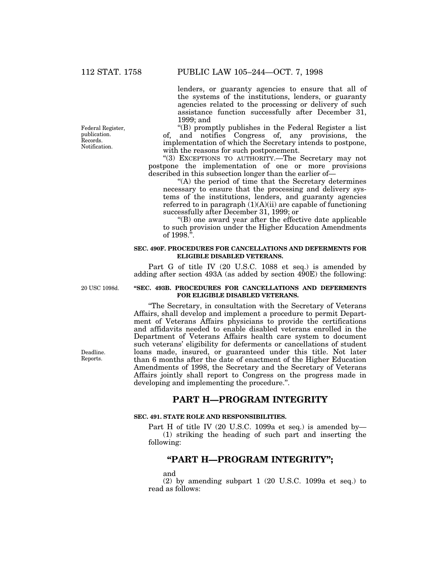Federal Register, publication. Records. Notification.

lenders, or guaranty agencies to ensure that all of the systems of the institutions, lenders, or guaranty agencies related to the processing or delivery of such assistance function successfully after December 31, 1999; and

''(B) promptly publishes in the Federal Register a list of, and notifies Congress of, any provisions, the implementation of which the Secretary intends to postpone, with the reasons for such postponement.

"(3) EXCEPTIONS TO AUTHORITY.—The Secretary may not postpone the implementation of one or more provisions described in this subsection longer than the earlier of—

"(A) the period of time that the Secretary determines necessary to ensure that the processing and delivery systems of the institutions, lenders, and guaranty agencies referred to in paragraph  $(1)(A)(ii)$  are capable of functioning successfully after December 31, 1999; or

''(B) one award year after the effective date applicable to such provision under the Higher Education Amendments of 1998.''.

## **SEC. 490F. PROCEDURES FOR CANCELLATIONS AND DEFERMENTS FOR ELIGIBLE DISABLED VETERANS.**

Part G of title IV (20 U.S.C. 1088 et seq.) is amended by adding after section 493A (as added by section 490E) the following:

20 USC 1098d.

## **''SEC. 493B. PROCEDURES FOR CANCELLATIONS AND DEFERMENTS FOR ELIGIBLE DISABLED VETERANS.**

''The Secretary, in consultation with the Secretary of Veterans Affairs, shall develop and implement a procedure to permit Department of Veterans Affairs physicians to provide the certifications and affidavits needed to enable disabled veterans enrolled in the Department of Veterans Affairs health care system to document such veterans' eligibility for deferments or cancellations of student loans made, insured, or guaranteed under this title. Not later than 6 months after the date of enactment of the Higher Education Amendments of 1998, the Secretary and the Secretary of Veterans Affairs jointly shall report to Congress on the progress made in developing and implementing the procedure.''.

# **PART H—PROGRAM INTEGRITY**

## **SEC. 491. STATE ROLE AND RESPONSIBILITIES.**

Part H of title IV (20 U.S.C. 1099a et seq.) is amended by— (1) striking the heading of such part and inserting the following:

# **''PART H—PROGRAM INTEGRITY'';**

## and

(2) by amending subpart 1 (20 U.S.C. 1099a et seq.) to read as follows:

Deadline. Reports.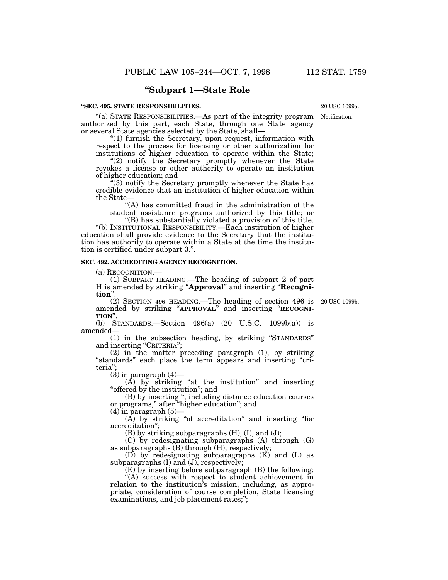## **''Subpart 1—State Role**

#### **''SEC. 495. STATE RESPONSIBILITIES.**

''(a) STATE RESPONSIBILITIES.—As part of the integrity program authorized by this part, each State, through one State agency or several State agencies selected by the State, shall—

''(1) furnish the Secretary, upon request, information with respect to the process for licensing or other authorization for institutions of higher education to operate within the State;

"(2) notify the Secretary promptly whenever the State revokes a license or other authority to operate an institution of higher education; and

''(3) notify the Secretary promptly whenever the State has credible evidence that an institution of higher education within the State—

"(A) has committed fraud in the administration of the student assistance programs authorized by this title; or

''(B) has substantially violated a provision of this title. ''(b) INSTITUTIONAL RESPONSIBILITY.—Each institution of higher education shall provide evidence to the Secretary that the institution has authority to operate within a State at the time the institution is certified under subpart 3.''.

## **SEC. 492. ACCREDITING AGENCY RECOGNITION.**

(a) RECOGNITION.—

(1) SUBPART HEADING.—The heading of subpart 2 of part H is amended by striking ''**Approval**'' and inserting ''**Recognition**''.

(2) SECTION 496 HEADING.—The heading of section 496 is 20 USC 1099b. amended by striking ''**APPROVAL**'' and inserting ''**RECOGNI-TION**''.

(b) STANDARDS.—Section 496(a) (20 U.S.C. 1099b(a)) is amended—

(1) in the subsection heading, by striking ''STANDARDS'' and inserting "CRITERIA";

(2) in the matter preceding paragraph (1), by striking ''standards'' each place the term appears and inserting ''criteria'';

 $(3)$  in paragraph  $(4)$ —

 $(A)$  by striking "at the institution" and inserting ''offered by the institution''; and

(B) by inserting '', including distance education courses or programs,'' after ''higher education''; and

 $(4)$  in paragraph  $(5)$ —

 $(A)$  by striking "of accreditation" and inserting "for accreditation'';

(B) by striking subparagraphs (H), (I), and (J);

(C) by redesignating subparagraphs (A) through (G) as subparagraphs  $(B)$  through  $(H)$ , respectively;

(D) by redesignating subparagraphs (K) and (L) as subparagraphs (I) and (J), respectively;

(E) by inserting before subparagraph (B) the following:

"(A) success with respect to student achievement in relation to the institution's mission, including, as appropriate, consideration of course completion, State licensing examinations, and job placement rates;";

Notification. 20 USC 1099a.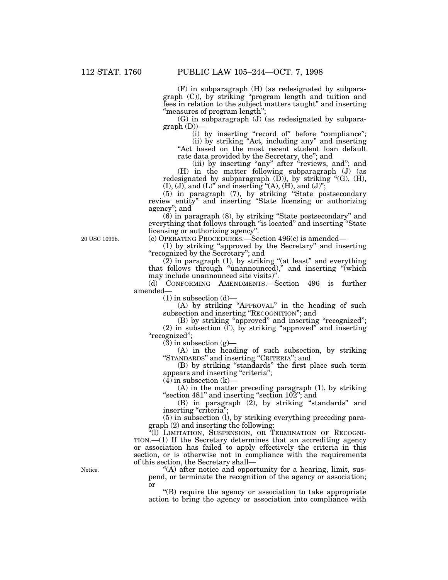(F) in subparagraph (H) (as redesignated by subparagraph (C)), by striking ''program length and tuition and fees in relation to the subject matters taught'' and inserting "measures of program length";

 $(G)$  in subparagraph  $(J)$  (as redesignated by subpara $graph (D)$ 

(i) by inserting "record of" before "compliance"; (ii) by striking ''Act, including any'' and inserting "Act based on the most recent student loan default rate data provided by the Secretary, the''; and

(iii) by inserting ''any'' after ''reviews, and''; and

(H) in the matter following subparagraph (J) (as redesignated by subparagraph  $(D)$ ), by striking " $(G)$ ,  $(H)$ , (I), (J), and (L)" and inserting " $(A)$ ,  $(H)$ , and  $(J)$ ";

(5) in paragraph (7), by striking ''State postsecondary review entity'' and inserting ''State licensing or authorizing agency''; and

(6) in paragraph (8), by striking ''State postsecondary'' and everything that follows through ''is located'' and inserting ''State licensing or authorizing agency''.

(c) OPERATING PROCEDURES.—Section 496(c) is amended—

(1) by striking ''approved by the Secretary'' and inserting "recognized by the Secretary"; and

 $(2)$  in paragraph (1), by striking "(at least" and everything that follows through "unannounced)," and inserting "(which may include unannounced site visits)''.

(d) CONFORMING AMENDMENTS.—Section 496 is further amended—

 $(1)$  in subsection  $(d)$ —

(A) by striking "APPROVAL" in the heading of such subsection and inserting ''RECOGNITION''; and

(B) by striking "approved" and inserting "recognized";  $(2)$  in subsection  $(f)$ , by striking "approved" and inserting "recognized";

 $(3)$  in subsection  $(g)$ —

(A) in the heading of such subsection, by striking ''STANDARDS'' and inserting ''CRITERIA''; and

(B) by striking ''standards'' the first place such term appears and inserting "criteria";

 $(4)$  in subsection  $(k)$ —

(A) in the matter preceding paragraph (1), by striking "section 481" and inserting "section 102"; and

(B) in paragraph  $(\overline{2})$ , by striking "standards" and inserting "criteria";

(5) in subsection (l), by striking everything preceding paragraph (2) and inserting the following:

''(l) LIMITATION, SUSPENSION, OR TERMINATION OF RECOGNI-TION.—(1) If the Secretary determines that an accrediting agency or association has failed to apply effectively the criteria in this section, or is otherwise not in compliance with the requirements of this section, the Secretary shall—

''(A) after notice and opportunity for a hearing, limit, suspend, or terminate the recognition of the agency or association; or

''(B) require the agency or association to take appropriate action to bring the agency or association into compliance with

20 USC 1099b.

Notice.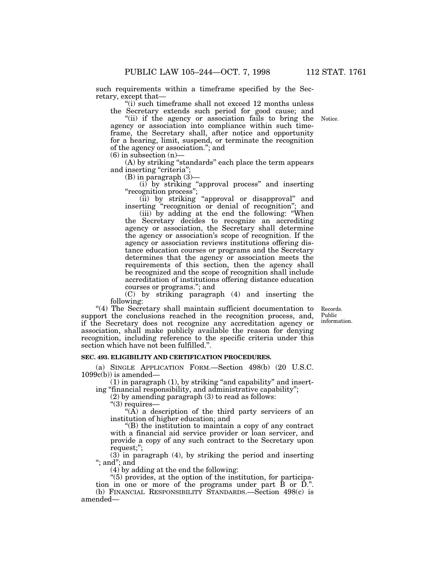such requirements within a timeframe specified by the Secretary, except that—

"(i) such timeframe shall not exceed 12 months unless the Secretary extends such period for good cause; and

"(ii) if the agency or association fails to bring the agency or association into compliance within such timeframe, the Secretary shall, after notice and opportunity for a hearing, limit, suspend, or terminate the recognition of the agency or association.''; and

 $(6)$  in subsection  $(n)$ 

 $(A)$  by striking "standards" each place the term appears and inserting "criteria";

(B) in paragraph (3)—

(i) by striking ''approval process'' and inserting ''recognition process'';

(ii) by striking ''approval or disapproval'' and inserting ''recognition or denial of recognition''; and

(iii) by adding at the end the following: ''When the Secretary decides to recognize an accrediting agency or association, the Secretary shall determine the agency or association's scope of recognition. If the agency or association reviews institutions offering distance education courses or programs and the Secretary determines that the agency or association meets the requirements of this section, then the agency shall be recognized and the scope of recognition shall include accreditation of institutions offering distance education courses or programs.''; and

(C) by striking paragraph (4) and inserting the following:

''(4) The Secretary shall maintain sufficient documentation to support the conclusions reached in the recognition process, and, if the Secretary does not recognize any accreditation agency or association, shall make publicly available the reason for denying recognition, including reference to the specific criteria under this section which have not been fulfilled.''.

## **SEC. 493. ELIGIBILITY AND CERTIFICATION PROCEDURES.**

(a) SINGLE APPLICATION FORM.—Section 498(b) (20 U.S.C.  $1099c(b)$ ) is amended—

(1) in paragraph (1), by striking ''and capability'' and inserting ''financial responsibility, and administrative capability'';

(2) by amending paragraph (3) to read as follows:

''(3) requires—

" $(\vec{A})$  a description of the third party servicers of an institution of higher education; and

''(B) the institution to maintain a copy of any contract with a financial aid service provider or loan servicer, and provide a copy of any such contract to the Secretary upon request;"

(3) in paragraph (4), by striking the period and inserting ''; and''; and

(4) by adding at the end the following:

''(5) provides, at the option of the institution, for participation in one or more of the programs under part B or D.''.

(b) FINANCIAL RESPONSIBILITY STANDARDS.—Section 498(c) is amendedNotice.

Records. Public information.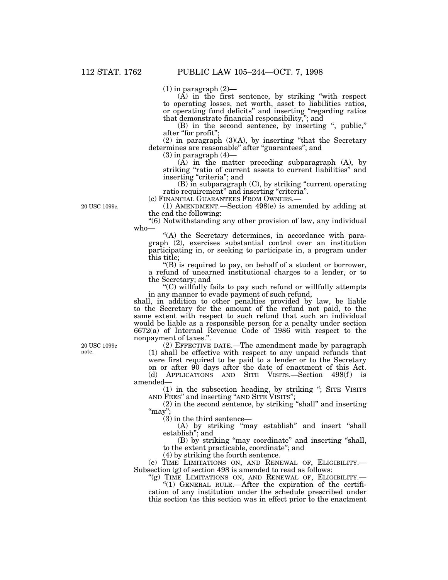$(1)$  in paragraph  $(2)$ —

(A) in the first sentence, by striking ''with respect to operating losses, net worth, asset to liabilities ratios, or operating fund deficits'' and inserting ''regarding ratios that demonstrate financial responsibility,''; and

(B) in the second sentence, by inserting ", public," after "for profit";

 $(2)$  in paragraph  $(3)(A)$ , by inserting "that the Secretary determines are reasonable'' after ''guarantees''; and

(3) in paragraph (4)—

(A) in the matter preceding subparagraph (A), by striking "ratio of current assets to current liabilities" and inserting "criteria"; and

(B) in subparagraph (C), by striking ''current operating ratio requirement" and inserting "criteria".

(c) FINANCIAL GUARANTEES FROM OWNERS.—

(1) AMENDMENT.—Section 498(e) is amended by adding at the end the following:

''(6) Notwithstanding any other provision of law, any individual who—

"(A) the Secretary determines, in accordance with paragraph (2), exercises substantial control over an institution participating in, or seeking to participate in, a program under this title;

''(B) is required to pay, on behalf of a student or borrower, a refund of unearned institutional charges to a lender, or to the Secretary; and

''(C) willfully fails to pay such refund or willfully attempts in any manner to evade payment of such refund,

shall, in addition to other penalties provided by law, be liable to the Secretary for the amount of the refund not paid, to the same extent with respect to such refund that such an individual would be liable as a responsible person for a penalty under section 6672(a) of Internal Revenue Code of 1986 with respect to the nonpayment of taxes.''.

(2) EFFECTIVE DATE.—The amendment made by paragraph (1) shall be effective with respect to any unpaid refunds that were first required to be paid to a lender or to the Secretary on or after 90 days after the date of enactment of this Act. (d) APPLICATIONS AND SITE VISITS.—Section 498(f) is amended—

(1) in the subsection heading, by striking ''; SITE VISITS AND FEES'' and inserting ''AND SITE VISITS'';

(2) in the second sentence, by striking "shall" and inserting "may";

(3) in the third sentence—

(A) by striking ''may establish'' and insert ''shall establish''; and

(B) by striking ''may coordinate'' and inserting ''shall, to the extent practicable, coordinate''; and

(4) by striking the fourth sentence.

(e) TIME LIMITATIONS ON, AND RENEWAL OF, ELIGIBILITY.— Subsection (g) of section 498 is amended to read as follows:

"(g) TIME LIMITATIONS ON, AND RENEWAL OF, ELIGIBILITY.— " $(1)$  GENERAL RULE.—After the expiration of the certifi-

cation of any institution under the schedule prescribed under this section (as this section was in effect prior to the enactment

20 USC 1099c note.

20 USC 1099c.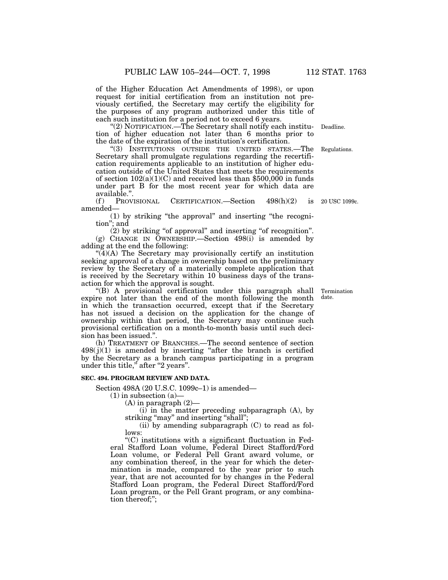of the Higher Education Act Amendments of 1998), or upon request for initial certification from an institution not previously certified, the Secretary may certify the eligibility for the purposes of any program authorized under this title of each such institution for a period not to exceed 6 years.

"(2) NOTIFICATION.—The Secretary shall notify each institu- Deadline. tion of higher education not later than 6 months prior to the date of the expiration of the institution's certification.

''(3) INSTITUTIONS OUTSIDE THE UNITED STATES.—The Secretary shall promulgate regulations regarding the recertification requirements applicable to an institution of higher education outside of the United States that meets the requirements of section  $102(a)(1)(C)$  and received less than \$500,000 in funds under part B for the most recent year for which data are available.''.

 $(f)$  PROVISIONAL CERTIFICATION.—Section  $498(h)(2)$ amended— 20 USC 1099c.

(1) by striking ''the approval'' and inserting ''the recognition''; and

 $(2)$  by striking "of approval" and inserting "of recognition". (g) CHANGE IN OWNERSHIP. Section  $498(i)$  is amended by adding at the end the following:

 $\mathcal{H}(4)(A)$  The Secretary may provisionally certify an institution seeking approval of a change in ownership based on the preliminary review by the Secretary of a materially complete application that is received by the Secretary within 10 business days of the transaction for which the approval is sought.

''(B) A provisional certification under this paragraph shall expire not later than the end of the month following the month in which the transaction occurred, except that if the Secretary has not issued a decision on the application for the change of ownership within that period, the Secretary may continue such provisional certification on a month-to-month basis until such decision has been issued.''.

(h) TREATMENT OF BRANCHES.—The second sentence of section  $498(j)(1)$  is amended by inserting "after the branch is certified by the Secretary as a branch campus participating in a program under this title," after "2 years".

#### **SEC. 494. PROGRAM REVIEW AND DATA.**

Section 498A (20 U.S.C. 1099c–1) is amended—

 $(1)$  in subsection  $(a)$ 

 $(A)$  in paragraph  $(2)$ —

(i) in the matter preceding subparagraph (A), by striking "may" and inserting "shall";

(ii) by amending subparagraph (C) to read as follows:

''(C) institutions with a significant fluctuation in Federal Stafford Loan volume, Federal Direct Stafford/Ford Loan volume, or Federal Pell Grant award volume, or any combination thereof, in the year for which the determination is made, compared to the year prior to such year, that are not accounted for by changes in the Federal Stafford Loan program, the Federal Direct Stafford/Ford Loan program, or the Pell Grant program, or any combination thereof;'';

Termination date.

Regulations.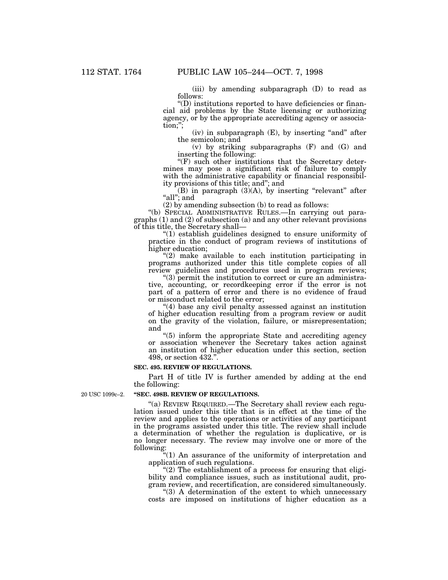(iii) by amending subparagraph (D) to read as follows:

''(D) institutions reported to have deficiencies or financial aid problems by the State licensing or authorizing agency, or by the appropriate accrediting agency or association;'';

 $(iv)$  in subparagraph  $(E)$ , by inserting "and" after the semicolon; and

(v) by striking subparagraphs (F) and (G) and inserting the following:

"(F) such other institutions that the Secretary determines may pose a significant risk of failure to comply with the administrative capability or financial responsibility provisions of this title; and''; and

(B) in paragraph  $(3)(A)$ , by inserting "relevant" after "all"; and  $\,$ 

(2) by amending subsection (b) to read as follows:

''(b) SPECIAL ADMINISTRATIVE RULES.—In carrying out paragraphs (1) and (2) of subsection (a) and any other relevant provisions of this title, the Secretary shall—

''(1) establish guidelines designed to ensure uniformity of practice in the conduct of program reviews of institutions of higher education;

"(2) make available to each institution participating in programs authorized under this title complete copies of all review guidelines and procedures used in program reviews;

 $(3)$  permit the institution to correct or cure an administrative, accounting, or recordkeeping error if the error is not part of a pattern of error and there is no evidence of fraud or misconduct related to the error;

''(4) base any civil penalty assessed against an institution of higher education resulting from a program review or audit on the gravity of the violation, failure, or misrepresentation; and

''(5) inform the appropriate State and accrediting agency or association whenever the Secretary takes action against an institution of higher education under this section, section 498, or section 432.''.

## **SEC. 495. REVIEW OF REGULATIONS.**

**''SEC. 498B. REVIEW OF REGULATIONS.**

Part H of title IV is further amended by adding at the end the following:

20 USC 1099c–2.

''(a) REVIEW REQUIRED.—The Secretary shall review each regulation issued under this title that is in effect at the time of the review and applies to the operations or activities of any participant in the programs assisted under this title. The review shall include a determination of whether the regulation is duplicative, or is no longer necessary. The review may involve one or more of the following:

''(1) An assurance of the uniformity of interpretation and application of such regulations.

" $(2)$  The establishment of a process for ensuring that eligibility and compliance issues, such as institutional audit, program review, and recertification, are considered simultaneously.

"(3) A determination of the extent to which unnecessary costs are imposed on institutions of higher education as a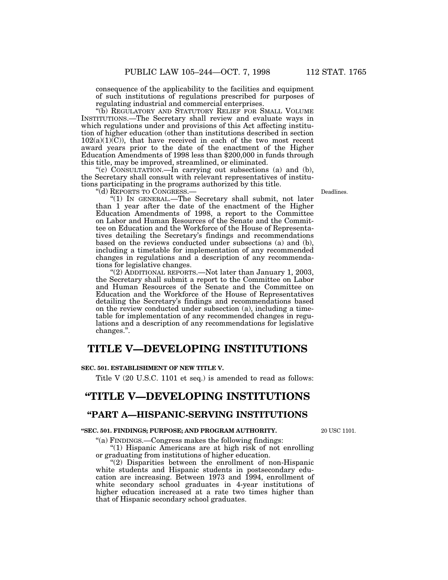consequence of the applicability to the facilities and equipment of such institutions of regulations prescribed for purposes of regulating industrial and commercial enterprises.

''(b) REGULATORY AND STATUTORY RELIEF FOR SMALL VOLUME INSTITUTIONS.—The Secretary shall review and evaluate ways in which regulations under and provisions of this Act affecting institution of higher education (other than institutions described in section  $102(a)(1)(C)$ , that have received in each of the two most recent award years prior to the date of the enactment of the Higher Education Amendments of 1998 less than \$200,000 in funds through this title, may be improved, streamlined, or eliminated.

''(c) CONSULTATION.—In carrying out subsections (a) and (b), the Secretary shall consult with relevant representatives of institutions participating in the programs authorized by this title.

''(d) REPORTS TO CONGRESS.—

''(1) IN GENERAL.—The Secretary shall submit, not later than 1 year after the date of the enactment of the Higher Education Amendments of 1998, a report to the Committee on Labor and Human Resources of the Senate and the Committee on Education and the Workforce of the House of Representatives detailing the Secretary's findings and recommendations based on the reviews conducted under subsections (a) and (b), including a timetable for implementation of any recommended changes in regulations and a description of any recommendations for legislative changes.

''(2) ADDITIONAL REPORTS.—Not later than January 1, 2003, the Secretary shall submit a report to the Committee on Labor and Human Resources of the Senate and the Committee on Education and the Workforce of the House of Representatives detailing the Secretary's findings and recommendations based on the review conducted under subsection (a), including a timetable for implementation of any recommended changes in regulations and a description of any recommendations for legislative changes.''.

# **TITLE V—DEVELOPING INSTITUTIONS**

## **SEC. 501. ESTABLISHMENT OF NEW TITLE V.**

Title V (20 U.S.C. 1101 et seq.) is amended to read as follows:

# **''TITLE V—DEVELOPING INSTITUTIONS**

## **''PART A—HISPANIC-SERVING INSTITUTIONS**

#### **''SEC. 501. FINDINGS; PURPOSE; AND PROGRAM AUTHORITY.**

20 USC 1101.

''(a) FINDINGS.—Congress makes the following findings:

''(1) Hispanic Americans are at high risk of not enrolling or graduating from institutions of higher education.

"(2) Disparities between the enrollment of non-Hispanic white students and Hispanic students in postsecondary education are increasing. Between 1973 and 1994, enrollment of white secondary school graduates in 4-year institutions of higher education increased at a rate two times higher than that of Hispanic secondary school graduates.

Deadlines.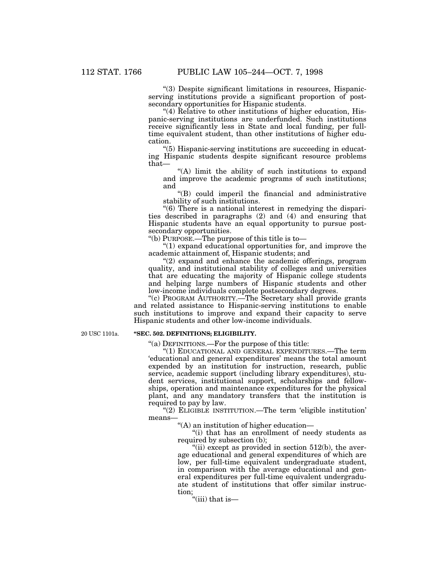''(3) Despite significant limitations in resources, Hispanicserving institutions provide a significant proportion of postsecondary opportunities for Hispanic students.

"(4) Relative to other institutions of higher education, Hispanic-serving institutions are underfunded. Such institutions receive significantly less in State and local funding, per fulltime equivalent student, than other institutions of higher education.

''(5) Hispanic-serving institutions are succeeding in educating Hispanic students despite significant resource problems that—

''(A) limit the ability of such institutions to expand and improve the academic programs of such institutions; and

''(B) could imperil the financial and administrative stability of such institutions.

''(6) There is a national interest in remedying the disparities described in paragraphs (2) and (4) and ensuring that Hispanic students have an equal opportunity to pursue postsecondary opportunities.

''(b) PURPOSE.—The purpose of this title is to—

 $"(1)$  expand educational opportunities for, and improve the academic attainment of, Hispanic students; and

"(2) expand and enhance the academic offerings, program quality, and institutional stability of colleges and universities that are educating the majority of Hispanic college students and helping large numbers of Hispanic students and other low-income individuals complete postsecondary degrees.

''(c) PROGRAM AUTHORITY.—The Secretary shall provide grants and related assistance to Hispanic-serving institutions to enable such institutions to improve and expand their capacity to serve Hispanic students and other low-income individuals.

20 USC 1101a.

#### **''SEC. 502. DEFINITIONS; ELIGIBILITY.**

''(a) DEFINITIONS.—For the purpose of this title:

''(1) EDUCATIONAL AND GENERAL EXPENDITURES.—The term 'educational and general expenditures' means the total amount expended by an institution for instruction, research, public service, academic support (including library expenditures), student services, institutional support, scholarships and fellowships, operation and maintenance expenditures for the physical plant, and any mandatory transfers that the institution is required to pay by law.

"(2) ELIGIBLE INSTITUTION.—The term 'eligible institution' means—

''(A) an institution of higher education—

''(i) that has an enrollment of needy students as required by subsection (b);

"(ii) except as provided in section  $512(b)$ , the average educational and general expenditures of which are low, per full-time equivalent undergraduate student, in comparison with the average educational and general expenditures per full-time equivalent undergraduate student of institutions that offer similar instruction;

''(iii) that is—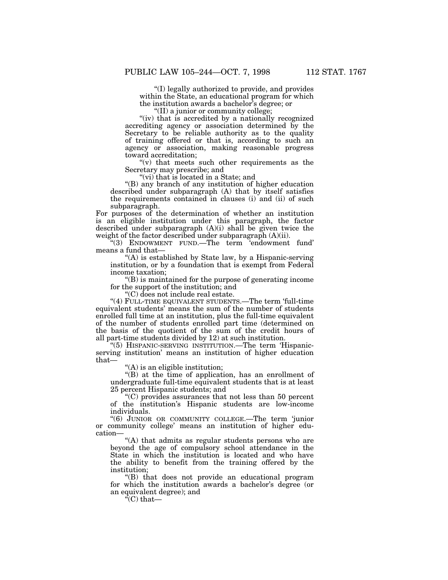''(I) legally authorized to provide, and provides within the State, an educational program for which the institution awards a bachelor's degree; or

''(II) a junior or community college;

"(iv) that is accredited by a nationally recognized accrediting agency or association determined by the Secretary to be reliable authority as to the quality of training offered or that is, according to such an agency or association, making reasonable progress toward accreditation;

" $(v)$  that meets such other requirements as the Secretary may prescribe; and

"(vi) that is located in a State; and

''(B) any branch of any institution of higher education described under subparagraph (A) that by itself satisfies the requirements contained in clauses (i) and (ii) of such subparagraph.

For purposes of the determination of whether an institution is an eligible institution under this paragraph, the factor described under subparagraph (A)(i) shall be given twice the weight of the factor described under subparagraph (A)(ii).

''(3) ENDOWMENT FUND.—The term 'endowment fund' means a fund that—

''(A) is established by State law, by a Hispanic-serving institution, or by a foundation that is exempt from Federal income taxation;

''(B) is maintained for the purpose of generating income for the support of the institution; and

''(C) does not include real estate.

"(4) FULL-TIME EQUIVALENT STUDENTS.—The term 'full-time equivalent students' means the sum of the number of students enrolled full time at an institution, plus the full-time equivalent of the number of students enrolled part time (determined on the basis of the quotient of the sum of the credit hours of all part-time students divided by 12) at such institution.

''(5) HISPANIC-SERVING INSTITUTION.—The term 'Hispanicserving institution' means an institution of higher education that—

''(A) is an eligible institution;

''(B) at the time of application, has an enrollment of undergraduate full-time equivalent students that is at least 25 percent Hispanic students; and

''(C) provides assurances that not less than 50 percent of the institution's Hispanic students are low-income individuals.

''(6) JUNIOR OR COMMUNITY COLLEGE.—The term 'junior or community college' means an institution of higher education—

"(A) that admits as regular students persons who are beyond the age of compulsory school attendance in the State in which the institution is located and who have the ability to benefit from the training offered by the institution;

''(B) that does not provide an educational program for which the institution awards a bachelor's degree (or an equivalent degree); and

 $\mathrm{``C}$  that—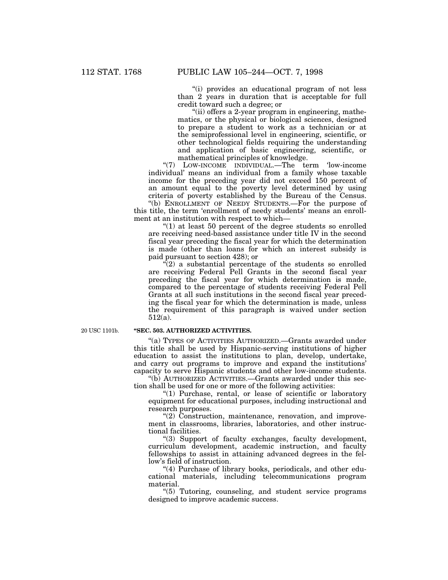''(i) provides an educational program of not less than 2 years in duration that is acceptable for full credit toward such a degree; or

"(ii) offers a 2-year program in engineering, mathematics, or the physical or biological sciences, designed to prepare a student to work as a technician or at the semiprofessional level in engineering, scientific, or other technological fields requiring the understanding and application of basic engineering, scientific, or mathematical principles of knowledge.

"(7) LOW-INCOME INDIVIDUAL.—The term 'low-income individual' means an individual from a family whose taxable income for the preceding year did not exceed 150 percent of an amount equal to the poverty level determined by using criteria of poverty established by the Bureau of the Census. ''(b) ENROLLMENT OF NEEDY STUDENTS.—For the purpose of

this title, the term 'enrollment of needy students' means an enrollment at an institution with respect to which—

" $(1)$  at least 50 percent of the degree students so enrolled are receiving need-based assistance under title IV in the second fiscal year preceding the fiscal year for which the determination is made (other than loans for which an interest subsidy is paid pursuant to section 428); or

 $(2)$  a substantial percentage of the students so enrolled are receiving Federal Pell Grants in the second fiscal year preceding the fiscal year for which determination is made, compared to the percentage of students receiving Federal Pell Grants at all such institutions in the second fiscal year preceding the fiscal year for which the determination is made, unless the requirement of this paragraph is waived under section 512(a).

20 USC 1101b.

## **''SEC. 503. AUTHORIZED ACTIVITIES.**

''(a) TYPES OF ACTIVITIES AUTHORIZED.—Grants awarded under this title shall be used by Hispanic-serving institutions of higher education to assist the institutions to plan, develop, undertake, and carry out programs to improve and expand the institutions' capacity to serve Hispanic students and other low-income students.

''(b) AUTHORIZED ACTIVITIES.—Grants awarded under this section shall be used for one or more of the following activities:

"(1) Purchase, rental, or lease of scientific or laboratory equipment for educational purposes, including instructional and research purposes.

 $\degree$ (2) Construction, maintenance, renovation, and improvement in classrooms, libraries, laboratories, and other instructional facilities.

''(3) Support of faculty exchanges, faculty development, curriculum development, academic instruction, and faculty fellowships to assist in attaining advanced degrees in the fellow's field of instruction.

"(4) Purchase of library books, periodicals, and other educational materials, including telecommunications program material.

''(5) Tutoring, counseling, and student service programs designed to improve academic success.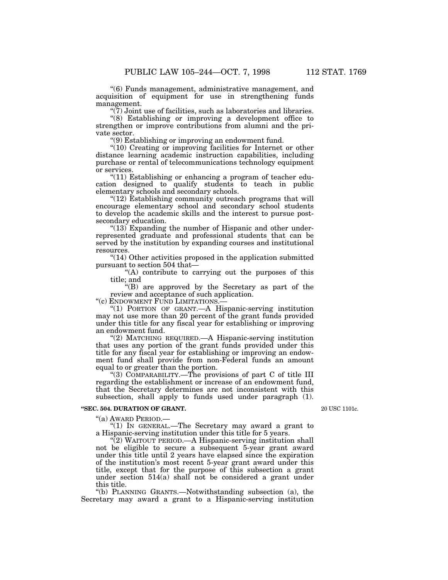''(6) Funds management, administrative management, and acquisition of equipment for use in strengthening funds management.

 $(7)$  Joint use of facilities, such as laboratories and libraries. "(8) Establishing or improving a development office to strengthen or improve contributions from alumni and the private sector.

''(9) Establishing or improving an endowment fund.

''(10) Creating or improving facilities for Internet or other distance learning academic instruction capabilities, including purchase or rental of telecommunications technology equipment or services.

"(11) Establishing or enhancing a program of teacher education designed to qualify students to teach in public elementary schools and secondary schools.

"(12) Establishing community outreach programs that will encourage elementary school and secondary school students to develop the academic skills and the interest to pursue postsecondary education.

" $(13)$  Expanding the number of Hispanic and other underrepresented graduate and professional students that can be served by the institution by expanding courses and institutional resources.

''(14) Other activities proposed in the application submitted pursuant to section 504 that—

''(A) contribute to carrying out the purposes of this title; and

''(B) are approved by the Secretary as part of the review and acceptance of such application.

"(c) ENDOWMENT FUND LIMITATIONS.

"(1) PORTION OF GRANT.- A Hispanic-serving institution may not use more than 20 percent of the grant funds provided under this title for any fiscal year for establishing or improving an endowment fund.

"(2) MATCHING REQUIRED.—A Hispanic-serving institution that uses any portion of the grant funds provided under this title for any fiscal year for establishing or improving an endowment fund shall provide from non-Federal funds an amount equal to or greater than the portion.

''(3) COMPARABILITY.—The provisions of part C of title III regarding the establishment or increase of an endowment fund, that the Secretary determines are not inconsistent with this subsection, shall apply to funds used under paragraph (1).

#### **''SEC. 504. DURATION OF GRANT.**

''(a) AWARD PERIOD.—

''(1) IN GENERAL.—The Secretary may award a grant to a Hispanic-serving institution under this title for 5 years.

''(2) WAITOUT PERIOD.—A Hispanic-serving institution shall not be eligible to secure a subsequent 5-year grant award under this title until 2 years have elapsed since the expiration of the institution's most recent 5-year grant award under this title, except that for the purpose of this subsection a grant under section 514(a) shall not be considered a grant under this title.

''(b) PLANNING GRANTS.—Notwithstanding subsection (a), the Secretary may award a grant to a Hispanic-serving institution

20 USC 1101c.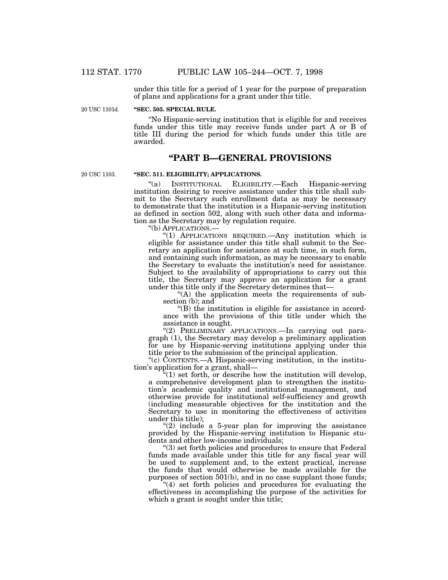under this title for a period of 1 year for the purpose of preparation of plans and applications for a grant under this title.

20 USC 1101d.

#### **''SEC. 505. SPECIAL RULE.**

''No Hispanic-serving institution that is eligible for and receives funds under this title may receive funds under part A or B of title III during the period for which funds under this title are awarded.

## **''PART B—GENERAL PROVISIONS**

20 USC 1103.

## **''SEC. 511. ELIGIBILITY; APPLICATIONS.**

''(a) INSTITUTIONAL ELIGIBILITY.—Each Hispanic-serving institution desiring to receive assistance under this title shall submit to the Secretary such enrollment data as may be necessary to demonstrate that the institution is a Hispanic-serving institution as defined in section 502, along with such other data and information as the Secretary may by regulation require.

''(b) APPLICATIONS.—

''(1) APPLICATIONS REQUIRED.—Any institution which is eligible for assistance under this title shall submit to the Secretary an application for assistance at such time, in such form, and containing such information, as may be necessary to enable the Secretary to evaluate the institution's need for assistance. Subject to the availability of appropriations to carry out this title, the Secretary may approve an application for a grant under this title only if the Secretary determines that—

"(A) the application meets the requirements of subsection (b); and

 $\mathrm{``(B)}$  the institution is eligible for assistance in accordance with the provisions of this title under which the assistance is sought.

"(2) PRELIMINARY APPLICATIONS.—In carrying out paragraph (1), the Secretary may develop a preliminary application for use by Hispanic-serving institutions applying under this title prior to the submission of the principal application.

''(c) CONTENTS.—A Hispanic-serving institution, in the institution's application for a grant, shall—

''(1) set forth, or describe how the institution will develop, a comprehensive development plan to strengthen the institution's academic quality and institutional management, and otherwise provide for institutional self-sufficiency and growth (including measurable objectives for the institution and the Secretary to use in monitoring the effectiveness of activities under this title);

" $(2)$  include a 5-year plan for improving the assistance provided by the Hispanic-serving institution to Hispanic students and other low-income individuals;

''(3) set forth policies and procedures to ensure that Federal funds made available under this title for any fiscal year will be used to supplement and, to the extent practical, increase the funds that would otherwise be made available for the purposes of section 501(b), and in no case supplant those funds;

''(4) set forth policies and procedures for evaluating the effectiveness in accomplishing the purpose of the activities for which a grant is sought under this title;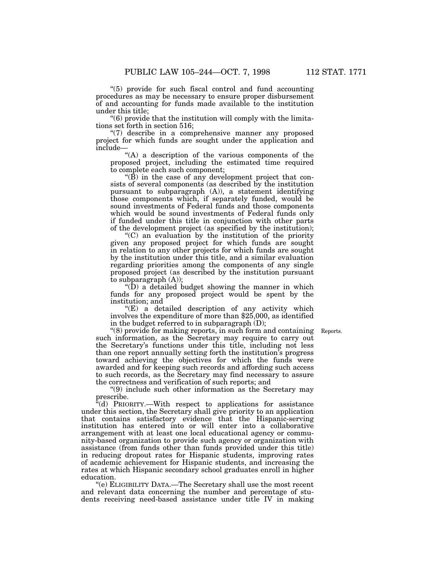''(5) provide for such fiscal control and fund accounting procedures as may be necessary to ensure proper disbursement of and accounting for funds made available to the institution under this title;

''(6) provide that the institution will comply with the limitations set forth in section 516;

''(7) describe in a comprehensive manner any proposed project for which funds are sought under the application and include—

"(A) a description of the various components of the proposed project, including the estimated time required to complete each such component;

 $\mathrm{``(B)}$  in the case of any development project that consists of several components (as described by the institution pursuant to subparagraph (A)), a statement identifying those components which, if separately funded, would be sound investments of Federal funds and those components which would be sound investments of Federal funds only if funded under this title in conjunction with other parts of the development project (as specified by the institution);

''(C) an evaluation by the institution of the priority given any proposed project for which funds are sought in relation to any other projects for which funds are sought by the institution under this title, and a similar evaluation regarding priorities among the components of any single proposed project (as described by the institution pursuant to subparagraph  $(A)$ ;

 $\mathrm{``(D)}$  a detailed budget showing the manner in which funds for any proposed project would be spent by the institution; and

"(E) a detailed description of any activity which involves the expenditure of more than \$25,000, as identified in the budget referred to in subparagraph (D);

Reports.

''(8) provide for making reports, in such form and containing such information, as the Secretary may require to carry out the Secretary's functions under this title, including not less than one report annually setting forth the institution's progress toward achieving the objectives for which the funds were awarded and for keeping such records and affording such access to such records, as the Secretary may find necessary to assure the correctness and verification of such reports; and

''(9) include such other information as the Secretary may prescribe.

''(d) PRIORITY.—With respect to applications for assistance under this section, the Secretary shall give priority to an application that contains satisfactory evidence that the Hispanic-serving institution has entered into or will enter into a collaborative arrangement with at least one local educational agency or community-based organization to provide such agency or organization with assistance (from funds other than funds provided under this title) in reducing dropout rates for Hispanic students, improving rates of academic achievement for Hispanic students, and increasing the rates at which Hispanic secondary school graduates enroll in higher education.

''(e) ELIGIBILITY DATA.—The Secretary shall use the most recent and relevant data concerning the number and percentage of students receiving need-based assistance under title IV in making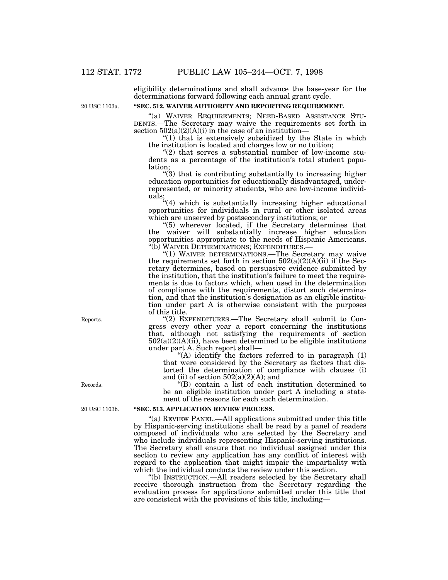eligibility determinations and shall advance the base-year for the determinations forward following each annual grant cycle.

20 USC 1103a.

## **''SEC. 512. WAIVER AUTHORITY AND REPORTING REQUIREMENT.**

''(a) WAIVER REQUIREMENTS; NEED-BASED ASSISTANCE STU- DENTS.—The Secretary may waive the requirements set forth in section  $502(a)(2)(A)(i)$  in the case of an institution-

" $(1)$  that is extensively subsidized by the State in which the institution is located and charges low or no tuition;

 $\degree$ (2) that serves a substantial number of low-income students as a percentage of the institution's total student population;

 $(3)$  that is contributing substantially to increasing higher education opportunities for educationally disadvantaged, underrepresented, or minority students, who are low-income individuals;

''(4) which is substantially increasing higher educational opportunities for individuals in rural or other isolated areas which are unserved by postsecondary institutions; or

"(5) wherever located, if the Secretary determines that the waiver will substantially increase higher education opportunities appropriate to the needs of Hispanic Americans.<br>"(b) WAIVER DETERMINATIONS; EXPENDITURES.—

"(1) WAIVER DETERMINATIONS.— The Secretary may waive the requirements set forth in section  $502(a)(2)(A)(ii)$  if the Secretary determines, based on persuasive evidence submitted by the institution, that the institution's failure to meet the requirements is due to factors which, when used in the determination of compliance with the requirements, distort such determination, and that the institution's designation as an eligible institution under part A is otherwise consistent with the purposes of this title.

''(2) EXPENDITURES.—The Secretary shall submit to Congress every other year a report concerning the institutions that, although not satisfying the requirements of section  $502(a)(2)(A)(ii)$ , have been determined to be eligible institutions under part A. Such report shall—

"(A) identify the factors referred to in paragraph (1) that were considered by the Secretary as factors that distorted the determination of compliance with clauses (i) and (ii) of section  $502(a)(2)(A)$ ; and

''(B) contain a list of each institution determined to be an eligible institution under part A including a statement of the reasons for each such determination.

## **''SEC. 513. APPLICATION REVIEW PROCESS.**

"(a) REVIEW PANEL.—All applications submitted under this title by Hispanic-serving institutions shall be read by a panel of readers composed of individuals who are selected by the Secretary and who include individuals representing Hispanic-serving institutions. The Secretary shall ensure that no individual assigned under this section to review any application has any conflict of interest with regard to the application that might impair the impartiality with which the individual conducts the review under this section.

''(b) INSTRUCTION.—All readers selected by the Secretary shall receive thorough instruction from the Secretary regarding the evaluation process for applications submitted under this title that are consistent with the provisions of this title, including—

Reports.

Records.

20 USC 1103b.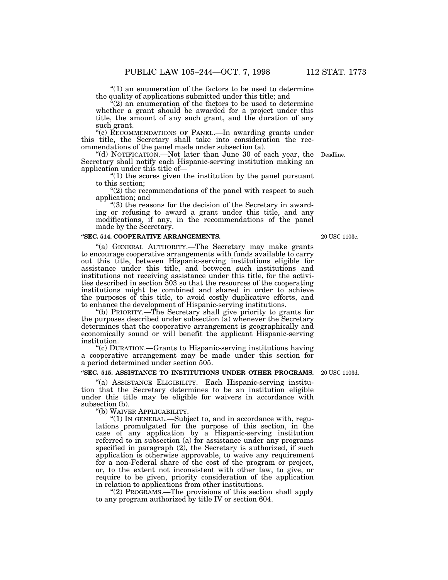" $(1)$  an enumeration of the factors to be used to determine the quality of applications submitted under this title; and

 $C(2)$  an enumeration of the factors to be used to determine whether a grant should be awarded for a project under this title, the amount of any such grant, and the duration of any such grant.

"(c) RECOMMENDATIONS OF PANEL.—In awarding grants under this title, the Secretary shall take into consideration the recommendations of the panel made under subsection (a).

''(d) NOTIFICATION.—Not later than June 30 of each year, the Deadline.Secretary shall notify each Hispanic-serving institution making an application under this title of—

''(1) the scores given the institution by the panel pursuant to this section;

"(2) the recommendations of the panel with respect to such application; and

"(3) the reasons for the decision of the Secretary in awarding or refusing to award a grant under this title, and any modifications, if any, in the recommendations of the panel made by the Secretary.

#### **''SEC. 514. COOPERATIVE ARRANGEMENTS.**

''(a) GENERAL AUTHORITY.—The Secretary may make grants to encourage cooperative arrangements with funds available to carry out this title, between Hispanic-serving institutions eligible for assistance under this title, and between such institutions and institutions not receiving assistance under this title, for the activities described in section 503 so that the resources of the cooperating institutions might be combined and shared in order to achieve the purposes of this title, to avoid costly duplicative efforts, and to enhance the development of Hispanic-serving institutions.

''(b) PRIORITY.—The Secretary shall give priority to grants for the purposes described under subsection (a) whenever the Secretary determines that the cooperative arrangement is geographically and economically sound or will benefit the applicant Hispanic-serving institution.

''(c) DURATION.—Grants to Hispanic-serving institutions having a cooperative arrangement may be made under this section for a period determined under section 505.

#### **''SEC. 515. ASSISTANCE TO INSTITUTIONS UNDER OTHER PROGRAMS.** 20 USC 1103d.

(a) ASSISTANCE ELIGIBILITY.—Each Hispanic-serving institution that the Secretary determines to be an institution eligible under this title may be eligible for waivers in accordance with subsection (b).<br>
"(b) WAIVER APPLICABILITY.

" $(1)$  In GENERAL.—Subject to, and in accordance with, regulations promulgated for the purpose of this section, in the case of any application by a Hispanic-serving institution referred to in subsection (a) for assistance under any programs specified in paragraph (2), the Secretary is authorized, if such application is otherwise approvable, to waive any requirement for a non-Federal share of the cost of the program or project, or, to the extent not inconsistent with other law, to give, or require to be given, priority consideration of the application in relation to applications from other institutions.

''(2) PROGRAMS.—The provisions of this section shall apply to any program authorized by title IV or section 604.

20 USC 1103c.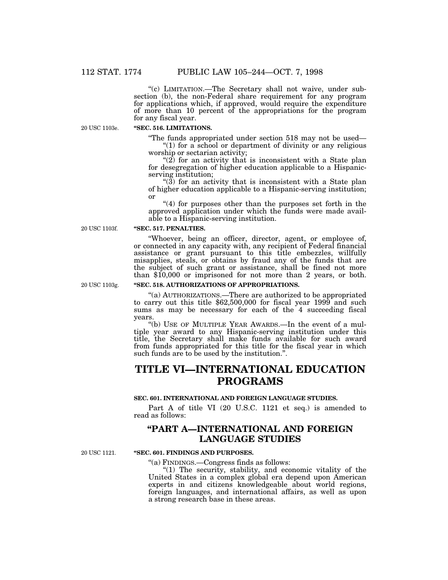''(c) LIMITATION.—The Secretary shall not waive, under subsection (b), the non-Federal share requirement for any program for applications which, if approved, would require the expenditure of more than 10 percent of the appropriations for the program for any fiscal year.

20 USC 1103e.

### **''SEC. 516. LIMITATIONS.**

''The funds appropriated under section 518 may not be used— " $(1)$  for a school or department of divinity or any religious worship or sectarian activity;

" $(2)$  for an activity that is inconsistent with a State plan for desegregation of higher education applicable to a Hispanicserving institution;

" $(3)$  for an activity that is inconsistent with a State plan of higher education applicable to a Hispanic-serving institution; or

 $(4)$  for purposes other than the purposes set forth in the approved application under which the funds were made available to a Hispanic-serving institution.

20 USC 1103f.

### **''SEC. 517. PENALTIES.**

''Whoever, being an officer, director, agent, or employee of, or connected in any capacity with, any recipient of Federal financial assistance or grant pursuant to this title embezzles, willfully misapplies, steals, or obtains by fraud any of the funds that are the subject of such grant or assistance, shall be fined not more than \$10,000 or imprisoned for not more than 2 years, or both.

20 USC 1103g.

## **''SEC. 518. AUTHORIZATIONS OF APPROPRIATIONS.**

"(a) AUTHORIZATIONS.—There are authorized to be appropriated to carry out this title \$62,500,000 for fiscal year 1999 and such sums as may be necessary for each of the 4 succeeding fiscal years.

''(b) USE OF MULTIPLE YEAR AWARDS.—In the event of a multiple year award to any Hispanic-serving institution under this title, the Secretary shall make funds available for such award from funds appropriated for this title for the fiscal year in which such funds are to be used by the institution.''.

# **TITLE VI—INTERNATIONAL EDUCATION PROGRAMS**

## **SEC. 601. INTERNATIONAL AND FOREIGN LANGUAGE STUDIES.**

Part A of title VI (20 U.S.C. 1121 et seq.) is amended to read as follows:

# **''PART A—INTERNATIONAL AND FOREIGN LANGUAGE STUDIES**

20 USC 1121.

#### **''SEC. 601. FINDINGS AND PURPOSES.**

''(a) FINDINGS.—Congress finds as follows:

"(1) The security, stability, and economic vitality of the United States in a complex global era depend upon American experts in and citizens knowledgeable about world regions, foreign languages, and international affairs, as well as upon a strong research base in these areas.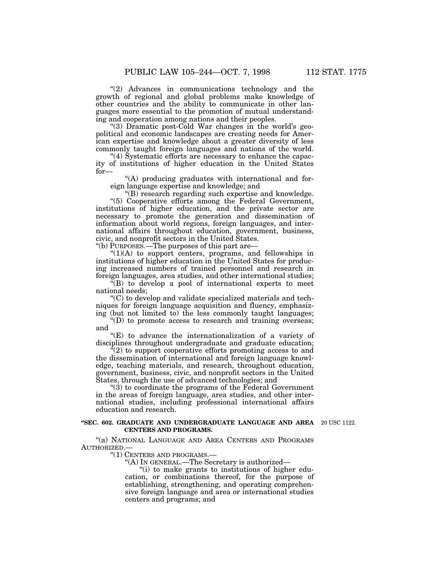''(2) Advances in communications technology and the growth of regional and global problems make knowledge of other countries and the ability to communicate in other languages more essential to the promotion of mutual understanding and cooperation among nations and their peoples.

''(3) Dramatic post-Cold War changes in the world's geopolitical and economic landscapes are creating needs for American expertise and knowledge about a greater diversity of less commonly taught foreign languages and nations of the world.

''(4) Systematic efforts are necessary to enhance the capacity of institutions of higher education in the United States for—

"(A) producing graduates with international and foreign language expertise and knowledge; and

''(B) research regarding such expertise and knowledge.

"(5) Cooperative efforts among the Federal Government, institutions of higher education, and the private sector are necessary to promote the generation and dissemination of information about world regions, foreign languages, and international affairs throughout education, government, business, civic, and nonprofit sectors in the United States.

''(b) PURPOSES.—The purposes of this part are—

 $"(1)(A)$  to support centers, programs, and fellowships in institutions of higher education in the United States for producing increased numbers of trained personnel and research in foreign languages, area studies, and other international studies;

''(B) to develop a pool of international experts to meet national needs;

''(C) to develop and validate specialized materials and techniques for foreign language acquisition and fluency, emphasizing (but not limited to) the less commonly taught languages;

''(D) to promote access to research and training overseas; and

''(E) to advance the internationalization of a variety of disciplines throughout undergraduate and graduate education;

 $\sqrt[a]{(2)}$  to support cooperative efforts promoting access to and the dissemination of international and foreign language knowledge, teaching materials, and research, throughout education, government, business, civic, and nonprofit sectors in the United States, through the use of advanced technologies; and

''(3) to coordinate the programs of the Federal Government in the areas of foreign language, area studies, and other international studies, including professional international affairs education and research.

#### **''SEC. 602. GRADUATE AND UNDERGRADUATE LANGUAGE AND AREA** 20 USC 1122.**CENTERS AND PROGRAMS.**

''(a) NATIONAL LANGUAGE AND AREA CENTERS AND PROGRAMS AUTHORIZED.—

''(1) CENTERS AND PROGRAMS.—

''(A) IN GENERAL.—The Secretary is authorized—

''(i) to make grants to institutions of higher education, or combinations thereof, for the purpose of establishing, strengthening, and operating comprehensive foreign language and area or international studies centers and programs; and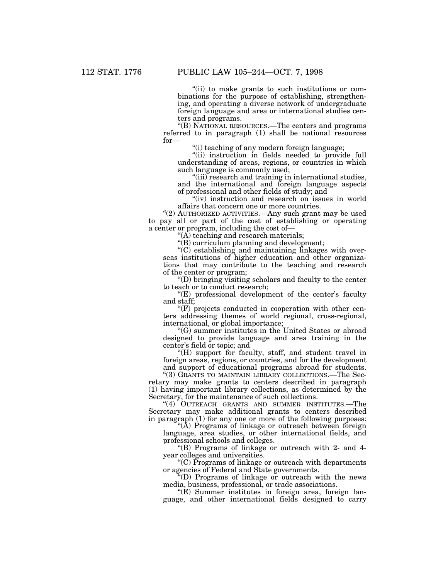''(ii) to make grants to such institutions or combinations for the purpose of establishing, strengthening, and operating a diverse network of undergraduate foreign language and area or international studies centers and programs.

''(B) NATIONAL RESOURCES.—The centers and programs referred to in paragraph (1) shall be national resources for—

''(i) teaching of any modern foreign language;

"(ii) instruction in fields needed to provide full understanding of areas, regions, or countries in which such language is commonly used;

"(iii) research and training in international studies, and the international and foreign language aspects of professional and other fields of study; and

"(iv) instruction and research on issues in world" affairs that concern one or more countries.

"(2) AUTHORIZED ACTIVITIES.—Any such grant may be used to pay all or part of the cost of establishing or operating a center or program, including the cost of—

"(A) teaching and research materials;

''(B) curriculum planning and development;

''(C) establishing and maintaining linkages with overseas institutions of higher education and other organizations that may contribute to the teaching and research of the center or program;

''(D) bringing visiting scholars and faculty to the center to teach or to conduct research;

"(E) professional development of the center's faculty and staff;

 $\mathcal{F}(F)$  projects conducted in cooperation with other centers addressing themes of world regional, cross-regional, international, or global importance;

''(G) summer institutes in the United States or abroad designed to provide language and area training in the center's field or topic; and

''(H) support for faculty, staff, and student travel in foreign areas, regions, or countries, and for the development and support of educational programs abroad for students.

''(3) GRANTS TO MAINTAIN LIBRARY COLLECTIONS.—The Secretary may make grants to centers described in paragraph (1) having important library collections, as determined by the Secretary, for the maintenance of such collections.

''(4) OUTREACH GRANTS AND SUMMER INSTITUTES.—The Secretary may make additional grants to centers described in paragraph (1) for any one or more of the following purposes:

"( $\bar{A}$ ) Programs of linkage or outreach between foreign language, area studies, or other international fields, and professional schools and colleges.

''(B) Programs of linkage or outreach with 2- and 4 year colleges and universities.

''(C) Programs of linkage or outreach with departments or agencies of Federal and State governments.

''(D) Programs of linkage or outreach with the news media, business, professional, or trade associations.

"(E) Summer institutes in foreign area, foreign language, and other international fields designed to carry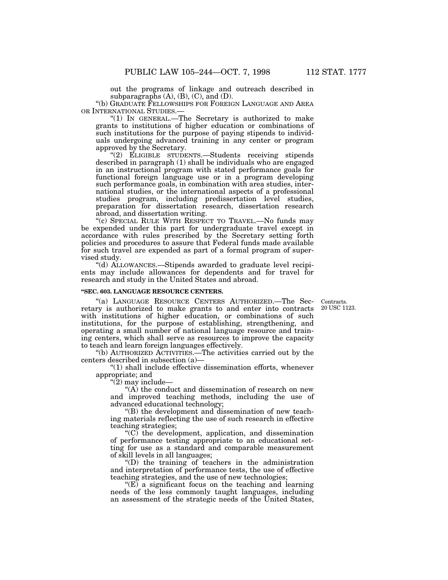out the programs of linkage and outreach described in subparagraphs  $(A)$ ,  $(B)$ ,  $(C)$ , and  $(D)$ .

''(b) GRADUATE FELLOWSHIPS FOR FOREIGN LANGUAGE AND AREA OR INTERNATIONAL STUDIES.

''(1) IN GENERAL.—The Secretary is authorized to make grants to institutions of higher education or combinations of such institutions for the purpose of paying stipends to individuals undergoing advanced training in any center or program approved by the Secretary.

"(2) ELIGIBLE STUDENTS.—Students receiving stipends described in paragraph (1) shall be individuals who are engaged in an instructional program with stated performance goals for functional foreign language use or in a program developing such performance goals, in combination with area studies, international studies, or the international aspects of a professional studies program, including predissertation level studies, preparation for dissertation research, dissertation research abroad, and dissertation writing.

"(c) SPECIAL RULE WITH RESPECT TO TRAVEL.—No funds may be expended under this part for undergraduate travel except in accordance with rules prescribed by the Secretary setting forth policies and procedures to assure that Federal funds made available for such travel are expended as part of a formal program of supervised study.

''(d) ALLOWANCES.—Stipends awarded to graduate level recipients may include allowances for dependents and for travel for research and study in the United States and abroad.

#### **''SEC. 603. LANGUAGE RESOURCE CENTERS.**

Contracts. 20 USC 1123.

''(a) LANGUAGE RESOURCE CENTERS AUTHORIZED.—The Secretary is authorized to make grants to and enter into contracts with institutions of higher education, or combinations of such institutions, for the purpose of establishing, strengthening, and operating a small number of national language resource and training centers, which shall serve as resources to improve the capacity to teach and learn foreign languages effectively.

''(b) AUTHORIZED ACTIVITIES.—The activities carried out by the centers described in subsection (a)—

 $''(1)$  shall include effective dissemination efforts, whenever appropriate; and

''(2) may include—

"(A) the conduct and dissemination of research on new and improved teaching methods, including the use of advanced educational technology;

''(B) the development and dissemination of new teaching materials reflecting the use of such research in effective teaching strategies;

 $(C)$  the development, application, and dissemination of performance testing appropriate to an educational setting for use as a standard and comparable measurement of skill levels in all languages;

''(D) the training of teachers in the administration and interpretation of performance tests, the use of effective teaching strategies, and the use of new technologies;

 $E$ ) a significant focus on the teaching and learning needs of the less commonly taught languages, including an assessment of the strategic needs of the United States,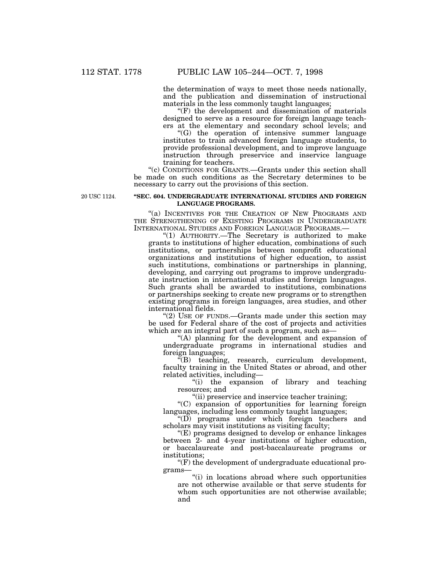the determination of ways to meet those needs nationally, and the publication and dissemination of instructional materials in the less commonly taught languages;

 $F(F)$  the development and dissemination of materials designed to serve as a resource for foreign language teachers at the elementary and secondary school levels; and

''(G) the operation of intensive summer language institutes to train advanced foreign language students, to provide professional development, and to improve language instruction through preservice and inservice language training for teachers.

''(c) CONDITIONS FOR GRANTS.—Grants under this section shall be made on such conditions as the Secretary determines to be necessary to carry out the provisions of this section.

20 USC 1124.

### **''SEC. 604. UNDERGRADUATE INTERNATIONAL STUDIES AND FOREIGN LANGUAGE PROGRAMS.**

"(a) INCENTIVES FOR THE CREATION OF NEW PROGRAMS AND THE STRENGTHENING OF EXISTING PROGRAMS IN UNDERGRADUATE INTERNATIONAL STUDIES AND FOREIGN LANGUAGE PROGRAMS.—

''(1) AUTHORITY.—The Secretary is authorized to make grants to institutions of higher education, combinations of such institutions, or partnerships between nonprofit educational organizations and institutions of higher education, to assist such institutions, combinations or partnerships in planning, developing, and carrying out programs to improve undergraduate instruction in international studies and foreign languages. Such grants shall be awarded to institutions, combinations or partnerships seeking to create new programs or to strengthen existing programs in foreign languages, area studies, and other international fields.

" $(2)$  USE OF FUNDS.—Grants made under this section may be used for Federal share of the cost of projects and activities which are an integral part of such a program, such as-

''(A) planning for the development and expansion of undergraduate programs in international studies and foreign languages;

''(B) teaching, research, curriculum development, faculty training in the United States or abroad, and other related activities, including—

''(i) the expansion of library and teaching resources; and

"(ii) preservice and inservice teacher training;

''(C) expansion of opportunities for learning foreign languages, including less commonly taught languages;

''(D) programs under which foreign teachers and scholars may visit institutions as visiting faculty;

''(E) programs designed to develop or enhance linkages between 2- and 4-year institutions of higher education, or baccalaureate and post-baccalaureate programs or institutions;

''(F) the development of undergraduate educational programs—

"(i) in locations abroad where such opportunities are not otherwise available or that serve students for whom such opportunities are not otherwise available; and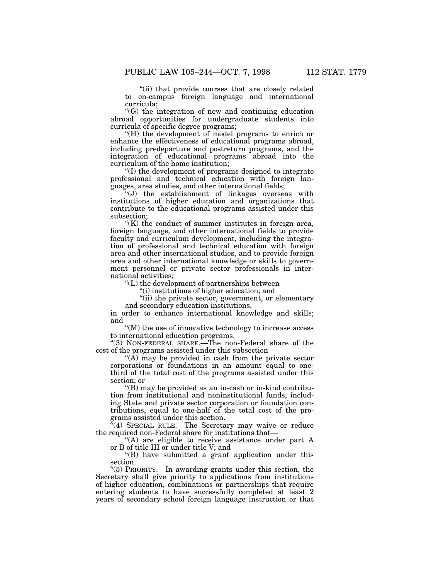''(ii) that provide courses that are closely related to on-campus foreign language and international curricula;

''(G) the integration of new and continuing education abroad opportunities for undergraduate students into curricula of specific degree programs;

''(H) the development of model programs to enrich or enhance the effectiveness of educational programs abroad, including predeparture and postreturn programs, and the integration of educational programs abroad into the curriculum of the home institution;

''(I) the development of programs designed to integrate professional and technical education with foreign languages, area studies, and other international fields;

 $\sqrt[4]{(J)}$  the establishment of linkages overseas with institutions of higher education and organizations that contribute to the educational programs assisted under this subsection;

 $K(K)$  the conduct of summer institutes in foreign area, foreign language, and other international fields to provide faculty and curriculum development, including the integration of professional and technical education with foreign area and other international studies, and to provide foreign area and other international knowledge or skills to government personnel or private sector professionals in international activities;

''(L) the development of partnerships between—

''(i) institutions of higher education; and

"(ii) the private sector, government, or elementary and secondary education institutions,

in order to enhance international knowledge and skills; and

''(M) the use of innovative technology to increase access to international education programs.

"(3) NON-FEDERAL SHARE.—The non-Federal share of the cost of the programs assisted under this subsection—

" $(\overline{A})$  may be provided in cash from the private sector corporations or foundations in an amount equal to onethird of the total cost of the programs assisted under this section; or

''(B) may be provided as an in-cash or in-kind contribution from institutional and noninstitutional funds, including State and private sector corporation or foundation contributions, equal to one-half of the total cost of the programs assisted under this section.

''(4) SPECIAL RULE.—The Secretary may waive or reduce the required non-Federal share for institutions that—

"(A) are eligible to receive assistance under part A or B of title III or under title V; and

''(B) have submitted a grant application under this section.

''(5) PRIORITY.—In awarding grants under this section, the Secretary shall give priority to applications from institutions of higher education, combinations or partnerships that require entering students to have successfully completed at least 2 years of secondary school foreign language instruction or that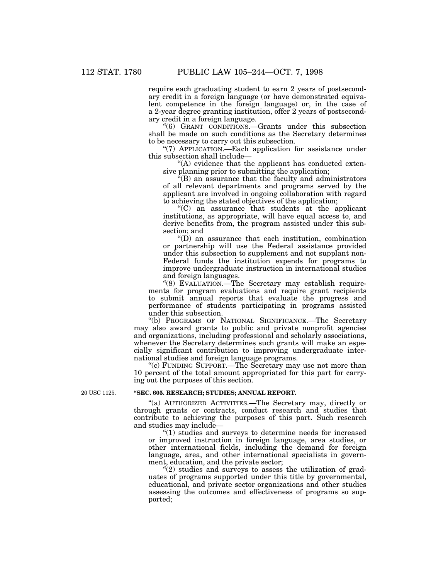require each graduating student to earn 2 years of postsecondary credit in a foreign language (or have demonstrated equivalent competence in the foreign language) or, in the case of a 2-year degree granting institution, offer 2 years of postsecondary credit in a foreign language.

''(6) GRANT CONDITIONS.—Grants under this subsection shall be made on such conditions as the Secretary determines to be necessary to carry out this subsection.

"(7) APPLICATION.—Each application for assistance under this subsection shall include—

"(A) evidence that the applicant has conducted extensive planning prior to submitting the application;

 $\epsilon$ <sup>"</sup>(B) an assurance that the faculty and administrators of all relevant departments and programs served by the applicant are involved in ongoing collaboration with regard to achieving the stated objectives of the application;

''(C) an assurance that students at the applicant institutions, as appropriate, will have equal access to, and derive benefits from, the program assisted under this subsection; and

 $'(D)$  an assurance that each institution, combination or partnership will use the Federal assistance provided under this subsection to supplement and not supplant non-Federal funds the institution expends for programs to improve undergraduate instruction in international studies and foreign languages.

"(8) EVALUATION.—The Secretary may establish requirements for program evaluations and require grant recipients to submit annual reports that evaluate the progress and performance of students participating in programs assisted under this subsection.

''(b) PROGRAMS OF NATIONAL SIGNIFICANCE.—The Secretary may also award grants to public and private nonprofit agencies and organizations, including professional and scholarly associations, whenever the Secretary determines such grants will make an especially significant contribution to improving undergraduate international studies and foreign language programs.

''(c) FUNDING SUPPORT.—The Secretary may use not more than 10 percent of the total amount appropriated for this part for carrying out the purposes of this section.

20 USC 1125.

#### **''SEC. 605. RESEARCH; STUDIES; ANNUAL REPORT.**

''(a) AUTHORIZED ACTIVITIES.—The Secretary may, directly or through grants or contracts, conduct research and studies that contribute to achieving the purposes of this part. Such research and studies may include—

''(1) studies and surveys to determine needs for increased or improved instruction in foreign language, area studies, or other international fields, including the demand for foreign language, area, and other international specialists in government, education, and the private sector;

 $\degree$ (2) studies and surveys to assess the utilization of graduates of programs supported under this title by governmental, educational, and private sector organizations and other studies assessing the outcomes and effectiveness of programs so supported;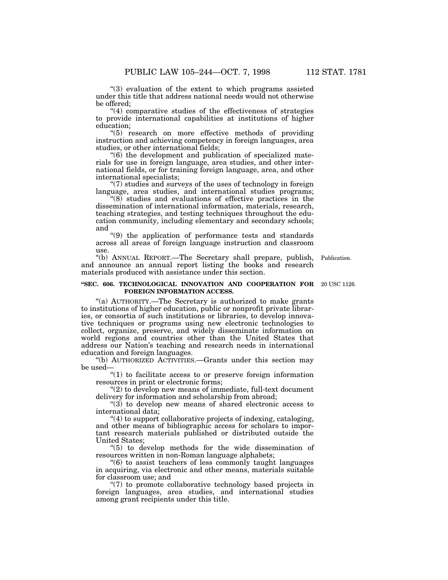"(3) evaluation of the extent to which programs assisted under this title that address national needs would not otherwise be offered;

"(4) comparative studies of the effectiveness of strategies to provide international capabilities at institutions of higher education;

''(5) research on more effective methods of providing instruction and achieving competency in foreign languages, area studies, or other international fields;

''(6) the development and publication of specialized materials for use in foreign language, area studies, and other international fields, or for training foreign language, area, and other international specialists;

"(7) studies and surveys of the uses of technology in foreign language, area studies, and international studies programs;

''(8) studies and evaluations of effective practices in the dissemination of international information, materials, research, teaching strategies, and testing techniques throughout the education community, including elementary and secondary schools; and

''(9) the application of performance tests and standards across all areas of foreign language instruction and classroom use.

''(b) ANNUAL REPORT.—The Secretary shall prepare, publish, and announce an annual report listing the books and research materials produced with assistance under this section.

#### **''SEC. 606. TECHNOLOGICAL INNOVATION AND COOPERATION FOR** 20 USC 1126. **FOREIGN INFORMATION ACCESS.**

Publication.

''(a) AUTHORITY.—The Secretary is authorized to make grants to institutions of higher education, public or nonprofit private libraries, or consortia of such institutions or libraries, to develop innovative techniques or programs using new electronic technologies to collect, organize, preserve, and widely disseminate information on world regions and countries other than the United States that address our Nation's teaching and research needs in international education and foreign languages.

''(b) AUTHORIZED ACTIVITIES.—Grants under this section may be used—

 $"(1)$  to facilitate access to or preserve foreign information resources in print or electronic forms;

''(2) to develop new means of immediate, full-text document delivery for information and scholarship from abroad;

 $(3)$  to develop new means of shared electronic access to international data;

''(4) to support collaborative projects of indexing, cataloging, and other means of bibliographic access for scholars to important research materials published or distributed outside the United States;

''(5) to develop methods for the wide dissemination of resources written in non-Roman language alphabets;

''(6) to assist teachers of less commonly taught languages in acquiring, via electronic and other means, materials suitable for classroom use; and

''(7) to promote collaborative technology based projects in foreign languages, area studies, and international studies among grant recipients under this title.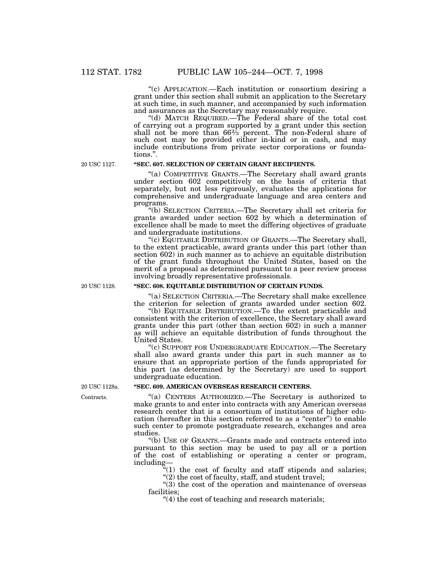''(c) APPLICATION.—Each institution or consortium desiring a grant under this section shall submit an application to the Secretary at such time, in such manner, and accompanied by such information and assurances as the Secretary may reasonably require.

''(d) MATCH REQUIRED.—The Federal share of the total cost of carrying out a program supported by a grant under this section shall not be more than 662⁄3 percent. The non-Federal share of such cost may be provided either in-kind or in cash, and may include contributions from private sector corporations or foundations.''.

20 USC 1127.

## **''SEC. 607. SELECTION OF CERTAIN GRANT RECIPIENTS.**

''(a) COMPETITIVE GRANTS.—The Secretary shall award grants under section 602 competitively on the basis of criteria that separately, but not less rigorously, evaluates the applications for comprehensive and undergraduate language and area centers and programs.

''(b) SELECTION CRITERIA.—The Secretary shall set criteria for grants awarded under section 602 by which a determination of excellence shall be made to meet the differing objectives of graduate and undergraduate institutions.

''(c) EQUITABLE DISTRIBUTION OF GRANTS.—The Secretary shall, to the extent practicable, award grants under this part (other than section 602) in such manner as to achieve an equitable distribution of the grant funds throughout the United States, based on the merit of a proposal as determined pursuant to a peer review process involving broadly representative professionals.

20 USC 1128.

## **''SEC. 608. EQUITABLE DISTRIBUTION OF CERTAIN FUNDS.**

''(a) SELECTION CRITERIA.—The Secretary shall make excellence the criterion for selection of grants awarded under section 602.

''(b) EQUITABLE DISTRIBUTION.—To the extent practicable and consistent with the criterion of excellence, the Secretary shall award grants under this part (other than section 602) in such a manner as will achieve an equitable distribution of funds throughout the United States.

(c) SUPPORT FOR UNDERGRADUATE EDUCATION.—The Secretary shall also award grants under this part in such manner as to ensure that an appropriate portion of the funds appropriated for this part (as determined by the Secretary) are used to support undergraduate education.

#### **''SEC. 609. AMERICAN OVERSEAS RESEARCH CENTERS.**

''(a) CENTERS AUTHORIZED.—The Secretary is authorized to make grants to and enter into contracts with any American overseas research center that is a consortium of institutions of higher education (hereafter in this section referred to as a ''center'') to enable such center to promote postgraduate research, exchanges and area studies.

''(b) USE OF GRANTS.—Grants made and contracts entered into pursuant to this section may be used to pay all or a portion of the cost of establishing or operating a center or program, including—

"(1) the cost of faculty and staff stipends and salaries;

"(2) the cost of faculty, staff, and student travel;

"(3) the cost of the operation and maintenance of overseas facilities;

 $''(4)$  the cost of teaching and research materials;

Contracts. 20 USC 1128a.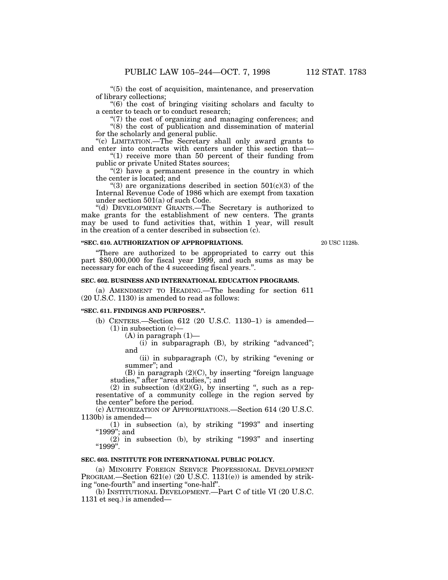''(5) the cost of acquisition, maintenance, and preservation of library collections;

''(6) the cost of bringing visiting scholars and faculty to a center to teach or to conduct research;

"(7) the cost of organizing and managing conferences; and ''(8) the cost of publication and dissemination of material

for the scholarly and general public. "(c) LIMITATION.—The Secretary shall only award grants to and enter into contracts with centers under this section that—

" $(1)$  receive more than 50 percent of their funding from public or private United States sources;

" $(2)$  have a permanent presence in the country in which the center is located; and

 $(3)$  are organizations described in section  $501(c)(3)$  of the Internal Revenue Code of 1986 which are exempt from taxation under section 501(a) of such Code.

''(d) DEVELOPMENT GRANTS.—The Secretary is authorized to make grants for the establishment of new centers. The grants may be used to fund activities that, within 1 year, will result in the creation of a center described in subsection (c).

#### **''SEC. 610. AUTHORIZATION OF APPROPRIATIONS.**

20 USC 1128b

''There are authorized to be appropriated to carry out this part \$80,000,000 for fiscal year 1999, and such sums as may be necessary for each of the 4 succeeding fiscal years.''.

### **SEC. 602. BUSINESS AND INTERNATIONAL EDUCATION PROGRAMS.**

(a) AMENDMENT TO HEADING.—The heading for section 611 (20 U.S.C. 1130) is amended to read as follows:

#### **''SEC. 611. FINDINGS AND PURPOSES.''.**

(b) CENTERS.—Section 612 (20 U.S.C. 1130–1) is amended—  $(1)$  in subsection  $(c)$ 

 $(A)$  in paragraph  $(1)$ —

 $(i)$  in subparagraph  $(B)$ , by striking "advanced"; and

(ii) in subparagraph (C), by striking ''evening or summer''; and

 $(B)$  in paragraph  $(2)(C)$ , by inserting "foreign language studies,'' after ''area studies,''; and

(2) in subsection  $(d)(2)(G)$ , by inserting ", such as a representative of a community college in the region served by the center'' before the period.

(c) AUTHORIZATION OF APPROPRIATIONS.—Section 614 (20 U.S.C. 1130b) is amended—

(1) in subsection (a), by striking ''1993'' and inserting "1999"; and

 $(2)$  in subsection (b), by striking "1993" and inserting ''1999''.

## **SEC. 603. INSTITUTE FOR INTERNATIONAL PUBLIC POLICY.**

(a) MINORITY FOREIGN SERVICE PROFESSIONAL DEVELOPMENT PROGRAM.—Section 621(e) (20 U.S.C. 1131(e)) is amended by striking "one-fourth" and inserting "one-half".

(b) INSTITUTIONAL DEVELOPMENT.—Part C of title VI (20 U.S.C. 1131 et seq.) is amended—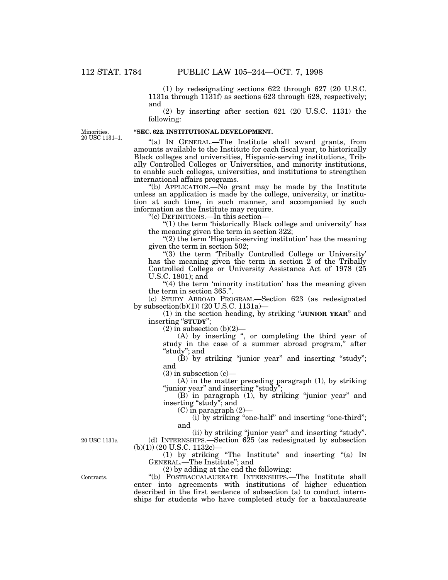(1) by redesignating sections 622 through 627 (20 U.S.C. 1131a through 1131f) as sections 623 through 628, respectively; and

(2) by inserting after section 621 (20 U.S.C. 1131) the following:

Minorities. 20 USC 1131–1.

### **''SEC. 622. INSTITUTIONAL DEVELOPMENT.**

''(a) IN GENERAL.—The Institute shall award grants, from amounts available to the Institute for each fiscal year, to historically Black colleges and universities, Hispanic-serving institutions, Tribally Controlled Colleges or Universities, and minority institutions, to enable such colleges, universities, and institutions to strengthen international affairs programs.

''(b) APPLICATION.—No grant may be made by the Institute unless an application is made by the college, university, or institution at such time, in such manner, and accompanied by such information as the Institute may require.

''(c) DEFINITIONS.—In this section—

"(1) the term 'historically Black college and university' has the meaning given the term in section 322;

"(2) the term 'Hispanic-serving institution' has the meaning given the term in section 502;

"(3) the term 'Tribally Controlled College or University' has the meaning given the term in section 2 of the Tribally Controlled College or University Assistance Act of 1978 (25 U.S.C. 1801); and

 $(4)$  the term 'minority institution' has the meaning given the term in section 365.''.

(c) STUDY ABROAD PROGRAM.—Section 623 (as redesignated by subsection(b)(1)) (20 U.S.C. 1131a)—

(1) in the section heading, by striking ''**JUNIOR YEAR**'' and inserting "**STUDY**";

 $(2)$  in subsection  $(b)(2)$ —

(A) by inserting '', or completing the third year of study in the case of a summer abroad program,'' after ''study''; and

(B) by striking "junior year" and inserting "study"; and

 $(3)$  in subsection  $(c)$ —

(A) in the matter preceding paragraph (1), by striking "junior year" and inserting "study"

 $(B)$  in paragraph  $(1)$ , by striking "junior year" and inserting "study"; and

(C) in paragraph (2)—

(i) by striking "one-half" and inserting "one-third"; and

(ii) by striking ''junior year'' and inserting ''study''.

20 USC 1131c.

(d) INTERNSHIPS.—Section 625 (as redesignated by subsection (b)(1)) (20 U.S.C. 1132c)—

(1) by striking ''The Institute'' and inserting ''(a) IN GENERAL.—The Institute''; and

(2) by adding at the end the following:

''(b) POSTBACCALAUREATE INTERNSHIPS.—The Institute shall enter into agreements with institutions of higher education described in the first sentence of subsection (a) to conduct internships for students who have completed study for a baccalaureate

Contracts.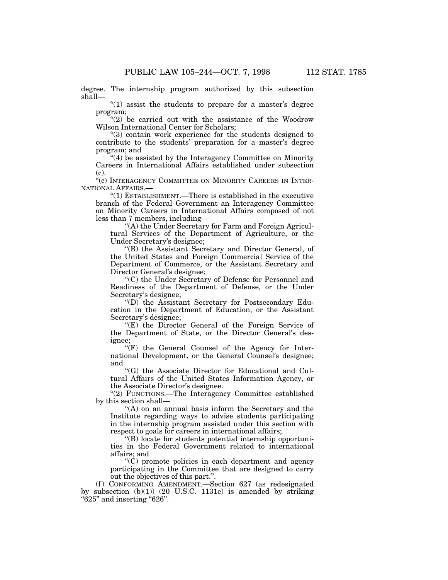degree. The internship program authorized by this subsection shall—

" $(1)$  assist the students to prepare for a master's degree program;

''(2) be carried out with the assistance of the Woodrow Wilson International Center for Scholars;

''(3) contain work experience for the students designed to contribute to the students' preparation for a master's degree program; and

''(4) be assisted by the Interagency Committee on Minority Careers in International Affairs established under subsection (c).

''(c) INTERAGENCY COMMITTEE ON MINORITY CAREERS IN INTER-NATIONAL AFFAIRS.—

''(1) ESTABLISHMENT.—There is established in the executive branch of the Federal Government an Interagency Committee on Minority Careers in International Affairs composed of not less than 7 members, including—

''(A) the Under Secretary for Farm and Foreign Agricultural Services of the Department of Agriculture, or the Under Secretary's designee;

''(B) the Assistant Secretary and Director General, of the United States and Foreign Commercial Service of the Department of Commerce, or the Assistant Secretary and Director General's designee;

''(C) the Under Secretary of Defense for Personnel and Readiness of the Department of Defense, or the Under Secretary's designee;

''(D) the Assistant Secretary for Postsecondary Education in the Department of Education, or the Assistant Secretary's designee;

"(E) the Director General of the Foreign Service of the Department of State, or the Director General's designee;

''(F) the General Counsel of the Agency for International Development, or the General Counsel's designee; and

''(G) the Associate Director for Educational and Cultural Affairs of the United States Information Agency, or the Associate Director's designee.

"(2) FUNCTIONS.—The Interagency Committee established by this section shall—

"(A) on an annual basis inform the Secretary and the Institute regarding ways to advise students participating in the internship program assisted under this section with respect to goals for careers in international affairs;

''(B) locate for students potential internship opportunities in the Federal Government related to international affairs; and

''(C) promote policies in each department and agency participating in the Committee that are designed to carry out the objectives of this part.''.

(f) CONFORMING AMENDMENT.—Section 627 (as redesignated by subsection (b)(1)) (20 U.S.C. 1131e) is amended by striking " $625$ " and inserting " $626$ ".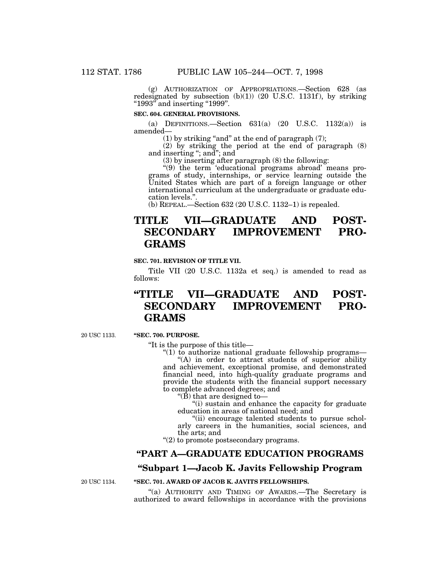(g) AUTHORIZATION OF APPROPRIATIONS.—Section 628 (as redesignated by subsection (b)(1)) (20 U.S.C. 1131f ), by striking " $1993"$  and inserting " $1999"$ .

#### **SEC. 604. GENERAL PROVISIONS.**

(a) DEFINITIONS.—Section  $631(a)$   $(20 \text{ U.S.C. } 1132(a))$  is amended—

(1) by striking ''and'' at the end of paragraph (7);

(2) by striking the period at the end of paragraph (8) and inserting ''; and''; and

(3) by inserting after paragraph (8) the following:

''(9) the term 'educational programs abroad' means programs of study, internships, or service learning outside the United States which are part of a foreign language or other international curriculum at the undergraduate or graduate education levels.''.

(b) REPEAL.—Section 632 (20 U.S.C. 1132–1) is repealed.

# **TITLE VII—GRADUATE AND POST-SECONDARY IMPROVEMENT PRO-GRAMS**

## **SEC. 701. REVISION OF TITLE VII.**

Title VII (20 U.S.C. 1132a et seq.) is amended to read as follows:

# **''TITLE VII—GRADUATE AND POST-SECONDARY IMPROVEMENT PRO-GRAMS**

20 USC 1133.

## **''SEC. 700. PURPOSE.**

''It is the purpose of this title—

''(1) to authorize national graduate fellowship programs— "(A) in order to attract students of superior ability and achievement, exceptional promise, and demonstrated financial need, into high-quality graduate programs and provide the students with the financial support necessary to complete advanced degrees; and

''(B) that are designed to—

"(i) sustain and enhance the capacity for graduate" education in areas of national need; and

"(ii) encourage talented students to pursue scholarly careers in the humanities, social sciences, and the arts; and

''(2) to promote postsecondary programs.

## **''PART A—GRADUATE EDUCATION PROGRAMS**

## **''Subpart 1—Jacob K. Javits Fellowship Program**

20 USC 1134.

## **''SEC. 701. AWARD OF JACOB K. JAVITS FELLOWSHIPS.**

''(a) AUTHORITY AND TIMING OF AWARDS.—The Secretary is authorized to award fellowships in accordance with the provisions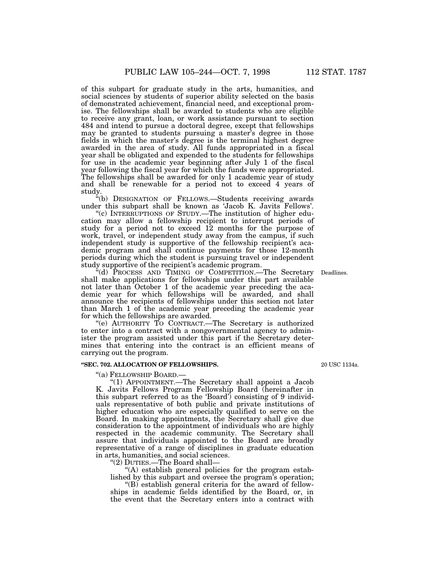of this subpart for graduate study in the arts, humanities, and social sciences by students of superior ability selected on the basis of demonstrated achievement, financial need, and exceptional promise. The fellowships shall be awarded to students who are eligible to receive any grant, loan, or work assistance pursuant to section 484 and intend to pursue a doctoral degree, except that fellowships may be granted to students pursuing a master's degree in those fields in which the master's degree is the terminal highest degree awarded in the area of study. All funds appropriated in a fiscal year shall be obligated and expended to the students for fellowships for use in the academic year beginning after July 1 of the fiscal year following the fiscal year for which the funds were appropriated. The fellowships shall be awarded for only 1 academic year of study and shall be renewable for a period not to exceed 4 years of study.

''(b) DESIGNATION OF FELLOWS.—Students receiving awards under this subpart shall be known as 'Jacob K. Javits Fellows'.

"(c) INTERRUPTIONS OF STUDY.—The institution of higher education may allow a fellowship recipient to interrupt periods of study for a period not to exceed 12 months for the purpose of work, travel, or independent study away from the campus, if such independent study is supportive of the fellowship recipient's academic program and shall continue payments for those 12-month periods during which the student is pursuing travel or independent study supportive of the recipient's academic program.

"(d) PROCESS AND TIMING OF COMPETITION.—The Secretary Deadlines. shall make applications for fellowships under this part available not later than October 1 of the academic year preceding the academic year for which fellowships will be awarded, and shall announce the recipients of fellowships under this section not later than March 1 of the academic year preceding the academic year for which the fellowships are awarded.

''(e) AUTHORITY TO CONTRACT.—The Secretary is authorized to enter into a contract with a nongovernmental agency to administer the program assisted under this part if the Secretary determines that entering into the contract is an efficient means of carrying out the program.

#### **''SEC. 702. ALLOCATION OF FELLOWSHIPS.**

''(a) FELLOWSHIP BOARD.—

''(1) APPOINTMENT.—The Secretary shall appoint a Jacob K. Javits Fellows Program Fellowship Board (hereinafter in this subpart referred to as the 'Board') consisting of 9 individuals representative of both public and private institutions of higher education who are especially qualified to serve on the Board. In making appointments, the Secretary shall give due consideration to the appointment of individuals who are highly respected in the academic community. The Secretary shall assure that individuals appointed to the Board are broadly representative of a range of disciplines in graduate education in arts, humanities, and social sciences.

"(2) DUTIES.—The Board shall-

"(A) establish general policies for the program established by this subpart and oversee the program's operation;

''(B) establish general criteria for the award of fellowships in academic fields identified by the Board, or, in the event that the Secretary enters into a contract with

20 USC 1134a.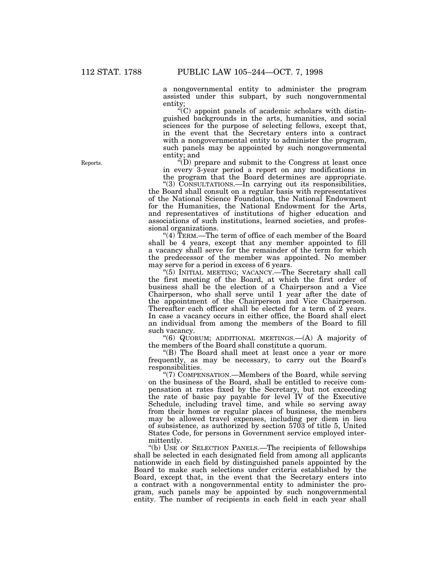a nongovernmental entity to administer the program assisted under this subpart, by such nongovernmental entity;

 $C^{\alpha}(C)$  appoint panels of academic scholars with distinguished backgrounds in the arts, humanities, and social sciences for the purpose of selecting fellows, except that, in the event that the Secretary enters into a contract with a nongovernmental entity to administer the program, such panels may be appointed by such nongovernmental entity; and

''(D) prepare and submit to the Congress at least once in every 3-year period a report on any modifications in the program that the Board determines are appropriate.

''(3) CONSULTATIONS.—In carrying out its responsibilities, the Board shall consult on a regular basis with representatives of the National Science Foundation, the National Endowment for the Humanities, the National Endowment for the Arts, and representatives of institutions of higher education and associations of such institutions, learned societies, and professional organizations.

''(4) TERM.—The term of office of each member of the Board shall be 4 years, except that any member appointed to fill a vacancy shall serve for the remainder of the term for which the predecessor of the member was appointed. No member may serve for a period in excess of 6 years.

"(5) INITIAL MEETING; VACANCY.—The Secretary shall call the first meeting of the Board, at which the first order of business shall be the election of a Chairperson and a Vice Chairperson, who shall serve until 1 year after the date of the appointment of the Chairperson and Vice Chairperson. Thereafter each officer shall be elected for a term of 2 years. In case a vacancy occurs in either office, the Board shall elect an individual from among the members of the Board to fill such vacancy.

''(6) QUORUM; ADDITIONAL MEETINGS.—(A) A majority of the members of the Board shall constitute a quorum.

''(B) The Board shall meet at least once a year or more frequently, as may be necessary, to carry out the Board's responsibilities.

''(7) COMPENSATION.—Members of the Board, while serving on the business of the Board, shall be entitled to receive compensation at rates fixed by the Secretary, but not exceeding the rate of basic pay payable for level IV of the Executive Schedule, including travel time, and while so serving away from their homes or regular places of business, the members may be allowed travel expenses, including per diem in lieu of subsistence, as authorized by section 5703 of title 5, United States Code, for persons in Government service employed intermittently.

''(b) USE OF SELECTION PANELS.—The recipients of fellowships shall be selected in each designated field from among all applicants nationwide in each field by distinguished panels appointed by the Board to make such selections under criteria established by the Board, except that, in the event that the Secretary enters into a contract with a nongovernmental entity to administer the program, such panels may be appointed by such nongovernmental entity. The number of recipients in each field in each year shall

Reports.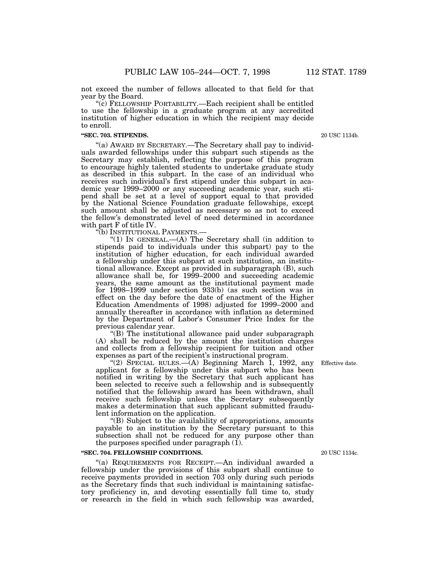20 USC 1134b.

not exceed the number of fellows allocated to that field for that year by the Board.

"(c) FELLOWSHIP PORTABILITY.—Each recipient shall be entitled to use the fellowship in a graduate program at any accredited institution of higher education in which the recipient may decide to enroll.

#### **''SEC. 703. STIPENDS.**

"(a) AWARD BY SECRETARY.—The Secretary shall pay to individuals awarded fellowships under this subpart such stipends as the Secretary may establish, reflecting the purpose of this program to encourage highly talented students to undertake graduate study as described in this subpart. In the case of an individual who receives such individual's first stipend under this subpart in academic year 1999–2000 or any succeeding academic year, such stipend shall be set at a level of support equal to that provided by the National Science Foundation graduate fellowships, except such amount shall be adjusted as necessary so as not to exceed the fellow's demonstrated level of need determined in accordance with part F of title IV.

''(b) INSTITUTIONAL PAYMENTS.— ''(1) IN GENERAL.—(A) The Secretary shall (in addition to stipends paid to individuals under this subpart) pay to the institution of higher education, for each individual awarded a fellowship under this subpart at such institution, an institutional allowance. Except as provided in subparagraph (B), such allowance shall be, for 1999–2000 and succeeding academic years, the same amount as the institutional payment made for 1998–1999 under section 933(b) (as such section was in effect on the day before the date of enactment of the Higher Education Amendments of 1998) adjusted for 1999–2000 and annually thereafter in accordance with inflation as determined by the Department of Labor's Consumer Price Index for the previous calendar year.

''(B) The institutional allowance paid under subparagraph (A) shall be reduced by the amount the institution charges and collects from a fellowship recipient for tuition and other expenses as part of the recipient's instructional program.

''(2) SPECIAL RULES.—(A) Beginning March 1, 1992, any applicant for a fellowship under this subpart who has been notified in writing by the Secretary that such applicant has been selected to receive such a fellowship and is subsequently notified that the fellowship award has been withdrawn, shall receive such fellowship unless the Secretary subsequently makes a determination that such applicant submitted fraudulent information on the application.

''(B) Subject to the availability of appropriations, amounts payable to an institution by the Secretary pursuant to this subsection shall not be reduced for any purpose other than the purposes specified under paragraph  $(i)$ .

#### **''SEC. 704. FELLOWSHIP CONDITIONS.**

''(a) REQUIREMENTS FOR RECEIPT.—An individual awarded a fellowship under the provisions of this subpart shall continue to receive payments provided in section 703 only during such periods as the Secretary finds that such individual is maintaining satisfactory proficiency in, and devoting essentially full time to, study or research in the field in which such fellowship was awarded,

Effective date.

20 USC 1134c.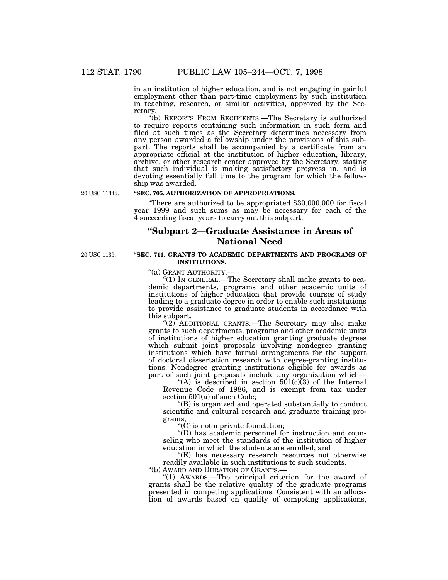in an institution of higher education, and is not engaging in gainful employment other than part-time employment by such institution in teaching, research, or similar activities, approved by the Secretary.

''(b) REPORTS FROM RECIPIENTS.—The Secretary is authorized to require reports containing such information in such form and filed at such times as the Secretary determines necessary from any person awarded a fellowship under the provisions of this subpart. The reports shall be accompanied by a certificate from an appropriate official at the institution of higher education, library, archive, or other research center approved by the Secretary, stating that such individual is making satisfactory progress in, and is devoting essentially full time to the program for which the fellowship was awarded.

20 USC 1134d.

## **''SEC. 705. AUTHORIZATION OF APPROPRIATIONS.**

''There are authorized to be appropriated \$30,000,000 for fiscal year 1999 and such sums as may be necessary for each of the 4 succeeding fiscal years to carry out this subpart.

## **''Subpart 2—Graduate Assistance in Areas of National Need**

20 USC 1135.

## **''SEC. 711. GRANTS TO ACADEMIC DEPARTMENTS AND PROGRAMS OF INSTITUTIONS.**

''(a) GRANT AUTHORITY.—

''(1) IN GENERAL.—The Secretary shall make grants to academic departments, programs and other academic units of institutions of higher education that provide courses of study leading to a graduate degree in order to enable such institutions to provide assistance to graduate students in accordance with this subpart.

"(2) ADDITIONAL GRANTS.—The Secretary may also make grants to such departments, programs and other academic units of institutions of higher education granting graduate degrees which submit joint proposals involving nondegree granting institutions which have formal arrangements for the support of doctoral dissertation research with degree-granting institutions. Nondegree granting institutions eligible for awards as part of such joint proposals include any organization which—

"(A) is described in section  $501(c)(3)$  of the Internal Revenue Code of 1986, and is exempt from tax under section 501(a) of such Code;

''(B) is organized and operated substantially to conduct scientific and cultural research and graduate training programs;

''(C) is not a private foundation;

''(D) has academic personnel for instruction and counseling who meet the standards of the institution of higher education in which the students are enrolled; and

"(E) has necessary research resources not otherwise readily available in such institutions to such students.

''(b) AWARD AND DURATION OF GRANTS.—

''(1) AWARDS.—The principal criterion for the award of grants shall be the relative quality of the graduate programs presented in competing applications. Consistent with an allocation of awards based on quality of competing applications,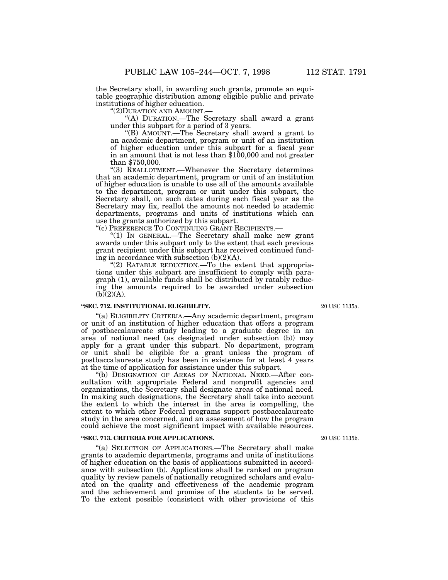the Secretary shall, in awarding such grants, promote an equitable geographic distribution among eligible public and private institutions of higher education.

''(2)DURATION AND AMOUNT.—

''(A) DURATION.—The Secretary shall award a grant under this subpart for a period of 3 years.

''(B) AMOUNT.—The Secretary shall award a grant to an academic department, program or unit of an institution of higher education under this subpart for a fiscal year in an amount that is not less than \$100,000 and not greater than \$750,000.

''(3) REALLOTMENT.—Whenever the Secretary determines that an academic department, program or unit of an institution of higher education is unable to use all of the amounts available to the department, program or unit under this subpart, the Secretary shall, on such dates during each fiscal year as the Secretary may fix, reallot the amounts not needed to academic departments, programs and units of institutions which can use the grants authorized by this subpart.

''(c) PREFERENCE TO CONTINUING GRANT RECIPIENTS.—

''(1) IN GENERAL.—The Secretary shall make new grant awards under this subpart only to the extent that each previous grant recipient under this subpart has received continued funding in accordance with subsection (b)(2)(A).

"(2) RATABLE REDUCTION.—To the extent that appropriations under this subpart are insufficient to comply with paragraph (1), available funds shall be distributed by ratably reducing the amounts required to be awarded under subsection  $(b)(2)(A)$ .

#### **''SEC. 712. INSTITUTIONAL ELIGIBILITY.**

''(a) ELIGIBILITY CRITERIA.—Any academic department, program or unit of an institution of higher education that offers a program of postbaccalaureate study leading to a graduate degree in an area of national need (as designated under subsection (b)) may apply for a grant under this subpart. No department, program or unit shall be eligible for a grant unless the program of postbaccalaureate study has been in existence for at least 4 years at the time of application for assistance under this subpart.

''(b) DESIGNATION OF AREAS OF NATIONAL NEED.—After consultation with appropriate Federal and nonprofit agencies and organizations, the Secretary shall designate areas of national need. In making such designations, the Secretary shall take into account the extent to which the interest in the area is compelling, the extent to which other Federal programs support postbaccalaureate study in the area concerned, and an assessment of how the program could achieve the most significant impact with available resources.

#### **''SEC. 713. CRITERIA FOR APPLICATIONS.**

''(a) SELECTION OF APPLICATIONS.—The Secretary shall make grants to academic departments, programs and units of institutions of higher education on the basis of applications submitted in accordance with subsection (b). Applications shall be ranked on program quality by review panels of nationally recognized scholars and evaluated on the quality and effectiveness of the academic program and the achievement and promise of the students to be served. To the extent possible (consistent with other provisions of this

20 USC 1135b.

20 USC 1135a.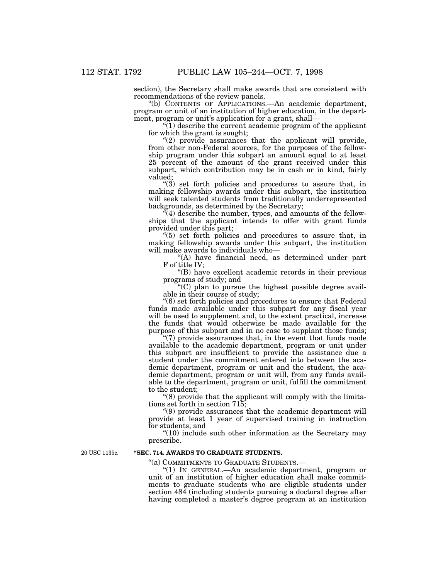section), the Secretary shall make awards that are consistent with recommendations of the review panels.

''(b) CONTENTS OF APPLICATIONS.—An academic department, program or unit of an institution of higher education, in the department, program or unit's application for a grant, shall—

 $(1)$  describe the current academic program of the applicant for which the grant is sought;

 $''(2)$  provide assurances that the applicant will provide, from other non-Federal sources, for the purposes of the fellowship program under this subpart an amount equal to at least 25 percent of the amount of the grant received under this subpart, which contribution may be in cash or in kind, fairly valued;

 $(3)$  set forth policies and procedures to assure that, in making fellowship awards under this subpart, the institution will seek talented students from traditionally underrepresented backgrounds, as determined by the Secretary;

 $\tilde{f}(4)$  describe the number, types, and amounts of the fellowships that the applicant intends to offer with grant funds provided under this part;

''(5) set forth policies and procedures to assure that, in making fellowship awards under this subpart, the institution will make awards to individuals who—

"(A) have financial need, as determined under part F of title IV;

''(B) have excellent academic records in their previous programs of study; and

''(C) plan to pursue the highest possible degree available in their course of study;

''(6) set forth policies and procedures to ensure that Federal funds made available under this subpart for any fiscal year will be used to supplement and, to the extent practical, increase the funds that would otherwise be made available for the purpose of this subpart and in no case to supplant those funds;

" $(7)$  provide assurances that, in the event that funds made available to the academic department, program or unit under this subpart are insufficient to provide the assistance due a student under the commitment entered into between the academic department, program or unit and the student, the academic department, program or unit will, from any funds available to the department, program or unit, fulfill the commitment to the student;

"(8) provide that the applicant will comply with the limitations set forth in section 715;

''(9) provide assurances that the academic department will provide at least 1 year of supervised training in instruction for students; and

 $\degree$ (10) include such other information as the Secretary may prescribe.

20 USC 1135c.

## **''SEC. 714. AWARDS TO GRADUATE STUDENTS.**

"(a) COMMITMENTS TO GRADUATE STUDENTS.-

''(1) IN GENERAL.—An academic department, program or unit of an institution of higher education shall make commitments to graduate students who are eligible students under section 484 (including students pursuing a doctoral degree after having completed a master's degree program at an institution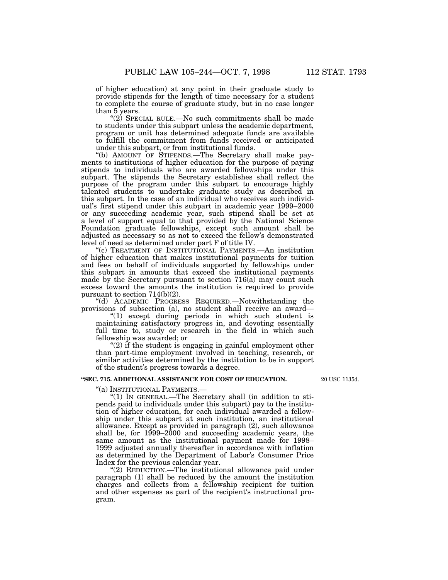of higher education) at any point in their graduate study to provide stipends for the length of time necessary for a student to complete the course of graduate study, but in no case longer than 5 years.

" $(2)$  SPECIAL RULE.—No such commitments shall be made to students under this subpart unless the academic department, program or unit has determined adequate funds are available to fulfill the commitment from funds received or anticipated under this subpart, or from institutional funds.

''(b) AMOUNT OF STIPENDS.—The Secretary shall make payments to institutions of higher education for the purpose of paying stipends to individuals who are awarded fellowships under this subpart. The stipends the Secretary establishes shall reflect the purpose of the program under this subpart to encourage highly talented students to undertake graduate study as described in this subpart. In the case of an individual who receives such individual's first stipend under this subpart in academic year 1999–2000 or any succeeding academic year, such stipend shall be set at a level of support equal to that provided by the National Science Foundation graduate fellowships, except such amount shall be adjusted as necessary so as not to exceed the fellow's demonstrated level of need as determined under part F of title IV.

''(c) TREATMENT OF INSTITUTIONAL PAYMENTS.—An institution of higher education that makes institutional payments for tuition and fees on behalf of individuals supported by fellowships under this subpart in amounts that exceed the institutional payments made by the Secretary pursuant to section 716(a) may count such excess toward the amounts the institution is required to provide pursuant to section 714(b)(2).

''(d) ACADEMIC PROGRESS REQUIRED.—Notwithstanding the provisions of subsection (a), no student shall receive an award—

"(1) except during periods in which such student is maintaining satisfactory progress in, and devoting essentially full time to, study or research in the field in which such fellowship was awarded; or

" $(2)$  if the student is engaging in gainful employment other than part-time employment involved in teaching, research, or similar activities determined by the institution to be in support of the student's progress towards a degree.

## **''SEC. 715. ADDITIONAL ASSISTANCE FOR COST OF EDUCATION.**

20 USC 1135d.

''(a) INSTITUTIONAL PAYMENTS.—

''(1) IN GENERAL.—The Secretary shall (in addition to stipends paid to individuals under this subpart) pay to the institution of higher education, for each individual awarded a fellowship under this subpart at such institution, an institutional allowance. Except as provided in paragraph (2), such allowance shall be, for 1999–2000 and succeeding academic years, the same amount as the institutional payment made for 1998– 1999 adjusted annually thereafter in accordance with inflation as determined by the Department of Labor's Consumer Price Index for the previous calendar year.

"(2) REDUCTION.—The institutional allowance paid under paragraph (1) shall be reduced by the amount the institution charges and collects from a fellowship recipient for tuition and other expenses as part of the recipient's instructional program.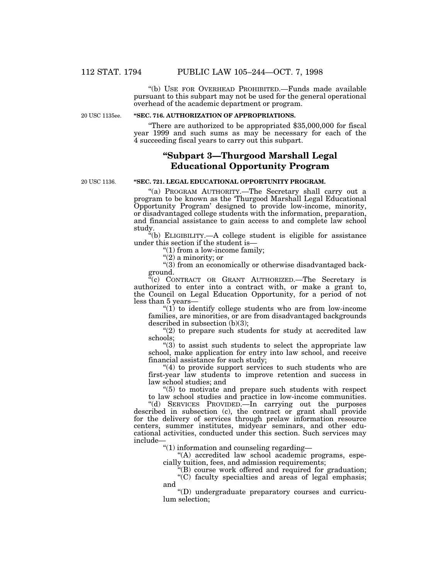''(b) USE FOR OVERHEAD PROHIBITED.—Funds made available pursuant to this subpart may not be used for the general operational overhead of the academic department or program.

20 USC 1135ee.

## **''SEC. 716. AUTHORIZATION OF APPROPRIATIONS.**

''There are authorized to be appropriated \$35,000,000 for fiscal year 1999 and such sums as may be necessary for each of the 4 succeeding fiscal years to carry out this subpart.

# **''Subpart 3—Thurgood Marshall Legal Educational Opportunity Program**

20 USC 1136.

## **''SEC. 721. LEGAL EDUCATIONAL OPPORTUNITY PROGRAM.**

''(a) PROGRAM AUTHORITY.—The Secretary shall carry out a program to be known as the 'Thurgood Marshall Legal Educational Opportunity Program' designed to provide low-income, minority, or disadvantaged college students with the information, preparation, and financial assistance to gain access to and complete law school study.

''(b) ELIGIBILITY.—A college student is eligible for assistance under this section if the student is—

''(1) from a low-income family;

 $''(2)$  a minority; or

''(3) from an economically or otherwise disadvantaged background.

 $\epsilon$ <sup>(c)</sup> CONTRACT OR GRANT AUTHORIZED.—The Secretary is authorized to enter into a contract with, or make a grant to, the Council on Legal Education Opportunity, for a period of not less than 5 years—

" $(1)$  to identify college students who are from low-income families, are minorities, or are from disadvantaged backgrounds described in subsection (b)(3);

" $(2)$  to prepare such students for study at accredited law schools;

 $(3)$  to assist such students to select the appropriate law school, make application for entry into law school, and receive financial assistance for such study;

 $(4)$  to provide support services to such students who are first-year law students to improve retention and success in law school studies; and

 $(5)$  to motivate and prepare such students with respect to law school studies and practice in low-income communities.

''(d) SERVICES PROVIDED.—In carrying out the purposes described in subsection (c), the contract or grant shall provide for the delivery of services through prelaw information resource centers, summer institutes, midyear seminars, and other educational activities, conducted under this section. Such services may include—

''(1) information and counseling regarding—

''(A) accredited law school academic programs, especially tuition, fees, and admission requirements;

''(B) course work offered and required for graduation; ''(C) faculty specialties and areas of legal emphasis; and

''(D) undergraduate preparatory courses and curriculum selection;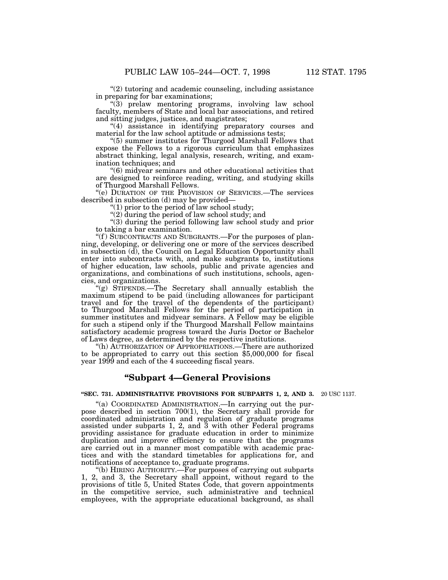"(2) tutoring and academic counseling, including assistance in preparing for bar examinations;

''(3) prelaw mentoring programs, involving law school faculty, members of State and local bar associations, and retired and sitting judges, justices, and magistrates;

"(4) assistance in identifying preparatory courses and material for the law school aptitude or admissions tests;

''(5) summer institutes for Thurgood Marshall Fellows that expose the Fellows to a rigorous curriculum that emphasizes abstract thinking, legal analysis, research, writing, and examination techniques; and

''(6) midyear seminars and other educational activities that are designed to reinforce reading, writing, and studying skills of Thurgood Marshall Fellows.

''(e) DURATION OF THE PROVISION OF SERVICES.—The services described in subsection (d) may be provided—

" $(1)$  prior to the period of law school study;

''(2) during the period of law school study; and

''(3) during the period following law school study and prior to taking a bar examination.

"(f) SUBCONTRACTS AND SUBGRANTS.—For the purposes of planning, developing, or delivering one or more of the services described in subsection (d), the Council on Legal Education Opportunity shall enter into subcontracts with, and make subgrants to, institutions of higher education, law schools, public and private agencies and organizations, and combinations of such institutions, schools, agencies, and organizations.

''(g) STIPENDS.—The Secretary shall annually establish the maximum stipend to be paid (including allowances for participant travel and for the travel of the dependents of the participant) to Thurgood Marshall Fellows for the period of participation in summer institutes and midyear seminars. A Fellow may be eligible for such a stipend only if the Thurgood Marshall Fellow maintains satisfactory academic progress toward the Juris Doctor or Bachelor of Laws degree, as determined by the respective institutions.

''(h) AUTHORIZATION OF APPROPRIATIONS.—There are authorized to be appropriated to carry out this section \$5,000,000 for fiscal year 1999 and each of the 4 succeeding fiscal years.

## **''Subpart 4—General Provisions**

#### **''SEC. 731. ADMINISTRATIVE PROVISIONS FOR SUBPARTS 1, 2, AND 3.** 20 USC 1137.

''(a) COORDINATED ADMINISTRATION.—In carrying out the purpose described in section 700(1), the Secretary shall provide for coordinated administration and regulation of graduate programs assisted under subparts 1, 2, and 3 with other Federal programs providing assistance for graduate education in order to minimize duplication and improve efficiency to ensure that the programs are carried out in a manner most compatible with academic practices and with the standard timetables for applications for, and notifications of acceptance to, graduate programs.

''(b) HIRING AUTHORITY.—For purposes of carrying out subparts 1, 2, and 3, the Secretary shall appoint, without regard to the provisions of title 5, United States Code, that govern appointments in the competitive service, such administrative and technical employees, with the appropriate educational background, as shall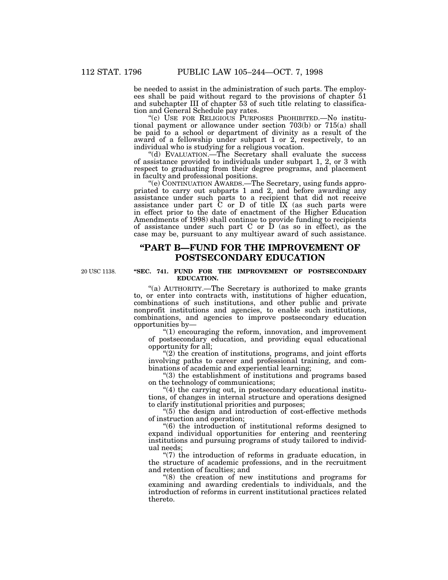be needed to assist in the administration of such parts. The employees shall be paid without regard to the provisions of chapter 51 and subchapter III of chapter 53 of such title relating to classification and General Schedule pay rates.

''(c) USE FOR RELIGIOUS PURPOSES PROHIBITED.—No institutional payment or allowance under section 703(b) or 715(a) shall be paid to a school or department of divinity as a result of the award of a fellowship under subpart 1 or 2, respectively, to an individual who is studying for a religious vocation.

''(d) EVALUATION.—The Secretary shall evaluate the success of assistance provided to individuals under subpart 1, 2, or 3 with respect to graduating from their degree programs, and placement in faculty and professional positions.

''(e) CONTINUATION AWARDS.—The Secretary, using funds appropriated to carry out subparts 1 and 2, and before awarding any assistance under such parts to a recipient that did not receive assistance under part C or D of title IX (as such parts were in effect prior to the date of enactment of the Higher Education Amendments of 1998) shall continue to provide funding to recipients of assistance under such part C or D (as so in effect), as the case may be, pursuant to any multiyear award of such assistance.

## **''PART B—FUND FOR THE IMPROVEMENT OF POSTSECONDARY EDUCATION**

20 USC 1138.

#### **''SEC. 741. FUND FOR THE IMPROVEMENT OF POSTSECONDARY EDUCATION.**

''(a) AUTHORITY.—The Secretary is authorized to make grants to, or enter into contracts with, institutions of higher education, combinations of such institutions, and other public and private nonprofit institutions and agencies, to enable such institutions, combinations, and agencies to improve postsecondary education opportunities by—

''(1) encouraging the reform, innovation, and improvement of postsecondary education, and providing equal educational opportunity for all;

"(2) the creation of institutions, programs, and joint efforts involving paths to career and professional training, and combinations of academic and experiential learning;

''(3) the establishment of institutions and programs based on the technology of communications;

"(4) the carrying out, in postsecondary educational institutions, of changes in internal structure and operations designed to clarify institutional priorities and purposes;

''(5) the design and introduction of cost-effective methods of instruction and operation;

''(6) the introduction of institutional reforms designed to expand individual opportunities for entering and reentering institutions and pursuing programs of study tailored to individual needs;

"(7) the introduction of reforms in graduate education, in the structure of academic professions, and in the recruitment and retention of faculties; and

''(8) the creation of new institutions and programs for examining and awarding credentials to individuals, and the introduction of reforms in current institutional practices related thereto.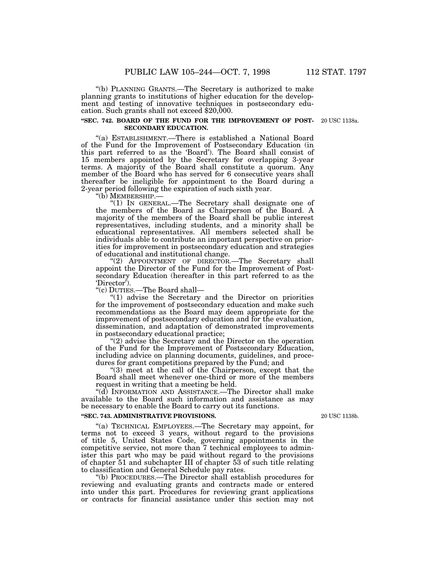''(b) PLANNING GRANTS.—The Secretary is authorized to make planning grants to institutions of higher education for the development and testing of innovative techniques in postsecondary education. Such grants shall not exceed \$20,000.

#### **''SEC. 742. BOARD OF THE FUND FOR THE IMPROVEMENT OF POST-**20 USC 1138a.**SECONDARY EDUCATION.**

''(a) ESTABLISHMENT.—There is established a National Board of the Fund for the Improvement of Postsecondary Education (in this part referred to as the 'Board'). The Board shall consist of 15 members appointed by the Secretary for overlapping 3-year terms. A majority of the Board shall constitute a quorum. Any member of the Board who has served for 6 consecutive years shall thereafter be ineligible for appointment to the Board during a 2-year period following the expiration of such sixth year.

''(b) MEMBERSHIP.— ''(1) IN GENERAL.—The Secretary shall designate one of the members of the Board as Chairperson of the Board. A majority of the members of the Board shall be public interest representatives, including students, and a minority shall be educational representatives. All members selected shall be individuals able to contribute an important perspective on priorities for improvement in postsecondary education and strategies of educational and institutional change.

"(2) APPOINTMENT OF DIRECTOR.—The Secretary shall appoint the Director of the Fund for the Improvement of Postsecondary Education (hereafter in this part referred to as the 'Director').

''(c) DUTIES.—The Board shall—

'(1) advise the Secretary and the Director on priorities for the improvement of postsecondary education and make such recommendations as the Board may deem appropriate for the improvement of postsecondary education and for the evaluation, dissemination, and adaptation of demonstrated improvements in postsecondary educational practice;

"(2) advise the Secretary and the Director on the operation of the Fund for the Improvement of Postsecondary Education, including advice on planning documents, guidelines, and procedures for grant competitions prepared by the Fund; and

''(3) meet at the call of the Chairperson, except that the Board shall meet whenever one-third or more of the members request in writing that a meeting be held.

''(d) INFORMATION AND ASSISTANCE.—The Director shall make available to the Board such information and assistance as may be necessary to enable the Board to carry out its functions.

### **''SEC. 743. ADMINISTRATIVE PROVISIONS.**

20 USC 1138b.

"(a) TECHNICAL EMPLOYEES.—The Secretary may appoint, for terms not to exceed 3 years, without regard to the provisions of title 5, United States Code, governing appointments in the competitive service, not more than 7 technical employees to administer this part who may be paid without regard to the provisions of chapter 51 and subchapter III of chapter 53 of such title relating to classification and General Schedule pay rates.

''(b) PROCEDURES.—The Director shall establish procedures for reviewing and evaluating grants and contracts made or entered into under this part. Procedures for reviewing grant applications or contracts for financial assistance under this section may not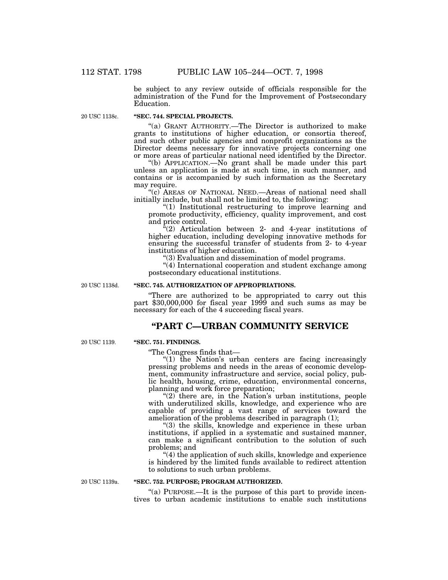be subject to any review outside of officials responsible for the administration of the Fund for the Improvement of Postsecondary Education.

20 USC 1138c.

## **''SEC. 744. SPECIAL PROJECTS.**

"(a) GRANT AUTHORITY.—The Director is authorized to make grants to institutions of higher education, or consortia thereof, and such other public agencies and nonprofit organizations as the Director deems necessary for innovative projects concerning one or more areas of particular national need identified by the Director.

''(b) APPLICATION.—No grant shall be made under this part unless an application is made at such time, in such manner, and contains or is accompanied by such information as the Secretary may require.

"(c) AREAS OF NATIONAL NEED.—Areas of national need shall initially include, but shall not be limited to, the following:

''(1) Institutional restructuring to improve learning and promote productivity, efficiency, quality improvement, and cost and price control.

 $(2)$  Articulation between 2- and 4-year institutions of higher education, including developing innovative methods for ensuring the successful transfer of students from 2- to 4-year institutions of higher education.

''(3) Evaluation and dissemination of model programs.

"(4) International cooperation and student exchange among postsecondary educational institutions.

20 USC 1138d.

## **''SEC. 745. AUTHORIZATION OF APPROPRIATIONS.**

''There are authorized to be appropriated to carry out this part \$30,000,000 for fiscal year 1999 and such sums as may be necessary for each of the 4 succeeding fiscal years.

## **''PART C—URBAN COMMUNITY SERVICE**

20 USC 1139.

### **''SEC. 751. FINDINGS.**

''The Congress finds that—

"(1) the Nation's urban centers are facing increasingly pressing problems and needs in the areas of economic development, community infrastructure and service, social policy, public health, housing, crime, education, environmental concerns, planning and work force preparation;

"(2) there are, in the Nation's urban institutions, people with underutilized skills, knowledge, and experience who are capable of providing a vast range of services toward the amelioration of the problems described in paragraph (1);

''(3) the skills, knowledge and experience in these urban institutions, if applied in a systematic and sustained manner, can make a significant contribution to the solution of such problems; and

''(4) the application of such skills, knowledge and experience is hindered by the limited funds available to redirect attention to solutions to such urban problems.

20 USC 1139a.

## **''SEC. 752. PURPOSE; PROGRAM AUTHORIZED.**

"(a) PURPOSE.—It is the purpose of this part to provide incentives to urban academic institutions to enable such institutions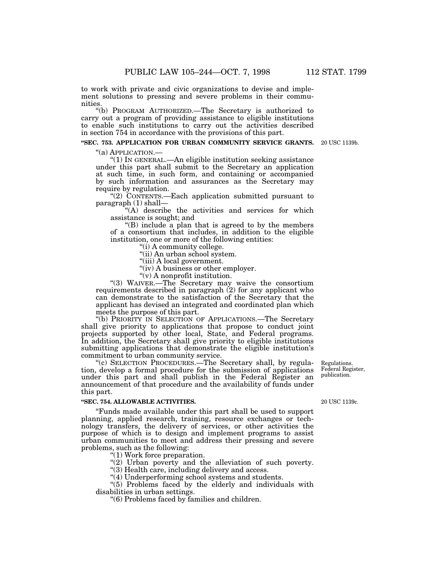to work with private and civic organizations to devise and implement solutions to pressing and severe problems in their communities

''(b) PROGRAM AUTHORIZED.—The Secretary is authorized to carry out a program of providing assistance to eligible institutions to enable such institutions to carry out the activities described in section 754 in accordance with the provisions of this part.

### **''SEC. 753. APPLICATION FOR URBAN COMMUNITY SERVICE GRANTS.** 20 USC 1139b.

''(a) APPLICATION.— ''(1) IN GENERAL.—An eligible institution seeking assistance under this part shall submit to the Secretary an application at such time, in such form, and containing or accompanied by such information and assurances as the Secretary may require by regulation.

"(2) CONTENTS.—Each application submitted pursuant to paragraph (1) shall—

"(A) describe the activities and services for which assistance is sought; and

''(B) include a plan that is agreed to by the members of a consortium that includes, in addition to the eligible institution, one or more of the following entities:

"(i) A community college.

"(ii) An urban school system.

''(iii) A local government.

"(iv) A business or other employer.

"(v) A nonprofit institution.

''(3) WAIVER.—The Secretary may waive the consortium requirements described in paragraph (2) for any applicant who can demonstrate to the satisfaction of the Secretary that the applicant has devised an integrated and coordinated plan which meets the purpose of this part.

''(b) PRIORITY IN SELECTION OF APPLICATIONS.—The Secretary shall give priority to applications that propose to conduct joint projects supported by other local, State, and Federal programs. In addition, the Secretary shall give priority to eligible institutions submitting applications that demonstrate the eligible institution's commitment to urban community service.

''(c) SELECTION PROCEDURES.—The Secretary shall, by regulation, develop a formal procedure for the submission of applications under this part and shall publish in the Federal Register an announcement of that procedure and the availability of funds under this part.

#### **''SEC. 754. ALLOWABLE ACTIVITIES.**

''Funds made available under this part shall be used to support planning, applied research, training, resource exchanges or technology transfers, the delivery of services, or other activities the purpose of which is to design and implement programs to assist urban communities to meet and address their pressing and severe problems, such as the following:

 $\cdot$ (1) Work force preparation.

 $''(2)$  Urban poverty and the alleviation of such poverty.

"(3) Health care, including delivery and access.

"(4) Underperforming school systems and students.

"(5) Problems faced by the elderly and individuals with disabilities in urban settings.

''(6) Problems faced by families and children.

Regulations. Federal Register, publication.

20 USC 1139c.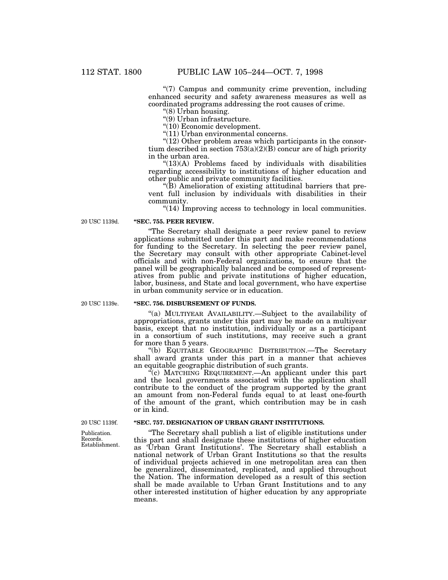"(7) Campus and community crime prevention, including enhanced security and safety awareness measures as well as coordinated programs addressing the root causes of crime.

''(8) Urban housing.

''(9) Urban infrastructure.

''(10) Economic development.

"(11) Urban environmental concerns.

 $"$ (12) Other problem areas which participants in the consortium described in section  $753(a)(2)(B)$  concur are of high priority in the urban area.

 $^{\prime\prime}(13)(A)$  Problems faced by individuals with disabilities regarding accessibility to institutions of higher education and other public and private community facilities.

''(B) Amelioration of existing attitudinal barriers that prevent full inclusion by individuals with disabilities in their community.

"(14) Improving access to technology in local communities.

20 USC 1139d.

## **''SEC. 755. PEER REVIEW.**

''The Secretary shall designate a peer review panel to review applications submitted under this part and make recommendations for funding to the Secretary. In selecting the peer review panel, the Secretary may consult with other appropriate Cabinet-level officials and with non-Federal organizations, to ensure that the panel will be geographically balanced and be composed of representatives from public and private institutions of higher education, labor, business, and State and local government, who have expertise in urban community service or in education.

20 USC 1139e.

## **''SEC. 756. DISBURSEMENT OF FUNDS.**

''(a) MULTIYEAR AVAILABILITY.—Subject to the availability of appropriations, grants under this part may be made on a multiyear basis, except that no institution, individually or as a participant in a consortium of such institutions, may receive such a grant for more than 5 years.

''(b) EQUITABLE GEOGRAPHIC DISTRIBUTION.—The Secretary shall award grants under this part in a manner that achieves an equitable geographic distribution of such grants.

''(c) MATCHING REQUIREMENT.—An applicant under this part and the local governments associated with the application shall contribute to the conduct of the program supported by the grant an amount from non-Federal funds equal to at least one-fourth of the amount of the grant, which contribution may be in cash or in kind.

20 USC 1139f.

Publication. Records. Establishment. **''SEC. 757. DESIGNATION OF URBAN GRANT INSTITUTIONS.**

''The Secretary shall publish a list of eligible institutions under this part and shall designate these institutions of higher education as 'Urban Grant Institutions'. The Secretary shall establish a national network of Urban Grant Institutions so that the results of individual projects achieved in one metropolitan area can then be generalized, disseminated, replicated, and applied throughout the Nation. The information developed as a result of this section shall be made available to Urban Grant Institutions and to any other interested institution of higher education by any appropriate means.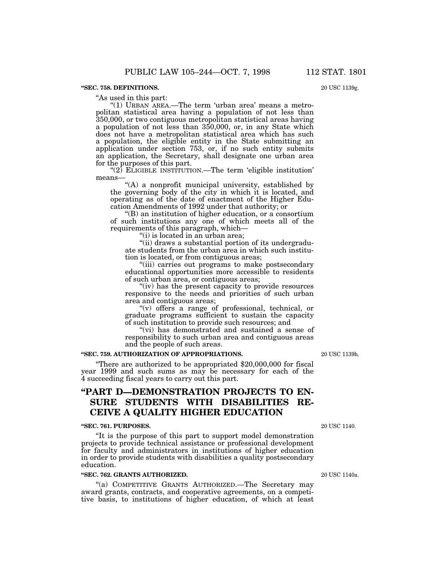''As used in this part:

"(1) URBAN AREA.—The term 'urban area' means a metropolitan statistical area having a population of not less than 350,000, or two contiguous metropolitan statistical areas having a population of not less than 350,000, or, in any State which does not have a metropolitan statistical area which has such a population, the eligible entity in the State submitting an application under section 753, or, if no such entity submits an application, the Secretary, shall designate one urban area for the purposes of this part.

''(2) ELIGIBLE INSTITUTION.—The term 'eligible institution' means—

''(A) a nonprofit municipal university, established by the governing body of the city in which it is located, and operating as of the date of enactment of the Higher Education Amendments of 1992 under that authority; or

''(B) an institution of higher education, or a consortium of such institutions any one of which meets all of the requirements of this paragraph, which—

''(i) is located in an urban area;

''(ii) draws a substantial portion of its undergraduate students from the urban area in which such institution is located, or from contiguous areas;

''(iii) carries out programs to make postsecondary educational opportunities more accessible to residents of such urban area, or contiguous areas;

"(iv) has the present capacity to provide resources responsive to the needs and priorities of such urban area and contiguous areas;

" $(v)$  offers a range of professional, technical, or graduate programs sufficient to sustain the capacity of such institution to provide such resources; and

''(vi) has demonstrated and sustained a sense of responsibility to such urban area and contiguous areas and the people of such areas.

### **''SEC. 759. AUTHORIZATION OF APPROPRIATIONS.**

''There are authorized to be appropriated \$20,000,000 for fiscal year 1999 and such sums as may be necessary for each of the 4 succeeding fiscal years to carry out this part.

# **''PART D—DEMONSTRATION PROJECTS TO EN-SURE STUDENTS WITH DISABILITIES RE-CEIVE A QUALITY HIGHER EDUCATION**

#### **''SEC. 761. PURPOSES.**

''It is the purpose of this part to support model demonstration projects to provide technical assistance or professional development for faculty and administrators in institutions of higher education in order to provide students with disabilities a quality postsecondary education.

## **''SEC. 762. GRANTS AUTHORIZED.**

"(a) COMPETITIVE GRANTS AUTHORIZED.—The Secretary may award grants, contracts, and cooperative agreements, on a competitive basis, to institutions of higher education, of which at least 20 USC 1139h.

20 USC 1140.

20 USC 1139g.

20 USC 1140a.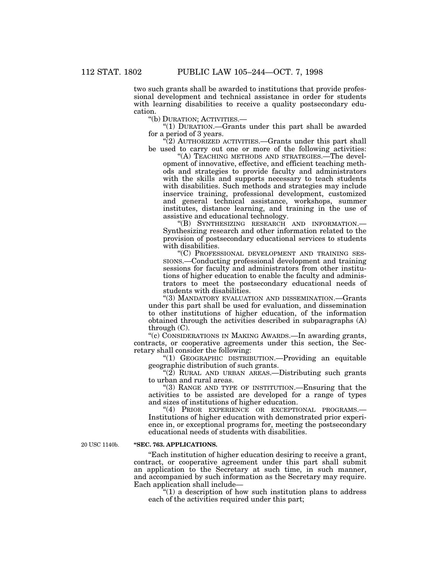two such grants shall be awarded to institutions that provide professional development and technical assistance in order for students with learning disabilities to receive a quality postsecondary education.

''(b) DURATION; ACTIVITIES.—

''(1) DURATION.—Grants under this part shall be awarded for a period of 3 years.

 $\sqrt{\hat{Q}}$ ) AUTHORIZED ACTIVITIES.—Grants under this part shall be used to carry out one or more of the following activities:

"(A) TEACHING METHODS AND STRATEGIES.—The development of innovative, effective, and efficient teaching methods and strategies to provide faculty and administrators with the skills and supports necessary to teach students with disabilities. Such methods and strategies may include inservice training, professional development, customized and general technical assistance, workshops, summer institutes, distance learning, and training in the use of assistive and educational technology.

''(B) SYNTHESIZING RESEARCH AND INFORMATION.— Synthesizing research and other information related to the provision of postsecondary educational services to students with disabilities.

''(C) PROFESSIONAL DEVELOPMENT AND TRAINING SES-SIONS.—Conducting professional development and training sessions for faculty and administrators from other institutions of higher education to enable the faculty and administrators to meet the postsecondary educational needs of students with disabilities.

''(3) MANDATORY EVALUATION AND DISSEMINATION.—Grants under this part shall be used for evaluation, and dissemination to other institutions of higher education, of the information obtained through the activities described in subparagraphs (A) through (C).

''(c) CONSIDERATIONS IN MAKING AWARDS.—In awarding grants, contracts, or cooperative agreements under this section, the Secretary shall consider the following:

''(1) GEOGRAPHIC DISTRIBUTION.—Providing an equitable geographic distribution of such grants.

''(2) RURAL AND URBAN AREAS.—Distributing such grants to urban and rural areas.

''(3) RANGE AND TYPE OF INSTITUTION.—Ensuring that the activities to be assisted are developed for a range of types and sizes of institutions of higher education.

''(4) PRIOR EXPERIENCE OR EXCEPTIONAL PROGRAMS.— Institutions of higher education with demonstrated prior experience in, or exceptional programs for, meeting the postsecondary educational needs of students with disabilities.

20 USC 1140b.

### **''SEC. 763. APPLICATIONS.**

''Each institution of higher education desiring to receive a grant, contract, or cooperative agreement under this part shall submit an application to the Secretary at such time, in such manner, and accompanied by such information as the Secretary may require. Each application shall include—

 $*(1)$  a description of how such institution plans to address each of the activities required under this part;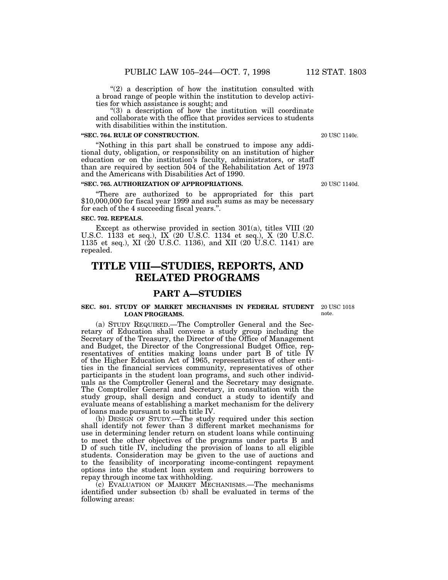" $(2)$  a description of how the institution consulted with a broad range of people within the institution to develop activities for which assistance is sought; and

''(3) a description of how the institution will coordinate and collaborate with the office that provides services to students with disabilities within the institution.

### **''SEC. 764. RULE OF CONSTRUCTION.**

''Nothing in this part shall be construed to impose any additional duty, obligation, or responsibility on an institution of higher education or on the institution's faculty, administrators, or staff than are required by section 504 of the Rehabilitation Act of 1973 and the Americans with Disabilities Act of 1990.

## **''SEC. 765. AUTHORIZATION OF APPROPRIATIONS.**

''There are authorized to be appropriated for this part \$10,000,000 for fiscal year 1999 and such sums as may be necessary for each of the 4 succeeding fiscal years.''.

### **SEC. 702. REPEALS.**

Except as otherwise provided in section 301(a), titles VIII (20 U.S.C. 1133 et seq.), IX (20 U.S.C. 1134 et seq.), X (20 U.S.C. 1135 et seq.), XI ( $20\,$  U.S.C. 1136), and XII (20 U.S.C. 1141) are repealed.

# **TITLE VIII—STUDIES, REPORTS, AND RELATED PROGRAMS**

## **PART A—STUDIES**

### **SEC. 801. STUDY OF MARKET MECHANISMS IN FEDERAL STUDENT LOAN PROGRAMS.**

(a) STUDY REQUIRED.—The Comptroller General and the Secretary of Education shall convene a study group including the Secretary of the Treasury, the Director of the Office of Management and Budget, the Director of the Congressional Budget Office, representatives of entities making loans under part B of title IV of the Higher Education Act of 1965, representatives of other entities in the financial services community, representatives of other participants in the student loan programs, and such other individuals as the Comptroller General and the Secretary may designate. The Comptroller General and Secretary, in consultation with the study group, shall design and conduct a study to identify and evaluate means of establishing a market mechanism for the delivery of loans made pursuant to such title IV.

(b) DESIGN OF STUDY.—The study required under this section shall identify not fewer than 3 different market mechanisms for use in determining lender return on student loans while continuing to meet the other objectives of the programs under parts B and D of such title IV, including the provision of loans to all eligible students. Consideration may be given to the use of auctions and to the feasibility of incorporating income-contingent repayment options into the student loan system and requiring borrowers to repay through income tax withholding.

(c) EVALUATION OF MARKET MECHANISMS.—The mechanisms identified under subsection (b) shall be evaluated in terms of the following areas:

20 USC 1018 note.

20 USC 1140d.

20 USC 1140c.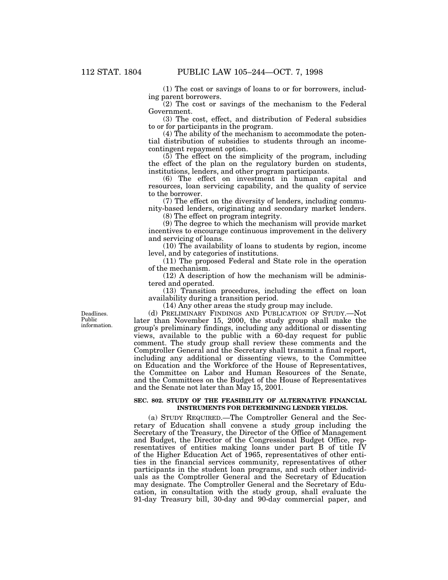(1) The cost or savings of loans to or for borrowers, including parent borrowers.

(2) The cost or savings of the mechanism to the Federal Government.

(3) The cost, effect, and distribution of Federal subsidies to or for participants in the program.

(4) The ability of the mechanism to accommodate the potential distribution of subsidies to students through an incomecontingent repayment option.

(5) The effect on the simplicity of the program, including the effect of the plan on the regulatory burden on students, institutions, lenders, and other program participants.

(6) The effect on investment in human capital and resources, loan servicing capability, and the quality of service to the borrower.

(7) The effect on the diversity of lenders, including community-based lenders, originating and secondary market lenders.

(8) The effect on program integrity.

(9) The degree to which the mechanism will provide market incentives to encourage continuous improvement in the delivery and servicing of loans.

(10) The availability of loans to students by region, income level, and by categories of institutions.

(11) The proposed Federal and State role in the operation of the mechanism.

(12) A description of how the mechanism will be administered and operated.

(13) Transition procedures, including the effect on loan availability during a transition period.

(14) Any other areas the study group may include.

(d) PRELIMINARY FINDINGS AND PUBLICATION OF STUDY.—Not later than November 15, 2000, the study group shall make the group's preliminary findings, including any additional or dissenting views, available to the public with a 60-day request for public comment. The study group shall review these comments and the Comptroller General and the Secretary shall transmit a final report, including any additional or dissenting views, to the Committee on Education and the Workforce of the House of Representatives, the Committee on Labor and Human Resources of the Senate, and the Committees on the Budget of the House of Representatives and the Senate not later than May 15, 2001.

### **SEC. 802. STUDY OF THE FEASIBILITY OF ALTERNATIVE FINANCIAL INSTRUMENTS FOR DETERMINING LENDER YIELDS.**

(a) STUDY REQUIRED.—The Comptroller General and the Secretary of Education shall convene a study group including the Secretary of the Treasury, the Director of the Office of Management and Budget, the Director of the Congressional Budget Office, representatives of entities making loans under part B of title IV of the Higher Education Act of 1965, representatives of other entities in the financial services community, representatives of other participants in the student loan programs, and such other individuals as the Comptroller General and the Secretary of Education may designate. The Comptroller General and the Secretary of Education, in consultation with the study group, shall evaluate the 91-day Treasury bill, 30-day and 90-day commercial paper, and

Deadlines. Public information.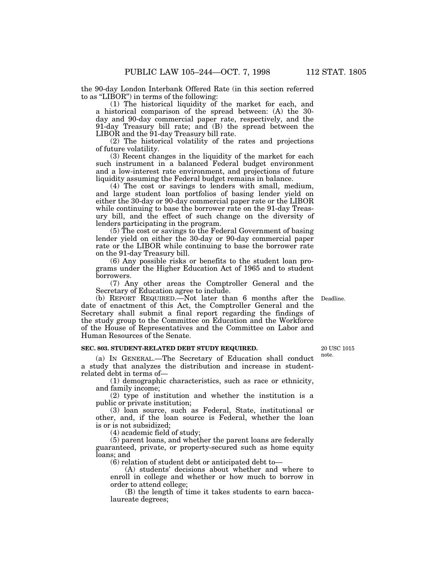the 90-day London Interbank Offered Rate (in this section referred to as "LIBOR") in terms of the following:

(1) The historical liquidity of the market for each, and a historical comparison of the spread between: (A) the 30 day and 90-day commercial paper rate, respectively, and the 91-day Treasury bill rate; and (B) the spread between the LIBOR and the 91-day Treasury bill rate.

(2) The historical volatility of the rates and projections of future volatility.

(3) Recent changes in the liquidity of the market for each such instrument in a balanced Federal budget environment and a low-interest rate environment, and projections of future liquidity assuming the Federal budget remains in balance.

(4) The cost or savings to lenders with small, medium, and large student loan portfolios of basing lender yield on either the 30-day or 90-day commercial paper rate or the LIBOR while continuing to base the borrower rate on the 91-day Treasury bill, and the effect of such change on the diversity of lenders participating in the program.

(5) The cost or savings to the Federal Government of basing lender yield on either the 30-day or 90-day commercial paper rate or the LIBOR while continuing to base the borrower rate on the 91-day Treasury bill.

(6) Any possible risks or benefits to the student loan programs under the Higher Education Act of 1965 and to student borrowers.

(7) Any other areas the Comptroller General and the Secretary of Education agree to include.

(b) REPORT REQUIRED.—Not later than 6 months after the Deadline.date of enactment of this Act, the Comptroller General and the Secretary shall submit a final report regarding the findings of the study group to the Committee on Education and the Workforce of the House of Representatives and the Committee on Labor and Human Resources of the Senate.

### **SEC. 803. STUDENT-RELATED DEBT STUDY REQUIRED.**

(a) IN GENERAL.—The Secretary of Education shall conduct a study that analyzes the distribution and increase in studentrelated debt in terms of—

(1) demographic characteristics, such as race or ethnicity, and family income;

(2) type of institution and whether the institution is a public or private institution;

(3) loan source, such as Federal, State, institutional or other, and, if the loan source is Federal, whether the loan is or is not subsidized;

(4) academic field of study;

(5) parent loans, and whether the parent loans are federally guaranteed, private, or property-secured such as home equity loans; and

(6) relation of student debt or anticipated debt to—

(A) students' decisions about whether and where to enroll in college and whether or how much to borrow in order to attend college;

(B) the length of time it takes students to earn baccalaureate degrees;

20 USC 1015 note.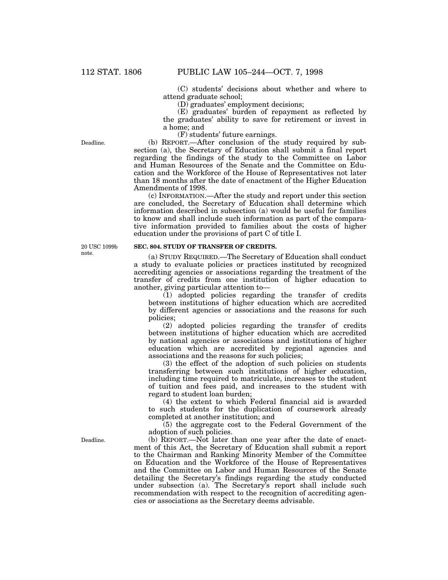(C) students' decisions about whether and where to attend graduate school;

(D) graduates' employment decisions;

(E) graduates' burden of repayment as reflected by the graduates' ability to save for retirement or invest in a home; and

(F) students' future earnings.

(b) REPORT.—After conclusion of the study required by subsection (a), the Secretary of Education shall submit a final report regarding the findings of the study to the Committee on Labor and Human Resources of the Senate and the Committee on Education and the Workforce of the House of Representatives not later than 18 months after the date of enactment of the Higher Education Amendments of 1998.

(c) INFORMATION.—After the study and report under this section are concluded, the Secretary of Education shall determine which information described in subsection (a) would be useful for families to know and shall include such information as part of the comparative information provided to families about the costs of higher education under the provisions of part C of title I.

## **SEC. 804. STUDY OF TRANSFER OF CREDITS.**

(a) STUDY REQUIRED.—The Secretary of Education shall conduct a study to evaluate policies or practices instituted by recognized accrediting agencies or associations regarding the treatment of the transfer of credits from one institution of higher education to another, giving particular attention to—

(1) adopted policies regarding the transfer of credits between institutions of higher education which are accredited by different agencies or associations and the reasons for such policies;

(2) adopted policies regarding the transfer of credits between institutions of higher education which are accredited by national agencies or associations and institutions of higher education which are accredited by regional agencies and associations and the reasons for such policies;

(3) the effect of the adoption of such policies on students transferring between such institutions of higher education, including time required to matriculate, increases to the student of tuition and fees paid, and increases to the student with regard to student loan burden;

(4) the extent to which Federal financial aid is awarded to such students for the duplication of coursework already completed at another institution; and

(5) the aggregate cost to the Federal Government of the adoption of such policies.

(b) REPORT.—Not later than one year after the date of enactment of this Act, the Secretary of Education shall submit a report to the Chairman and Ranking Minority Member of the Committee on Education and the Workforce of the House of Representatives and the Committee on Labor and Human Resources of the Senate detailing the Secretary's findings regarding the study conducted under subsection (a). The Secretary's report shall include such recommendation with respect to the recognition of accrediting agencies or associations as the Secretary deems advisable.

Deadline.

20 USC 1099b note.

Deadline.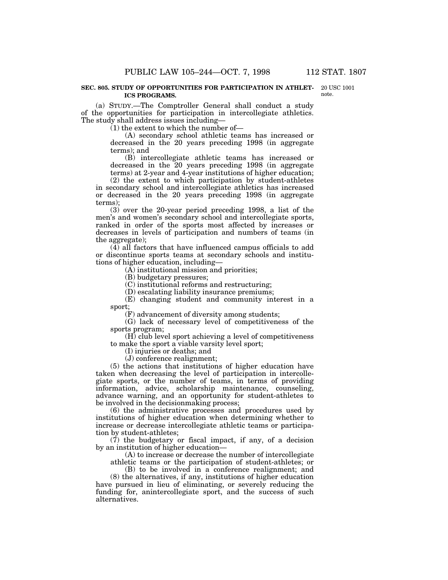#### **SEC. 805. STUDY OF OPPORTUNITIES FOR PARTICIPATION IN ATHLET-**20 USC 1001 **ICS PROGRAMS.**

note.

(a) STUDY.—The Comptroller General shall conduct a study of the opportunities for participation in intercollegiate athletics. The study shall address issues including—

(1) the extent to which the number of—

(A) secondary school athletic teams has increased or decreased in the 20 years preceding 1998 (in aggregate terms); and

(B) intercollegiate athletic teams has increased or decreased in the 20 years preceding 1998 (in aggregate terms) at 2-year and 4-year institutions of higher education;

(2) the extent to which participation by student-athletes in secondary school and intercollegiate athletics has increased or decreased in the 20 years preceding 1998 (in aggregate terms);

(3) over the 20-year period preceding 1998, a list of the men's and women's secondary school and intercollegiate sports, ranked in order of the sports most affected by increases or decreases in levels of participation and numbers of teams (in the aggregate);

(4) all factors that have influenced campus officials to add or discontinue sports teams at secondary schools and institutions of higher education, including—

(A) institutional mission and priorities;

(B) budgetary pressures;

(C) institutional reforms and restructuring;

(D) escalating liability insurance premiums;

(E) changing student and community interest in a sport;

(F) advancement of diversity among students;

(G) lack of necessary level of competitiveness of the sports program;

(H) club level sport achieving a level of competitiveness to make the sport a viable varsity level sport;

(I) injuries or deaths; and

(J) conference realignment;

alternatives.

(5) the actions that institutions of higher education have taken when decreasing the level of participation in intercollegiate sports, or the number of teams, in terms of providing information, advice, scholarship maintenance, counseling, advance warning, and an opportunity for student-athletes to be involved in the decisionmaking process;

(6) the administrative processes and procedures used by institutions of higher education when determining whether to increase or decrease intercollegiate athletic teams or participation by student-athletes;

(7) the budgetary or fiscal impact, if any, of a decision by an institution of higher education—

(A) to increase or decrease the number of intercollegiate athletic teams or the participation of student-athletes; or

(B) to be involved in a conference realignment; and (8) the alternatives, if any, institutions of higher education have pursued in lieu of eliminating, or severely reducing the funding for, anintercollegiate sport, and the success of such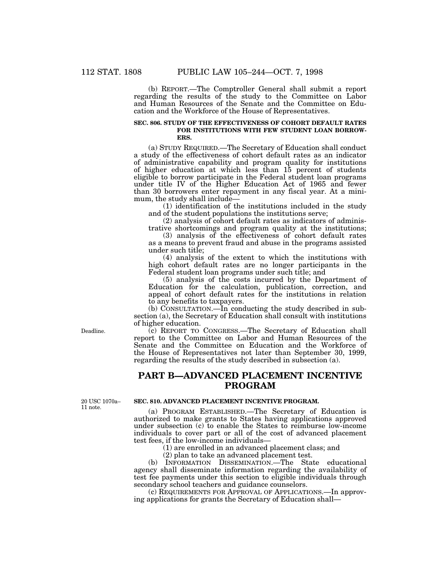(b) REPORT.—The Comptroller General shall submit a report regarding the results of the study to the Committee on Labor and Human Resources of the Senate and the Committee on Education and the Workforce of the House of Representatives.

### **SEC. 806. STUDY OF THE EFFECTIVENESS OF COHORT DEFAULT RATES FOR INSTITUTIONS WITH FEW STUDENT LOAN BORROW-ERS.**

(a) STUDY REQUIRED.—The Secretary of Education shall conduct a study of the effectiveness of cohort default rates as an indicator of administrative capability and program quality for institutions of higher education at which less than 15 percent of students eligible to borrow participate in the Federal student loan programs under title IV of the Higher Education Act of 1965 and fewer than 30 borrowers enter repayment in any fiscal year. At a minimum, the study shall include—

(1) identification of the institutions included in the study and of the student populations the institutions serve;

(2) analysis of cohort default rates as indicators of adminis-

trative shortcomings and program quality at the institutions;

(3) analysis of the effectiveness of cohort default rates as a means to prevent fraud and abuse in the programs assisted under such title;

(4) analysis of the extent to which the institutions with high cohort default rates are no longer participants in the Federal student loan programs under such title; and

(5) analysis of the costs incurred by the Department of Education for the calculation, publication, correction, and appeal of cohort default rates for the institutions in relation to any benefits to taxpayers.

(b) CONSULTATION.—In conducting the study described in subsection (a), the Secretary of Education shall consult with institutions of higher education.

(c) REPORT TO CONGRESS.—The Secretary of Education shall report to the Committee on Labor and Human Resources of the Senate and the Committee on Education and the Workforce of the House of Representatives not later than September 30, 1999, regarding the results of the study described in subsection (a).

# **PART B—ADVANCED PLACEMENT INCENTIVE PROGRAM**

20 USC 1070a– 11 note.

Deadline.

### **SEC. 810. ADVANCED PLACEMENT INCENTIVE PROGRAM.**

(a) PROGRAM ESTABLISHED.—The Secretary of Education is authorized to make grants to States having applications approved under subsection (c) to enable the States to reimburse low-income individuals to cover part or all of the cost of advanced placement test fees, if the low-income individuals—

(1) are enrolled in an advanced placement class; and

(2) plan to take an advanced placement test.

(b) INFORMATION DISSEMINATION.—The State educational agency shall disseminate information regarding the availability of test fee payments under this section to eligible individuals through secondary school teachers and guidance counselors.

(c) REQUIREMENTS FOR APPROVAL OF APPLICATIONS.—In approving applications for grants the Secretary of Education shall—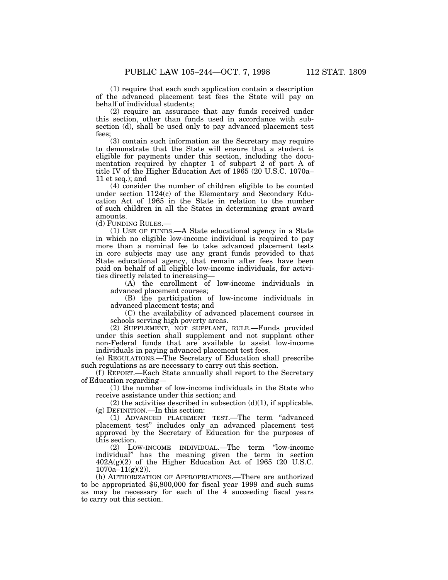(1) require that each such application contain a description of the advanced placement test fees the State will pay on behalf of individual students;

(2) require an assurance that any funds received under this section, other than funds used in accordance with subsection (d), shall be used only to pay advanced placement test fees;

(3) contain such information as the Secretary may require to demonstrate that the State will ensure that a student is eligible for payments under this section, including the documentation required by chapter 1 of subpart 2 of part A of title IV of the Higher Education Act of 1965 (20 U.S.C. 1070a– 11 et seq.); and

(4) consider the number of children eligible to be counted under section 1124(c) of the Elementary and Secondary Education Act of 1965 in the State in relation to the number of such children in all the States in determining grant award amounts.

(d) FUNDING RULES.—

(1) USE OF FUNDS.—A State educational agency in a State in which no eligible low-income individual is required to pay more than a nominal fee to take advanced placement tests in core subjects may use any grant funds provided to that State educational agency, that remain after fees have been paid on behalf of all eligible low-income individuals, for activities directly related to increasing—

(A) the enrollment of low-income individuals in advanced placement courses;

(B) the participation of low-income individuals in advanced placement tests; and

(C) the availability of advanced placement courses in schools serving high poverty areas.

(2) SUPPLEMENT, NOT SUPPLANT, RULE.—Funds provided under this section shall supplement and not supplant other non-Federal funds that are available to assist low-income individuals in paying advanced placement test fees.

(e) REGULATIONS.—The Secretary of Education shall prescribe such regulations as are necessary to carry out this section.

(f ) REPORT.—Each State annually shall report to the Secretary of Education regarding—

(1) the number of low-income individuals in the State who receive assistance under this section; and

 $(2)$  the activities described in subsection  $(d)(1)$ , if applicable. (g) DEFINITION.—In this section:

(1) ADVANCED PLACEMENT TEST.—The term ''advanced placement test'' includes only an advanced placement test approved by the Secretary of Education for the purposes of this section.

(2) LOW-INCOME INDIVIDUAL.—The term ''low-income individual'' has the meaning given the term in section 402A(g)(2) of the Higher Education Act of 1965 (20 U.S.C.  $1070a-11(g)(2)$ ).

(h) AUTHORIZATION OF APPROPRIATIONS.—There are authorized to be appropriated \$6,800,000 for fiscal year 1999 and such sums as may be necessary for each of the 4 succeeding fiscal years to carry out this section.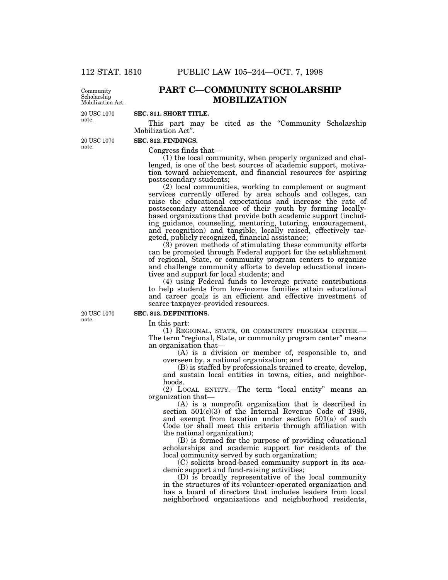**PART C—COMMUNITY SCHOLARSHIP MOBILIZATION**

Community Scholarship Mobilization Act.

### **SEC. 811. SHORT TITLE.**

This part may be cited as the "Community Scholarship" Mobilization Act''.

#### **SEC. 812. FINDINGS.**

Congress finds that—

(1) the local community, when properly organized and challenged, is one of the best sources of academic support, motivation toward achievement, and financial resources for aspiring postsecondary students;

(2) local communities, working to complement or augment services currently offered by area schools and colleges, can raise the educational expectations and increase the rate of postsecondary attendance of their youth by forming locallybased organizations that provide both academic support (including guidance, counseling, mentoring, tutoring, encouragement, and recognition) and tangible, locally raised, effectively targeted, publicly recognized, financial assistance;

 $(3)$  proven methods of stimulating these community efforts can be promoted through Federal support for the establishment of regional, State, or community program centers to organize and challenge community efforts to develop educational incentives and support for local students; and

(4) using Federal funds to leverage private contributions to help students from low-income families attain educational and career goals is an efficient and effective investment of scarce taxpayer-provided resources.

20 USC 1070 note.

### **SEC. 813. DEFINITIONS.**

In this part:

(1) REGIONAL, STATE, OR COMMUNITY PROGRAM CENTER.— The term "regional, State, or community program center" means an organization that—

(A) is a division or member of, responsible to, and overseen by, a national organization; and

(B) is staffed by professionals trained to create, develop, and sustain local entities in towns, cities, and neighborhoods.

(2) LOCAL ENTITY.—The term ''local entity'' means an organization that—

(A) is a nonprofit organization that is described in section  $501(c)(3)$  of the Internal Revenue Code of 1986, and exempt from taxation under section 501(a) of such Code (or shall meet this criteria through affiliation with the national organization);

(B) is formed for the purpose of providing educational scholarships and academic support for residents of the local community served by such organization;

(C) solicits broad-based community support in its academic support and fund-raising activities;

(D) is broadly representative of the local community in the structures of its volunteer-operated organization and has a board of directors that includes leaders from local neighborhood organizations and neighborhood residents,

20 USC 1070 note.

20 USC 1070 note.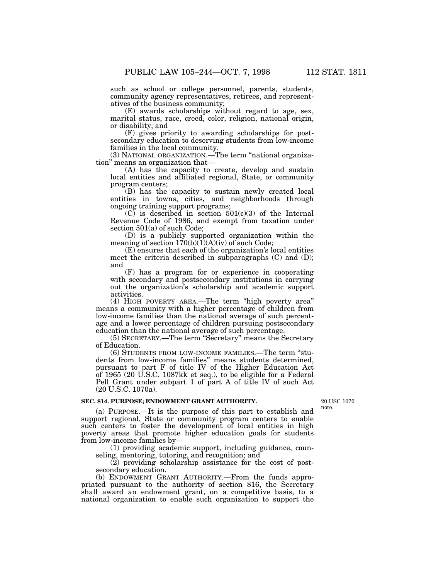such as school or college personnel, parents, students, community agency representatives, retirees, and representatives of the business community;

(E) awards scholarships without regard to age, sex, marital status, race, creed, color, religion, national origin, or disability; and

(F) gives priority to awarding scholarships for postsecondary education to deserving students from low-income families in the local community.

(3) NATIONAL ORGANIZATION.—The term ''national organization'' means an organization that—

(A) has the capacity to create, develop and sustain local entities and affiliated regional, State, or community program centers;

(B) has the capacity to sustain newly created local entities in towns, cities, and neighborhoods through ongoing training support programs;

 $(C)$  is described in section  $501(c)(3)$  of the Internal Revenue Code of 1986, and exempt from taxation under section 501(a) of such Code;

(D) is a publicly supported organization within the meaning of section  $170(b)(1)(A)(iv)$  of such Code;

(E) ensures that each of the organization's local entities meet the criteria described in subparagraphs (C) and (D); and

(F) has a program for or experience in cooperating with secondary and postsecondary institutions in carrying out the organization's scholarship and academic support activities.

(4) HIGH POVERTY AREA.—The term ''high poverty area'' means a community with a higher percentage of children from low-income families than the national average of such percentage and a lower percentage of children pursuing postsecondary education than the national average of such percentage.

(5) SECRETARY.—The term ''Secretary'' means the Secretary of Education.

(6) STUDENTS FROM LOW-INCOME FAMILIES.—The term ''students from low-income families'' means students determined, pursuant to part F of title IV of the Higher Education Act of 1965 (20 U.S.C. 1087kk et seq.), to be eligible for a Federal Pell Grant under subpart 1 of part A of title IV of such Act (20 U.S.C. 1070a).

### **SEC. 814. PURPOSE; ENDOWMENT GRANT AUTHORITY.**

20 USC 1070 note.

(a) PURPOSE.—It is the purpose of this part to establish and support regional, State or community program centers to enable such centers to foster the development of local entities in high poverty areas that promote higher education goals for students from low-income families by—

(1) providing academic support, including guidance, counseling, mentoring, tutoring, and recognition; and

(2) providing scholarship assistance for the cost of postsecondary education.

(b) ENDOWMENT GRANT AUTHORITY.—From the funds appropriated pursuant to the authority of section 816, the Secretary shall award an endowment grant, on a competitive basis, to a national organization to enable such organization to support the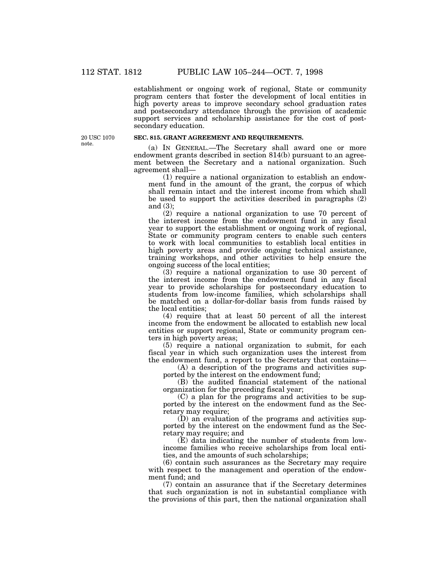establishment or ongoing work of regional, State or community program centers that foster the development of local entities in high poverty areas to improve secondary school graduation rates and postsecondary attendance through the provision of academic support services and scholarship assistance for the cost of postsecondary education.

20 USC 1070 note.

## **SEC. 815. GRANT AGREEMENT AND REQUIREMENTS.**

(a) IN GENERAL.—The Secretary shall award one or more endowment grants described in section 814(b) pursuant to an agreement between the Secretary and a national organization. Such agreement shall—

(1) require a national organization to establish an endowment fund in the amount of the grant, the corpus of which shall remain intact and the interest income from which shall be used to support the activities described in paragraphs (2) and (3);

(2) require a national organization to use 70 percent of the interest income from the endowment fund in any fiscal year to support the establishment or ongoing work of regional, State or community program centers to enable such centers to work with local communities to establish local entities in high poverty areas and provide ongoing technical assistance, training workshops, and other activities to help ensure the ongoing success of the local entities;

(3) require a national organization to use 30 percent of the interest income from the endowment fund in any fiscal year to provide scholarships for postsecondary education to students from low-income families, which scholarships shall be matched on a dollar-for-dollar basis from funds raised by the local entities;

(4) require that at least 50 percent of all the interest income from the endowment be allocated to establish new local entities or support regional, State or community program centers in high poverty areas;

(5) require a national organization to submit, for each fiscal year in which such organization uses the interest from the endowment fund, a report to the Secretary that contains—

(A) a description of the programs and activities supported by the interest on the endowment fund;

(B) the audited financial statement of the national organization for the preceding fiscal year;

(C) a plan for the programs and activities to be supported by the interest on the endowment fund as the Secretary may require;

(D) an evaluation of the programs and activities supported by the interest on the endowment fund as the Secretary may require; and

(E) data indicating the number of students from lowincome families who receive scholarships from local entities, and the amounts of such scholarships;

(6) contain such assurances as the Secretary may require with respect to the management and operation of the endowment fund; and

(7) contain an assurance that if the Secretary determines that such organization is not in substantial compliance with the provisions of this part, then the national organization shall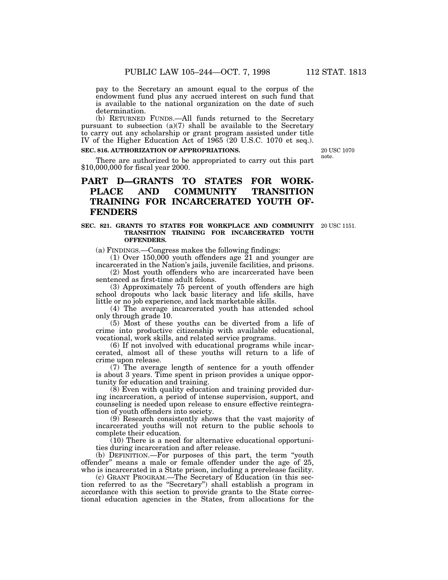pay to the Secretary an amount equal to the corpus of the endowment fund plus any accrued interest on such fund that is available to the national organization on the date of such determination.

(b) RETURNED FUNDS.—All funds returned to the Secretary pursuant to subsection  $(a)(7)$  shall be available to the Secretary to carry out any scholarship or grant program assisted under title IV of the Higher Education Act of 1965 (20 U.S.C. 1070 et seq.).

### **SEC. 816. AUTHORIZATION OF APPROPRIATIONS.**

20 USC 1070 note.

There are authorized to be appropriated to carry out this part \$10,000,000 for fiscal year 2000.

# **PART D—GRANTS TO STATES FOR WORK-PLACE AND COMMUNITY TRANSITION TRAINING FOR INCARCERATED YOUTH OF-FENDERS**

### **SEC. 821. GRANTS TO STATES FOR WORKPLACE AND COMMUNITY** 20 USC 1151. **TRANSITION TRAINING FOR INCARCERATED YOUTH OFFENDERS.**

(a) FINDINGS.—Congress makes the following findings:

(1) Over  $150,000$  youth offenders age  $\overline{2}1$  and younger are incarcerated in the Nation's jails, juvenile facilities, and prisons.

(2) Most youth offenders who are incarcerated have been sentenced as first-time adult felons.

(3) Approximately 75 percent of youth offenders are high school dropouts who lack basic literacy and life skills, have little or no job experience, and lack marketable skills.

(4) The average incarcerated youth has attended school only through grade 10.

(5) Most of these youths can be diverted from a life of crime into productive citizenship with available educational, vocational, work skills, and related service programs.

(6) If not involved with educational programs while incarcerated, almost all of these youths will return to a life of crime upon release.

(7) The average length of sentence for a youth offender is about 3 years. Time spent in prison provides a unique opportunity for education and training.

 $(8)$  Even with quality education and training provided during incarceration, a period of intense supervision, support, and counseling is needed upon release to ensure effective reintegration of youth offenders into society.

(9) Research consistently shows that the vast majority of incarcerated youths will not return to the public schools to complete their education.

(10) There is a need for alternative educational opportunities during incarceration and after release.

(b) DEFINITION.—For purposes of this part, the term ''youth offender'' means a male or female offender under the age of 25, who is incarcerated in a State prison, including a prerelease facility.

(c) GRANT PROGRAM.—The Secretary of Education (in this section referred to as the ''Secretary'') shall establish a program in accordance with this section to provide grants to the State correctional education agencies in the States, from allocations for the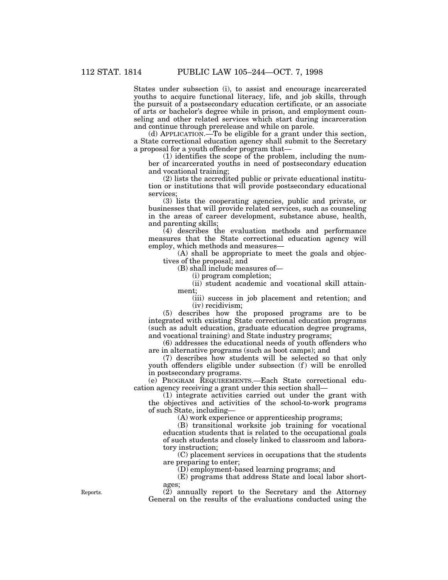States under subsection (i), to assist and encourage incarcerated youths to acquire functional literacy, life, and job skills, through the pursuit of a postsecondary education certificate, or an associate of arts or bachelor's degree while in prison, and employment counseling and other related services which start during incarceration and continue through prerelease and while on parole.

(d) APPLICATION.—To be eligible for a grant under this section, a State correctional education agency shall submit to the Secretary a proposal for a youth offender program that—

(1) identifies the scope of the problem, including the number of incarcerated youths in need of postsecondary education and vocational training;

(2) lists the accredited public or private educational institution or institutions that will provide postsecondary educational services;

(3) lists the cooperating agencies, public and private, or businesses that will provide related services, such as counseling in the areas of career development, substance abuse, health, and parenting skills;

(4) describes the evaluation methods and performance measures that the State correctional education agency will employ, which methods and measures—

(A) shall be appropriate to meet the goals and objectives of the proposal; and

(B) shall include measures of—

(i) program completion;

(ii) student academic and vocational skill attainment;

(iii) success in job placement and retention; and (iv) recidivism;

(5) describes how the proposed programs are to be integrated with existing State correctional education programs (such as adult education, graduate education degree programs, and vocational training) and State industry programs;

(6) addresses the educational needs of youth offenders who are in alternative programs (such as boot camps); and

(7) describes how students will be selected so that only youth offenders eligible under subsection (f) will be enrolled in postsecondary programs.

(e) PROGRAM REQUIREMENTS.—Each State correctional education agency receiving a grant under this section shall—

(1) integrate activities carried out under the grant with the objectives and activities of the school-to-work programs of such State, including—

(A) work experience or apprenticeship programs;

(B) transitional worksite job training for vocational education students that is related to the occupational goals of such students and closely linked to classroom and laboratory instruction;

(C) placement services in occupations that the students are preparing to enter;

(D) employment-based learning programs; and

(E) programs that address State and local labor shortages;

(2) annually report to the Secretary and the Attorney General on the results of the evaluations conducted using the

Reports.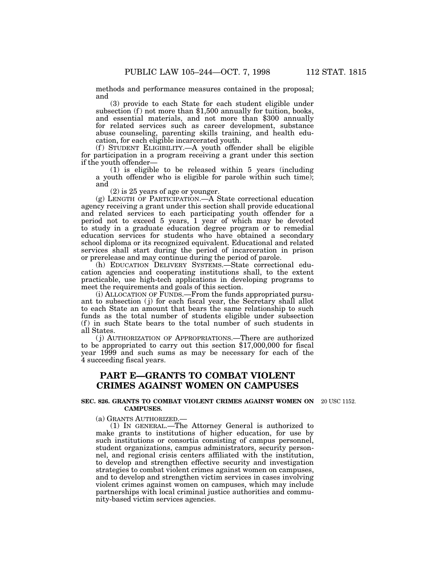methods and performance measures contained in the proposal; and

(3) provide to each State for each student eligible under subsection (f ) not more than \$1,500 annually for tuition, books, and essential materials, and not more than \$300 annually for related services such as career development, substance abuse counseling, parenting skills training, and health education, for each eligible incarcerated youth.

(f) STUDENT ELIGIBILITY.—A youth offender shall be eligible for participation in a program receiving a grant under this section if the youth offender—

(1) is eligible to be released within 5 years (including a youth offender who is eligible for parole within such time); and

(2) is 25 years of age or younger.

(g) LENGTH OF PARTICIPATION.—A State correctional education agency receiving a grant under this section shall provide educational and related services to each participating youth offender for a period not to exceed 5 years, 1 year of which may be devoted to study in a graduate education degree program or to remedial education services for students who have obtained a secondary school diploma or its recognized equivalent. Educational and related services shall start during the period of incarceration in prison or prerelease and may continue during the period of parole.

(h) EDUCATION DELIVERY SYSTEMS.—State correctional education agencies and cooperating institutions shall, to the extent practicable, use high-tech applications in developing programs to meet the requirements and goals of this section.

(i) ALLOCATION OF FUNDS.—From the funds appropriated pursuant to subsection (j) for each fiscal year, the Secretary shall allot to each State an amount that bears the same relationship to such funds as the total number of students eligible under subsection (f) in such State bears to the total number of such students in all States.

( j) AUTHORIZATION OF APPROPRIATIONS.—There are authorized to be appropriated to carry out this section \$17,000,000 for fiscal year 1999 and such sums as may be necessary for each of the 4 succeeding fiscal years.

## **PART E—GRANTS TO COMBAT VIOLENT CRIMES AGAINST WOMEN ON CAMPUSES**

### **SEC. 826. GRANTS TO COMBAT VIOLENT CRIMES AGAINST WOMEN ON** 20 USC 1152.**CAMPUSES.**

(a) GRANTS AUTHORIZED.—

(1) IN GENERAL.—The Attorney General is authorized to make grants to institutions of higher education, for use by such institutions or consortia consisting of campus personnel, student organizations, campus administrators, security personnel, and regional crisis centers affiliated with the institution, to develop and strengthen effective security and investigation strategies to combat violent crimes against women on campuses, and to develop and strengthen victim services in cases involving violent crimes against women on campuses, which may include partnerships with local criminal justice authorities and community-based victim services agencies.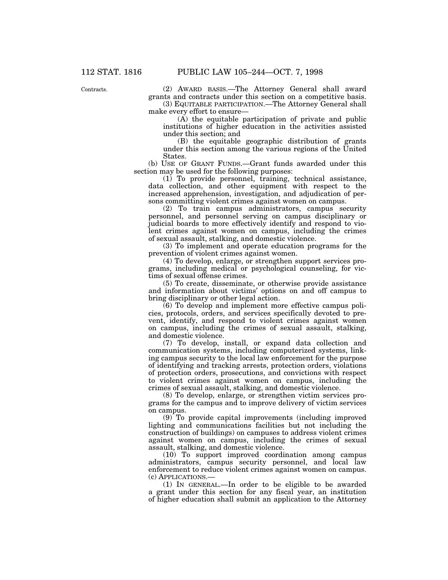Contracts.

(2) AWARD BASIS.—The Attorney General shall award grants and contracts under this section on a competitive basis. (3) EQUITABLE PARTICIPATION.—The Attorney General shall

make every effort to ensure— (A) the equitable participation of private and public institutions of higher education in the activities assisted

under this section; and (B) the equitable geographic distribution of grants under this section among the various regions of the United States.

(b) USE OF GRANT FUNDS.—Grant funds awarded under this section may be used for the following purposes:

(1) To provide personnel, training, technical assistance, data collection, and other equipment with respect to the increased apprehension, investigation, and adjudication of persons committing violent crimes against women on campus.

(2) To train campus administrators, campus security personnel, and personnel serving on campus disciplinary or judicial boards to more effectively identify and respond to violent crimes against women on campus, including the crimes of sexual assault, stalking, and domestic violence.

(3) To implement and operate education programs for the prevention of violent crimes against women.

(4) To develop, enlarge, or strengthen support services programs, including medical or psychological counseling, for victims of sexual offense crimes.

(5) To create, disseminate, or otherwise provide assistance and information about victims' options on and off campus to bring disciplinary or other legal action.

(6) To develop and implement more effective campus policies, protocols, orders, and services specifically devoted to prevent, identify, and respond to violent crimes against women on campus, including the crimes of sexual assault, stalking, and domestic violence.

(7) To develop, install, or expand data collection and communication systems, including computerized systems, linking campus security to the local law enforcement for the purpose of identifying and tracking arrests, protection orders, violations of protection orders, prosecutions, and convictions with respect to violent crimes against women on campus, including the crimes of sexual assault, stalking, and domestic violence.

(8) To develop, enlarge, or strengthen victim services programs for the campus and to improve delivery of victim services on campus.

(9) To provide capital improvements (including improved lighting and communications facilities but not including the construction of buildings) on campuses to address violent crimes against women on campus, including the crimes of sexual assault, stalking, and domestic violence.

(10) To support improved coordination among campus administrators, campus security personnel, and local law enforcement to reduce violent crimes against women on campus. (c) APPLICATIONS.—

(1) IN GENERAL.—In order to be eligible to be awarded a grant under this section for any fiscal year, an institution of higher education shall submit an application to the Attorney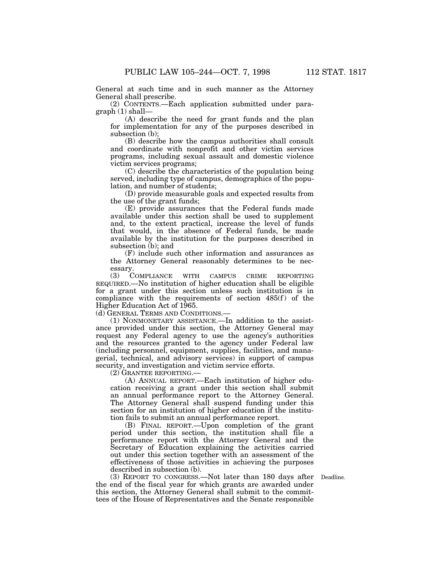General at such time and in such manner as the Attorney General shall prescribe.

(2) CONTENTS.—Each application submitted under paragraph (1) shall—

(A) describe the need for grant funds and the plan for implementation for any of the purposes described in subsection (b);

(B) describe how the campus authorities shall consult and coordinate with nonprofit and other victim services programs, including sexual assault and domestic violence victim services programs;

(C) describe the characteristics of the population being served, including type of campus, demographics of the population, and number of students;

(D) provide measurable goals and expected results from the use of the grant funds;

(E) provide assurances that the Federal funds made available under this section shall be used to supplement and, to the extent practical, increase the level of funds that would, in the absence of Federal funds, be made available by the institution for the purposes described in subsection (b); and

(F) include such other information and assurances as the Attorney General reasonably determines to be necessary.

(3) COMPLIANCE WITH CAMPUS CRIME REPORTING REQUIRED.—No institution of higher education shall be eligible for a grant under this section unless such institution is in compliance with the requirements of section  $485(f)$  of the Higher Education Act of 1965.

(d) GENERAL TERMS AND CONDITIONS.—

(1) NONMONETARY ASSISTANCE.—In addition to the assistance provided under this section, the Attorney General may request any Federal agency to use the agency's authorities and the resources granted to the agency under Federal law (including personnel, equipment, supplies, facilities, and managerial, technical, and advisory services) in support of campus security, and investigation and victim service efforts.

(2) GRANTEE REPORTING.—

(A) ANNUAL REPORT.—Each institution of higher education receiving a grant under this section shall submit an annual performance report to the Attorney General. The Attorney General shall suspend funding under this section for an institution of higher education if the institution fails to submit an annual performance report.

(B) FINAL REPORT.—Upon completion of the grant period under this section, the institution shall file a performance report with the Attorney General and the Secretary of Education explaining the activities carried out under this section together with an assessment of the effectiveness of those activities in achieving the purposes described in subsection (b).

(3) REPORT TO CONGRESS.—Not later than 180 days after Deadline.the end of the fiscal year for which grants are awarded under this section, the Attorney General shall submit to the committees of the House of Representatives and the Senate responsible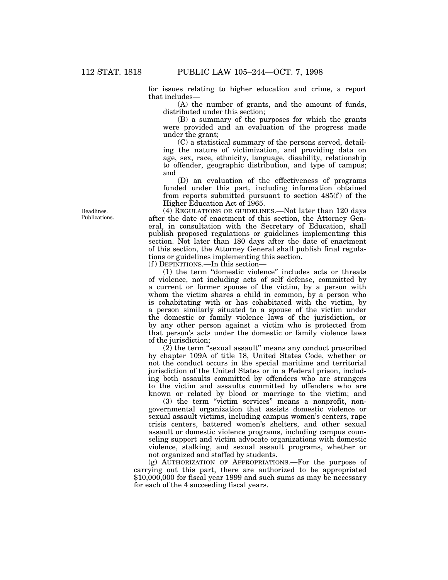for issues relating to higher education and crime, a report that includes—

(A) the number of grants, and the amount of funds, distributed under this section;

(B) a summary of the purposes for which the grants were provided and an evaluation of the progress made under the grant;

(C) a statistical summary of the persons served, detailing the nature of victimization, and providing data on age, sex, race, ethnicity, language, disability, relationship to offender, geographic distribution, and type of campus; and

(D) an evaluation of the effectiveness of programs funded under this part, including information obtained from reports submitted pursuant to section  $485(f)$  of the Higher Education Act of 1965.

(4) REGULATIONS OR GUIDELINES.—Not later than 120 days after the date of enactment of this section, the Attorney General, in consultation with the Secretary of Education, shall publish proposed regulations or guidelines implementing this section. Not later than 180 days after the date of enactment of this section, the Attorney General shall publish final regulations or guidelines implementing this section.

 $(f)$  DEFINITIONS.—In this section-

(1) the term ''domestic violence'' includes acts or threats of violence, not including acts of self defense, committed by a current or former spouse of the victim, by a person with whom the victim shares a child in common, by a person who is cohabitating with or has cohabitated with the victim, by a person similarly situated to a spouse of the victim under the domestic or family violence laws of the jurisdiction, or by any other person against a victim who is protected from that person's acts under the domestic or family violence laws of the jurisdiction;

(2) the term ''sexual assault'' means any conduct proscribed by chapter 109A of title 18, United States Code, whether or not the conduct occurs in the special maritime and territorial jurisdiction of the United States or in a Federal prison, including both assaults committed by offenders who are strangers to the victim and assaults committed by offenders who are known or related by blood or marriage to the victim; and

(3) the term ''victim services'' means a nonprofit, nongovernmental organization that assists domestic violence or sexual assault victims, including campus women's centers, rape crisis centers, battered women's shelters, and other sexual assault or domestic violence programs, including campus counseling support and victim advocate organizations with domestic violence, stalking, and sexual assault programs, whether or not organized and staffed by students.

(g) AUTHORIZATION OF APPROPRIATIONS.—For the purpose of carrying out this part, there are authorized to be appropriated \$10,000,000 for fiscal year 1999 and such sums as may be necessary for each of the 4 succeeding fiscal years.

Deadlines. Publications.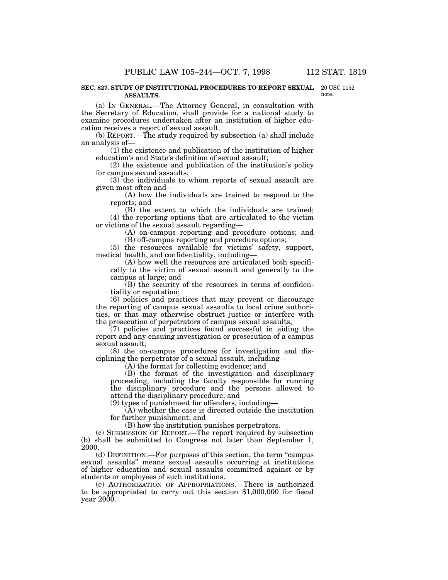#### **SEC. 827. STUDY OF INSTITUTIONAL PROCEDURES TO REPORT SEXUAL** 20 USC 1152 **ASSAULTS.**

note.

(a) IN GENERAL.—The Attorney General, in consultation with the Secretary of Education, shall provide for a national study to examine procedures undertaken after an institution of higher education receives a report of sexual assault.

(b) REPORT.—The study required by subsection (a) shall include an analysis of—

(1) the existence and publication of the institution of higher education's and State's definition of sexual assault;

(2) the existence and publication of the institution's policy for campus sexual assaults;

(3) the individuals to whom reports of sexual assault are given most often and—

(A) how the individuals are trained to respond to the reports; and

(B) the extent to which the individuals are trained; (4) the reporting options that are articulated to the victim or victims of the sexual assault regarding—

(A) on-campus reporting and procedure options; and

(B) off-campus reporting and procedure options;

(5) the resources available for victims' safety, support, medical health, and confidentiality, including—

(A) how well the resources are articulated both specifically to the victim of sexual assault and generally to the campus at large; and

(B) the security of the resources in terms of confidentiality or reputation;

(6) policies and practices that may prevent or discourage the reporting of campus sexual assaults to local crime authorities, or that may otherwise obstruct justice or interfere with the prosecution of perpetrators of campus sexual assaults;

(7) policies and practices found successful in aiding the report and any ensuing investigation or prosecution of a campus sexual assault;

(8) the on-campus procedures for investigation and disciplining the perpetrator of a sexual assault, including—

(A) the format for collecting evidence; and

(B) the format of the investigation and disciplinary proceeding, including the faculty responsible for running the disciplinary procedure and the persons allowed to attend the disciplinary procedure; and

(9) types of punishment for offenders, including—

(A) whether the case is directed outside the institution for further punishment; and

(B) how the institution punishes perpetrators.

(c) SUBMISSION OF REPORT.—The report required by subsection (b) shall be submitted to Congress not later than September 1, 2000.

(d) DEFINITION.—For purposes of this section, the term ''campus sexual assaults'' means sexual assaults occurring at institutions of higher education and sexual assaults committed against or by students or employees of such institutions.

(e) AUTHORIZATION OF APPROPRIATIONS.—There is authorized to be appropriated to carry out this section \$1,000,000 for fiscal  $year 2000.$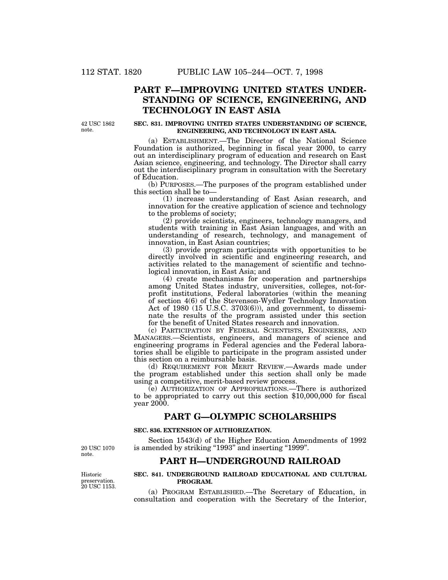# **PART F—IMPROVING UNITED STATES UNDER-STANDING OF SCIENCE, ENGINEERING, AND TECHNOLOGY IN EAST ASIA**

42 USC 1862 note.

### **SEC. 831. IMPROVING UNITED STATES UNDERSTANDING OF SCIENCE, ENGINEERING, AND TECHNOLOGY IN EAST ASIA.**

(a) ESTABLISHMENT.—The Director of the National Science Foundation is authorized, beginning in fiscal year 2000, to carry out an interdisciplinary program of education and research on East Asian science, engineering, and technology. The Director shall carry out the interdisciplinary program in consultation with the Secretary of Education.

(b) PURPOSES.—The purposes of the program established under this section shall be to—

(1) increase understanding of East Asian research, and innovation for the creative application of science and technology to the problems of society;

(2) provide scientists, engineers, technology managers, and students with training in East Asian languages, and with an understanding of research, technology, and management of innovation, in East Asian countries;

(3) provide program participants with opportunities to be directly involved in scientific and engineering research, and activities related to the management of scientific and technological innovation, in East Asia; and

(4) create mechanisms for cooperation and partnerships among United States industry, universities, colleges, not-forprofit institutions, Federal laboratories (within the meaning of section 4(6) of the Stevenson-Wydler Technology Innovation Act of 1980 (15 U.S.C. 3703(6))), and government, to disseminate the results of the program assisted under this section for the benefit of United States research and innovation.

(c) PARTICIPATION BY FEDERAL SCIENTISTS, ENGINEERS, AND MANAGERS.—Scientists, engineers, and managers of science and engineering programs in Federal agencies and the Federal laboratories shall be eligible to participate in the program assisted under this section on a reimbursable basis.

(d) REQUIREMENT FOR MERIT REVIEW.—Awards made under the program established under this section shall only be made using a competitive, merit-based review process.

(e) AUTHORIZATION OF APPROPRIATIONS.—There is authorized to be appropriated to carry out this section \$10,000,000 for fiscal year 2000.

## **PART G—OLYMPIC SCHOLARSHIPS**

## **SEC. 836. EXTENSION OF AUTHORIZATION.**

Section 1543(d) of the Higher Education Amendments of 1992 is amended by striking "1993" and inserting "1999".

## **PART H—UNDERGROUND RAILROAD**

Historic preservation. 20 USC 1153.

20 USC 1070 note.

## **SEC. 841. UNDERGROUND RAILROAD EDUCATIONAL AND CULTURAL PROGRAM.**

(a) PROGRAM ESTABLISHED.—The Secretary of Education, in consultation and cooperation with the Secretary of the Interior,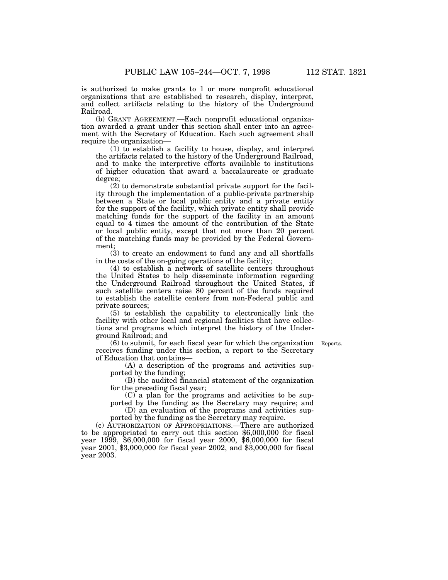is authorized to make grants to 1 or more nonprofit educational organizations that are established to research, display, interpret, and collect artifacts relating to the history of the Underground Railroad.

(b) GRANT AGREEMENT.—Each nonprofit educational organization awarded a grant under this section shall enter into an agreement with the Secretary of Education. Each such agreement shall require the organization—

(1) to establish a facility to house, display, and interpret the artifacts related to the history of the Underground Railroad, and to make the interpretive efforts available to institutions of higher education that award a baccalaureate or graduate degree;

(2) to demonstrate substantial private support for the facility through the implementation of a public-private partnership between a State or local public entity and a private entity for the support of the facility, which private entity shall provide matching funds for the support of the facility in an amount equal to 4 times the amount of the contribution of the State or local public entity, except that not more than 20 percent of the matching funds may be provided by the Federal Government;

(3) to create an endowment to fund any and all shortfalls in the costs of the on-going operations of the facility;

(4) to establish a network of satellite centers throughout the United States to help disseminate information regarding the Underground Railroad throughout the United States, if such satellite centers raise 80 percent of the funds required to establish the satellite centers from non-Federal public and private sources;

(5) to establish the capability to electronically link the facility with other local and regional facilities that have collections and programs which interpret the history of the Underground Railroad; and

(6) to submit, for each fiscal year for which the organization Reports.receives funding under this section, a report to the Secretary of Education that contains—

(A) a description of the programs and activities supported by the funding;

(B) the audited financial statement of the organization for the preceding fiscal year;

(C) a plan for the programs and activities to be supported by the funding as the Secretary may require; and

(D) an evaluation of the programs and activities supported by the funding as the Secretary may require.

(c) AUTHORIZATION OF APPROPRIATIONS.—There are authorized to be appropriated to carry out this section \$6,000,000 for fiscal year 1999, \$6,000,000 for fiscal year 2000, \$6,000,000 for fiscal year 2001, \$3,000,000 for fiscal year 2002, and \$3,000,000 for fiscal year 2003.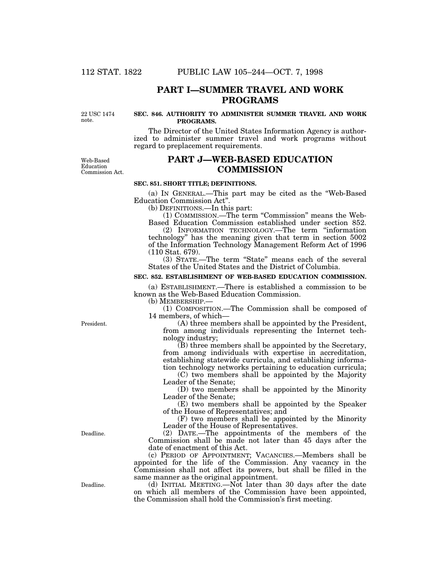# **PART I—SUMMER TRAVEL AND WORK PROGRAMS**

22 USC 1474 note.

## **SEC. 846. AUTHORITY TO ADMINISTER SUMMER TRAVEL AND WORK PROGRAMS.**

The Director of the United States Information Agency is authorized to administer summer travel and work programs without regard to preplacement requirements.

Web-Based Education Commission Act.

## **PART J—WEB-BASED EDUCATION COMMISSION**

### **SEC. 851. SHORT TITLE; DEFINITIONS.**

(a) IN GENERAL.—This part may be cited as the ''Web-Based Education Commission Act''.

(b) DEFINITIONS.—In this part:

(1) COMMISSION.—The term ''Commission'' means the Web-Based Education Commission established under section 852.

(2) INFORMATION TECHNOLOGY.—The term ''information technology'' has the meaning given that term in section 5002 of the Information Technology Management Reform Act of 1996 (110 Stat. 679).

(3) STATE.—The term ''State'' means each of the several States of the United States and the District of Columbia.

### **SEC. 852. ESTABLISHMENT OF WEB-BASED EDUCATION COMMISSION.**

(a) ESTABLISHMENT.—There is established a commission to be known as the Web-Based Education Commission.

(b) MEMBERSHIP.—

(1) COMPOSITION.—The Commission shall be composed of 14 members, of which—

(A) three members shall be appointed by the President, from among individuals representing the Internet technology industry;

 $\overline{B}$ ) three members shall be appointed by the Secretary, from among individuals with expertise in accreditation, establishing statewide curricula, and establishing information technology networks pertaining to education curricula;

(C) two members shall be appointed by the Majority Leader of the Senate;

(D) two members shall be appointed by the Minority Leader of the Senate;

(E) two members shall be appointed by the Speaker of the House of Representatives; and

(F) two members shall be appointed by the Minority Leader of the House of Representatives.

(2) DATE.—The appointments of the members of the Commission shall be made not later than 45 days after the date of enactment of this Act.

(c) PERIOD OF APPOINTMENT; VACANCIES.—Members shall be appointed for the life of the Commission. Any vacancy in the Commission shall not affect its powers, but shall be filled in the same manner as the original appointment.

(d) INITIAL MEETING.—Not later than 30 days after the date on which all members of the Commission have been appointed, the Commission shall hold the Commission's first meeting.

President.

Deadline.

Deadline.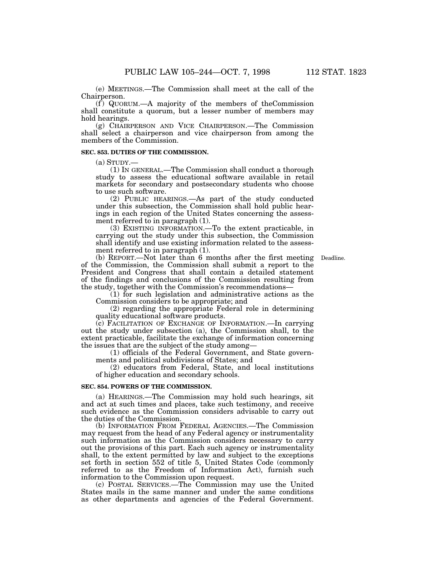(e) MEETINGS.—The Commission shall meet at the call of the Chairperson.

 $(f)$  QUORUM.—A majority of the members of the Commission shall constitute a quorum, but a lesser number of members may hold hearings.

(g) CHAIRPERSON AND VICE CHAIRPERSON.—The Commission shall select a chairperson and vice chairperson from among the members of the Commission.

### **SEC. 853. DUTIES OF THE COMMISSION.**

 $(a)$  STUDY. $-$ 

(1) IN GENERAL.—The Commission shall conduct a thorough study to assess the educational software available in retail markets for secondary and postsecondary students who choose to use such software.

(2) PUBLIC HEARINGS.—As part of the study conducted under this subsection, the Commission shall hold public hearings in each region of the United States concerning the assessment referred to in paragraph (1).

(3) EXISTING INFORMATION.—To the extent practicable, in carrying out the study under this subsection, the Commission shall identify and use existing information related to the assessment referred to in paragraph (1).

(b) REPORT.—Not later than 6 months after the first meeting Deadline.of the Commission, the Commission shall submit a report to the President and Congress that shall contain a detailed statement of the findings and conclusions of the Commission resulting from the study, together with the Commission's recommendations—

 $(1)$  for such legislation and administrative actions as the Commission considers to be appropriate; and

(2) regarding the appropriate Federal role in determining quality educational software products.

(c) FACILITATION OF EXCHANGE OF INFORMATION.—In carrying out the study under subsection (a), the Commission shall, to the extent practicable, facilitate the exchange of information concerning the issues that are the subject of the study among—

(1) officials of the Federal Government, and State governments and political subdivisions of States; and

(2) educators from Federal, State, and local institutions of higher education and secondary schools.

### **SEC. 854. POWERS OF THE COMMISSION.**

(a) HEARINGS.—The Commission may hold such hearings, sit and act at such times and places, take such testimony, and receive such evidence as the Commission considers advisable to carry out the duties of the Commission.

(b) INFORMATION FROM FEDERAL AGENCIES.—The Commission may request from the head of any Federal agency or instrumentality such information as the Commission considers necessary to carry out the provisions of this part. Each such agency or instrumentality shall, to the extent permitted by law and subject to the exceptions set forth in section 552 of title 5, United States Code (commonly referred to as the Freedom of Information Act), furnish such information to the Commission upon request.

(c) POSTAL SERVICES.—The Commission may use the United States mails in the same manner and under the same conditions as other departments and agencies of the Federal Government.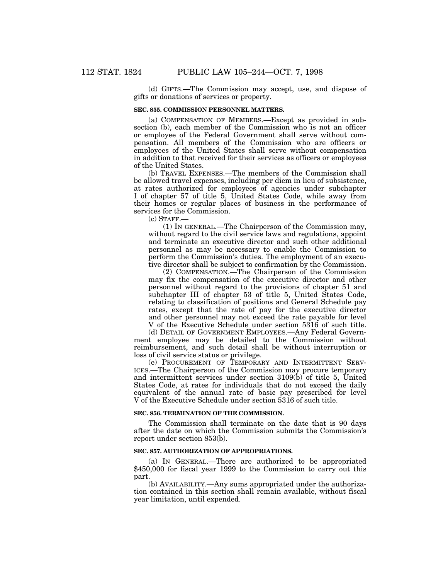(d) GIFTS.—The Commission may accept, use, and dispose of gifts or donations of services or property.

### **SEC. 855. COMMISSION PERSONNEL MATTERS.**

(a) COMPENSATION OF MEMBERS.—Except as provided in subsection (b), each member of the Commission who is not an officer or employee of the Federal Government shall serve without compensation. All members of the Commission who are officers or employees of the United States shall serve without compensation in addition to that received for their services as officers or employees of the United States.

(b) TRAVEL EXPENSES.—The members of the Commission shall be allowed travel expenses, including per diem in lieu of subsistence, at rates authorized for employees of agencies under subchapter I of chapter 57 of title 5, United States Code, while away from their homes or regular places of business in the performance of services for the Commission.

 $(c)$  STAFF. $-$ 

(1) IN GENERAL.—The Chairperson of the Commission may, without regard to the civil service laws and regulations, appoint and terminate an executive director and such other additional personnel as may be necessary to enable the Commission to perform the Commission's duties. The employment of an executive director shall be subject to confirmation by the Commission.

(2) COMPENSATION.—The Chairperson of the Commission may fix the compensation of the executive director and other personnel without regard to the provisions of chapter 51 and subchapter III of chapter 53 of title 5, United States Code, relating to classification of positions and General Schedule pay rates, except that the rate of pay for the executive director and other personnel may not exceed the rate payable for level V of the Executive Schedule under section 5316 of such title.

(d) DETAIL OF GOVERNMENT EMPLOYEES.—Any Federal Government employee may be detailed to the Commission without reimbursement, and such detail shall be without interruption or loss of civil service status or privilege.

(e) PROCUREMENT OF TEMPORARY AND INTERMITTENT SERV-ICES.—The Chairperson of the Commission may procure temporary and intermittent services under section 3109(b) of title 5, United States Code, at rates for individuals that do not exceed the daily equivalent of the annual rate of basic pay prescribed for level V of the Executive Schedule under section 5316 of such title.

### **SEC. 856. TERMINATION OF THE COMMISSION.**

The Commission shall terminate on the date that is 90 days after the date on which the Commission submits the Commission's report under section 853(b).

## **SEC. 857. AUTHORIZATION OF APPROPRIATIONS.**

(a) IN GENERAL.—There are authorized to be appropriated \$450,000 for fiscal year 1999 to the Commission to carry out this part.

(b) AVAILABILITY.—Any sums appropriated under the authorization contained in this section shall remain available, without fiscal year limitation, until expended.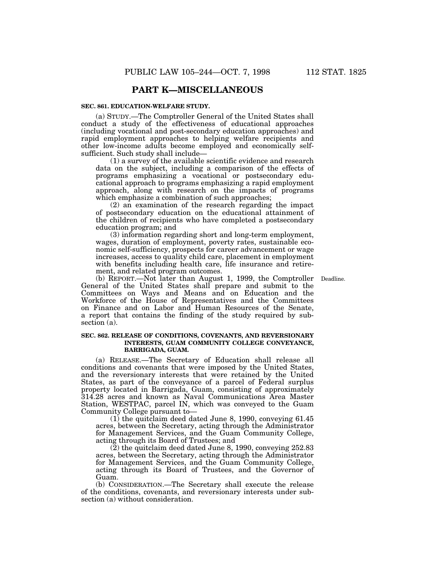## **PART K—MISCELLANEOUS**

### **SEC. 861. EDUCATION-WELFARE STUDY.**

(a) STUDY.—The Comptroller General of the United States shall conduct a study of the effectiveness of educational approaches (including vocational and post-secondary education approaches) and rapid employment approaches to helping welfare recipients and other low-income adults become employed and economically selfsufficient. Such study shall include—

(1) a survey of the available scientific evidence and research data on the subject, including a comparison of the effects of programs emphasizing a vocational or postsecondary educational approach to programs emphasizing a rapid employment approach, along with research on the impacts of programs which emphasize a combination of such approaches;

(2) an examination of the research regarding the impact of postsecondary education on the educational attainment of the children of recipients who have completed a postsecondary education program; and

(3) information regarding short and long-term employment, wages, duration of employment, poverty rates, sustainable economic self-sufficiency, prospects for career advancement or wage increases, access to quality child care, placement in employment with benefits including health care, life insurance and retirement, and related program outcomes.

(b) REPORT.—Not later than August 1, 1999, the Comptroller Deadline.General of the United States shall prepare and submit to the Committees on Ways and Means and on Education and the Workforce of the House of Representatives and the Committees on Finance and on Labor and Human Resources of the Senate, a report that contains the finding of the study required by subsection (a).

### **SEC. 862. RELEASE OF CONDITIONS, COVENANTS, AND REVERSIONARY INTERESTS, GUAM COMMUNITY COLLEGE CONVEYANCE, BARRIGADA, GUAM.**

(a) RELEASE.—The Secretary of Education shall release all conditions and covenants that were imposed by the United States, and the reversionary interests that were retained by the United States, as part of the conveyance of a parcel of Federal surplus property located in Barrigada, Guam, consisting of approximately 314.28 acres and known as Naval Communications Area Master Station, WESTPAC, parcel IN, which was conveyed to the Guam Community College pursuant to—

(1) the quitclaim deed dated June 8, 1990, conveying 61.45 acres, between the Secretary, acting through the Administrator for Management Services, and the Guam Community College, acting through its Board of Trustees; and

(2) the quitclaim deed dated June 8, 1990, conveying 252.83 acres, between the Secretary, acting through the Administrator for Management Services, and the Guam Community College, acting through its Board of Trustees, and the Governor of Guam

(b) CONSIDERATION.—The Secretary shall execute the release of the conditions, covenants, and reversionary interests under subsection (a) without consideration.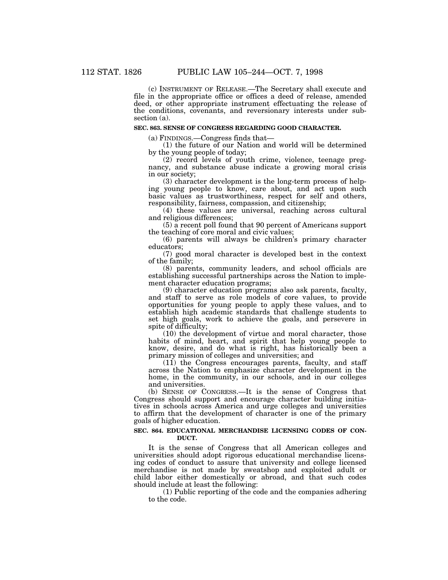(c) INSTRUMENT OF RELEASE.—The Secretary shall execute and file in the appropriate office or offices a deed of release, amended deed, or other appropriate instrument effectuating the release of the conditions, covenants, and reversionary interests under subsection (a).

## **SEC. 863. SENSE OF CONGRESS REGARDING GOOD CHARACTER.**

(a) FINDINGS.—Congress finds that—

(1) the future of our Nation and world will be determined by the young people of today;

(2) record levels of youth crime, violence, teenage pregnancy, and substance abuse indicate a growing moral crisis in our society;

(3) character development is the long-term process of helping young people to know, care about, and act upon such basic values as trustworthiness, respect for self and others, responsibility, fairness, compassion, and citizenship;

(4) these values are universal, reaching across cultural and religious differences;

(5) a recent poll found that 90 percent of Americans support the teaching of core moral and civic values;

(6) parents will always be children's primary character educators;

(7) good moral character is developed best in the context of the family;

(8) parents, community leaders, and school officials are establishing successful partnerships across the Nation to implement character education programs;

(9) character education programs also ask parents, faculty, and staff to serve as role models of core values, to provide opportunities for young people to apply these values, and to establish high academic standards that challenge students to set high goals, work to achieve the goals, and persevere in spite of difficulty;

(10) the development of virtue and moral character, those habits of mind, heart, and spirit that help young people to know, desire, and do what is right, has historically been a primary mission of colleges and universities; and

(11) the Congress encourages parents, faculty, and staff across the Nation to emphasize character development in the home, in the community, in our schools, and in our colleges and universities.

(b) SENSE OF CONGRESS.—It is the sense of Congress that Congress should support and encourage character building initiatives in schools across America and urge colleges and universities to affirm that the development of character is one of the primary goals of higher education.

### **SEC. 864. EDUCATIONAL MERCHANDISE LICENSING CODES OF CON-DUCT.**

It is the sense of Congress that all American colleges and universities should adopt rigorous educational merchandise licensing codes of conduct to assure that university and college licensed merchandise is not made by sweatshop and exploited adult or child labor either domestically or abroad, and that such codes should include at least the following:

(1) Public reporting of the code and the companies adhering to the code.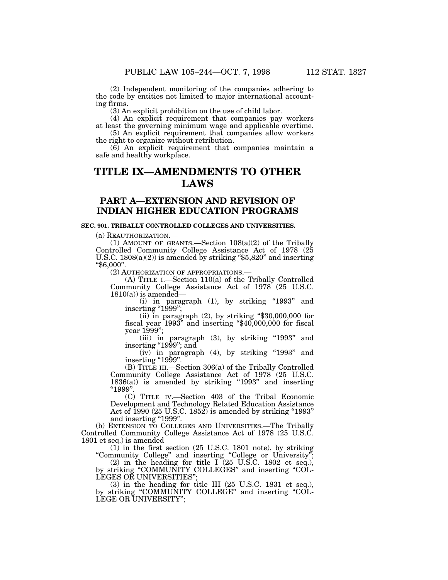(2) Independent monitoring of the companies adhering to the code by entities not limited to major international accounting firms.

(3) An explicit prohibition on the use of child labor.

(4) An explicit requirement that companies pay workers at least the governing minimum wage and applicable overtime.

(5) An explicit requirement that companies allow workers the right to organize without retribution.

 $(6)$  An explicit requirement that companies maintain a safe and healthy workplace.

# **TITLE IX—AMENDMENTS TO OTHER LAWS**

# **PART A—EXTENSION AND REVISION OF INDIAN HIGHER EDUCATION PROGRAMS**

## **SEC. 901. TRIBALLY CONTROLLED COLLEGES AND UNIVERSITIES.**

(a) REAUTHORIZATION.—

(1) AMOUNT OF GRANTS.—Section  $108(a)(2)$  of the Tribally Controlled Community College Assistance Act of 1978 (25 U.S.C.  $1808(a)(2)$  is amended by striking "\$5,820" and inserting ''\$6,000''.

(2) AUTHORIZATION OF APPROPRIATIONS.—

(A) TITLE I.—Section 110(a) of the Tribally Controlled Community College Assistance Act of 1978 (25 U.S.C.  $1810(a)$ ) is amended—

(i) in paragraph  $(1)$ , by striking "1993" and inserting ''1999'';

(ii) in paragraph (2), by striking ''\$30,000,000 for fiscal year 1993'' and inserting ''\$40,000,000 for fiscal year 1999'';

(iii) in paragraph (3), by striking "1993" and inserting "1999"; and

(iv) in paragraph (4), by striking ''1993'' and inserting "1999".

(B) TITLE III.—Section 306(a) of the Tribally Controlled Community College Assistance Act of 1978 (25 U.S.C.  $1836(a)$  is amended by striking "1993" and inserting ''1999''.

(C) TITLE IV.—Section 403 of the Tribal Economic Development and Technology Related Education Assistance Act of  $1990 (25 \text{ U.S.C. } 1852)$  is amended by striking "1993" and inserting "1999".

(b) EXTENSION TO COLLEGES AND UNIVERSITIES.—The Tribally Controlled Community College Assistance Act of 1978 (25 U.S.C. 1801 et seq.) is amended—

(1) in the first section (25 U.S.C. 1801 note), by striking "Community College" and inserting "College or University";

(2) in the heading for title I (25 U.S.C. 1802 et seq.), by striking "COMMUNITY COLLEGES" and inserting "COL-LEGES OR UNIVERSITIES'';

(3) in the heading for title III (25 U.S.C. 1831 et seq.), by striking "COMMUNITY COLLEGE" and inserting "COL-LEGE OR UNIVERSITY";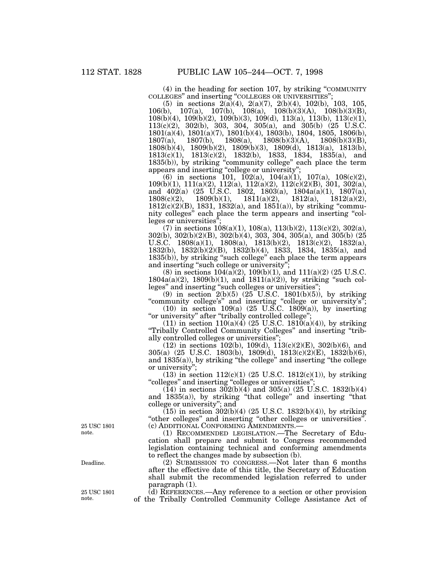(4) in the heading for section 107, by striking ''COMMUNITY COLLEGES'' and inserting ''COLLEGES OR UNIVERSITIES'';

(5) in sections  $2(a)(4)$ ,  $2(a)(7)$ ,  $2(b)(4)$ ,  $102(b)$ ,  $103$ ,  $105$ , 106(b), 107(a), 107(b), 108(a), 108(b)(3)(A), 108(b)(3)(B), 108(b)(4), 109(b)(2), 109(b)(3), 109(d), 113(a), 113(b), 113(c)(1), 113(c)(2), 302(b), 303, 304, 305(a), and 305(b) (25 U.S.C. 1801(a)(4), 1801(a)(7), 1801(b)(4), 1803(b), 1804, 1805, 1806(b), 1807(a), 1807(b), 1808(a), 1808(b)(3)(A), 1808(b)(3)(B), 1808(b)(4), 1809(b)(2), 1809(b)(3), 1809(d), 1813(a), 1813(b), 1813(c)(1), 1813(c)(2), 1832(b), 1833, 1834, 1835(a), and 1835(b)), by striking ''community college'' each place the term appears and inserting ''college or university'';

(6) in sections 101, 102(a), 104(a)(1), 107(a), 108(c)(2), 109(b)(1), 111(a)(2), 112(a), 112(a)(2), 112(c)(2)(B), 301, 302(a), and  $402(a)$  (25 U.S.C. 1802, 1803(a), 1804a(a)(1), 1807(a), 1808(c)(2), 1809(b)(1), 1811(a)(2), 1812(a), 1812(a)(2), 1808(c)(2), 1809(b)(1), 1811(a)(2), 1812(a), 1812(a)(2),  $1812(c)(2)(B)$ , 1831, 1832(a), and 1851(a)), by striking "community colleges'' each place the term appears and inserting ''colleges or universities"

(7) in sections  $108(a)(1)$ ,  $108(a)$ ,  $113(b)(2)$ ,  $113(c)(2)$ ,  $302(a)$ , 302(b), 302(b)(2)(B), 302(b)(4), 303, 304, 305(a), and 305(b) (25 U.S.C. 1808(a)(1), 1808(a), 1813(b)(2), 1813(c)(2), 1832(a), 1832(b), 1832(b)(2)(B), 1832(b)(4), 1833, 1834, 1835(a), and 1835(b)), by striking "such college" each place the term appears and inserting "such college or university";

 $(8)$  in sections 104(a)(2), 109(b)(1), and 111(a)(2) (25 U.S.C.  $1804a(a)(2)$ ,  $1809(b)(1)$ , and  $1811(a)(2)$ ), by striking "such colleges'' and inserting ''such colleges or universities'';

(9) in section 2(b)(5) (25 U.S.C. 1801(b)(5)), by striking "community college's" and inserting "college or university's";

(10) in section 109(a) (25 U.S.C. 1809(a)), by inserting ''or university'' after ''tribally controlled college'';

 $(11)$  in section  $110(a)(4)$  (25 U.S.C. 1810(a)(4)), by striking ''Tribally Controlled Community Colleges'' and inserting ''tribally controlled colleges or universities'';

(12) in sections 102(b), 109(d), 113(c)(2)(E), 302(b)(6), and 305(a) (25 U.S.C. 1803(b), 1809(d), 1813(c)(2)(E), 1832(b)(6), and 1835(a)), by striking ''the college'' and inserting ''the college or university'';

 $(13)$  in section  $112(c)(1)$   $(25 \text{ U.S.C. } 1812(c)(1))$ , by striking "colleges" and inserting "colleges or universities";

 $(14)$  in sections  $302(b)(4)$  and  $305(a)$   $(25 \text{ U.S.C. } 1832(b)(4))$ and 1835(a)), by striking "that college" and inserting "that college or university''; and

 $(15)$  in section 302(b)(4) (25 U.S.C. 1832(b)(4)), by striking ''other colleges'' and inserting ''other colleges or universities''. (c) ADDITIONAL CONFORMING AMENDMENTS.—

(1) RECOMMENDED LEGISLATION.—The Secretary of Education shall prepare and submit to Congress recommended legislation containing technical and conforming amendments to reflect the changes made by subsection (b).

(2) SUBMISSION TO CONGRESS.—Not later than 6 months after the effective date of this title, the Secretary of Education shall submit the recommended legislation referred to under paragraph (1).

(d) REFERENCES.—Any reference to a section or other provision of the Tribally Controlled Community College Assistance Act of

25 USC 1801 note.

Deadline.

25 USC 1801 note.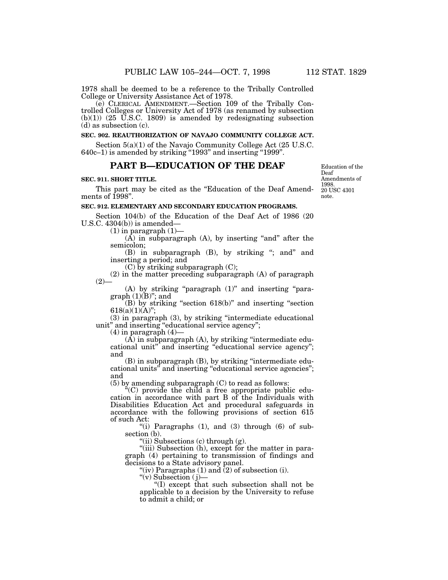1978 shall be deemed to be a reference to the Tribally Controlled College or University Assistance Act of 1978.

(e) CLERICAL AMENDMENT.—Section 109 of the Tribally Controlled Colleges or University Act of 1978 (as renamed by subsection  $(b)(1)$  (25 U.S.C. 1809) is amended by redesignating subsection (d) as subsection (c).

### **SEC. 902. REAUTHORIZATION OF NAVAJO COMMUNITY COLLEGE ACT.**

Section  $5(a)(1)$  of the Navajo Community College Act (25 U.S.C. 640c–1) is amended by striking ''1993'' and inserting ''1999''.

## **PART B—EDUCATION OF THE DEAF**

#### **SEC. 911. SHORT TITLE.**

This part may be cited as the ''Education of the Deaf Amendments of 1998".

### **SEC. 912. ELEMENTARY AND SECONDARY EDUCATION PROGRAMS.**

Section 104(b) of the Education of the Deaf Act of 1986 (20 U.S.C.  $4304(b)$  is amended—

 $(1)$  in paragraph  $(1)$ —

 $(A)$  in subparagraph  $(A)$ , by inserting "and" after the semicolon;

(B) in subparagraph (B), by striking "; and" and inserting a period; and

(C) by striking subparagraph (C);

(2) in the matter preceding subparagraph (A) of paragraph  $(2)$ 

(A) by striking "paragraph  $(1)$ " and inserting "para $graph (1)(B)$ "; and

(B) by striking ''section 618(b)'' and inserting ''section  $618(a)(1)(A)$ ";

(3) in paragraph (3), by striking ''intermediate educational unit'' and inserting ''educational service agency'';

 $(4)$  in paragraph  $(4)$ —

 $(A)$  in subparagraph  $(A)$ , by striking "intermediate educational unit'' and inserting ''educational service agency''; and

(B) in subparagraph (B), by striking ''intermediate educational units'' and inserting ''educational service agencies''; and

(5) by amending subparagraph (C) to read as follows:

''(C) provide the child a free appropriate public education in accordance with part B of the Individuals with Disabilities Education Act and procedural safeguards in accordance with the following provisions of section 615 of such Act:

"(i) Paragraphs  $(1)$ , and  $(3)$  through  $(6)$  of subsection (b).

"(ii) Subsections (c) through (g).

"(iii) Subsection (h), except for the matter in paragraph (4) pertaining to transmission of findings and decisions to a State advisory panel.

"(iv) Paragraphs  $(1)$  and  $(2)$  of subsection  $(i)$ .

" $(v)$  Subsection  $(j)$ —

''(I) except that such subsection shall not be applicable to a decision by the University to refuse to admit a child; or

20 USC 4301 note. Education of the Deaf Amendments of 1998.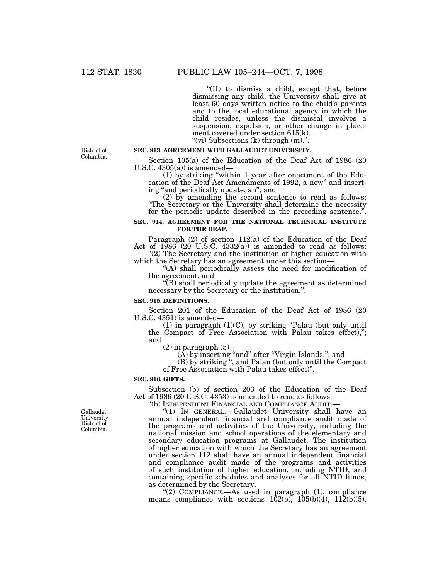''(II) to dismiss a child, except that, before dismissing any child, the University shall give at least 60 days written notice to the child's parents and to the local educational agency in which the child resides, unless the dismissal involves a suspension, expulsion, or other change in placement covered under section 615(k).

"(vi) Subsections (k) through (m).".

District of Columbia.

### **SEC. 913. AGREEMENT WITH GALLAUDET UNIVERSITY.**

Section 105(a) of the Education of the Deaf Act of 1986 (20 U.S.C.  $4305(a)$  is amended-

(1) by striking ''within 1 year after enactment of the Education of the Deaf Act Amendments of 1992, a new'' and inserting "and periodically update, an"; and

(2) by amending the second sentence to read as follows: ''The Secretary or the University shall determine the necessity for the periodic update described in the preceding sentence."

## **SEC. 914. AGREEMENT FOR THE NATIONAL TECHNICAL INSTITUTE FOR THE DEAF.**

Paragraph  $(2)$  of section 112(a) of the Education of the Deaf Act of  $1986 (20 \text{ U.S.C. } 4332(a))$  is amended to read as follows: "(2) The Secretary and the institution of higher education with which the Secretary has an agreement under this section-

''(A) shall periodically assess the need for modification of the agreement; and

 $\langle E(\mathbf{B})\rangle$  shall periodically update the agreement as determined necessary by the Secretary or the institution.''.

## **SEC. 915. DEFINITIONS.**

Section 201 of the Education of the Deaf Act of 1986 (20 U.S.C. 4351) is amended—

 $(1)$  in paragraph  $(1)(C)$ , by striking "Palau (but only until the Compact of Free Association with Palau takes effect),''; and

 $(2)$  in paragraph  $(5)$ —

(A) by inserting "and" after "Virgin Islands,"; and

(B) by striking '', and Palau (but only until the Compact of Free Association with Palau takes effect)''.

#### **SEC. 916. GIFTS.**

Subsection (b) of section 203 of the Education of the Deaf Act of 1986 (20 U.S.C. 4353) is amended to read as follows:

''(b) INDEPENDENT FINANCIAL AND COMPLIANCE AUDIT.—

''(1) IN GENERAL.—Gallaudet University shall have an annual independent financial and compliance audit made of the programs and activities of the University, including the national mission and school operations of the elementary and secondary education programs at Gallaudet. The institution of higher education with which the Secretary has an agreement under section 112 shall have an annual independent financial and compliance audit made of the programs and activities of such institution of higher education, including NTID, and containing specific schedules and analyses for all NTID funds, as determined by the Secretary.

''(2) COMPLIANCE.—As used in paragraph (1), compliance means compliance with sections  $102(b)$ ,  $105(b)(4)$ ,  $112(b)(5)$ ,

Gallaudet University. District of Columbia.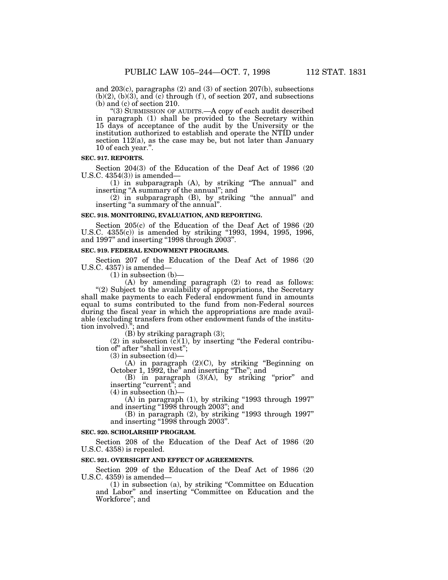and 203(c), paragraphs (2) and (3) of section 207(b), subsections  $(b)(2)$ ,  $(b)(3)$ , and  $(c)$  through  $(f)$ , of section 207, and subsections (b) and (c) of section 210.

''(3) SUBMISSION OF AUDITS.—A copy of each audit described in paragraph  $(1)$  shall be provided to the Secretary within 15 days of acceptance of the audit by the University or the institution authorized to establish and operate the NTID under section 112(a), as the case may be, but not later than January 10 of each year.''.

### **SEC. 917. REPORTS.**

Section 204(3) of the Education of the Deaf Act of 1986 (20 U.S.C. 4354(3)) is amended—

(1) in subparagraph (A), by striking ''The annual'' and inserting "A summary of the annual"; and

(2) in subparagraph (B), by striking ''the annual'' and inserting "a summary of the annual".

### **SEC. 918. MONITORING, EVALUATION, AND REPORTING.**

Section 205(c) of the Education of the Deaf Act of 1986 (20 U.S.C. 4355(c)) is amended by striking "1993, 1994, 1995, 1996, and  $1997$ " and inserting " $1998$  through  $2003$ ".

### **SEC. 919. FEDERAL ENDOWMENT PROGRAMS.**

Section 207 of the Education of the Deaf Act of 1986 (20 U.S.C. 4357) is amended—

 $(1)$  in subsection  $(b)$ -

(A) by amending paragraph (2) to read as follows: "(2) Subject to the availability of appropriations, the Secretary shall make payments to each Federal endowment fund in amounts equal to sums contributed to the fund from non-Federal sources during the fiscal year in which the appropriations are made available (excluding transfers from other endowment funds of the institution involved).''; and

(B) by striking paragraph (3);

(2) in subsection  $(c)(1)$ , by inserting "the Federal contribution of'' after ''shall invest'';

(3) in subsection (d)—

 $(A)$  in paragraph  $(2)(C)$ , by striking "Beginning on October 1, 1992, the'' and inserting ''The''; and

(B) in paragraph (3)(A), by striking ''prior'' and inserting "current"; and

 $(4)$  in subsection  $(h)$ –

(A) in paragraph (1), by striking "1993 through 1997" and inserting "1998 through 2003"; and

(B) in paragraph (2), by striking ''1993 through 1997'' and inserting "1998 through 2003".

### **SEC. 920. SCHOLARSHIP PROGRAM.**

Section 208 of the Education of the Deaf Act of 1986 (20 U.S.C. 4358) is repealed.

## **SEC. 921. OVERSIGHT AND EFFECT OF AGREEMENTS.**

Section 209 of the Education of the Deaf Act of 1986 (20 U.S.C. 4359) is amended—

(1) in subsection (a), by striking ''Committee on Education and Labor'' and inserting ''Committee on Education and the Workforce''; and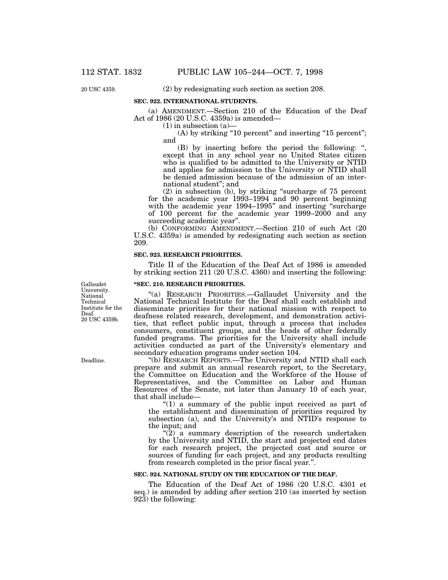20 USC 4359.

(2) by redesignating such section as section 208.

## **SEC. 922. INTERNATIONAL STUDENTS.**

(a) AMENDMENT.—Section 210 of the Education of the Deaf Act of 1986 (20 U.S.C. 4359a) is amended—

 $(1)$  in subsection  $(a)$ —

(A) by striking "10 percent" and inserting "15 percent"; and

(B) by inserting before the period the following: '', except that in any school year no United States citizen who is qualified to be admitted to the University or NTID and applies for admission to the University or NTID shall be denied admission because of the admission of an international student''; and

(2) in subsection (b), by striking ''surcharge of 75 percent for the academic year 1993–1994 and 90 percent beginning with the academic year 1994–1995" and inserting "surcharge" of 100 percent for the academic year 1999–2000 and any succeeding academic year''.

(b) CONFORMING AMENDMENT.—Section 210 of such Act (20 U.S.C. 4359a) is amended by redesignating such section as section 209.

#### **SEC. 923. RESEARCH PRIORITIES.**

Title II of the Education of the Deaf Act of 1986 is amended by striking section 211 (20 U.S.C. 4360) and inserting the following:

### **''SEC. 210. RESEARCH PRIORITIES.**

''(a) RESEARCH PRIORITIES.—Gallaudet University and the National Technical Institute for the Deaf shall each establish and disseminate priorities for their national mission with respect to deafness related research, development, and demonstration activities, that reflect public input, through a process that includes consumers, constituent groups, and the heads of other federally funded programs. The priorities for the University shall include activities conducted as part of the University's elementary and secondary education programs under section 104.

''(b) RESEARCH REPORTS.—The University and NTID shall each prepare and submit an annual research report, to the Secretary, the Committee on Education and the Workforce of the House of Representatives, and the Committee on Labor and Human Resources of the Senate, not later than January 10 of each year, that shall include—

" $(1)$  a summary of the public input received as part of the establishment and dissemination of priorities required by subsection (a), and the University's and NTID's response to the input; and

 $\sqrt{\frac{2}{2}}$  a summary description of the research undertaken by the University and NTID, the start and projected end dates for each research project, the projected cost and source or sources of funding for each project, and any products resulting from research completed in the prior fiscal year.''.

## **SEC. 924. NATIONAL STUDY ON THE EDUCATION OF THE DEAF.**

The Education of the Deaf Act of 1986 (20 U.S.C. 4301 et seq.) is amended by adding after section 210 (as inserted by section 923) the following:

Gallaudet University. National Technical Institute for the Deaf. 20 USC 4359b.

Deadline.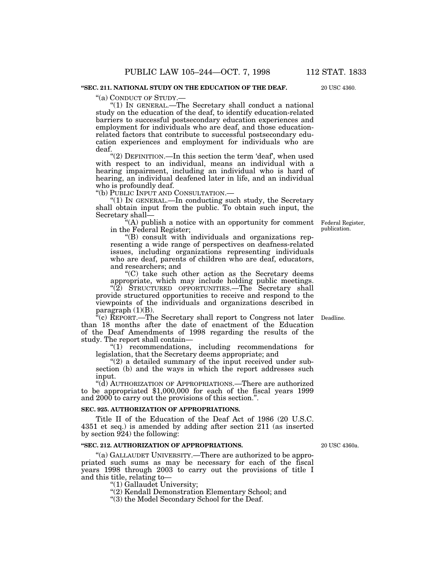#### **''SEC. 211. NATIONAL STUDY ON THE EDUCATION OF THE DEAF.**

''(a) CONDUCT OF STUDY.—

''(1) IN GENERAL.—The Secretary shall conduct a national study on the education of the deaf, to identify education-related barriers to successful postsecondary education experiences and employment for individuals who are deaf, and those educationrelated factors that contribute to successful postsecondary education experiences and employment for individuals who are deaf.

"(2) DEFINITION.—In this section the term 'deaf', when used with respect to an individual, means an individual with a hearing impairment, including an individual who is hard of hearing, an individual deafened later in life, and an individual who is profoundly deaf.

''(b) PUBLIC INPUT AND CONSULTATION.—

''(1) IN GENERAL.—In conducting such study, the Secretary shall obtain input from the public. To obtain such input, the Secretary shall—

''(A) publish a notice with an opportunity for comment in the Federal Register;

''(B) consult with individuals and organizations representing a wide range of perspectives on deafness-related issues, including organizations representing individuals who are deaf, parents of children who are deaf, educators, and researchers; and

''(C) take such other action as the Secretary deems appropriate, which may include holding public meetings.

"(2) STRUCTURED OPPORTUNITIES.—The Secretary shall provide structured opportunities to receive and respond to the viewpoints of the individuals and organizations described in paragraph (1)(B).

"(c) REPORT.—The Secretary shall report to Congress not later Deadline. than 18 months after the date of enactment of the Education of the Deaf Amendments of 1998 regarding the results of the study. The report shall contain—

 $''(1)$  recommendations, including recommendations for legislation, that the Secretary deems appropriate; and

 $''(2)$  a detailed summary of the input received under subsection (b) and the ways in which the report addresses such input.

''(d) AUTHORIZATION OF APPROPRIATIONS.—There are authorized to be appropriated \$1,000,000 for each of the fiscal years 1999 and 2000 to carry out the provisions of this section.''.

#### **SEC. 925. AUTHORIZATION OF APPROPRIATIONS.**

Title II of the Education of the Deaf Act of 1986 (20 U.S.C. 4351 et seq.) is amended by adding after section 211 (as inserted by section  $924$ ) the following:

### **''SEC. 212. AUTHORIZATION OF APPROPRIATIONS.**

''(a) GALLAUDET UNIVERSITY.—There are authorized to be appropriated such sums as may be necessary for each of the fiscal years 1998 through 2003 to carry out the provisions of title I and this title, relating to—

''(1) Gallaudet University;

''(2) Kendall Demonstration Elementary School; and

''(3) the Model Secondary School for the Deaf.

Federal Register, publication.

20 USC 4360.

20 USC 4360a.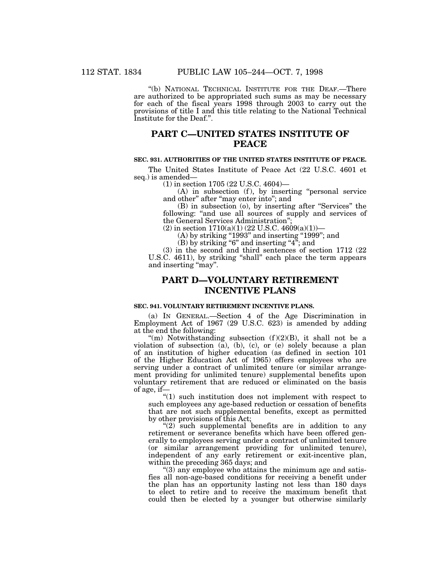''(b) NATIONAL TECHNICAL INSTITUTE FOR THE DEAF.—There are authorized to be appropriated such sums as may be necessary for each of the fiscal years 1998 through 2003 to carry out the provisions of title I and this title relating to the National Technical Institute for the Deaf.''.

## **PART C—UNITED STATES INSTITUTE OF PEACE**

### **SEC. 931. AUTHORITIES OF THE UNITED STATES INSTITUTE OF PEACE.**

The United States Institute of Peace Act (22 U.S.C. 4601 et seq.) is amended—

(1) in section 1705 (22 U.S.C. 4604)—

 $(A)$  in subsection  $(f)$ , by inserting "personal service and other" after "may enter into"; and

(B) in subsection (o), by inserting after ''Services'' the following: "and use all sources of supply and services of the General Services Administration'';

 $(2)$  in section  $1710(a)(1)$   $(22 \text{ U.S.C. } 4609(a)(1))$ —

(A) by striking "1993" and inserting "1999"; and

(B) by striking "6" and inserting "4"; and

(3) in the second and third sentences of section 1712 (22 U.S.C. 4611), by striking "shall" each place the term appears and inserting ''may''.

# **PART D—VOLUNTARY RETIREMENT INCENTIVE PLANS**

#### **SEC. 941. VOLUNTARY RETIREMENT INCENTIVE PLANS.**

(a) IN GENERAL.—Section 4 of the Age Discrimination in Employment Act of 1967 (29 U.S.C. 623) is amended by adding at the end the following:

"(m) Notwithstanding subsection  $(f)(2)(B)$ , it shall not be a violation of subsection  $(a)$ ,  $(b)$ ,  $(c)$ , or  $(e)$  solely because a plan of an institution of higher education (as defined in section 101 of the Higher Education Act of 1965) offers employees who are serving under a contract of unlimited tenure (or similar arrangement providing for unlimited tenure) supplemental benefits upon voluntary retirement that are reduced or eliminated on the basis of age, if—

"(1) such institution does not implement with respect to such employees any age-based reduction or cessation of benefits that are not such supplemental benefits, except as permitted by other provisions of this Act;

"(2) such supplemental benefits are in addition to any retirement or severance benefits which have been offered generally to employees serving under a contract of unlimited tenure (or similar arrangement providing for unlimited tenure), independent of any early retirement or exit-incentive plan, within the preceding 365 days; and

''(3) any employee who attains the minimum age and satisfies all non-age-based conditions for receiving a benefit under the plan has an opportunity lasting not less than 180 days to elect to retire and to receive the maximum benefit that could then be elected by a younger but otherwise similarly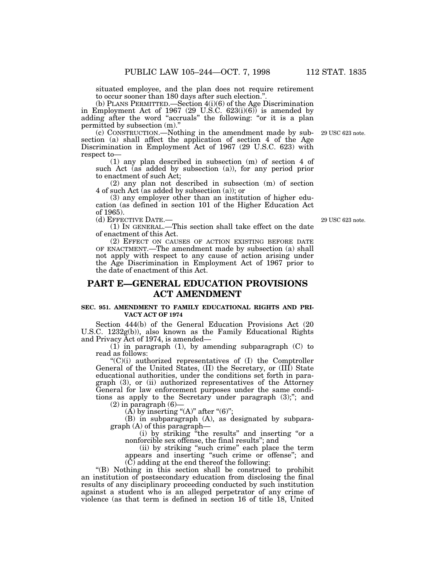situated employee, and the plan does not require retirement to occur sooner than 180 days after such election.''.

(b) PLANS PERMITTED.—Section 4(i)(6) of the Age Discrimination in Employment Act of 1967 (29 U.S.C. 623(i)(6)) is amended by adding after the word ''accruals'' the following: ''or it is a plan permitted by subsection (m).''

(c) CONSTRUCTION.—Nothing in the amendment made by subsection (a) shall affect the application of section 4 of the Age Discrimination in Employment Act of 1967 (29 U.S.C. 623) with respect to—

(1) any plan described in subsection (m) of section 4 of such Act (as added by subsection (a)), for any period prior to enactment of such Act;

(2) any plan not described in subsection (m) of section 4 of such Act (as added by subsection (a)); or

(3) any employer other than an institution of higher education (as defined in section 101 of the Higher Education Act of 1965).

(d) EFFECTIVE DATE.— (1) IN GENERAL.—This section shall take effect on the date of enactment of this Act.

(2) EFFECT ON CAUSES OF ACTION EXISTING BEFORE DATE OF ENACTMENT.—The amendment made by subsection (a) shall not apply with respect to any cause of action arising under the Age Discrimination in Employment Act of 1967 prior to the date of enactment of this Act.

# **PART E—GENERAL EDUCATION PROVISIONS ACT AMENDMENT**

### **SEC. 951. AMENDMENT TO FAMILY EDUCATIONAL RIGHTS AND PRI-VACY ACT OF 1974**

Section 444(b) of the General Education Provisions Act (20 U.S.C. 1232g(b)), also known as the Family Educational Rights and Privacy Act of 1974, is amended—

(1) in paragraph (1), by amending subparagraph (C) to read as follows:

 $C'(C)(i)$  authorized representatives of  $(I)$  the Comptroller General of the United States, (II) the Secretary, or (III) State educational authorities, under the conditions set forth in paragraph (3), or (ii) authorized representatives of the Attorney General for law enforcement purposes under the same conditions as apply to the Secretary under paragraph  $(3)$ ;"; and

 $(2)$  in paragraph  $(6)$ 

 $(\overrightarrow{A})$  by inserting " $(A)$ " after " $(6)$ ";

(B) in subparagraph (A), as designated by subparagraph (A) of this paragraph—

(i) by striking ''the results'' and inserting ''or a nonforcible sex offense, the final results''; and

(ii) by striking ''such crime'' each place the term appears and inserting ''such crime or offense''; and (C) adding at the end thereof the following:

''(B) Nothing in this section shall be construed to prohibit an institution of postsecondary education from disclosing the final results of any disciplinary proceeding conducted by such institution against a student who is an alleged perpetrator of any crime of violence (as that term is defined in section 16 of title 18, United

29 USC 623 note.

29 USC 623 note.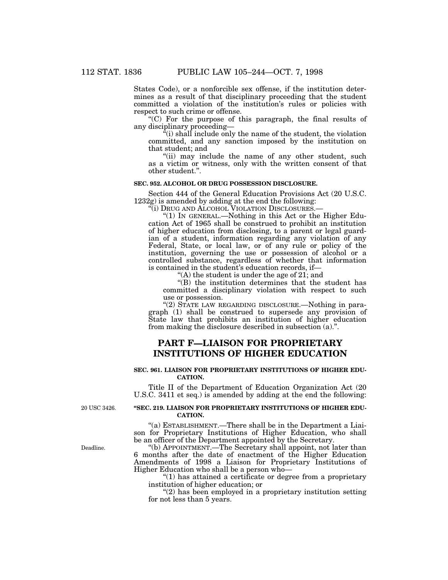States Code), or a nonforcible sex offense, if the institution determines as a result of that disciplinary proceeding that the student committed a violation of the institution's rules or policies with respect to such crime or offense.

''(C) For the purpose of this paragraph, the final results of any disciplinary proceeding—

 $\hat{f}$ <sup> $\hat{f}$ </sup>(i) shall include only the name of the student, the violation committed, and any sanction imposed by the institution on that student; and

"(ii) may include the name of any other student, such as a victim or witness, only with the written consent of that other student.''.

### **SEC. 952. ALCOHOL OR DRUG POSSESSION DISCLOSURE.**

Section 444 of the General Education Provisions Act (20 U.S.C. 1232g) is amended by adding at the end the following:

''(i) DRUG AND ALCOHOL VIOLATION DISCLOSURES.—

"(1) IN GENERAL.—Nothing in this Act or the Higher Education Act of 1965 shall be construed to prohibit an institution of higher education from disclosing, to a parent or legal guardian of a student, information regarding any violation of any Federal, State, or local law, or of any rule or policy of the institution, governing the use or possession of alcohol or a controlled substance, regardless of whether that information is contained in the student's education records, if—

 $(A)$  the student is under the age of 21; and

''(B) the institution determines that the student has committed a disciplinary violation with respect to such use or possession.

"(2) STATE LAW REGARDING DISCLOSURE.—Nothing in paragraph (1) shall be construed to supersede any provision of State law that prohibits an institution of higher education from making the disclosure described in subsection (a).''.

## **PART F—LIAISON FOR PROPRIETARY INSTITUTIONS OF HIGHER EDUCATION**

## **SEC. 961. LIAISON FOR PROPRIETARY INSTITUTIONS OF HIGHER EDU-CATION.**

Title II of the Department of Education Organization Act (20 U.S.C. 3411 et seq.) is amended by adding at the end the following:

20 USC 3426.

## **''SEC. 219. LIAISON FOR PROPRIETARY INSTITUTIONS OF HIGHER EDU-CATION.**

''(a) ESTABLISHMENT.—There shall be in the Department a Liaison for Proprietary Institutions of Higher Education, who shall be an officer of the Department appointed by the Secretary.

''(b) APPOINTMENT.—The Secretary shall appoint, not later than 6 months after the date of enactment of the Higher Education Amendments of 1998 a Liaison for Proprietary Institutions of Higher Education who shall be a person who—

''(1) has attained a certificate or degree from a proprietary institution of higher education; or

"(2) has been employed in a proprietary institution setting for not less than 5 years.

Deadline.